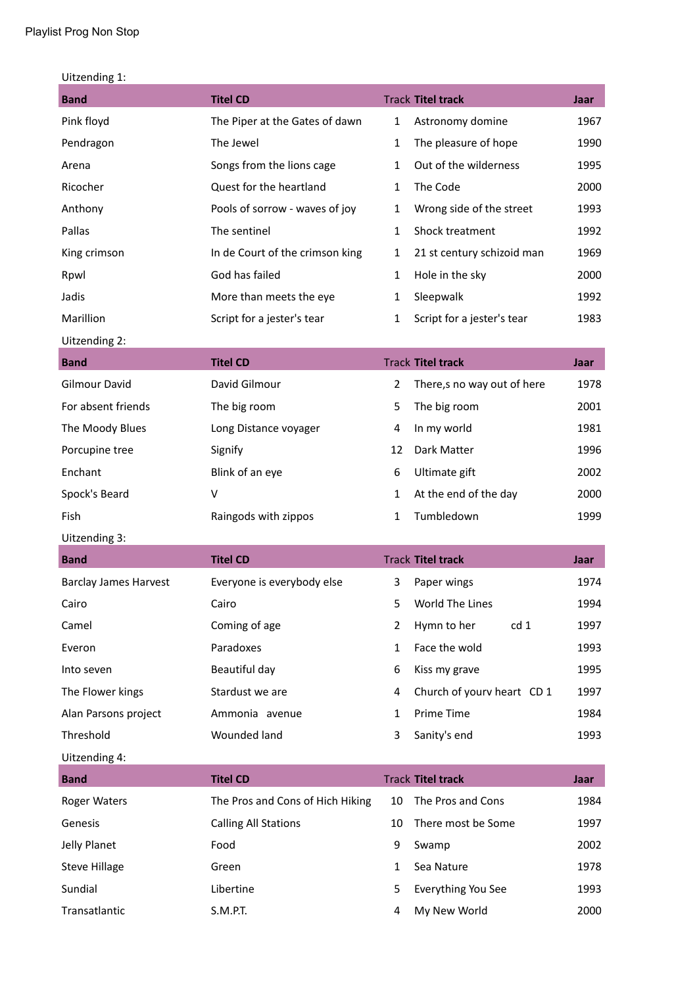| Uitzending 1: |  |
|---------------|--|
|---------------|--|

| <b>Band</b>                  | <b>Titel CD</b>                  |              | <b>Track Titel track</b>   | Jaar |
|------------------------------|----------------------------------|--------------|----------------------------|------|
| Pink floyd                   | The Piper at the Gates of dawn   | $\mathbf{1}$ | Astronomy domine           | 1967 |
| Pendragon                    | The Jewel                        | $\mathbf{1}$ | The pleasure of hope       | 1990 |
| Arena                        | Songs from the lions cage        | $\mathbf{1}$ | Out of the wilderness      | 1995 |
| Ricocher                     | Quest for the heartland          | $\mathbf{1}$ | The Code                   | 2000 |
| Anthony                      | Pools of sorrow - waves of joy   | $\mathbf 1$  | Wrong side of the street   | 1993 |
| Pallas                       | The sentinel                     | $\mathbf{1}$ | Shock treatment            | 1992 |
| King crimson                 | In de Court of the crimson king  | 1            | 21 st century schizoid man | 1969 |
| Rpwl                         | God has failed                   | $\mathbf{1}$ | Hole in the sky            | 2000 |
| Jadis                        | More than meets the eye          | $\mathbf{1}$ | Sleepwalk                  | 1992 |
| Marillion                    | Script for a jester's tear       | $\mathbf{1}$ | Script for a jester's tear | 1983 |
| Uitzending 2:                |                                  |              |                            |      |
| <b>Band</b>                  | <b>Titel CD</b>                  |              | <b>Track Titel track</b>   | Jaar |
| <b>Gilmour David</b>         | David Gilmour                    | 2            | There,s no way out of here | 1978 |
| For absent friends           | The big room                     | 5            | The big room               | 2001 |
| The Moody Blues              | Long Distance voyager            | 4            | In my world                | 1981 |
| Porcupine tree               | Signify                          | 12           | Dark Matter                | 1996 |
| Enchant                      | Blink of an eye                  | 6            | Ultimate gift              | 2002 |
| Spock's Beard                | $\vee$                           | $\mathbf{1}$ | At the end of the day      | 2000 |
| Fish                         | Raingods with zippos             | $\mathbf{1}$ | Tumbledown                 | 1999 |
| Uitzending 3:                |                                  |              |                            |      |
| <b>Band</b>                  | <b>Titel CD</b>                  |              | <b>Track Titel track</b>   | Jaar |
| <b>Barclay James Harvest</b> | Everyone is everybody else       | 3            | Paper wings                | 1974 |
| Cairo                        | Cairo                            | 5.           | World The Lines            | 1994 |
| Camel                        | Coming of age                    | 2            | Hymn to her<br>cd 1        | 1997 |
| Everon                       | Paradoxes                        | $\mathbf{1}$ | Face the wold              | 1993 |
| Into seven                   | Beautiful day                    | 6            | Kiss my grave              | 1995 |
| The Flower kings             | Stardust we are                  | 4            | Church of yourv heart CD 1 | 1997 |
| Alan Parsons project         | Ammonia avenue                   | $\mathbf{1}$ | Prime Time                 | 1984 |
| Threshold                    | Wounded land                     | 3            | Sanity's end               | 1993 |
| Uitzending 4:                |                                  |              |                            |      |
| <b>Band</b>                  | <b>Titel CD</b>                  |              | <b>Track Titel track</b>   | Jaar |
| Roger Waters                 | The Pros and Cons of Hich Hiking | 10           | The Pros and Cons          | 1984 |
| Genesis                      | <b>Calling All Stations</b>      | 10           | There most be Some         | 1997 |
| Jelly Planet                 | Food                             | 9            | Swamp                      | 2002 |
| <b>Steve Hillage</b>         | Green                            | $\mathbf{1}$ | Sea Nature                 | 1978 |
| Sundial                      | Libertine                        | 5            | Everything You See         | 1993 |
| Transatlantic                | S.M.P.T.                         | 4            | My New World               | 2000 |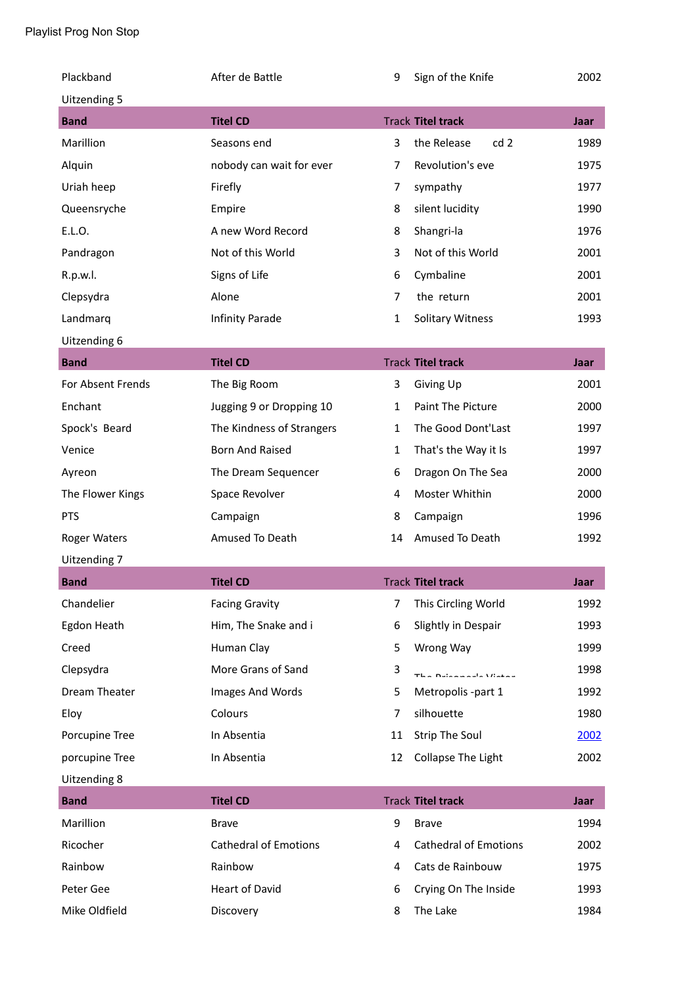| Plackband           | After de Battle              | 9              | Sign of the Knife              | 2002 |
|---------------------|------------------------------|----------------|--------------------------------|------|
| Uitzending 5        |                              |                |                                |      |
| <b>Band</b>         | <b>Titel CD</b>              |                | <b>Track Titel track</b>       | Jaar |
| Marillion           | Seasons end                  | 3              | cd <sub>2</sub><br>the Release | 1989 |
| Alquin              | nobody can wait for ever     | $\overline{7}$ | Revolution's eve               | 1975 |
| Uriah heep          | Firefly                      | 7              | sympathy                       | 1977 |
| Queensryche         | Empire                       | 8              | silent lucidity                | 1990 |
| E.L.O.              | A new Word Record            | 8              | Shangri-la                     | 1976 |
| Pandragon           | Not of this World            | 3              | Not of this World              | 2001 |
| R.p.w.l.            | Signs of Life                | 6              | Cymbaline                      | 2001 |
| Clepsydra           | Alone                        | 7              | the return                     | 2001 |
| Landmarq            | Infinity Parade              | 1              | <b>Solitary Witness</b>        | 1993 |
| Uitzending 6        |                              |                |                                |      |
| <b>Band</b>         | <b>Titel CD</b>              |                | <b>Track Titel track</b>       | Jaar |
| For Absent Frends   | The Big Room                 | 3              | Giving Up                      | 2001 |
| Enchant             | Jugging 9 or Dropping 10     | $\mathbf{1}$   | Paint The Picture              | 2000 |
| Spock's Beard       | The Kindness of Strangers    | $\mathbf{1}$   | The Good Dont'Last             | 1997 |
| Venice              | <b>Born And Raised</b>       | 1              | That's the Way it Is           | 1997 |
| Ayreon              | The Dream Sequencer          | 6              | Dragon On The Sea              | 2000 |
| The Flower Kings    | Space Revolver               | 4              | Moster Whithin                 | 2000 |
| <b>PTS</b>          | Campaign                     | 8              | Campaign                       | 1996 |
| <b>Roger Waters</b> | Amused To Death              | 14             | Amused To Death                | 1992 |
| Uitzending 7        |                              |                |                                |      |
| <b>Band</b>         | <b>Titel CD</b>              |                | <b>Track Titel track</b>       | Jaar |
| Chandelier          | <b>Facing Gravity</b>        | $\overline{7}$ | This Circling World            | 1992 |
| Egdon Heath         | Him, The Snake and i         | 6              | Slightly in Despair            | 1993 |
| Creed               | Human Clay                   | 5              | Wrong Way                      | 1999 |
| Clepsydra           | More Grans of Sand           | 3              | Tha Duiseacada Uistea          | 1998 |
| Dream Theater       | Images And Words             | 5              | Metropolis -part 1             | 1992 |
| Eloy                | Colours                      | $\overline{7}$ | silhouette                     | 1980 |
| Porcupine Tree      | In Absentia                  | 11             | <b>Strip The Soul</b>          | 2002 |
| porcupine Tree      | In Absentia                  | 12             | Collapse The Light             | 2002 |
| Uitzending 8        |                              |                |                                |      |
| <b>Band</b>         | <b>Titel CD</b>              |                | <b>Track Titel track</b>       | Jaar |
| Marillion           | <b>Brave</b>                 | 9              | <b>Brave</b>                   | 1994 |
| Ricocher            | <b>Cathedral of Emotions</b> | 4              | <b>Cathedral of Emotions</b>   | 2002 |
| Rainbow             | Rainbow                      | 4              | Cats de Rainbouw               | 1975 |
| Peter Gee           | <b>Heart of David</b>        | 6              | Crying On The Inside           | 1993 |
| Mike Oldfield       | Discovery                    | 8              | The Lake                       | 1984 |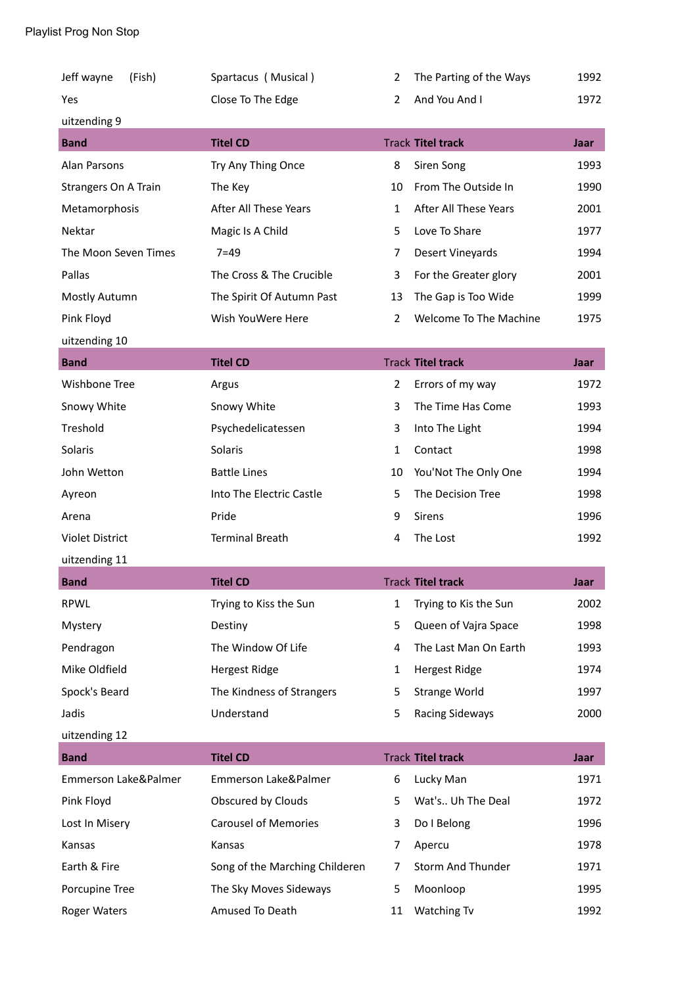| Jeff wayne<br>(Fish)        | Spartacus (Musical)            | 2              | The Parting of the Ways  | 1992 |
|-----------------------------|--------------------------------|----------------|--------------------------|------|
| Yes                         | Close To The Edge              | $\overline{2}$ | And You And I            | 1972 |
| uitzending 9                |                                |                |                          |      |
| <b>Band</b>                 | <b>Titel CD</b>                |                | <b>Track Titel track</b> | Jaar |
| Alan Parsons                | Try Any Thing Once             | 8              | Siren Song               | 1993 |
| <b>Strangers On A Train</b> | The Key                        | 10             | From The Outside In      | 1990 |
| Metamorphosis               | After All These Years          | 1              | After All These Years    | 2001 |
| Nektar                      | Magic Is A Child               | 5              | Love To Share            | 1977 |
| The Moon Seven Times        | $7 = 49$                       | 7              | Desert Vineyards         | 1994 |
| Pallas                      | The Cross & The Crucible       | 3              | For the Greater glory    | 2001 |
| Mostly Autumn               | The Spirit Of Autumn Past      | 13             | The Gap is Too Wide      | 1999 |
| Pink Floyd                  | Wish YouWere Here              | $\overline{2}$ | Welcome To The Machine   | 1975 |
| uitzending 10               |                                |                |                          |      |
| <b>Band</b>                 | <b>Titel CD</b>                |                | <b>Track Titel track</b> | Jaar |
| Wishbone Tree               | Argus                          | 2              | Errors of my way         | 1972 |
| Snowy White                 | Snowy White                    | 3              | The Time Has Come        | 1993 |
| Treshold                    | Psychedelicatessen             | 3              | Into The Light           | 1994 |
| Solaris                     | Solaris                        | $\mathbf{1}$   | Contact                  | 1998 |
| John Wetton                 | <b>Battle Lines</b>            | 10             | You'Not The Only One     | 1994 |
| Ayreon                      | Into The Electric Castle       | 5              | The Decision Tree        | 1998 |
| Arena                       | Pride                          | 9              | <b>Sirens</b>            | 1996 |
| <b>Violet District</b>      | <b>Terminal Breath</b>         | 4              | The Lost                 | 1992 |
| uitzending 11               |                                |                |                          |      |
| <b>Band</b>                 | <b>Titel CD</b>                |                | <b>Track Titel track</b> | Jaar |
| <b>RPWL</b>                 | Trying to Kiss the Sun         | 1              | Trying to Kis the Sun    | 2002 |
| Mystery                     | Destiny                        | 5              | Queen of Vajra Space     | 1998 |
| Pendragon                   | The Window Of Life             | 4              | The Last Man On Earth    | 1993 |
| Mike Oldfield               | <b>Hergest Ridge</b>           | 1              | <b>Hergest Ridge</b>     | 1974 |
| Spock's Beard               | The Kindness of Strangers      | 5              | <b>Strange World</b>     | 1997 |
| Jadis                       | Understand                     | 5              | <b>Racing Sideways</b>   | 2000 |
| uitzending 12               |                                |                |                          |      |
| <b>Band</b>                 | <b>Titel CD</b>                |                | <b>Track Titel track</b> | Jaar |
| Emmerson Lake&Palmer        | Emmerson Lake&Palmer           | 6              | Lucky Man                | 1971 |
| Pink Floyd                  | Obscured by Clouds             | 5              | Wat's Uh The Deal        | 1972 |
| Lost In Misery              | <b>Carousel of Memories</b>    | 3              | Do I Belong              | 1996 |
| Kansas                      | Kansas                         | 7              | Apercu                   | 1978 |
| Earth & Fire                | Song of the Marching Childeren | 7              | Storm And Thunder        | 1971 |
| Porcupine Tree              | The Sky Moves Sideways         | 5              | Moonloop                 | 1995 |
| Roger Waters                | Amused To Death                | 11             | <b>Watching Tv</b>       | 1992 |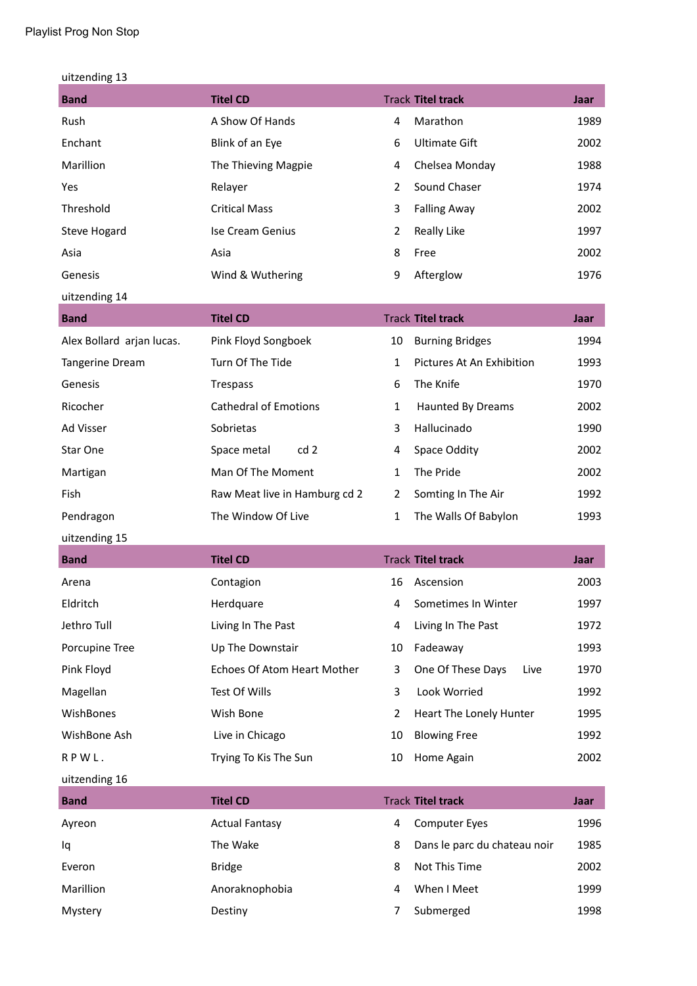| uitzending 13 |  |
|---------------|--|
|---------------|--|

| <b>Band</b>         | <b>Titel CD</b>         |   | <b>Track Titel track</b> | Jaar |
|---------------------|-------------------------|---|--------------------------|------|
| Rush                | A Show Of Hands         | 4 | Marathon                 | 1989 |
| Enchant             | Blink of an Eye         | 6 | Ultimate Gift            | 2002 |
| Marillion           | The Thieving Magpie     | 4 | Chelsea Monday           | 1988 |
| Yes                 | Relayer                 | 2 | Sound Chaser             | 1974 |
| Threshold           | <b>Critical Mass</b>    | 3 | <b>Falling Away</b>      | 2002 |
| <b>Steve Hogard</b> | <b>Ise Cream Genius</b> | 2 | <b>Really Like</b>       | 1997 |
| Asia                | Asia                    | 8 | Free                     | 2002 |
| Genesis             | Wind & Wuthering        | 9 | Afterglow                | 1976 |
| uitzending 14       |                         |   |                          |      |

a sa kacamatan ing Kabupatèn Kabupatèn Ing

| <b>Band</b>               | <b>Titel CD</b>               |    | <b>Track Titel track</b>  | Jaar |
|---------------------------|-------------------------------|----|---------------------------|------|
| Alex Bollard arjan lucas. | Pink Floyd Songboek           | 10 | <b>Burning Bridges</b>    | 1994 |
| <b>Tangerine Dream</b>    | Turn Of The Tide              | 1  | Pictures At An Exhibition | 1993 |
| Genesis                   | <b>Trespass</b>               | 6  | The Knife                 | 1970 |
| Ricocher                  | <b>Cathedral of Emotions</b>  | 1  | <b>Haunted By Dreams</b>  | 2002 |
| Ad Visser                 | Sobrietas                     | 3  | Hallucinado               | 1990 |
| Star One                  | Space metal<br>cd2            | 4  | Space Oddity              | 2002 |
| Martigan                  | Man Of The Moment             | 1  | The Pride                 | 2002 |
| <b>Fish</b>               | Raw Meat live in Hamburg cd 2 | 2  | Somting In The Air        | 1992 |
| Pendragon                 | The Window Of Live            | 1  | The Walls Of Babylon      | 1993 |

uitzending 15

| <b>Band</b>      | <b>Titel CD</b>             |                | <b>Track Titel track</b>  | Jaar |
|------------------|-----------------------------|----------------|---------------------------|------|
| Arena            | Contagion                   | 16             | Ascension                 | 2003 |
| Eldritch         | Herdquare                   | 4              | Sometimes In Winter       | 1997 |
| Jethro Tull      | Living In The Past          | 4              | Living In The Past        | 1972 |
| Porcupine Tree   | Up The Downstair            | 10             | Fadeaway                  | 1993 |
| Pink Floyd       | Echoes Of Atom Heart Mother | 3              | One Of These Days<br>Live | 1970 |
| Magellan         | Test Of Wills               | 3              | Look Worried              | 1992 |
| <b>WishBones</b> | Wish Bone                   | $\overline{2}$ | Heart The Lonely Hunter   | 1995 |
| WishBone Ash     | Live in Chicago             | 10             | <b>Blowing Free</b>       | 1992 |
| RPWL.            | Trying To Kis The Sun       | 10             | Home Again                | 2002 |

uitzending 16

| <b>Band</b> | <b>Titel CD</b>       |   | <b>Track Titel track</b>     | Jaar |
|-------------|-----------------------|---|------------------------------|------|
| Ayreon      | <b>Actual Fantasy</b> | 4 | <b>Computer Eves</b>         | 1996 |
| lq          | The Wake              | 8 | Dans le parc du chateau noir | 1985 |
| Everon      | <b>Bridge</b>         | 8 | Not This Time                | 2002 |
| Marillion   | Anoraknophobia        | 4 | When I Meet                  | 1999 |
| Mystery     | Destiny               |   | Submerged                    | 1998 |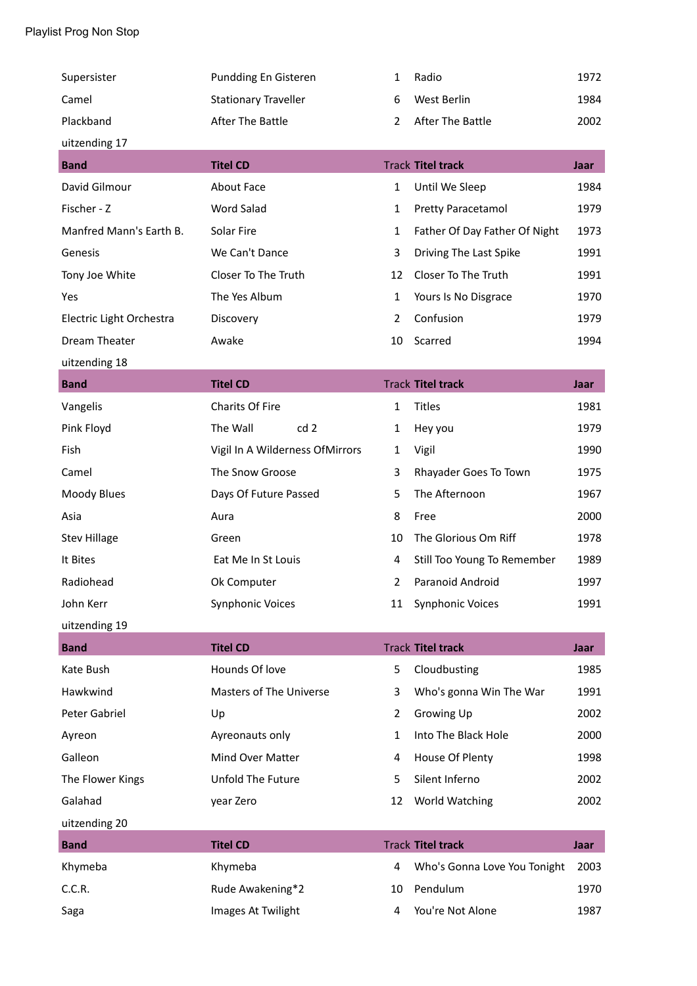| Supersister              | Pundding En Gisteren            | 1              | Radio                         | 1972 |
|--------------------------|---------------------------------|----------------|-------------------------------|------|
| Camel                    | <b>Stationary Traveller</b>     | 6              | West Berlin                   | 1984 |
| Plackband                | <b>After The Battle</b>         | $\overline{2}$ | After The Battle              | 2002 |
| uitzending 17            |                                 |                |                               |      |
| <b>Band</b>              | <b>Titel CD</b>                 |                | <b>Track Titel track</b>      | Jaar |
| David Gilmour            | About Face                      | $\mathbf{1}$   | Until We Sleep                | 1984 |
| Fischer - Z              | Word Salad                      | $\mathbf{1}$   | Pretty Paracetamol            | 1979 |
| Manfred Mann's Earth B.  | Solar Fire                      | 1              | Father Of Day Father Of Night | 1973 |
| Genesis                  | We Can't Dance                  | 3              | Driving The Last Spike        | 1991 |
| Tony Joe White           | Closer To The Truth             | 12             | Closer To The Truth           | 1991 |
| Yes                      | The Yes Album                   | $\mathbf{1}$   | Yours Is No Disgrace          | 1970 |
| Electric Light Orchestra | Discovery                       | $\overline{2}$ | Confusion                     | 1979 |
| <b>Dream Theater</b>     | Awake                           | 10             | Scarred                       | 1994 |
| uitzending 18            |                                 |                |                               |      |
| <b>Band</b>              | <b>Titel CD</b>                 |                | <b>Track Titel track</b>      | Jaar |
| Vangelis                 | <b>Charits Of Fire</b>          | $\mathbf{1}$   | <b>Titles</b>                 | 1981 |
| Pink Floyd               | The Wall<br>cd <sub>2</sub>     | 1              | Hey you                       | 1979 |
| Fish                     | Vigil In A Wilderness OfMirrors | $\mathbf{1}$   | Vigil                         | 1990 |
| Camel                    | The Snow Groose                 | 3              | Rhayader Goes To Town         | 1975 |
| Moody Blues              | Days Of Future Passed           | 5              | The Afternoon                 | 1967 |
| Asia                     | Aura                            | 8              | Free                          | 2000 |
| <b>Stev Hillage</b>      | Green                           | 10             | The Glorious Om Riff          | 1978 |
| It Bites                 | Eat Me In St Louis              | 4              | Still Too Young To Remember   | 1989 |
| Radiohead                | Ok Computer                     | 2              | Paranoid Android              | 1997 |
| John Kerr                | <b>Synphonic Voices</b>         | 11             | <b>Synphonic Voices</b>       | 1991 |
| uitzending 19            |                                 |                |                               |      |
| <b>Band</b>              | <b>Titel CD</b>                 |                | <b>Track Titel track</b>      | Jaar |
| Kate Bush                | Hounds Of love                  | 5              | Cloudbusting                  | 1985 |
| Hawkwind                 | Masters of The Universe         | 3              | Who's gonna Win The War       | 1991 |
| Peter Gabriel            | Up                              | $\overline{2}$ | Growing Up                    | 2002 |
| Ayreon                   | Ayreonauts only                 | $\mathbf{1}$   | Into The Black Hole           | 2000 |
| Galleon                  | Mind Over Matter                | 4              | House Of Plenty               | 1998 |
| The Flower Kings         | Unfold The Future               | 5              | Silent Inferno                | 2002 |
| Galahad                  | year Zero                       | 12             | World Watching                | 2002 |
| uitzending 20            |                                 |                |                               |      |
| <b>Band</b>              | <b>Titel CD</b>                 |                | <b>Track Titel track</b>      | Jaar |
| Khymeba                  | Khymeba                         | 4              | Who's Gonna Love You Tonight  | 2003 |
| C.C.R.                   | Rude Awakening*2                | 10             | Pendulum                      | 1970 |
| Saga                     | Images At Twilight              | 4              | You're Not Alone              | 1987 |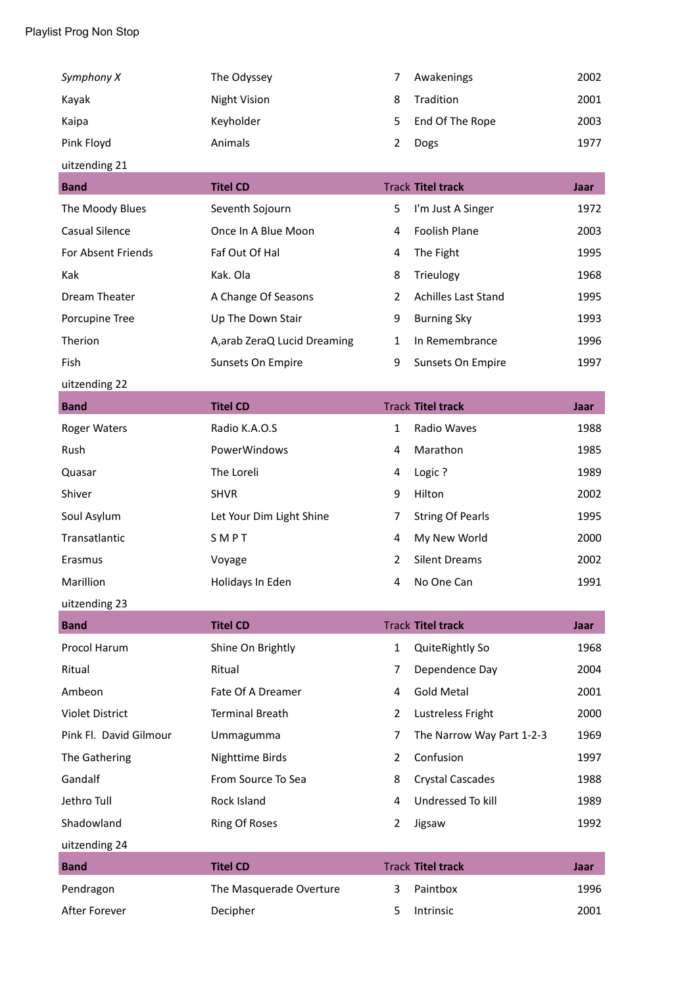| Symphony X             | The Odyssey                  | 7              | Awakenings                 | 2002 |
|------------------------|------------------------------|----------------|----------------------------|------|
| Kayak                  | <b>Night Vision</b>          | 8              | Tradition                  | 2001 |
| Kaipa                  | Keyholder                    | 5              | End Of The Rope            | 2003 |
| Pink Floyd             | Animals                      | $\overline{2}$ | Dogs                       | 1977 |
| uitzending 21          |                              |                |                            |      |
| <b>Band</b>            | <b>Titel CD</b>              |                | <b>Track Titel track</b>   | Jaar |
| The Moody Blues        | Seventh Sojourn              | 5              | I'm Just A Singer          | 1972 |
| <b>Casual Silence</b>  | Once In A Blue Moon          | 4              | Foolish Plane              | 2003 |
| For Absent Friends     | Faf Out Of Hal               | 4              | The Fight                  | 1995 |
| Kak                    | Kak. Ola                     | 8              | Trieulogy                  | 1968 |
| Dream Theater          | A Change Of Seasons          | $\overline{2}$ | <b>Achilles Last Stand</b> | 1995 |
| Porcupine Tree         | Up The Down Stair            | 9              | <b>Burning Sky</b>         | 1993 |
| Therion                | A, arab ZeraQ Lucid Dreaming | $\mathbf{1}$   | In Remembrance             | 1996 |
| Fish                   | Sunsets On Empire            | 9              | Sunsets On Empire          | 1997 |
| uitzending 22          |                              |                |                            |      |
| <b>Band</b>            | <b>Titel CD</b>              |                | <b>Track Titel track</b>   | Jaar |
| <b>Roger Waters</b>    | Radio K.A.O.S                | $\mathbf{1}$   | Radio Waves                | 1988 |
| Rush                   | PowerWindows                 | 4              | Marathon                   | 1985 |
| Quasar                 | The Loreli                   | 4              | Logic?                     | 1989 |
| Shiver                 | <b>SHVR</b>                  | 9              | Hilton                     | 2002 |
| Soul Asylum            | Let Your Dim Light Shine     | 7              | <b>String Of Pearls</b>    | 1995 |
| Transatlantic          | SMPT                         | 4              | My New World               | 2000 |
| Erasmus                | Voyage                       | 2              | <b>Silent Dreams</b>       | 2002 |
| Marillion              | Holidays In Eden             | 4              | No One Can                 | 1991 |
| uitzending 23          |                              |                |                            |      |
| <b>Band</b>            | <b>Titel CD</b>              |                | <b>Track Titel track</b>   | Jaar |
| Procol Harum           | Shine On Brightly            | 1              | QuiteRightly So            | 1968 |
| Ritual                 | Ritual                       | 7              | Dependence Day             | 2004 |
| Ambeon                 | Fate Of A Dreamer            | 4              | <b>Gold Metal</b>          | 2001 |
| <b>Violet District</b> | <b>Terminal Breath</b>       | $\overline{2}$ | Lustreless Fright          | 2000 |
| Pink Fl. David Gilmour | Ummagumma                    | $\overline{7}$ | The Narrow Way Part 1-2-3  | 1969 |
| The Gathering          | Nighttime Birds              | $\overline{2}$ | Confusion                  | 1997 |
| Gandalf                | From Source To Sea           | 8              | <b>Crystal Cascades</b>    | 1988 |
| Jethro Tull            | Rock Island                  | 4              | Undressed To kill          | 1989 |
| Shadowland             | <b>Ring Of Roses</b>         | 2              | Jigsaw                     | 1992 |
| uitzending 24          |                              |                |                            |      |
| <b>Band</b>            | <b>Titel CD</b>              |                | <b>Track Titel track</b>   | Jaar |
| Pendragon              | The Masquerade Overture      | 3              | Paintbox                   | 1996 |
| After Forever          | Decipher                     | 5              | Intrinsic                  | 2001 |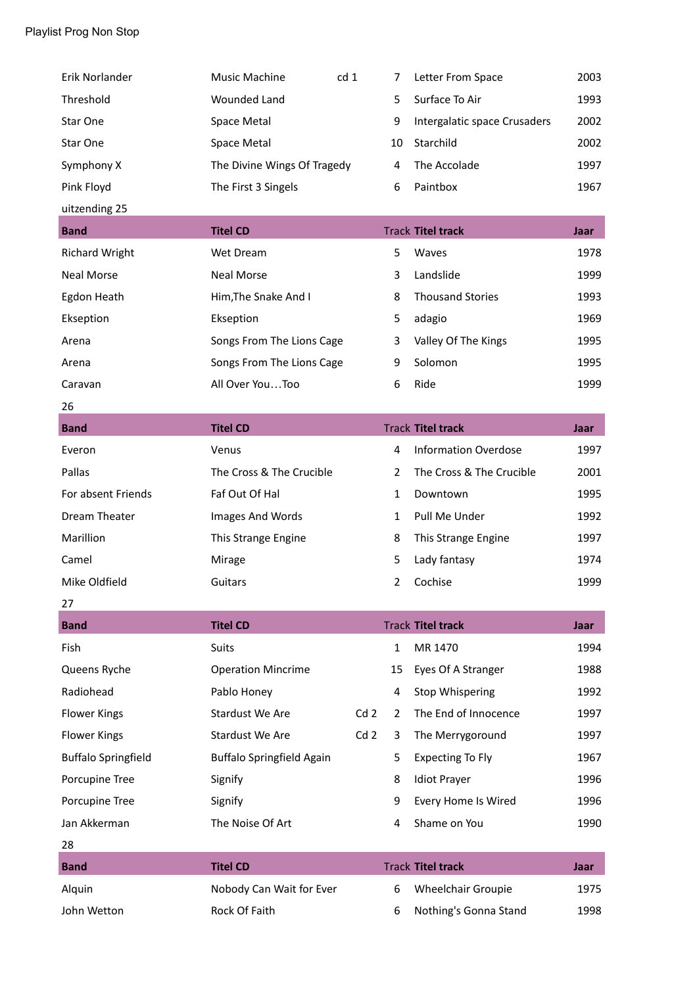| Erik Norlander             | Music Machine                    | cd 1            | 7              | Letter From Space            | 2003 |
|----------------------------|----------------------------------|-----------------|----------------|------------------------------|------|
| Threshold                  | <b>Wounded Land</b>              |                 | 5              | Surface To Air               | 1993 |
| Star One                   | Space Metal                      |                 | 9              | Intergalatic space Crusaders | 2002 |
| Star One                   | Space Metal                      |                 | 10             | Starchild                    | 2002 |
| Symphony X                 | The Divine Wings Of Tragedy      |                 | 4              | The Accolade                 | 1997 |
| Pink Floyd                 | The First 3 Singels              |                 | 6              | Paintbox                     | 1967 |
| uitzending 25              |                                  |                 |                |                              |      |
| <b>Band</b>                | <b>Titel CD</b>                  |                 |                | <b>Track Titel track</b>     | Jaar |
| <b>Richard Wright</b>      | Wet Dream                        |                 | 5              | Waves                        | 1978 |
| <b>Neal Morse</b>          | <b>Neal Morse</b>                |                 | 3              | Landslide                    | 1999 |
| Egdon Heath                | Him, The Snake And I             |                 | 8              | <b>Thousand Stories</b>      | 1993 |
| Ekseption                  | Ekseption                        |                 | 5              | adagio                       | 1969 |
| Arena                      | Songs From The Lions Cage        |                 | 3              | Valley Of The Kings          | 1995 |
| Arena                      | Songs From The Lions Cage        |                 | 9              | Solomon                      | 1995 |
| Caravan                    | All Over YouToo                  |                 | 6              | Ride                         | 1999 |
| 26                         |                                  |                 |                |                              |      |
| <b>Band</b>                | <b>Titel CD</b>                  |                 |                | <b>Track Titel track</b>     | Jaar |
| Everon                     | Venus                            |                 | 4              | <b>Information Overdose</b>  | 1997 |
| Pallas                     | The Cross & The Crucible         |                 | $\overline{2}$ | The Cross & The Crucible     | 2001 |
| For absent Friends         | Faf Out Of Hal                   |                 | $\mathbf{1}$   | Downtown                     | 1995 |
| Dream Theater              | Images And Words                 |                 | $\mathbf{1}$   | Pull Me Under                | 1992 |
| Marillion                  | This Strange Engine              |                 | 8              | This Strange Engine          | 1997 |
| Camel                      | Mirage                           |                 | 5              | Lady fantasy                 | 1974 |
| Mike Oldfield              | Guitars                          |                 | $\overline{2}$ | Cochise                      | 1999 |
| 27                         |                                  |                 |                |                              |      |
| <b>Band</b>                | <b>Titel CD</b>                  |                 |                | <b>Track Titel track</b>     | Jaar |
| Fish                       | <b>Suits</b>                     |                 | $\mathbf{1}$   | MR 1470                      | 1994 |
| Queens Ryche               | <b>Operation Mincrime</b>        |                 | 15             | Eyes Of A Stranger           | 1988 |
| Radiohead                  | Pablo Honey                      |                 | 4              | <b>Stop Whispering</b>       | 1992 |
| <b>Flower Kings</b>        | Stardust We Are                  | Cd <sub>2</sub> | $\overline{2}$ | The End of Innocence         | 1997 |
| <b>Flower Kings</b>        | Stardust We Are                  | Cd <sub>2</sub> | 3              | The Merrygoround             | 1997 |
| <b>Buffalo Springfield</b> | <b>Buffalo Springfield Again</b> |                 | 5              | <b>Expecting To Fly</b>      | 1967 |
| Porcupine Tree             | Signify                          |                 | 8              | <b>Idiot Prayer</b>          | 1996 |
| Porcupine Tree             | Signify                          |                 | 9              | Every Home Is Wired          | 1996 |
| Jan Akkerman               | The Noise Of Art                 |                 | 4              | Shame on You                 | 1990 |
| 28                         |                                  |                 |                |                              |      |
| <b>Band</b>                | <b>Titel CD</b>                  |                 |                | <b>Track Titel track</b>     | Jaar |
| Alquin                     | Nobody Can Wait for Ever         |                 | 6              | Wheelchair Groupie           | 1975 |
| John Wetton                | Rock Of Faith                    |                 | 6              | Nothing's Gonna Stand        | 1998 |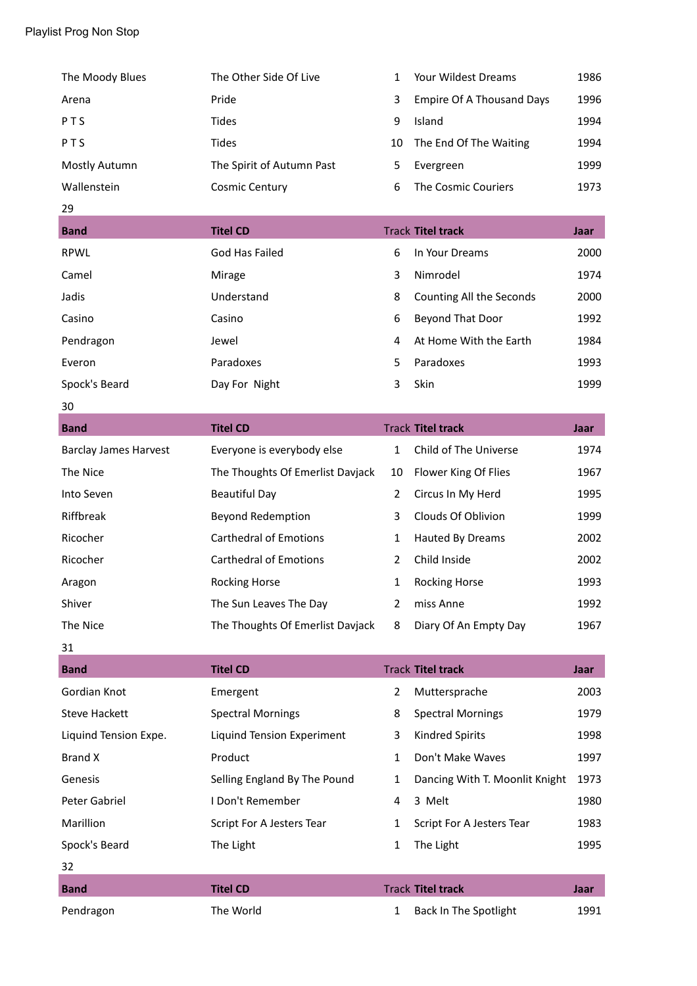| The Moody Blues              | The Other Side Of Live            | $\mathbf{1}$   | <b>Your Wildest Dreams</b>       | 1986        |
|------------------------------|-----------------------------------|----------------|----------------------------------|-------------|
| Arena                        | Pride                             | 3              | <b>Empire Of A Thousand Days</b> | 1996        |
| PTS                          | <b>Tides</b>                      | 9              | Island                           | 1994        |
| PTS                          | <b>Tides</b>                      | 10             | The End Of The Waiting           | 1994        |
| Mostly Autumn                | The Spirit of Autumn Past         | 5              | Evergreen                        | 1999        |
| Wallenstein                  | <b>Cosmic Century</b>             | 6              | <b>The Cosmic Couriers</b>       | 1973        |
| 29                           |                                   |                |                                  |             |
| <b>Band</b>                  | <b>Titel CD</b>                   |                | <b>Track Titel track</b>         | Jaar        |
| <b>RPWL</b>                  | God Has Failed                    | 6              | In Your Dreams                   | 2000        |
| Camel                        | Mirage                            | 3              | Nimrodel                         | 1974        |
| Jadis                        | Understand                        | 8              | Counting All the Seconds         | 2000        |
| Casino                       | Casino                            | 6              | Beyond That Door                 | 1992        |
| Pendragon                    | Jewel                             | 4              | At Home With the Earth           | 1984        |
| Everon                       | Paradoxes                         | 5              | Paradoxes                        | 1993        |
| Spock's Beard                | Day For Night                     | 3              | Skin                             | 1999        |
| 30                           |                                   |                |                                  |             |
| <b>Band</b>                  | <b>Titel CD</b>                   |                | <b>Track Titel track</b>         | <b>Jaar</b> |
| <b>Barclay James Harvest</b> | Everyone is everybody else        | $\mathbf{1}$   | Child of The Universe            | 1974        |
| The Nice                     | The Thoughts Of Emerlist Davjack  | 10             | Flower King Of Flies             | 1967        |
| Into Seven                   | <b>Beautiful Day</b>              | $\overline{2}$ | Circus In My Herd                | 1995        |
| Riffbreak                    | <b>Beyond Redemption</b>          | 3              | Clouds Of Oblivion               | 1999        |
| Ricocher                     | <b>Carthedral of Emotions</b>     | 1              | Hauted By Dreams                 | 2002        |
| Ricocher                     | <b>Carthedral of Emotions</b>     | $\overline{2}$ | Child Inside                     | 2002        |
| Aragon                       | <b>Rocking Horse</b>              | $\mathbf{1}$   | <b>Rocking Horse</b>             | 1993        |
| Shiver                       | The Sun Leaves The Day            | 2              | miss Anne                        | 1992        |
| The Nice                     | The Thoughts Of Emerlist Davjack  | 8              | Diary Of An Empty Day            | 1967        |
| 31                           |                                   |                |                                  |             |
| <b>Band</b>                  | <b>Titel CD</b>                   |                | <b>Track Titel track</b>         | <b>Jaar</b> |
| Gordian Knot                 | Emergent                          | $\overline{2}$ | Muttersprache                    | 2003        |
| <b>Steve Hackett</b>         | <b>Spectral Mornings</b>          | 8              | <b>Spectral Mornings</b>         | 1979        |
| Liquind Tension Expe.        | <b>Liquind Tension Experiment</b> | 3              | <b>Kindred Spirits</b>           | 1998        |
| <b>Brand X</b>               | Product                           | 1              | Don't Make Waves                 | 1997        |
| Genesis                      | Selling England By The Pound      | $\mathbf{1}$   | Dancing With T. Moonlit Knight   | 1973        |
| Peter Gabriel                | I Don't Remember                  | 4              | 3 Melt                           | 1980        |
| Marillion                    | Script For A Jesters Tear         | $\mathbf{1}$   | Script For A Jesters Tear        | 1983        |
| Spock's Beard                | The Light                         | $\mathbf{1}$   | The Light                        | 1995        |
| 32                           |                                   |                |                                  |             |
| <b>Band</b>                  | <b>Titel CD</b>                   |                | <b>Track Titel track</b>         | Jaar        |
| Pendragon                    | The World                         | $\mathbf{1}$   | <b>Back In The Spotlight</b>     | 1991        |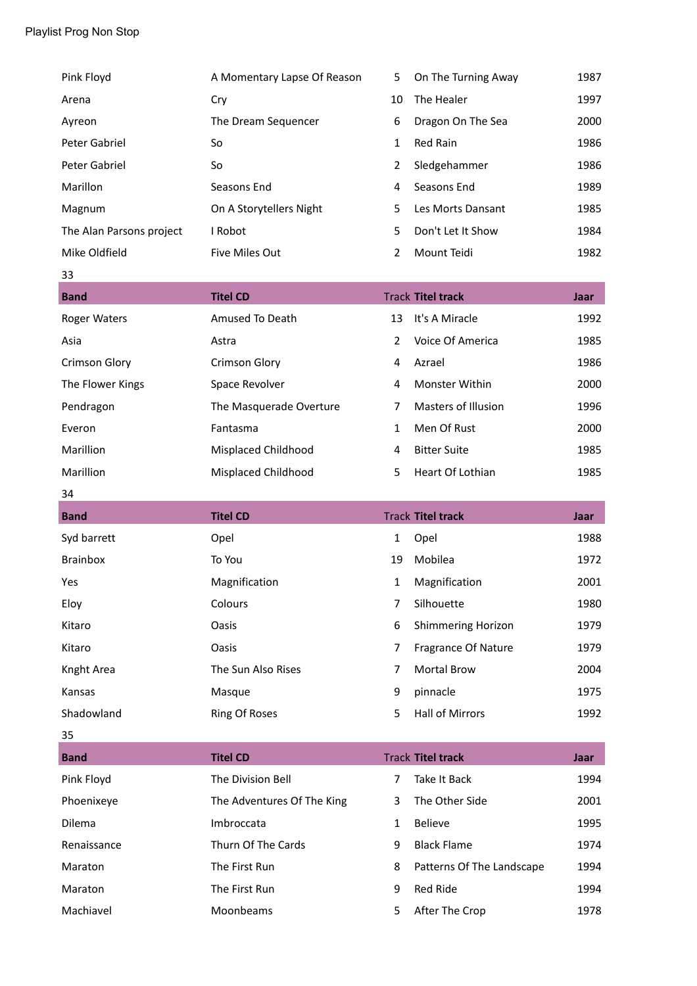| <b>Rand</b>              | Tital CD                    |    | Track <b>Tital track</b> | laar |
|--------------------------|-----------------------------|----|--------------------------|------|
| 33                       |                             |    |                          |      |
| Mike Oldfield            | Five Miles Out              | 2  | Mount Teidi              | 1982 |
| The Alan Parsons project | I Robot                     | 5  | Don't Let It Show        | 1984 |
| Magnum                   | On A Storytellers Night     | 5. | Les Morts Dansant        | 1985 |
| Marillon                 | Seasons End                 | 4  | Seasons End              | 1989 |
| Peter Gabriel            | So                          | 2  | Sledgehammer             | 1986 |
| Peter Gabriel            | So                          | 1  | <b>Red Rain</b>          | 1986 |
| Ayreon                   | The Dream Sequencer         | 6  | Dragon On The Sea        | 2000 |
| Arena                    | Cry                         | 10 | The Healer               | 1997 |
| Pink Floyd               | A Momentary Lapse Of Reason | 5. | On The Turning Away      | 1987 |

| <b>Band</b>          | <b>Titel CD</b>         |                | <b>Track Titel track</b> | Jaar |
|----------------------|-------------------------|----------------|--------------------------|------|
| <b>Roger Waters</b>  | Amused To Death         | 13             | It's A Miracle           | 1992 |
| Asia                 | Astra                   | $\overline{2}$ | Voice Of America         | 1985 |
| <b>Crimson Glory</b> | <b>Crimson Glory</b>    | 4              | Azrael                   | 1986 |
| The Flower Kings     | Space Revolver          | 4              | Monster Within           | 2000 |
| Pendragon            | The Masquerade Overture | 7              | Masters of Illusion      | 1996 |
| Everon               | Fantasma                | 1              | Men Of Rust              | 2000 |
| Marillion            | Misplaced Childhood     | 4              | <b>Bitter Suite</b>      | 1985 |
| Marillion            | Misplaced Childhood     | 5              | Heart Of Lothian         | 1985 |

# 34

 $\frac{35}{1}$ 

| <b>Band</b> | <b>Titel CD</b>    |    | <b>Track Titel track</b>  | Jaar |
|-------------|--------------------|----|---------------------------|------|
| Syd barrett | Opel               | 1  | Opel                      | 1988 |
| Brainbox    | To You             | 19 | Mobilea                   | 1972 |
| Yes         | Magnification      | 1  | Magnification             | 2001 |
| Eloy        | Colours            | 7  | Silhouette                | 1980 |
| Kitaro      | Oasis              | 6  | <b>Shimmering Horizon</b> | 1979 |
| Kitaro      | Oasis              | 7  | Fragrance Of Nature       | 1979 |
| Knght Area  | The Sun Also Rises | 7  | <b>Mortal Brow</b>        | 2004 |
| Kansas      | Masque             | 9  | pinnacle                  | 1975 |
| Shadowland  | Ring Of Roses      | 5  | Hall of Mirrors           | 1992 |

| <b>Band</b>   | <b>Titel CD</b>            |   | <b>Track Titel track</b>  | Jaar |
|---------------|----------------------------|---|---------------------------|------|
| Pink Floyd    | The Division Bell          | 7 | Take It Back              | 1994 |
| Phoenixeye    | The Adventures Of The King | 3 | The Other Side            | 2001 |
| <b>Dilema</b> | Imbroccata                 | 1 | <b>Believe</b>            | 1995 |
| Renaissance   | Thurn Of The Cards         | 9 | <b>Black Flame</b>        | 1974 |
| Maraton       | The First Run              | 8 | Patterns Of The Landscape | 1994 |
| Maraton       | The First Run              | 9 | Red Ride                  | 1994 |
| Machiavel     | Moonbeams                  | 5 | After The Crop            | 1978 |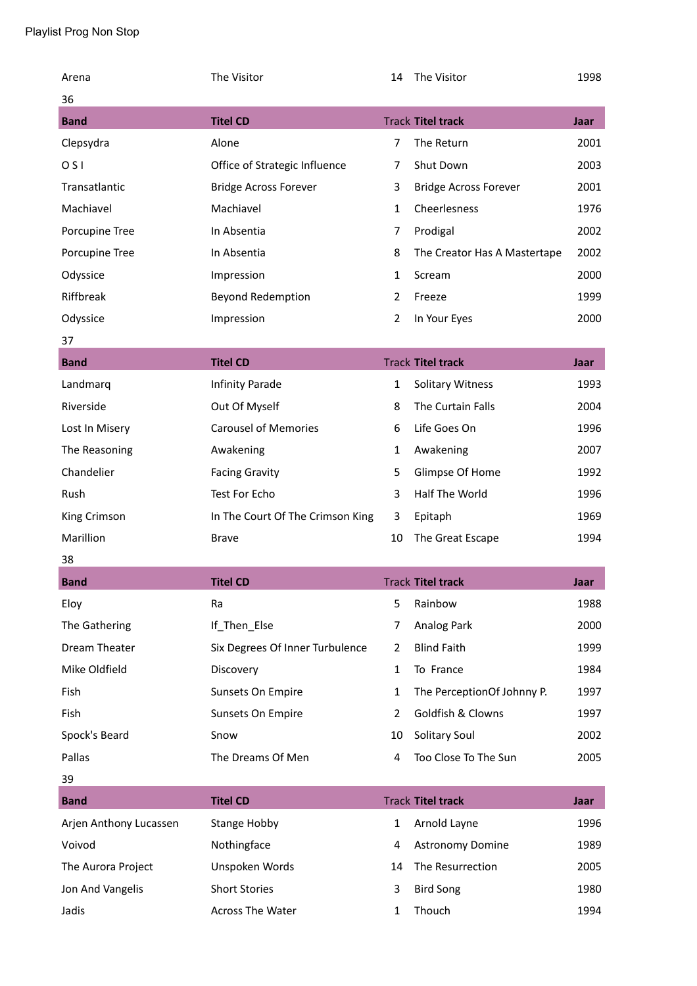| Arena                  | The Visitor                      | 14             | The Visitor                  | 1998        |
|------------------------|----------------------------------|----------------|------------------------------|-------------|
| 36                     |                                  |                |                              |             |
| <b>Band</b>            | <b>Titel CD</b>                  |                | <b>Track Titel track</b>     | Jaar        |
| Clepsydra              | Alone                            | $\overline{7}$ | The Return                   | 2001        |
| O <sub>S</sub>         | Office of Strategic Influence    | 7              | Shut Down                    | 2003        |
| Transatlantic          | <b>Bridge Across Forever</b>     | 3              | <b>Bridge Across Forever</b> | 2001        |
| Machiavel              | Machiavel                        | $\mathbf{1}$   | Cheerlesness                 | 1976        |
| Porcupine Tree         | In Absentia                      | $\overline{7}$ | Prodigal                     | 2002        |
| Porcupine Tree         | In Absentia                      | 8              | The Creator Has A Mastertape | 2002        |
| Odyssice               | Impression                       | $\mathbf{1}$   | Scream                       | 2000        |
| Riffbreak              | Beyond Redemption                | $\overline{2}$ | Freeze                       | 1999        |
| Odyssice               | Impression                       | $\overline{2}$ | In Your Eyes                 | 2000        |
| 37                     |                                  |                |                              |             |
| <b>Band</b>            | <b>Titel CD</b>                  |                | <b>Track Titel track</b>     | <b>Jaar</b> |
| Landmarq               | Infinity Parade                  | 1              | <b>Solitary Witness</b>      | 1993        |
| Riverside              | Out Of Myself                    | 8              | The Curtain Falls            | 2004        |
| Lost In Misery         | <b>Carousel of Memories</b>      | 6              | Life Goes On                 | 1996        |
| The Reasoning          | Awakening                        | 1              | Awakening                    | 2007        |
| Chandelier             | <b>Facing Gravity</b>            | 5              | Glimpse Of Home              | 1992        |
| Rush                   | Test For Echo                    | 3              | Half The World               | 1996        |
| King Crimson           | In The Court Of The Crimson King | 3              | Epitaph                      | 1969        |
| Marillion              | <b>Brave</b>                     | 10             | The Great Escape             | 1994        |
| 38                     |                                  |                |                              |             |
| <b>Band</b>            | <b>Titel CD</b>                  |                | <b>Track Titel track</b>     | Jaar        |
| Eloy                   | Ra                               | 5              | Rainbow                      | 1988        |
| The Gathering          | If_Then_Else                     | $\overline{7}$ | Analog Park                  | 2000        |
| Dream Theater          | Six Degrees Of Inner Turbulence  | $\overline{2}$ | <b>Blind Faith</b>           | 1999        |
| Mike Oldfield          | Discovery                        | 1              | To France                    | 1984        |
| Fish                   | Sunsets On Empire                | $\mathbf{1}$   | The PerceptionOf Johnny P.   | 1997        |
| Fish                   | Sunsets On Empire                | $\overline{2}$ | Goldfish & Clowns            | 1997        |
| Spock's Beard          | Snow                             | 10             | Solitary Soul                | 2002        |
| Pallas                 | The Dreams Of Men                | 4              | Too Close To The Sun         | 2005        |
| 39                     |                                  |                |                              |             |
| <b>Band</b>            | <b>Titel CD</b>                  |                | <b>Track Titel track</b>     | <b>Jaar</b> |
| Arjen Anthony Lucassen | <b>Stange Hobby</b>              | $\mathbf{1}$   | Arnold Layne                 | 1996        |
| Voivod                 | Nothingface                      | 4              | <b>Astronomy Domine</b>      | 1989        |
| The Aurora Project     | Unspoken Words                   | 14             | The Resurrection             | 2005        |
| Jon And Vangelis       | <b>Short Stories</b>             | 3              | <b>Bird Song</b>             | 1980        |
| Jadis                  | Across The Water                 | 1              | Thouch                       | 1994        |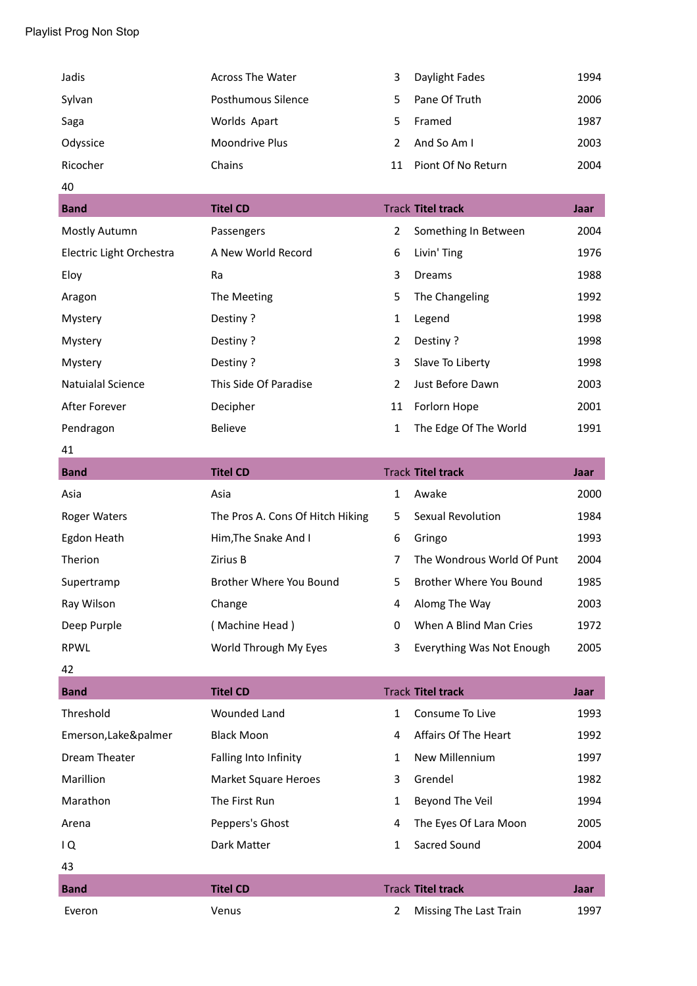| Jadis    | <b>Across The Water</b> | 3  | Daylight Fades     | 1994 |
|----------|-------------------------|----|--------------------|------|
| Sylvan   | Posthumous Silence      | 5. | Pane Of Truth      | 2006 |
| Saga     | Worlds Apart            | 5. | Framed             | 1987 |
| Odyssice | Moondrive Plus          |    | And So Am I        | 2003 |
| Ricocher | Chains                  | 11 | Piont Of No Return | 2004 |

#### 40

| <b>Band</b>              | <b>Titel CD</b>       |                | <b>Track Titel track</b> | Jaar |
|--------------------------|-----------------------|----------------|--------------------------|------|
| Mostly Autumn            | Passengers            | 2              | Something In Between     | 2004 |
| Electric Light Orchestra | A New World Record    | 6              | Livin' Ting              | 1976 |
| Eloy                     | Ra                    | 3              | Dreams                   | 1988 |
| Aragon                   | The Meeting           | 5              | The Changeling           | 1992 |
| Mystery                  | Pestiny?              | 1              | Legend                   | 1998 |
| Mystery                  | Pestiny?              | 2              | Pestiny?                 | 1998 |
| Mystery                  | Pestiny?              | 3              | Slave To Liberty         | 1998 |
| Natuialal Science        | This Side Of Paradise | $\overline{2}$ | Just Before Dawn         | 2003 |
| After Forever            | Decipher              | 11             | Forlorn Hope             | 2001 |
| Pendragon                | <b>Believe</b>        | 1              | The Edge Of The World    | 1991 |

#### 41

| <b>Band</b>  | <b>Titel CD</b>                  |    | <b>Track Titel track</b>   | Jaar |
|--------------|----------------------------------|----|----------------------------|------|
| Asia         | Asia                             | 1  | Awake                      | 2000 |
| Roger Waters | The Pros A. Cons Of Hitch Hiking | 5. | Sexual Revolution          | 1984 |
| Egdon Heath  | Him, The Snake And I             | 6  | Gringo                     | 1993 |
| Therion      | Zirius B                         | 7  | The Wondrous World Of Punt | 2004 |
| Supertramp   | Brother Where You Bound          | 5. | Brother Where You Bound    | 1985 |
| Ray Wilson   | Change                           | 4  | Alomg The Way              | 2003 |
| Deep Purple  | (Machine Head)                   | 0  | When A Blind Man Cries     | 1972 |
| <b>RPWL</b>  | World Through My Eyes            | 3  | Everything Was Not Enough  | 2005 |

#### 42

| <b>Band</b>          | <b>Titel CD</b>       |   | <b>Track Titel track</b> | Jaar |
|----------------------|-----------------------|---|--------------------------|------|
| Threshold            | <b>Wounded Land</b>   | 1 | Consume To Live          | 1993 |
| Emerson, Lake&palmer | <b>Black Moon</b>     | 4 | Affairs Of The Heart     | 1992 |
| Dream Theater        | Falling Into Infinity | 1 | New Millennium           | 1997 |
| Marillion            | Market Square Heroes  | 3 | Grendel                  | 1982 |
| Marathon             | The First Run         | 1 | Beyond The Veil          | 1994 |
| Arena                | Peppers's Ghost       | 4 | The Eyes Of Lara Moon    | 2005 |
| IQ                   | Dark Matter           | 1 | Sacred Sound             | 2004 |
| 43                   |                       |   |                          |      |
| <b>Band</b>          | <b>Titel CD</b>       |   | <b>Track Titel track</b> | Jaar |
| Everon               | Venus                 | 2 | Missing The Last Train   | 1997 |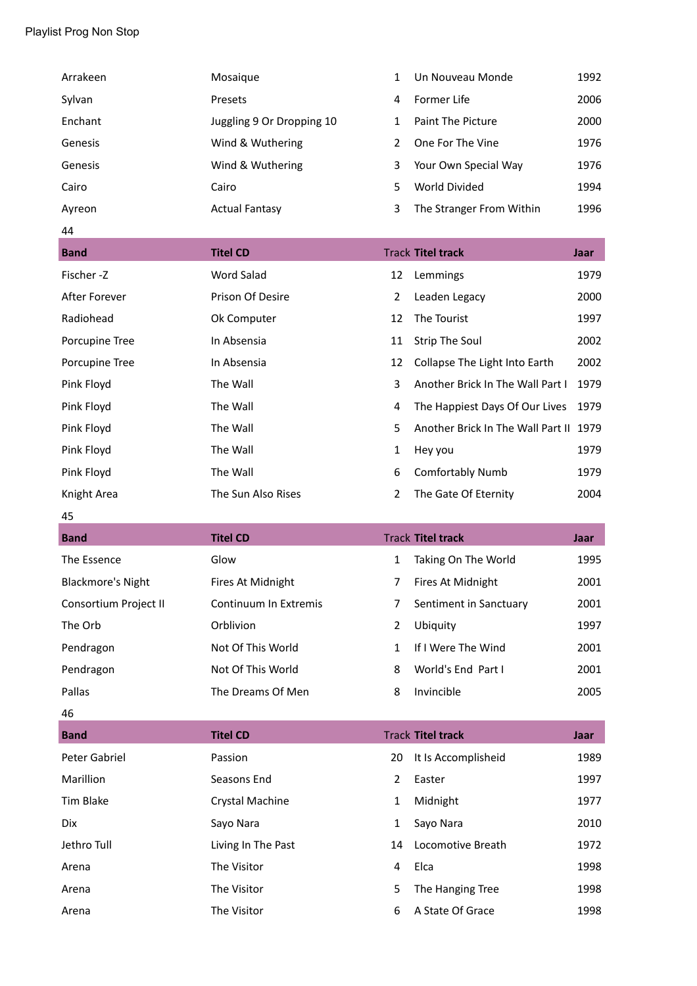| Arrakeen                 | Mosaique                  | 1              | Un Nouveau Monde                       | 1992 |
|--------------------------|---------------------------|----------------|----------------------------------------|------|
| Sylvan                   | Presets                   | 4              | Former Life                            | 2006 |
| Enchant                  | Juggling 9 Or Dropping 10 | $\mathbf{1}$   | Paint The Picture                      | 2000 |
| Genesis                  | Wind & Wuthering          | $\overline{2}$ | One For The Vine                       | 1976 |
| Genesis                  | Wind & Wuthering          | 3              | Your Own Special Way                   | 1976 |
| Cairo                    | Cairo                     | 5              | World Divided                          | 1994 |
| Ayreon                   | <b>Actual Fantasy</b>     | 3              | The Stranger From Within               | 1996 |
| 44                       |                           |                |                                        |      |
| <b>Band</b>              | <b>Titel CD</b>           |                | <b>Track Titel track</b>               | Jaar |
| Fischer-Z                | Word Salad                | 12             | Lemmings                               | 1979 |
| After Forever            | Prison Of Desire          | $\overline{2}$ | Leaden Legacy                          | 2000 |
| Radiohead                | Ok Computer               | 12             | The Tourist                            | 1997 |
| Porcupine Tree           | In Absensia               | 11             | <b>Strip The Soul</b>                  | 2002 |
| Porcupine Tree           | In Absensia               | 12             | Collapse The Light Into Earth          | 2002 |
| Pink Floyd               | The Wall                  | 3              | Another Brick In The Wall Part I       | 1979 |
| Pink Floyd               | The Wall                  | 4              | The Happiest Days Of Our Lives         | 1979 |
| Pink Floyd               | The Wall                  | 5              | Another Brick In The Wall Part II 1979 |      |
| Pink Floyd               | The Wall                  | 1              | Hey you                                | 1979 |
| Pink Floyd               | The Wall                  | 6              | <b>Comfortably Numb</b>                | 1979 |
|                          |                           |                |                                        |      |
| Knight Area              | The Sun Also Rises        | $\overline{2}$ | The Gate Of Eternity                   | 2004 |
| 45                       |                           |                |                                        |      |
| <b>Band</b>              | <b>Titel CD</b>           |                | <b>Track Titel track</b>               | Jaar |
| The Essence              | Glow                      | $\mathbf{1}$   | Taking On The World                    | 1995 |
| <b>Blackmore's Night</b> | Fires At Midnight         | 7              | Fires At Midnight                      | 2001 |
| Consortium Project II    | Continuum In Extremis     | 7              | Sentiment in Sanctuary                 | 2001 |
| The Orb                  | Orblivion                 | $\overline{2}$ | Ubiquity                               | 1997 |
| Pendragon                | Not Of This World         | $\mathbf{1}$   | If I Were The Wind                     | 2001 |
| Pendragon                | Not Of This World         | 8              | World's End Part I                     | 2001 |
| Pallas                   | The Dreams Of Men         | 8              | Invincible                             | 2005 |
| 46                       |                           |                |                                        |      |
| <b>Band</b>              | <b>Titel CD</b>           |                | <b>Track Titel track</b>               | Jaar |
| Peter Gabriel            | Passion                   | 20             | It Is Accomplisheid                    | 1989 |
| Marillion                | Seasons End               | $\overline{2}$ | Easter                                 | 1997 |
| <b>Tim Blake</b>         | Crystal Machine           | $\mathbf{1}$   | Midnight                               | 1977 |
| Dix                      | Sayo Nara                 | 1              | Sayo Nara                              | 2010 |
| Jethro Tull              | Living In The Past        | 14             | Locomotive Breath                      | 1972 |
| Arena                    | The Visitor               | 4              | Elca                                   | 1998 |
| Arena                    | The Visitor               | 5              | The Hanging Tree                       | 1998 |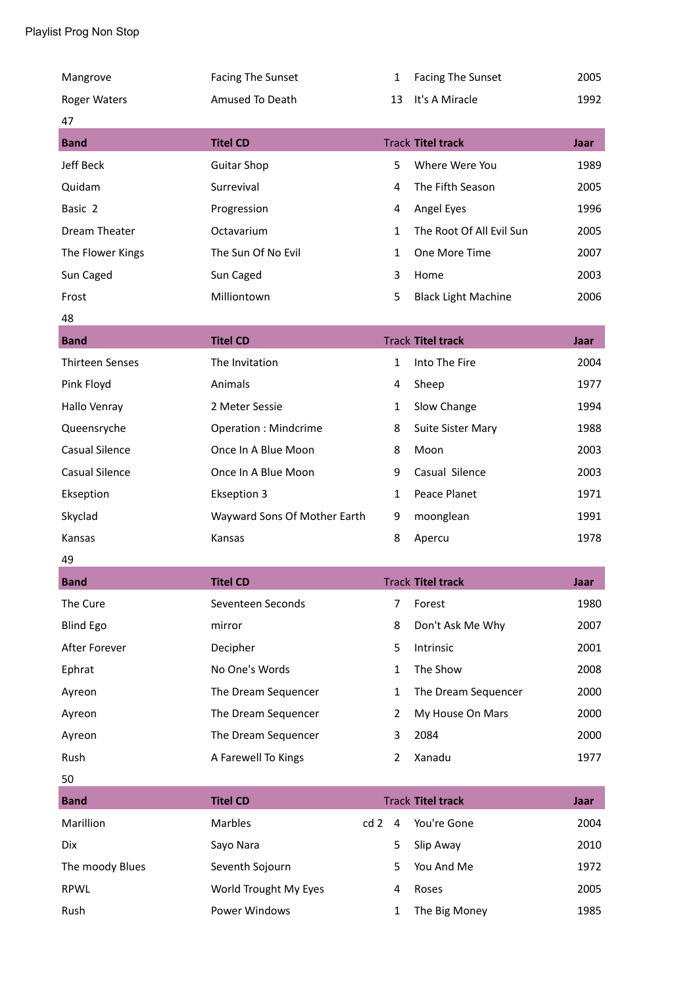| Mangrove               | <b>Facing The Sunset</b>     | 1              | Facing The Sunset          | 2005        |
|------------------------|------------------------------|----------------|----------------------------|-------------|
| Roger Waters           | Amused To Death              | 13             | It's A Miracle             | 1992        |
| 47                     |                              |                |                            |             |
| <b>Band</b>            | <b>Titel CD</b>              |                | <b>Track Titel track</b>   | <b>Jaar</b> |
| Jeff Beck              | <b>Guitar Shop</b>           | 5              | Where Were You             | 1989        |
| Quidam                 | Surrevival                   | 4              | The Fifth Season           | 2005        |
| Basic 2                | Progression                  | 4              | Angel Eyes                 | 1996        |
| Dream Theater          | Octavarium                   | $\mathbf{1}$   | The Root Of All Evil Sun   | 2005        |
| The Flower Kings       | The Sun Of No Evil           | $\mathbf{1}$   | One More Time              | 2007        |
| Sun Caged              | Sun Caged                    | 3              | Home                       | 2003        |
| Frost                  | Milliontown                  | 5              | <b>Black Light Machine</b> | 2006        |
| 48                     |                              |                |                            |             |
| <b>Band</b>            | <b>Titel CD</b>              |                | <b>Track Titel track</b>   | Jaar        |
| <b>Thirteen Senses</b> | The Invitation               | $\mathbf{1}$   | Into The Fire              | 2004        |
| Pink Floyd             | Animals                      | 4              | Sheep                      | 1977        |
| Hallo Venray           | 2 Meter Sessie               | 1              | Slow Change                | 1994        |
| Queensryche            | <b>Operation: Mindcrime</b>  | 8              | Suite Sister Mary          | 1988        |
| <b>Casual Silence</b>  | Once In A Blue Moon          | 8              | Moon                       | 2003        |
| <b>Casual Silence</b>  | Once In A Blue Moon          | 9              | Casual Silence             | 2003        |
| Ekseption              | <b>Ekseption 3</b>           | 1              | Peace Planet               | 1971        |
| Skyclad                | Wayward Sons Of Mother Earth | 9              | moonglean                  | 1991        |
| Kansas                 | Kansas                       | 8              | Apercu                     | 1978        |
| 49                     |                              |                |                            |             |
| <b>Band</b>            | <b>Titel CD</b>              |                | <b>Track Titel track</b>   | Jaar        |
| The Cure               | Seventeen Seconds            | $\overline{7}$ | Forest                     | 1980        |
| <b>Blind Ego</b>       | mirror                       | 8              | Don't Ask Me Why           | 2007        |
| After Forever          | Decipher                     | 5              | Intrinsic                  | 2001        |
| Ephrat                 | No One's Words               | $\mathbf{1}$   | The Show                   | 2008        |
| Ayreon                 | The Dream Sequencer          | $\mathbf{1}$   | The Dream Sequencer        | 2000        |
| Ayreon                 | The Dream Sequencer          | $\overline{2}$ | My House On Mars           | 2000        |
| Ayreon                 | The Dream Sequencer          | 3              | 2084                       | 2000        |
| Rush                   | A Farewell To Kings          | 2              | Xanadu                     | 1977        |
| 50                     |                              |                |                            |             |
|                        |                              |                |                            |             |
| <b>Band</b>            | <b>Titel CD</b>              |                | <b>Track Titel track</b>   | Jaar        |
| Marillion              | Marbles<br>cd2               | $\overline{4}$ | You're Gone                | 2004        |
| Dix                    | Sayo Nara                    | 5              | Slip Away                  | 2010        |
| The moody Blues        | Seventh Sojourn              | 5              | You And Me                 | 1972        |
| <b>RPWL</b>            | World Trought My Eyes        | 4              | Roses                      | 2005        |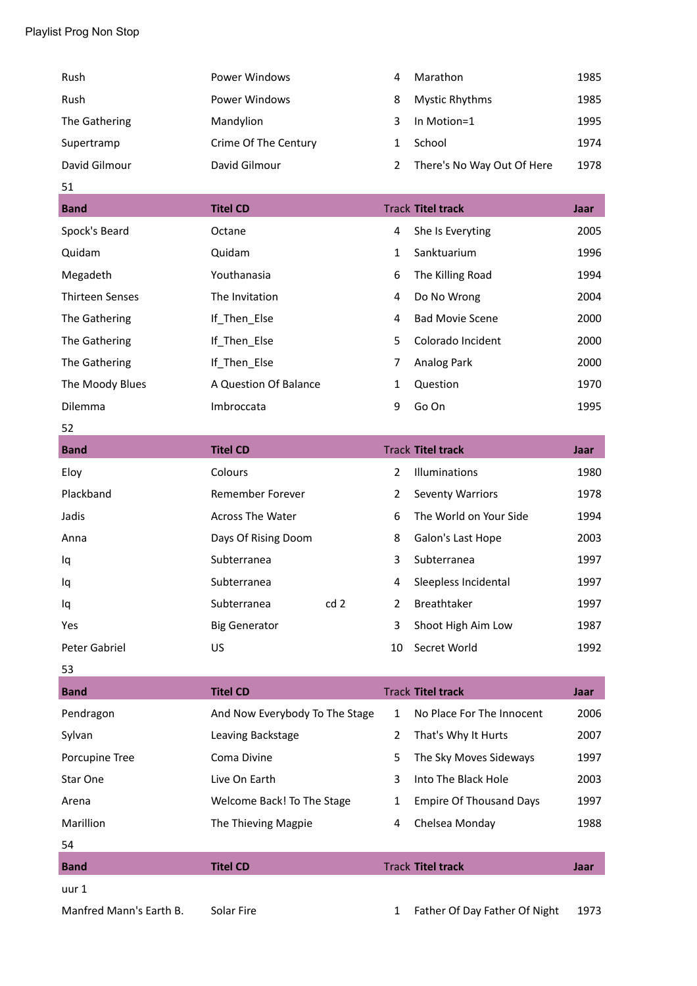| Rush                   | <b>Power Windows</b>           | 4              | Marathon                       | 1985 |
|------------------------|--------------------------------|----------------|--------------------------------|------|
| Rush                   | <b>Power Windows</b>           | 8              | <b>Mystic Rhythms</b>          | 1985 |
| The Gathering          | Mandylion                      | 3              | In Motion=1                    | 1995 |
| Supertramp             | Crime Of The Century           | 1              | School                         | 1974 |
| David Gilmour          | David Gilmour                  | $\overline{2}$ | There's No Way Out Of Here     | 1978 |
| 51                     |                                |                |                                |      |
| <b>Band</b>            | <b>Titel CD</b>                |                | <b>Track Titel track</b>       | Jaar |
| Spock's Beard          | Octane                         | 4              | She Is Everyting               | 2005 |
| Quidam                 | Quidam                         | $\mathbf{1}$   | Sanktuarium                    | 1996 |
| Megadeth               | Youthanasia                    | 6              | The Killing Road               | 1994 |
| <b>Thirteen Senses</b> | The Invitation                 | 4              | Do No Wrong                    | 2004 |
| The Gathering          | If_Then_Else                   | 4              | <b>Bad Movie Scene</b>         | 2000 |
| The Gathering          | If_Then_Else                   | 5              | Colorado Incident              | 2000 |
| The Gathering          | If_Then_Else                   | 7              | Analog Park                    | 2000 |
| The Moody Blues        | A Question Of Balance          | $\mathbf{1}$   | Question                       | 1970 |
| Dilemma                | Imbroccata                     | 9              | Go On                          | 1995 |
| 52                     |                                |                |                                |      |
| <b>Band</b>            | <b>Titel CD</b>                |                | <b>Track Titel track</b>       | Jaar |
| Eloy                   | Colours                        | $\overline{2}$ | Illuminations                  | 1980 |
| Plackband              | Remember Forever               | $\overline{2}$ | <b>Seventy Warriors</b>        | 1978 |
| Jadis                  | <b>Across The Water</b>        | 6              | The World on Your Side         | 1994 |
| Anna                   | Days Of Rising Doom            | 8              | Galon's Last Hope              | 2003 |
| Iq                     | Subterranea                    | 3              | Subterranea                    | 1997 |
| Iq                     | Subterranea                    | 4              | Sleepless Incidental           | 1997 |
| Iq                     | cd <sub>2</sub><br>Subterranea | 2              | Breathtaker                    | 1997 |
| Yes                    | <b>Big Generator</b>           | 3              | Shoot High Aim Low             | 1987 |
| Peter Gabriel          | US                             | 10             | Secret World                   | 1992 |
| 53                     |                                |                |                                |      |
| <b>Band</b>            | <b>Titel CD</b>                |                | <b>Track Titel track</b>       | Jaar |
| Pendragon              | And Now Everybody To The Stage | $\mathbf{1}$   | No Place For The Innocent      | 2006 |
| Sylvan                 | Leaving Backstage              | 2              | That's Why It Hurts            | 2007 |
| Porcupine Tree         | Coma Divine                    | 5              | The Sky Moves Sideways         | 1997 |
| Star One               | Live On Earth                  | 3              | Into The Black Hole            | 2003 |
| Arena                  | Welcome Back! To The Stage     | $\mathbf{1}$   | <b>Empire Of Thousand Days</b> | 1997 |
| Marillion              | The Thieving Magpie            | 4              | Chelsea Monday                 | 1988 |
| 54                     |                                |                |                                |      |
| <b>Band</b>            | <b>Titel CD</b>                |                | <b>Track Titel track</b>       | Jaar |
| uur 1                  |                                |                |                                |      |

Manfred Mann's Earth B. Solar Fire 1 Father Of Day Father Of Night 1973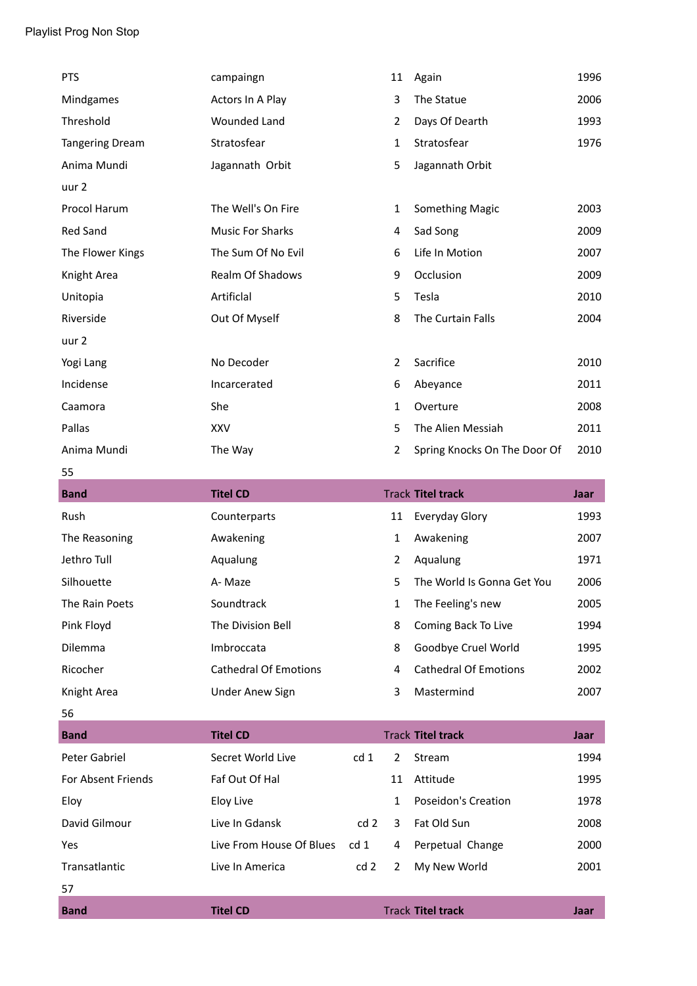| <b>PTS</b>             | campaingn                    |                 | 11             | Again                        | 1996        |
|------------------------|------------------------------|-----------------|----------------|------------------------------|-------------|
| Mindgames              | Actors In A Play             |                 | 3              | The Statue                   | 2006        |
| Threshold              | Wounded Land                 |                 | $\overline{2}$ | Days Of Dearth               | 1993        |
| <b>Tangering Dream</b> | Stratosfear                  |                 | $\mathbf{1}$   | Stratosfear                  | 1976        |
| Anima Mundi            | Jagannath Orbit              |                 | 5              | Jagannath Orbit              |             |
| uur 2                  |                              |                 |                |                              |             |
| Procol Harum           | The Well's On Fire           |                 | 1              | <b>Something Magic</b>       | 2003        |
| <b>Red Sand</b>        | <b>Music For Sharks</b>      |                 | 4              | Sad Song                     | 2009        |
| The Flower Kings       | The Sum Of No Evil           |                 | 6              | Life In Motion               | 2007        |
| Knight Area            | Realm Of Shadows             |                 | 9              | Occlusion                    | 2009        |
| Unitopia               | Artificlal                   |                 | 5              | Tesla                        | 2010        |
| Riverside              | Out Of Myself                |                 | 8              | The Curtain Falls            | 2004        |
| uur 2                  |                              |                 |                |                              |             |
| Yogi Lang              | No Decoder                   |                 | 2              | Sacrifice                    | 2010        |
| Incidense              | Incarcerated                 |                 | 6              | Abeyance                     | 2011        |
| Caamora                | She                          |                 | $\mathbf{1}$   | Overture                     | 2008        |
| Pallas                 | <b>XXV</b>                   |                 | 5              | The Alien Messiah            | 2011        |
| Anima Mundi            | The Way                      |                 | $\overline{2}$ | Spring Knocks On The Door Of | 2010        |
| 55                     |                              |                 |                |                              |             |
| <b>Band</b>            | <b>Titel CD</b>              |                 |                | <b>Track Titel track</b>     | Jaar        |
| Rush                   | Counterparts                 |                 | 11             | Everyday Glory               | 1993        |
| The Reasoning          | Awakening                    |                 | 1              | Awakening                    | 2007        |
| Jethro Tull            | Aqualung                     |                 | 2              | Aqualung                     | 1971        |
| Silhouette             | A-Maze                       |                 | 5              | The World Is Gonna Get You   | 2006        |
| The Rain Poets         | Soundtrack                   |                 | 1              | The Feeling's new            | 2005        |
| Pink Floyd             | The Division Bell            |                 | 8              | Coming Back To Live          | 1994        |
| Dilemma                | Imbroccata                   |                 | 8              | Goodbye Cruel World          | 1995        |
| Ricocher               | <b>Cathedral Of Emotions</b> |                 | 4              | <b>Cathedral Of Emotions</b> | 2002        |
| Knight Area            | <b>Under Anew Sign</b>       |                 | 3              | Mastermind                   | 2007        |
| 56                     |                              |                 |                |                              |             |
| <b>Band</b>            | <b>Titel CD</b>              |                 |                | <b>Track Titel track</b>     | <b>Jaar</b> |
| Peter Gabriel          | Secret World Live            | cd <sub>1</sub> | $\overline{2}$ | Stream                       | 1994        |
| For Absent Friends     | Faf Out Of Hal               |                 | 11             | Attitude                     | 1995        |
| Eloy                   | <b>Eloy Live</b>             |                 | 1              | <b>Poseidon's Creation</b>   | 1978        |
| David Gilmour          | Live In Gdansk               | cd 2            | 3              | Fat Old Sun                  | 2008        |
| Yes                    | Live From House Of Blues     | cd <sub>1</sub> | 4              | Perpetual Change             | 2000        |
| Transatlantic          | Live In America              | cd <sub>2</sub> | 2              | My New World                 | 2001        |
| 57                     |                              |                 |                |                              |             |
| <b>Band</b>            | <b>Titel CD</b>              |                 |                | <b>Track Titel track</b>     | Jaar        |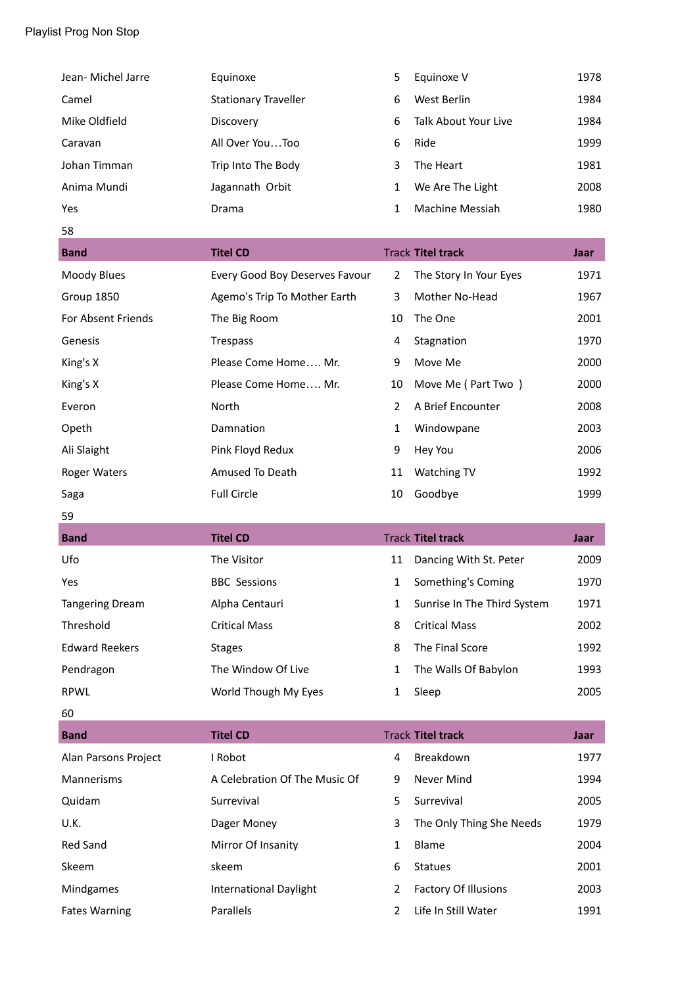| Jean- Michel Jarre     | Equinoxe                       | 5              | Equinoxe V                  | 1978 |
|------------------------|--------------------------------|----------------|-----------------------------|------|
| Camel                  | <b>Stationary Traveller</b>    | 6              | West Berlin                 | 1984 |
| Mike Oldfield          | Discovery                      | 6              | Talk About Your Live        | 1984 |
| Caravan                | All Over YouToo                | 6              | Ride                        | 1999 |
| Johan Timman           | Trip Into The Body             | 3              | The Heart                   | 1981 |
| Anima Mundi            | Jagannath Orbit                | 1              | We Are The Light            | 2008 |
| Yes                    | Drama                          | 1              | Machine Messiah             | 1980 |
| 58                     |                                |                |                             |      |
| <b>Band</b>            | <b>Titel CD</b>                |                | <b>Track Titel track</b>    | Jaar |
| Moody Blues            | Every Good Boy Deserves Favour | $\overline{2}$ | The Story In Your Eyes      | 1971 |
| Group 1850             | Agemo's Trip To Mother Earth   | 3              | Mother No-Head              | 1967 |
| For Absent Friends     | The Big Room                   | 10             | The One                     | 2001 |
| Genesis                | Trespass                       | 4              | Stagnation                  | 1970 |
| King's X               | Please Come Home Mr.           | 9              | Move Me                     | 2000 |
| King's X               | Please Come Home Mr.           | 10             | Move Me (Part Two)          | 2000 |
| Everon                 | North                          | $\overline{2}$ | A Brief Encounter           | 2008 |
| Opeth                  | Damnation                      | $\mathbf{1}$   | Windowpane                  | 2003 |
| Ali Slaight            | Pink Floyd Redux               | 9              | Hey You                     | 2006 |
| Roger Waters           | Amused To Death                | 11             | Watching TV                 | 1992 |
|                        |                                |                |                             |      |
| Saga                   | <b>Full Circle</b>             | 10             | Goodbye                     | 1999 |
| 59                     |                                |                |                             |      |
| <b>Band</b>            | <b>Titel CD</b>                |                | <b>Track Titel track</b>    | Jaar |
| Ufo                    | The Visitor                    | 11             | Dancing With St. Peter      | 2009 |
| Yes                    | <b>BBC Sessions</b>            | 1              | Something's Coming          | 1970 |
| <b>Tangering Dream</b> | Alpha Centauri                 | 1              | Sunrise In The Third System | 1971 |
| Threshold              | <b>Critical Mass</b>           | 8              | <b>Critical Mass</b>        | 2002 |
| <b>Edward Reekers</b>  | <b>Stages</b>                  | 8              | The Final Score             | 1992 |
| Pendragon              | The Window Of Live             | 1              | The Walls Of Babylon        | 1993 |
| RPWL                   | World Though My Eyes           | 1              | Sleep                       | 2005 |
| 60                     |                                |                |                             |      |
| <b>Band</b>            | <b>Titel CD</b>                |                | <b>Track Titel track</b>    | Jaar |
| Alan Parsons Project   | I Robot                        | 4              | Breakdown                   | 1977 |
| Mannerisms             | A Celebration Of The Music Of  | 9              | Never Mind                  | 1994 |
| Quidam                 | Surrevival                     | 5              | Surrevival                  | 2005 |
| U.K.                   | Dager Money                    | 3              | The Only Thing She Needs    | 1979 |
| Red Sand               | Mirror Of Insanity             | $\mathbf{1}$   | Blame                       | 2004 |
| Skeem                  | skeem                          | 6              | <b>Statues</b>              | 2001 |
| Mindgames              | <b>International Daylight</b>  | 2              | Factory Of Illusions        | 2003 |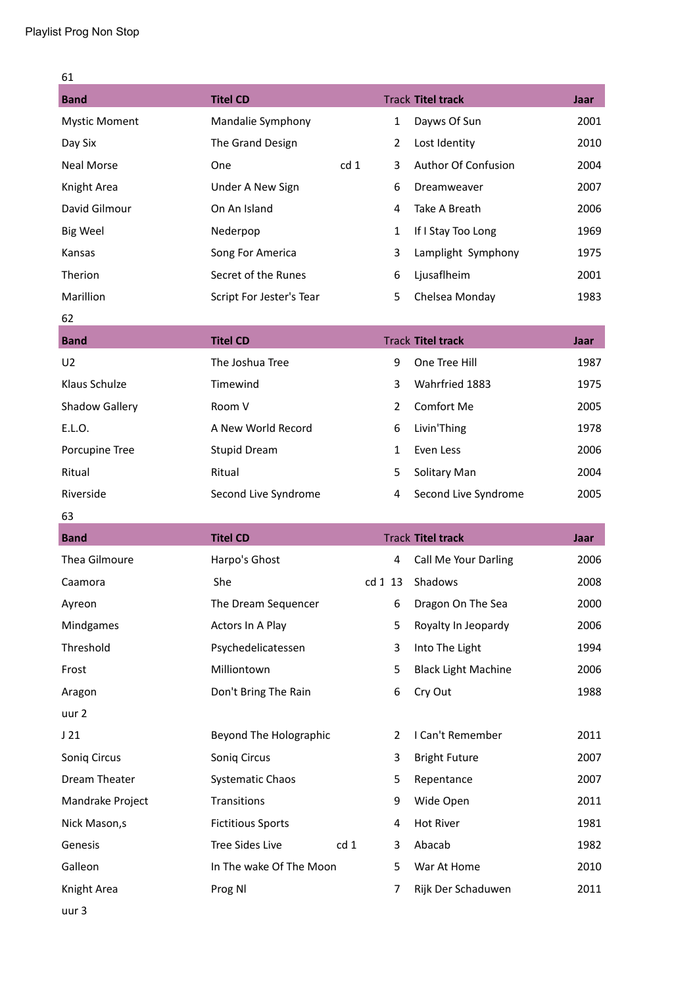| 61                   |                          |                 |                |                            |             |
|----------------------|--------------------------|-----------------|----------------|----------------------------|-------------|
| <b>Band</b>          | <b>Titel CD</b>          |                 |                | <b>Track Titel track</b>   | Jaar        |
| <b>Mystic Moment</b> | Mandalie Symphony        |                 | $\mathbf{1}$   | Dayws Of Sun               | 2001        |
| Day Six              | The Grand Design         |                 | $\overline{2}$ | Lost Identity              | 2010        |
| <b>Neal Morse</b>    | One                      | cd <sub>1</sub> | 3              | Author Of Confusion        | 2004        |
| Knight Area          | Under A New Sign         |                 | 6              | Dreamweaver                | 2007        |
| David Gilmour        | On An Island             |                 | 4              | Take A Breath              | 2006        |
| <b>Big Weel</b>      | Nederpop                 |                 | 1              | If I Stay Too Long         | 1969        |
| Kansas               | Song For America         |                 | 3              | Lamplight Symphony         | 1975        |
| Therion              | Secret of the Runes      |                 | 6              | Ljusaflheim                | 2001        |
| Marillion            | Script For Jester's Tear |                 | 5              | Chelsea Monday             | 1983        |
| 62                   |                          |                 |                |                            |             |
| <b>Band</b>          | <b>Titel CD</b>          |                 |                | <b>Track Titel track</b>   | <b>Jaar</b> |
| U <sub>2</sub>       | The Joshua Tree          |                 | 9              | One Tree Hill              | 1987        |
| Klaus Schulze        | Timewind                 |                 | 3              | Wahrfried 1883             | 1975        |
| Shadow Gallery       | Room V                   |                 | $\overline{2}$ | Comfort Me                 | 2005        |
| E.L.O.               | A New World Record       |                 | 6              | Livin'Thing                | 1978        |
| Porcupine Tree       | <b>Stupid Dream</b>      |                 | 1              | Even Less                  | 2006        |
| Ritual               | Ritual                   |                 | 5              | Solitary Man               | 2004        |
| Riverside            | Second Live Syndrome     |                 | 4              | Second Live Syndrome       | 2005        |
| 63                   |                          |                 |                |                            |             |
| <b>Band</b>          | <b>Titel CD</b>          |                 |                | <b>Track Titel track</b>   | Jaar        |
| Thea Gilmoure        | Harpo's Ghost            |                 | 4              | Call Me Your Darling       | 2006        |
| Caamora              | She                      |                 | cd 1 13        | Shadows                    | 2008        |
| Ayreon               | The Dream Sequencer      |                 | 6              | Dragon On The Sea          | 2000        |
| Mindgames            | Actors In A Play         |                 | 5              | Royalty In Jeopardy        | 2006        |
| Threshold            | Psychedelicatessen       |                 | 3              | Into The Light             | 1994        |
| Frost                | Milliontown              |                 | 5              | <b>Black Light Machine</b> | 2006        |
| Aragon               | Don't Bring The Rain     |                 | 6              | Cry Out                    | 1988        |
| uur 2                |                          |                 |                |                            |             |
| J21                  | Beyond The Holographic   |                 | 2              | I Can't Remember           | 2011        |
| Soniq Circus         | Soniq Circus             |                 | 3              | <b>Bright Future</b>       | 2007        |
| Dream Theater        | <b>Systematic Chaos</b>  |                 | 5              | Repentance                 | 2007        |
| Mandrake Project     | Transitions              |                 | 9              | Wide Open                  | 2011        |
| Nick Mason, s        | <b>Fictitious Sports</b> |                 | 4              | <b>Hot River</b>           | 1981        |
| Genesis              | <b>Tree Sides Live</b>   | cd 1            | 3              | Abacab                     | 1982        |
| Galleon              | In The wake Of The Moon  |                 | 5              | War At Home                | 2010        |
| Knight Area          | Prog NI                  |                 | 7              | Rijk Der Schaduwen         | 2011        |
|                      |                          |                 |                |                            |             |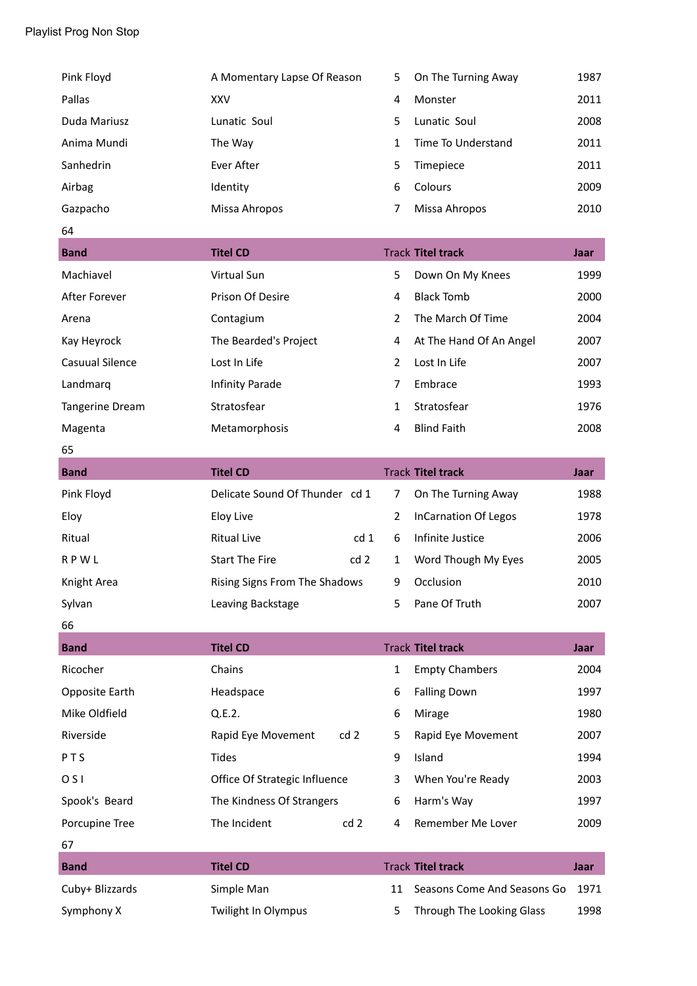| Pink Floyd      | A Momentary Lapse Of Reason           | 5              | On The Turning Away         | 1987        |
|-----------------|---------------------------------------|----------------|-----------------------------|-------------|
| Pallas          | <b>XXV</b>                            | 4              | Monster                     | 2011        |
| Duda Mariusz    | Lunatic Soul                          | 5              | Lunatic Soul                | 2008        |
| Anima Mundi     | The Way                               | $\mathbf{1}$   | Time To Understand          | 2011        |
| Sanhedrin       | Ever After                            | 5              | Timepiece                   | 2011        |
| Airbag          | Identity                              | 6              | Colours                     | 2009        |
| Gazpacho        | Missa Ahropos                         | 7              | Missa Ahropos               | 2010        |
| 64              |                                       |                |                             |             |
| <b>Band</b>     | <b>Titel CD</b>                       |                | <b>Track Titel track</b>    | Jaar        |
| Machiavel       | Virtual Sun                           | 5              | Down On My Knees            | 1999        |
| After Forever   | Prison Of Desire                      | 4              | <b>Black Tomb</b>           | 2000        |
| Arena           | Contagium                             | $\overline{2}$ | The March Of Time           | 2004        |
| Kay Heyrock     | The Bearded's Project                 | 4              | At The Hand Of An Angel     | 2007        |
| Casuual Silence | Lost In Life                          | $\overline{2}$ | Lost In Life                | 2007        |
| Landmarq        | Infinity Parade                       | 7              | Embrace                     | 1993        |
| Tangerine Dream | Stratosfear                           | 1              | Stratosfear                 | 1976        |
| Magenta         | Metamorphosis                         | 4              | <b>Blind Faith</b>          | 2008        |
| 65              |                                       |                |                             |             |
| <b>Band</b>     | <b>Titel CD</b>                       |                | <b>Track Titel track</b>    | <b>Jaar</b> |
|                 |                                       |                |                             |             |
| Pink Floyd      | Delicate Sound Of Thunder cd 1        | 7              | On The Turning Away         | 1988        |
| Eloy            | <b>Eloy Live</b>                      | $\overline{2}$ | <b>InCarnation Of Legos</b> | 1978        |
| Ritual          | <b>Ritual Live</b><br>cd <sub>1</sub> | 6              | Infinite Justice            | 2006        |
| <b>RPWL</b>     | <b>Start The Fire</b><br>cd2          | $\mathbf{1}$   | Word Though My Eyes         | 2005        |
| Knight Area     | Rising Signs From The Shadows         | 9              | Occlusion                   | 2010        |
| Sylvan          | Leaving Backstage                     | 5              | Pane Of Truth               | 2007        |
| 66              |                                       |                |                             |             |
| <b>Band</b>     | <b>Titel CD</b>                       |                | <b>Track Titel track</b>    | <b>Jaar</b> |
| Ricocher        | Chains                                | $\mathbf{1}$   | <b>Empty Chambers</b>       | 2004        |
| Opposite Earth  | Headspace                             | 6              | <b>Falling Down</b>         | 1997        |
| Mike Oldfield   | Q.E.2.                                | 6              | Mirage                      | 1980        |
| Riverside       | cd <sub>2</sub><br>Rapid Eye Movement | 5              | Rapid Eye Movement          | 2007        |
| PTS             | <b>Tides</b>                          | 9              | Island                      | 1994        |
| 0 <sub>5</sub>  | Office Of Strategic Influence         | 3              | When You're Ready           | 2003        |
| Spook's Beard   | The Kindness Of Strangers             | 6              | Harm's Way                  | 1997        |
| Porcupine Tree  | The Incident<br>cd <sub>2</sub>       | 4              | Remember Me Lover           | 2009        |
| 67              |                                       |                |                             |             |
| <b>Band</b>     | <b>Titel CD</b>                       |                | <b>Track Titel track</b>    | Jaar        |
| Cuby+ Blizzards | Simple Man                            | 11             | Seasons Come And Seasons Go | 1971        |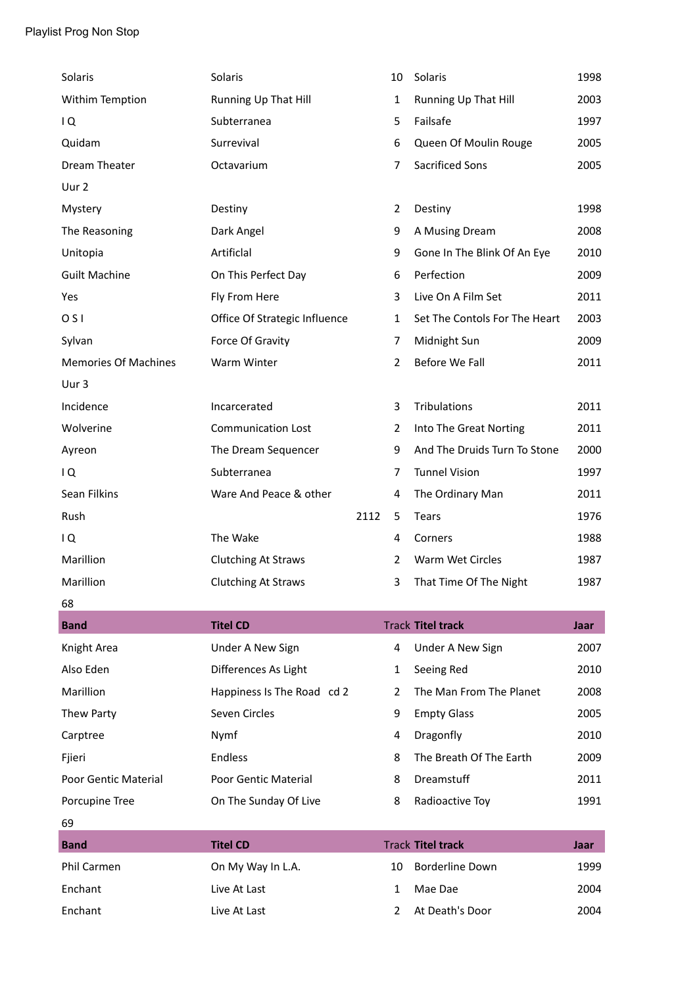| Solaris                     | Solaris                       |      | 10             | Solaris                       | 1998        |
|-----------------------------|-------------------------------|------|----------------|-------------------------------|-------------|
| Withim Temption             | Running Up That Hill          |      | 1              | Running Up That Hill          | 2003        |
| IQ                          | Subterranea                   |      | 5              | Failsafe                      | 1997        |
| Quidam                      | Surrevival                    |      | 6              | Queen Of Moulin Rouge         | 2005        |
| Dream Theater               | Octavarium                    |      | 7              | <b>Sacrificed Sons</b>        | 2005        |
| Uur 2                       |                               |      |                |                               |             |
| Mystery                     | Destiny                       |      | $\overline{2}$ | Destiny                       | 1998        |
| The Reasoning               | Dark Angel                    |      | 9              | A Musing Dream                | 2008        |
| Unitopia                    | Artificlal                    |      | 9              | Gone In The Blink Of An Eye   | 2010        |
| <b>Guilt Machine</b>        | On This Perfect Day           |      | 6              | Perfection                    | 2009        |
| Yes                         | Fly From Here                 |      | 3              | Live On A Film Set            | 2011        |
| O <sub>S</sub>              | Office Of Strategic Influence |      | $\mathbf{1}$   | Set The Contols For The Heart | 2003        |
| Sylvan                      | Force Of Gravity              |      | 7              | Midnight Sun                  | 2009        |
| <b>Memories Of Machines</b> | Warm Winter                   |      | $\overline{2}$ | Before We Fall                | 2011        |
| Uur 3                       |                               |      |                |                               |             |
| Incidence                   | Incarcerated                  |      | 3              | Tribulations                  | 2011        |
| Wolverine                   | <b>Communication Lost</b>     |      | 2              | Into The Great Norting        | 2011        |
| Ayreon                      | The Dream Sequencer           |      | 9              | And The Druids Turn To Stone  | 2000        |
| IQ                          | Subterranea                   |      | 7              | <b>Tunnel Vision</b>          | 1997        |
| Sean Filkins                | Ware And Peace & other        |      | 4              | The Ordinary Man              | 2011        |
| Rush                        |                               | 2112 | 5              | <b>Tears</b>                  | 1976        |
| IQ.                         | The Wake                      |      | 4              | Corners                       | 1988        |
| Marillion                   | <b>Clutching At Straws</b>    |      | $\overline{2}$ | Warm Wet Circles              | 1987        |
| Marillion                   | <b>Clutching At Straws</b>    |      |                |                               |             |
|                             |                               |      | 3              | That Time Of The Night        | 1987        |
| 68                          |                               |      |                |                               |             |
| <b>Band</b>                 | <b>Titel CD</b>               |      |                | <b>Track Titel track</b>      | Jaar        |
| Knight Area                 | Under A New Sign              |      | 4              | Under A New Sign              | 2007        |
| Also Eden                   | Differences As Light          |      | 1              | Seeing Red                    | 2010        |
| Marillion                   | Happiness Is The Road cd 2    |      | $\overline{2}$ | The Man From The Planet       | 2008        |
| Thew Party                  | Seven Circles                 |      | 9              | <b>Empty Glass</b>            | 2005        |
| Carptree                    | Nymf                          |      | 4              | Dragonfly                     | 2010        |
| Fjieri                      | Endless                       |      | 8              | The Breath Of The Earth       | 2009        |
| <b>Poor Gentic Material</b> | Poor Gentic Material          |      | 8              | Dreamstuff                    | 2011        |
| Porcupine Tree              | On The Sunday Of Live         |      | 8              | Radioactive Toy               | 1991        |
| 69                          |                               |      |                |                               |             |
| <b>Band</b>                 | <b>Titel CD</b>               |      |                | <b>Track Titel track</b>      | <b>Jaar</b> |
| Phil Carmen                 | On My Way In L.A.             |      | 10             | <b>Borderline Down</b>        | 1999        |
| Enchant                     | Live At Last                  |      | 1              | Mae Dae                       | 2004        |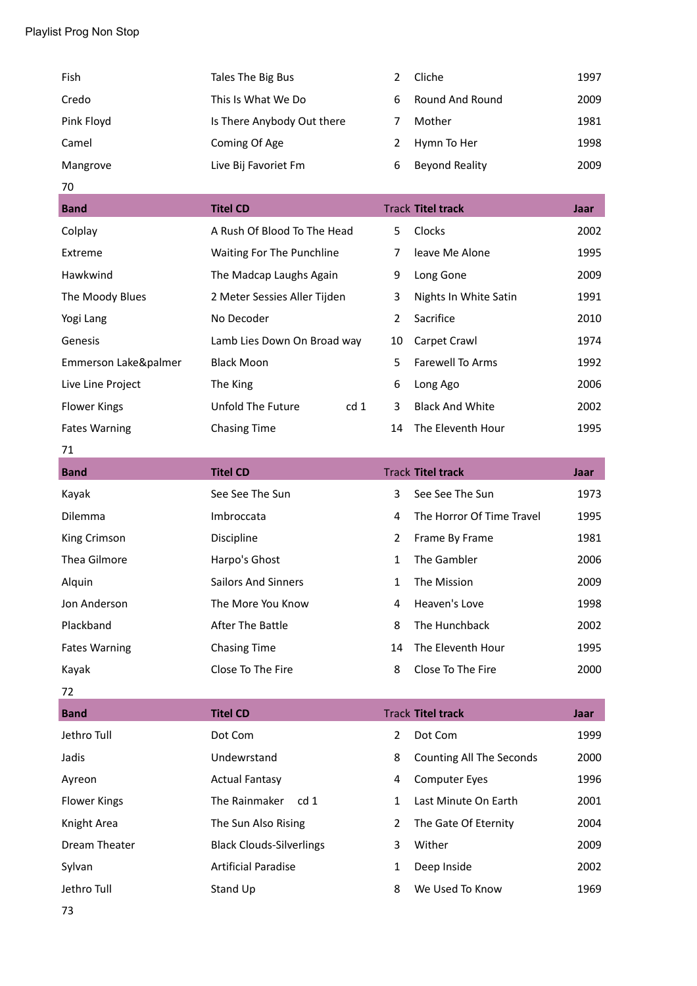| Fish       | Tales The Big Bus          |   | Cliche                | 1997 |
|------------|----------------------------|---|-----------------------|------|
| Credo      | This Is What We Do         | 6 | Round And Round       | 2009 |
| Pink Floyd | Is There Anybody Out there |   | Mother                | 1981 |
| Camel      | Coming Of Age              |   | Hymn To Her           | 1998 |
| Mangrove   | Live Bij Favoriet Fm       | 6 | <b>Beyond Reality</b> | 2009 |

| 70                   |                              |                 |                |                          |      |
|----------------------|------------------------------|-----------------|----------------|--------------------------|------|
| <b>Band</b>          | <b>Titel CD</b>              |                 |                | <b>Track Titel track</b> | Jaar |
| Colplay              | A Rush Of Blood To The Head  |                 | 5.             | <b>Clocks</b>            | 2002 |
| Extreme              | Waiting For The Punchline    |                 | 7              | leave Me Alone           | 1995 |
| Hawkwind             | The Madcap Laughs Again      |                 | 9              | Long Gone                | 2009 |
| The Moody Blues      | 2 Meter Sessies Aller Tijden |                 | 3              | Nights In White Satin    | 1991 |
| Yogi Lang            | No Decoder                   |                 | $\overline{2}$ | Sacrifice                | 2010 |
| Genesis              | Lamb Lies Down On Broad way  |                 | 10             | Carpet Crawl             | 1974 |
| Emmerson Lake&palmer | <b>Black Moon</b>            |                 | 5              | Farewell To Arms         | 1992 |
| Live Line Project    | The King                     |                 | 6              | Long Ago                 | 2006 |
| <b>Flower Kings</b>  | Unfold The Future            | cd <sub>1</sub> | 3              | <b>Black And White</b>   | 2002 |
| <b>Fates Warning</b> | <b>Chasing Time</b>          |                 | 14             | The Eleventh Hour        | 1995 |

# 71

| <b>Band</b>          | <b>Titel CD</b>            |    | <b>Track Titel track</b>  | Jaar |
|----------------------|----------------------------|----|---------------------------|------|
| Kayak                | See See The Sun            | 3  | See See The Sun           | 1973 |
| <b>Dilemma</b>       | Imbroccata                 | 4  | The Horror Of Time Travel | 1995 |
| King Crimson         | <b>Discipline</b>          | 2  | Frame By Frame            | 1981 |
| Thea Gilmore         | Harpo's Ghost              | 1  | The Gambler               | 2006 |
| Alquin               | <b>Sailors And Sinners</b> | 1  | The Mission               | 2009 |
| Jon Anderson         | The More You Know          | 4  | Heaven's Love             | 1998 |
| Plackband            | After The Battle           | 8  | The Hunchback             | 2002 |
| <b>Fates Warning</b> | <b>Chasing Time</b>        | 14 | The Eleventh Hour         | 1995 |
| Kayak                | Close To The Fire          | 8  | Close To The Fire         | 2000 |

÷

j.

72

| <b>Band</b>         | <b>Titel CD</b>                  |   | <b>Track Titel track</b> | Jaar |
|---------------------|----------------------------------|---|--------------------------|------|
| Jethro Tull         | Dot Com                          | 2 | Dot Com                  | 1999 |
| Jadis               | Undewrstand                      | 8 | Counting All The Seconds | 2000 |
| Ayreon              | <b>Actual Fantasy</b>            | 4 | <b>Computer Eyes</b>     | 1996 |
| <b>Flower Kings</b> | The Rainmaker<br>cd <sub>1</sub> | 1 | Last Minute On Earth     | 2001 |
| Knight Area         | The Sun Also Rising              | 2 | The Gate Of Eternity     | 2004 |
| Dream Theater       | <b>Black Clouds-Silverlings</b>  | 3 | Wither                   | 2009 |
| Sylvan              | <b>Artificial Paradise</b>       | 1 | Deep Inside              | 2002 |
| Jethro Tull         | Stand Up                         | 8 | We Used To Know          | 1969 |
|                     |                                  |   |                          |      |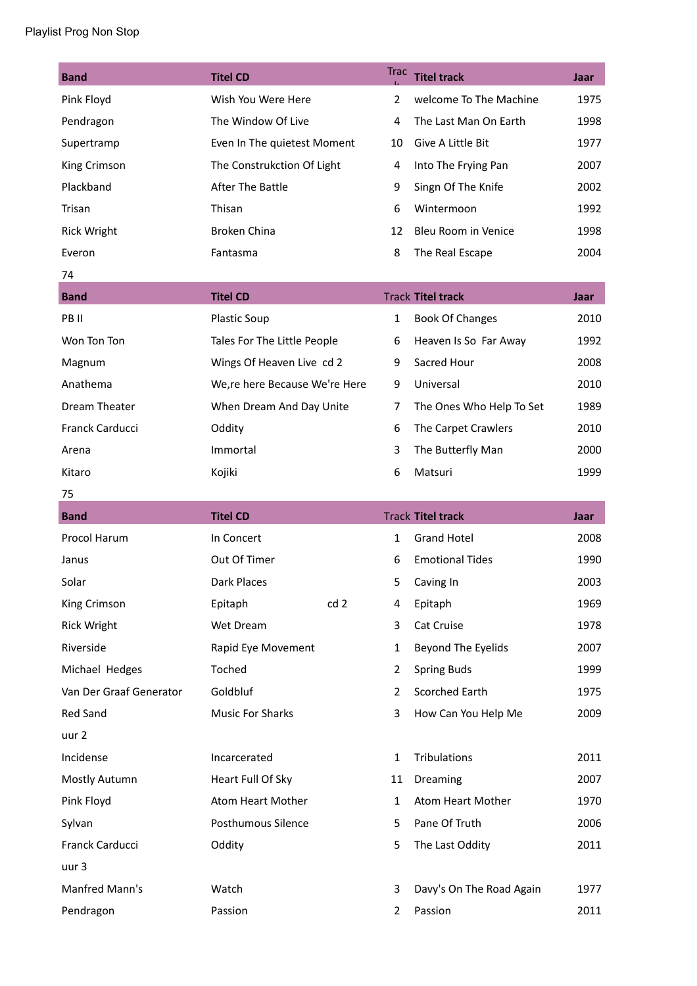| <b>Band</b>             | <b>Titel CD</b>               | <b>Trac</b>    | <b>Titel track</b>       | Jaar |
|-------------------------|-------------------------------|----------------|--------------------------|------|
| Pink Floyd              | Wish You Were Here            | 2              | welcome To The Machine   | 1975 |
| Pendragon               | The Window Of Live            | 4              | The Last Man On Earth    | 1998 |
| Supertramp              | Even In The quietest Moment   | 10             | Give A Little Bit        | 1977 |
| King Crimson            | The Construkction Of Light    | 4              | Into The Frying Pan      | 2007 |
| Plackband               | After The Battle              | 9              | Singn Of The Knife       | 2002 |
| Trisan                  | Thisan                        | 6              | Wintermoon               | 1992 |
| <b>Rick Wright</b>      | <b>Broken China</b>           | 12             | Bleu Room in Venice      | 1998 |
| Everon                  | Fantasma                      | 8              | The Real Escape          | 2004 |
| 74                      |                               |                |                          |      |
| <b>Band</b>             | <b>Titel CD</b>               |                | <b>Track Titel track</b> | Jaar |
| PB II                   | <b>Plastic Soup</b>           | $\mathbf{1}$   | <b>Book Of Changes</b>   | 2010 |
| Won Ton Ton             | Tales For The Little People   | 6              | Heaven Is So Far Away    | 1992 |
| Magnum                  | Wings Of Heaven Live cd 2     | 9              | Sacred Hour              | 2008 |
| Anathema                | We,re here Because We're Here | 9              | Universal                | 2010 |
| Dream Theater           | When Dream And Day Unite      | $\overline{7}$ | The Ones Who Help To Set | 1989 |
| Franck Carducci         | Oddity                        | 6              | The Carpet Crawlers      | 2010 |
| Arena                   | Immortal                      | 3              | The Butterfly Man        | 2000 |
| Kitaro                  | Kojiki                        | 6              | Matsuri                  | 1999 |
| 75                      |                               |                |                          |      |
|                         |                               |                |                          |      |
| <b>Band</b>             | <b>Titel CD</b>               |                | <b>Track Titel track</b> | Jaar |
| Procol Harum            | In Concert                    | $\mathbf{1}$   | <b>Grand Hotel</b>       | 2008 |
| Janus                   | Out Of Timer                  | 6              | <b>Emotional Tides</b>   | 1990 |
| Solar                   | <b>Dark Places</b>            | 5              | Caving In                | 2003 |
| King Crimson            | cd2<br>Epitaph                | 4              | Epitaph                  | 1969 |
| <b>Rick Wright</b>      | Wet Dream                     | 3              | Cat Cruise               | 1978 |
| Riverside               | Rapid Eye Movement            | $\mathbf{1}$   | Beyond The Eyelids       | 2007 |
| Michael Hedges          | Toched                        | $\overline{2}$ | <b>Spring Buds</b>       | 1999 |
| Van Der Graaf Generator | Goldbluf                      | $\overline{2}$ | Scorched Earth           | 1975 |
| <b>Red Sand</b>         | <b>Music For Sharks</b>       | 3              | How Can You Help Me      | 2009 |
| uur 2                   |                               |                |                          |      |
| Incidense               | Incarcerated                  | $\mathbf{1}$   | Tribulations             | 2011 |
| Mostly Autumn           | Heart Full Of Sky             | 11             | Dreaming                 | 2007 |
| Pink Floyd              | Atom Heart Mother             | $\mathbf{1}$   | Atom Heart Mother        | 1970 |
| Sylvan                  | Posthumous Silence            | 5              | Pane Of Truth            | 2006 |
| Franck Carducci         | Oddity                        | 5              | The Last Oddity          | 2011 |
| uur 3                   |                               |                |                          |      |
| Manfred Mann's          | Watch                         | 3              | Davy's On The Road Again | 1977 |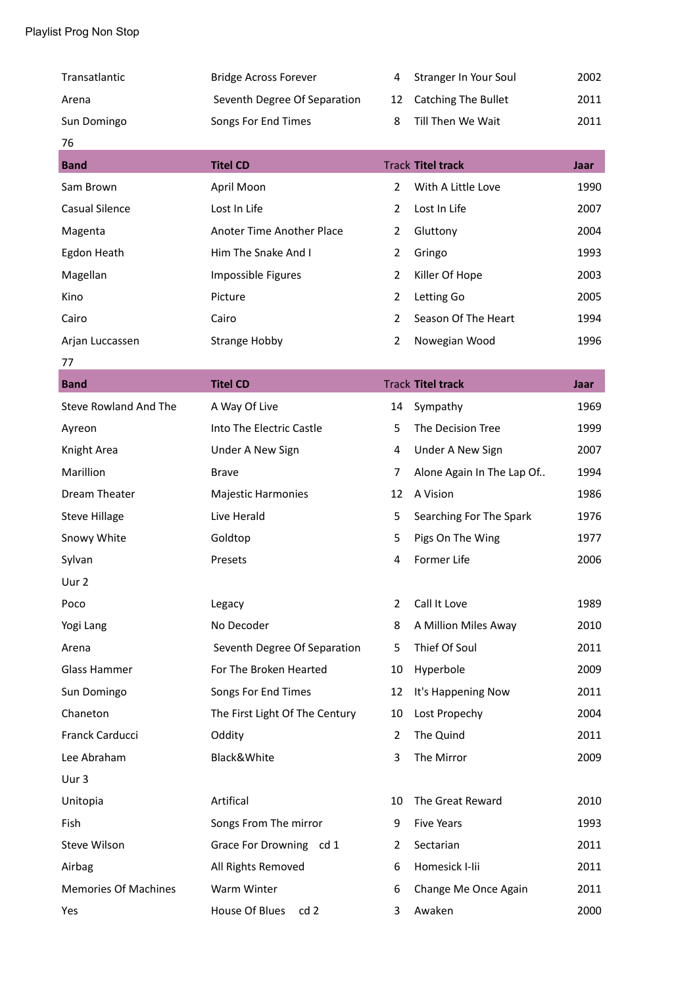| Transatlantic                | <b>Bridge Across Forever</b>   | 4              | Stranger In Your Soul      | 2002 |
|------------------------------|--------------------------------|----------------|----------------------------|------|
| Arena                        | Seventh Degree Of Separation   | 12             | <b>Catching The Bullet</b> | 2011 |
| Sun Domingo                  | Songs For End Times            | 8              | Till Then We Wait          | 2011 |
| 76                           |                                |                |                            |      |
| <b>Band</b>                  | <b>Titel CD</b>                |                | <b>Track Titel track</b>   | Jaar |
| Sam Brown                    | April Moon                     | $\overline{2}$ | With A Little Love         | 1990 |
| <b>Casual Silence</b>        | Lost In Life                   | $\overline{2}$ | Lost In Life               | 2007 |
| Magenta                      | Anoter Time Another Place      | $\overline{2}$ | Gluttony                   | 2004 |
| Egdon Heath                  | Him The Snake And I            | $\overline{2}$ | Gringo                     | 1993 |
| Magellan                     | Impossible Figures             | $\overline{2}$ | Killer Of Hope             | 2003 |
| Kino                         | Picture                        | $\overline{2}$ | Letting Go                 | 2005 |
| Cairo                        | Cairo                          | $\overline{2}$ | Season Of The Heart        | 1994 |
| Arjan Luccassen              | <b>Strange Hobby</b>           | $\overline{2}$ | Nowegian Wood              | 1996 |
| 77                           |                                |                |                            |      |
| <b>Band</b>                  | <b>Titel CD</b>                |                | <b>Track Titel track</b>   | Jaar |
| <b>Steve Rowland And The</b> | A Way Of Live                  | 14             | Sympathy                   | 1969 |
| Ayreon                       | Into The Electric Castle       | 5              | The Decision Tree          | 1999 |
| Knight Area                  | Under A New Sign               | 4              | Under A New Sign           | 2007 |
| Marillion                    | <b>Brave</b>                   | 7              | Alone Again In The Lap Of  | 1994 |
| Dream Theater                | <b>Majestic Harmonies</b>      | 12             | A Vision                   | 1986 |
| <b>Steve Hillage</b>         | Live Herald                    | 5              | Searching For The Spark    | 1976 |
| Snowy White                  | Goldtop                        | 5              | Pigs On The Wing           | 1977 |
| Sylvan                       | Presets                        | 4              | Former Life                | 2006 |
| Uur 2                        |                                |                |                            |      |
| Poco                         | Legacy                         | 2              | Call It Love               | 1989 |
| Yogi Lang                    | No Decoder                     | 8              | A Million Miles Away       | 2010 |
| Arena                        | Seventh Degree Of Separation   | 5              | Thief Of Soul              | 2011 |
| Glass Hammer                 | For The Broken Hearted         | 10             | Hyperbole                  | 2009 |
| Sun Domingo                  | Songs For End Times            | 12             | It's Happening Now         | 2011 |
| Chaneton                     | The First Light Of The Century | 10             | Lost Propechy              | 2004 |
| Franck Carducci              | Oddity                         | $\overline{2}$ | The Quind                  | 2011 |
| Lee Abraham                  | Black&White                    | 3              | The Mirror                 | 2009 |
| Uur 3                        |                                |                |                            |      |
| Unitopia                     | Artifical                      | 10             | The Great Reward           | 2010 |
| Fish                         | Songs From The mirror          | 9              | <b>Five Years</b>          | 1993 |
| <b>Steve Wilson</b>          | Grace For Drowning cd 1        | $\overline{2}$ | Sectarian                  | 2011 |
| Airbag                       | All Rights Removed             | 6              | Homesick I-lii             | 2011 |
| <b>Memories Of Machines</b>  | Warm Winter                    | 6              | Change Me Once Again       | 2011 |
| Yes                          | House Of Blues<br>cd 2         | 3              | Awaken                     | 2000 |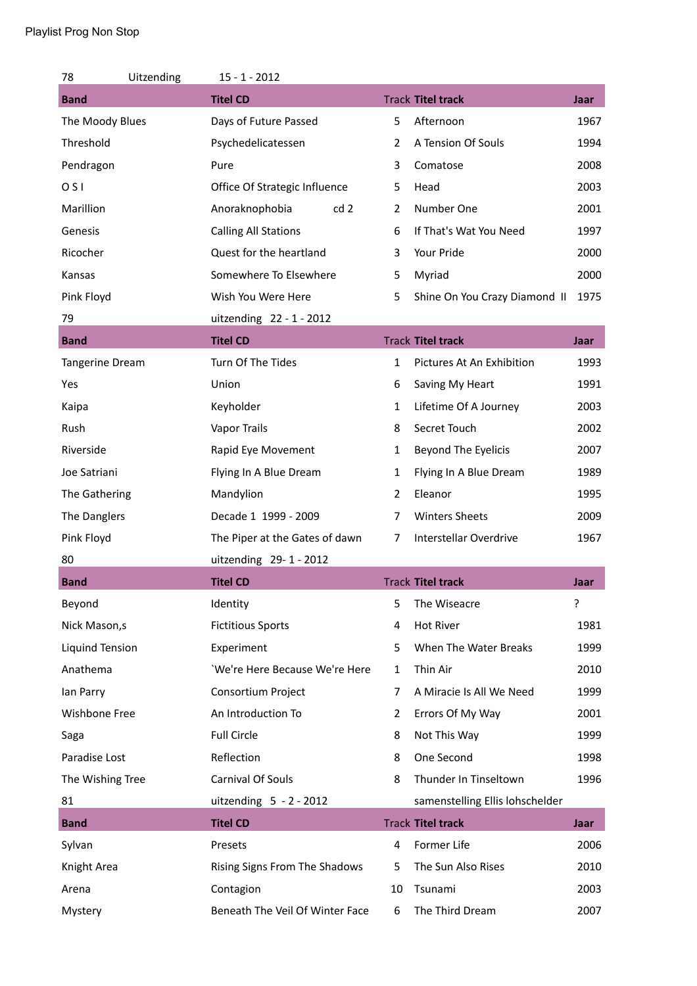| 78                     | Uitzending | $15 - 1 - 2012$                 |                |                                 |      |
|------------------------|------------|---------------------------------|----------------|---------------------------------|------|
| <b>Band</b>            |            | <b>Titel CD</b>                 |                | <b>Track Titel track</b>        | Jaar |
| The Moody Blues        |            | Days of Future Passed           | 5              | Afternoon                       | 1967 |
| Threshold              |            | Psychedelicatessen              | $\overline{2}$ | A Tension Of Souls              | 1994 |
| Pendragon              |            | Pure                            | 3              | Comatose                        | 2008 |
| O <sub>S</sub>         |            | Office Of Strategic Influence   | 5              | Head                            | 2003 |
| Marillion              |            | Anoraknophobia<br>cd2           | $\overline{2}$ | Number One                      | 2001 |
| Genesis                |            | <b>Calling All Stations</b>     | 6              | If That's Wat You Need          | 1997 |
| Ricocher               |            | Quest for the heartland         | 3              | Your Pride                      | 2000 |
| Kansas                 |            | Somewhere To Elsewhere          | 5              | Myriad                          | 2000 |
| Pink Floyd             |            | Wish You Were Here              | 5              | Shine On You Crazy Diamond II   | 1975 |
| 79                     |            | uitzending 22 - 1 - 2012        |                |                                 |      |
| <b>Band</b>            |            | <b>Titel CD</b>                 |                | <b>Track Titel track</b>        | Jaar |
| <b>Tangerine Dream</b> |            | Turn Of The Tides               | 1              | Pictures At An Exhibition       | 1993 |
| Yes                    |            | Union                           | 6              | Saving My Heart                 | 1991 |
| Kaipa                  |            | Keyholder                       | 1              | Lifetime Of A Journey           | 2003 |
| Rush                   |            | <b>Vapor Trails</b>             | 8              | Secret Touch                    | 2002 |
| Riverside              |            | Rapid Eye Movement              | $\mathbf{1}$   | Beyond The Eyelicis             | 2007 |
| Joe Satriani           |            | Flying In A Blue Dream          | 1              | Flying In A Blue Dream          | 1989 |
| The Gathering          |            | Mandylion                       | $\overline{2}$ | Eleanor                         | 1995 |
| The Danglers           |            | Decade 1 1999 - 2009            | 7              | <b>Winters Sheets</b>           | 2009 |
| Pink Floyd             |            | The Piper at the Gates of dawn  | 7              | Interstellar Overdrive          | 1967 |
| 80                     |            | uitzending 29-1-2012            |                |                                 |      |
| <b>Band</b>            |            | <b>Titel CD</b>                 |                | <b>Track Titel track</b>        | Jaar |
| Beyond                 |            | Identity                        | 5              | The Wiseacre                    | ŗ    |
| Nick Mason, s          |            | <b>Fictitious Sports</b>        | 4              | Hot River                       | 1981 |
| Liquind Tension        |            | Experiment                      | 5              | When The Water Breaks           | 1999 |
| Anathema               |            | 'We're Here Because We're Here  | $\mathbf{1}$   | Thin Air                        | 2010 |
| lan Parry              |            | Consortium Project              | 7              | A Miracie Is All We Need        | 1999 |
| Wishbone Free          |            | An Introduction To              | $\overline{2}$ | Errors Of My Way                | 2001 |
| Saga                   |            | <b>Full Circle</b>              | 8              | Not This Way                    | 1999 |
| Paradise Lost          |            | Reflection                      | 8              | One Second                      | 1998 |
| The Wishing Tree       |            | Carnival Of Souls               | 8              | Thunder In Tinseltown           | 1996 |
| 81                     |            | uitzending $5 - 2 - 2012$       |                | samenstelling Ellis lohschelder |      |
| <b>Band</b>            |            | <b>Titel CD</b>                 |                | <b>Track Titel track</b>        | Jaar |
| Sylvan                 |            | Presets                         | 4              | Former Life                     | 2006 |
| Knight Area            |            | Rising Signs From The Shadows   | 5              | The Sun Also Rises              | 2010 |
| Arena                  |            | Contagion                       | 10             | Tsunami                         | 2003 |
| Mystery                |            | Beneath The Veil Of Winter Face | 6              | The Third Dream                 | 2007 |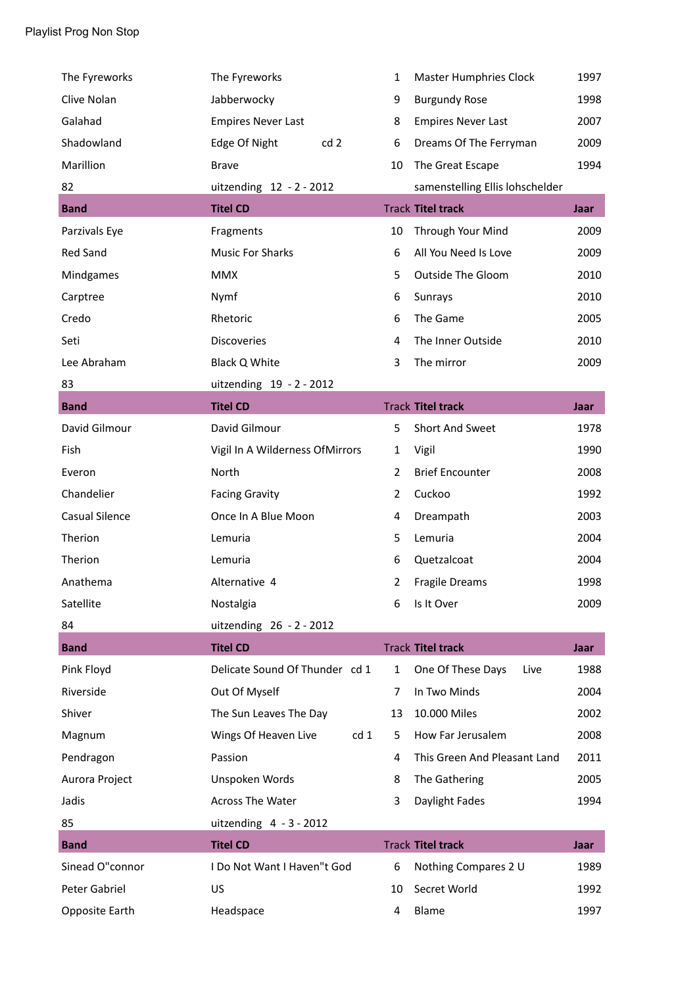| The Fyreworks   | The Fyreworks                           | 1              | <b>Master Humphries Clock</b>   | 1997        |
|-----------------|-----------------------------------------|----------------|---------------------------------|-------------|
| Clive Nolan     | Jabberwocky                             | 9              | <b>Burgundy Rose</b>            | 1998        |
| Galahad         | <b>Empires Never Last</b>               | 8              | <b>Empires Never Last</b>       | 2007        |
| Shadowland      | Edge Of Night<br>cd2                    | 6              | Dreams Of The Ferryman          | 2009        |
| Marillion       | <b>Brave</b>                            | 10             | The Great Escape                | 1994        |
| 82              | uitzending 12 - 2 - 2012                |                | samenstelling Ellis lohschelder |             |
| <b>Band</b>     | <b>Titel CD</b>                         |                | <b>Track Titel track</b>        | Jaar        |
| Parzivals Eye   | Fragments                               | 10             | Through Your Mind               | 2009        |
| <b>Red Sand</b> | <b>Music For Sharks</b>                 | 6              | All You Need Is Love            | 2009        |
| Mindgames       | <b>MMX</b>                              | 5              | <b>Outside The Gloom</b>        | 2010        |
| Carptree        | Nymf                                    | 6              | Sunrays                         | 2010        |
| Credo           | Rhetoric                                | 6              | The Game                        | 2005        |
| Seti            | <b>Discoveries</b>                      | 4              | The Inner Outside               | 2010        |
| Lee Abraham     | Black Q White                           | 3              | The mirror                      | 2009        |
| 83              | uitzending 19 - 2 - 2012                |                |                                 |             |
| <b>Band</b>     | <b>Titel CD</b>                         |                | <b>Track Titel track</b>        | <b>Jaar</b> |
| David Gilmour   | David Gilmour                           | 5              | <b>Short And Sweet</b>          | 1978        |
| Fish            | Vigil In A Wilderness OfMirrors         | $\mathbf{1}$   | Vigil                           | 1990        |
| Everon          | North                                   | $\overline{2}$ | <b>Brief Encounter</b>          | 2008        |
| Chandelier      | <b>Facing Gravity</b>                   | $\overline{2}$ | Cuckoo                          | 1992        |
| Casual Silence  | Once In A Blue Moon                     | 4              | Dreampath                       | 2003        |
| Therion         | Lemuria                                 | 5              | Lemuria                         | 2004        |
| Therion         | Lemuria                                 | 6              | Quetzalcoat                     | 2004        |
| Anathema        | Alternative 4                           | 2              | Fragile Dreams                  | 1998        |
| Satellite       | Nostalgia                               | 6              | Is It Over                      | 2009        |
| 84              | uitzending 26 - 2 - 2012                |                |                                 |             |
| <b>Band</b>     | <b>Titel CD</b>                         |                | <b>Track Titel track</b>        | <b>Jaar</b> |
| Pink Floyd      | Delicate Sound Of Thunder cd 1          | $\mathbf{1}$   | One Of These Days<br>Live       | 1988        |
| Riverside       | Out Of Myself                           | 7              | In Two Minds                    | 2004        |
| Shiver          | The Sun Leaves The Day                  | 13             | 10.000 Miles                    | 2002        |
| Magnum          | Wings Of Heaven Live<br>cd <sub>1</sub> | 5              | How Far Jerusalem               | 2008        |
| Pendragon       | Passion                                 | 4              | This Green And Pleasant Land    | 2011        |
| Aurora Project  | Unspoken Words                          | 8              | The Gathering                   | 2005        |
| Jadis           | <b>Across The Water</b>                 | 3              | Daylight Fades                  | 1994        |
| 85              | uitzending $4 - 3 - 2012$               |                |                                 |             |
| <b>Band</b>     | <b>Titel CD</b>                         |                | <b>Track Titel track</b>        | Jaar        |
| Sinead O"connor | I Do Not Want I Haven"t God             | 6              | Nothing Compares 2 U            | 1989        |
| Peter Gabriel   |                                         |                |                                 |             |
|                 | US                                      | 10             | Secret World                    | 1992        |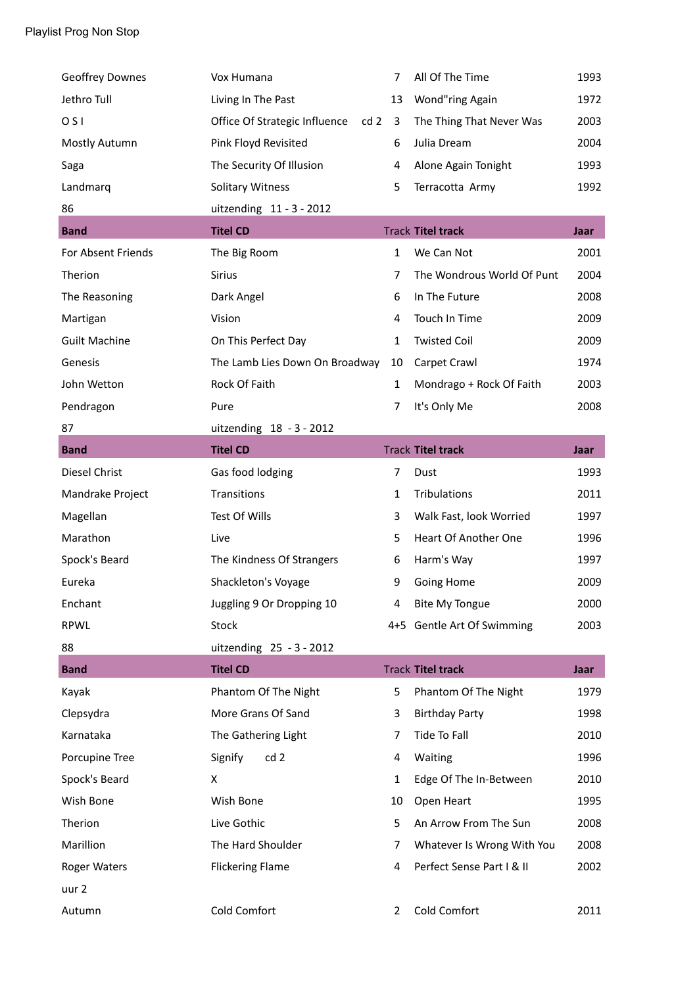| <b>Geoffrey Downes</b> | Vox Humana                           | 7            | All Of The Time            | 1993 |
|------------------------|--------------------------------------|--------------|----------------------------|------|
| Jethro Tull            | Living In The Past                   | 13           | Wond"ring Again            | 1972 |
| O <sub>S</sub>         | Office Of Strategic Influence<br>cd2 | $\mathbf{3}$ | The Thing That Never Was   | 2003 |
| Mostly Autumn          | Pink Floyd Revisited                 | 6            | Julia Dream                | 2004 |
| Saga                   | The Security Of Illusion             | 4            | Alone Again Tonight        | 1993 |
| Landmarq               | <b>Solitary Witness</b>              | 5            | Terracotta Army            | 1992 |
| 86                     | uitzending 11 - 3 - 2012             |              |                            |      |
| <b>Band</b>            | <b>Titel CD</b>                      |              | <b>Track Titel track</b>   | Jaar |
| For Absent Friends     | The Big Room                         | $\mathbf{1}$ | We Can Not                 | 2001 |
| Therion                | <b>Sirius</b>                        | 7            | The Wondrous World Of Punt | 2004 |
| The Reasoning          | Dark Angel                           | 6            | In The Future              | 2008 |
| Martigan               | Vision                               | 4            | Touch In Time              | 2009 |
| <b>Guilt Machine</b>   | On This Perfect Day                  | 1            | <b>Twisted Coil</b>        | 2009 |
| Genesis                | The Lamb Lies Down On Broadway       | 10           | Carpet Crawl               | 1974 |
| John Wetton            | Rock Of Faith                        | 1            | Mondrago + Rock Of Faith   | 2003 |
| Pendragon              | Pure                                 | 7            | It's Only Me               | 2008 |
| 87                     | uitzending 18 - 3 - 2012             |              |                            |      |
| <b>Band</b>            | <b>Titel CD</b>                      |              | <b>Track Titel track</b>   | Jaar |
| Diesel Christ          | Gas food lodging                     | 7            | Dust                       | 1993 |
| Mandrake Project       | Transitions                          | $\mathbf{1}$ | Tribulations               | 2011 |
| Magellan               | Test Of Wills                        | 3            | Walk Fast, look Worried    | 1997 |
| Marathon               | Live                                 | 5            | Heart Of Another One       | 1996 |
| Spock's Beard          | The Kindness Of Strangers            | 6            | Harm's Way                 | 1997 |
| Eureka                 | Shackleton's Voyage                  | 9            | <b>Going Home</b>          | 2009 |
| Enchant                | Juggling 9 Or Dropping 10            | 4            | <b>Bite My Tongue</b>      | 2000 |
| <b>RPWL</b>            | <b>Stock</b>                         |              | 4+5 Gentle Art Of Swimming | 2003 |
| 88                     | uitzending 25 - 3 - 2012             |              |                            |      |
| <b>Band</b>            | <b>Titel CD</b>                      |              | <b>Track Titel track</b>   | Jaar |
| Kayak                  | Phantom Of The Night                 | 5            | Phantom Of The Night       | 1979 |
| Clepsydra              | More Grans Of Sand                   | 3            | <b>Birthday Party</b>      | 1998 |
| Karnataka              | The Gathering Light                  | 7            | Tide To Fall               | 2010 |
| Porcupine Tree         | Signify<br>cd 2                      | 4            | Waiting                    | 1996 |
| Spock's Beard          | X                                    | $\mathbf{1}$ | Edge Of The In-Between     | 2010 |
| Wish Bone              | Wish Bone                            | 10           | Open Heart                 | 1995 |
| Therion                | Live Gothic                          | 5            | An Arrow From The Sun      | 2008 |
| Marillion              | The Hard Shoulder                    | 7            | Whatever Is Wrong With You | 2008 |
| <b>Roger Waters</b>    | <b>Flickering Flame</b>              | 4            | Perfect Sense Part I & II  | 2002 |
| uur 2                  |                                      |              |                            |      |
| Autumn                 | Cold Comfort                         | 2            | Cold Comfort               | 2011 |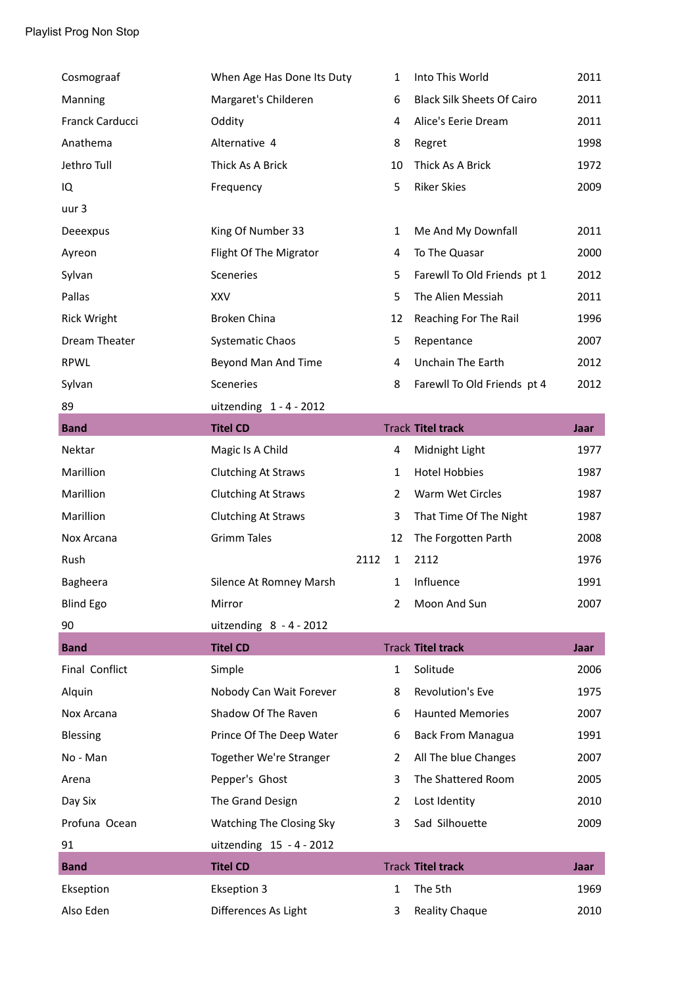|                    | When Age Has Done Its Duty | 1                    | Into This World                   | 2011        |
|--------------------|----------------------------|----------------------|-----------------------------------|-------------|
| Manning            | Margaret's Childeren       | 6                    | <b>Black Silk Sheets Of Cairo</b> | 2011        |
| Franck Carducci    | Oddity                     | 4                    | Alice's Eerie Dream               | 2011        |
| Anathema           | Alternative 4              | 8                    | Regret                            | 1998        |
| Jethro Tull        | Thick As A Brick           | 10                   | Thick As A Brick                  | 1972        |
| IQ                 | Frequency                  | 5                    | <b>Riker Skies</b>                | 2009        |
| uur 3              |                            |                      |                                   |             |
| Deeexpus           | King Of Number 33          | $\mathbf{1}$         | Me And My Downfall                | 2011        |
| Ayreon             | Flight Of The Migrator     | 4                    | To The Quasar                     | 2000        |
| Sylvan             | Sceneries                  | 5                    | Farewll To Old Friends pt 1       | 2012        |
| Pallas             | XXV                        | 5                    | The Alien Messiah                 | 2011        |
| <b>Rick Wright</b> | Broken China               | 12                   | Reaching For The Rail             | 1996        |
| Dream Theater      | <b>Systematic Chaos</b>    | 5                    | Repentance                        | 2007        |
| <b>RPWL</b>        | Beyond Man And Time        | 4                    | Unchain The Earth                 | 2012        |
| Sylvan             | Sceneries                  | 8                    | Farewll To Old Friends pt 4       | 2012        |
| 89                 | uitzending $1 - 4 - 2012$  |                      |                                   |             |
| <b>Band</b>        | <b>Titel CD</b>            |                      | <b>Track Titel track</b>          | <b>Jaar</b> |
| Nektar             | Magic Is A Child           | 4                    | Midnight Light                    | 1977        |
| Marillion          | <b>Clutching At Straws</b> | $\mathbf{1}$         | <b>Hotel Hobbies</b>              | 1987        |
| Marillion          | <b>Clutching At Straws</b> | 2                    | Warm Wet Circles                  | 1987        |
| Marillion          | <b>Clutching At Straws</b> | 3                    | That Time Of The Night            | 1987        |
|                    |                            |                      |                                   |             |
| Nox Arcana         | <b>Grimm Tales</b>         | 12                   | The Forgotten Parth               | 2008        |
| Rush               |                            | 2112<br>$\mathbf{1}$ | 2112                              | 1976        |
| Bagheera           | Silence At Romney Marsh    | 1                    | Influence                         | 1991        |
| <b>Blind Ego</b>   | Mirror                     | 2                    | Moon And Sun                      | 2007        |
| 90                 | uitzending $8 - 4 - 2012$  |                      |                                   |             |
| <b>Band</b>        | <b>Titel CD</b>            |                      | <b>Track Titel track</b>          | Jaar        |
| Final Conflict     | Simple                     | $\mathbf{1}$         | Solitude                          | 2006        |
| Alquin             | Nobody Can Wait Forever    | 8                    | Revolution's Eve                  | 1975        |
| Nox Arcana         | Shadow Of The Raven        | 6                    | <b>Haunted Memories</b>           | 2007        |
| <b>Blessing</b>    | Prince Of The Deep Water   | 6                    | <b>Back From Managua</b>          | 1991        |
| No - Man           | Together We're Stranger    | 2                    | All The blue Changes              | 2007        |
| Arena              | Pepper's Ghost             | 3                    | The Shattered Room                | 2005        |
| Day Six            | The Grand Design           | $\overline{2}$       | Lost Identity                     | 2010        |
| Profuna Ocean      | Watching The Closing Sky   | 3                    | Sad Silhouette                    | 2009        |
| 91                 | uitzending 15 - 4 - 2012   |                      |                                   |             |
| <b>Band</b>        | <b>Titel CD</b>            |                      | <b>Track Titel track</b>          | Jaar        |
| Ekseption          | <b>Ekseption 3</b>         | 1                    | The 5th                           | 1969        |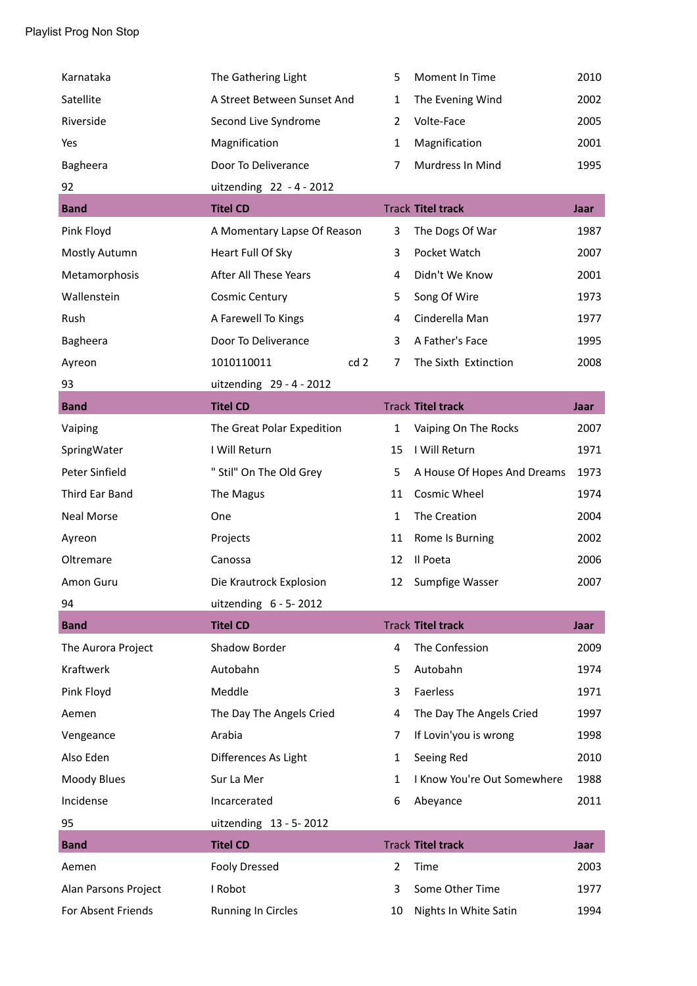| Karnataka            | The Gathering Light           | 5              | Moment In Time              | 2010        |
|----------------------|-------------------------------|----------------|-----------------------------|-------------|
| Satellite            | A Street Between Sunset And   | $\mathbf{1}$   | The Evening Wind            | 2002        |
| Riverside            | Second Live Syndrome          | $\overline{2}$ | Volte-Face                  | 2005        |
| Yes                  | Magnification                 | $\mathbf{1}$   | Magnification               | 2001        |
| Bagheera             | Door To Deliverance           | $\overline{7}$ | Murdress In Mind            | 1995        |
| 92                   | uitzending 22 - 4 - 2012      |                |                             |             |
| <b>Band</b>          | <b>Titel CD</b>               |                | <b>Track Titel track</b>    | Jaar        |
| Pink Floyd           | A Momentary Lapse Of Reason   | 3              | The Dogs Of War             | 1987        |
| Mostly Autumn        | Heart Full Of Sky             | 3              | Pocket Watch                | 2007        |
| Metamorphosis        | After All These Years         | 4              | Didn't We Know              | 2001        |
| Wallenstein          | <b>Cosmic Century</b>         | 5              | Song Of Wire                | 1973        |
| Rush                 | A Farewell To Kings           | 4              | Cinderella Man              | 1977        |
| Bagheera             | Door To Deliverance           | 3              | A Father's Face             | 1995        |
| Ayreon               | 1010110011<br>cd <sub>2</sub> | 7              | The Sixth Extinction        | 2008        |
| 93                   | uitzending 29 - 4 - 2012      |                |                             |             |
| <b>Band</b>          | <b>Titel CD</b>               |                | <b>Track Titel track</b>    | Jaar        |
| Vaiping              | The Great Polar Expedition    | $\mathbf{1}$   | Vaiping On The Rocks        | 2007        |
| SpringWater          | I Will Return                 | 15             | I Will Return               | 1971        |
| Peter Sinfield       | " Stil" On The Old Grey       | 5              | A House Of Hopes And Dreams | 1973        |
| Third Ear Band       | The Magus                     | 11             | Cosmic Wheel                | 1974        |
| Neal Morse           | One                           | $\mathbf{1}$   | The Creation                | 2004        |
| Ayreon               | Projects                      | 11             | Rome Is Burning             | 2002        |
| Oltremare            | Canossa                       | 12             | Il Poeta                    | 2006        |
| Amon Guru            | Die Krautrock Explosion       | 12             | Sumpfige Wasser             | 2007        |
| 94                   | uitzending $6 - 5 - 2012$     |                |                             |             |
| <b>Band</b>          | <b>Titel CD</b>               |                | <b>Track Titel track</b>    | Jaar        |
| The Aurora Project   | Shadow Border                 | 4              | The Confession              | 2009        |
| Kraftwerk            | Autobahn                      | 5              | Autobahn                    | 1974        |
| Pink Floyd           | Meddle                        | 3              | Faerless                    | 1971        |
| Aemen                | The Day The Angels Cried      | 4              | The Day The Angels Cried    | 1997        |
| Vengeance            | Arabia                        | 7              | If Lovin'you is wrong       | 1998        |
| Also Eden            | Differences As Light          | 1              | Seeing Red                  | 2010        |
| Moody Blues          | Sur La Mer                    | $\mathbf{1}$   | I Know You're Out Somewhere | 1988        |
| Incidense            | Incarcerated                  | 6              | Abeyance                    | 2011        |
| 95                   | uitzending 13 - 5-2012        |                |                             |             |
| <b>Band</b>          | <b>Titel CD</b>               |                | <b>Track Titel track</b>    | <b>Jaar</b> |
| Aemen                | <b>Fooly Dressed</b>          | $\overline{2}$ | Time                        | 2003        |
| Alan Parsons Project | I Robot                       | 3              | Some Other Time             | 1977        |
| For Absent Friends   | <b>Running In Circles</b>     | 10             | Nights In White Satin       | 1994        |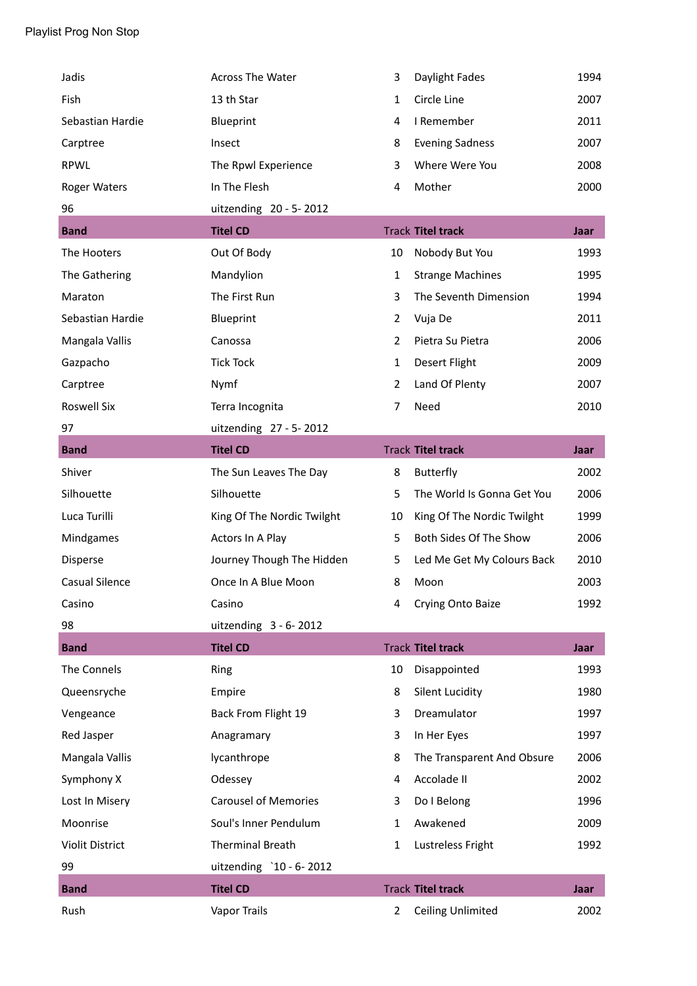| Jadis                  | <b>Across The Water</b>     | 3              | Daylight Fades             | 1994        |
|------------------------|-----------------------------|----------------|----------------------------|-------------|
| Fish                   | 13 th Star                  | 1              | Circle Line                | 2007        |
| Sebastian Hardie       | Blueprint                   | 4              | I Remember                 | 2011        |
| Carptree               | Insect                      | 8              | <b>Evening Sadness</b>     | 2007        |
| <b>RPWL</b>            | The Rpwl Experience         | 3              | Where Were You             | 2008        |
| <b>Roger Waters</b>    | In The Flesh                | 4              | Mother                     | 2000        |
| 96                     | uitzending 20 - 5-2012      |                |                            |             |
| <b>Band</b>            | <b>Titel CD</b>             |                | <b>Track Titel track</b>   | Jaar        |
| The Hooters            | Out Of Body                 | 10             | Nobody But You             | 1993        |
| The Gathering          | Mandylion                   | $\mathbf{1}$   | <b>Strange Machines</b>    | 1995        |
| Maraton                | The First Run               | 3              | The Seventh Dimension      | 1994        |
| Sebastian Hardie       | Blueprint                   | $\overline{2}$ | Vuja De                    | 2011        |
| Mangala Vallis         | Canossa                     | $\overline{2}$ | Pietra Su Pietra           | 2006        |
| Gazpacho               | <b>Tick Tock</b>            | 1              | Desert Flight              | 2009        |
| Carptree               | Nymf                        | $\overline{2}$ | Land Of Plenty             | 2007        |
| <b>Roswell Six</b>     | Terra Incognita             | $\overline{7}$ | Need                       | 2010        |
| 97                     | uitzending 27 - 5-2012      |                |                            |             |
| <b>Band</b>            | <b>Titel CD</b>             |                | <b>Track Titel track</b>   | Jaar        |
| Shiver                 | The Sun Leaves The Day      | 8              | <b>Butterfly</b>           | 2002        |
| Silhouette             | Silhouette                  | 5              | The World Is Gonna Get You | 2006        |
| Luca Turilli           | King Of The Nordic Twilght  | 10             | King Of The Nordic Twilght | 1999        |
| Mindgames              | Actors In A Play            | 5              | Both Sides Of The Show     | 2006        |
| Disperse               | Journey Though The Hidden   | 5              | Led Me Get My Colours Back | 2010        |
| <b>Casual Silence</b>  | Once In A Blue Moon         | 8              | Moon                       | 2003        |
| Casino                 | Casino                      | 4              | Crying Onto Baize          | 1992        |
| 98                     | uitzending $3 - 6 - 2012$   |                |                            |             |
| <b>Band</b>            | <b>Titel CD</b>             |                | <b>Track Titel track</b>   | Jaar        |
| The Connels            | Ring                        | 10             | Disappointed               | 1993        |
| Queensryche            | Empire                      | 8              | <b>Silent Lucidity</b>     | 1980        |
| Vengeance              | Back From Flight 19         | 3              | Dreamulator                | 1997        |
| Red Jasper             | Anagramary                  | 3              | In Her Eyes                | 1997        |
| Mangala Vallis         | lycanthrope                 | 8              | The Transparent And Obsure | 2006        |
| Symphony X             | Odessey                     | 4              | Accolade II                | 2002        |
| Lost In Misery         | <b>Carousel of Memories</b> | 3              | Do I Belong                | 1996        |
| Moonrise               | Soul's Inner Pendulum       | 1              | Awakened                   | 2009        |
|                        |                             |                |                            |             |
| <b>Violit District</b> | <b>Therminal Breath</b>     | 1              | Lustreless Fright          | 1992        |
| 99                     | uitzending `10 - 6-2012     |                |                            |             |
| <b>Band</b>            | <b>Titel CD</b>             |                | <b>Track Titel track</b>   | <b>Jaar</b> |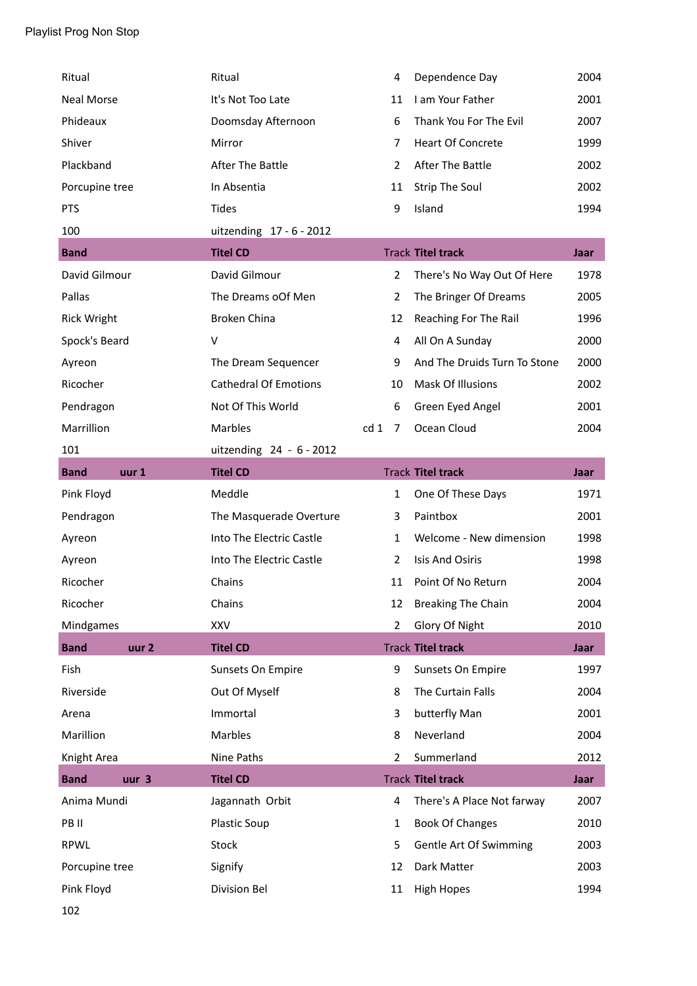| Ritual             |                  | Ritual                       |                 | $\overline{4}$ | Dependence Day               | 2004        |
|--------------------|------------------|------------------------------|-----------------|----------------|------------------------------|-------------|
| <b>Neal Morse</b>  |                  | It's Not Too Late            |                 | 11             | I am Your Father             | 2001        |
| Phideaux           |                  | Doomsday Afternoon           |                 | 6              | Thank You For The Evil       | 2007        |
| Shiver             |                  | Mirror                       |                 | 7              | <b>Heart Of Concrete</b>     | 1999        |
| Plackband          |                  | After The Battle             |                 | $\overline{2}$ | After The Battle             | 2002        |
| Porcupine tree     |                  | In Absentia                  |                 | 11             | <b>Strip The Soul</b>        | 2002        |
| <b>PTS</b>         |                  | <b>Tides</b>                 |                 | 9              | Island                       | 1994        |
| 100                |                  | uitzending 17 - 6 - 2012     |                 |                |                              |             |
| <b>Band</b>        |                  | <b>Titel CD</b>              |                 |                | <b>Track Titel track</b>     | <b>Jaar</b> |
| David Gilmour      |                  | David Gilmour                |                 | $\overline{2}$ | There's No Way Out Of Here   | 1978        |
| Pallas             |                  | The Dreams oOf Men           |                 | $\overline{2}$ | The Bringer Of Dreams        | 2005        |
| <b>Rick Wright</b> |                  | <b>Broken China</b>          |                 | 12             | Reaching For The Rail        | 1996        |
| Spock's Beard      |                  | $\vee$                       |                 | 4              | All On A Sunday              | 2000        |
| Ayreon             |                  | The Dream Sequencer          |                 | 9              | And The Druids Turn To Stone | 2000        |
| Ricocher           |                  | <b>Cathedral Of Emotions</b> |                 | 10             | Mask Of Illusions            | 2002        |
| Pendragon          |                  | Not Of This World            |                 | 6              | Green Eyed Angel             | 2001        |
| Marrillion         |                  | Marbles                      | cd <sub>1</sub> | 7              | Ocean Cloud                  | 2004        |
| 101                |                  | uitzending 24 - 6 - 2012     |                 |                |                              |             |
| <b>Band</b>        | uur 1            | <b>Titel CD</b>              |                 |                | <b>Track Titel track</b>     | Jaar        |
|                    |                  |                              |                 |                |                              |             |
| Pink Floyd         |                  | Meddle                       |                 | $\mathbf{1}$   | One Of These Days            | 1971        |
| Pendragon          |                  | The Masquerade Overture      |                 | 3              | Paintbox                     | 2001        |
| Ayreon             |                  | Into The Electric Castle     |                 | $\mathbf{1}$   | Welcome - New dimension      | 1998        |
| Ayreon             |                  | Into The Electric Castle     |                 | $\overline{2}$ | <b>Isis And Osiris</b>       | 1998        |
| Ricocher           |                  | Chains                       |                 | 11             | Point Of No Return           | 2004        |
| Ricocher           |                  | Chains                       |                 | 12             | <b>Breaking The Chain</b>    | 2004        |
| Mindgames          |                  | <b>XXV</b>                   |                 | $\overline{2}$ | Glory Of Night               | 2010        |
| <b>Band</b>        | uur <sub>2</sub> | <b>Titel CD</b>              |                 |                | <b>Track Titel track</b>     | <b>Jaar</b> |
| Fish               |                  | Sunsets On Empire            |                 | 9              | Sunsets On Empire            | 1997        |
| Riverside          |                  | Out Of Myself                |                 | 8              | The Curtain Falls            | 2004        |
| Arena              |                  | Immortal                     |                 | 3              | butterfly Man                | 2001        |
| Marillion          |                  | Marbles                      |                 | 8              | Neverland                    | 2004        |
| Knight Area        |                  | Nine Paths                   |                 | $\overline{2}$ | Summerland                   | 2012        |
| <b>Band</b>        | uur <sub>3</sub> | <b>Titel CD</b>              |                 |                | <b>Track Titel track</b>     | <b>Jaar</b> |
| Anima Mundi        |                  | Jagannath Orbit              |                 | 4              | There's A Place Not farway   | 2007        |
| PB II              |                  | <b>Plastic Soup</b>          |                 | $\mathbf{1}$   | <b>Book Of Changes</b>       | 2010        |
| <b>RPWL</b>        |                  | Stock                        |                 | 5              | Gentle Art Of Swimming       | 2003        |
| Porcupine tree     |                  | Signify                      |                 | 12             | Dark Matter                  | 2003        |
| Pink Floyd         |                  | <b>Division Bel</b>          |                 | 11             | <b>High Hopes</b>            | 1994        |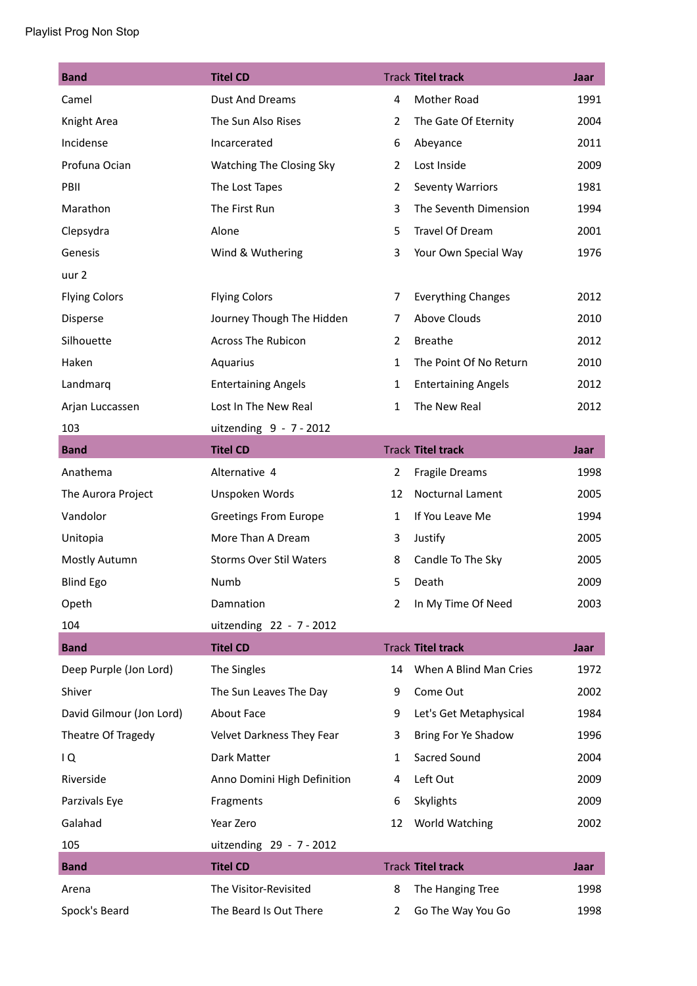| <b>Band</b>              | <b>Titel CD</b>                |                | <b>Track Titel track</b>   | Jaar |
|--------------------------|--------------------------------|----------------|----------------------------|------|
| Camel                    | <b>Dust And Dreams</b>         | $\overline{4}$ | Mother Road                | 1991 |
| Knight Area              | The Sun Also Rises             | $\overline{2}$ | The Gate Of Eternity       | 2004 |
| Incidense                | Incarcerated                   | 6              | Abeyance                   | 2011 |
| Profuna Ocian            | Watching The Closing Sky       | $\overline{2}$ | Lost Inside                | 2009 |
| PBII                     | The Lost Tapes                 | $\overline{2}$ | <b>Seventy Warriors</b>    | 1981 |
| Marathon                 | The First Run                  | 3              | The Seventh Dimension      | 1994 |
| Clepsydra                | Alone                          | 5              | Travel Of Dream            | 2001 |
| Genesis                  | Wind & Wuthering               | 3              | Your Own Special Way       | 1976 |
| uur 2                    |                                |                |                            |      |
| <b>Flying Colors</b>     | <b>Flying Colors</b>           | 7              | <b>Everything Changes</b>  | 2012 |
| Disperse                 | Journey Though The Hidden      | 7              | Above Clouds               | 2010 |
| Silhouette               | <b>Across The Rubicon</b>      | $\overline{2}$ | <b>Breathe</b>             | 2012 |
| Haken                    | Aquarius                       | $\mathbf{1}$   | The Point Of No Return     | 2010 |
| Landmarq                 | <b>Entertaining Angels</b>     | $\mathbf{1}$   | <b>Entertaining Angels</b> | 2012 |
| Arjan Luccassen          | Lost In The New Real           | $\mathbf{1}$   | The New Real               | 2012 |
| 103                      | uitzending 9 - 7 - 2012        |                |                            |      |
| <b>Band</b>              | <b>Titel CD</b>                |                | <b>Track Titel track</b>   | Jaar |
| Anathema                 | Alternative 4                  | $\overline{2}$ | Fragile Dreams             | 1998 |
| The Aurora Project       | Unspoken Words                 | 12             | Nocturnal Lament           | 2005 |
| Vandolor                 | <b>Greetings From Europe</b>   | $\mathbf{1}$   | If You Leave Me            | 1994 |
| Unitopia                 | More Than A Dream              | 3              | Justify                    | 2005 |
| Mostly Autumn            | <b>Storms Over Stil Waters</b> | 8              | Candle To The Sky          | 2005 |
| <b>Blind Ego</b>         | Numb                           | 5              | Death                      | 2009 |
| Opeth                    | Damnation                      | 2              | In My Time Of Need         | 2003 |
| 104                      | uitzending 22 - 7 - 2012       |                |                            |      |
| <b>Band</b>              | <b>Titel CD</b>                |                | <b>Track Titel track</b>   | Jaar |
| Deep Purple (Jon Lord)   | The Singles                    | 14             | When A Blind Man Cries     | 1972 |
| Shiver                   | The Sun Leaves The Day         | 9              | Come Out                   | 2002 |
| David Gilmour (Jon Lord) | About Face                     | 9              | Let's Get Metaphysical     | 1984 |
| Theatre Of Tragedy       | Velvet Darkness They Fear      | 3              | Bring For Ye Shadow        | 1996 |
| $\overline{Q}$           | Dark Matter                    | $\mathbf{1}$   | Sacred Sound               | 2004 |
| Riverside                | Anno Domini High Definition    | 4              | Left Out                   | 2009 |
| Parzivals Eye            | Fragments                      | 6              | Skylights                  | 2009 |
| Galahad                  | Year Zero                      | 12             | World Watching             | 2002 |
| 105                      | uitzending 29 - 7 - 2012       |                |                            |      |
| <b>Band</b>              | <b>Titel CD</b>                |                | <b>Track Titel track</b>   | Jaar |
| Arena                    | The Visitor-Revisited          | 8              | The Hanging Tree           | 1998 |
| Spock's Beard            | The Beard Is Out There         | 2              | Go The Way You Go          | 1998 |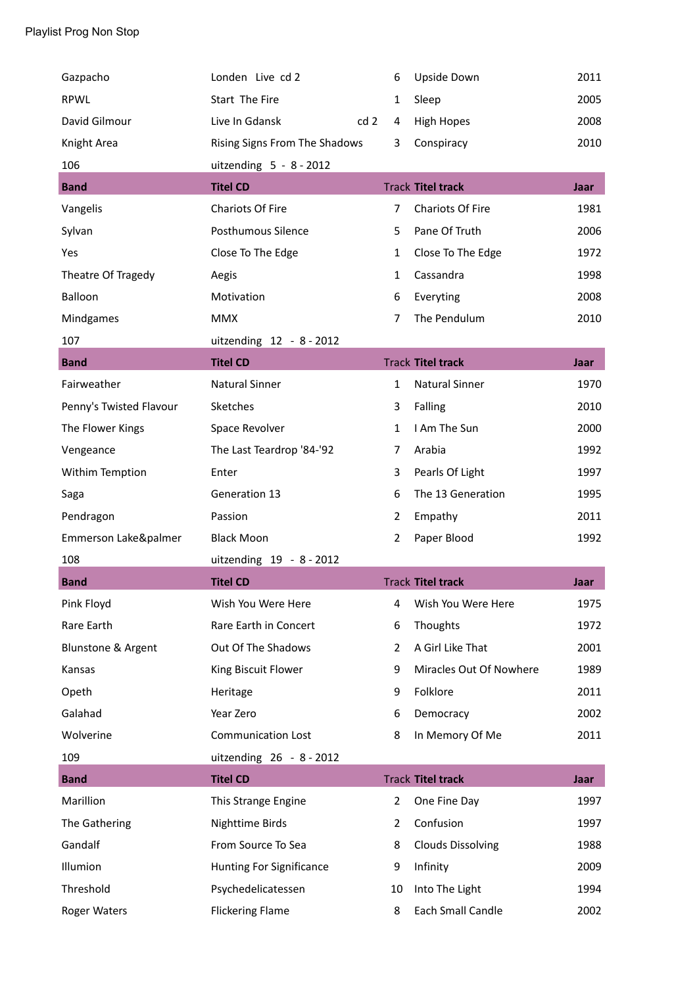| Gazpacho                | Londen Live cd 2                | 6              | Upside Down              | 2011 |
|-------------------------|---------------------------------|----------------|--------------------------|------|
| <b>RPWL</b>             | Start The Fire                  | 1              | Sleep                    | 2005 |
| David Gilmour           | Live In Gdansk<br>cd 2          | 4              | <b>High Hopes</b>        | 2008 |
| Knight Area             | Rising Signs From The Shadows   | 3              | Conspiracy               | 2010 |
| 106                     | uitzending $5 - 8 - 2012$       |                |                          |      |
| <b>Band</b>             | <b>Titel CD</b>                 |                | <b>Track Titel track</b> | Jaar |
| Vangelis                | <b>Chariots Of Fire</b>         | $\overline{7}$ | <b>Chariots Of Fire</b>  | 1981 |
| Sylvan                  | Posthumous Silence              | 5              | Pane Of Truth            | 2006 |
| Yes                     | Close To The Edge               | $\mathbf{1}$   | Close To The Edge        | 1972 |
| Theatre Of Tragedy      | Aegis                           | $\mathbf{1}$   | Cassandra                | 1998 |
| Balloon                 | Motivation                      | 6              | Everyting                | 2008 |
| Mindgames               | <b>MMX</b>                      | 7              | The Pendulum             | 2010 |
| 107                     | uitzending 12 - 8 - 2012        |                |                          |      |
| <b>Band</b>             | <b>Titel CD</b>                 |                | <b>Track Titel track</b> | Jaar |
| Fairweather             | <b>Natural Sinner</b>           | $\mathbf{1}$   | <b>Natural Sinner</b>    | 1970 |
| Penny's Twisted Flavour | Sketches                        | 3              | Falling                  | 2010 |
| The Flower Kings        | Space Revolver                  | $\mathbf{1}$   | I Am The Sun             | 2000 |
| Vengeance               | The Last Teardrop '84-'92       | $\overline{7}$ | Arabia                   | 1992 |
| Withim Temption         | Enter                           | 3              | Pearls Of Light          | 1997 |
| Saga                    | Generation 13                   | 6              | The 13 Generation        | 1995 |
| Pendragon               | Passion                         | $\overline{2}$ | Empathy                  | 2011 |
| Emmerson Lake&palmer    | <b>Black Moon</b>               | $\overline{2}$ | Paper Blood              | 1992 |
| 108                     | uitzending 19 - 8 - 2012        |                |                          |      |
| <b>Band</b>             | <b>Titel CD</b>                 |                | <b>Track Titel track</b> | Jaar |
| Pink Floyd              | Wish You Were Here              | 4              | Wish You Were Here       | 1975 |
| Rare Earth              | Rare Earth in Concert           | 6              | Thoughts                 | 1972 |
| Blunstone & Argent      | Out Of The Shadows              | $\overline{2}$ | A Girl Like That         | 2001 |
| Kansas                  | King Biscuit Flower             | 9              | Miracles Out Of Nowhere  | 1989 |
| Opeth                   | Heritage                        | 9              | Folklore                 | 2011 |
| Galahad                 | Year Zero                       | 6              | Democracy                | 2002 |
| Wolverine               | <b>Communication Lost</b>       | 8              | In Memory Of Me          | 2011 |
| 109                     | uitzending 26 - 8 - 2012        |                |                          |      |
| <b>Band</b>             | <b>Titel CD</b>                 |                | <b>Track Titel track</b> | Jaar |
| Marillion               | This Strange Engine             | $\overline{2}$ | One Fine Day             | 1997 |
| The Gathering           | Nighttime Birds                 | $\overline{2}$ | Confusion                | 1997 |
| Gandalf                 | From Source To Sea              | 8              | <b>Clouds Dissolving</b> | 1988 |
| Illumion                | <b>Hunting For Significance</b> | 9              | Infinity                 | 2009 |
| Threshold               | Psychedelicatessen              | 10             | Into The Light           | 1994 |
|                         |                                 |                |                          |      |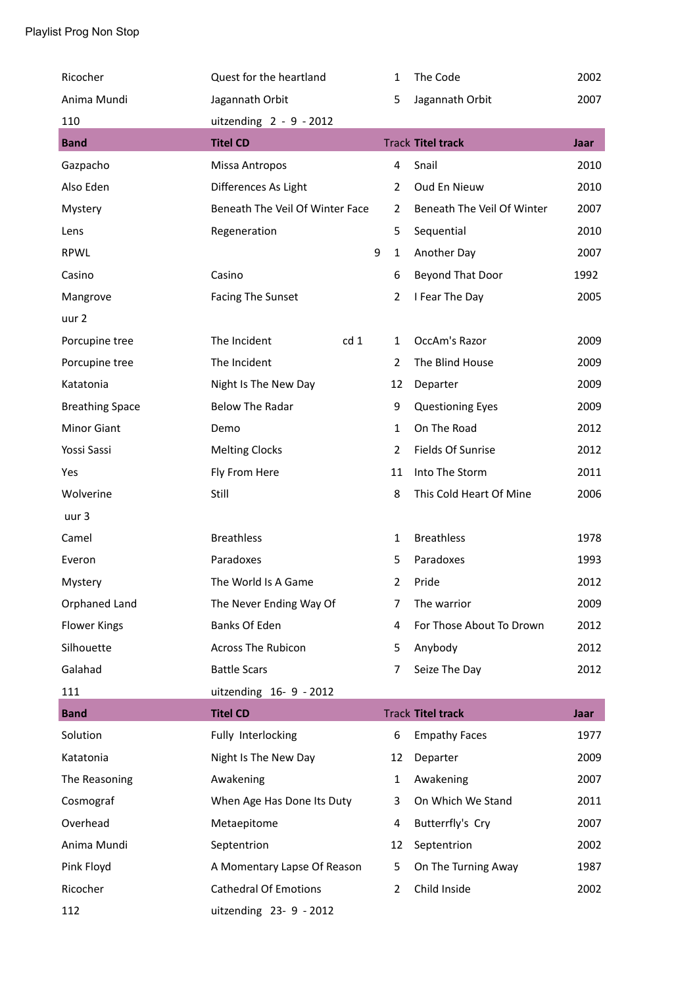| Ricocher               | Quest for the heartland         |   | 1              | The Code                   | 2002        |
|------------------------|---------------------------------|---|----------------|----------------------------|-------------|
| Anima Mundi            | Jagannath Orbit                 |   | 5              | Jagannath Orbit            | 2007        |
| 110                    | uitzending $2 - 9 - 2012$       |   |                |                            |             |
| <b>Band</b>            | <b>Titel CD</b>                 |   |                | <b>Track Titel track</b>   | <b>Jaar</b> |
| Gazpacho               | Missa Antropos                  |   | 4              | Snail                      | 2010        |
| Also Eden              | Differences As Light            |   | $\overline{2}$ | Oud En Nieuw               | 2010        |
| Mystery                | Beneath The Veil Of Winter Face |   | $\overline{2}$ | Beneath The Veil Of Winter | 2007        |
| Lens                   | Regeneration                    |   | 5              | Sequential                 | 2010        |
| <b>RPWL</b>            |                                 | 9 | $\mathbf{1}$   | Another Day                | 2007        |
| Casino                 | Casino                          |   | 6              | Beyond That Door           | 1992        |
| Mangrove               | <b>Facing The Sunset</b>        |   | $\overline{2}$ | I Fear The Day             | 2005        |
| uur 2                  |                                 |   |                |                            |             |
| Porcupine tree         | The Incident<br>cd <sub>1</sub> |   | 1              | OccAm's Razor              | 2009        |
| Porcupine tree         | The Incident                    |   | $\overline{2}$ | The Blind House            | 2009        |
| Katatonia              | Night Is The New Day            |   | 12             | Departer                   | 2009        |
| <b>Breathing Space</b> | <b>Below The Radar</b>          |   | 9              | <b>Questioning Eyes</b>    | 2009        |
| <b>Minor Giant</b>     | Demo                            |   | $\mathbf{1}$   | On The Road                | 2012        |
| Yossi Sassi            | <b>Melting Clocks</b>           |   | $\overline{2}$ | Fields Of Sunrise          | 2012        |
| Yes                    | Fly From Here                   |   | 11             | Into The Storm             | 2011        |
| Wolverine              | Still                           |   | 8              | This Cold Heart Of Mine    | 2006        |
| uur 3                  |                                 |   |                |                            |             |
| Camel                  | <b>Breathless</b>               |   | 1              | <b>Breathless</b>          | 1978        |
| Everon                 | Paradoxes                       |   | 5              | Paradoxes                  | 1993        |
| Mystery                | The World Is A Game             |   | $\overline{2}$ | Pride                      | 2012        |
| Orphaned Land          | The Never Ending Way Of         |   | 7              | The warrior                | 2009        |
| <b>Flower Kings</b>    | Banks Of Eden                   |   | 4              | For Those About To Drown   | 2012        |
| Silhouette             | Across The Rubicon              |   | 5              | Anybody                    | 2012        |
| Galahad                | <b>Battle Scars</b>             |   | $\overline{7}$ | Seize The Day              | 2012        |
| 111                    | uitzending 16-9 - 2012          |   |                |                            |             |
| <b>Band</b>            | <b>Titel CD</b>                 |   |                | <b>Track Titel track</b>   | <b>Jaar</b> |
| Solution               | Fully Interlocking              |   | 6              | <b>Empathy Faces</b>       | 1977        |
| Katatonia              | Night Is The New Day            |   | 12             | Departer                   | 2009        |
| The Reasoning          | Awakening                       |   | $\mathbf{1}$   | Awakening                  | 2007        |
| Cosmograf              | When Age Has Done Its Duty      |   | 3              | On Which We Stand          | 2011        |
| Overhead               | Metaepitome                     |   | 4              | Butterrfly's Cry           | 2007        |
| Anima Mundi            | Septentrion                     |   | 12             | Septentrion                | 2002        |
| Pink Floyd             | A Momentary Lapse Of Reason     |   | 5              | On The Turning Away        | 1987        |
| Ricocher               | <b>Cathedral Of Emotions</b>    |   | 2              | Child Inside               | 2002        |
| 112                    | uitzending 23- 9 - 2012         |   |                |                            |             |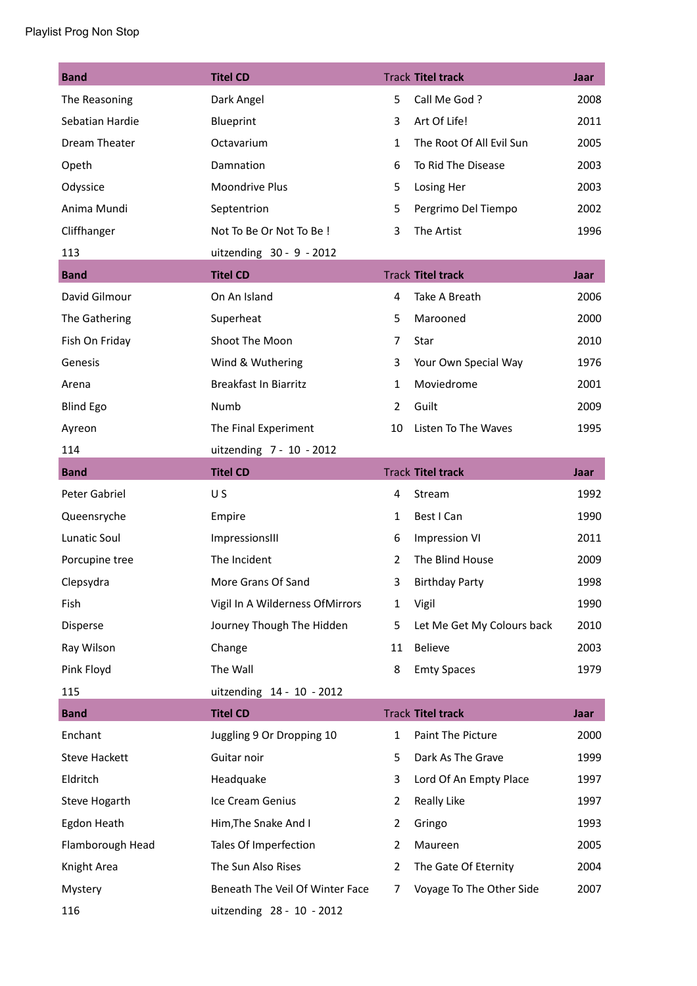| <b>Band</b>          | <b>Titel CD</b>                 |                | <b>Track Titel track</b>   | Jaar |
|----------------------|---------------------------------|----------------|----------------------------|------|
| The Reasoning        | Dark Angel                      | 5              | Call Me God?               | 2008 |
| Sebatian Hardie      | Blueprint                       | 3              | Art Of Life!               | 2011 |
| Dream Theater        | Octavarium                      | $\mathbf{1}$   | The Root Of All Evil Sun   | 2005 |
| Opeth                | Damnation                       | 6              | To Rid The Disease         | 2003 |
| Odyssice             | <b>Moondrive Plus</b>           | 5              | Losing Her                 | 2003 |
| Anima Mundi          | Septentrion                     | 5              | Pergrimo Del Tiempo        | 2002 |
| Cliffhanger          | Not To Be Or Not To Be !        | 3              | The Artist                 | 1996 |
| 113                  | uitzending 30 - 9 - 2012        |                |                            |      |
| <b>Band</b>          | <b>Titel CD</b>                 |                | <b>Track Titel track</b>   | Jaar |
| David Gilmour        | On An Island                    | 4              | Take A Breath              | 2006 |
| The Gathering        | Superheat                       | 5              | Marooned                   | 2000 |
| Fish On Friday       | Shoot The Moon                  | $\overline{7}$ | Star                       | 2010 |
| Genesis              | Wind & Wuthering                | 3              | Your Own Special Way       | 1976 |
| Arena                | <b>Breakfast In Biarritz</b>    | $\mathbf{1}$   | Moviedrome                 | 2001 |
| <b>Blind Ego</b>     | Numb                            | $\overline{2}$ | Guilt                      | 2009 |
| Ayreon               | The Final Experiment            | 10             | Listen To The Waves        | 1995 |
| 114                  | uitzending 7 - 10 - 2012        |                |                            |      |
| <b>Band</b>          | <b>Titel CD</b>                 |                | <b>Track Titel track</b>   | Jaar |
| Peter Gabriel        | U S                             | 4              | Stream                     | 1992 |
| Queensryche          | Empire                          | 1              | Best I Can                 | 1990 |
| Lunatic Soul         | ImpressionsIII                  | 6              | <b>Impression VI</b>       | 2011 |
| Porcupine tree       | The Incident                    | $\overline{2}$ | The Blind House            | 2009 |
| Clepsydra            | More Grans Of Sand              | 3              | <b>Birthday Party</b>      | 1998 |
| Fish                 | Vigil In A Wilderness OfMirrors | 1              | Vigil                      | 1990 |
| Disperse             | Journey Though The Hidden       | 5              | Let Me Get My Colours back | 2010 |
| Ray Wilson           | Change                          | 11             | Believe                    | 2003 |
| Pink Floyd           | The Wall                        | 8              | <b>Emty Spaces</b>         | 1979 |
| 115                  | uitzending 14 - 10 - 2012       |                |                            |      |
| <b>Band</b>          | <b>Titel CD</b>                 |                | <b>Track Titel track</b>   | Jaar |
| Enchant              | Juggling 9 Or Dropping 10       | 1              | Paint The Picture          | 2000 |
| <b>Steve Hackett</b> | Guitar noir                     | 5              | Dark As The Grave          | 1999 |
| Eldritch             | Headquake                       | 3              | Lord Of An Empty Place     | 1997 |
| Steve Hogarth        | Ice Cream Genius                | $\overline{2}$ | Really Like                | 1997 |
| Egdon Heath          | Him, The Snake And I            | $\overline{2}$ | Gringo                     | 1993 |
| Flamborough Head     | Tales Of Imperfection           | 2              | Maureen                    | 2005 |
| Knight Area          | The Sun Also Rises              | 2              | The Gate Of Eternity       | 2004 |
| Mystery              | Beneath The Veil Of Winter Face | 7              | Voyage To The Other Side   | 2007 |
| 116                  | uitzending 28 - 10 - 2012       |                |                            |      |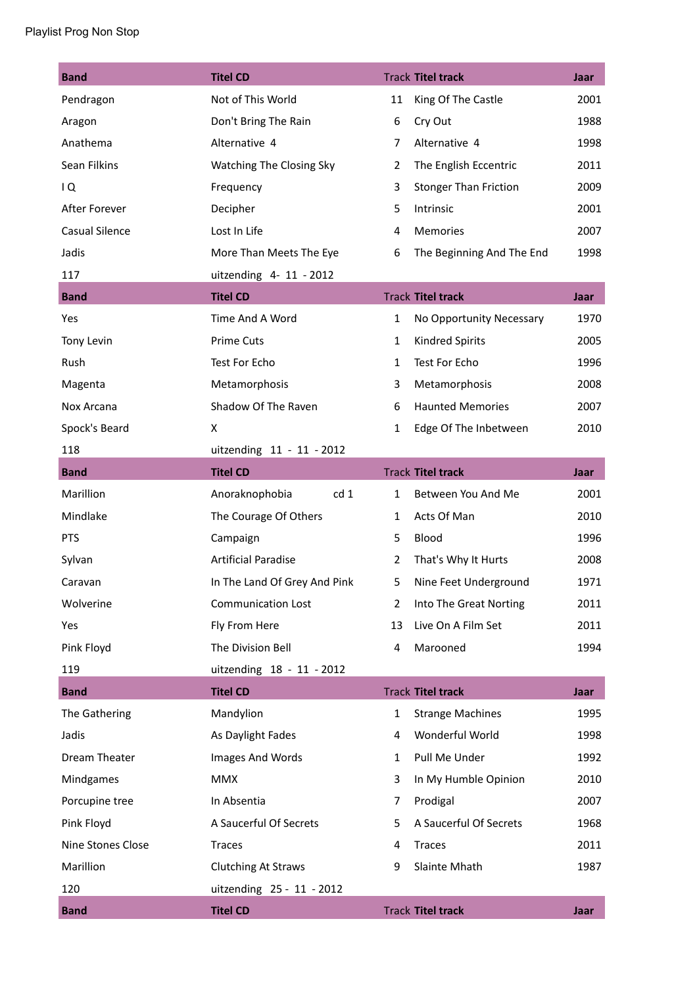| <b>Band</b>           | <b>Titel CD</b>                   |                | <b>Track Titel track</b>     | Jaar |
|-----------------------|-----------------------------------|----------------|------------------------------|------|
| Pendragon             | Not of This World                 | 11             | King Of The Castle           | 2001 |
| Aragon                | Don't Bring The Rain              | 6              | Cry Out                      | 1988 |
| Anathema              | Alternative 4                     | 7              | Alternative 4                | 1998 |
| Sean Filkins          | Watching The Closing Sky          | 2              | The English Eccentric        | 2011 |
| 1Q                    | Frequency                         | 3              | <b>Stonger Than Friction</b> | 2009 |
| After Forever         | Decipher                          | 5              | Intrinsic                    | 2001 |
| <b>Casual Silence</b> | Lost In Life                      | 4              | Memories                     | 2007 |
| Jadis                 | More Than Meets The Eye           | 6              | The Beginning And The End    | 1998 |
| 117                   | uitzending 4- 11 - 2012           |                |                              |      |
| <b>Band</b>           | <b>Titel CD</b>                   |                | <b>Track Titel track</b>     | Jaar |
| Yes                   | Time And A Word                   | $\mathbf{1}$   | No Opportunity Necessary     | 1970 |
| Tony Levin            | <b>Prime Cuts</b>                 | 1              | Kindred Spirits              | 2005 |
| Rush                  | <b>Test For Echo</b>              | 1              | Test For Echo                | 1996 |
| Magenta               | Metamorphosis                     | 3              | Metamorphosis                | 2008 |
| Nox Arcana            | Shadow Of The Raven               | 6              | <b>Haunted Memories</b>      | 2007 |
| Spock's Beard         | X                                 | 1              | Edge Of The Inbetween        | 2010 |
| 118                   | uitzending 11 - 11 - 2012         |                |                              |      |
| <b>Band</b>           | <b>Titel CD</b>                   |                | <b>Track Titel track</b>     | Jaar |
| Marillion             | Anoraknophobia<br>cd <sub>1</sub> | $\mathbf{1}$   | Between You And Me           | 2001 |
| Mindlake              | The Courage Of Others             | 1              | Acts Of Man                  | 2010 |
| <b>PTS</b>            | Campaign                          | 5              | Blood                        | 1996 |
| Sylvan                | <b>Artificial Paradise</b>        | 2              | That's Why It Hurts          | 2008 |
| Caravan               | In The Land Of Grey And Pink      | 5              | Nine Feet Underground        | 1971 |
| Wolverine             | <b>Communication Lost</b>         | 2              | Into The Great Norting       | 2011 |
| Yes                   | Fly From Here                     | 13             | Live On A Film Set           | 2011 |
| Pink Floyd            | The Division Bell                 | 4              | Marooned                     | 1994 |
| 119                   | uitzending 18 - 11 - 2012         |                |                              |      |
| <b>Band</b>           | <b>Titel CD</b>                   |                | <b>Track Titel track</b>     | Jaar |
| The Gathering         | Mandylion                         | 1              | <b>Strange Machines</b>      | 1995 |
| Jadis                 | As Daylight Fades                 | 4              | Wonderful World              | 1998 |
| Dream Theater         | Images And Words                  | $\mathbf 1$    | Pull Me Under                | 1992 |
| Mindgames             | <b>MMX</b>                        | 3              | In My Humble Opinion         | 2010 |
| Porcupine tree        | In Absentia                       | $\overline{7}$ | Prodigal                     | 2007 |
| Pink Floyd            | A Saucerful Of Secrets            | 5              | A Saucerful Of Secrets       | 1968 |
| Nine Stones Close     | <b>Traces</b>                     | 4              | <b>Traces</b>                | 2011 |
| Marillion             | <b>Clutching At Straws</b>        | 9              | Slainte Mhath                | 1987 |
| 120                   | uitzending 25 - 11 - 2012         |                |                              |      |
| <b>Band</b>           | <b>Titel CD</b>                   |                | <b>Track Titel track</b>     | Jaar |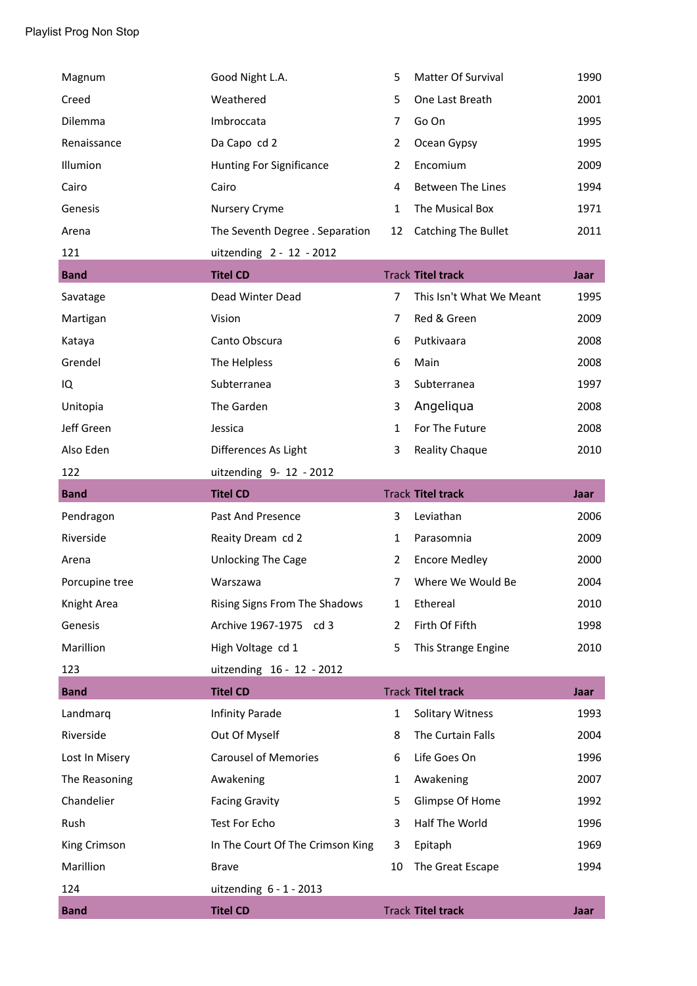| Magnum         | Good Night L.A.                  | 5              | Matter Of Survival         | 1990        |
|----------------|----------------------------------|----------------|----------------------------|-------------|
| Creed          | Weathered                        | 5              | One Last Breath            | 2001        |
| Dilemma        | Imbroccata                       | $\overline{7}$ | Go On                      | 1995        |
| Renaissance    | Da Capo cd 2                     | $\overline{2}$ | Ocean Gypsy                | 1995        |
| Illumion       | Hunting For Significance         | 2              | Encomium                   | 2009        |
| Cairo          | Cairo                            | 4              | <b>Between The Lines</b>   | 1994        |
| Genesis        | Nursery Cryme                    | $\mathbf{1}$   | The Musical Box            | 1971        |
| Arena          | The Seventh Degree . Separation  | 12             | <b>Catching The Bullet</b> | 2011        |
| 121            | uitzending 2 - 12 - 2012         |                |                            |             |
| <b>Band</b>    | <b>Titel CD</b>                  |                | <b>Track Titel track</b>   | <b>Jaar</b> |
| Savatage       | Dead Winter Dead                 | $\overline{7}$ | This Isn't What We Meant   | 1995        |
| Martigan       | Vision                           | $\overline{7}$ | Red & Green                | 2009        |
| Kataya         | Canto Obscura                    | 6              | Putkivaara                 | 2008        |
| Grendel        | The Helpless                     | 6              | Main                       | 2008        |
| IQ             | Subterranea                      | 3              | Subterranea                | 1997        |
| Unitopia       | The Garden                       | 3              | Angeliqua                  | 2008        |
| Jeff Green     | Jessica                          | $\mathbf{1}$   | For The Future             | 2008        |
| Also Eden      | Differences As Light             | 3              | Reality Chaque             | 2010        |
| 122            | uitzending 9- 12 - 2012          |                |                            |             |
| <b>Band</b>    | <b>Titel CD</b>                  |                | <b>Track Titel track</b>   | <b>Jaar</b> |
| Pendragon      | Past And Presence                | 3              | Leviathan                  | 2006        |
| Riverside      | Reaity Dream cd 2                | $\mathbf{1}$   | Parasomnia                 | 2009        |
| Arena          | Unlocking The Cage               | 2              | <b>Encore Medley</b>       | 2000        |
| Porcupine tree | Warszawa                         | $\overline{7}$ | Where We Would Be          | 2004        |
| Knight Area    | Rising Signs From The Shadows    | 1              | Ethereal                   | 2010        |
| Genesis        | Archive 1967-1975 cd 3           | $\overline{2}$ | Firth Of Fifth             | 1998        |
| Marillion      | High Voltage cd 1                | 5              | This Strange Engine        | 2010        |
| 123            | uitzending 16 - 12 - 2012        |                |                            |             |
| <b>Band</b>    | <b>Titel CD</b>                  |                | <b>Track Titel track</b>   | <b>Jaar</b> |
| Landmarq       | <b>Infinity Parade</b>           | $\mathbf{1}$   | <b>Solitary Witness</b>    | 1993        |
| Riverside      | Out Of Myself                    | 8              | The Curtain Falls          | 2004        |
| Lost In Misery | <b>Carousel of Memories</b>      | 6              | Life Goes On               | 1996        |
| The Reasoning  | Awakening                        | $\mathbf{1}$   | Awakening                  | 2007        |
| Chandelier     | <b>Facing Gravity</b>            | 5              | Glimpse Of Home            | 1992        |
| Rush           | Test For Echo                    | 3              | Half The World             | 1996        |
| King Crimson   | In The Court Of The Crimson King | 3              | Epitaph                    | 1969        |
| Marillion      | <b>Brave</b>                     | 10             | The Great Escape           | 1994        |
| 124            | uitzending $6 - 1 - 2013$        |                |                            |             |
| <b>Band</b>    | <b>Titel CD</b>                  |                | <b>Track Titel track</b>   | Jaar        |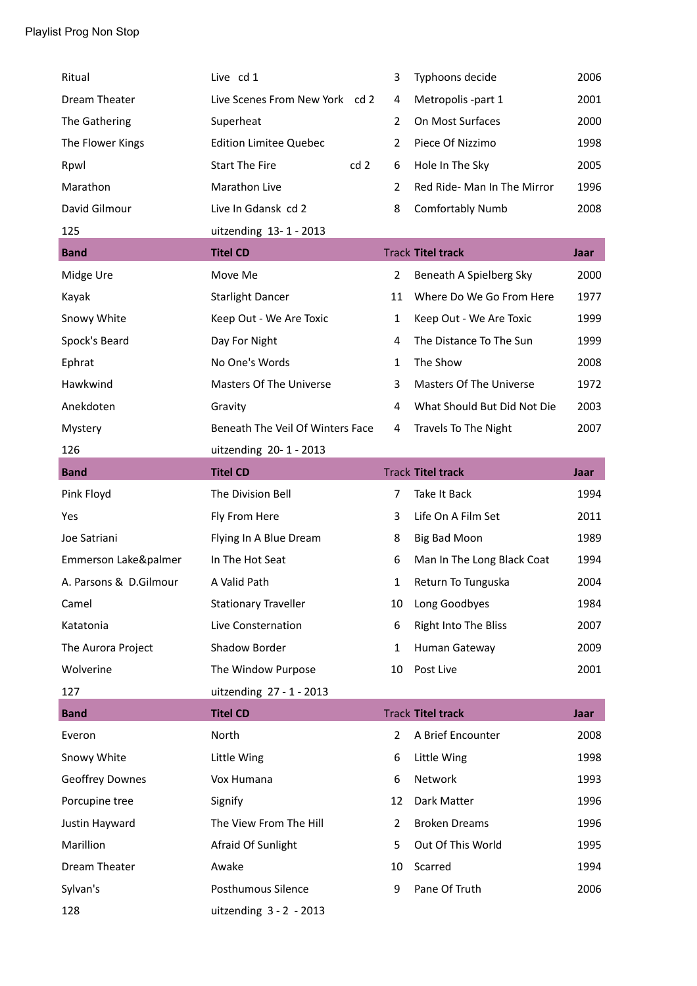| Ritual                 | Live cd 1                        | 3              | Typhoons decide                | 2006        |
|------------------------|----------------------------------|----------------|--------------------------------|-------------|
| Dream Theater          | Live Scenes From New York cd 2   | 4              | Metropolis -part 1             | 2001        |
| The Gathering          | Superheat                        | $\overline{2}$ | On Most Surfaces               | 2000        |
| The Flower Kings       | <b>Edition Limitee Quebec</b>    | 2              | Piece Of Nizzimo               | 1998        |
| Rpwl                   | <b>Start The Fire</b><br>cd2     | 6              | Hole In The Sky                | 2005        |
| Marathon               | Marathon Live                    | 2              | Red Ride- Man In The Mirror    | 1996        |
| David Gilmour          | Live In Gdansk cd 2              | 8              | <b>Comfortably Numb</b>        | 2008        |
| 125                    | uitzending 13-1-2013             |                |                                |             |
| <b>Band</b>            | <b>Titel CD</b>                  |                | <b>Track Titel track</b>       | Jaar        |
| Midge Ure              | Move Me                          | $\overline{2}$ | Beneath A Spielberg Sky        | 2000        |
| Kayak                  | <b>Starlight Dancer</b>          | 11             | Where Do We Go From Here       | 1977        |
| Snowy White            | Keep Out - We Are Toxic          | 1              | Keep Out - We Are Toxic        | 1999        |
| Spock's Beard          | Day For Night                    | 4              | The Distance To The Sun        | 1999        |
| Ephrat                 | No One's Words                   | 1              | The Show                       | 2008        |
| Hawkwind               | <b>Masters Of The Universe</b>   | 3              | <b>Masters Of The Universe</b> | 1972        |
| Anekdoten              | Gravity                          | 4              | What Should But Did Not Die    | 2003        |
| Mystery                | Beneath The Veil Of Winters Face | 4              | Travels To The Night           | 2007        |
| 126                    | uitzending 20-1-2013             |                |                                |             |
| <b>Band</b>            | <b>Titel CD</b>                  |                | <b>Track Titel track</b>       | Jaar        |
|                        |                                  |                |                                |             |
| Pink Floyd             | The Division Bell                | $\overline{7}$ | Take It Back                   | 1994        |
| Yes                    | Fly From Here                    | 3              | Life On A Film Set             | 2011        |
| Joe Satriani           | Flying In A Blue Dream           | 8              | <b>Big Bad Moon</b>            | 1989        |
| Emmerson Lake&palmer   | In The Hot Seat                  | 6              | Man In The Long Black Coat     | 1994        |
| A. Parsons & D.Gilmour | A Valid Path                     | 1              | Return To Tunguska             | 2004        |
| Camel                  | <b>Stationary Traveller</b>      | 10             | Long Goodbyes                  | 1984        |
| Katatonia              | Live Consternation               | 6              | Right Into The Bliss           | 2007        |
| The Aurora Project     | Shadow Border                    | $\mathbf{1}$   | Human Gateway                  | 2009        |
| Wolverine              | The Window Purpose               | 10             | Post Live                      | 2001        |
| 127                    | uitzending 27 - 1 - 2013         |                |                                |             |
| <b>Band</b>            | <b>Titel CD</b>                  |                | <b>Track Titel track</b>       | <b>Jaar</b> |
| Everon                 | North                            | $\overline{2}$ | A Brief Encounter              | 2008        |
| Snowy White            | Little Wing                      | 6              | Little Wing                    | 1998        |
| Geoffrey Downes        | Vox Humana                       | 6              | Network                        | 1993        |
| Porcupine tree         | Signify                          | 12             | Dark Matter                    | 1996        |
| Justin Hayward         | The View From The Hill           | $\overline{2}$ | <b>Broken Dreams</b>           | 1996        |
| Marillion              | Afraid Of Sunlight               | 5              | Out Of This World              | 1995        |
| Dream Theater          | Awake                            | 10             | Scarred                        | 1994        |
| Sylvan's               | Posthumous Silence               | 9              | Pane Of Truth                  | 2006        |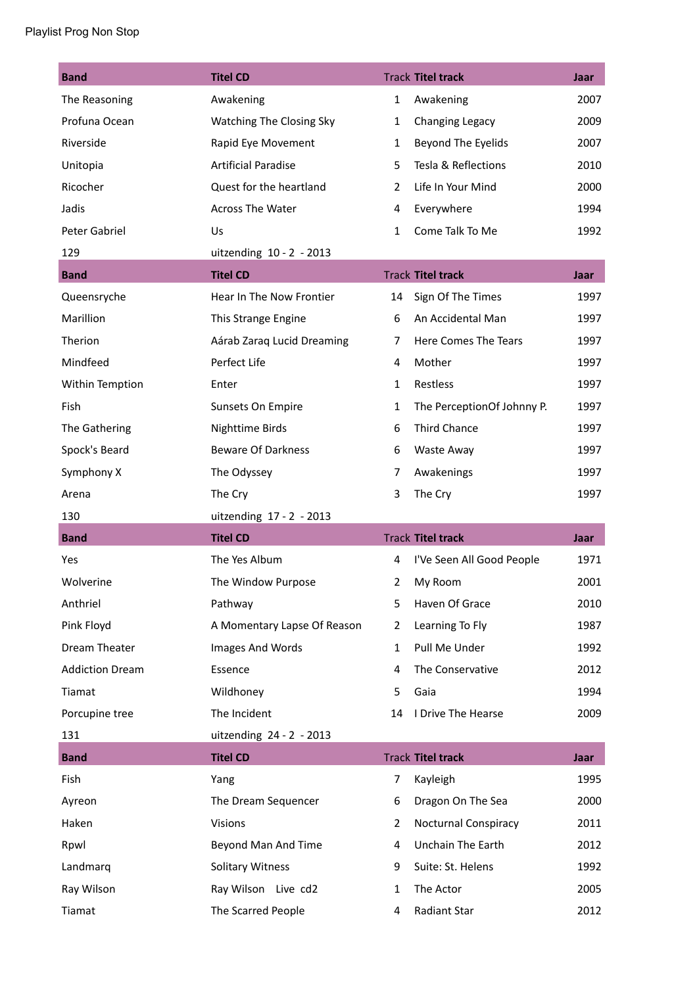| <b>Band</b>            | <b>Titel CD</b>             |                | <b>Track Titel track</b>    | Jaar        |
|------------------------|-----------------------------|----------------|-----------------------------|-------------|
| The Reasoning          | Awakening                   | $\mathbf{1}$   | Awakening                   | 2007        |
| Profuna Ocean          | Watching The Closing Sky    | $\mathbf{1}$   | Changing Legacy             | 2009        |
| Riverside              | Rapid Eye Movement          | $\mathbf{1}$   | Beyond The Eyelids          | 2007        |
| Unitopia               | <b>Artificial Paradise</b>  | 5              | Tesla & Reflections         | 2010        |
| Ricocher               | Quest for the heartland     | $\overline{2}$ | Life In Your Mind           | 2000        |
| Jadis                  | <b>Across The Water</b>     | 4              | Everywhere                  | 1994        |
| Peter Gabriel          | Us                          | $\mathbf{1}$   | Come Talk To Me             | 1992        |
| 129                    | uitzending 10 - 2 - 2013    |                |                             |             |
| <b>Band</b>            | <b>Titel CD</b>             |                | <b>Track Titel track</b>    | Jaar        |
| Queensryche            | Hear In The Now Frontier    | 14             | Sign Of The Times           | 1997        |
| Marillion              | This Strange Engine         | 6              | An Accidental Man           | 1997        |
| Therion                | Aárab Zaraq Lucid Dreaming  | $\overline{7}$ | Here Comes The Tears        | 1997        |
| Mindfeed               | Perfect Life                | 4              | Mother                      | 1997        |
| Within Temption        | Enter                       | $\mathbf{1}$   | Restless                    | 1997        |
| Fish                   | Sunsets On Empire           | $\mathbf{1}$   | The PerceptionOf Johnny P.  | 1997        |
| The Gathering          | <b>Nighttime Birds</b>      | 6              | <b>Third Chance</b>         | 1997        |
| Spock's Beard          | <b>Beware Of Darkness</b>   | 6              | Waste Away                  | 1997        |
| Symphony X             | The Odyssey                 | 7              | Awakenings                  | 1997        |
|                        |                             |                |                             |             |
| Arena                  | The Cry                     | 3              | The Cry                     | 1997        |
| 130                    | uitzending 17 - 2 - 2013    |                |                             |             |
| <b>Band</b>            | <b>Titel CD</b>             |                | <b>Track Titel track</b>    | <b>Jaar</b> |
| Yes                    | The Yes Album               | 4              | I'Ve Seen All Good People   | 1971        |
| Wolverine              | The Window Purpose          | $\overline{2}$ | My Room                     | 2001        |
| Anthriel               | Pathway                     | 5              | Haven Of Grace              | 2010        |
| Pink Floyd             | A Momentary Lapse Of Reason | $\overline{2}$ | Learning To Fly             | 1987        |
| Dream Theater          | Images And Words            | $\mathbf{1}$   | Pull Me Under               | 1992        |
| <b>Addiction Dream</b> | Essence                     | 4              | The Conservative            | 2012        |
| Tiamat                 | Wildhoney                   | 5              | Gaia                        | 1994        |
| Porcupine tree         | The Incident                | 14             | I Drive The Hearse          | 2009        |
| 131                    | uitzending 24 - 2 - 2013    |                |                             |             |
| <b>Band</b>            | <b>Titel CD</b>             |                | <b>Track Titel track</b>    | Jaar        |
| Fish                   | Yang                        | $\overline{7}$ | Kayleigh                    | 1995        |
| Ayreon                 | The Dream Sequencer         | 6              | Dragon On The Sea           | 2000        |
| Haken                  | <b>Visions</b>              | $\overline{2}$ | <b>Nocturnal Conspiracy</b> | 2011        |
| Rpwl                   | Beyond Man And Time         | 4              | Unchain The Earth           | 2012        |
| Landmarq               | <b>Solitary Witness</b>     | 9              | Suite: St. Helens           | 1992        |
| Ray Wilson             | Ray Wilson Live cd2         | 1              | The Actor                   | 2005        |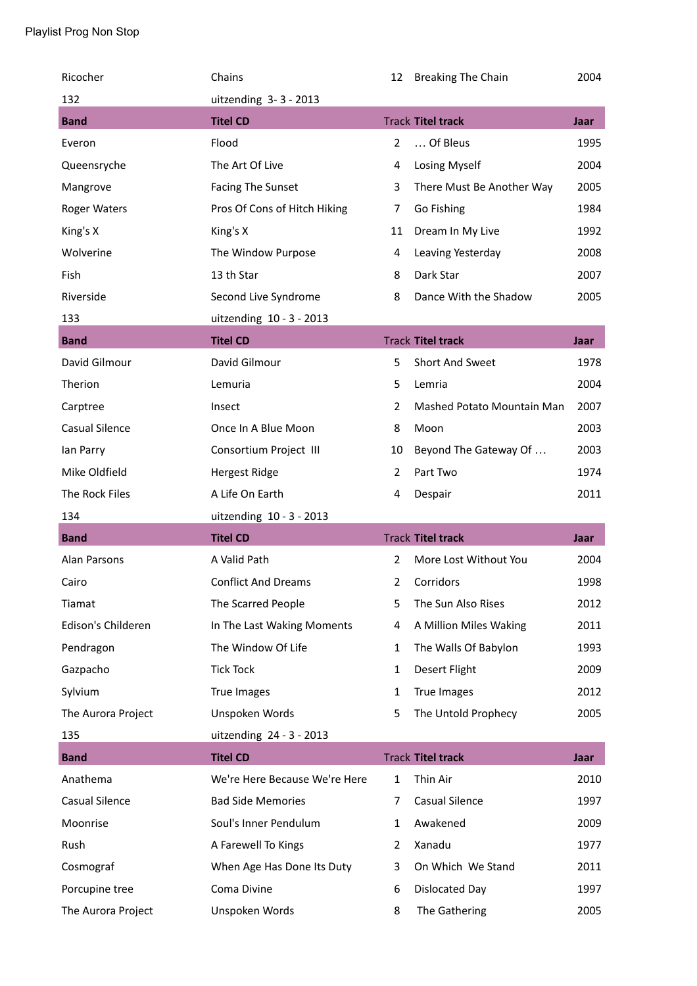| Ricocher              | Chains                        | 12             | <b>Breaking The Chain</b>  | 2004        |
|-----------------------|-------------------------------|----------------|----------------------------|-------------|
| 132                   | uitzending 3-3-2013           |                |                            |             |
| <b>Band</b>           | <b>Titel CD</b>               |                | <b>Track Titel track</b>   | Jaar        |
| Everon                | Flood                         | $\overline{2}$ | Of Bleus                   | 1995        |
| Queensryche           | The Art Of Live               | 4              | Losing Myself              | 2004        |
| Mangrove              | <b>Facing The Sunset</b>      | 3              | There Must Be Another Way  | 2005        |
| <b>Roger Waters</b>   | Pros Of Cons of Hitch Hiking  | 7              | Go Fishing                 | 1984        |
| King's X              | King's X                      | 11             | Dream In My Live           | 1992        |
| Wolverine             | The Window Purpose            | 4              | Leaving Yesterday          | 2008        |
| Fish                  | 13 th Star                    | 8              | Dark Star                  | 2007        |
| Riverside             | Second Live Syndrome          | 8              | Dance With the Shadow      | 2005        |
| 133                   | uitzending 10 - 3 - 2013      |                |                            |             |
| <b>Band</b>           | <b>Titel CD</b>               |                | <b>Track Titel track</b>   | Jaar        |
| David Gilmour         | David Gilmour                 | 5              | Short And Sweet            | 1978        |
| Therion               | Lemuria                       | 5              | Lemria                     | 2004        |
| Carptree              | Insect                        | 2              | Mashed Potato Mountain Man | 2007        |
| <b>Casual Silence</b> | Once In A Blue Moon           | 8              | Moon                       | 2003        |
| lan Parry             | Consortium Project III        | 10             | Beyond The Gateway Of      | 2003        |
| Mike Oldfield         | <b>Hergest Ridge</b>          | $\overline{2}$ | Part Two                   | 1974        |
|                       |                               |                |                            |             |
| The Rock Files        | A Life On Earth               | 4              | Despair                    | 2011        |
| 134                   | uitzending 10 - 3 - 2013      |                |                            |             |
| <b>Band</b>           | <b>Titel CD</b>               |                | <b>Track Titel track</b>   | <b>Jaar</b> |
| Alan Parsons          | A Valid Path                  | 2              | More Lost Without You      | 2004        |
| Cairo                 | <b>Conflict And Dreams</b>    | 2              | Corridors                  | 1998        |
| Tiamat                | The Scarred People            | 5              | The Sun Also Rises         | 2012        |
| Edison's Childeren    | In The Last Waking Moments    | 4              | A Million Miles Waking     | 2011        |
| Pendragon             | The Window Of Life            | $\mathbf{1}$   | The Walls Of Babylon       | 1993        |
| Gazpacho              | <b>Tick Tock</b>              | 1              | Desert Flight              | 2009        |
| Sylvium               | True Images                   | $\mathbf{1}$   | <b>True Images</b>         | 2012        |
| The Aurora Project    | Unspoken Words                | 5              | The Untold Prophecy        | 2005        |
| 135                   | uitzending 24 - 3 - 2013      |                |                            |             |
| <b>Band</b>           | <b>Titel CD</b>               |                | <b>Track Titel track</b>   | Jaar        |
| Anathema              | We're Here Because We're Here | $\mathbf{1}$   | Thin Air                   | 2010        |
| <b>Casual Silence</b> | <b>Bad Side Memories</b>      | $\overline{7}$ | <b>Casual Silence</b>      | 1997        |
| Moonrise              | Soul's Inner Pendulum         | $\mathbf{1}$   | Awakened                   | 2009        |
| Rush                  | A Farewell To Kings           | $\overline{2}$ | Xanadu                     | 1977        |
| Cosmograf             | When Age Has Done Its Duty    | 3              | On Which We Stand          | 2011        |
| Porcupine tree        | Coma Divine                   | 6              | Dislocated Day             | 1997        |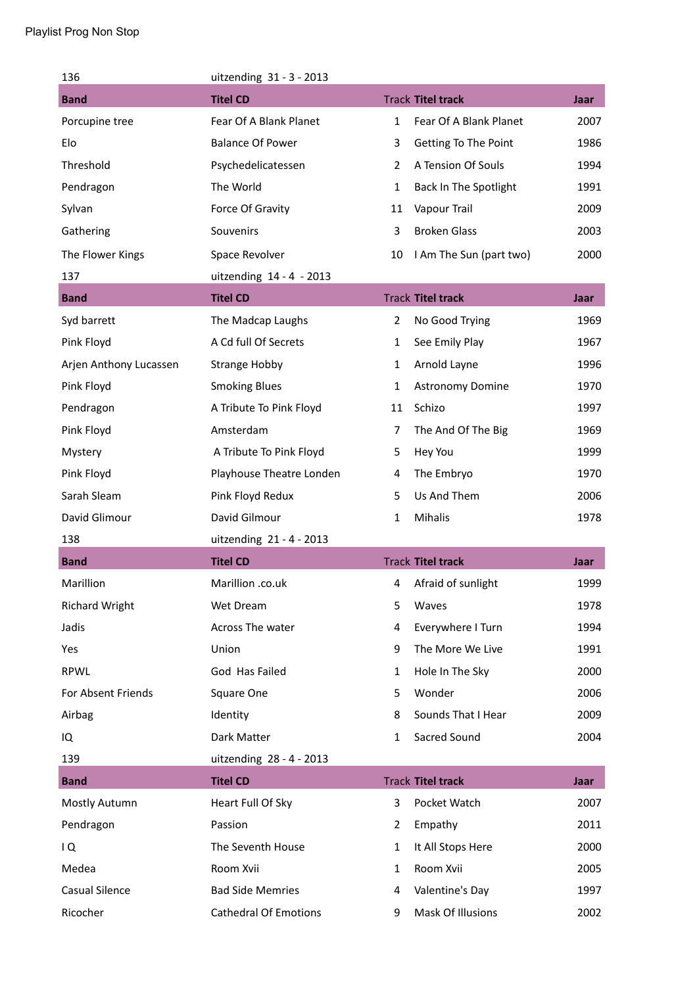| 136                    | uitzending 31 - 3 - 2013     |                |                          |      |
|------------------------|------------------------------|----------------|--------------------------|------|
| <b>Band</b>            | <b>Titel CD</b>              |                | <b>Track Titel track</b> | Jaar |
| Porcupine tree         | Fear Of A Blank Planet       | $\mathbf{1}$   | Fear Of A Blank Planet   | 2007 |
| Elo                    | <b>Balance Of Power</b>      | 3              | Getting To The Point     | 1986 |
| Threshold              | Psychedelicatessen           | 2              | A Tension Of Souls       | 1994 |
| Pendragon              | The World                    | $\mathbf{1}$   | Back In The Spotlight    | 1991 |
| Sylvan                 | Force Of Gravity             | 11             | Vapour Trail             | 2009 |
| Gathering              | Souvenirs                    | 3              | <b>Broken Glass</b>      | 2003 |
| The Flower Kings       | Space Revolver               | 10             | I Am The Sun (part two)  | 2000 |
| 137                    | uitzending 14 - 4 - 2013     |                |                          |      |
| <b>Band</b>            | <b>Titel CD</b>              |                | <b>Track Titel track</b> | Jaar |
| Syd barrett            | The Madcap Laughs            | 2              | No Good Trying           | 1969 |
| Pink Floyd             | A Cd full Of Secrets         | $\mathbf{1}$   | See Emily Play           | 1967 |
| Arjen Anthony Lucassen | <b>Strange Hobby</b>         | $\mathbf{1}$   | Arnold Layne             | 1996 |
| Pink Floyd             | <b>Smoking Blues</b>         | $\mathbf{1}$   | <b>Astronomy Domine</b>  | 1970 |
| Pendragon              | A Tribute To Pink Floyd      | 11             | Schizo                   | 1997 |
| Pink Floyd             | Amsterdam                    | $\overline{7}$ | The And Of The Big       | 1969 |
| Mystery                | A Tribute To Pink Floyd      | 5              | Hey You                  | 1999 |
| Pink Floyd             | Playhouse Theatre Londen     | 4              | The Embryo               | 1970 |
| Sarah Sleam            | Pink Floyd Redux             | 5              | Us And Them              | 2006 |
| David Glimour          | David Gilmour                | $\mathbf{1}$   | Mihalis                  | 1978 |
| 138                    | uitzending 21 - 4 - 2013     |                |                          |      |
| <b>Band</b>            | <b>Titel CD</b>              |                | <b>Track Titel track</b> | Jaar |
| Marillion              | Marillion .co.uk             | 4              | Afraid of sunlight       | 1999 |
| <b>Richard Wright</b>  | Wet Dream                    | 5              | Waves                    | 1978 |
| Jadis                  | Across The water             | 4              | Everywhere I Turn        | 1994 |
| Yes                    | Union                        | 9              | The More We Live         | 1991 |
| <b>RPWL</b>            | God Has Failed               | 1              | Hole In The Sky          | 2000 |
| For Absent Friends     | Square One                   | 5              | Wonder                   | 2006 |
| Airbag                 | Identity                     | 8              | Sounds That I Hear       | 2009 |
| IQ                     | Dark Matter                  | $\mathbf{1}$   | Sacred Sound             | 2004 |
| 139                    | uitzending 28 - 4 - 2013     |                |                          |      |
| <b>Band</b>            | <b>Titel CD</b>              |                | <b>Track Titel track</b> | Jaar |
| Mostly Autumn          | Heart Full Of Sky            | 3              | Pocket Watch             | 2007 |
| Pendragon              | Passion                      | $\overline{2}$ | Empathy                  | 2011 |
| IQ                     | The Seventh House            | 1              | It All Stops Here        | 2000 |
| Medea                  | Room Xvii                    | 1              | Room Xvii                | 2005 |
| <b>Casual Silence</b>  | <b>Bad Side Memries</b>      | 4              | Valentine's Day          | 1997 |
| Ricocher               | <b>Cathedral Of Emotions</b> | 9              | Mask Of Illusions        | 2002 |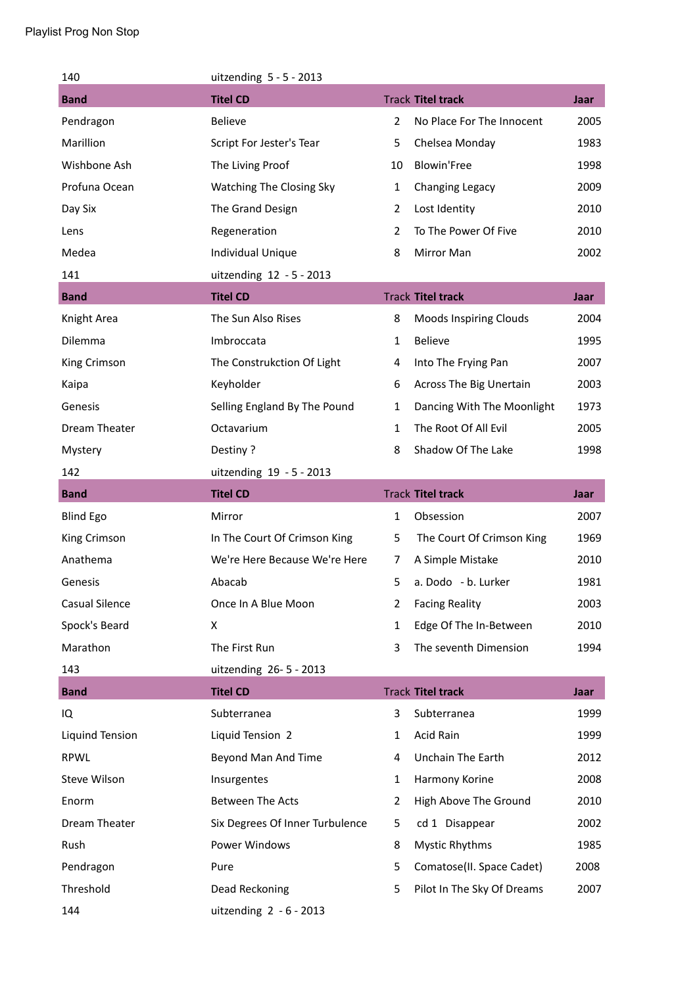| 140                   | uitzending $5 - 5 - 2013$       |                |                               |             |
|-----------------------|---------------------------------|----------------|-------------------------------|-------------|
| <b>Band</b>           | <b>Titel CD</b>                 |                | <b>Track Titel track</b>      | Jaar        |
| Pendragon             | <b>Believe</b>                  | $\overline{2}$ | No Place For The Innocent     | 2005        |
| Marillion             | Script For Jester's Tear        | 5              | Chelsea Monday                | 1983        |
| Wishbone Ash          | The Living Proof                | 10             | <b>Blowin'Free</b>            | 1998        |
| Profuna Ocean         | Watching The Closing Sky        | $\mathbf{1}$   | Changing Legacy               | 2009        |
| Day Six               | The Grand Design                | 2              | Lost Identity                 | 2010        |
| Lens                  | Regeneration                    | $\overline{2}$ | To The Power Of Five          | 2010        |
| Medea                 | <b>Individual Unique</b>        | 8              | Mirror Man                    | 2002        |
| 141                   | uitzending 12 - 5 - 2013        |                |                               |             |
| <b>Band</b>           | <b>Titel CD</b>                 |                | <b>Track Titel track</b>      | Jaar        |
| Knight Area           | The Sun Also Rises              | 8              | <b>Moods Inspiring Clouds</b> | 2004        |
| Dilemma               | Imbroccata                      | $\mathbf{1}$   | <b>Believe</b>                | 1995        |
| King Crimson          | The Construkction Of Light      | 4              | Into The Frying Pan           | 2007        |
| Kaipa                 | Keyholder                       | 6              | Across The Big Unertain       | 2003        |
| Genesis               | Selling England By The Pound    | $\mathbf{1}$   | Dancing With The Moonlight    | 1973        |
| Dream Theater         | Octavarium                      | $\mathbf{1}$   | The Root Of All Evil          | 2005        |
| Mystery               | Pestiny?                        | 8              | Shadow Of The Lake            | 1998        |
| 142                   | uitzending 19 - 5 - 2013        |                |                               |             |
| <b>Band</b>           | <b>Titel CD</b>                 |                | <b>Track Titel track</b>      | Jaar        |
| <b>Blind Ego</b>      | Mirror                          | 1              | Obsession                     | 2007        |
| King Crimson          | In The Court Of Crimson King    | 5              | The Court Of Crimson King     | 1969        |
| Anathema              | We're Here Because We're Here   | $\overline{7}$ | A Simple Mistake              | 2010        |
| Genesis               | Abacab                          | 5              | a. Dodo - b. Lurker           | 1981        |
| <b>Casual Silence</b> | Once In A Blue Moon             | $\overline{2}$ | <b>Facing Reality</b>         | 2003        |
| Spock's Beard         | X                               | 1              | Edge Of The In-Between        | 2010        |
| Marathon              | The First Run                   | 3              | The seventh Dimension         | 1994        |
| 143                   | uitzending 26-5-2013            |                |                               |             |
| <b>Band</b>           | <b>Titel CD</b>                 |                | <b>Track Titel track</b>      | <b>Jaar</b> |
| IQ                    | Subterranea                     | 3              | Subterranea                   | 1999        |
| Liquind Tension       | Liquid Tension 2                | 1              | Acid Rain                     | 1999        |
| <b>RPWL</b>           | Beyond Man And Time             | 4              | Unchain The Earth             | 2012        |
| Steve Wilson          | Insurgentes                     | 1              | Harmony Korine                | 2008        |
| Enorm                 | <b>Between The Acts</b>         | 2              | High Above The Ground         | 2010        |
| Dream Theater         | Six Degrees Of Inner Turbulence | 5              | cd 1 Disappear                | 2002        |
| Rush                  | Power Windows                   | 8              | <b>Mystic Rhythms</b>         | 1985        |
| Pendragon             | Pure                            | 5              | Comatose(II. Space Cadet)     | 2008        |
| Threshold             | Dead Reckoning                  | 5              | Pilot In The Sky Of Dreams    | 2007        |
| 144                   | uitzending $2 - 6 - 2013$       |                |                               |             |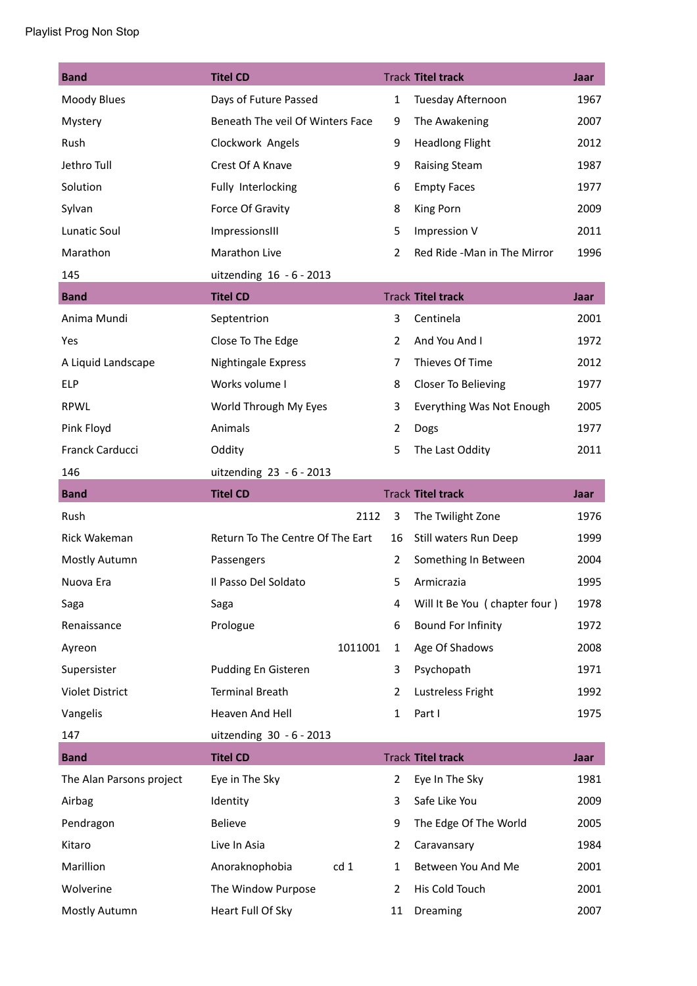| <b>Band</b>              | <b>Titel CD</b>                  |         |                | <b>Track Titel track</b>      | Jaar        |
|--------------------------|----------------------------------|---------|----------------|-------------------------------|-------------|
| Moody Blues              | Days of Future Passed            |         | $\mathbf{1}$   | Tuesday Afternoon             | 1967        |
| Mystery                  | Beneath The veil Of Winters Face |         | 9              | The Awakening                 | 2007        |
| Rush                     | Clockwork Angels                 |         | 9              | <b>Headlong Flight</b>        | 2012        |
| Jethro Tull              | Crest Of A Knave                 |         | 9              | <b>Raising Steam</b>          | 1987        |
| Solution                 | Fully Interlocking               |         | 6              | <b>Empty Faces</b>            | 1977        |
| Sylvan                   | Force Of Gravity                 |         | 8              | King Porn                     | 2009        |
| Lunatic Soul             | ImpressionsIII                   |         | 5              | Impression V                  | 2011        |
| Marathon                 | Marathon Live                    |         | $\overline{2}$ | Red Ride -Man in The Mirror   | 1996        |
| 145                      | uitzending 16 - 6 - 2013         |         |                |                               |             |
| <b>Band</b>              | <b>Titel CD</b>                  |         |                | <b>Track Titel track</b>      | Jaar        |
| Anima Mundi              | Septentrion                      |         | 3              | Centinela                     | 2001        |
| Yes                      | Close To The Edge                |         | $\overline{2}$ | And You And I                 | 1972        |
| A Liquid Landscape       | Nightingale Express              |         | 7              | Thieves Of Time               | 2012        |
| <b>ELP</b>               | Works volume I                   |         | 8              | Closer To Believing           | 1977        |
| <b>RPWL</b>              | World Through My Eyes            |         | 3              | Everything Was Not Enough     | 2005        |
| Pink Floyd               | Animals                          |         | $\overline{2}$ | Dogs                          | 1977        |
| Franck Carducci          | Oddity                           |         | 5              | The Last Oddity               | 2011        |
| 146                      | uitzending 23 - 6 - 2013         |         |                |                               |             |
| <b>Band</b>              | <b>Titel CD</b>                  |         |                | <b>Track Titel track</b>      | <b>Jaar</b> |
| Rush                     |                                  | 2112    | 3              | The Twilight Zone             | 1976        |
| Rick Wakeman             | Return To The Centre Of The Eart |         | 16             | Still waters Run Deep         | 1999        |
| Mostly Autumn            | Passengers                       |         | 2              | Something In Between          | 2004        |
| Nuova Era                | Il Passo Del Soldato             |         | 5              | Armicrazia                    | 1995        |
| Saga                     | Saga                             |         | 4              | Will It Be You (chapter four) | 1978        |
| Renaissance              | Prologue                         |         | 6              | Bound For Infinity            | 1972        |
| Ayreon                   |                                  | 1011001 | 1              | Age Of Shadows                | 2008        |
| Supersister              | Pudding En Gisteren              |         | 3              | Psychopath                    | 1971        |
| <b>Violet District</b>   | <b>Terminal Breath</b>           |         | 2              | Lustreless Fright             | 1992        |
| Vangelis                 | Heaven And Hell                  |         | $\mathbf{1}$   | Part I                        | 1975        |
| 147                      | uitzending 30 - 6 - 2013         |         |                |                               |             |
| <b>Band</b>              | <b>Titel CD</b>                  |         |                | <b>Track Titel track</b>      | <b>Jaar</b> |
| The Alan Parsons project | Eye in The Sky                   |         | $\overline{2}$ | Eye In The Sky                | 1981        |
| Airbag                   | Identity                         |         | 3              | Safe Like You                 | 2009        |
| Pendragon                | Believe                          |         | 9              | The Edge Of The World         | 2005        |
| Kitaro                   | Live In Asia                     |         | 2              | Caravansary                   | 1984        |
| Marillion                | Anoraknophobia                   | cd 1    | $\mathbf{1}$   | Between You And Me            | 2001        |
| Wolverine                | The Window Purpose               |         | 2              | His Cold Touch                | 2001        |
| Mostly Autumn            | Heart Full Of Sky                |         | 11             | Dreaming                      | 2007        |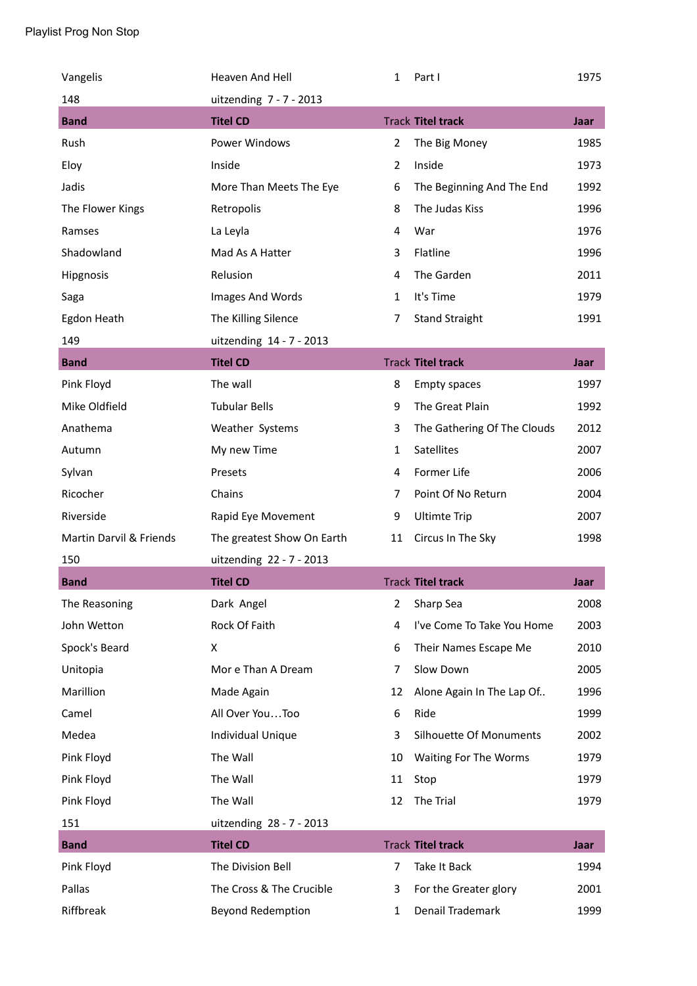| Vangelis                | Heaven And Hell            | 1              | Part I                      | 1975 |
|-------------------------|----------------------------|----------------|-----------------------------|------|
| 148                     | uitzending 7 - 7 - 2013    |                |                             |      |
| <b>Band</b>             | <b>Titel CD</b>            |                | <b>Track Titel track</b>    | Jaar |
| Rush                    | Power Windows              | $\overline{2}$ | The Big Money               | 1985 |
| Eloy                    | Inside                     | $\overline{2}$ | Inside                      | 1973 |
| Jadis                   | More Than Meets The Eye    | 6              | The Beginning And The End   | 1992 |
| The Flower Kings        | Retropolis                 | 8              | The Judas Kiss              | 1996 |
| Ramses                  | La Leyla                   | 4              | War                         | 1976 |
| Shadowland              | Mad As A Hatter            | 3              | Flatline                    | 1996 |
| Hipgnosis               | Relusion                   | 4              | The Garden                  | 2011 |
| Saga                    | Images And Words           | $\mathbf{1}$   | It's Time                   | 1979 |
| Egdon Heath             | The Killing Silence        | $\overline{7}$ | <b>Stand Straight</b>       | 1991 |
| 149                     | uitzending 14 - 7 - 2013   |                |                             |      |
| <b>Band</b>             | <b>Titel CD</b>            |                | <b>Track Titel track</b>    | Jaar |
| Pink Floyd              | The wall                   | 8              | <b>Empty spaces</b>         | 1997 |
| Mike Oldfield           | <b>Tubular Bells</b>       | 9              | The Great Plain             | 1992 |
| Anathema                | Weather Systems            | 3              | The Gathering Of The Clouds | 2012 |
| Autumn                  | My new Time                | $\mathbf{1}$   | <b>Satellites</b>           | 2007 |
| Sylvan                  | Presets                    | 4              | Former Life                 | 2006 |
| Ricocher                | Chains                     | $\overline{7}$ | Point Of No Return          | 2004 |
| Riverside               | Rapid Eye Movement         | 9              | <b>Ultimte Trip</b>         | 2007 |
| Martin Darvil & Friends | The greatest Show On Earth | 11             | Circus In The Sky           | 1998 |
| 150                     | uitzending 22 - 7 - 2013   |                |                             |      |
| <b>Band</b>             | <b>Titel CD</b>            |                | <b>Track Titel track</b>    | Jaar |
| The Reasoning           | Dark Angel                 | 2              | Sharp Sea                   | 2008 |
| John Wetton             | Rock Of Faith              | 4              | I've Come To Take You Home  | 2003 |
| Spock's Beard           | X                          | 6              | Their Names Escape Me       | 2010 |
| Unitopia                | Mor e Than A Dream         | $\overline{7}$ | Slow Down                   | 2005 |
| Marillion               | Made Again                 | 12             | Alone Again In The Lap Of   | 1996 |
| Camel                   | All Over YouToo            | 6              | Ride                        | 1999 |
| Medea                   | Individual Unique          | 3              | Silhouette Of Monuments     | 2002 |
| Pink Floyd              | The Wall                   | 10             | Waiting For The Worms       | 1979 |
| Pink Floyd              | The Wall                   | 11             | Stop                        | 1979 |
| Pink Floyd              | The Wall                   | 12             | The Trial                   | 1979 |
| 151                     | uitzending 28 - 7 - 2013   |                |                             |      |
| <b>Band</b>             | <b>Titel CD</b>            |                | <b>Track Titel track</b>    | Jaar |
| Pink Floyd              | The Division Bell          | $\overline{7}$ | Take It Back                | 1994 |
| Pallas                  | The Cross & The Crucible   | 3              | For the Greater glory       | 2001 |
| Riffbreak               | Beyond Redemption          | 1              | Denail Trademark            | 1999 |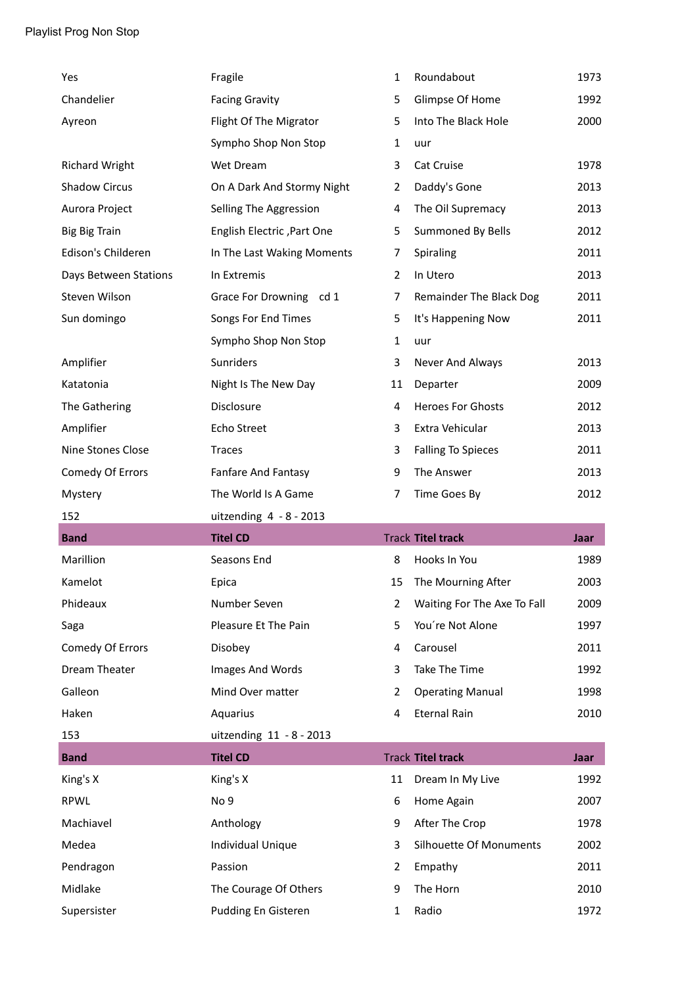| Yes                   | Fragile                    | $\mathbf{1}$   | Roundabout                  | 1973 |
|-----------------------|----------------------------|----------------|-----------------------------|------|
| Chandelier            | <b>Facing Gravity</b>      | 5              | Glimpse Of Home             | 1992 |
| Ayreon                | Flight Of The Migrator     | 5              | Into The Black Hole         | 2000 |
|                       | Sympho Shop Non Stop       | $\mathbf{1}$   | uur                         |      |
| <b>Richard Wright</b> | Wet Dream                  | 3              | Cat Cruise                  | 1978 |
| <b>Shadow Circus</b>  | On A Dark And Stormy Night | 2              | Daddy's Gone                | 2013 |
| Aurora Project        | Selling The Aggression     | 4              | The Oil Supremacy           | 2013 |
| <b>Big Big Train</b>  | English Electric, Part One | 5              | Summoned By Bells           | 2012 |
| Edison's Childeren    | In The Last Waking Moments | 7              | Spiraling                   | 2011 |
| Days Between Stations | In Extremis                | $\overline{2}$ | In Utero                    | 2013 |
| Steven Wilson         | Grace For Drowning cd 1    | 7              | Remainder The Black Dog     | 2011 |
| Sun domingo           | Songs For End Times        | 5              | It's Happening Now          | 2011 |
|                       | Sympho Shop Non Stop       | $\mathbf{1}$   | uur                         |      |
| Amplifier             | Sunriders                  | 3              | Never And Always            | 2013 |
| Katatonia             | Night Is The New Day       | 11             | Departer                    | 2009 |
| The Gathering         | Disclosure                 | 4              | <b>Heroes For Ghosts</b>    | 2012 |
| Amplifier             | Echo Street                | 3              | Extra Vehicular             | 2013 |
| Nine Stones Close     | <b>Traces</b>              | 3              | <b>Falling To Spieces</b>   | 2011 |
| Comedy Of Errors      | Fanfare And Fantasy        | 9              | The Answer                  | 2013 |
|                       |                            |                |                             |      |
| Mystery               | The World Is A Game        | 7              | Time Goes By                | 2012 |
| 152                   | uitzending $4 - 8 - 2013$  |                |                             |      |
| <b>Band</b>           | <b>Titel CD</b>            |                | <b>Track Titel track</b>    | Jaar |
| Marillion             | Seasons End                | 8              | Hooks In You                | 1989 |
| Kamelot               | Epica                      | 15             | The Mourning After          | 2003 |
| Phideaux              | Number Seven               | $\overline{2}$ | Waiting For The Axe To Fall | 2009 |
| Saga                  | Pleasure Et The Pain       | 5              | You're Not Alone            | 1997 |
| Comedy Of Errors      | Disobey                    | 4              | Carousel                    | 2011 |
| <b>Dream Theater</b>  | Images And Words           | 3              | Take The Time               | 1992 |
| Galleon               | Mind Over matter           | 2              | <b>Operating Manual</b>     | 1998 |
| Haken                 | Aquarius                   | $\overline{4}$ | <b>Eternal Rain</b>         | 2010 |
| 153                   | uitzending 11 - 8 - 2013   |                |                             |      |
| <b>Band</b>           | <b>Titel CD</b>            |                | <b>Track Titel track</b>    | Jaar |
| King's X              | King's X                   | 11             | Dream In My Live            | 1992 |
| RPWL                  | No <sub>9</sub>            | 6              | Home Again                  | 2007 |
| Machiavel             | Anthology                  | 9              | After The Crop              | 1978 |
| Medea                 | Individual Unique          | 3              | Silhouette Of Monuments     | 2002 |
| Pendragon             | Passion                    | $\overline{2}$ | Empathy                     | 2011 |
| Midlake               | The Courage Of Others      | 9              | The Horn                    | 2010 |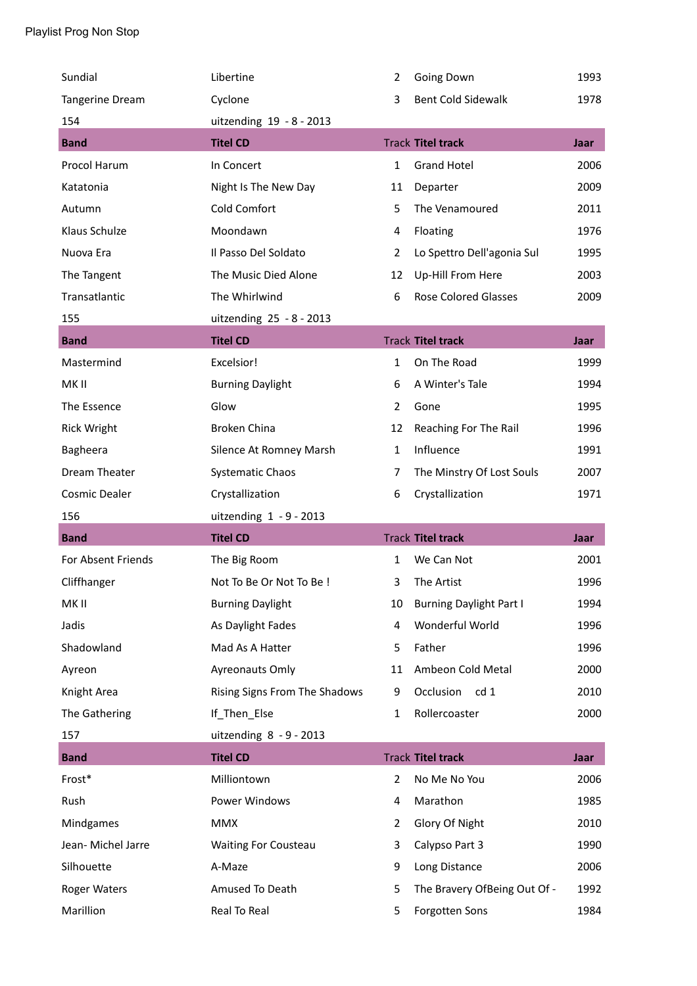| Sundial                | Libertine                     | 2              | Going Down                     | 1993        |
|------------------------|-------------------------------|----------------|--------------------------------|-------------|
| <b>Tangerine Dream</b> | Cyclone                       | 3              | <b>Bent Cold Sidewalk</b>      | 1978        |
| 154                    | uitzending 19 - 8 - 2013      |                |                                |             |
| <b>Band</b>            | <b>Titel CD</b>               |                | <b>Track Titel track</b>       | Jaar        |
| Procol Harum           | In Concert                    | $\mathbf{1}$   | <b>Grand Hotel</b>             | 2006        |
| Katatonia              | Night Is The New Day          | 11             | Departer                       | 2009        |
| Autumn                 | Cold Comfort                  | 5              | The Venamoured                 | 2011        |
| Klaus Schulze          | Moondawn                      | 4              | Floating                       | 1976        |
| Nuova Era              | Il Passo Del Soldato          | $\overline{2}$ | Lo Spettro Dell'agonia Sul     | 1995        |
| The Tangent            | The Music Died Alone          | 12             | Up-Hill From Here              | 2003        |
| Transatlantic          | The Whirlwind                 | 6              | <b>Rose Colored Glasses</b>    | 2009        |
| 155                    | uitzending 25 - 8 - 2013      |                |                                |             |
| <b>Band</b>            | <b>Titel CD</b>               |                | <b>Track Titel track</b>       | Jaar        |
| Mastermind             | Excelsior!                    | $\mathbf{1}$   | On The Road                    | 1999        |
| MK II                  | <b>Burning Daylight</b>       | 6              | A Winter's Tale                | 1994        |
| The Essence            | Glow                          | $\overline{2}$ | Gone                           | 1995        |
| <b>Rick Wright</b>     | <b>Broken China</b>           | 12             | Reaching For The Rail          | 1996        |
| Bagheera               | Silence At Romney Marsh       | 1              | Influence                      | 1991        |
| Dream Theater          | <b>Systematic Chaos</b>       | 7              | The Minstry Of Lost Souls      | 2007        |
|                        |                               |                |                                |             |
| <b>Cosmic Dealer</b>   | Crystallization               | 6              | Crystallization                | 1971        |
| 156                    | uitzending $1 - 9 - 2013$     |                |                                |             |
| <b>Band</b>            | <b>Titel CD</b>               |                | <b>Track Titel track</b>       | Jaar        |
| For Absent Friends     | The Big Room                  | $\mathbf{1}$   | We Can Not                     | 2001        |
| Cliffhanger            | Not To Be Or Not To Be !      | 3              | The Artist                     | 1996        |
| MK II                  | <b>Burning Daylight</b>       | 10             | <b>Burning Daylight Part I</b> | 1994        |
| Jadis                  | As Daylight Fades             | 4              | Wonderful World                | 1996        |
| Shadowland             | Mad As A Hatter               | 5              | Father                         | 1996        |
| Ayreon                 | Ayreonauts Omly               | 11             | Ambeon Cold Metal              | 2000        |
| Knight Area            | Rising Signs From The Shadows | 9              | Occlusion<br>cd 1              | 2010        |
| The Gathering          | If_Then_Else                  | $\mathbf{1}$   | Rollercoaster                  | 2000        |
| 157                    | uitzending $8 - 9 - 2013$     |                |                                |             |
| <b>Band</b>            | <b>Titel CD</b>               |                | <b>Track Titel track</b>       | <b>Jaar</b> |
| Frost*                 | Milliontown                   | 2              | No Me No You                   | 2006        |
| Rush                   | Power Windows                 | 4              | Marathon                       | 1985        |
| Mindgames              | <b>MMX</b>                    | 2              | Glory Of Night                 | 2010        |
| Jean- Michel Jarre     | <b>Waiting For Cousteau</b>   | 3              | Calypso Part 3                 | 1990        |
| Silhouette             | A-Maze                        | 9              | Long Distance                  | 2006        |
| Roger Waters           | Amused To Death               | 5              | The Bravery OfBeing Out Of -   | 1992        |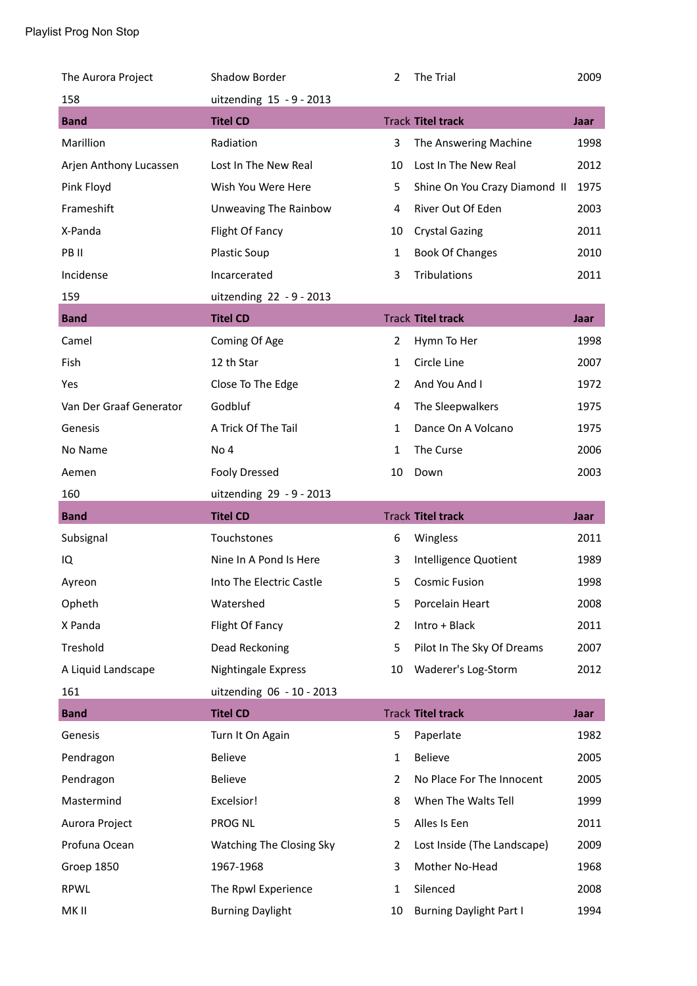| The Aurora Project      | Shadow Border                   | 2              | The Trial                     | 2009 |
|-------------------------|---------------------------------|----------------|-------------------------------|------|
| 158                     | uitzending 15 - 9 - 2013        |                |                               |      |
| <b>Band</b>             | <b>Titel CD</b>                 |                | <b>Track Titel track</b>      | Jaar |
| Marillion               | Radiation                       | 3              | The Answering Machine         | 1998 |
| Arjen Anthony Lucassen  | Lost In The New Real            | 10             | Lost In The New Real          | 2012 |
| Pink Floyd              | Wish You Were Here              | 5              | Shine On You Crazy Diamond II | 1975 |
| Frameshift              | Unweaving The Rainbow           | 4              | River Out Of Eden             | 2003 |
| X-Panda                 | Flight Of Fancy                 | 10             | <b>Crystal Gazing</b>         | 2011 |
| PB II                   | <b>Plastic Soup</b>             | $\mathbf{1}$   | <b>Book Of Changes</b>        | 2010 |
| Incidense               | Incarcerated                    | 3              | Tribulations                  | 2011 |
| 159                     | uitzending 22 - 9 - 2013        |                |                               |      |
| <b>Band</b>             | <b>Titel CD</b>                 |                | <b>Track Titel track</b>      | Jaar |
| Camel                   | Coming Of Age                   | $\overline{2}$ | Hymn To Her                   | 1998 |
| Fish                    | 12 th Star                      | 1              | Circle Line                   | 2007 |
| Yes                     | Close To The Edge               | $\overline{2}$ | And You And I                 | 1972 |
| Van Der Graaf Generator | Godbluf                         | 4              | The Sleepwalkers              | 1975 |
| Genesis                 | A Trick Of The Tail             | 1              | Dance On A Volcano            | 1975 |
| No Name                 | No <sub>4</sub>                 | $\mathbf{1}$   | The Curse                     | 2006 |
| Aemen                   | <b>Fooly Dressed</b>            | 10             | Down                          | 2003 |
|                         |                                 |                |                               |      |
| 160                     | uitzending 29 - 9 - 2013        |                |                               |      |
| <b>Band</b>             | <b>Titel CD</b>                 |                | <b>Track Titel track</b>      | Jaar |
| Subsignal               | Touchstones                     | 6              | Wingless                      | 2011 |
| IQ                      | Nine In A Pond Is Here          | 3              | Intelligence Quotient         | 1989 |
| Ayreon                  | Into The Electric Castle        | 5              | <b>Cosmic Fusion</b>          | 1998 |
| Opheth                  | Watershed                       | 5              | Porcelain Heart               | 2008 |
| X Panda                 | Flight Of Fancy                 | 2              | Intro + Black                 | 2011 |
| Treshold                | Dead Reckoning                  | 5              | Pilot In The Sky Of Dreams    | 2007 |
| A Liquid Landscape      | Nightingale Express             | 10             | Waderer's Log-Storm           | 2012 |
| 161                     | uitzending 06 - 10 - 2013       |                |                               |      |
| <b>Band</b>             | <b>Titel CD</b>                 |                | <b>Track Titel track</b>      | Jaar |
| Genesis                 | Turn It On Again                | 5              | Paperlate                     | 1982 |
| Pendragon               | <b>Believe</b>                  | 1              | <b>Believe</b>                | 2005 |
| Pendragon               | Believe                         | 2              | No Place For The Innocent     | 2005 |
| Mastermind              | Excelsior!                      | 8              | When The Walts Tell           | 1999 |
| Aurora Project          | PROG NL                         | 5              | Alles Is Een                  | 2011 |
| Profuna Ocean           | <b>Watching The Closing Sky</b> | 2              | Lost Inside (The Landscape)   | 2009 |
| Groep 1850              | 1967-1968                       | 3              | Mother No-Head                | 1968 |
| RPWL                    | The Rpwl Experience             | 1              | Silenced                      | 2008 |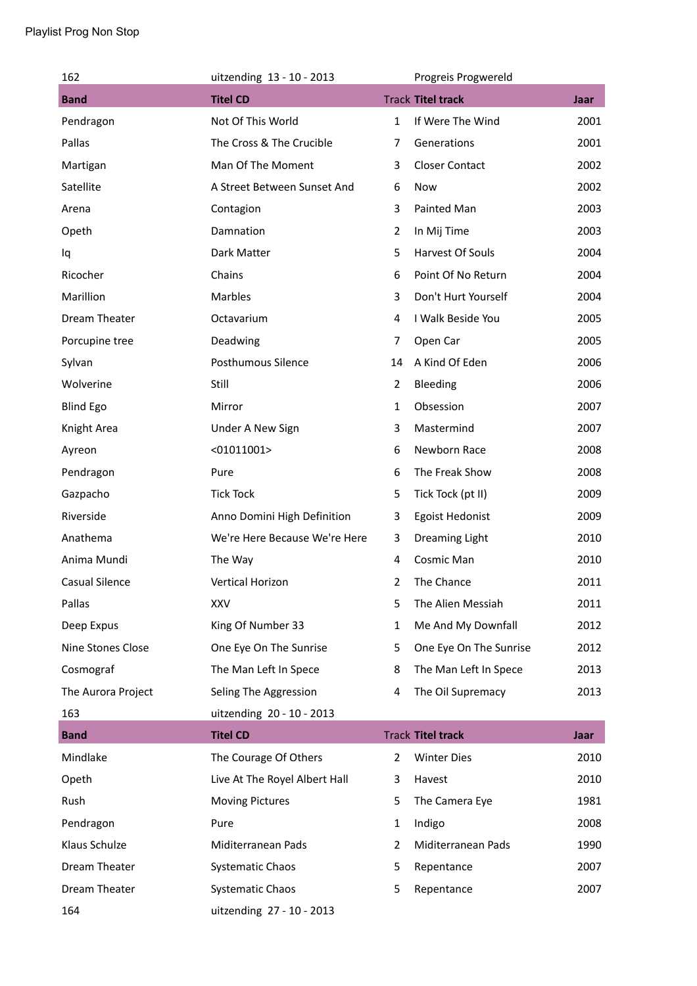| 162                | uitzending 13 - 10 - 2013     |                | Progreis Progwereld      |             |
|--------------------|-------------------------------|----------------|--------------------------|-------------|
| <b>Band</b>        | <b>Titel CD</b>               |                | <b>Track Titel track</b> | <b>Jaar</b> |
| Pendragon          | Not Of This World             | $\mathbf{1}$   | If Were The Wind         | 2001        |
| Pallas             | The Cross & The Crucible      | $\overline{7}$ | Generations              | 2001        |
| Martigan           | Man Of The Moment             | 3              | <b>Closer Contact</b>    | 2002        |
| Satellite          | A Street Between Sunset And   | 6              | Now                      | 2002        |
| Arena              | Contagion                     | 3              | Painted Man              | 2003        |
| Opeth              | Damnation                     | 2              | In Mij Time              | 2003        |
| Iq                 | Dark Matter                   | 5              | Harvest Of Souls         | 2004        |
| Ricocher           | Chains                        | 6              | Point Of No Return       | 2004        |
| Marillion          | Marbles                       | 3              | Don't Hurt Yourself      | 2004        |
| Dream Theater      | Octavarium                    | 4              | I Walk Beside You        | 2005        |
| Porcupine tree     | Deadwing                      | 7              | Open Car                 | 2005        |
| Sylvan             | Posthumous Silence            | 14             | A Kind Of Eden           | 2006        |
| Wolverine          | Still                         | 2              | Bleeding                 | 2006        |
| <b>Blind Ego</b>   | Mirror                        | $\mathbf{1}$   | Obsession                | 2007        |
| Knight Area        | Under A New Sign              | 3              | Mastermind               | 2007        |
| Ayreon             | $<$ 01011001>                 | 6              | Newborn Race             | 2008        |
| Pendragon          | Pure                          | 6              | The Freak Show           | 2008        |
| Gazpacho           | <b>Tick Tock</b>              | 5              | Tick Tock (pt II)        | 2009        |
| Riverside          | Anno Domini High Definition   | 3              | Egoist Hedonist          | 2009        |
| Anathema           | We're Here Because We're Here | 3              | Dreaming Light           | 2010        |
| Anima Mundi        | The Way                       | 4              | Cosmic Man               | 2010        |
| Casual Silence     | <b>Vertical Horizon</b>       | $\overline{2}$ | The Chance               | 2011        |
| Pallas             | <b>XXV</b>                    | 5              | The Alien Messiah        | 2011        |
| Deep Expus         | King Of Number 33             | 1              | Me And My Downfall       | 2012        |
| Nine Stones Close  | One Eye On The Sunrise        | 5              | One Eye On The Sunrise   | 2012        |
| Cosmograf          | The Man Left In Spece         | 8              | The Man Left In Spece    | 2013        |
| The Aurora Project | Seling The Aggression         | 4              | The Oil Supremacy        | 2013        |
| 163                | uitzending 20 - 10 - 2013     |                |                          |             |
| <b>Band</b>        | <b>Titel CD</b>               |                | <b>Track Titel track</b> | <b>Jaar</b> |
| Mindlake           | The Courage Of Others         | $\overline{2}$ | <b>Winter Dies</b>       | 2010        |
| Opeth              | Live At The Royel Albert Hall | 3              | Havest                   | 2010        |
| Rush               | <b>Moving Pictures</b>        | 5              | The Camera Eye           | 1981        |
| Pendragon          | Pure                          | 1              | Indigo                   | 2008        |
| Klaus Schulze      | Miditerranean Pads            | $\overline{2}$ | Miditerranean Pads       | 1990        |
| Dream Theater      | <b>Systematic Chaos</b>       | 5              | Repentance               | 2007        |
| Dream Theater      | <b>Systematic Chaos</b>       | 5              | Repentance               | 2007        |
| 164                | uitzending 27 - 10 - 2013     |                |                          |             |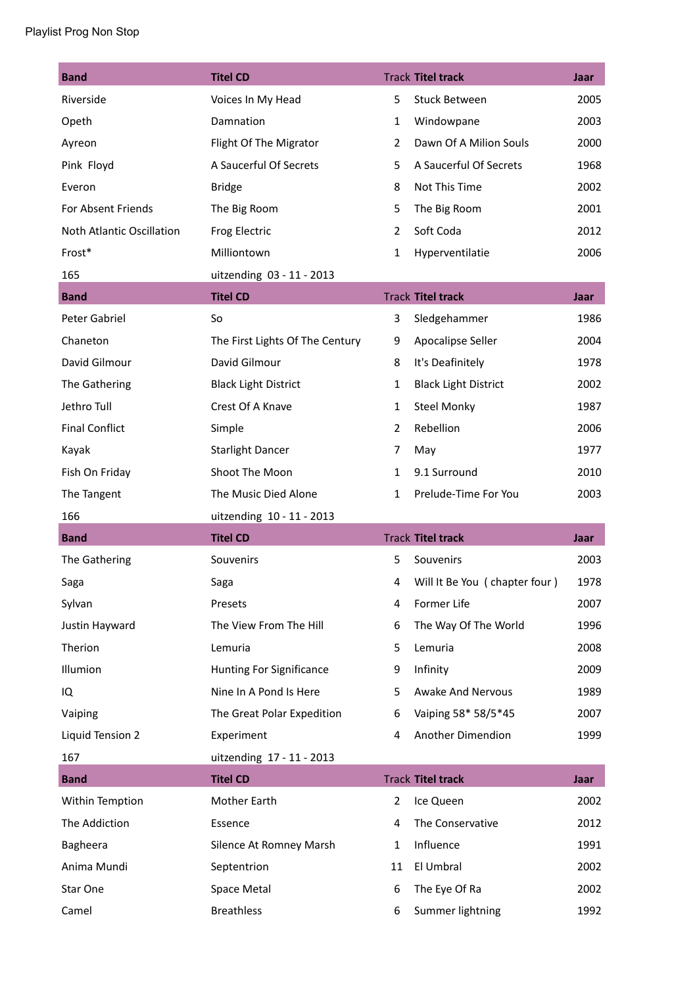| <b>Band</b>               | <b>Titel CD</b>                 |                | <b>Track Titel track</b>      | Jaar |
|---------------------------|---------------------------------|----------------|-------------------------------|------|
| Riverside                 | Voices In My Head               | 5              | Stuck Between                 | 2005 |
| Opeth                     | Damnation                       | 1              | Windowpane                    | 2003 |
| Ayreon                    | Flight Of The Migrator          | $\overline{2}$ | Dawn Of A Milion Souls        | 2000 |
| Pink Floyd                | A Saucerful Of Secrets          | 5              | A Saucerful Of Secrets        | 1968 |
| Everon                    | <b>Bridge</b>                   | 8              | Not This Time                 | 2002 |
| For Absent Friends        | The Big Room                    | 5              | The Big Room                  | 2001 |
| Noth Atlantic Oscillation | Frog Electric                   | $\overline{2}$ | Soft Coda                     | 2012 |
| Frost*                    | Milliontown                     | $\mathbf{1}$   | Hyperventilatie               | 2006 |
| 165                       | uitzending 03 - 11 - 2013       |                |                               |      |
| <b>Band</b>               | <b>Titel CD</b>                 |                | <b>Track Titel track</b>      | Jaar |
| Peter Gabriel             | So                              | 3              | Sledgehammer                  | 1986 |
| Chaneton                  | The First Lights Of The Century | 9              | Apocalipse Seller             | 2004 |
| David Gilmour             | David Gilmour                   | 8              | It's Deafinitely              | 1978 |
| The Gathering             | <b>Black Light District</b>     | $\mathbf{1}$   | <b>Black Light District</b>   | 2002 |
| Jethro Tull               | Crest Of A Knave                | $\mathbf{1}$   | <b>Steel Monky</b>            | 1987 |
| <b>Final Conflict</b>     | Simple                          | $\overline{2}$ | Rebellion                     | 2006 |
| Kayak                     | <b>Starlight Dancer</b>         | 7              | May                           | 1977 |
| Fish On Friday            | Shoot The Moon                  | $\mathbf{1}$   | 9.1 Surround                  | 2010 |
| The Tangent               | The Music Died Alone            | $\mathbf{1}$   | Prelude-Time For You          | 2003 |
| 166                       | uitzending 10 - 11 - 2013       |                |                               |      |
|                           |                                 |                |                               |      |
| <b>Band</b>               | <b>Titel CD</b>                 |                | <b>Track Titel track</b>      | Jaar |
| The Gathering             | Souvenirs                       | 5              | Souvenirs                     | 2003 |
| Saga                      | Saga                            | 4              | Will It Be You (chapter four) | 1978 |
| Sylvan                    | Presets                         | 4              | Former Life                   | 2007 |
| Justin Hayward            | The View From The Hill          | 6              | The Way Of The World          | 1996 |
| Therion                   | Lemuria                         | 5              | Lemuria                       | 2008 |
| Illumion                  | <b>Hunting For Significance</b> | 9              | Infinity                      | 2009 |
| IQ                        | Nine In A Pond Is Here          | 5              | <b>Awake And Nervous</b>      | 1989 |
| Vaiping                   | The Great Polar Expedition      | 6              | Vaiping 58* 58/5*45           | 2007 |
| Liquid Tension 2          | Experiment                      | 4              | Another Dimendion             | 1999 |
| 167                       | uitzending 17 - 11 - 2013       |                |                               |      |
| <b>Band</b>               | <b>Titel CD</b>                 |                | <b>Track Titel track</b>      | Jaar |
| Within Temption           | Mother Earth                    | $\overline{2}$ | Ice Queen                     | 2002 |
| The Addiction             | Essence                         | 4              | The Conservative              | 2012 |
| Bagheera                  | Silence At Romney Marsh         | $\mathbf{1}$   | Influence                     | 1991 |
| Anima Mundi               | Septentrion                     | 11             | El Umbral                     | 2002 |
| Star One                  | Space Metal                     | 6              | The Eye Of Ra                 | 2002 |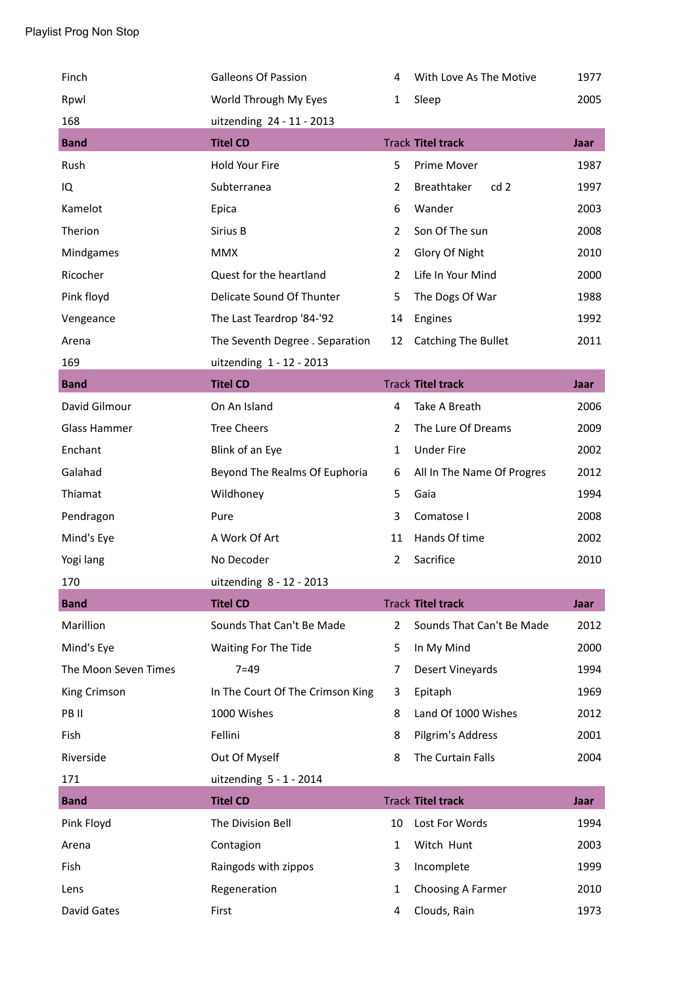| Finch                | <b>Galleons Of Passion</b>       | 4              | With Love As The Motive        | 1977        |
|----------------------|----------------------------------|----------------|--------------------------------|-------------|
| Rpwl                 | World Through My Eyes            | 1              | Sleep                          | 2005        |
| 168                  | uitzending 24 - 11 - 2013        |                |                                |             |
| <b>Band</b>          | <b>Titel CD</b>                  |                | <b>Track Titel track</b>       | Jaar        |
| Rush                 | Hold Your Fire                   | 5              | Prime Mover                    | 1987        |
| IQ                   | Subterranea                      | $\overline{2}$ | Breathtaker<br>cd <sub>2</sub> | 1997        |
| Kamelot              | Epica                            | 6              | Wander                         | 2003        |
| Therion              | Sirius B                         | $\overline{2}$ | Son Of The sun                 | 2008        |
| Mindgames            | <b>MMX</b>                       | $\overline{2}$ | Glory Of Night                 | 2010        |
| Ricocher             | Quest for the heartland          | 2              | Life In Your Mind              | 2000        |
| Pink floyd           | Delicate Sound Of Thunter        | 5              | The Dogs Of War                | 1988        |
| Vengeance            | The Last Teardrop '84-'92        | 14             | Engines                        | 1992        |
| Arena                | The Seventh Degree . Separation  | 12             | <b>Catching The Bullet</b>     | 2011        |
| 169                  | uitzending 1 - 12 - 2013         |                |                                |             |
| <b>Band</b>          | <b>Titel CD</b>                  |                | <b>Track Titel track</b>       | Jaar        |
| David Gilmour        | On An Island                     | 4              | Take A Breath                  | 2006        |
| Glass Hammer         | <b>Tree Cheers</b>               | $\overline{2}$ | The Lure Of Dreams             | 2009        |
| Enchant              | Blink of an Eye                  | $\mathbf{1}$   | <b>Under Fire</b>              | 2002        |
| Galahad              | Beyond The Realms Of Euphoria    | 6              | All In The Name Of Progres     | 2012        |
| Thiamat              | Wildhoney                        | 5              | Gaia                           | 1994        |
| Pendragon            | Pure                             | 3              | Comatose I                     | 2008        |
| Mind's Eye           | A Work Of Art                    | 11             | Hands Of time                  | 2002        |
| Yogi lang            | No Decoder                       | $\overline{2}$ | Sacrifice                      | 2010        |
| 170                  | uitzending 8 - 12 - 2013         |                |                                |             |
| <b>Band</b>          | <b>Titel CD</b>                  |                | <b>Track Titel track</b>       | Jaar        |
| Marillion            | Sounds That Can't Be Made        | $\overline{2}$ | Sounds That Can't Be Made      | 2012        |
| Mind's Eye           | Waiting For The Tide             | 5              | In My Mind                     | 2000        |
| The Moon Seven Times | $7 = 49$                         | $\overline{7}$ | Desert Vineyards               | 1994        |
| King Crimson         | In The Court Of The Crimson King | 3              | Epitaph                        | 1969        |
| PB II                | 1000 Wishes                      | 8              | Land Of 1000 Wishes            | 2012        |
| Fish                 | Fellini                          | 8              | Pilgrim's Address              | 2001        |
| Riverside            | Out Of Myself                    | 8              | The Curtain Falls              | 2004        |
| 171                  | uitzending 5 - 1 - 2014          |                |                                |             |
| <b>Band</b>          | <b>Titel CD</b>                  |                | <b>Track Titel track</b>       | <b>Jaar</b> |
| Pink Floyd           | The Division Bell                | 10             | Lost For Words                 | 1994        |
| Arena                | Contagion                        | $\mathbf{1}$   | Witch Hunt                     | 2003        |
| Fish                 | Raingods with zippos             | 3              | Incomplete                     | 1999        |
| Lens                 | Regeneration                     | 1              | Choosing A Farmer              | 2010        |
| David Gates          | First                            | 4              | Clouds, Rain                   | 1973        |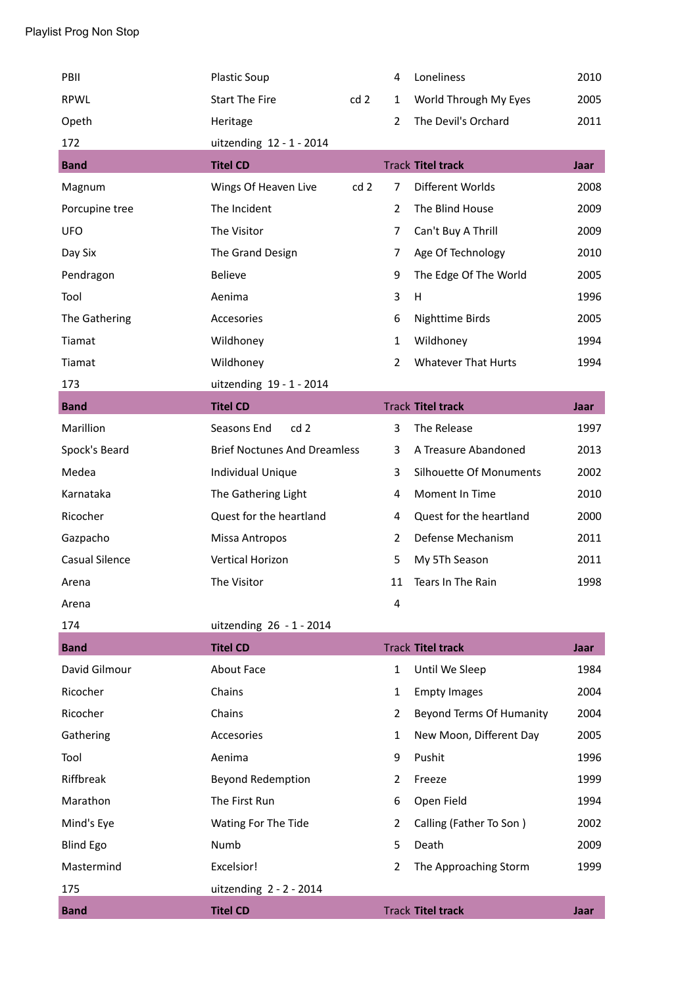| PBII                  | <b>Plastic Soup</b>                 |     | 4              | Loneliness                 | 2010        |
|-----------------------|-------------------------------------|-----|----------------|----------------------------|-------------|
| <b>RPWL</b>           | <b>Start The Fire</b>               | cd2 | 1              | World Through My Eyes      | 2005        |
| Opeth                 | Heritage                            |     | $\overline{2}$ | The Devil's Orchard        | 2011        |
| 172                   | uitzending 12 - 1 - 2014            |     |                |                            |             |
| <b>Band</b>           | <b>Titel CD</b>                     |     |                | <b>Track Titel track</b>   | Jaar        |
| Magnum                | Wings Of Heaven Live                | cd2 | $\overline{7}$ | Different Worlds           | 2008        |
| Porcupine tree        | The Incident                        |     | $\overline{2}$ | The Blind House            | 2009        |
| <b>UFO</b>            | The Visitor                         |     | $\overline{7}$ | Can't Buy A Thrill         | 2009        |
| Day Six               | The Grand Design                    |     | $\overline{7}$ | Age Of Technology          | 2010        |
| Pendragon             | <b>Believe</b>                      |     | 9              | The Edge Of The World      | 2005        |
| Tool                  | Aenima                              |     | 3              | H                          | 1996        |
| The Gathering         | Accesories                          |     | 6              | Nighttime Birds            | 2005        |
| Tiamat                | Wildhoney                           |     | 1              | Wildhoney                  | 1994        |
| Tiamat                | Wildhoney                           |     | $\overline{2}$ | <b>Whatever That Hurts</b> | 1994        |
| 173                   | uitzending 19 - 1 - 2014            |     |                |                            |             |
| <b>Band</b>           | <b>Titel CD</b>                     |     |                | <b>Track Titel track</b>   | <b>Jaar</b> |
| Marillion             | cd <sub>2</sub><br>Seasons End      |     | 3              | The Release                | 1997        |
| Spock's Beard         | <b>Brief Noctunes And Dreamless</b> |     | 3              | A Treasure Abandoned       | 2013        |
| Medea                 | Individual Unique                   |     | 3              | Silhouette Of Monuments    | 2002        |
| Karnataka             | The Gathering Light                 |     | 4              | Moment In Time             | 2010        |
| Ricocher              | Quest for the heartland             |     | 4              | Quest for the heartland    | 2000        |
| Gazpacho              | Missa Antropos                      |     | $\overline{2}$ | Defense Mechanism          | 2011        |
| <b>Casual Silence</b> | <b>Vertical Horizon</b>             |     | 5              | My 5Th Season              | 2011        |
| Arena                 | The Visitor                         |     | 11             | Tears In The Rain          | 1998        |
| Arena                 |                                     |     | 4              |                            |             |
| 174                   | uitzending 26 - 1 - 2014            |     |                |                            |             |
| <b>Band</b>           | <b>Titel CD</b>                     |     |                | <b>Track Titel track</b>   | Jaar        |
| David Gilmour         | <b>About Face</b>                   |     | $\mathbf{1}$   | Until We Sleep             | 1984        |
| Ricocher              | Chains                              |     | 1              | <b>Empty Images</b>        | 2004        |
| Ricocher              | Chains                              |     | $\overline{2}$ | Beyond Terms Of Humanity   | 2004        |
| Gathering             | Accesories                          |     | 1              | New Moon, Different Day    | 2005        |
| Tool                  | Aenima                              |     | 9              | Pushit                     | 1996        |
| Riffbreak             | <b>Beyond Redemption</b>            |     | $\overline{2}$ | Freeze                     | 1999        |
| Marathon              | The First Run                       |     | 6              | Open Field                 | 1994        |
| Mind's Eye            | Wating For The Tide                 |     | $\overline{2}$ | Calling (Father To Son)    | 2002        |
| <b>Blind Ego</b>      | Numb                                |     | 5              | Death                      | 2009        |
| Mastermind            | Excelsior!                          |     | $\overline{2}$ | The Approaching Storm      | 1999        |
| 175                   | uitzending $2 - 2 - 2014$           |     |                |                            |             |
| <b>Band</b>           | <b>Titel CD</b>                     |     |                | <b>Track Titel track</b>   | Jaar        |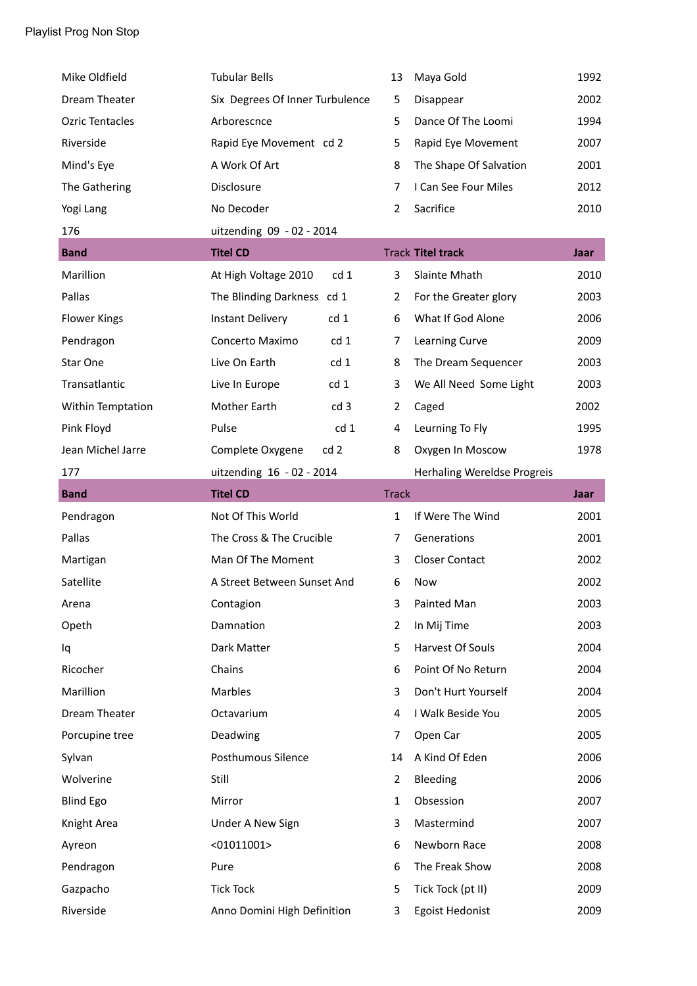| Mike Oldfield          | <b>Tubular Bells</b>                    | 13             | Maya Gold                   | 1992        |
|------------------------|-----------------------------------------|----------------|-----------------------------|-------------|
| Dream Theater          | Six Degrees Of Inner Turbulence         | 5              | Disappear                   | 2002        |
| <b>Ozric Tentacles</b> | Arborescnce                             | 5              | Dance Of The Loomi          | 1994        |
| Riverside              | Rapid Eye Movement cd 2                 | 5              | Rapid Eye Movement          | 2007        |
| Mind's Eye             | A Work Of Art                           | 8              | The Shape Of Salvation      | 2001        |
| The Gathering          | Disclosure                              | 7              | I Can See Four Miles        | 2012        |
| Yogi Lang              | No Decoder                              | $\overline{2}$ | Sacrifice                   | 2010        |
| 176                    | uitzending 09 - 02 - 2014               |                |                             |             |
| <b>Band</b>            | <b>Titel CD</b>                         |                | <b>Track Titel track</b>    | <b>Jaar</b> |
| Marillion              | At High Voltage 2010<br>cd <sub>1</sub> | 3              | Slainte Mhath               | 2010        |
| Pallas                 | The Blinding Darkness cd 1              | 2              | For the Greater glory       | 2003        |
| <b>Flower Kings</b>    | cd 1<br><b>Instant Delivery</b>         | 6              | What If God Alone           | 2006        |
| Pendragon              | Concerto Maximo<br>cd <sub>1</sub>      | 7              | Learning Curve              | 2009        |
| Star One               | Live On Earth<br>cd <sub>1</sub>        | 8              | The Dream Sequencer         | 2003        |
| Transatlantic          | Live In Europe<br>cd <sub>1</sub>       | 3              | We All Need Some Light      | 2003        |
| Within Temptation      | <b>Mother Earth</b><br>cd <sub>3</sub>  | $\overline{2}$ | Caged                       | 2002        |
| Pink Floyd             | Pulse<br>cd <sub>1</sub>                | 4              | Leurning To Fly             | 1995        |
| Jean Michel Jarre      | Complete Oxygene<br>cd <sub>2</sub>     | 8              | Oxygen In Moscow            | 1978        |
| 177                    | uitzending 16 - 02 - 2014               |                | Herhaling Wereldse Progreis |             |
| <b>Band</b>            | <b>Titel CD</b>                         | <b>Track</b>   |                             | Jaar        |
| Pendragon              | Not Of This World                       | $\mathbf{1}$   | If Were The Wind            | 2001        |
| Pallas                 | The Cross & The Crucible                | 7              | Generations                 | 2001        |
|                        |                                         |                |                             |             |
| Martigan               | Man Of The Moment                       | 3              | <b>Closer Contact</b>       | 2002        |
| Satellite              | A Street Between Sunset And             | 6              | Now                         | 2002        |
| Arena                  | Contagion                               | 3              | Painted Man                 | 2003        |
| Opeth                  | Damnation                               | $\overline{2}$ | In Mij Time                 | 2003        |
| Iq                     | Dark Matter                             | 5              | Harvest Of Souls            | 2004        |
| Ricocher               | Chains                                  | 6              | Point Of No Return          | 2004        |
| Marillion              | Marbles                                 | 3              | Don't Hurt Yourself         | 2004        |
| Dream Theater          | Octavarium                              | 4              | I Walk Beside You           | 2005        |
| Porcupine tree         | Deadwing                                | 7              | Open Car                    | 2005        |
| Sylvan                 | Posthumous Silence                      | 14             | A Kind Of Eden              | 2006        |
| Wolverine              | Still                                   | $\overline{2}$ | Bleeding                    | 2006        |
| <b>Blind Ego</b>       | Mirror                                  | $\mathbf{1}$   | Obsession                   | 2007        |
| Knight Area            | Under A New Sign                        | 3              | Mastermind                  | 2007        |
| Ayreon                 | $<$ 01011001>                           | 6              | Newborn Race                | 2008        |
| Pendragon              | Pure                                    | 6              | The Freak Show              | 2008        |
| Gazpacho               | <b>Tick Tock</b>                        | 5              | Tick Tock (pt II)           | 2009        |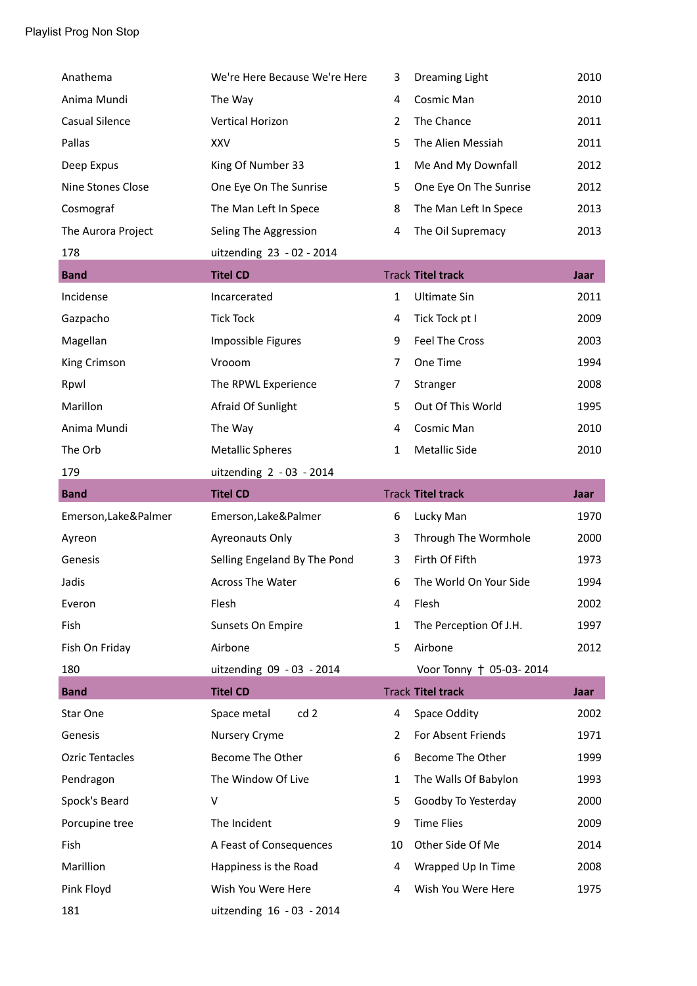| Anathema                 | We're Here Because We're Here  | 3              | Dreaming Light           | 2010 |
|--------------------------|--------------------------------|----------------|--------------------------|------|
| Anima Mundi              | The Way                        | 4              | Cosmic Man               | 2010 |
| Casual Silence           | Vertical Horizon               | $\overline{2}$ | The Chance               | 2011 |
| Pallas                   | XXV                            | 5              | The Alien Messiah        | 2011 |
| Deep Expus               | King Of Number 33              | $\mathbf{1}$   | Me And My Downfall       | 2012 |
| <b>Nine Stones Close</b> | One Eye On The Sunrise         | 5              | One Eye On The Sunrise   | 2012 |
| Cosmograf                | The Man Left In Spece          | 8              | The Man Left In Spece    | 2013 |
| The Aurora Project       | Seling The Aggression          | 4              | The Oil Supremacy        | 2013 |
| 178                      | uitzending 23 - 02 - 2014      |                |                          |      |
| <b>Band</b>              | <b>Titel CD</b>                |                | <b>Track Titel track</b> | Jaar |
| Incidense                | Incarcerated                   | $\mathbf{1}$   | <b>Ultimate Sin</b>      | 2011 |
| Gazpacho                 | <b>Tick Tock</b>               | 4              | Tick Tock pt I           | 2009 |
| Magellan                 | Impossible Figures             | 9              | Feel The Cross           | 2003 |
| King Crimson             | Vrooom                         | $\overline{7}$ | One Time                 | 1994 |
| Rpwl                     | The RPWL Experience            | 7              | Stranger                 | 2008 |
| Marillon                 | Afraid Of Sunlight             | 5              | Out Of This World        | 1995 |
| Anima Mundi              | The Way                        | 4              | Cosmic Man               | 2010 |
| The Orb                  | <b>Metallic Spheres</b>        | $\mathbf{1}$   | <b>Metallic Side</b>     | 2010 |
| 179                      | uitzending 2 - 03 - 2014       |                |                          |      |
| <b>Band</b>              | <b>Titel CD</b>                |                | <b>Track Titel track</b> | Jaar |
|                          |                                |                |                          |      |
| Emerson, Lake&Palmer     | Emerson, Lake&Palmer           | 6              | Lucky Man                | 1970 |
| Ayreon                   | Ayreonauts Only                | 3              | Through The Wormhole     | 2000 |
| Genesis                  | Selling Engeland By The Pond   | 3              | Firth Of Fifth           | 1973 |
| Jadis                    | <b>Across The Water</b>        | 6              | The World On Your Side   | 1994 |
| Everon                   | Flesh                          | 4              | Flesh                    | 2002 |
| Fish                     | Sunsets On Empire              | $\mathbf{1}$   | The Perception Of J.H.   | 1997 |
| Fish On Friday           | Airbone                        | 5              | Airbone                  | 2012 |
| 180                      | uitzending 09 - 03 - 2014      |                | Voor Tonny † 05-03-2014  |      |
| <b>Band</b>              | <b>Titel CD</b>                |                | <b>Track Titel track</b> | Jaar |
| Star One                 | cd <sub>2</sub><br>Space metal | 4              | Space Oddity             | 2002 |
| Genesis                  | Nursery Cryme                  | 2              | For Absent Friends       | 1971 |
| <b>Ozric Tentacles</b>   | Become The Other               | 6              | Become The Other         | 1999 |
| Pendragon                | The Window Of Live             | $\mathbf{1}$   | The Walls Of Babylon     | 1993 |
| Spock's Beard            | v                              | 5              | Goodby To Yesterday      | 2000 |
| Porcupine tree           | The Incident                   | 9              | <b>Time Flies</b>        | 2009 |
| Fish                     | A Feast of Consequences        | 10             | Other Side Of Me         | 2014 |
| Marillion                | Happiness is the Road          | 4              | Wrapped Up In Time       | 2008 |
| Pink Floyd               | Wish You Were Here             | 4              | Wish You Were Here       | 1975 |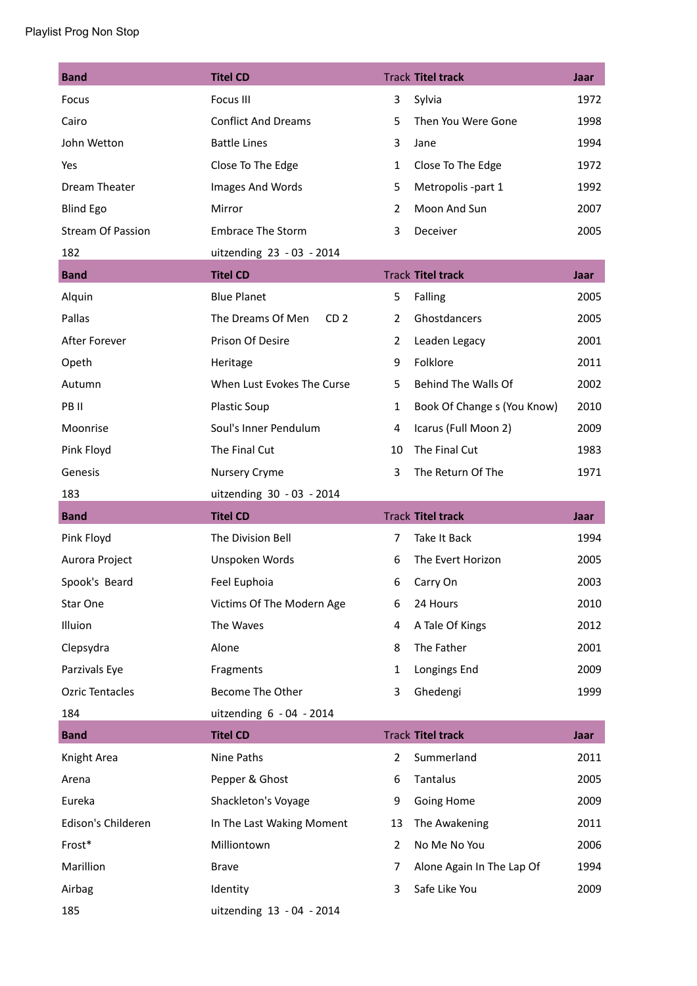| <b>Band</b>              | <b>Titel CD</b>                      |                | <b>Track Titel track</b>    | Jaar        |
|--------------------------|--------------------------------------|----------------|-----------------------------|-------------|
| Focus                    | Focus III                            | 3              | Sylvia                      | 1972        |
| Cairo                    | <b>Conflict And Dreams</b>           | 5              | Then You Were Gone          | 1998        |
| John Wetton              | <b>Battle Lines</b>                  | 3              | Jane                        | 1994        |
| Yes                      | Close To The Edge                    | $\mathbf{1}$   | Close To The Edge           | 1972        |
| Dream Theater            | Images And Words                     | 5              | Metropolis -part 1          | 1992        |
| <b>Blind Ego</b>         | Mirror                               | $\overline{2}$ | Moon And Sun                | 2007        |
| <b>Stream Of Passion</b> | <b>Embrace The Storm</b>             | 3              | Deceiver                    | 2005        |
| 182                      | uitzending 23 - 03 - 2014            |                |                             |             |
| <b>Band</b>              | <b>Titel CD</b>                      |                | <b>Track Titel track</b>    | Jaar        |
| Alquin                   | <b>Blue Planet</b>                   | 5              | Falling                     | 2005        |
| Pallas                   | The Dreams Of Men<br>CD <sub>2</sub> | $\overline{2}$ | Ghostdancers                | 2005        |
| After Forever            | Prison Of Desire                     | $\overline{2}$ | Leaden Legacy               | 2001        |
| Opeth                    | Heritage                             | 9              | Folklore                    | 2011        |
| Autumn                   | When Lust Evokes The Curse           | 5              | Behind The Walls Of         | 2002        |
| PB II                    | <b>Plastic Soup</b>                  | $\mathbf{1}$   | Book Of Change s (You Know) | 2010        |
| Moonrise                 | Soul's Inner Pendulum                | 4              | Icarus (Full Moon 2)        | 2009        |
| Pink Floyd               | The Final Cut                        | 10             | The Final Cut               | 1983        |
| Genesis                  | Nursery Cryme                        | 3              | The Return Of The           | 1971        |
|                          |                                      |                |                             |             |
| 183                      | uitzending 30 - 03 - 2014            |                |                             |             |
| <b>Band</b>              | <b>Titel CD</b>                      |                | <b>Track Titel track</b>    | Jaar        |
| Pink Floyd               | The Division Bell                    | $\overline{7}$ | Take It Back                | 1994        |
| Aurora Project           | Unspoken Words                       | 6              | The Evert Horizon           | 2005        |
| Spook's Beard            | Feel Euphoia                         | 6              | Carry On                    | 2003        |
| Star One                 | Victims Of The Modern Age            | 6              | 24 Hours                    | 2010        |
| Illuion                  | The Waves                            | 4              | A Tale Of Kings             | 2012        |
| Clepsydra                | Alone                                | 8              | The Father                  | 2001        |
| Parzivals Eye            | Fragments                            | $\mathbf{1}$   | Longings End                | 2009        |
| <b>Ozric Tentacles</b>   | Become The Other                     | 3              | Ghedengi                    | 1999        |
| 184                      | uitzending 6 - 04 - 2014             |                |                             |             |
| <b>Band</b>              | <b>Titel CD</b>                      |                | <b>Track Titel track</b>    | <b>Jaar</b> |
| Knight Area              | Nine Paths                           | $\overline{2}$ | Summerland                  | 2011        |
| Arena                    | Pepper & Ghost                       | 6              | Tantalus                    | 2005        |
| Eureka                   | Shackleton's Voyage                  | 9              | Going Home                  | 2009        |
| Edison's Childeren       | In The Last Waking Moment            | 13             | The Awakening               | 2011        |
| Frost*                   | Milliontown                          | $\overline{2}$ | No Me No You                | 2006        |
| Marillion                | <b>Brave</b>                         | 7              | Alone Again In The Lap Of   | 1994        |
| Airbag                   | Identity                             | 3              | Safe Like You               | 2009        |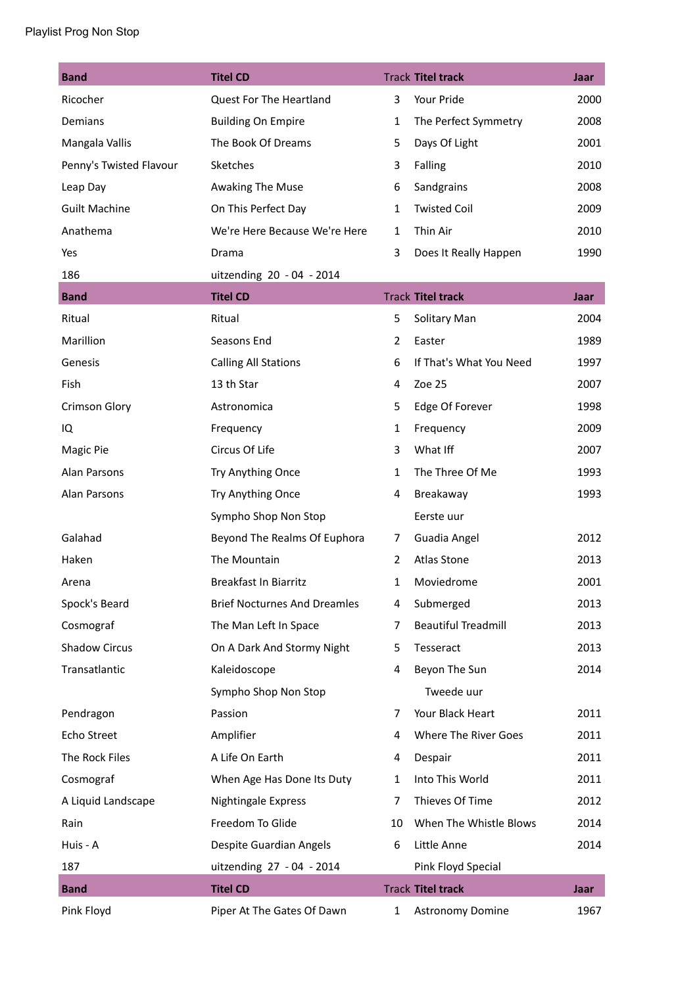| <b>Band</b>             | <b>Titel CD</b>                     |                | <b>Track Titel track</b>   | Jaar |
|-------------------------|-------------------------------------|----------------|----------------------------|------|
| Ricocher                | Quest For The Heartland             | 3              | Your Pride                 | 2000 |
| Demians                 | <b>Building On Empire</b>           | $\mathbf{1}$   | The Perfect Symmetry       | 2008 |
| Mangala Vallis          | The Book Of Dreams                  | 5              | Days Of Light              | 2001 |
| Penny's Twisted Flavour | Sketches                            | 3              | Falling                    | 2010 |
| Leap Day                | Awaking The Muse                    | 6              | Sandgrains                 | 2008 |
| <b>Guilt Machine</b>    | On This Perfect Day                 | $\mathbf{1}$   | <b>Twisted Coil</b>        | 2009 |
| Anathema                | We're Here Because We're Here       | $\mathbf{1}$   | Thin Air                   | 2010 |
| Yes                     | Drama                               | 3              | Does It Really Happen      | 1990 |
| 186                     | uitzending 20 - 04 - 2014           |                |                            |      |
| <b>Band</b>             | <b>Titel CD</b>                     |                | <b>Track Titel track</b>   | Jaar |
| Ritual                  | Ritual                              | 5              | Solitary Man               | 2004 |
| Marillion               | Seasons End                         | 2              | Easter                     | 1989 |
| Genesis                 | <b>Calling All Stations</b>         | 6              | If That's What You Need    | 1997 |
| Fish                    | 13 th Star                          | 4              | Zoe 25                     | 2007 |
| <b>Crimson Glory</b>    | Astronomica                         | 5              | Edge Of Forever            | 1998 |
| IQ                      | Frequency                           | $\mathbf{1}$   | Frequency                  | 2009 |
| Magic Pie               | Circus Of Life                      | 3              | What Iff                   | 2007 |
| Alan Parsons            | Try Anything Once                   | $\mathbf{1}$   | The Three Of Me            | 1993 |
| Alan Parsons            | Try Anything Once                   | 4              | Breakaway                  | 1993 |
|                         | Sympho Shop Non Stop                |                | Eerste uur                 |      |
| Galahad                 | Beyond The Realms Of Euphora        | 7              | Guadia Angel               | 2012 |
| Haken                   | The Mountain                        | $\overline{2}$ | <b>Atlas Stone</b>         | 2013 |
| Arena                   | <b>Breakfast In Biarritz</b>        | $\mathbf{1}$   | Moviedrome                 | 2001 |
| Spock's Beard           | <b>Brief Nocturnes And Dreamles</b> | 4              | Submerged                  | 2013 |
| Cosmograf               | The Man Left In Space               | 7              | <b>Beautiful Treadmill</b> | 2013 |
| <b>Shadow Circus</b>    | On A Dark And Stormy Night          | 5              | Tesseract                  | 2013 |
| Transatlantic           | Kaleidoscope                        | 4              | Beyon The Sun              | 2014 |
|                         | Sympho Shop Non Stop                |                | Tweede uur                 |      |
| Pendragon               | Passion                             | 7              | Your Black Heart           | 2011 |
| Echo Street             | Amplifier                           | 4              | Where The River Goes       | 2011 |
| The Rock Files          | A Life On Earth                     | 4              | Despair                    | 2011 |
| Cosmograf               | When Age Has Done Its Duty          | $\mathbf{1}$   | Into This World            | 2011 |
| A Liquid Landscape      | Nightingale Express                 | 7              | Thieves Of Time            | 2012 |
| Rain                    | Freedom To Glide                    | 10             | When The Whistle Blows     | 2014 |
| Huis - A                | Despite Guardian Angels             | 6              | Little Anne                | 2014 |
| 187                     | uitzending 27 - 04 - 2014           |                | Pink Floyd Special         |      |
| <b>Band</b>             | <b>Titel CD</b>                     |                | <b>Track Titel track</b>   | Jaar |
| Pink Floyd              | Piper At The Gates Of Dawn          | $\mathbf{1}$   | Astronomy Domine           | 1967 |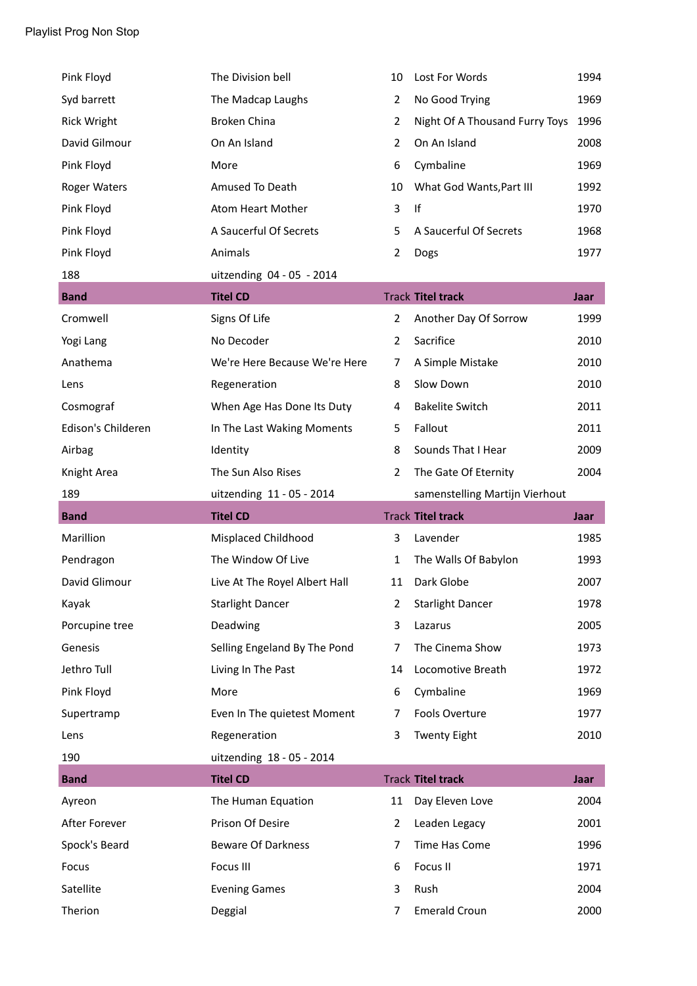| Pink Floyd          | The Division bell             | 10             | Lost For Words                 | 1994 |
|---------------------|-------------------------------|----------------|--------------------------------|------|
| Syd barrett         | The Madcap Laughs             | $\overline{2}$ | No Good Trying                 | 1969 |
| <b>Rick Wright</b>  | <b>Broken China</b>           | $\overline{2}$ | Night Of A Thousand Furry Toys | 1996 |
| David Gilmour       | On An Island                  | $\overline{2}$ | On An Island                   | 2008 |
| Pink Floyd          | More                          | 6              | Cymbaline                      | 1969 |
| <b>Roger Waters</b> | Amused To Death               | 10             | What God Wants, Part III       | 1992 |
| Pink Floyd          | Atom Heart Mother             | 3              | If                             | 1970 |
| Pink Floyd          | A Saucerful Of Secrets        | 5              | A Saucerful Of Secrets         | 1968 |
| Pink Floyd          | Animals                       | $\overline{2}$ | Dogs                           | 1977 |
| 188                 | uitzending 04 - 05 - 2014     |                |                                |      |
| <b>Band</b>         | <b>Titel CD</b>               |                | <b>Track Titel track</b>       | Jaar |
| Cromwell            | Signs Of Life                 | $\overline{2}$ | Another Day Of Sorrow          | 1999 |
| Yogi Lang           | No Decoder                    | $\overline{2}$ | Sacrifice                      | 2010 |
| Anathema            | We're Here Because We're Here | 7              | A Simple Mistake               | 2010 |
| Lens                | Regeneration                  | 8              | Slow Down                      | 2010 |
| Cosmograf           | When Age Has Done Its Duty    | 4              | <b>Bakelite Switch</b>         | 2011 |
| Edison's Childeren  | In The Last Waking Moments    | 5              | Fallout                        | 2011 |
| Airbag              | Identity                      | 8              | Sounds That I Hear             | 2009 |
| Knight Area         | The Sun Also Rises            | $\overline{2}$ | The Gate Of Eternity           | 2004 |
|                     |                               |                |                                |      |
| 189                 | uitzending 11 - 05 - 2014     |                | samenstelling Martijn Vierhout |      |
| <b>Band</b>         | <b>Titel CD</b>               |                | <b>Track Titel track</b>       | Jaar |
| Marillion           | Misplaced Childhood           | 3              | Lavender                       | 1985 |
| Pendragon           | The Window Of Live            | $\mathbf{1}$   | The Walls Of Babylon           | 1993 |
| David Glimour       | Live At The Royel Albert Hall | 11             | Dark Globe                     | 2007 |
| Kayak               | <b>Starlight Dancer</b>       | $\overline{2}$ | <b>Starlight Dancer</b>        | 1978 |
| Porcupine tree      | Deadwing                      | 3              | Lazarus                        | 2005 |
| Genesis             | Selling Engeland By The Pond  | $\overline{7}$ | The Cinema Show                | 1973 |
| Jethro Tull         | Living In The Past            | 14             | Locomotive Breath              | 1972 |
| Pink Floyd          | More                          | 6              | Cymbaline                      | 1969 |
| Supertramp          | Even In The quietest Moment   | 7              | Fools Overture                 | 1977 |
| Lens                | Regeneration                  | 3              | <b>Twenty Eight</b>            | 2010 |
| 190                 | uitzending 18 - 05 - 2014     |                |                                |      |
| <b>Band</b>         | <b>Titel CD</b>               |                | <b>Track Titel track</b>       | Jaar |
| Ayreon              | The Human Equation            | 11             | Day Eleven Love                | 2004 |
| After Forever       | Prison Of Desire              | $\overline{2}$ | Leaden Legacy                  | 2001 |
| Spock's Beard       | <b>Beware Of Darkness</b>     | $\overline{7}$ | Time Has Come                  | 1996 |
| Focus               | Focus III                     | 6              | Focus II                       | 1971 |
| Satellite           | <b>Evening Games</b>          | 3              | Rush                           | 2004 |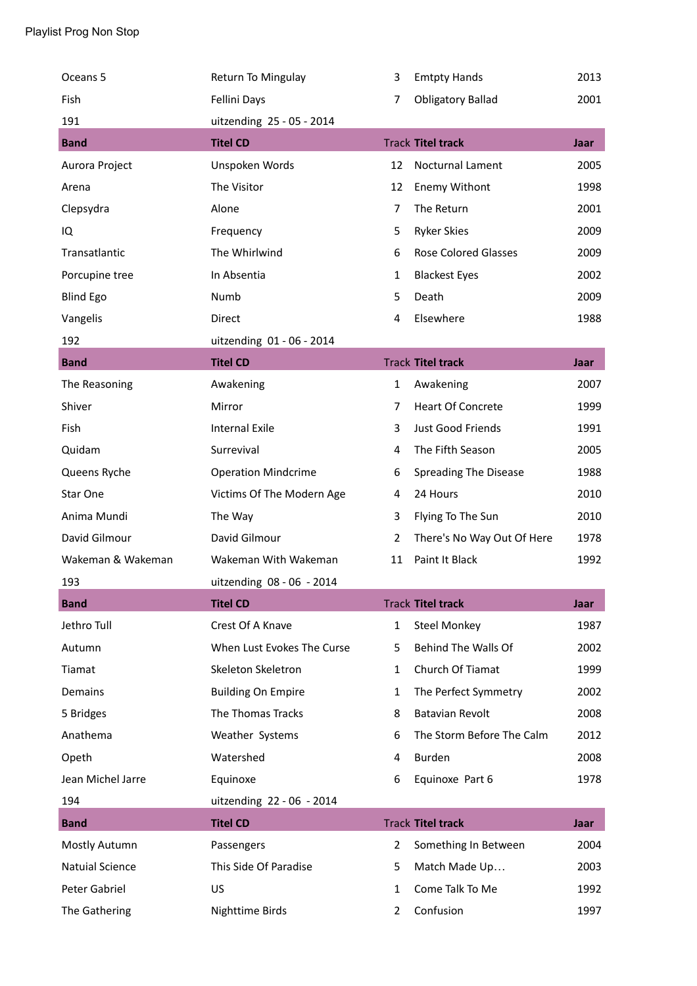| Oceans 5               | Return To Mingulay         | 3              | <b>Emtpty Hands</b>         | 2013 |
|------------------------|----------------------------|----------------|-----------------------------|------|
| Fish                   | Fellini Days               | 7              | <b>Obligatory Ballad</b>    | 2001 |
| 191                    | uitzending 25 - 05 - 2014  |                |                             |      |
| <b>Band</b>            | <b>Titel CD</b>            |                | <b>Track Titel track</b>    | Jaar |
| Aurora Project         | Unspoken Words             | 12             | Nocturnal Lament            | 2005 |
| Arena                  | The Visitor                | 12             | Enemy Withont               | 1998 |
| Clepsydra              | Alone                      | $\overline{7}$ | The Return                  | 2001 |
| IQ                     | Frequency                  | 5              | <b>Ryker Skies</b>          | 2009 |
| Transatlantic          | The Whirlwind              | 6              | <b>Rose Colored Glasses</b> | 2009 |
| Porcupine tree         | In Absentia                | 1              | <b>Blackest Eyes</b>        | 2002 |
| <b>Blind Ego</b>       | Numb                       | 5              | Death                       | 2009 |
| Vangelis               | Direct                     | 4              | Elsewhere                   | 1988 |
| 192                    | uitzending 01 - 06 - 2014  |                |                             |      |
| <b>Band</b>            | <b>Titel CD</b>            |                | <b>Track Titel track</b>    | Jaar |
| The Reasoning          | Awakening                  | 1              | Awakening                   | 2007 |
| Shiver                 | Mirror                     | $\overline{7}$ | <b>Heart Of Concrete</b>    | 1999 |
| Fish                   | <b>Internal Exile</b>      | 3              | Just Good Friends           | 1991 |
| Quidam                 | Surrevival                 | 4              | The Fifth Season            | 2005 |
| Queens Ryche           | <b>Operation Mindcrime</b> | 6              | Spreading The Disease       | 1988 |
| Star One               | Victims Of The Modern Age  | 4              | 24 Hours                    | 2010 |
| Anima Mundi            | The Way                    | 3              | Flying To The Sun           | 2010 |
| David Gilmour          | David Gilmour              | $\overline{2}$ | There's No Way Out Of Here  | 1978 |
| Wakeman & Wakeman      | Wakeman With Wakeman       | 11             | Paint It Black              | 1992 |
| 193                    | uitzending 08 - 06 - 2014  |                |                             |      |
| <b>Band</b>            | <b>Titel CD</b>            |                | <b>Track Titel track</b>    | Jaar |
| Jethro Tull            | Crest Of A Knave           | $\mathbf{1}$   | <b>Steel Monkey</b>         | 1987 |
| Autumn                 | When Lust Evokes The Curse | 5              | Behind The Walls Of         | 2002 |
| Tiamat                 | Skeleton Skeletron         | 1              | Church Of Tiamat            | 1999 |
| Demains                | <b>Building On Empire</b>  | $\mathbf{1}$   | The Perfect Symmetry        | 2002 |
| 5 Bridges              | The Thomas Tracks          | 8              | <b>Batavian Revolt</b>      | 2008 |
| Anathema               | Weather Systems            | 6              | The Storm Before The Calm   | 2012 |
| Opeth                  | Watershed                  | 4              | Burden                      | 2008 |
| Jean Michel Jarre      | Equinoxe                   | 6              | Equinoxe Part 6             | 1978 |
| 194                    | uitzending 22 - 06 - 2014  |                |                             |      |
| <b>Band</b>            | <b>Titel CD</b>            |                | <b>Track Titel track</b>    | Jaar |
| Mostly Autumn          | Passengers                 | $\overline{2}$ | Something In Between        | 2004 |
| <b>Natuial Science</b> | This Side Of Paradise      | 5              | Match Made Up               | 2003 |
| Peter Gabriel          | <b>US</b>                  | 1              | Come Talk To Me             | 1992 |
| The Gathering          | <b>Nighttime Birds</b>     | 2              | Confusion                   | 1997 |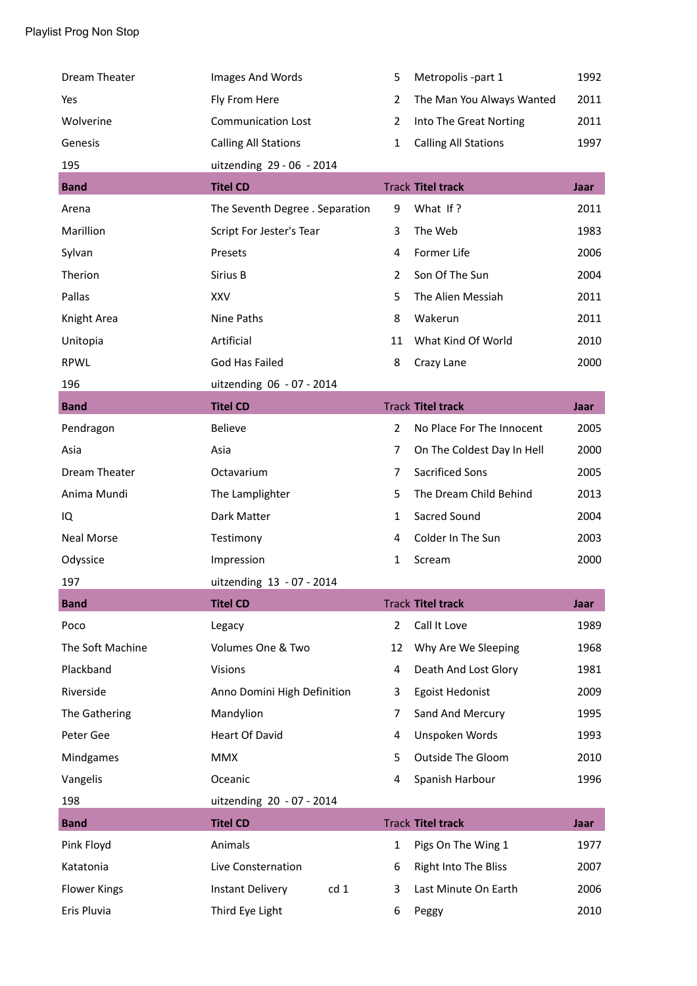| Dream Theater       | Images And Words                | 5              | Metropolis -part 1          | 1992 |
|---------------------|---------------------------------|----------------|-----------------------------|------|
| Yes                 | Fly From Here                   | $\overline{2}$ | The Man You Always Wanted   | 2011 |
| Wolverine           | <b>Communication Lost</b>       | $\overline{2}$ | Into The Great Norting      | 2011 |
| Genesis             | <b>Calling All Stations</b>     | $\mathbf{1}$   | <b>Calling All Stations</b> | 1997 |
| 195                 | uitzending 29 - 06 - 2014       |                |                             |      |
| <b>Band</b>         | <b>Titel CD</b>                 |                | <b>Track Titel track</b>    | Jaar |
| Arena               | The Seventh Degree . Separation | 9              | What If?                    | 2011 |
| Marillion           | Script For Jester's Tear        | 3              | The Web                     | 1983 |
| Sylvan              | Presets                         | 4              | Former Life                 | 2006 |
| Therion             | Sirius B                        | $\overline{2}$ | Son Of The Sun              | 2004 |
| Pallas              | XXV                             | 5              | The Alien Messiah           | 2011 |
| Knight Area         | Nine Paths                      | 8              | Wakerun                     | 2011 |
| Unitopia            | Artificial                      | 11             | What Kind Of World          | 2010 |
| <b>RPWL</b>         | God Has Failed                  | 8              | Crazy Lane                  | 2000 |
| 196                 | uitzending 06 - 07 - 2014       |                |                             |      |
| <b>Band</b>         | <b>Titel CD</b>                 |                | <b>Track Titel track</b>    | Jaar |
| Pendragon           | <b>Believe</b>                  | $\overline{2}$ | No Place For The Innocent   | 2005 |
| Asia                | Asia                            | $\overline{7}$ | On The Coldest Day In Hell  | 2000 |
| Dream Theater       | Octavarium                      | 7              | <b>Sacrificed Sons</b>      | 2005 |
| Anima Mundi         | The Lamplighter                 | 5              | The Dream Child Behind      | 2013 |
| IQ                  | Dark Matter                     | $\mathbf{1}$   | Sacred Sound                | 2004 |
| <b>Neal Morse</b>   | Testimony                       | 4              | Colder In The Sun           | 2003 |
| Odyssice            | Impression                      | 1              | Scream                      | 2000 |
| 197                 | uitzending 13 - 07 - 2014       |                |                             |      |
| <b>Band</b>         | <b>Titel CD</b>                 |                | <b>Track Titel track</b>    | Jaar |
| Poco                | Legacy                          | $\overline{2}$ | Call It Love                | 1989 |
| The Soft Machine    | Volumes One & Two               | 12             | Why Are We Sleeping         | 1968 |
| Plackband           | <b>Visions</b>                  | 4              | Death And Lost Glory        | 1981 |
| Riverside           | Anno Domini High Definition     | 3              | <b>Egoist Hedonist</b>      | 2009 |
| The Gathering       | Mandylion                       | 7              | Sand And Mercury            | 1995 |
| Peter Gee           | <b>Heart Of David</b>           | 4              | Unspoken Words              | 1993 |
| Mindgames           | <b>MMX</b>                      | 5              | <b>Outside The Gloom</b>    | 2010 |
| Vangelis            | Oceanic                         | 4              | Spanish Harbour             | 1996 |
| 198                 | uitzending 20 - 07 - 2014       |                |                             |      |
| <b>Band</b>         | <b>Titel CD</b>                 |                | <b>Track Titel track</b>    | Jaar |
| Pink Floyd          | Animals                         | $\mathbf{1}$   | Pigs On The Wing 1          | 1977 |
| Katatonia           | Live Consternation              | 6              | Right Into The Bliss        | 2007 |
| <b>Flower Kings</b> | cd 1<br><b>Instant Delivery</b> | 3              | Last Minute On Earth        | 2006 |
| Eris Pluvia         | Third Eye Light                 | 6              | Peggy                       | 2010 |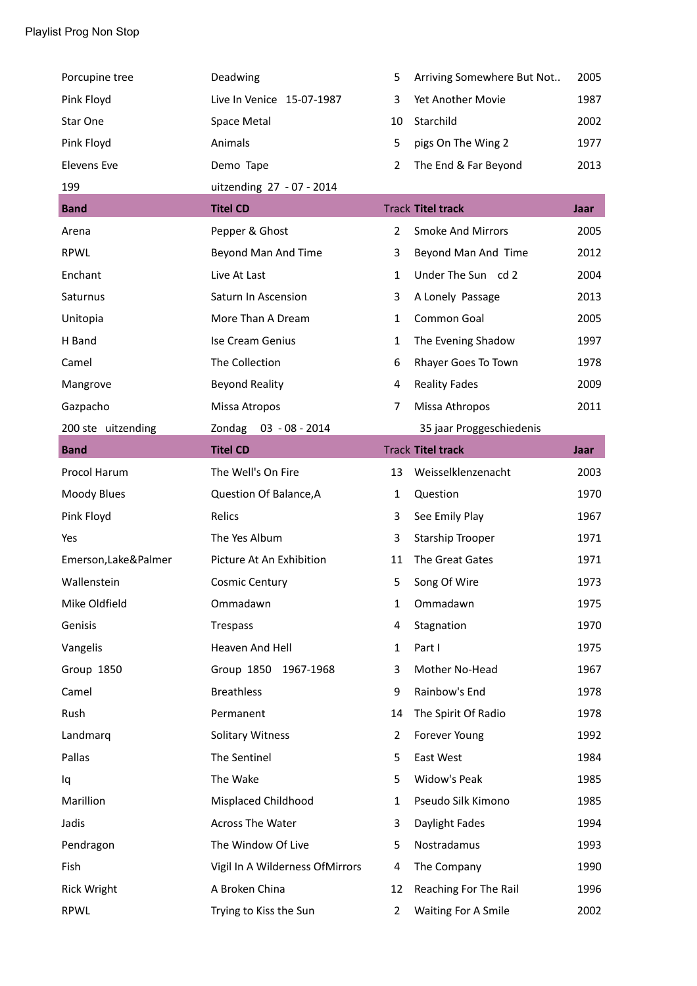| Porcupine tree       | Deadwing                        | 5              | Arriving Somewhere But Not | 2005        |
|----------------------|---------------------------------|----------------|----------------------------|-------------|
| Pink Floyd           | Live In Venice 15-07-1987       | 3              | Yet Another Movie          | 1987        |
| Star One             | Space Metal                     | 10             | Starchild                  | 2002        |
| Pink Floyd           | Animals                         | 5              | pigs On The Wing 2         | 1977        |
| <b>Elevens Eve</b>   | Demo Tape                       | $\overline{2}$ | The End & Far Beyond       | 2013        |
| 199                  | uitzending 27 - 07 - 2014       |                |                            |             |
| <b>Band</b>          | <b>Titel CD</b>                 |                | <b>Track Titel track</b>   | Jaar        |
| Arena                | Pepper & Ghost                  | $\overline{2}$ | <b>Smoke And Mirrors</b>   | 2005        |
| <b>RPWL</b>          | Beyond Man And Time             | 3              | Beyond Man And Time        | 2012        |
| Enchant              | Live At Last                    | $\mathbf{1}$   | Under The Sun cd 2         | 2004        |
| Saturnus             | Saturn In Ascension             | 3              | A Lonely Passage           | 2013        |
| Unitopia             | More Than A Dream               | $\mathbf{1}$   | Common Goal                | 2005        |
| H Band               | Ise Cream Genius                | 1              | The Evening Shadow         | 1997        |
| Camel                | The Collection                  | 6              | Rhayer Goes To Town        | 1978        |
| Mangrove             | <b>Beyond Reality</b>           | 4              | <b>Reality Fades</b>       | 2009        |
| Gazpacho             | Missa Atropos                   | 7              | Missa Athropos             | 2011        |
| 200 ste uitzending   | Zondag 03 - 08 - 2014           |                | 35 jaar Proggeschiedenis   |             |
| <b>Band</b>          | <b>Titel CD</b>                 |                | <b>Track Titel track</b>   | <b>Jaar</b> |
| Procol Harum         | The Well's On Fire              | 13             | Weisselklenzenacht         | 2003        |
| Moody Blues          | Question Of Balance, A          | $\mathbf{1}$   | Question                   | 1970        |
| Pink Floyd           | Relics                          | 3              | See Emily Play             | 1967        |
| Yes                  | The Yes Album                   | 3              | <b>Starship Trooper</b>    | 1971        |
| Emerson, Lake&Palmer | Picture At An Exhibition        | 11             | The Great Gates            | 1971        |
| Wallenstein          | <b>Cosmic Century</b>           | 5              | Song Of Wire               | 1973        |
| Mike Oldfield        | Ommadawn                        | $\mathbf{1}$   | Ommadawn                   | 1975        |
| Genisis              | Trespass                        | 4              | Stagnation                 | 1970        |
| Vangelis             | Heaven And Hell                 | $\mathbf 1$    | Part I                     | 1975        |
| Group 1850           | Group 1850<br>1967-1968         | 3              | Mother No-Head             | 1967        |
| Camel                | <b>Breathless</b>               | 9              | Rainbow's End              | 1978        |
| Rush                 | Permanent                       | 14             | The Spirit Of Radio        | 1978        |
| Landmarq             | <b>Solitary Witness</b>         | $\overline{2}$ | Forever Young              | 1992        |
| Pallas               | The Sentinel                    | 5              | East West                  | 1984        |
| Iq                   | The Wake                        | 5              | Widow's Peak               | 1985        |
| Marillion            | Misplaced Childhood             | $\mathbf{1}$   | Pseudo Silk Kimono         | 1985        |
| Jadis                | Across The Water                | 3              | Daylight Fades             | 1994        |
| Pendragon            | The Window Of Live              | 5              | Nostradamus                | 1993        |
| Fish                 | Vigil In A Wilderness OfMirrors | 4              | The Company                | 1990        |
| <b>Rick Wright</b>   | A Broken China                  | 12             | Reaching For The Rail      | 1996        |
| RPWL                 | Trying to Kiss the Sun          | $\overline{2}$ | <b>Waiting For A Smile</b> | 2002        |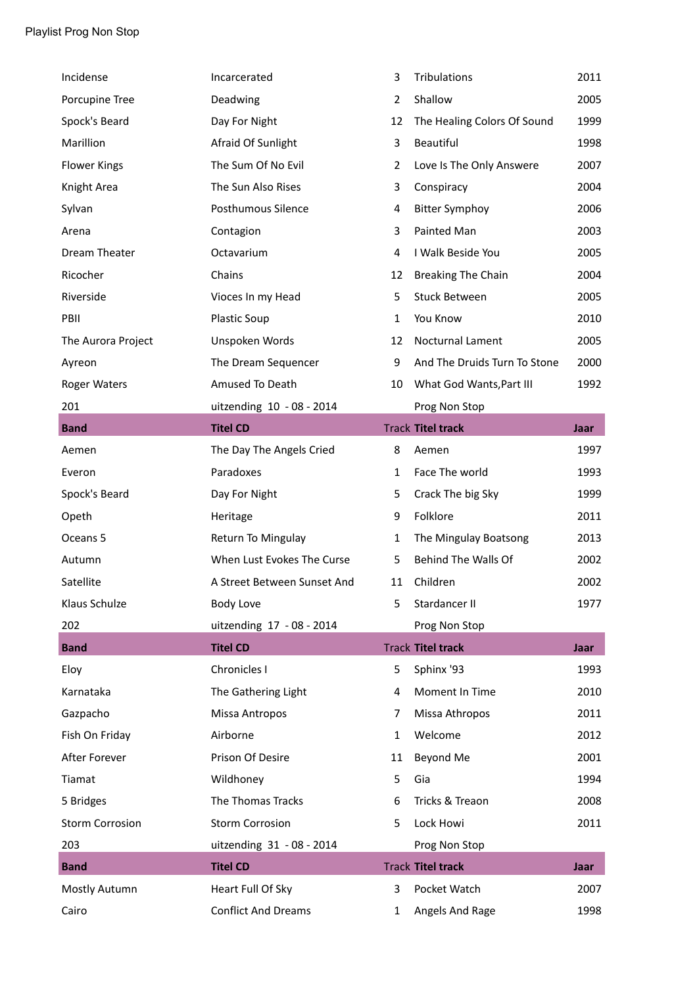| Incidense              | Incarcerated                | 3              | Tribulations                 | 2011        |
|------------------------|-----------------------------|----------------|------------------------------|-------------|
| Porcupine Tree         | Deadwing                    | $\overline{2}$ | Shallow                      | 2005        |
| Spock's Beard          | Day For Night               | 12             | The Healing Colors Of Sound  | 1999        |
| Marillion              | Afraid Of Sunlight          | 3              | Beautiful                    | 1998        |
| <b>Flower Kings</b>    | The Sum Of No Evil          | 2              | Love Is The Only Answere     | 2007        |
| Knight Area            | The Sun Also Rises          | 3              | Conspiracy                   | 2004        |
| Sylvan                 | Posthumous Silence          | 4              | <b>Bitter Symphoy</b>        | 2006        |
| Arena                  | Contagion                   | 3              | Painted Man                  | 2003        |
| Dream Theater          | Octavarium                  | 4              | I Walk Beside You            | 2005        |
| Ricocher               | Chains                      | 12             | <b>Breaking The Chain</b>    | 2004        |
| Riverside              | Vioces In my Head           | 5              | <b>Stuck Between</b>         | 2005        |
| PBII                   | <b>Plastic Soup</b>         | $\mathbf{1}$   | You Know                     | 2010        |
| The Aurora Project     | Unspoken Words              | 12             | Nocturnal Lament             | 2005        |
| Ayreon                 | The Dream Sequencer         | 9              | And The Druids Turn To Stone | 2000        |
| <b>Roger Waters</b>    | Amused To Death             | 10             | What God Wants, Part III     | 1992        |
| 201                    | uitzending 10 - 08 - 2014   |                | Prog Non Stop                |             |
| <b>Band</b>            | <b>Titel CD</b>             |                | <b>Track Titel track</b>     | Jaar        |
| Aemen                  | The Day The Angels Cried    | 8              | Aemen                        | 1997        |
| Everon                 | Paradoxes                   | $\mathbf{1}$   | Face The world               | 1993        |
| Spock's Beard          | Day For Night               | 5              | Crack The big Sky            | 1999        |
| Opeth                  | Heritage                    | 9              | Folklore                     | 2011        |
| Oceans 5               | Return To Mingulay          | $\mathbf{1}$   | The Mingulay Boatsong        | 2013        |
| Autumn                 | When Lust Evokes The Curse  | 5              | Behind The Walls Of          | 2002        |
| Satellite              | A Street Between Sunset And | 11             | Children                     | 2002        |
| Klaus Schulze          | <b>Body Love</b>            | 5              | Stardancer II                | 1977        |
| 202                    | uitzending 17 - 08 - 2014   |                | Prog Non Stop                |             |
| <b>Band</b>            | <b>Titel CD</b>             |                | <b>Track Titel track</b>     | <b>Jaar</b> |
| Eloy                   | Chronicles I                | 5              | Sphinx '93                   | 1993        |
| Karnataka              | The Gathering Light         | 4              | Moment In Time               | 2010        |
| Gazpacho               | Missa Antropos              | 7              | Missa Athropos               | 2011        |
| Fish On Friday         | Airborne                    | $\mathbf{1}$   | Welcome                      | 2012        |
| After Forever          | Prison Of Desire            | 11             | Beyond Me                    | 2001        |
| Tiamat                 | Wildhoney                   | 5              | Gia                          | 1994        |
| 5 Bridges              | The Thomas Tracks           | 6              | Tricks & Treaon              | 2008        |
| <b>Storm Corrosion</b> | <b>Storm Corrosion</b>      | 5              | Lock Howi                    | 2011        |
| 203                    | uitzending 31 - 08 - 2014   |                | Prog Non Stop                |             |
| <b>Band</b>            | <b>Titel CD</b>             |                | <b>Track Titel track</b>     | Jaar        |
| Mostly Autumn          | Heart Full Of Sky           | 3              | Pocket Watch                 | 2007        |
| Cairo                  | <b>Conflict And Dreams</b>  | $\mathbf{1}$   | Angels And Rage              | 1998        |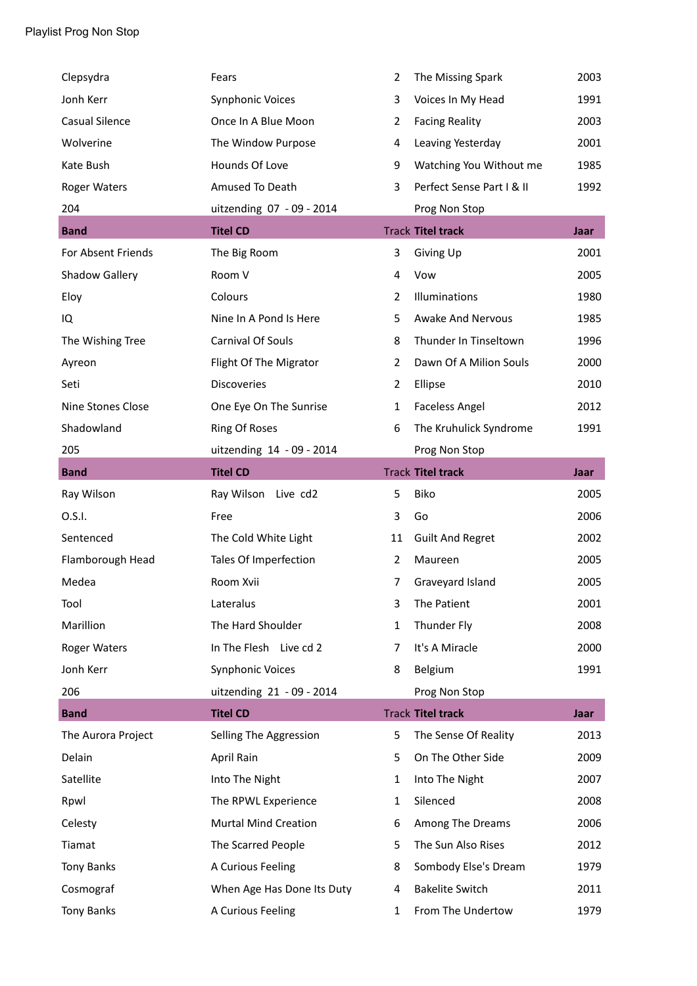| Clepsydra           | Fears                       | $\overline{2}$ | The Missing Spark         | 2003        |
|---------------------|-----------------------------|----------------|---------------------------|-------------|
| Jonh Kerr           | <b>Synphonic Voices</b>     | 3              | Voices In My Head         | 1991        |
| Casual Silence      | Once In A Blue Moon         | $\overline{2}$ | <b>Facing Reality</b>     | 2003        |
| Wolverine           | The Window Purpose          | 4              | Leaving Yesterday         | 2001        |
| Kate Bush           | Hounds Of Love              | 9              | Watching You Without me   | 1985        |
| <b>Roger Waters</b> | Amused To Death             | 3              | Perfect Sense Part I & II | 1992        |
| 204                 | uitzending 07 - 09 - 2014   |                | Prog Non Stop             |             |
| <b>Band</b>         | <b>Titel CD</b>             |                | <b>Track Titel track</b>  | Jaar        |
| For Absent Friends  | The Big Room                | 3              | Giving Up                 | 2001        |
| Shadow Gallery      | Room V                      | 4              | Vow                       | 2005        |
| Eloy                | Colours                     | $\overline{2}$ | Illuminations             | 1980        |
| IQ                  | Nine In A Pond Is Here      | 5              | <b>Awake And Nervous</b>  | 1985        |
| The Wishing Tree    | Carnival Of Souls           | 8              | Thunder In Tinseltown     | 1996        |
| Ayreon              | Flight Of The Migrator      | $\overline{2}$ | Dawn Of A Milion Souls    | 2000        |
| Seti                | <b>Discoveries</b>          | $\overline{2}$ | Ellipse                   | 2010        |
| Nine Stones Close   | One Eye On The Sunrise      | $\mathbf{1}$   | <b>Faceless Angel</b>     | 2012        |
| Shadowland          | Ring Of Roses               | 6              | The Kruhulick Syndrome    | 1991        |
| 205                 | uitzending 14 - 09 - 2014   |                | Prog Non Stop             |             |
| <b>Band</b>         | <b>Titel CD</b>             |                | <b>Track Titel track</b>  | Jaar        |
| Ray Wilson          | Ray Wilson Live cd2         | 5              | Biko                      | 2005        |
| 0.S.I.              | Free                        | 3              | Go                        | 2006        |
| Sentenced           | The Cold White Light        | 11             | <b>Guilt And Regret</b>   | 2002        |
| Flamborough Head    | Tales Of Imperfection       | 2              | Maureen                   | 2005        |
| Medea               | Room Xvii                   | $\overline{7}$ | Graveyard Island          | 2005        |
| Tool                | Lateralus                   | 3              | The Patient               | 2001        |
| Marillion           | The Hard Shoulder           | $\mathbf{1}$   | Thunder Fly               | 2008        |
| Roger Waters        | In The Flesh Live cd 2      | 7              | It's A Miracle            | 2000        |
| Jonh Kerr           | <b>Synphonic Voices</b>     | 8              | Belgium                   | 1991        |
| 206                 | uitzending 21 - 09 - 2014   |                | Prog Non Stop             |             |
| <b>Band</b>         | <b>Titel CD</b>             |                | <b>Track Titel track</b>  | <b>Jaar</b> |
| The Aurora Project  | Selling The Aggression      | 5              | The Sense Of Reality      | 2013        |
| Delain              | April Rain                  | 5              | On The Other Side         | 2009        |
| Satellite           | Into The Night              | $\mathbf{1}$   | Into The Night            | 2007        |
| Rpwl                | The RPWL Experience         | $\mathbf{1}$   | Silenced                  | 2008        |
| Celesty             | <b>Murtal Mind Creation</b> | 6              | Among The Dreams          | 2006        |
| Tiamat              | The Scarred People          | 5              | The Sun Also Rises        | 2012        |
| Tony Banks          | A Curious Feeling           | 8              | Sombody Else's Dream      | 1979        |
| Cosmograf           | When Age Has Done Its Duty  | 4              | <b>Bakelite Switch</b>    | 2011        |
| <b>Tony Banks</b>   | A Curious Feeling           | 1              | From The Undertow         | 1979        |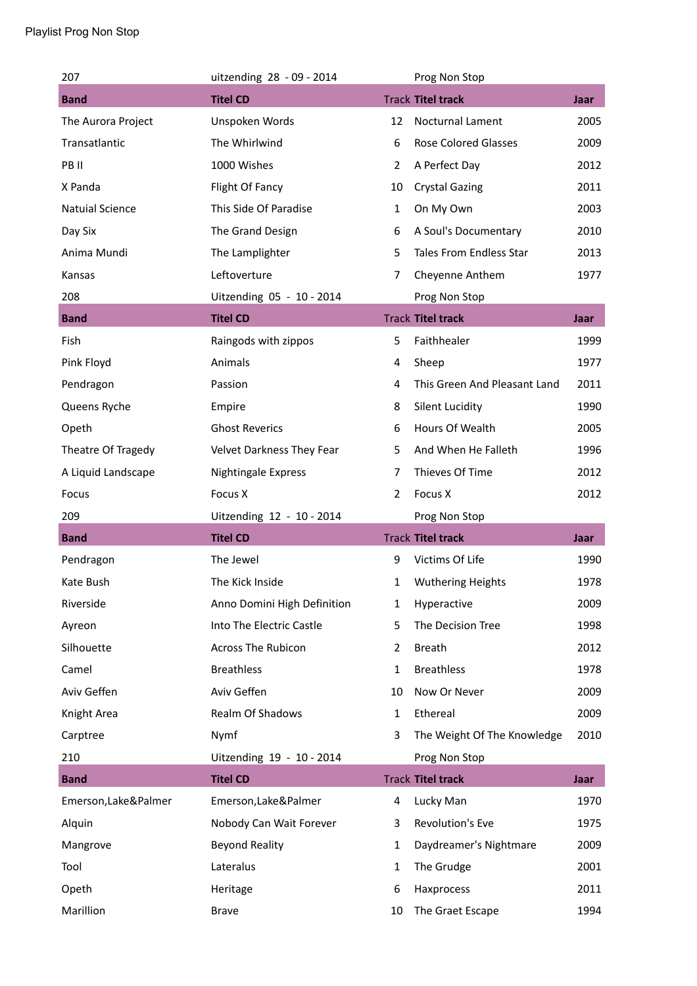| 207                    | uitzending 28 - 09 - 2014   |                | Prog Non Stop                  |             |
|------------------------|-----------------------------|----------------|--------------------------------|-------------|
| <b>Band</b>            | <b>Titel CD</b>             |                | <b>Track Titel track</b>       | Jaar        |
| The Aurora Project     | Unspoken Words              | 12             | Nocturnal Lament               | 2005        |
| Transatlantic          | The Whirlwind               | 6              | <b>Rose Colored Glasses</b>    | 2009        |
| PB II                  | 1000 Wishes                 | 2              | A Perfect Day                  | 2012        |
| X Panda                | Flight Of Fancy             | 10             | <b>Crystal Gazing</b>          | 2011        |
| <b>Natuial Science</b> | This Side Of Paradise       | $\mathbf{1}$   | On My Own                      | 2003        |
| Day Six                | The Grand Design            | 6              | A Soul's Documentary           | 2010        |
| Anima Mundi            | The Lamplighter             | 5              | <b>Tales From Endless Star</b> | 2013        |
| Kansas                 | Leftoverture                | $\overline{7}$ | Cheyenne Anthem                | 1977        |
| 208                    | Uitzending 05 - 10 - 2014   |                | Prog Non Stop                  |             |
| <b>Band</b>            | <b>Titel CD</b>             |                | <b>Track Titel track</b>       | Jaar        |
| Fish                   | Raingods with zippos        | 5              | Faithhealer                    | 1999        |
| Pink Floyd             | Animals                     | 4              | Sheep                          | 1977        |
| Pendragon              | Passion                     | 4              | This Green And Pleasant Land   | 2011        |
| Queens Ryche           | Empire                      | 8              | <b>Silent Lucidity</b>         | 1990        |
| Opeth                  | <b>Ghost Reverics</b>       | 6              | Hours Of Wealth                | 2005        |
| Theatre Of Tragedy     | Velvet Darkness They Fear   | 5              | And When He Falleth            | 1996        |
| A Liquid Landscape     | Nightingale Express         | 7              | Thieves Of Time                | 2012        |
| Focus                  | Focus X                     | $\overline{2}$ | Focus X                        | 2012        |
|                        |                             |                |                                |             |
| 209                    | Uitzending 12 - 10 - 2014   |                | Prog Non Stop                  |             |
| <b>Band</b>            | <b>Titel CD</b>             |                | <b>Track Titel track</b>       | <b>Jaar</b> |
| Pendragon              | The Jewel                   | 9              | Victims Of Life                | 1990        |
| Kate Bush              | The Kick Inside             | 1              | <b>Wuthering Heights</b>       | 1978        |
| Riverside              | Anno Domini High Definition | 1              | Hyperactive                    | 2009        |
| Ayreon                 | Into The Electric Castle    | 5              | The Decision Tree              | 1998        |
| Silhouette             | <b>Across The Rubicon</b>   | 2              | <b>Breath</b>                  | 2012        |
| Camel                  | <b>Breathless</b>           | 1              | <b>Breathless</b>              | 1978        |
| Aviv Geffen            | Aviv Geffen                 | 10             | Now Or Never                   | 2009        |
| Knight Area            | Realm Of Shadows            | $\mathbf{1}$   | Ethereal                       | 2009        |
| Carptree               | Nymf                        | 3              | The Weight Of The Knowledge    | 2010        |
| 210                    | Uitzending 19 - 10 - 2014   |                | Prog Non Stop                  |             |
| <b>Band</b>            | <b>Titel CD</b>             |                | <b>Track Titel track</b>       | Jaar        |
| Emerson, Lake&Palmer   | Emerson, Lake&Palmer        | 4              | Lucky Man                      | 1970        |
| Alquin                 | Nobody Can Wait Forever     | 3              | Revolution's Eve               | 1975        |
| Mangrove               | <b>Beyond Reality</b>       | 1              | Daydreamer's Nightmare         | 2009        |
| Tool                   | Lateralus                   | $\mathbf{1}$   | The Grudge                     | 2001        |
| Opeth                  | Heritage                    | 6              | Haxprocess                     | 2011        |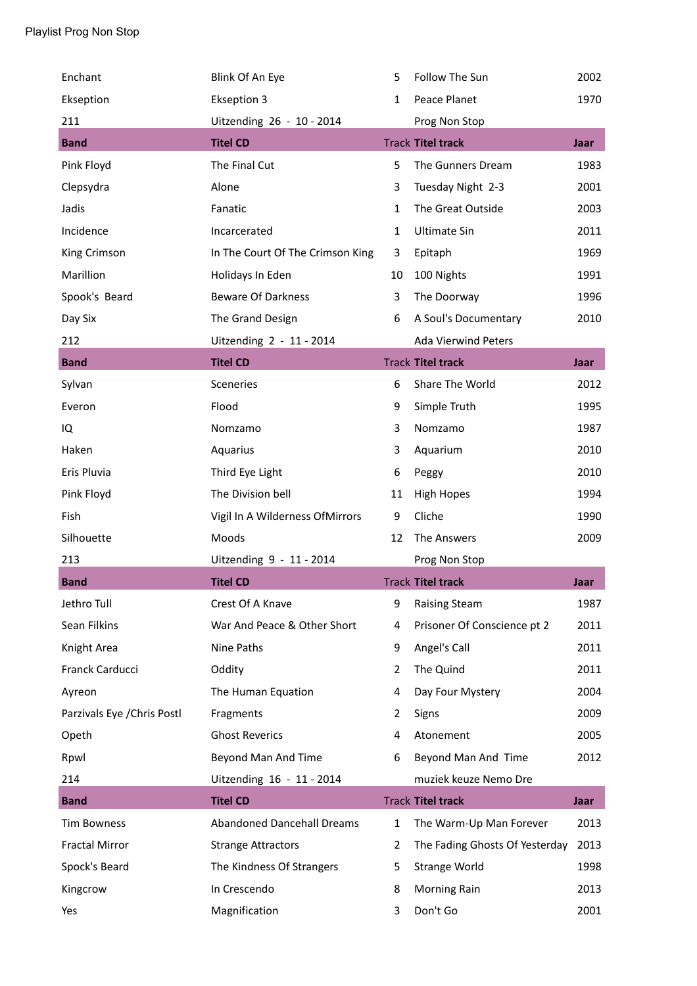| Enchant                     | Blink Of An Eye                   | 5            | Follow The Sun                 | 2002        |
|-----------------------------|-----------------------------------|--------------|--------------------------------|-------------|
| Ekseption                   | <b>Ekseption 3</b>                | $\mathbf{1}$ | Peace Planet                   | 1970        |
| 211                         | Uitzending 26 - 10 - 2014         |              | Prog Non Stop                  |             |
| <b>Band</b>                 | <b>Titel CD</b>                   |              | <b>Track Titel track</b>       | Jaar        |
| Pink Floyd                  | The Final Cut                     | 5            | The Gunners Dream              | 1983        |
| Clepsydra                   | Alone                             | 3            | Tuesday Night 2-3              | 2001        |
| Jadis                       | Fanatic                           | $\mathbf{1}$ | The Great Outside              | 2003        |
| Incidence                   | Incarcerated                      | $\mathbf{1}$ | <b>Ultimate Sin</b>            | 2011        |
| King Crimson                | In The Court Of The Crimson King  | 3            | Epitaph                        | 1969        |
| Marillion                   | Holidays In Eden                  | 10           | 100 Nights                     | 1991        |
| Spook's Beard               | <b>Beware Of Darkness</b>         | 3            | The Doorway                    | 1996        |
| Day Six                     | The Grand Design                  | 6            | A Soul's Documentary           | 2010        |
| 212                         | Uitzending 2 - 11 - 2014          |              | <b>Ada Vierwind Peters</b>     |             |
| <b>Band</b>                 | <b>Titel CD</b>                   |              | <b>Track Titel track</b>       | <b>Jaar</b> |
| Sylvan                      | Sceneries                         | 6            | Share The World                | 2012        |
| Everon                      | Flood                             | 9            | Simple Truth                   | 1995        |
| IQ                          | Nomzamo                           | 3            | Nomzamo                        | 1987        |
| Haken                       | Aquarius                          | 3            | Aquarium                       | 2010        |
| Eris Pluvia                 | Third Eye Light                   | 6            | Peggy                          | 2010        |
| Pink Floyd                  | The Division bell                 | 11           | <b>High Hopes</b>              | 1994        |
| Fish                        | Vigil In A Wilderness OfMirrors   | 9            | Cliche                         | 1990        |
| Silhouette                  | Moods                             | 12           | The Answers                    | 2009        |
| 213                         | Uitzending 9 - 11 - 2014          |              | Prog Non Stop                  |             |
| <b>Band</b>                 | <b>Titel CD</b>                   |              | <b>Track Titel track</b>       | Jaar        |
| Jethro Tull                 | Crest Of A Knave                  | 9            | <b>Raising Steam</b>           | 1987        |
| Sean Filkins                | War And Peace & Other Short       | 4            | Prisoner Of Conscience pt 2    | 2011        |
| Knight Area                 | Nine Paths                        | 9            | Angel's Call                   | 2011        |
| Franck Carducci             | Oddity                            | 2            | The Quind                      | 2011        |
| Ayreon                      | The Human Equation                | 4            | Day Four Mystery               | 2004        |
| Parzivals Eye / Chris Postl | Fragments                         | 2            | Signs                          | 2009        |
| Opeth                       | <b>Ghost Reverics</b>             | 4            | Atonement                      | 2005        |
| Rpwl                        | Beyond Man And Time               | 6            | Beyond Man And Time            | 2012        |
| 214                         | Uitzending 16 - 11 - 2014         |              | muziek keuze Nemo Dre          |             |
| <b>Band</b>                 | <b>Titel CD</b>                   |              | <b>Track Titel track</b>       | <b>Jaar</b> |
| <b>Tim Bowness</b>          | <b>Abandoned Dancehall Dreams</b> | $\mathbf{1}$ | The Warm-Up Man Forever        | 2013        |
| <b>Fractal Mirror</b>       | <b>Strange Attractors</b>         | 2            | The Fading Ghosts Of Yesterday | 2013        |
| Spock's Beard               | The Kindness Of Strangers         | 5            | Strange World                  | 1998        |
| Kingcrow                    | In Crescendo                      | 8            | <b>Morning Rain</b>            | 2013        |
| Yes                         | Magnification                     | 3            | Don't Go                       | 2001        |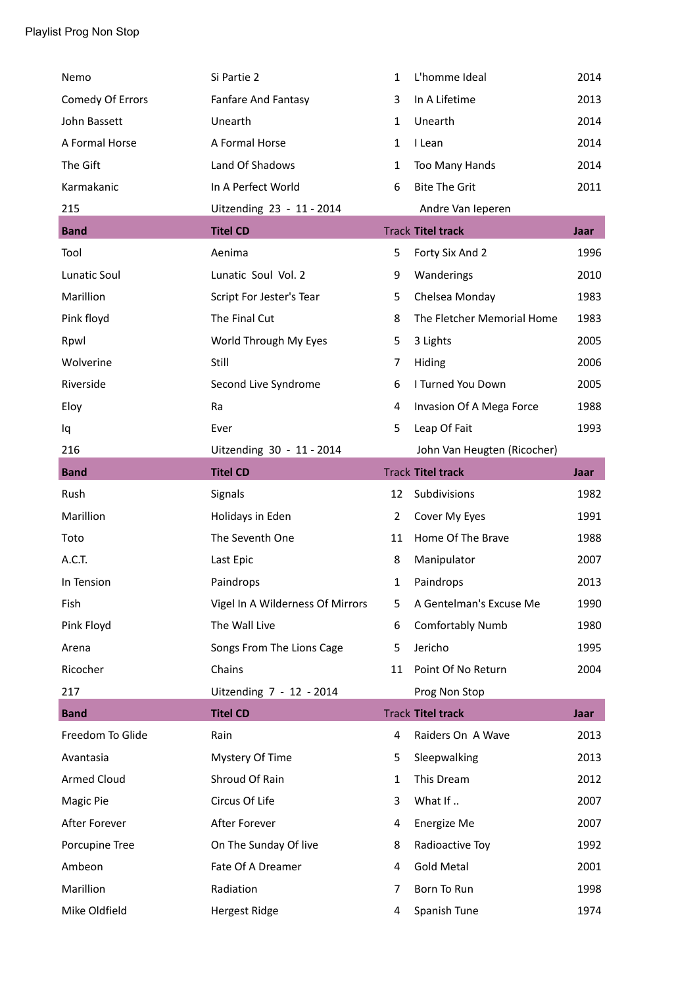| Nemo                | Si Partie 2                      | $\mathbf{1}$ | L'homme Ideal               | 2014        |
|---------------------|----------------------------------|--------------|-----------------------------|-------------|
| Comedy Of Errors    | Fanfare And Fantasy              | 3            | In A Lifetime               | 2013        |
| John Bassett        | Unearth                          | $\mathbf{1}$ | Unearth                     | 2014        |
| A Formal Horse      | A Formal Horse                   | $\mathbf{1}$ | I Lean                      | 2014        |
| The Gift            | Land Of Shadows                  | $\mathbf{1}$ | Too Many Hands              | 2014        |
| Karmakanic          | In A Perfect World               | 6            | <b>Bite The Grit</b>        | 2011        |
| 215                 | Uitzending 23 - 11 - 2014        |              | Andre Van Ieperen           |             |
| <b>Band</b>         | <b>Titel CD</b>                  |              | <b>Track Titel track</b>    | <b>Jaar</b> |
| Tool                | Aenima                           | 5            | Forty Six And 2             | 1996        |
| <b>Lunatic Soul</b> | Lunatic Soul Vol. 2              | 9            | Wanderings                  | 2010        |
| Marillion           | Script For Jester's Tear         | 5            | Chelsea Monday              | 1983        |
| Pink floyd          | The Final Cut                    | 8            | The Fletcher Memorial Home  | 1983        |
| Rpwl                | World Through My Eyes            | 5            | 3 Lights                    | 2005        |
| Wolverine           | Still                            | 7            | Hiding                      | 2006        |
| Riverside           | Second Live Syndrome             | 6            | I Turned You Down           | 2005        |
| Eloy                | Ra                               | 4            | Invasion Of A Mega Force    | 1988        |
| Iq                  | Ever                             | 5            | Leap Of Fait                | 1993        |
| 216                 | Uitzending 30 - 11 - 2014        |              | John Van Heugten (Ricocher) |             |
| <b>Band</b>         | <b>Titel CD</b>                  |              | <b>Track Titel track</b>    | <b>Jaar</b> |
|                     |                                  |              |                             |             |
| Rush                | Signals                          | 12           | Subdivisions                | 1982        |
| Marillion           | Holidays in Eden                 | 2            | Cover My Eyes               | 1991        |
| Toto                | The Seventh One                  | 11           | Home Of The Brave           | 1988        |
| A.C.T.              | Last Epic                        | 8            | Manipulator                 | 2007        |
| In Tension          | Paindrops                        | $\mathbf{1}$ | Paindrops                   | 2013        |
| Fish                | Vigel In A Wilderness Of Mirrors | 5            | A Gentelman's Excuse Me     | 1990        |
| Pink Floyd          | The Wall Live                    | 6            | Comfortably Numb            | 1980        |
| Arena               | Songs From The Lions Cage        | 5            | Jericho                     | 1995        |
| Ricocher            | Chains                           | 11           | Point Of No Return          | 2004        |
| 217                 | Uitzending 7 - 12 - 2014         |              | Prog Non Stop               |             |
| <b>Band</b>         | <b>Titel CD</b>                  |              | <b>Track Titel track</b>    | Jaar        |
| Freedom To Glide    | Rain                             | 4            | Raiders On A Wave           | 2013        |
| Avantasia           | Mystery Of Time                  | 5            | Sleepwalking                | 2013        |
| <b>Armed Cloud</b>  | Shroud Of Rain                   | $\mathbf{1}$ | This Dream                  | 2012        |
| Magic Pie           | Circus Of Life                   | 3            | What If                     | 2007        |
| After Forever       | After Forever                    | 4            | Energize Me                 | 2007        |
| Porcupine Tree      | On The Sunday Of live            | 8            | Radioactive Toy             | 1992        |
| Ambeon              | Fate Of A Dreamer                | 4            | <b>Gold Metal</b>           | 2001        |
| Marillion           | Radiation                        | 7            | Born To Run                 | 1998        |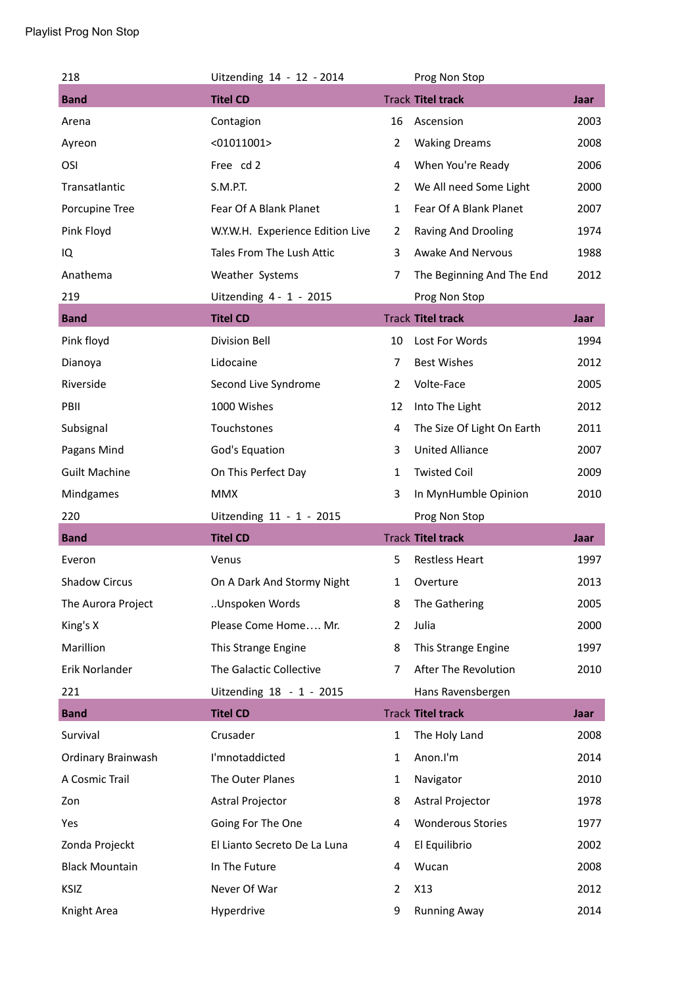| 218                   | Uitzending 14 - 12 - 2014        |                | Prog Non Stop              |             |
|-----------------------|----------------------------------|----------------|----------------------------|-------------|
| <b>Band</b>           | <b>Titel CD</b>                  |                | <b>Track Titel track</b>   | <b>Jaar</b> |
| Arena                 | Contagion                        | 16             | Ascension                  | 2003        |
| Ayreon                | $<$ 01011001>                    | $\overline{2}$ | <b>Waking Dreams</b>       | 2008        |
| OSI                   | Free cd 2                        | 4              | When You're Ready          | 2006        |
| Transatlantic         | S.M.P.T.                         | $\overline{2}$ | We All need Some Light     | 2000        |
| Porcupine Tree        | Fear Of A Blank Planet           | $\mathbf{1}$   | Fear Of A Blank Planet     | 2007        |
| Pink Floyd            | W.Y.W.H. Experience Edition Live | $\overline{2}$ | Raving And Drooling        | 1974        |
| IQ                    | Tales From The Lush Attic        | 3              | <b>Awake And Nervous</b>   | 1988        |
| Anathema              | Weather Systems                  | 7              | The Beginning And The End  | 2012        |
| 219                   | Uitzending 4 - 1 - 2015          |                | Prog Non Stop              |             |
| <b>Band</b>           | <b>Titel CD</b>                  |                | <b>Track Titel track</b>   | Jaar        |
| Pink floyd            | <b>Division Bell</b>             | 10             | Lost For Words             | 1994        |
| Dianoya               | Lidocaine                        | $\overline{7}$ | <b>Best Wishes</b>         | 2012        |
| Riverside             | Second Live Syndrome             | $\overline{2}$ | Volte-Face                 | 2005        |
| PBII                  | 1000 Wishes                      | 12             | Into The Light             | 2012        |
| Subsignal             | Touchstones                      | 4              | The Size Of Light On Earth | 2011        |
| Pagans Mind           | God's Equation                   | 3              | <b>United Alliance</b>     | 2007        |
| <b>Guilt Machine</b>  | On This Perfect Day              | $\mathbf{1}$   | <b>Twisted Coil</b>        | 2009        |
| Mindgames             | <b>MMX</b>                       | 3              | In MynHumble Opinion       | 2010        |
| 220                   | Uitzending 11 - 1 - 2015         |                | Prog Non Stop              |             |
| <b>Band</b>           | <b>Titel CD</b>                  |                | <b>Track Titel track</b>   | Jaar        |
| Everon                | Venus                            | 5              | <b>Restless Heart</b>      | 1997        |
| <b>Shadow Circus</b>  | On A Dark And Stormy Night       | 1              | Overture                   | 2013        |
| The Aurora Project    | Unspoken Words                   | 8              | The Gathering              | 2005        |
| King's X              | Please Come Home Mr.             | 2              | Julia                      | 2000        |
| Marillion             | This Strange Engine              | 8              | This Strange Engine        | 1997        |
| Erik Norlander        | The Galactic Collective          | $\overline{7}$ | After The Revolution       | 2010        |
| 221                   | Uitzending 18 - 1 - 2015         |                | Hans Ravensbergen          |             |
| <b>Band</b>           | <b>Titel CD</b>                  |                | <b>Track Titel track</b>   | <b>Jaar</b> |
| Survival              | Crusader                         | $\mathbf{1}$   | The Holy Land              | 2008        |
| Ordinary Brainwash    | I'mnotaddicted                   | 1              | Anon.I'm                   | 2014        |
| A Cosmic Trail        | The Outer Planes                 | $\mathbf{1}$   | Navigator                  | 2010        |
| Zon                   | Astral Projector                 | 8              | Astral Projector           | 1978        |
| Yes                   | Going For The One                | 4              | <b>Wonderous Stories</b>   | 1977        |
| Zonda Projeckt        | El Lianto Secreto De La Luna     | 4              | El Equilibrio              | 2002        |
| <b>Black Mountain</b> | In The Future                    | 4              | Wucan                      | 2008        |
| KSIZ                  | Never Of War                     | $\overline{2}$ | X13                        | 2012        |
|                       |                                  |                |                            |             |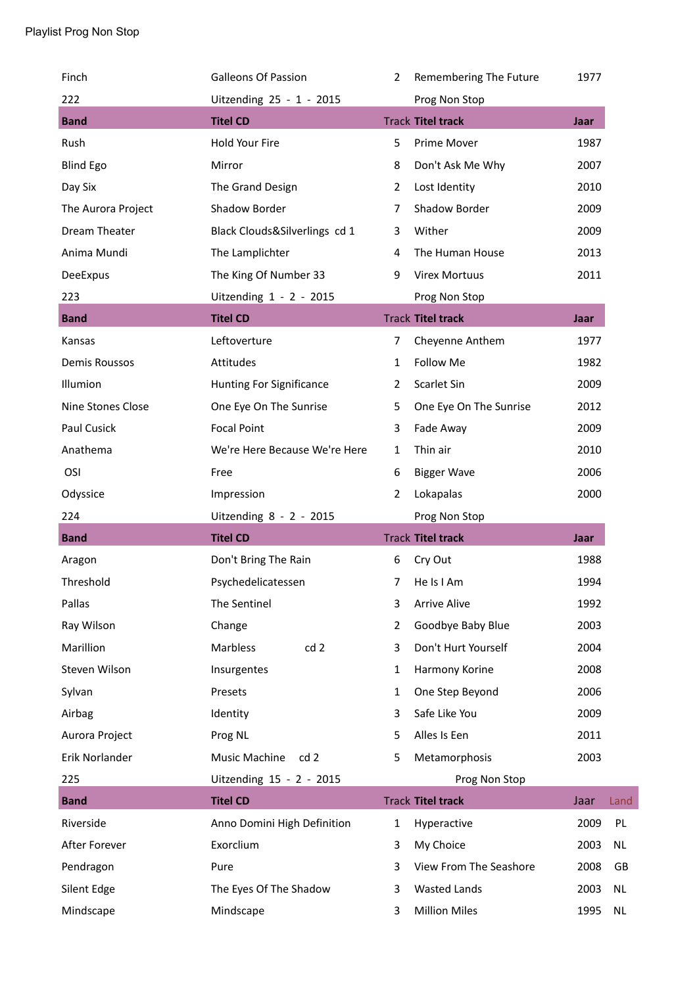| Finch              | <b>Galleons Of Passion</b>    | $\overline{2}$ | Remembering The Future   | 1977        |      |
|--------------------|-------------------------------|----------------|--------------------------|-------------|------|
| 222                | Uitzending 25 - 1 - 2015      |                | Prog Non Stop            |             |      |
| <b>Band</b>        | <b>Titel CD</b>               |                | <b>Track Titel track</b> | <b>Jaar</b> |      |
| Rush               | Hold Your Fire                | 5              | Prime Mover              | 1987        |      |
| <b>Blind Ego</b>   | Mirror                        | 8              | Don't Ask Me Why         | 2007        |      |
| Day Six            | The Grand Design              | $\overline{2}$ | Lost Identity            | 2010        |      |
| The Aurora Project | Shadow Border                 | $\overline{7}$ | Shadow Border            | 2009        |      |
| Dream Theater      | Black Clouds&Silverlings cd 1 | 3              | Wither                   | 2009        |      |
| Anima Mundi        | The Lamplichter               | 4              | The Human House          | 2013        |      |
| DeeExpus           | The King Of Number 33         | 9              | <b>Virex Mortuus</b>     | 2011        |      |
| 223                | Uitzending 1 - 2 - 2015       |                | Prog Non Stop            |             |      |
| <b>Band</b>        | <b>Titel CD</b>               |                | <b>Track Titel track</b> | <b>Jaar</b> |      |
| Kansas             | Leftoverture                  | 7              | Cheyenne Anthem          | 1977        |      |
| Demis Roussos      | Attitudes                     | $\mathbf{1}$   | <b>Follow Me</b>         | 1982        |      |
| Illumion           | Hunting For Significance      | $\overline{2}$ | Scarlet Sin              | 2009        |      |
| Nine Stones Close  | One Eye On The Sunrise        | 5              | One Eye On The Sunrise   | 2012        |      |
| Paul Cusick        | <b>Focal Point</b>            | 3              | Fade Away                | 2009        |      |
| Anathema           | We're Here Because We're Here | $\mathbf{1}$   | Thin air                 | 2010        |      |
| OSI                | Free                          | 6              | <b>Bigger Wave</b>       | 2006        |      |
| Odyssice           | Impression                    | $\overline{2}$ | Lokapalas                | 2000        |      |
|                    |                               |                |                          |             |      |
| 224                | Uitzending 8 - 2 - 2015       |                | Prog Non Stop            |             |      |
| <b>Band</b>        | <b>Titel CD</b>               |                | <b>Track Titel track</b> | <b>Jaar</b> |      |
| Aragon             | Don't Bring The Rain          | 6              | Cry Out                  | 1988        |      |
| Threshold          | Psychedelicatessen            | 7              | He Is I Am               | 1994        |      |
| Pallas             | The Sentinel                  | 3              | <b>Arrive Alive</b>      | 1992        |      |
| Ray Wilson         | Change                        | $\overline{2}$ | Goodbye Baby Blue        | 2003        |      |
| Marillion          | Marbless<br>cd <sub>2</sub>   | 3              | Don't Hurt Yourself      | 2004        |      |
| Steven Wilson      | Insurgentes                   | $\mathbf{1}$   | Harmony Korine           | 2008        |      |
| Sylvan             | Presets                       | $\mathbf{1}$   | One Step Beyond          | 2006        |      |
| Airbag             | Identity                      | 3              | Safe Like You            | 2009        |      |
| Aurora Project     | Prog NL                       | 5              | Alles Is Een             | 2011        |      |
| Erik Norlander     | Music Machine<br>cd2          | 5              | Metamorphosis            | 2003        |      |
| 225                | Uitzending 15 - 2 - 2015      |                | Prog Non Stop            |             |      |
| <b>Band</b>        | <b>Titel CD</b>               |                | <b>Track Titel track</b> | Jaar        | Land |
| Riverside          | Anno Domini High Definition   | $\mathbf{1}$   | Hyperactive              | 2009        | PL   |
| After Forever      | Exorclium                     | 3              | My Choice                | 2003        | NL   |
| Pendragon          | Pure                          | 3              | View From The Seashore   | 2008        | GB   |
| Silent Edge        | The Eyes Of The Shadow        | 3              | <b>Wasted Lands</b>      | 2003        | NL   |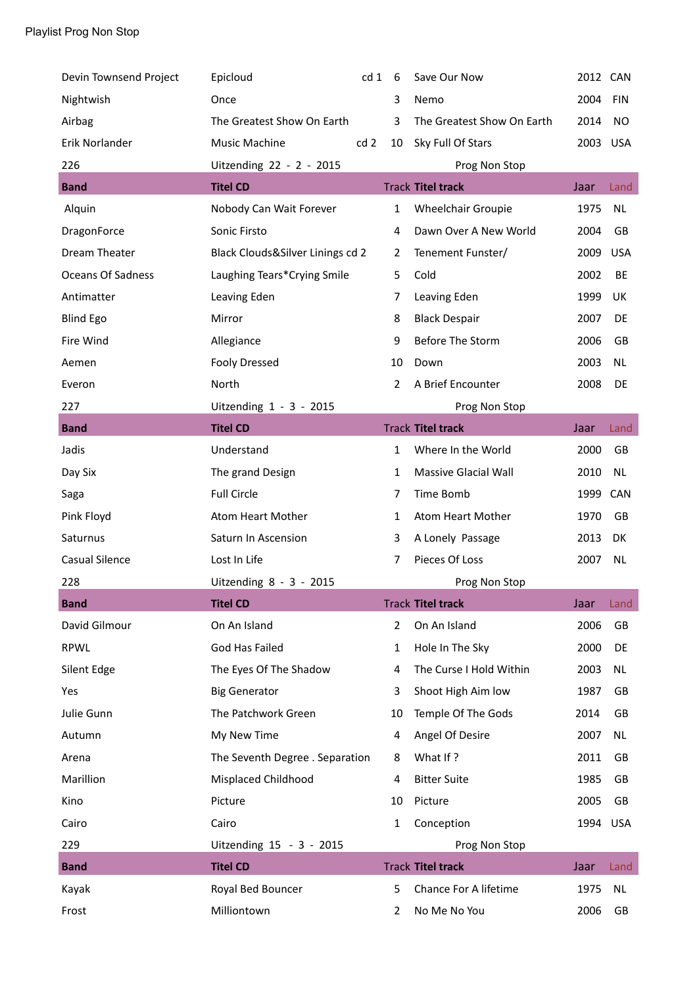| Nightwish<br>Once<br>Nemo<br>3                                                           | 2012 CAN |            |
|------------------------------------------------------------------------------------------|----------|------------|
|                                                                                          | 2004     | <b>FIN</b> |
| Airbag<br>The Greatest Show On Earth<br>3<br>The Greatest Show On Earth                  | 2014     | <b>NO</b>  |
| Erik Norlander<br><b>Music Machine</b><br>cd <sub>2</sub><br>Sky Full Of Stars<br>10     | 2003     | <b>USA</b> |
| 226<br>Uitzending 22 - 2 - 2015<br>Prog Non Stop                                         |          |            |
| <b>Titel CD</b><br><b>Track Titel track</b><br><b>Band</b>                               | Jaar     | Land       |
| Alquin<br>Nobody Can Wait Forever<br>$\mathbf{1}$<br>Wheelchair Groupie                  | 1975     | <b>NL</b>  |
| Sonic Firsto<br>Dawn Over A New World<br>DragonForce<br>4                                | 2004     | GB         |
| Dream Theater<br>Black Clouds&Silver Linings cd 2<br>Tenement Funster/<br>$\overline{2}$ | 2009     | <b>USA</b> |
| Oceans Of Sadness<br>Laughing Tears*Crying Smile<br>5<br>Cold                            | 2002     | BE         |
| Antimatter<br>Leaving Eden<br>7<br>Leaving Eden                                          | 1999     | UK         |
| <b>Blind Ego</b><br>Mirror<br>8<br><b>Black Despair</b>                                  | 2007     | DE         |
| Before The Storm<br>Fire Wind<br>Allegiance<br>9                                         | 2006     | GB         |
| <b>Fooly Dressed</b><br>Aemen<br>10<br>Down                                              | 2003     | <b>NL</b>  |
| A Brief Encounter<br>North<br>$\overline{2}$<br>Everon                                   | 2008     | DE         |
| Uitzending 1 - 3 - 2015<br>227<br>Prog Non Stop                                          |          |            |
| <b>Titel CD</b><br><b>Track Titel track</b><br><b>Band</b>                               | Jaar     | Land       |
| Jadis<br>Where In the World<br>Understand<br>1                                           | 2000     | GB         |
| The grand Design<br>Massive Glacial Wall<br>Day Six<br>1                                 | 2010     | NL.        |
| <b>Full Circle</b><br>Time Bomb<br>Saga<br>7                                             | 1999     | CAN        |
| Pink Floyd<br>Atom Heart Mother<br>Atom Heart Mother<br>1                                | 1970     | GB         |
| Saturn In Ascension<br>A Lonely Passage<br>Saturnus<br>3                                 | 2013     | DK         |
| Casual Silence<br>Pieces Of Loss<br>Lost In Life<br>7                                    | 2007     | <b>NL</b>  |
| 228<br>Uitzending 8 - 3 - 2015<br>Prog Non Stop                                          |          |            |
| <b>Titel CD</b><br><b>Track Titel track</b><br><b>Band</b>                               | Jaar     | Land       |
| David Gilmour<br>On An Island<br>On An Island<br>2                                       | 2006     | GB         |
| God Has Failed<br><b>RPWL</b><br>1<br>Hole In The Sky                                    | 2000     | DE         |
| The Curse I Hold Within<br>Silent Edge<br>The Eyes Of The Shadow<br>4                    | 2003     | <b>NL</b>  |
| <b>Big Generator</b><br>3<br>Shoot High Aim low<br>Yes                                   | 1987     | GB         |
| The Patchwork Green<br>Julie Gunn<br>Temple Of The Gods<br>10                            | 2014     | GB         |
| Angel Of Desire<br>My New Time<br>Autumn<br>4                                            | 2007     | <b>NL</b>  |
| What If?<br>The Seventh Degree . Separation<br>Arena<br>8                                | 2011     | GB         |
| Marillion<br><b>Bitter Suite</b><br>Misplaced Childhood<br>4                             | 1985     | GB         |
| Kino<br>Picture<br>Picture<br>10                                                         | 2005     | GB         |
|                                                                                          | 1994     | <b>USA</b> |
| Cairo<br>Cairo<br>1<br>Conception                                                        |          |            |
| 229<br>Uitzending 15 - 3 - 2015<br>Prog Non Stop                                         |          |            |
| <b>Titel CD</b><br><b>Track Titel track</b><br><b>Band</b>                               | Jaar     | Land       |
| Chance For A lifetime<br>Kayak<br>Royal Bed Bouncer<br>5                                 | 1975     | <b>NL</b>  |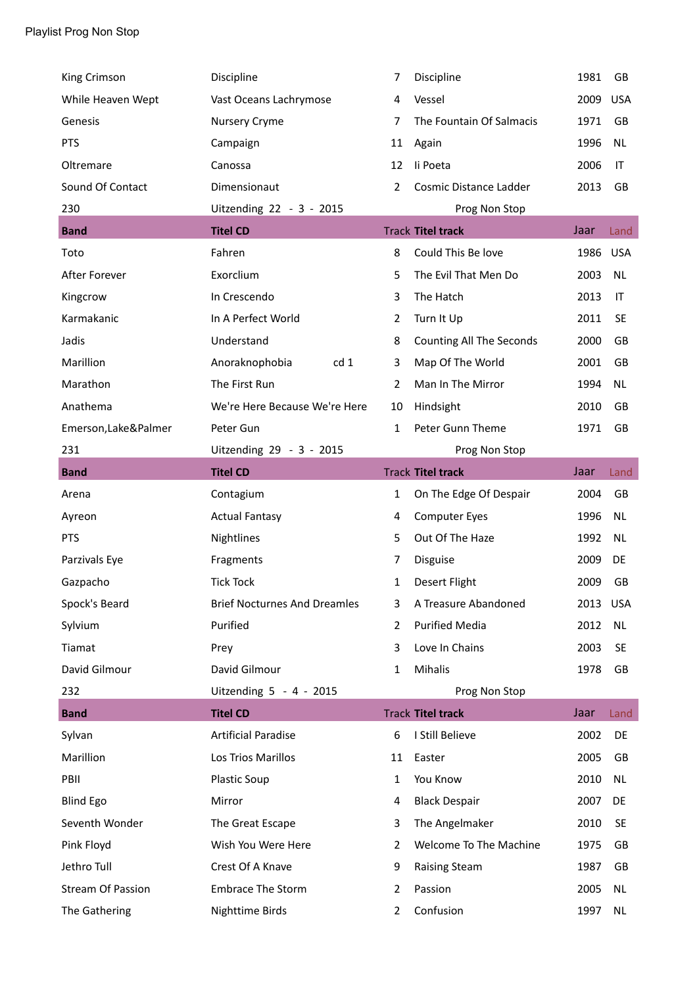| King Crimson             | Discipline                          | 7              | Discipline                      | 1981     | GB         |
|--------------------------|-------------------------------------|----------------|---------------------------------|----------|------------|
| While Heaven Wept        | Vast Oceans Lachrymose              | 4              | Vessel                          | 2009     | <b>USA</b> |
| Genesis                  | Nursery Cryme                       | 7              | The Fountain Of Salmacis        | 1971     | GB         |
| <b>PTS</b>               | Campaign                            | 11             | Again                           | 1996     | <b>NL</b>  |
| Oltremare                | Canossa                             | 12             | li Poeta                        | 2006     | IT         |
| Sound Of Contact         | Dimensionaut                        | 2              | Cosmic Distance Ladder          | 2013     | GB         |
| 230                      | Uitzending 22 - 3 - 2015            |                | Prog Non Stop                   |          |            |
| <b>Band</b>              | <b>Titel CD</b>                     |                | <b>Track Titel track</b>        | Jaar     | Land       |
| Toto                     | Fahren                              | 8              | Could This Be love              | 1986     | <b>USA</b> |
| After Forever            | Exorclium                           | 5              | The Evil That Men Do            | 2003     | <b>NL</b>  |
| Kingcrow                 | In Crescendo                        | 3              | The Hatch                       | 2013     | IT         |
| Karmakanic               | In A Perfect World                  | $\overline{2}$ | Turn It Up                      | 2011     | <b>SE</b>  |
| Jadis                    | Understand                          | 8              | <b>Counting All The Seconds</b> | 2000     | GB         |
| Marillion                | cd 1<br>Anoraknophobia              | 3              | Map Of The World                | 2001     | GB         |
| Marathon                 | The First Run                       | $\overline{2}$ | Man In The Mirror               | 1994     | <b>NL</b>  |
| Anathema                 | We're Here Because We're Here       | 10             | Hindsight                       | 2010     | GB         |
| Emerson, Lake&Palmer     | Peter Gun                           | $\mathbf{1}$   | Peter Gunn Theme                | 1971     | <b>GB</b>  |
| 231                      | Uitzending 29 - 3 - 2015            |                | Prog Non Stop                   |          |            |
| <b>Band</b>              | <b>Titel CD</b>                     |                | <b>Track Titel track</b>        | Jaar     | Land       |
|                          |                                     |                |                                 |          |            |
| Arena                    | Contagium                           | $\mathbf{1}$   | On The Edge Of Despair          | 2004     | GB         |
| Ayreon                   | <b>Actual Fantasy</b>               | 4              | <b>Computer Eyes</b>            | 1996     | <b>NL</b>  |
| <b>PTS</b>               | Nightlines                          | 5              | Out Of The Haze                 | 1992     | <b>NL</b>  |
| Parzivals Eye            | Fragments                           | 7              | Disguise                        | 2009     | DE         |
| Gazpacho                 | <b>Tick Tock</b>                    | 1              | Desert Flight                   | 2009     | GB         |
| Spock's Beard            | <b>Brief Nocturnes And Dreamles</b> | 3              | A Treasure Abandoned            | 2013 USA |            |
| Sylvium                  | Purified                            | $\overline{2}$ | <b>Purified Media</b>           | 2012     | <b>NL</b>  |
| Tiamat                   | Prey                                | 3              | Love In Chains                  | 2003     | <b>SE</b>  |
| David Gilmour            | David Gilmour                       | 1              | Mihalis                         | 1978     | GB         |
| 232                      | Uitzending 5 - 4 - 2015             |                | Prog Non Stop                   |          |            |
| <b>Band</b>              | <b>Titel CD</b>                     |                | <b>Track Titel track</b>        | Jaar     | Land       |
| Sylvan                   | <b>Artificial Paradise</b>          | 6              | I Still Believe                 | 2002     | DE         |
| Marillion                | Los Trios Marillos                  | 11             | Easter                          | 2005     | GB         |
| PBII                     | <b>Plastic Soup</b>                 | 1              | You Know                        | 2010     | <b>NL</b>  |
| <b>Blind Ego</b>         | Mirror                              | 4              | <b>Black Despair</b>            | 2007     | DE         |
| Seventh Wonder           | The Great Escape                    | 3              | The Angelmaker                  | 2010     | <b>SE</b>  |
| Pink Floyd               | Wish You Were Here                  | $\overline{2}$ | Welcome To The Machine          | 1975     | GB         |
| Jethro Tull              | Crest Of A Knave                    | 9              | <b>Raising Steam</b>            | 1987     | GB         |
| <b>Stream Of Passion</b> | <b>Embrace The Storm</b>            | 2              | Passion                         | 2005     | NL         |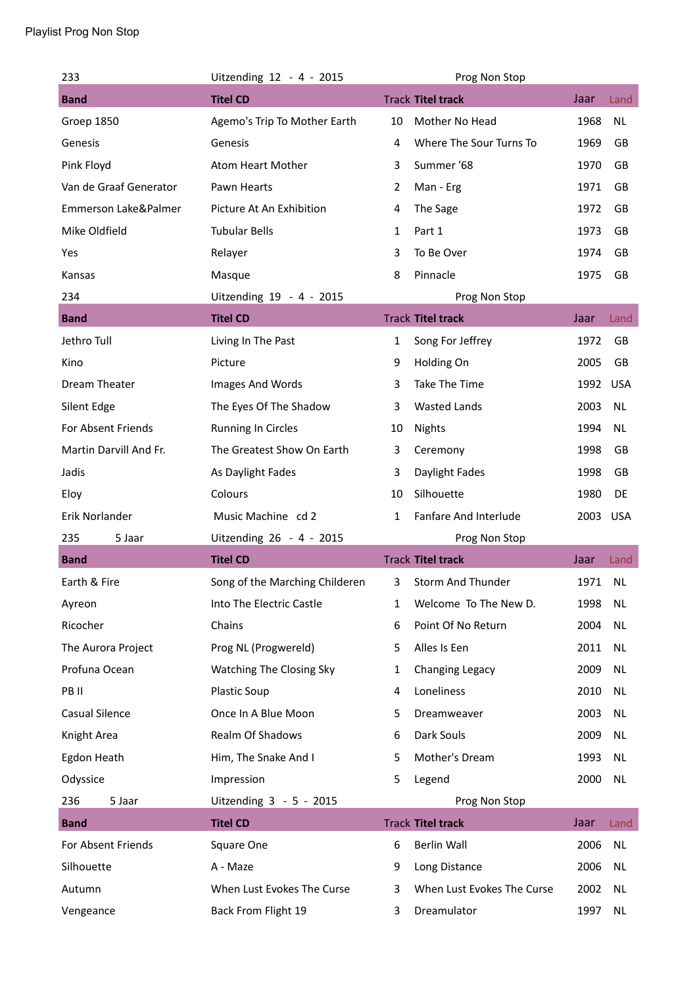| 233                    | Uitzending 12 - 4 - 2015       |              | Prog Non Stop              |      |            |
|------------------------|--------------------------------|--------------|----------------------------|------|------------|
| <b>Band</b>            | <b>Titel CD</b>                |              | <b>Track Titel track</b>   | Jaar | Land       |
| Groep 1850             | Agemo's Trip To Mother Earth   | 10           | Mother No Head             | 1968 | <b>NL</b>  |
| Genesis                | Genesis                        | 4            | Where The Sour Turns To    | 1969 | GB         |
| Pink Floyd             | Atom Heart Mother              | 3            | Summer '68                 | 1970 | GB         |
| Van de Graaf Generator | Pawn Hearts                    | 2            | Man - Erg                  | 1971 | GB         |
| Emmerson Lake&Palmer   | Picture At An Exhibition       | 4            | The Sage                   | 1972 | GB         |
| Mike Oldfield          | <b>Tubular Bells</b>           | 1            | Part 1                     | 1973 | GB         |
| Yes                    | Relayer                        | 3            | To Be Over                 | 1974 | GB         |
| Kansas                 | Masque                         | 8            | Pinnacle                   | 1975 | GB         |
| 234                    | Uitzending 19 - 4 - 2015       |              | Prog Non Stop              |      |            |
| <b>Band</b>            | <b>Titel CD</b>                |              | <b>Track Titel track</b>   | Jaar | Land       |
| Jethro Tull            | Living In The Past             | $\mathbf{1}$ | Song For Jeffrey           | 1972 | GB         |
| Kino                   | Picture                        | 9            | Holding On                 | 2005 | GB         |
| Dream Theater          | Images And Words               | 3            | Take The Time              | 1992 | <b>USA</b> |
| Silent Edge            | The Eyes Of The Shadow         | 3            | <b>Wasted Lands</b>        | 2003 | <b>NL</b>  |
| For Absent Friends     | <b>Running In Circles</b>      | 10           | <b>Nights</b>              | 1994 | <b>NL</b>  |
| Martin Darvill And Fr. | The Greatest Show On Earth     | 3            | Ceremony                   | 1998 | GB         |
| Jadis                  | As Daylight Fades              | 3            | Daylight Fades             | 1998 | GB         |
| Eloy                   | Colours                        | 10           | Silhouette                 | 1980 | DE         |
| Erik Norlander         | Music Machine cd 2             | 1            | Fanfare And Interlude      | 2003 | <b>USA</b> |
| 235<br>5 Jaar          | Uitzending 26 - 4 - 2015       |              | Prog Non Stop              |      |            |
| <b>Band</b>            | <b>Titel CD</b>                |              | <b>Track Titel track</b>   | Jaar | Land       |
| Earth & Fire           | Song of the Marching Childeren | 3            | Storm And Thunder          | 1971 | <b>NL</b>  |
| Ayreon                 | Into The Electric Castle       | 1            | Welcome To The New D.      | 1998 | <b>NL</b>  |
| Ricocher               | Chains                         | 6            | Point Of No Return         | 2004 | <b>NL</b>  |
| The Aurora Project     | Prog NL (Progwereld)           | 5            | Alles Is Een               | 2011 | NL         |
| Profuna Ocean          | Watching The Closing Sky       | 1            | Changing Legacy            | 2009 | <b>NL</b>  |
| PB II                  | Plastic Soup                   | 4            | Loneliness                 | 2010 | NL         |
| Casual Silence         | Once In A Blue Moon            | 5            | Dreamweaver                | 2003 | NL         |
| Knight Area            | Realm Of Shadows               | 6            | Dark Souls                 | 2009 | <b>NL</b>  |
| Egdon Heath            | Him, The Snake And I           | 5            | Mother's Dream             | 1993 | NL         |
| Odyssice               | Impression                     | 5            | Legend                     | 2000 | <b>NL</b>  |
| 236<br>5 Jaar          | Uitzending 3 - 5 - 2015        |              | Prog Non Stop              |      |            |
| <b>Band</b>            | <b>Titel CD</b>                |              | <b>Track Titel track</b>   | Jaar | Land       |
| For Absent Friends     | Square One                     | 6            | Berlin Wall                | 2006 | <b>NL</b>  |
| Silhouette             | A - Maze                       | 9            | Long Distance              | 2006 | <b>NL</b>  |
| Autumn                 | When Lust Evokes The Curse     | 3            | When Lust Evokes The Curse | 2002 | NL         |
|                        |                                |              |                            |      |            |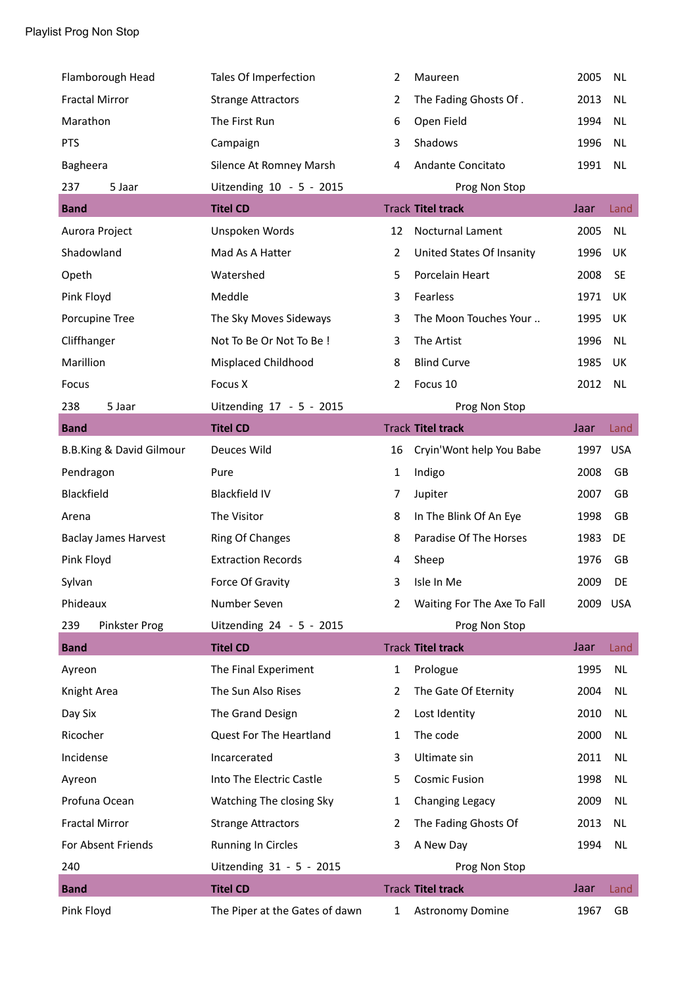| Flamborough Head                    | Tales Of Imperfection          | 2              | Maureen                     | 2005     | <b>NL</b>  |
|-------------------------------------|--------------------------------|----------------|-----------------------------|----------|------------|
| <b>Fractal Mirror</b>               | <b>Strange Attractors</b>      | 2              | The Fading Ghosts Of.       | 2013     | <b>NL</b>  |
| Marathon                            | The First Run                  | 6              | Open Field                  | 1994     | <b>NL</b>  |
| <b>PTS</b>                          | Campaign                       | 3              | Shadows                     | 1996     | <b>NL</b>  |
| Bagheera                            | Silence At Romney Marsh        | 4              | Andante Concitato           | 1991     | <b>NL</b>  |
| 237<br>5 Jaar                       | Uitzending 10 - 5 - 2015       |                | Prog Non Stop               |          |            |
| <b>Band</b>                         | <b>Titel CD</b>                |                | <b>Track Titel track</b>    | Jaar     | Land       |
| Aurora Project                      | Unspoken Words                 | 12             | Nocturnal Lament            | 2005     | <b>NL</b>  |
| Shadowland                          | Mad As A Hatter                | $\overline{2}$ | United States Of Insanity   | 1996     | UK         |
| Opeth                               | Watershed                      | 5              | Porcelain Heart             | 2008     | <b>SE</b>  |
| Pink Floyd                          | Meddle                         | 3              | Fearless                    | 1971     | UK         |
| Porcupine Tree                      | The Sky Moves Sideways         | 3              | The Moon Touches Your       | 1995     | UK         |
| Cliffhanger                         | Not To Be Or Not To Be !       | 3              | The Artist                  | 1996     | <b>NL</b>  |
| Marillion                           | Misplaced Childhood            | 8              | <b>Blind Curve</b>          | 1985     | UK         |
| Focus                               | Focus X                        | 2              | Focus 10                    | 2012     | <b>NL</b>  |
| 238<br>5 Jaar                       | Uitzending 17 - 5 - 2015       |                | Prog Non Stop               |          |            |
| <b>Band</b>                         | <b>Titel CD</b>                |                | <b>Track Titel track</b>    | Jaar     | Land       |
| <b>B.B.King &amp; David Gilmour</b> | Deuces Wild                    | 16             | Cryin'Wont help You Babe    | 1997     | <b>USA</b> |
| Pendragon                           | Pure                           | $\mathbf{1}$   | Indigo                      | 2008     | GB         |
| Blackfield                          | <b>Blackfield IV</b>           | 7              | Jupiter                     | 2007     | GB         |
| Arena                               | The Visitor                    | 8              | In The Blink Of An Eye      | 1998     | GB         |
| <b>Baclay James Harvest</b>         | Ring Of Changes                | 8              | Paradise Of The Horses      | 1983     | DE         |
| Pink Floyd                          | <b>Extraction Records</b>      | 4              | Sheep                       | 1976     | GB         |
| Sylvan                              | Force Of Gravity               | 3              | Isle In Me                  | 2009     | DE         |
| Phideaux                            | Number Seven                   | 2              | Waiting For The Axe To Fall | 2009 USA |            |
| 239<br>Pinkster Prog                | Uitzending 24 - 5 - 2015       |                | Prog Non Stop               |          |            |
| <b>Band</b>                         | <b>Titel CD</b>                |                | <b>Track Titel track</b>    | Jaar     | Land       |
| Ayreon                              | The Final Experiment           | $\mathbf{1}$   | Prologue                    | 1995     | <b>NL</b>  |
| Knight Area                         | The Sun Also Rises             | 2              | The Gate Of Eternity        | 2004     | <b>NL</b>  |
| Day Six                             | The Grand Design               | 2              | Lost Identity               | 2010     | NL         |
| Ricocher                            | Quest For The Heartland        | 1              | The code                    | 2000     | <b>NL</b>  |
| Incidense                           | Incarcerated                   | 3              | Ultimate sin                | 2011     | NL         |
| Ayreon                              | Into The Electric Castle       | 5              | <b>Cosmic Fusion</b>        | 1998     | <b>NL</b>  |
| Profuna Ocean                       | Watching The closing Sky       | 1              | Changing Legacy             | 2009     | <b>NL</b>  |
| <b>Fractal Mirror</b>               | <b>Strange Attractors</b>      | 2              | The Fading Ghosts Of        | 2013     | <b>NL</b>  |
| For Absent Friends                  | <b>Running In Circles</b>      | 3              | A New Day                   | 1994     | <b>NL</b>  |
| 240                                 | Uitzending 31 - 5 - 2015       |                | Prog Non Stop               |          |            |
| <b>Band</b>                         | <b>Titel CD</b>                |                | <b>Track Titel track</b>    | Jaar     | Land       |
| Pink Floyd                          | The Piper at the Gates of dawn | 1              | Astronomy Domine            | 1967     | GB         |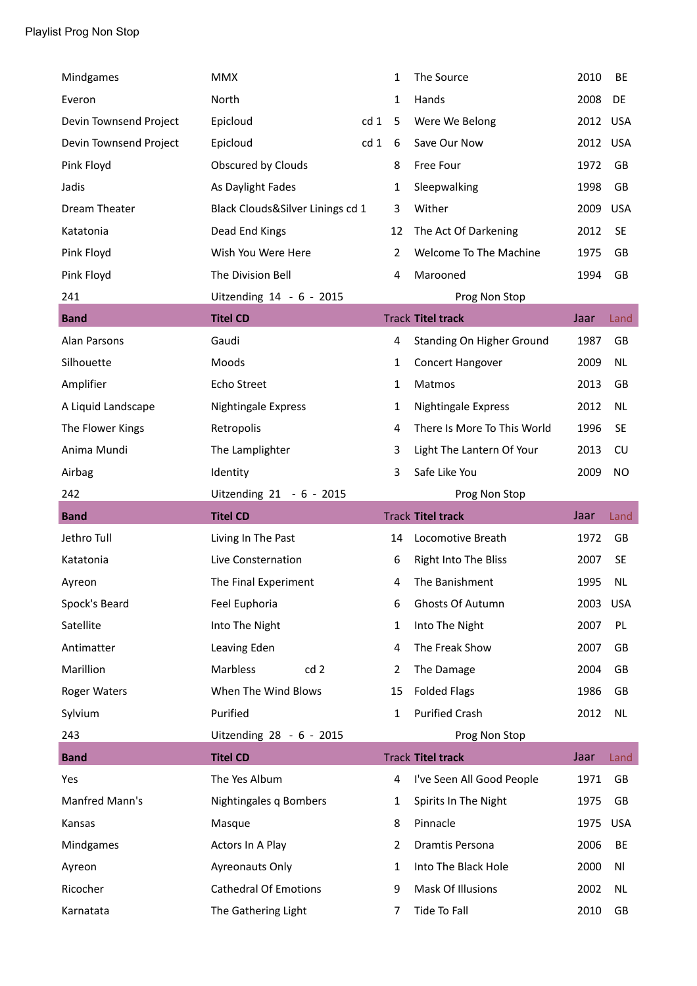| Mindgames              | <b>MMX</b>                       |      | 1  | The Source                  | 2010     | BE         |
|------------------------|----------------------------------|------|----|-----------------------------|----------|------------|
| Everon                 | North                            |      | 1  | Hands                       | 2008     | DE         |
| Devin Townsend Project | Epicloud                         | cd 1 | 5  | Were We Belong              | 2012     | USA        |
| Devin Townsend Project | Epicloud                         | cd 1 | 6  | Save Our Now                | 2012     | <b>USA</b> |
| Pink Floyd             | Obscured by Clouds               |      | 8  | Free Four                   | 1972     | <b>GB</b>  |
| Jadis                  | As Daylight Fades                |      | 1  | Sleepwalking                | 1998     | GB         |
| Dream Theater          | Black Clouds&Silver Linings cd 1 |      | 3  | Wither                      | 2009     | <b>USA</b> |
| Katatonia              | Dead End Kings                   |      | 12 | The Act Of Darkening        | 2012     | <b>SE</b>  |
| Pink Floyd             | Wish You Were Here               |      | 2  | Welcome To The Machine      | 1975     | GB         |
| Pink Floyd             | The Division Bell                |      | 4  | Marooned                    | 1994     | GB         |
| 241                    | Uitzending 14 - 6 - 2015         |      |    | Prog Non Stop               |          |            |
| <b>Band</b>            | <b>Titel CD</b>                  |      |    | <b>Track Titel track</b>    | Jaar     | Land       |
| <b>Alan Parsons</b>    | Gaudi                            |      | 4  | Standing On Higher Ground   | 1987     | GB         |
| Silhouette             | Moods                            |      | 1  | Concert Hangover            | 2009     | <b>NL</b>  |
| Amplifier              | Echo Street                      |      | 1  | Matmos                      | 2013     | GB         |
| A Liquid Landscape     | Nightingale Express              |      | 1  | Nightingale Express         | 2012     | <b>NL</b>  |
| The Flower Kings       | Retropolis                       |      | 4  | There Is More To This World | 1996     | <b>SE</b>  |
| Anima Mundi            | The Lamplighter                  |      | 3  | Light The Lantern Of Your   | 2013     | CU         |
| Airbag                 | Identity                         |      | 3  | Safe Like You               | 2009     | NO         |
|                        |                                  |      |    |                             |          |            |
| 242                    | Uitzending 21 - 6 - 2015         |      |    | Prog Non Stop               |          |            |
| <b>Band</b>            | <b>Titel CD</b>                  |      |    | <b>Track Titel track</b>    | Jaar     | Land       |
| Jethro Tull            | Living In The Past               |      | 14 | Locomotive Breath           | 1972     | GB         |
| Katatonia              | Live Consternation               |      | 6  | Right Into The Bliss        | 2007     | <b>SE</b>  |
| Ayreon                 | The Final Experiment             |      | 4  | The Banishment              | 1995     | <b>NL</b>  |
| Spock's Beard          | Feel Euphoria                    |      | 6  | Ghosts Of Autumn            | 2003 USA |            |
| Satellite              | Into The Night                   |      | 1  | Into The Night              | 2007     | PL         |
| Antimatter             | Leaving Eden                     |      | 4  | The Freak Show              | 2007     | GB         |
| Marillion              | Marbless<br>cd <sub>2</sub>      |      | 2  | The Damage                  | 2004     | GB         |
| <b>Roger Waters</b>    | When The Wind Blows              |      | 15 | <b>Folded Flags</b>         | 1986     | GB         |
| Sylvium                | Purified                         |      | 1  | <b>Purified Crash</b>       | 2012     | NL         |
| 243                    | Uitzending 28 - 6 - 2015         |      |    | Prog Non Stop               |          |            |
| <b>Band</b>            | <b>Titel CD</b>                  |      |    | <b>Track Titel track</b>    | Jaar     | Land       |
| Yes                    | The Yes Album                    |      | 4  | I've Seen All Good People   | 1971     | GB         |
| Manfred Mann's         | Nightingales q Bombers           |      | 1  | Spirits In The Night        | 1975     | GB         |
| Kansas                 | Masque                           |      | 8  | Pinnacle                    | 1975     | <b>USA</b> |
| Mindgames              | Actors In A Play                 |      | 2  | Dramtis Persona             | 2006     | BE         |
| Ayreon                 | Ayreonauts Only                  |      | 1  | Into The Black Hole         | 2000     | Νl         |
| Ricocher               | <b>Cathedral Of Emotions</b>     |      | 9  | Mask Of Illusions           | 2002     | NL         |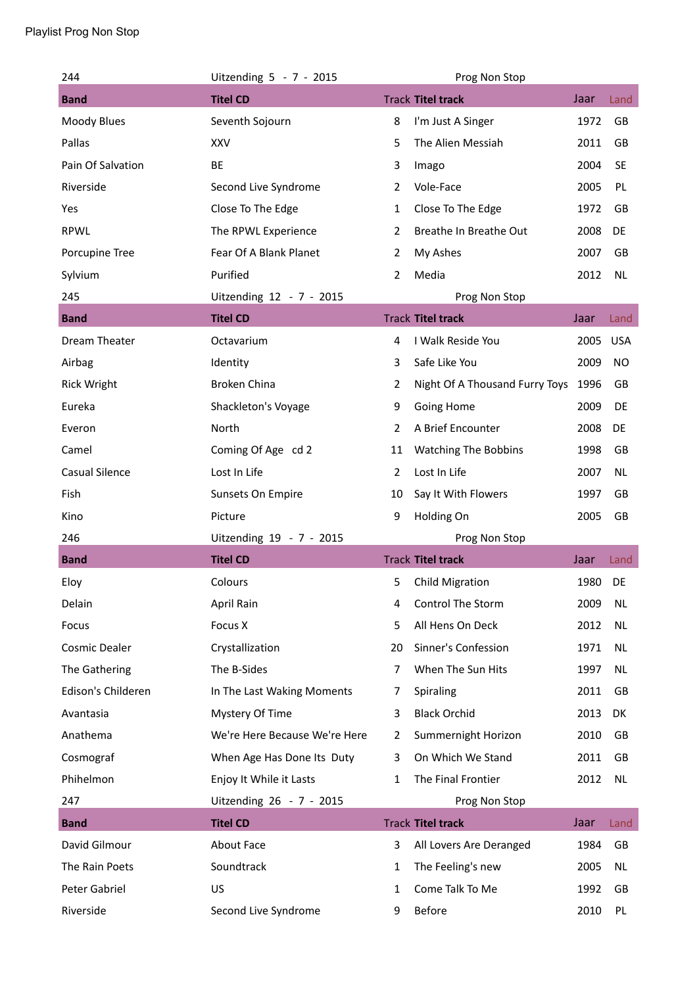| 244                   | Uitzending 5 - 7 - 2015       |                | Prog Non Stop                  |      |            |
|-----------------------|-------------------------------|----------------|--------------------------------|------|------------|
| <b>Band</b>           | <b>Titel CD</b>               |                | <b>Track Titel track</b>       | Jaar | Land       |
| Moody Blues           | Seventh Sojourn               | 8              | I'm Just A Singer              | 1972 | GB         |
| Pallas                | <b>XXV</b>                    | 5              | The Alien Messiah              | 2011 | GB         |
| Pain Of Salvation     | BE                            | 3              | Imago                          | 2004 | <b>SE</b>  |
| Riverside             | Second Live Syndrome          | $\overline{2}$ | Vole-Face                      | 2005 | PL         |
| Yes                   | Close To The Edge             | 1              | Close To The Edge              | 1972 | GB         |
| <b>RPWL</b>           | The RPWL Experience           | 2              | Breathe In Breathe Out         | 2008 | DE         |
| Porcupine Tree        | Fear Of A Blank Planet        | $\overline{2}$ | My Ashes                       | 2007 | GB         |
| Sylvium               | Purified                      | $\overline{2}$ | Media                          | 2012 | <b>NL</b>  |
| 245                   | Uitzending 12 - 7 - 2015      |                | Prog Non Stop                  |      |            |
| <b>Band</b>           | <b>Titel CD</b>               |                | <b>Track Titel track</b>       | Jaar | Land       |
| Dream Theater         | Octavarium                    | 4              | I Walk Reside You              | 2005 | <b>USA</b> |
| Airbag                | Identity                      | 3              | Safe Like You                  | 2009 | NO         |
| <b>Rick Wright</b>    | <b>Broken China</b>           | $\overline{2}$ | Night Of A Thousand Furry Toys | 1996 | GB         |
| Eureka                | Shackleton's Voyage           | 9              | Going Home                     | 2009 | DE         |
| Everon                | North                         | $\overline{2}$ | A Brief Encounter              | 2008 | DE         |
| Camel                 | Coming Of Age cd 2            | 11             | <b>Watching The Bobbins</b>    | 1998 | GB         |
| <b>Casual Silence</b> | Lost In Life                  | $\overline{2}$ | Lost In Life                   | 2007 | <b>NL</b>  |
| Fish                  | Sunsets On Empire             | 10             | Say It With Flowers            | 1997 | GB         |
| Kino                  | Picture                       | 9              | Holding On                     | 2005 | GB         |
| 246                   | Uitzending 19 - 7 - 2015      |                | Prog Non Stop                  |      |            |
| <b>Band</b>           | <b>Titel CD</b>               |                | <b>Track Titel track</b>       | Jaar | Land       |
| Eloy                  | Colours                       | 5              | <b>Child Migration</b>         | 1980 | DE         |
| Delain                | April Rain                    | 4              | Control The Storm              | 2009 | <b>NL</b>  |
| Focus                 | Focus X                       | 5              | All Hens On Deck               | 2012 | <b>NL</b>  |
| Cosmic Dealer         | Crystallization               | 20             | Sinner's Confession            | 1971 | NL         |
| The Gathering         | The B-Sides                   | $\overline{7}$ | When The Sun Hits              | 1997 | NL         |
| Edison's Childeren    | In The Last Waking Moments    | 7              | Spiraling                      | 2011 | GB         |
| Avantasia             | Mystery Of Time               | 3              | <b>Black Orchid</b>            | 2013 | DK         |
| Anathema              | We're Here Because We're Here | 2              | Summernight Horizon            | 2010 | GB         |
| Cosmograf             | When Age Has Done Its Duty    | 3              | On Which We Stand              | 2011 | GB         |
| Phihelmon             | Enjoy It While it Lasts       | 1              | The Final Frontier             | 2012 | <b>NL</b>  |
| 247                   | Uitzending 26 - 7 - 2015      |                | Prog Non Stop                  |      |            |
| <b>Band</b>           | <b>Titel CD</b>               |                | <b>Track Titel track</b>       | Jaar | Land       |
| David Gilmour         | About Face                    | 3              | All Lovers Are Deranged        | 1984 | GB         |
| The Rain Poets        | Soundtrack                    | 1              | The Feeling's new              | 2005 | <b>NL</b>  |
| Peter Gabriel         | US                            | 1              | Come Talk To Me                | 1992 | GB         |
| Riverside             | Second Live Syndrome          | 9              | Before                         | 2010 | PL         |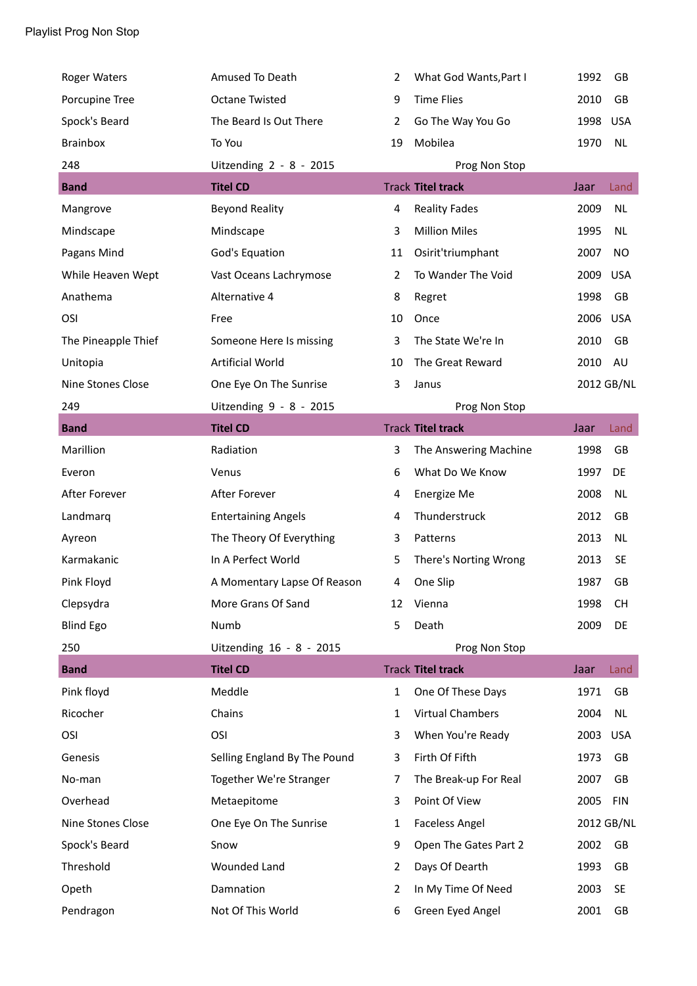| <b>Roger Waters</b>      | Amused To Death              | 2              | What God Wants, Part I   | 1992 | GB         |
|--------------------------|------------------------------|----------------|--------------------------|------|------------|
| Porcupine Tree           | <b>Octane Twisted</b>        | 9              | <b>Time Flies</b>        | 2010 | GB         |
| Spock's Beard            | The Beard Is Out There       | 2              | Go The Way You Go        | 1998 | <b>USA</b> |
| <b>Brainbox</b>          | To You                       | 19             | Mobilea                  | 1970 | <b>NL</b>  |
| 248                      | Uitzending 2 - 8 - 2015      |                | Prog Non Stop            |      |            |
| <b>Band</b>              | <b>Titel CD</b>              |                | <b>Track Titel track</b> | Jaar | Land       |
| Mangrove                 | <b>Beyond Reality</b>        | 4              | <b>Reality Fades</b>     | 2009 | <b>NL</b>  |
| Mindscape                | Mindscape                    | 3              | <b>Million Miles</b>     | 1995 | <b>NL</b>  |
| Pagans Mind              | God's Equation               | 11             | Osirit'triumphant        | 2007 | NO         |
| While Heaven Wept        | Vast Oceans Lachrymose       | 2              | To Wander The Void       | 2009 | <b>USA</b> |
| Anathema                 | Alternative 4                | 8              | Regret                   | 1998 | GB         |
| OSI                      | Free                         | 10             | Once                     | 2006 | <b>USA</b> |
| The Pineapple Thief      | Someone Here Is missing      | 3              | The State We're In       | 2010 | GB         |
| Unitopia                 | <b>Artificial World</b>      | 10             | The Great Reward         | 2010 | AU         |
| <b>Nine Stones Close</b> | One Eye On The Sunrise       | 3              | Janus                    |      | 2012 GB/NL |
| 249                      | Uitzending 9 - 8 - 2015      |                | Prog Non Stop            |      |            |
| <b>Band</b>              | <b>Titel CD</b>              |                | <b>Track Titel track</b> | Jaar | Land       |
| Marillion                | Radiation                    | 3              | The Answering Machine    | 1998 | GB         |
| Everon                   | Venus                        | 6              | What Do We Know          | 1997 | DE         |
| After Forever            | After Forever                | 4              | Energize Me              | 2008 | <b>NL</b>  |
| Landmarq                 | <b>Entertaining Angels</b>   | 4              | Thunderstruck            | 2012 | GB         |
| Ayreon                   | The Theory Of Everything     | 3              | Patterns                 | 2013 | <b>NL</b>  |
| Karmakanic               | In A Perfect World           | 5              | There's Norting Wrong    | 2013 | <b>SE</b>  |
| Pink Floyd               | A Momentary Lapse Of Reason  | 4              | One Slip                 | 1987 | GB         |
| Clepsydra                | More Grans Of Sand           | 12             | Vienna                   | 1998 | <b>CH</b>  |
| <b>Blind Ego</b>         | Numb                         | 5              | Death                    | 2009 | DE         |
| 250                      | Uitzending 16 - 8 - 2015     |                | Prog Non Stop            |      |            |
| <b>Band</b>              | <b>Titel CD</b>              |                | <b>Track Titel track</b> | Jaar | Land       |
| Pink floyd               | Meddle                       | $\mathbf{1}$   | One Of These Days        | 1971 | GB         |
| Ricocher                 | Chains                       | $\mathbf{1}$   | <b>Virtual Chambers</b>  | 2004 | NL         |
| OSI                      | OSI                          | 3              | When You're Ready        | 2003 | USA        |
| Genesis                  | Selling England By The Pound | 3              | Firth Of Fifth           | 1973 | GB         |
| No-man                   | Together We're Stranger      | 7              | The Break-up For Real    | 2007 | GB         |
| Overhead                 | Metaepitome                  | 3              | Point Of View            | 2005 | <b>FIN</b> |
| Nine Stones Close        | One Eye On The Sunrise       | $\mathbf{1}$   | <b>Faceless Angel</b>    |      | 2012 GB/NL |
| Spock's Beard            | Snow                         | 9              | Open The Gates Part 2    | 2002 | GB         |
| Threshold                | <b>Wounded Land</b>          | 2              | Days Of Dearth           | 1993 | GB         |
| Opeth                    | Damnation                    | $\overline{2}$ | In My Time Of Need       | 2003 | <b>SE</b>  |
| Pendragon                | Not Of This World            | 6              | Green Eyed Angel         | 2001 | GB         |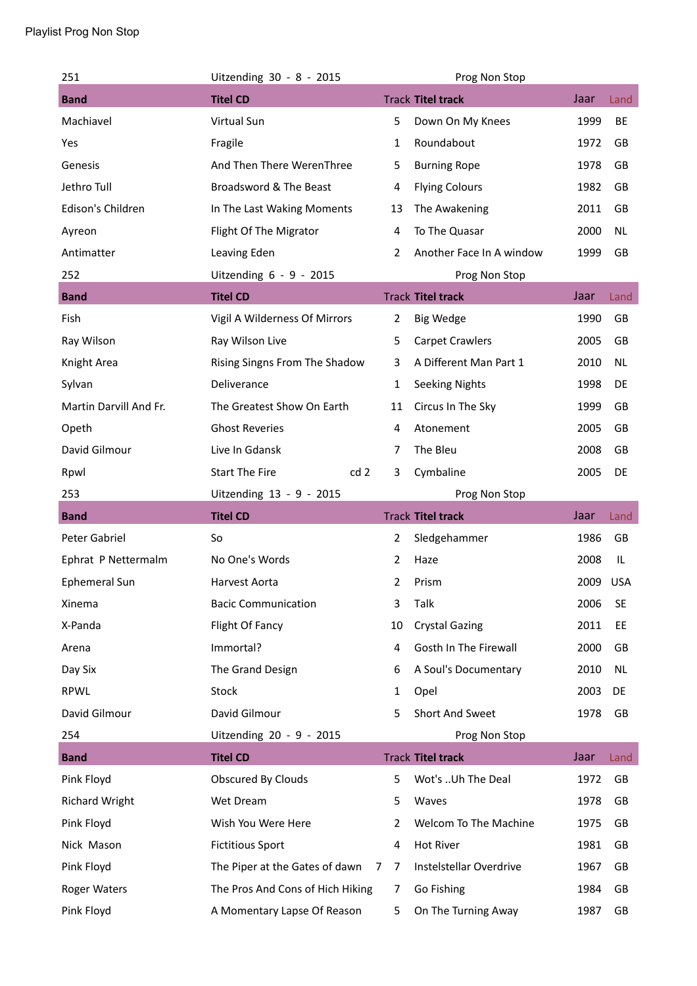| 251                    | Uitzending 30 - 8 - 2015                 |                | Prog Non Stop            |      |           |
|------------------------|------------------------------------------|----------------|--------------------------|------|-----------|
| <b>Band</b>            | <b>Titel CD</b>                          |                | <b>Track Titel track</b> | Jaar | Land      |
| Machiavel              | Virtual Sun                              | 5              | Down On My Knees         | 1999 | BE        |
| Yes                    | Fragile                                  | $\mathbf{1}$   | Roundabout               | 1972 | GB        |
| Genesis                | And Then There WerenThree                | 5              | <b>Burning Rope</b>      | 1978 | GB        |
| Jethro Tull            | Broadsword & The Beast                   | 4              | <b>Flying Colours</b>    | 1982 | GB        |
| Edison's Children      | In The Last Waking Moments               | 13             | The Awakening            | 2011 | GB        |
| Ayreon                 | Flight Of The Migrator                   | 4              | To The Quasar            | 2000 | <b>NL</b> |
| Antimatter             | Leaving Eden                             | 2              | Another Face In A window | 1999 | GB        |
| 252                    | Uitzending 6 - 9 - 2015                  |                | Prog Non Stop            |      |           |
| <b>Band</b>            | <b>Titel CD</b>                          |                | <b>Track Titel track</b> | Jaar | Land      |
| Fish                   | Vigil A Wilderness Of Mirrors            | $\overline{2}$ | <b>Big Wedge</b>         | 1990 | GB        |
| Ray Wilson             | Ray Wilson Live                          | 5              | <b>Carpet Crawlers</b>   | 2005 | GB        |
| Knight Area            | Rising Singns From The Shadow            | 3              | A Different Man Part 1   | 2010 | NL        |
| Sylvan                 | Deliverance                              | 1              | <b>Seeking Nights</b>    | 1998 | DE        |
| Martin Darvill And Fr. | The Greatest Show On Earth               | 11             | Circus In The Sky        | 1999 | GB        |
| Opeth                  | <b>Ghost Reveries</b>                    | 4              | Atonement                | 2005 | GB        |
| David Gilmour          | Live In Gdansk                           | 7              | The Bleu                 | 2008 | GB        |
| Rpwl                   | <b>Start The Fire</b><br>cd <sub>2</sub> | 3              | Cymbaline                | 2005 | DE        |
| 253                    | Uitzending 13 - 9 - 2015                 |                | Prog Non Stop            |      |           |
|                        |                                          |                |                          |      |           |
| <b>Band</b>            | <b>Titel CD</b>                          |                | <b>Track Titel track</b> | Jaar | Land      |
| Peter Gabriel          | So                                       | 2              | Sledgehammer             | 1986 | GB        |
| Ephrat P Nettermalm    | No One's Words                           | 2              | Haze                     | 2008 | IL        |
| Ephemeral Sun          | Harvest Aorta                            | 2              | Prism                    | 2009 | USA       |
| Xinema                 | <b>Bacic Communication</b>               | 3              | Talk                     | 2006 | <b>SE</b> |
| X-Panda                | Flight Of Fancy                          | 10             | <b>Crystal Gazing</b>    | 2011 | EE        |
| Arena                  | Immortal?                                | 4              | Gosth In The Firewall    | 2000 | GB        |
| Day Six                | The Grand Design                         | 6              | A Soul's Documentary     | 2010 | NL        |
| <b>RPWL</b>            | <b>Stock</b>                             | 1              | Opel                     | 2003 | DE        |
| David Gilmour          | David Gilmour                            | 5              | Short And Sweet          | 1978 | GB        |
| 254                    | Uitzending 20 - 9 - 2015                 |                | Prog Non Stop            |      |           |
| <b>Band</b>            | <b>Titel CD</b>                          |                | <b>Track Titel track</b> | Jaar | Land      |
| Pink Floyd             | Obscured By Clouds                       | 5              | Wot's Uh The Deal        | 1972 | GB        |
| <b>Richard Wright</b>  | Wet Dream                                | 5              | Waves                    | 1978 | GB        |
| Pink Floyd             | Wish You Were Here                       | 2              | Welcom To The Machine    | 1975 | GB        |
| Nick Mason             | <b>Fictitious Sport</b>                  | 4              | Hot River                | 1981 | GB        |
| Pink Floyd             | The Piper at the Gates of dawn<br>7      | $\overline{7}$ | Instelstellar Overdrive  | 1967 | GB        |
| <b>Roger Waters</b>    | The Pros And Cons of Hich Hiking         | 7              | Go Fishing               | 1984 | GB        |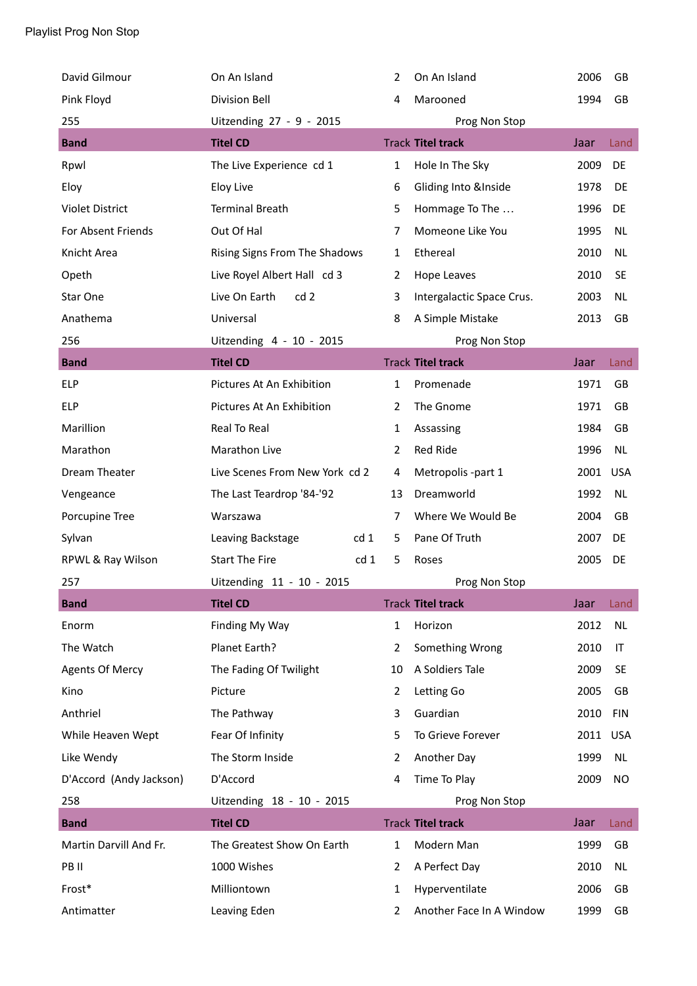| David Gilmour           | On An Island                   |                 | 2              | On An Island              | 2006 | GB         |
|-------------------------|--------------------------------|-----------------|----------------|---------------------------|------|------------|
| Pink Floyd              | <b>Division Bell</b>           |                 | 4              | Marooned                  | 1994 | GB         |
| 255                     | Uitzending 27 - 9 - 2015       |                 |                | Prog Non Stop             |      |            |
| <b>Band</b>             | <b>Titel CD</b>                |                 |                | <b>Track Titel track</b>  | Jaar | Land       |
| Rpwl                    | The Live Experience cd 1       |                 | 1              | Hole In The Sky           | 2009 | DE         |
| Eloy                    | <b>Eloy Live</b>               |                 | 6              | Gliding Into &Inside      | 1978 | DE         |
| <b>Violet District</b>  | <b>Terminal Breath</b>         |                 | 5              | Hommage To The            | 1996 | DE         |
| For Absent Friends      | Out Of Hal                     |                 | 7              | Momeone Like You          | 1995 | <b>NL</b>  |
| Knicht Area             | Rising Signs From The Shadows  |                 | $\mathbf{1}$   | Ethereal                  | 2010 | <b>NL</b>  |
| Opeth                   | Live Royel Albert Hall cd 3    |                 | 2              | Hope Leaves               | 2010 | <b>SE</b>  |
| Star One                | Live On Earth<br>cd2           |                 | 3              | Intergalactic Space Crus. | 2003 | <b>NL</b>  |
| Anathema                | Universal                      |                 | 8              | A Simple Mistake          | 2013 | GB         |
| 256                     | Uitzending 4 - 10 - 2015       |                 |                | Prog Non Stop             |      |            |
| <b>Band</b>             | <b>Titel CD</b>                |                 |                | <b>Track Titel track</b>  | Jaar | Land       |
| <b>ELP</b>              | Pictures At An Exhibition      |                 | 1              | Promenade                 | 1971 | <b>GB</b>  |
| <b>ELP</b>              | Pictures At An Exhibition      |                 | $\overline{2}$ | The Gnome                 | 1971 | GB         |
| Marillion               | Real To Real                   |                 | 1              | Assassing                 | 1984 | <b>GB</b>  |
| Marathon                | Marathon Live                  |                 | $\overline{2}$ | Red Ride                  | 1996 | <b>NL</b>  |
| Dream Theater           | Live Scenes From New York cd 2 |                 | 4              | Metropolis -part 1        | 2001 | <b>USA</b> |
| Vengeance               | The Last Teardrop '84-'92      |                 | 13             | Dreamworld                | 1992 | <b>NL</b>  |
| Porcupine Tree          | Warszawa                       |                 | 7              | Where We Would Be         | 2004 | GB         |
| Sylvan                  | Leaving Backstage              | cd <sub>1</sub> | 5              | Pane Of Truth             | 2007 | DE         |
| RPWL & Ray Wilson       | <b>Start The Fire</b>          | cd 1            | 5              | Roses                     | 2005 | DE         |
| 257                     | Uitzending 11 - 10 - 2015      |                 |                | Prog Non Stop             |      |            |
| <b>Band</b>             | <b>Titel CD</b>                |                 |                | <b>Track Titel track</b>  | Jaar | Land       |
| Enorm                   | Finding My Way                 |                 | $\mathbf{1}$   | Horizon                   | 2012 | <b>NL</b>  |
| The Watch               | Planet Earth?                  |                 | $\overline{2}$ | Something Wrong           | 2010 | IT         |
| <b>Agents Of Mercy</b>  | The Fading Of Twilight         |                 | 10             | A Soldiers Tale           | 2009 | <b>SE</b>  |
| Kino                    | Picture                        |                 | 2              | Letting Go                | 2005 | GB         |
| Anthriel                | The Pathway                    |                 | 3              | Guardian                  | 2010 | <b>FIN</b> |
| While Heaven Wept       | Fear Of Infinity               |                 | 5              | To Grieve Forever         | 2011 | <b>USA</b> |
| Like Wendy              | The Storm Inside               |                 | 2              | Another Day               | 1999 | <b>NL</b>  |
| D'Accord (Andy Jackson) | D'Accord                       |                 | 4              | Time To Play              | 2009 | <b>NO</b>  |
| 258                     | Uitzending 18 - 10 - 2015      |                 |                | Prog Non Stop             |      |            |
| <b>Band</b>             | <b>Titel CD</b>                |                 |                | <b>Track Titel track</b>  | Jaar | Land       |
| Martin Darvill And Fr.  | The Greatest Show On Earth     |                 | $\mathbf{1}$   | Modern Man                | 1999 | GB         |
| PB II                   | 1000 Wishes                    |                 | 2              | A Perfect Day             | 2010 | <b>NL</b>  |
| Frost*                  | Milliontown                    |                 | 1              | Hyperventilate            | 2006 | GB         |
| Antimatter              | Leaving Eden                   |                 | 2              | Another Face In A Window  | 1999 | GB         |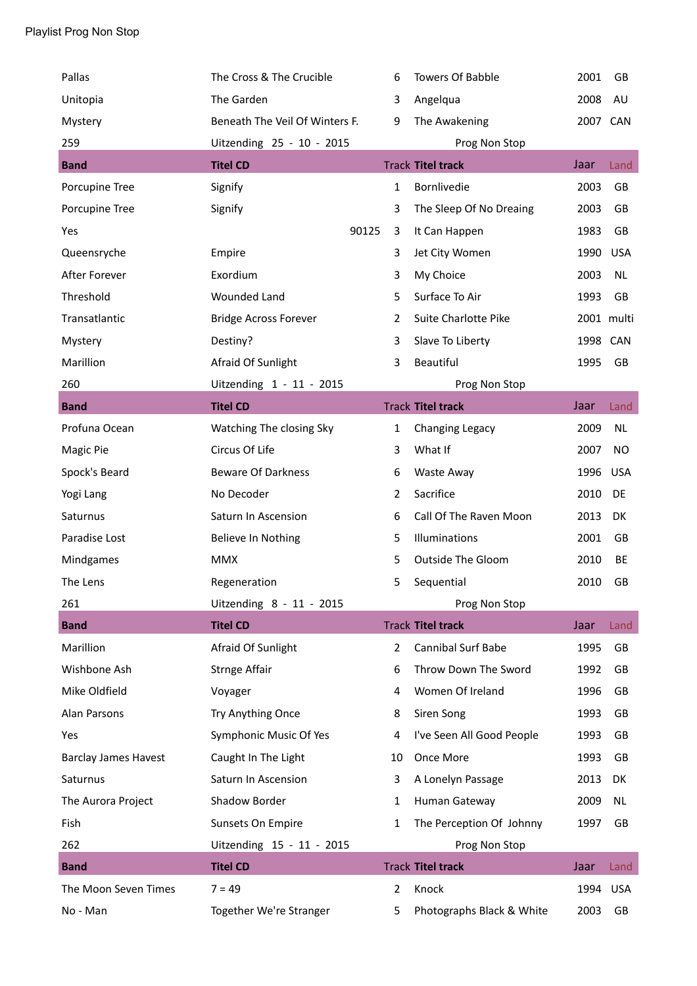| Pallas                      | The Cross & The Crucible       | 6              | <b>Towers Of Babble</b>   | 2001     | GB         |
|-----------------------------|--------------------------------|----------------|---------------------------|----------|------------|
| Unitopia                    | The Garden                     | 3              | Angelqua                  | 2008     | AU         |
| Mystery                     | Beneath The Veil Of Winters F. | 9              | The Awakening             | 2007 CAN |            |
| 259                         | Uitzending 25 - 10 - 2015      |                | Prog Non Stop             |          |            |
| <b>Band</b>                 | <b>Titel CD</b>                |                | <b>Track Titel track</b>  | Jaar     | Land       |
| Porcupine Tree              | Signify                        | 1              | Bornlivedie               | 2003     | GB         |
| Porcupine Tree              | Signify                        | 3              | The Sleep Of No Dreaing   | 2003     | GB         |
| Yes                         |                                | 90125<br>3     | It Can Happen             | 1983     | GB         |
| Queensryche                 | Empire                         | 3              | Jet City Women            | 1990     | <b>USA</b> |
| After Forever               | Exordium                       | 3              | My Choice                 | 2003     | NL         |
| Threshold                   | <b>Wounded Land</b>            | 5              | Surface To Air            | 1993     | GB         |
| Transatlantic               | <b>Bridge Across Forever</b>   | $\overline{2}$ | Suite Charlotte Pike      |          | 2001 multi |
| Mystery                     | Destiny?                       | 3              | Slave To Liberty          | 1998 CAN |            |
| Marillion                   | Afraid Of Sunlight             | 3              | Beautiful                 | 1995     | <b>GB</b>  |
| 260                         | Uitzending 1 - 11 - 2015       |                | Prog Non Stop             |          |            |
| <b>Band</b>                 | <b>Titel CD</b>                |                | <b>Track Titel track</b>  | Jaar     | Land       |
| Profuna Ocean               | Watching The closing Sky       | $\mathbf{1}$   | Changing Legacy           | 2009     | <b>NL</b>  |
| Magic Pie                   | Circus Of Life                 | 3              | What If                   | 2007     | NO         |
| Spock's Beard               | <b>Beware Of Darkness</b>      | 6              | Waste Away                | 1996     | <b>USA</b> |
| Yogi Lang                   | No Decoder                     | $\overline{2}$ | Sacrifice                 | 2010     | DE         |
| Saturnus                    | Saturn In Ascension            | 6              | Call Of The Raven Moon    | 2013     | DK         |
| Paradise Lost               | Believe In Nothing             | 5              | Illuminations             | 2001     | GB         |
| Mindgames                   | <b>MMX</b>                     | 5              | Outside The Gloom         | 2010     | BE         |
| The Lens                    | Regeneration                   | 5              | Sequential                | 2010     | GB         |
| 261                         | Uitzending 8 - 11 - 2015       |                | Prog Non Stop             |          |            |
| <b>Band</b>                 | <b>Titel CD</b>                |                | <b>Track Titel track</b>  | Jaar     | Land       |
| Marillion                   | Afraid Of Sunlight             | $\overline{2}$ | <b>Cannibal Surf Babe</b> | 1995     | GB         |
| Wishbone Ash                | <b>Strnge Affair</b>           | 6              | Throw Down The Sword      | 1992     | GB         |
| Mike Oldfield               | Voyager                        | 4              | Women Of Ireland          | 1996     | GB         |
| <b>Alan Parsons</b>         | Try Anything Once              | 8              | Siren Song                | 1993     | GB         |
| Yes                         | Symphonic Music Of Yes         | 4              | I've Seen All Good People | 1993     | GB         |
| <b>Barclay James Havest</b> | Caught In The Light            | 10             | Once More                 | 1993     | GB         |
| Saturnus                    | Saturn In Ascension            | 3              | A Lonelyn Passage         | 2013     | DK         |
| The Aurora Project          | Shadow Border                  | $\mathbf{1}$   | Human Gateway             | 2009     | <b>NL</b>  |
| Fish                        | Sunsets On Empire              | 1              | The Perception Of Johnny  | 1997     | GB         |
| 262                         | Uitzending 15 - 11 - 2015      |                | Prog Non Stop             |          |            |
| <b>Band</b>                 | <b>Titel CD</b>                |                | <b>Track Titel track</b>  | Jaar     | Land       |
| The Moon Seven Times        | $7 = 49$                       | $\overline{2}$ | Knock                     | 1994     | <b>USA</b> |
| No - Man                    | Together We're Stranger        | 5              | Photographs Black & White | 2003     | GB         |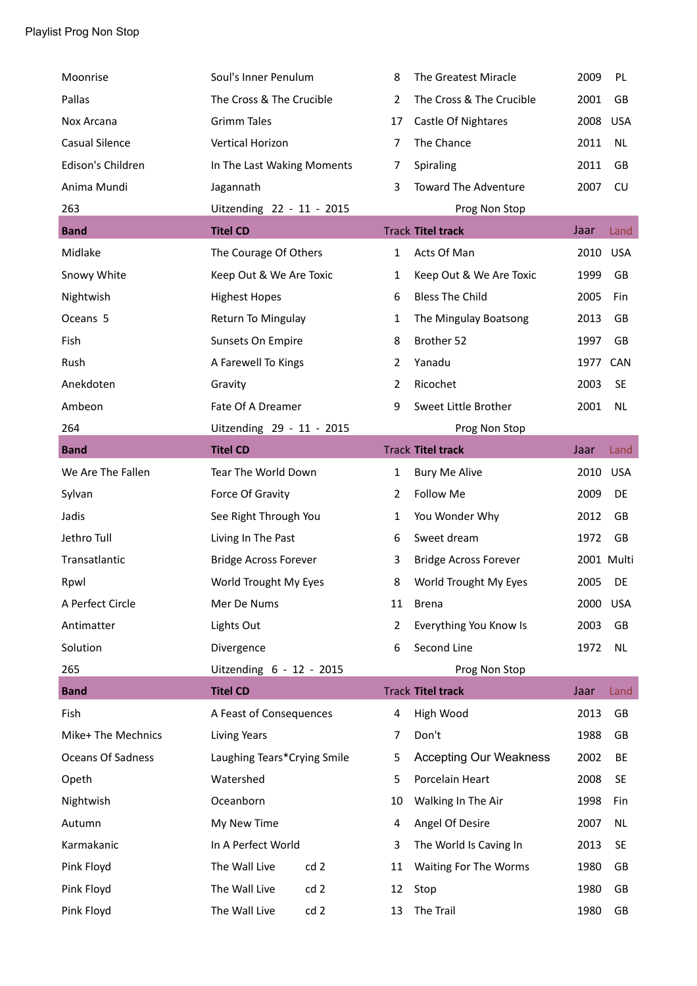| Moonrise              | Soul's Inner Penulum         | 8              | The Greatest Miracle          | 2009       | PL         |
|-----------------------|------------------------------|----------------|-------------------------------|------------|------------|
| Pallas                | The Cross & The Crucible     | $\overline{2}$ | The Cross & The Crucible      | 2001       | GB         |
| Nox Arcana            | <b>Grimm Tales</b>           | 17             | Castle Of Nightares           | 2008       | <b>USA</b> |
| <b>Casual Silence</b> | Vertical Horizon             | $\overline{7}$ | The Chance                    | 2011       | <b>NL</b>  |
| Edison's Children     | In The Last Waking Moments   | 7              | Spiraling                     | 2011       | GB         |
| Anima Mundi           | Jagannath                    | 3              | <b>Toward The Adventure</b>   | 2007       | CU         |
| 263                   | Uitzending 22 - 11 - 2015    |                | Prog Non Stop                 |            |            |
| <b>Band</b>           | <b>Titel CD</b>              |                | <b>Track Titel track</b>      | Jaar       | Land       |
| Midlake               | The Courage Of Others        | 1              | Acts Of Man                   | 2010       | <b>USA</b> |
| Snowy White           | Keep Out & We Are Toxic      | 1              | Keep Out & We Are Toxic       | 1999       | <b>GB</b>  |
| Nightwish             | <b>Highest Hopes</b>         | 6              | <b>Bless The Child</b>        | 2005       | Fin        |
| Oceans 5              | Return To Mingulay           | 1              | The Mingulay Boatsong         | 2013       | GB         |
| Fish                  | Sunsets On Empire            | 8              | Brother 52                    | 1997       | GB         |
| Rush                  | A Farewell To Kings          | 2              | Yanadu                        | 1977       | CAN        |
| Anekdoten             | Gravity                      | 2              | Ricochet                      | 2003       | <b>SE</b>  |
| Ambeon                | Fate Of A Dreamer            | 9              | Sweet Little Brother          | 2001       | <b>NL</b>  |
| 264                   | Uitzending 29 - 11 - 2015    |                | Prog Non Stop                 |            |            |
| <b>Band</b>           | <b>Titel CD</b>              |                | <b>Track Titel track</b>      | Jaar       | Land       |
| We Are The Fallen     | Tear The World Down          | 1              | <b>Bury Me Alive</b>          | 2010       | <b>USA</b> |
| Sylvan                | Force Of Gravity             | 2              | Follow Me                     | 2009       | DE         |
| Jadis                 | See Right Through You        | 1              | You Wonder Why                | 2012       | GB         |
| Jethro Tull           | Living In The Past           | 6              | Sweet dream                   | 1972       | GB         |
| Transatlantic         | <b>Bridge Across Forever</b> | 3              | <b>Bridge Across Forever</b>  | 2001 Multi |            |
| Rpwl                  | World Trought My Eyes        | 8              | World Trought My Eyes         | 2005       | DE         |
| A Perfect Circle      | Mer De Nums                  | 11             | Brena                         | 2000       | <b>USA</b> |
| Antimatter            | Lights Out                   | 2              | Everything You Know Is        | 2003       | GB         |
| Solution              | Divergence                   | 6              | Second Line                   | 1972       | <b>NL</b>  |
| 265                   | Uitzending 6 - 12 - 2015     |                | Prog Non Stop                 |            |            |
| <b>Band</b>           | <b>Titel CD</b>              |                | <b>Track Titel track</b>      | Jaar       | Land       |
| Fish                  | A Feast of Consequences      | 4              | High Wood                     | 2013       | GB         |
| Mike+ The Mechnics    | <b>Living Years</b>          | 7              | Don't                         | 1988       | GB         |
| Oceans Of Sadness     | Laughing Tears*Crying Smile  | 5              | <b>Accepting Our Weakness</b> | 2002       | BE         |
| Opeth                 | Watershed                    | 5              | Porcelain Heart               | 2008       | <b>SE</b>  |
| Nightwish             | Oceanborn                    | 10             | Walking In The Air            | 1998       | Fin        |
| Autumn                | My New Time                  | 4              | Angel Of Desire               | 2007       | NL         |
| Karmakanic            | In A Perfect World           | 3              | The World Is Caving In        | 2013       | <b>SE</b>  |
| Pink Floyd            | The Wall Live<br>cd 2        | 11             | Waiting For The Worms         | 1980       | GB         |
| Pink Floyd            | The Wall Live<br>cd 2        | 12             | Stop                          | 1980       | GB         |
| Pink Floyd            | The Wall Live<br>cd 2        | 13             | The Trail                     | 1980       | GB         |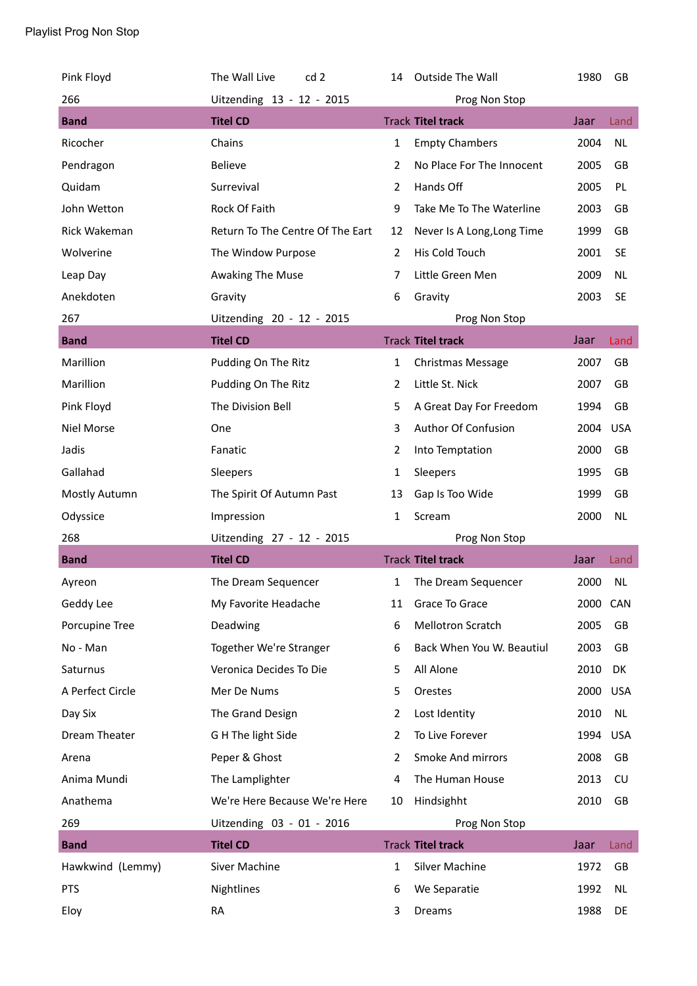| Pink Floyd       | The Wall Live<br>cd <sub>2</sub> | 14             | Outside The Wall           | 1980     | <b>GB</b>  |
|------------------|----------------------------------|----------------|----------------------------|----------|------------|
| 266              | Uitzending 13 - 12 - 2015        |                | Prog Non Stop              |          |            |
| <b>Band</b>      | <b>Titel CD</b>                  |                | <b>Track Titel track</b>   | Jaar     | Land       |
| Ricocher         | Chains                           | $\mathbf{1}$   | <b>Empty Chambers</b>      | 2004     | <b>NL</b>  |
| Pendragon        | <b>Believe</b>                   | $\overline{2}$ | No Place For The Innocent  | 2005     | GB         |
| Quidam           | Surrevival                       | $\overline{2}$ | Hands Off                  | 2005     | PL         |
| John Wetton      | Rock Of Faith                    | 9              | Take Me To The Waterline   | 2003     | GB         |
| Rick Wakeman     | Return To The Centre Of The Eart | 12             | Never Is A Long, Long Time | 1999     | GB         |
| Wolverine        | The Window Purpose               | $\overline{2}$ | His Cold Touch             | 2001     | <b>SE</b>  |
| Leap Day         | Awaking The Muse                 | 7              | Little Green Men           | 2009     | <b>NL</b>  |
| Anekdoten        | Gravity                          | 6              | Gravity                    | 2003     | <b>SE</b>  |
| 267              | Uitzending 20 - 12 - 2015        |                | Prog Non Stop              |          |            |
| <b>Band</b>      | <b>Titel CD</b>                  |                | <b>Track Titel track</b>   | Jaar     | Land       |
| Marillion        | Pudding On The Ritz              | $\mathbf{1}$   | <b>Christmas Message</b>   | 2007     | GB         |
| Marillion        | Pudding On The Ritz              | 2              | Little St. Nick            | 2007     | GB         |
| Pink Floyd       | The Division Bell                | 5              | A Great Day For Freedom    | 1994     | GB         |
| Niel Morse       | One                              | 3              | Author Of Confusion        | 2004     | <b>USA</b> |
| Jadis            | Fanatic                          | $\overline{2}$ | Into Temptation            | 2000     | GB         |
| Gallahad         | Sleepers                         | $\mathbf{1}$   | Sleepers                   | 1995     | GB         |
| Mostly Autumn    | The Spirit Of Autumn Past        | 13             | Gap Is Too Wide            | 1999     | GB         |
|                  |                                  |                |                            |          |            |
| Odyssice         | Impression                       | 1              | Scream                     | 2000     | <b>NL</b>  |
| 268              | Uitzending 27 - 12 - 2015        |                | Prog Non Stop              |          |            |
| <b>Band</b>      | <b>Titel CD</b>                  |                | <b>Track Titel track</b>   | Jaar     | Land       |
| Ayreon           | The Dream Sequencer              | 1              | The Dream Sequencer        | 2000     | <b>NL</b>  |
| Geddy Lee        | My Favorite Headache             | 11             | Grace To Grace             | 2000 CAN |            |
| Porcupine Tree   | Deadwing                         | 6              | Mellotron Scratch          | 2005     | GB         |
| No - Man         | Together We're Stranger          | 6              | Back When You W. Beautiul  | 2003     | GB         |
| Saturnus         | Veronica Decides To Die          | 5              | All Alone                  | 2010     | DK         |
| A Perfect Circle | Mer De Nums                      | 5              | Orestes                    | 2000     | <b>USA</b> |
| Day Six          | The Grand Design                 | 2              | Lost Identity              | 2010     | <b>NL</b>  |
| Dream Theater    | G H The light Side               | 2              | To Live Forever            | 1994     | <b>USA</b> |
| Arena            | Peper & Ghost                    | 2              | Smoke And mirrors          | 2008     | GB         |
| Anima Mundi      | The Lamplighter                  | 4              | The Human House            | 2013     | CU         |
| Anathema         | We're Here Because We're Here    | 10             | Hindsighht                 | 2010     | GB         |
| 269              | Uitzending 03 - 01 - 2016        |                | Prog Non Stop              |          |            |
| <b>Band</b>      | <b>Titel CD</b>                  |                | <b>Track Titel track</b>   | Jaar     | Land       |
| Hawkwind (Lemmy) | Siver Machine                    | $\mathbf{1}$   | Silver Machine             | 1972     | GB         |
| <b>PTS</b>       | Nightlines                       | 6              | We Separatie               | 1992     | <b>NL</b>  |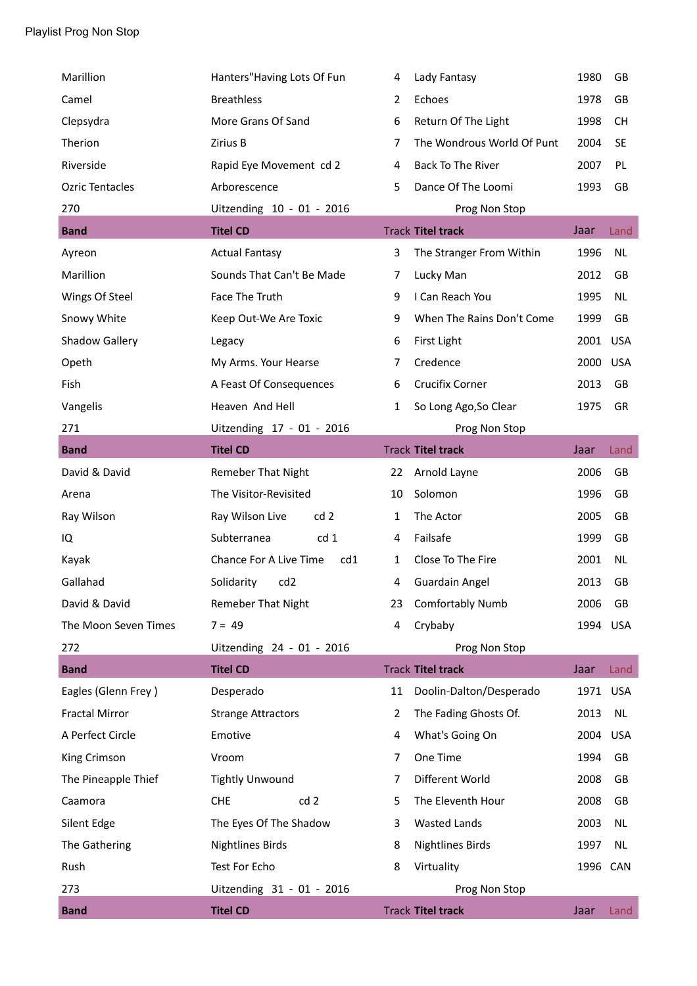| Marillion              | Hanters" Having Lots Of Fun   | 4              | Lady Fantasy               | 1980     | GB         |
|------------------------|-------------------------------|----------------|----------------------------|----------|------------|
| Camel                  | <b>Breathless</b>             | $\overline{2}$ | Echoes                     | 1978     | GB         |
| Clepsydra              | More Grans Of Sand            | 6              | Return Of The Light        | 1998     | CН         |
| Therion                | Zirius B                      | 7              | The Wondrous World Of Punt | 2004     | <b>SE</b>  |
| Riverside              | Rapid Eye Movement cd 2       | 4              | Back To The River          | 2007     | PL         |
| <b>Ozric Tentacles</b> | Arborescence                  | 5.             | Dance Of The Loomi         | 1993     | GB         |
| 270                    | Uitzending 10 - 01 - 2016     |                | Prog Non Stop              |          |            |
| <b>Band</b>            | <b>Titel CD</b>               |                | <b>Track Titel track</b>   | Jaar     | Land       |
| Ayreon                 | <b>Actual Fantasy</b>         | 3              | The Stranger From Within   | 1996     | <b>NL</b>  |
| Marillion              | Sounds That Can't Be Made     | 7              | Lucky Man                  | 2012     | GB         |
| Wings Of Steel         | Face The Truth                | 9              | I Can Reach You            | 1995     | <b>NL</b>  |
| Snowy White            | Keep Out-We Are Toxic         | 9              | When The Rains Don't Come  | 1999     | GB         |
| <b>Shadow Gallery</b>  | Legacy                        | 6              | First Light                | 2001 USA |            |
| Opeth                  | My Arms. Your Hearse          | 7              | Credence                   | 2000     | <b>USA</b> |
| Fish                   | A Feast Of Consequences       | 6              | <b>Crucifix Corner</b>     | 2013     | GB         |
| Vangelis               | Heaven And Hell               | $\mathbf{1}$   | So Long Ago, So Clear      | 1975     | GR         |
| 271                    | Uitzending 17 - 01 - 2016     |                | Prog Non Stop              |          |            |
| <b>Band</b>            | <b>Titel CD</b>               |                | <b>Track Titel track</b>   | Jaar     | Land       |
| David & David          | <b>Remeber That Night</b>     | 22             | Arnold Layne               | 2006     | GB         |
| Arena                  | The Visitor-Revisited         | 10             | Solomon                    | 1996     | GB         |
| Ray Wilson             | cd 2<br>Ray Wilson Live       | 1              | The Actor                  | 2005     | GB         |
| IQ                     | cd 1<br>Subterranea           | 4              | Failsafe                   | 1999     | GB         |
| Kayak                  | Chance For A Live Time<br>cd1 | 1              | Close To The Fire          | 2001     | <b>NL</b>  |
| Gallahad               | Solidarity<br>cd <sub>2</sub> | 4              | <b>Guardain Angel</b>      | 2013     | GB         |
| David & David          | <b>Remeber That Night</b>     | 23             | <b>Comfortably Numb</b>    | 2006     | GB         |
| The Moon Seven Times   | $7 = 49$                      | 4              | Crybaby                    | 1994     | <b>USA</b> |
| 272                    | Uitzending 24 - 01 - 2016     |                | Prog Non Stop              |          |            |
| <b>Band</b>            | <b>Titel CD</b>               |                | <b>Track Titel track</b>   | Jaar     | Land       |
| Eagles (Glenn Frey)    | Desperado                     | 11             | Doolin-Dalton/Desperado    | 1971     | <b>USA</b> |
| <b>Fractal Mirror</b>  | <b>Strange Attractors</b>     | 2              | The Fading Ghosts Of.      | 2013     | NL         |
| A Perfect Circle       | Emotive                       | 4              | What's Going On            | 2004     | <b>USA</b> |
| King Crimson           | Vroom                         | 7              | One Time                   | 1994     | GB         |
| The Pineapple Thief    | <b>Tightly Unwound</b>        | 7              | Different World            | 2008     | GB         |
| Caamora                | cd 2<br><b>CHE</b>            | 5              | The Eleventh Hour          | 2008     | GB         |
| Silent Edge            | The Eyes Of The Shadow        | 3              | <b>Wasted Lands</b>        | 2003     | <b>NL</b>  |
| The Gathering          | <b>Nightlines Birds</b>       | 8              | <b>Nightlines Birds</b>    | 1997     | NL         |
| Rush                   | Test For Echo                 | 8              | Virtuality                 | 1996 CAN |            |
| 273                    | Uitzending 31 - 01 - 2016     |                | Prog Non Stop              |          |            |
| <b>Band</b>            | <b>Titel CD</b>               |                | <b>Track Titel track</b>   | Jaar     | Land       |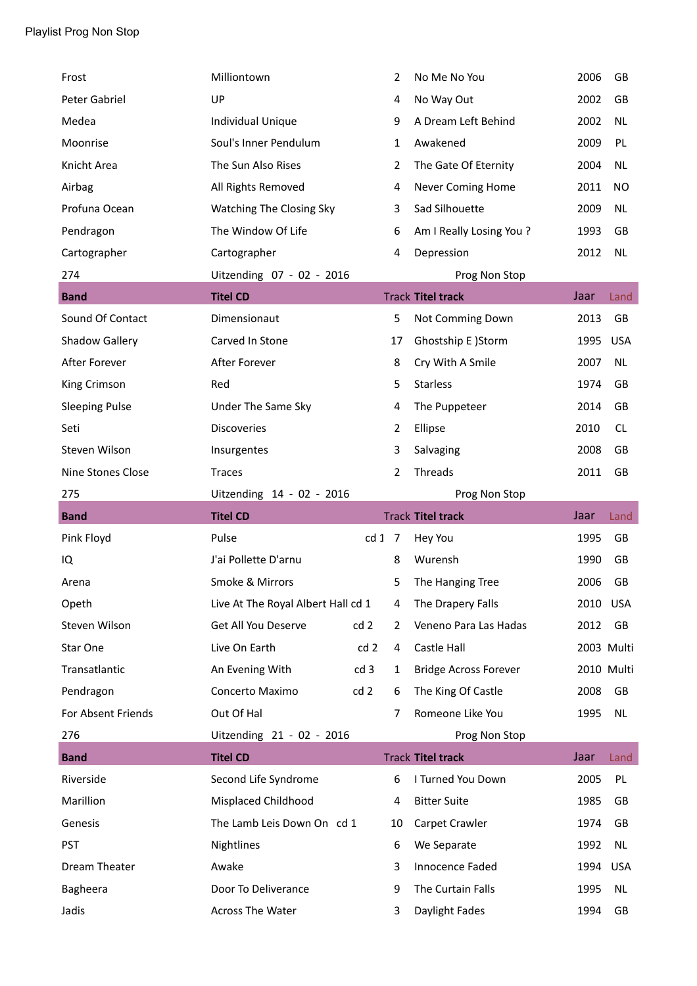| Frost                 | Milliontown                        |      | $\overline{2}$ | No Me No You                 | 2006     | GB         |
|-----------------------|------------------------------------|------|----------------|------------------------------|----------|------------|
| Peter Gabriel         | UP                                 |      | 4              | No Way Out                   | 2002     | GB         |
| Medea                 | Individual Unique                  |      | 9              | A Dream Left Behind          | 2002     | <b>NL</b>  |
| Moonrise              | Soul's Inner Pendulum              |      | 1              | Awakened                     | 2009     | PL         |
| Knicht Area           | The Sun Also Rises                 |      | 2              | The Gate Of Eternity         | 2004     | <b>NL</b>  |
| Airbag                | All Rights Removed                 |      | 4              | <b>Never Coming Home</b>     | 2011     | NO         |
| Profuna Ocean         | Watching The Closing Sky           |      | 3              | Sad Silhouette               | 2009     | <b>NL</b>  |
| Pendragon             | The Window Of Life                 |      | 6              | Am I Really Losing You?      | 1993     | GB         |
| Cartographer          | Cartographer                       |      | 4              | Depression                   | 2012     | <b>NL</b>  |
| 274                   | Uitzending 07 - 02 - 2016          |      |                | Prog Non Stop                |          |            |
| <b>Band</b>           | <b>Titel CD</b>                    |      |                | <b>Track Titel track</b>     | Jaar     | Land       |
| Sound Of Contact      | Dimensionaut                       |      | 5              | Not Comming Down             | 2013     | GB         |
| Shadow Gallery        | Carved In Stone                    |      | 17             | Ghostship E )Storm           | 1995     | <b>USA</b> |
| After Forever         | After Forever                      |      | 8              | Cry With A Smile             | 2007     | <b>NL</b>  |
| King Crimson          | Red                                |      | 5              | <b>Starless</b>              | 1974     | GB         |
| <b>Sleeping Pulse</b> | Under The Same Sky                 |      | 4              | The Puppeteer                | 2014     | GB         |
| Seti                  | <b>Discoveries</b>                 |      | $\overline{2}$ | Ellipse                      | 2010     | <b>CL</b>  |
| Steven Wilson         | Insurgentes                        |      | 3              | Salvaging                    | 2008     | GB         |
| Nine Stones Close     | <b>Traces</b>                      |      | 2              | Threads                      | 2011     | GB         |
|                       |                                    |      |                |                              |          |            |
| 275                   | Uitzending 14 - 02 - 2016          |      |                | Prog Non Stop                |          |            |
| <b>Band</b>           | <b>Titel CD</b>                    |      |                | <b>Track Titel track</b>     | Jaar     | Land       |
| Pink Floyd            | Pulse                              | cd17 |                | Hey You                      | 1995     | GB         |
| IQ                    | J'ai Pollette D'arnu               |      | 8              | Wurensh                      | 1990     | GB         |
| Arena                 | Smoke & Mirrors                    |      | 5              | The Hanging Tree             | 2006     | GB         |
| Opeth                 | Live At The Royal Albert Hall cd 1 |      | 4              | The Drapery Falls            | 2010 USA |            |
| Steven Wilson         | Get All You Deserve                | cd 2 | $\overline{2}$ | Veneno Para Las Hadas        | 2012     | GB         |
| Star One              | Live On Earth                      | cd 2 | 4              | Castle Hall                  |          | 2003 Multi |
| Transatlantic         | An Evening With                    | cd 3 | 1              | <b>Bridge Across Forever</b> |          | 2010 Multi |
| Pendragon             | Concerto Maximo                    | cd2  | 6              | The King Of Castle           | 2008     | GB         |
| For Absent Friends    | Out Of Hal                         |      | 7              | Romeone Like You             | 1995     | NL         |
| 276                   | Uitzending 21 - 02 - 2016          |      |                | Prog Non Stop                |          |            |
| <b>Band</b>           | <b>Titel CD</b>                    |      |                | <b>Track Titel track</b>     | Jaar     | Land       |
| Riverside             | Second Life Syndrome               |      | 6              | I Turned You Down            | 2005     | PL         |
| Marillion             | Misplaced Childhood                |      | 4              | <b>Bitter Suite</b>          | 1985     | GB         |
| Genesis               | The Lamb Leis Down On cd 1         |      | 10             | Carpet Crawler               | 1974     | GB         |
| <b>PST</b>            | Nightlines                         |      | 6              | We Separate                  | 1992     | NL         |
| Dream Theater         | Awake                              |      | 3              | Innocence Faded              | 1994     | USA        |
| Bagheera              | Door To Deliverance                |      | 9              | The Curtain Falls            | 1995     | NL         |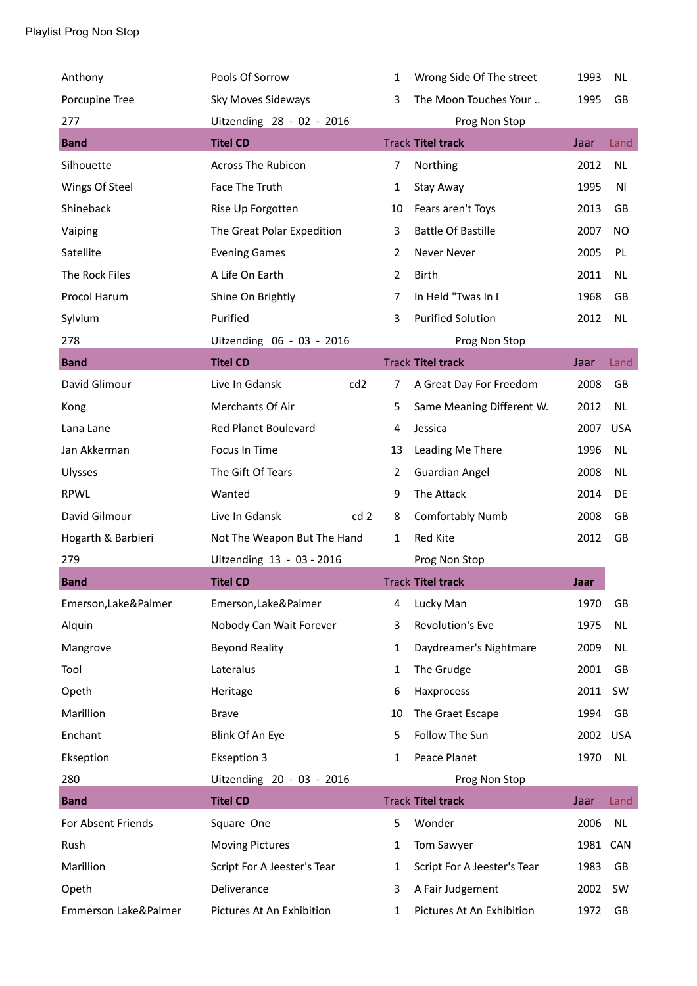| Anthony              | Pools Of Sorrow                   | 1              | Wrong Side Of The street    | 1993 | <b>NL</b>  |
|----------------------|-----------------------------------|----------------|-----------------------------|------|------------|
| Porcupine Tree       | Sky Moves Sideways                | 3              | The Moon Touches Your       | 1995 | GB         |
| 277                  | Uitzending 28 - 02 - 2016         |                | Prog Non Stop               |      |            |
| <b>Band</b>          | <b>Titel CD</b>                   |                | <b>Track Titel track</b>    | Jaar | Land       |
| Silhouette           | <b>Across The Rubicon</b>         | 7              | Northing                    | 2012 | <b>NL</b>  |
| Wings Of Steel       | Face The Truth                    | 1              | Stay Away                   | 1995 | ΝI         |
| Shineback            | Rise Up Forgotten                 | 10             | Fears aren't Toys           | 2013 | GB         |
| Vaiping              | The Great Polar Expedition        | 3              | <b>Battle Of Bastille</b>   | 2007 | NO         |
| Satellite            | <b>Evening Games</b>              | 2              | <b>Never Never</b>          | 2005 | PL         |
| The Rock Files       | A Life On Earth                   | 2              | <b>Birth</b>                | 2011 | <b>NL</b>  |
| Procol Harum         | Shine On Brightly                 | $\overline{7}$ | In Held "Twas In I          | 1968 | GB         |
| Sylvium              | Purified                          | 3              | <b>Purified Solution</b>    | 2012 | <b>NL</b>  |
| 278                  | Uitzending 06 - 03 - 2016         |                | Prog Non Stop               |      |            |
| <b>Band</b>          | <b>Titel CD</b>                   |                | <b>Track Titel track</b>    | Jaar | Land       |
| David Glimour        | cd <sub>2</sub><br>Live In Gdansk | 7              | A Great Day For Freedom     | 2008 | GB         |
| Kong                 | Merchants Of Air                  | 5              | Same Meaning Different W.   | 2012 | <b>NL</b>  |
| Lana Lane            | <b>Red Planet Boulevard</b>       | 4              | Jessica                     | 2007 | <b>USA</b> |
| Jan Akkerman         | Focus In Time                     | 13             | Leading Me There            | 1996 | <b>NL</b>  |
| Ulysses              | The Gift Of Tears                 | 2              | <b>Guardian Angel</b>       | 2008 | <b>NL</b>  |
| <b>RPWL</b>          | Wanted                            | 9              | The Attack                  | 2014 | DE         |
| David Gilmour        | Live In Gdansk<br>cd <sub>2</sub> | 8              | Comfortably Numb            | 2008 | GB         |
| Hogarth & Barbieri   | Not The Weapon But The Hand       | 1              | Red Kite                    | 2012 | GB         |
| 279                  | Uitzending 13 - 03 - 2016         |                | Prog Non Stop               |      |            |
| <b>Band</b>          | <b>Titel CD</b>                   |                | <b>Track Titel track</b>    | Jaar |            |
| Emerson, Lake&Palmer | Emerson, Lake&Palmer              | 4              | Lucky Man                   | 1970 | GB         |
| Alquin               | Nobody Can Wait Forever           | 3              | Revolution's Eve            | 1975 | <b>NL</b>  |
| Mangrove             | <b>Beyond Reality</b>             | 1              | Daydreamer's Nightmare      | 2009 | NL         |
| Tool                 | Lateralus                         | 1              | The Grudge                  | 2001 | GB         |
| Opeth                | Heritage                          | 6              | Haxprocess                  | 2011 | SW         |
| Marillion            | <b>Brave</b>                      | 10             | The Graet Escape            | 1994 | GB         |
| Enchant              | Blink Of An Eye                   | 5              | Follow The Sun              | 2002 | <b>USA</b> |
| Ekseption            | <b>Ekseption 3</b>                | 1              | Peace Planet                | 1970 | NL         |
| 280                  | Uitzending 20 - 03 - 2016         |                | Prog Non Stop               |      |            |
| <b>Band</b>          | <b>Titel CD</b>                   |                | <b>Track Titel track</b>    | Jaar | Land       |
| For Absent Friends   | Square One                        | 5              | Wonder                      | 2006 | <b>NL</b>  |
| Rush                 | <b>Moving Pictures</b>            | 1              | Tom Sawyer                  | 1981 | <b>CAN</b> |
| Marillion            | Script For A Jeester's Tear       | 1              | Script For A Jeester's Tear | 1983 | GB         |
| Opeth                | Deliverance                       | 3              | A Fair Judgement            | 2002 | SW         |
| Emmerson Lake&Palmer | Pictures At An Exhibition         | 1              | Pictures At An Exhibition   | 1972 | GB         |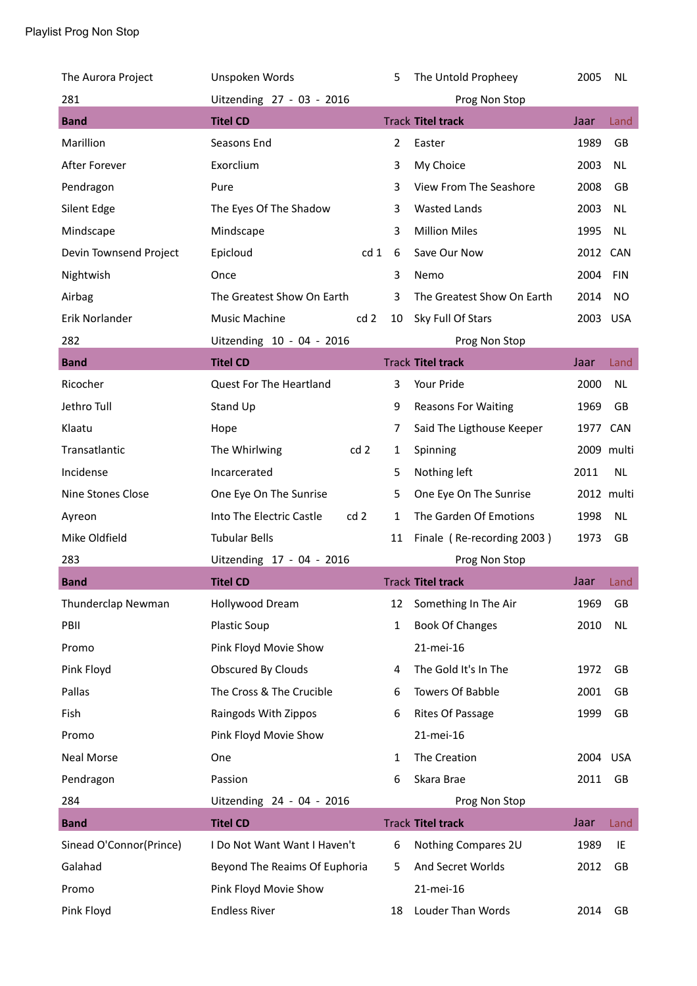| The Aurora Project      | Unspoken Words                              | 5              | The Untold Propheey        | 2005       | <b>NL</b>  |
|-------------------------|---------------------------------------------|----------------|----------------------------|------------|------------|
| 281                     | Uitzending 27 - 03 - 2016                   |                | Prog Non Stop              |            |            |
| <b>Band</b>             | <b>Titel CD</b>                             |                | <b>Track Titel track</b>   | Jaar       | Land       |
| Marillion               | Seasons End                                 | $\overline{2}$ | Easter                     | 1989       | GB         |
| After Forever           | Exorclium                                   | 3              | My Choice                  | 2003       | <b>NL</b>  |
| Pendragon               | Pure                                        | 3              | View From The Seashore     | 2008       | GB         |
| Silent Edge             | The Eyes Of The Shadow                      | 3              | <b>Wasted Lands</b>        | 2003       | <b>NL</b>  |
| Mindscape               | Mindscape                                   | 3              | <b>Million Miles</b>       | 1995       | <b>NL</b>  |
| Devin Townsend Project  | Epicloud<br>cd 1                            | 6              | Save Our Now               | 2012       | CAN        |
| Nightwish               | Once                                        | 3              | Nemo                       | 2004       | <b>FIN</b> |
| Airbag                  | The Greatest Show On Earth                  | 3              | The Greatest Show On Earth | 2014       | NO.        |
| Erik Norlander          | cd <sub>2</sub><br><b>Music Machine</b>     | 10             | Sky Full Of Stars          | 2003 USA   |            |
| 282                     | Uitzending 10 - 04 - 2016                   |                | Prog Non Stop              |            |            |
| <b>Band</b>             | <b>Titel CD</b>                             |                | <b>Track Titel track</b>   | Jaar       | Land       |
| Ricocher                | Quest For The Heartland                     | 3              | Your Pride                 | 2000       | <b>NL</b>  |
| Jethro Tull             | Stand Up                                    | 9              | <b>Reasons For Waiting</b> | 1969       | GB         |
| Klaatu                  | Hope                                        | 7              | Said The Ligthouse Keeper  | 1977       | CAN        |
| Transatlantic           | The Whirlwing<br>cd <sub>2</sub>            | $\mathbf{1}$   | Spinning                   |            | 2009 multi |
| Incidense               | Incarcerated                                | 5              | Nothing left               | 2011       | <b>NL</b>  |
| Nine Stones Close       | One Eye On The Sunrise                      | 5              | One Eye On The Sunrise     | 2012 multi |            |
| Ayreon                  | Into The Electric Castle<br>cd <sub>2</sub> | 1              | The Garden Of Emotions     | 1998       | <b>NL</b>  |
| Mike Oldfield           | <b>Tubular Bells</b>                        | 11             | Finale (Re-recording 2003) | 1973       | GB         |
| 283                     | Uitzending 17 - 04 - 2016                   |                | Prog Non Stop              |            |            |
| <b>Band</b>             | <b>Titel CD</b>                             |                | <b>Track Titel track</b>   | Jaar       | Land       |
| Thunderclap Newman      | Hollywood Dream                             | 12             | Something In The Air       | 1969       | GB         |
| PBII                    | Plastic Soup                                | $\mathbf{1}$   | <b>Book Of Changes</b>     | 2010       | <b>NL</b>  |
| Promo                   | Pink Floyd Movie Show                       |                | 21-mei-16                  |            |            |
| Pink Floyd              | Obscured By Clouds                          | 4              | The Gold It's In The       | 1972       | GB         |
| Pallas                  | The Cross & The Crucible                    | 6              | <b>Towers Of Babble</b>    | 2001       | GB         |
| Fish                    | Raingods With Zippos                        | 6              | Rites Of Passage           | 1999       | GB         |
| Promo                   | Pink Floyd Movie Show                       |                | 21-mei-16                  |            |            |
| <b>Neal Morse</b>       | One                                         | 1              | The Creation               | 2004 USA   |            |
| Pendragon               | Passion                                     | 6              | Skara Brae                 | 2011       | GB         |
| 284                     | Uitzending 24 - 04 - 2016                   |                | Prog Non Stop              |            |            |
| <b>Band</b>             | <b>Titel CD</b>                             |                | <b>Track Titel track</b>   | Jaar       | Land       |
| Sinead O'Connor(Prince) | I Do Not Want Want I Haven't                | 6              | Nothing Compares 2U        | 1989       | IE         |
| Galahad                 | Beyond The Reaims Of Euphoria               | 5              | And Secret Worlds          | 2012       | GB         |
| Promo                   | Pink Floyd Movie Show                       |                | 21-mei-16                  |            |            |
| Pink Floyd              | <b>Endless River</b>                        | 18             | Louder Than Words          | 2014       | GB         |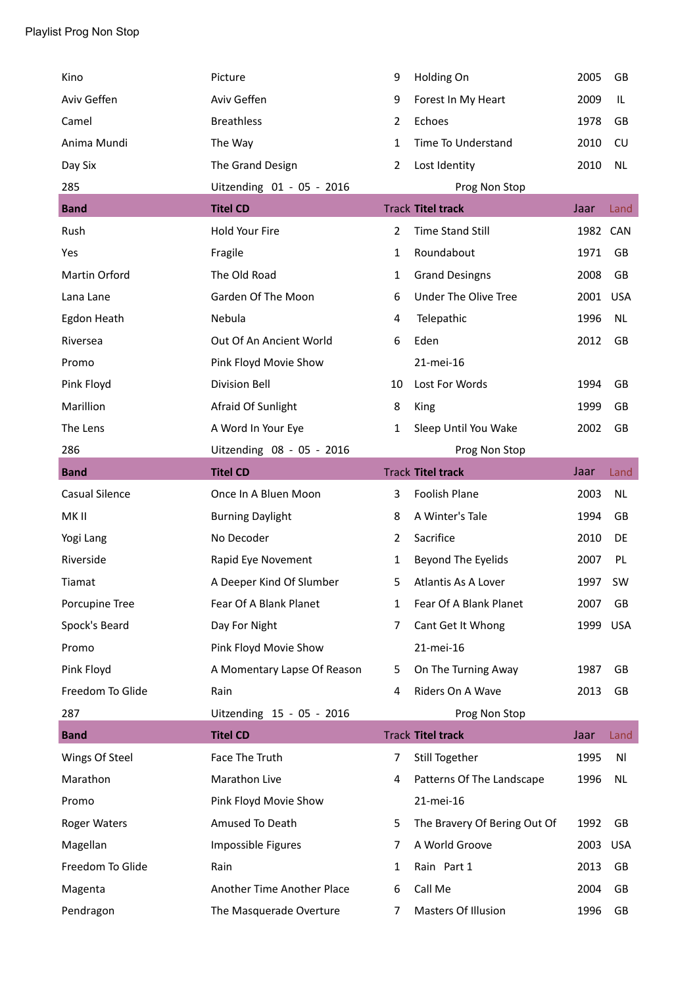| Kino                  | Picture                     | 9              | Holding On                   | 2005     | GB         |
|-----------------------|-----------------------------|----------------|------------------------------|----------|------------|
| Aviv Geffen           | Aviv Geffen                 | 9              | Forest In My Heart           | 2009     | IL         |
| Camel                 | <b>Breathless</b>           | 2              | Echoes                       | 1978     | GB         |
| Anima Mundi           | The Way                     | $\mathbf{1}$   | Time To Understand           | 2010     | CU         |
| Day Six               | The Grand Design            | $\overline{2}$ | Lost Identity                | 2010     | <b>NL</b>  |
| 285                   | Uitzending 01 - 05 - 2016   |                | Prog Non Stop                |          |            |
| <b>Band</b>           | <b>Titel CD</b>             |                | <b>Track Titel track</b>     | Jaar     | Land       |
| Rush                  | Hold Your Fire              | $\overline{2}$ | <b>Time Stand Still</b>      | 1982 CAN |            |
| Yes                   | Fragile                     | $\mathbf{1}$   | Roundabout                   | 1971     | GB         |
| Martin Orford         | The Old Road                | $\mathbf{1}$   | <b>Grand Desingns</b>        | 2008     | GB         |
| Lana Lane             | Garden Of The Moon          | 6              | Under The Olive Tree         | 2001     | <b>USA</b> |
| Egdon Heath           | Nebula                      | 4              | Telepathic                   | 1996     | <b>NL</b>  |
| Riversea              | Out Of An Ancient World     | 6              | Eden                         | 2012     | GB         |
| Promo                 | Pink Floyd Movie Show       |                | 21-mei-16                    |          |            |
| Pink Floyd            | <b>Division Bell</b>        | 10             | Lost For Words               | 1994     | GB         |
| Marillion             | Afraid Of Sunlight          | 8              | King                         | 1999     | GB         |
| The Lens              | A Word In Your Eye          | $\mathbf{1}$   | Sleep Until You Wake         | 2002     | GB         |
| 286                   | Uitzending 08 - 05 - 2016   |                | Prog Non Stop                |          |            |
| <b>Band</b>           | <b>Titel CD</b>             |                | <b>Track Titel track</b>     | Jaar     | Land       |
| <b>Casual Silence</b> | Once In A Bluen Moon        | 3              | Foolish Plane                | 2003     | <b>NL</b>  |
| MK II                 | <b>Burning Daylight</b>     | 8              | A Winter's Tale              | 1994     | GB         |
| Yogi Lang             | No Decoder                  | $\overline{2}$ | Sacrifice                    | 2010     | DE         |
| Riverside             | Rapid Eye Novement          | 1              | Beyond The Eyelids           |          |            |
|                       |                             |                |                              | 2007     | PL         |
| Tiamat                | A Deeper Kind Of Slumber    | 5              | Atlantis As A Lover          | 1997     | <b>SW</b>  |
| Porcupine Tree        | Fear Of A Blank Planet      | 1              | Fear Of A Blank Planet       | 2007     | GB         |
| Spock's Beard         | Day For Night               | 7              | Cant Get It Whong            | 1999     | <b>USA</b> |
| Promo                 | Pink Floyd Movie Show       |                | 21-mei-16                    |          |            |
| Pink Floyd            | A Momentary Lapse Of Reason | 5.             | On The Turning Away          | 1987     | GB         |
| Freedom To Glide      | Rain                        | 4              | Riders On A Wave             | 2013     | GB         |
| 287                   | Uitzending 15 - 05 - 2016   |                | Prog Non Stop                |          |            |
| <b>Band</b>           | <b>Titel CD</b>             |                | <b>Track Titel track</b>     | Jaar     | Land       |
| Wings Of Steel        | Face The Truth              | 7              | Still Together               | 1995     | Νl         |
| Marathon              | Marathon Live               | 4              | Patterns Of The Landscape    | 1996     | <b>NL</b>  |
| Promo                 | Pink Floyd Movie Show       |                | 21-mei-16                    |          |            |
| Roger Waters          | Amused To Death             | 5              | The Bravery Of Bering Out Of | 1992     | GB         |
| Magellan              | Impossible Figures          | 7              | A World Groove               | 2003     | <b>USA</b> |
| Freedom To Glide      | Rain                        | 1              | Rain Part 1                  | 2013     | GB         |
| Magenta               | Another Time Another Place  | 6              | Call Me                      | 2004     | GB         |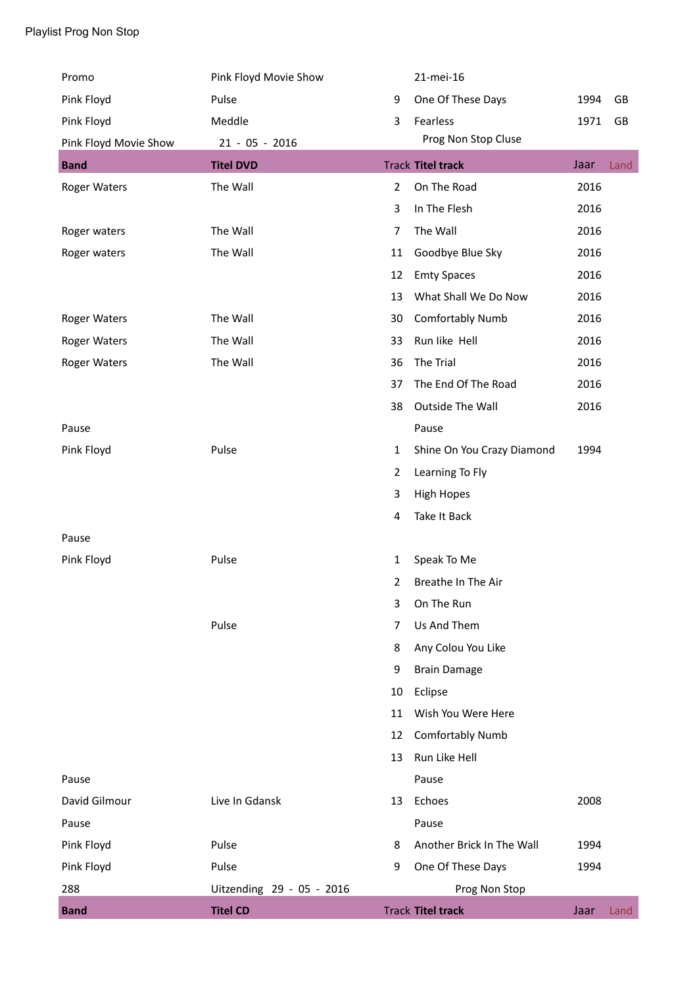| Promo                 | Pink Floyd Movie Show     |                | 21-mei-16                  |      |      |
|-----------------------|---------------------------|----------------|----------------------------|------|------|
| Pink Floyd            | Pulse                     | 9              | One Of These Days          | 1994 | GB   |
| Pink Floyd            | Meddle                    | 3              | Fearless                   | 1971 | GB   |
| Pink Floyd Movie Show | $21 - 05 - 2016$          |                | Prog Non Stop Cluse        |      |      |
| <b>Band</b>           | <b>Titel DVD</b>          |                | <b>Track Titel track</b>   | Jaar | Land |
| <b>Roger Waters</b>   | The Wall                  | $\overline{2}$ | On The Road                | 2016 |      |
|                       |                           | 3              | In The Flesh               | 2016 |      |
| Roger waters          | The Wall                  | 7              | The Wall                   | 2016 |      |
| Roger waters          | The Wall                  | 11             | Goodbye Blue Sky           | 2016 |      |
|                       |                           | 12             | <b>Emty Spaces</b>         | 2016 |      |
|                       |                           | 13             | What Shall We Do Now       | 2016 |      |
| <b>Roger Waters</b>   | The Wall                  | 30             | Comfortably Numb           | 2016 |      |
| <b>Roger Waters</b>   | The Wall                  | 33             | Run like Hell              | 2016 |      |
| <b>Roger Waters</b>   | The Wall                  | 36             | The Trial                  | 2016 |      |
|                       |                           | 37             | The End Of The Road        | 2016 |      |
|                       |                           | 38             | Outside The Wall           | 2016 |      |
| Pause                 |                           |                | Pause                      |      |      |
| Pink Floyd            | Pulse                     | 1              | Shine On You Crazy Diamond | 1994 |      |
|                       |                           | 2              | Learning To Fly            |      |      |
|                       |                           | 3              | <b>High Hopes</b>          |      |      |
|                       |                           | 4              | Take It Back               |      |      |
| Pause                 |                           |                |                            |      |      |
| Pink Floyd            | Pulse                     | $\mathbf{1}$   | Speak To Me                |      |      |
|                       |                           | 2              | Breathe In The Air         |      |      |
|                       |                           | 3              | On The Run                 |      |      |
|                       | Pulse                     | 7              | Us And Them                |      |      |
|                       |                           | 8              | Any Colou You Like         |      |      |
|                       |                           | 9              | <b>Brain Damage</b>        |      |      |
|                       |                           | 10             | Eclipse                    |      |      |
|                       |                           | 11             | Wish You Were Here         |      |      |
|                       |                           | 12             | Comfortably Numb           |      |      |
|                       |                           | 13             | Run Like Hell              |      |      |
| Pause                 |                           |                | Pause                      |      |      |
| David Gilmour         | Live In Gdansk            | 13             | Echoes                     | 2008 |      |
| Pause                 |                           |                | Pause                      |      |      |
| Pink Floyd            | Pulse                     | 8              | Another Brick In The Wall  | 1994 |      |
| Pink Floyd            | Pulse                     | 9              | One Of These Days          | 1994 |      |
| 288                   | Uitzending 29 - 05 - 2016 |                | Prog Non Stop              |      |      |
| <b>Band</b>           | <b>Titel CD</b>           |                | <b>Track Titel track</b>   | Jaar | Land |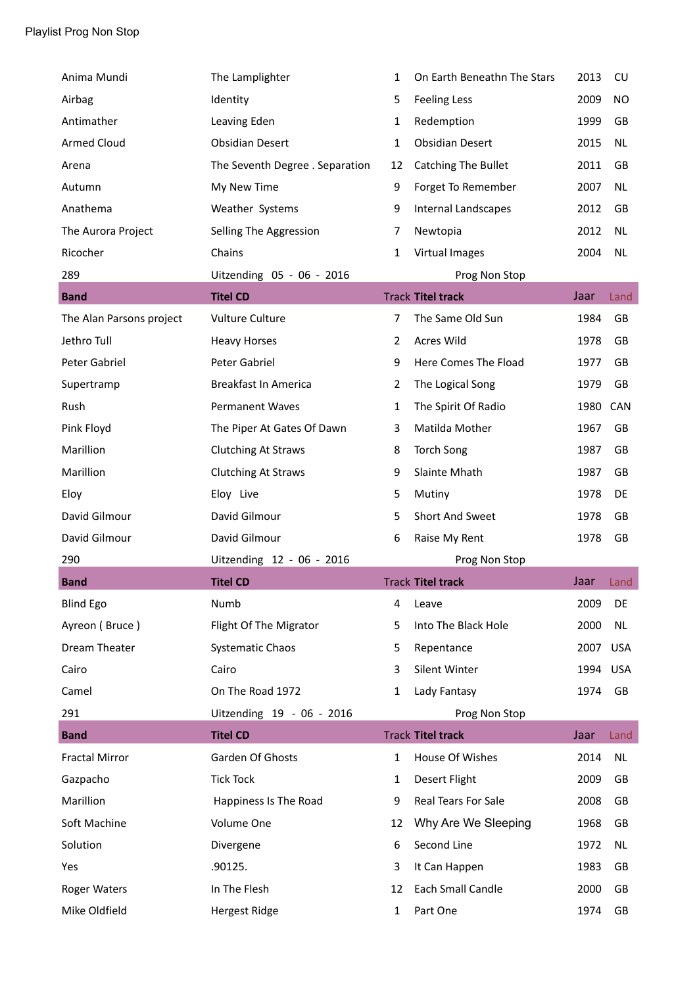| Anima Mundi              | The Lamplighter                 | 1              | On Earth Beneathn The Stars | 2013 | CU         |
|--------------------------|---------------------------------|----------------|-----------------------------|------|------------|
| Airbag                   | Identity                        | 5              | <b>Feeling Less</b>         | 2009 | <b>NO</b>  |
| Antimather               | Leaving Eden                    | $\mathbf{1}$   | Redemption                  | 1999 | GB         |
| <b>Armed Cloud</b>       | <b>Obsidian Desert</b>          | $\mathbf{1}$   | <b>Obsidian Desert</b>      | 2015 | NL         |
| Arena                    | The Seventh Degree . Separation | 12             | Catching The Bullet         | 2011 | GB         |
| Autumn                   | My New Time                     | 9              | Forget To Remember          | 2007 | <b>NL</b>  |
| Anathema                 | Weather Systems                 | 9              | <b>Internal Landscapes</b>  | 2012 | GB         |
| The Aurora Project       | Selling The Aggression          | 7              | Newtopia                    | 2012 | <b>NL</b>  |
| Ricocher                 | Chains                          | 1              | Virtual Images              | 2004 | <b>NL</b>  |
| 289                      | Uitzending 05 - 06 - 2016       |                | Prog Non Stop               |      |            |
| <b>Band</b>              | <b>Titel CD</b>                 |                | <b>Track Titel track</b>    | Jaar | Land       |
| The Alan Parsons project | <b>Vulture Culture</b>          | 7              | The Same Old Sun            | 1984 | GB         |
| Jethro Tull              | <b>Heavy Horses</b>             | 2              | <b>Acres Wild</b>           | 1978 | GB         |
| Peter Gabriel            | Peter Gabriel                   | 9              | Here Comes The Fload        | 1977 | GB         |
| Supertramp               | Breakfast In America            | $\overline{2}$ | The Logical Song            | 1979 | GB         |
| Rush                     | <b>Permanent Waves</b>          | $\mathbf{1}$   | The Spirit Of Radio         | 1980 | CAN        |
| Pink Floyd               | The Piper At Gates Of Dawn      | 3              | Matilda Mother              | 1967 | GB         |
| Marillion                | <b>Clutching At Straws</b>      | 8              | <b>Torch Song</b>           | 1987 | GB         |
| Marillion                | <b>Clutching At Straws</b>      | 9              | Slainte Mhath               | 1987 | GB         |
| Eloy                     | Eloy Live                       | 5              | Mutiny                      | 1978 | DE         |
| David Gilmour            | David Gilmour                   | 5              | Short And Sweet             | 1978 | GB         |
| David Gilmour            | David Gilmour                   | 6              | Raise My Rent               | 1978 | GB         |
| 290                      | Uitzending 12 - 06 - 2016       |                | Prog Non Stop               |      |            |
| <b>Band</b>              | <b>Titel CD</b>                 |                | <b>Track Titel track</b>    | Jaar | Land       |
| <b>Blind Ego</b>         | Numb                            | 4              | Leave                       | 2009 | DE         |
| Ayreon (Bruce)           | Flight Of The Migrator          | 5              | Into The Black Hole         | 2000 | <b>NL</b>  |
| Dream Theater            | <b>Systematic Chaos</b>         | 5              | Repentance                  | 2007 | <b>USA</b> |
| Cairo                    | Cairo                           | 3              | Silent Winter               | 1994 | <b>USA</b> |
| Camel                    | On The Road 1972                | 1              | Lady Fantasy                | 1974 | GB         |
| 291                      | Uitzending 19 - 06 - 2016       |                | Prog Non Stop               |      |            |
| <b>Band</b>              | <b>Titel CD</b>                 |                | <b>Track Titel track</b>    | Jaar | Land       |
| <b>Fractal Mirror</b>    | Garden Of Ghosts                | 1              | House Of Wishes             | 2014 | <b>NL</b>  |
| Gazpacho                 | <b>Tick Tock</b>                | $\mathbf{1}$   | Desert Flight               | 2009 | GB         |
| Marillion                | Happiness Is The Road           | 9              | Real Tears For Sale         | 2008 | GB         |
| Soft Machine             | Volume One                      | 12             | Why Are We Sleeping         | 1968 | GB         |
| Solution                 | Divergene                       | 6              | Second Line                 | 1972 | <b>NL</b>  |
| Yes                      | .90125.                         | 3              | It Can Happen               | 1983 | GB         |
| <b>Roger Waters</b>      | In The Flesh                    | 12             | Each Small Candle           | 2000 | GB         |
|                          |                                 |                |                             |      |            |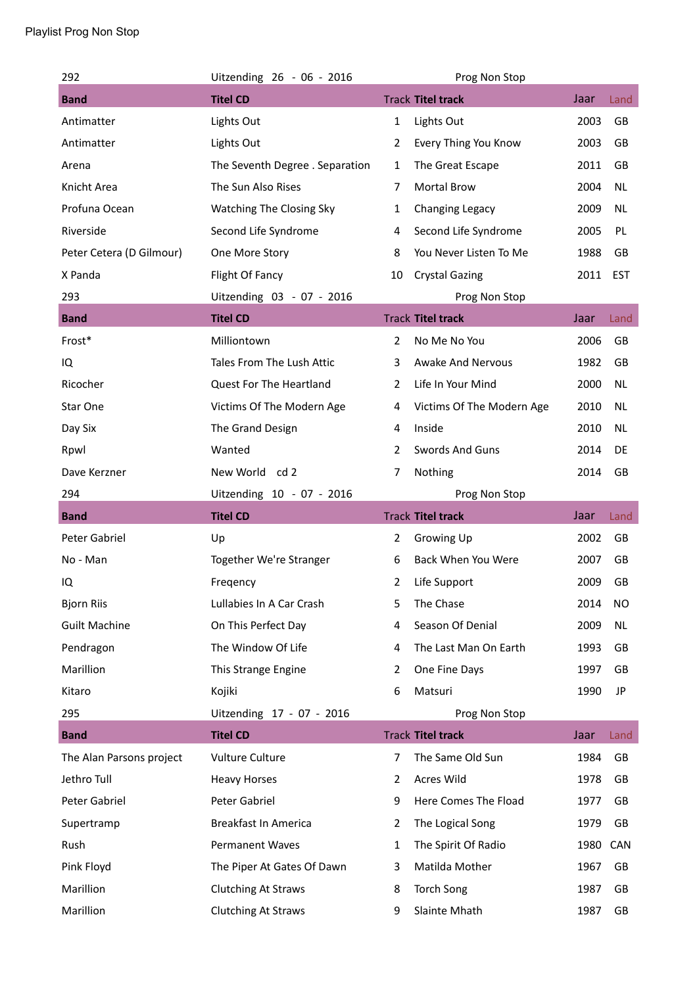## Playlist Prog Non Stop

| 292                      | Uitzending 26 - 06 - 2016       |                | Prog Non Stop             |          |            |
|--------------------------|---------------------------------|----------------|---------------------------|----------|------------|
| <b>Band</b>              | <b>Titel CD</b>                 |                | <b>Track Titel track</b>  | Jaar     | Land       |
| Antimatter               | Lights Out                      | $\mathbf{1}$   | Lights Out                | 2003     | GB         |
| Antimatter               | Lights Out                      | 2              | Every Thing You Know      | 2003     | GB         |
| Arena                    | The Seventh Degree . Separation | 1              | The Great Escape          | 2011     | <b>GB</b>  |
| Knicht Area              | The Sun Also Rises              | 7              | Mortal Brow               | 2004     | <b>NL</b>  |
| Profuna Ocean            | Watching The Closing Sky        | 1              | Changing Legacy           | 2009     | NL         |
| Riverside                | Second Life Syndrome            | 4              | Second Life Syndrome      | 2005     | PL         |
| Peter Cetera (D Gilmour) | One More Story                  | 8              | You Never Listen To Me    | 1988     | GB         |
| X Panda                  | Flight Of Fancy                 | 10             | <b>Crystal Gazing</b>     | 2011 EST |            |
| 293                      | Uitzending 03 - 07 - 2016       |                | Prog Non Stop             |          |            |
| <b>Band</b>              | <b>Titel CD</b>                 |                | <b>Track Titel track</b>  | Jaar     | Land       |
| Frost*                   | Milliontown                     | 2              | No Me No You              | 2006     | <b>GB</b>  |
| IQ                       | Tales From The Lush Attic       | 3              | <b>Awake And Nervous</b>  | 1982     | GB         |
| Ricocher                 | Quest For The Heartland         | 2              | Life In Your Mind         | 2000     | NL         |
| Star One                 | Victims Of The Modern Age       | 4              | Victims Of The Modern Age | 2010     | NL         |
| Day Six                  | The Grand Design                | 4              | Inside                    | 2010     | NL.        |
| Rpwl                     | Wanted                          | 2              | <b>Swords And Guns</b>    | 2014     | DE         |
| Dave Kerzner             | New World cd 2                  | 7              | Nothing                   | 2014     | GB         |
| 294                      | Uitzending 10 - 07 - 2016       |                | Prog Non Stop             |          |            |
|                          |                                 |                |                           |          |            |
| <b>Band</b>              | <b>Titel CD</b>                 |                | <b>Track Titel track</b>  | Jaar     | Land       |
| Peter Gabriel            | Up                              | $\mathbf{2}$   | Growing Up                | 2002     | GB         |
| No - Man                 | Together We're Stranger         | 6              | Back When You Were        | 2007     | GB         |
| IQ                       | Freqency                        | 2              | Life Support              | 2009     | GB         |
| <b>Bjorn Riis</b>        | Lullabies In A Car Crash        | 5              | The Chase                 | 2014     | <b>NO</b>  |
| <b>Guilt Machine</b>     | On This Perfect Day             | 4              | Season Of Denial          | 2009     | <b>NL</b>  |
| Pendragon                | The Window Of Life              | 4              | The Last Man On Earth     | 1993     | GB         |
| Marillion                | This Strange Engine             | $\overline{2}$ | One Fine Days             | 1997     | GB         |
| Kitaro                   | Kojiki                          | 6              | Matsuri                   | 1990     | JP         |
| 295                      | Uitzending 17 - 07 - 2016       |                | Prog Non Stop             |          |            |
| <b>Band</b>              | <b>Titel CD</b>                 |                | <b>Track Titel track</b>  | Jaar     | Land       |
| The Alan Parsons project | Vulture Culture                 | $\overline{7}$ | The Same Old Sun          | 1984     | GB         |
| Jethro Tull              | <b>Heavy Horses</b>             | 2              | Acres Wild                | 1978     | GB         |
| Peter Gabriel            | Peter Gabriel                   | 9              | Here Comes The Fload      | 1977     | GB         |
| Supertramp               | Breakfast In America            | 2              | The Logical Song          | 1979     | GB         |
| Rush                     | Permanent Waves                 | 1              | The Spirit Of Radio       | 1980     | <b>CAN</b> |
| Pink Floyd               | The Piper At Gates Of Dawn      | 3              | Matilda Mother            | 1967     | GB         |
| Marillion                | <b>Clutching At Straws</b>      | 8              | <b>Torch Song</b>         | 1987     | GB         |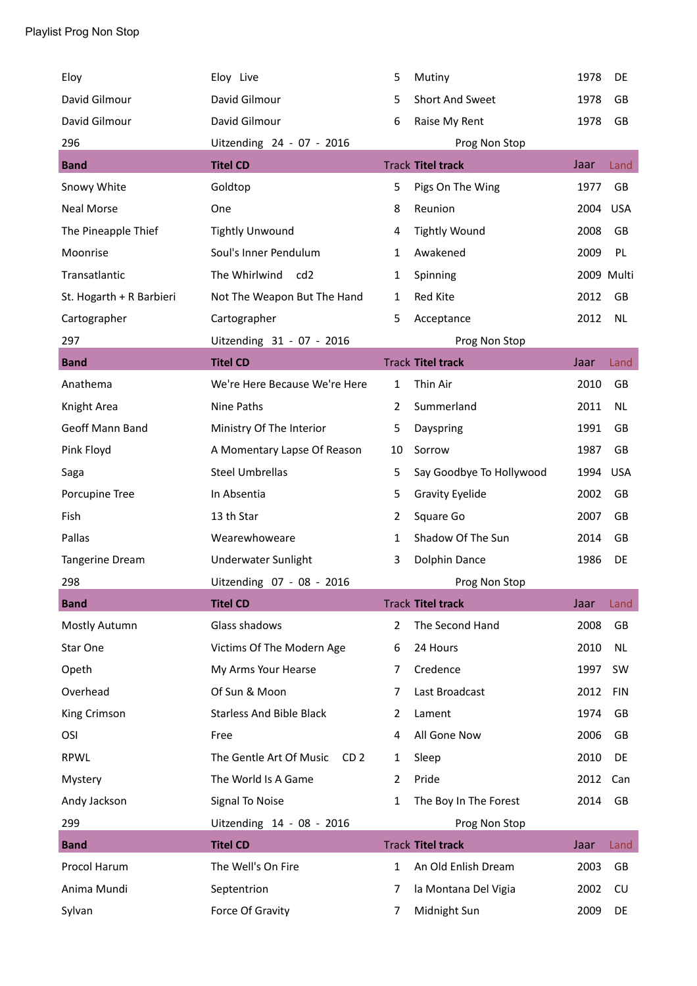| Eloy                     | Eloy Live                                  | 5              | Mutiny                   | 1978 | DE         |
|--------------------------|--------------------------------------------|----------------|--------------------------|------|------------|
| David Gilmour            | David Gilmour                              | 5              | Short And Sweet          | 1978 | GB         |
| David Gilmour            | David Gilmour                              | 6              | Raise My Rent            | 1978 | GB         |
| 296                      | Uitzending 24 - 07 - 2016                  |                | Prog Non Stop            |      |            |
| <b>Band</b>              | <b>Titel CD</b>                            |                | <b>Track Titel track</b> | Jaar | Land       |
| Snowy White              | Goldtop                                    | 5              | Pigs On The Wing         | 1977 | <b>GB</b>  |
| <b>Neal Morse</b>        | One                                        | 8              | Reunion                  | 2004 | <b>USA</b> |
| The Pineapple Thief      | <b>Tightly Unwound</b>                     | 4              | <b>Tightly Wound</b>     | 2008 | <b>GB</b>  |
| Moonrise                 | Soul's Inner Pendulum                      | 1              | Awakened                 | 2009 | PL         |
| Transatlantic            | The Whirlwind<br>cd <sub>2</sub>           | $\mathbf{1}$   | Spinning                 |      | 2009 Multi |
| St. Hogarth + R Barbieri | Not The Weapon But The Hand                | 1              | Red Kite                 | 2012 | GB         |
| Cartographer             | Cartographer                               | 5              | Acceptance               | 2012 | <b>NL</b>  |
| 297                      | Uitzending 31 - 07 - 2016                  |                | Prog Non Stop            |      |            |
| <b>Band</b>              | <b>Titel CD</b>                            |                | <b>Track Titel track</b> | Jaar | Land       |
| Anathema                 | We're Here Because We're Here              | 1              | Thin Air                 | 2010 | GB         |
| Knight Area              | Nine Paths                                 | $\overline{2}$ | Summerland               | 2011 | <b>NL</b>  |
| Geoff Mann Band          | Ministry Of The Interior                   | 5              | Dayspring                | 1991 | GB         |
| Pink Floyd               | A Momentary Lapse Of Reason                | 10             | Sorrow                   | 1987 | GB         |
| Saga                     | <b>Steel Umbrellas</b>                     | 5              | Say Goodbye To Hollywood | 1994 | <b>USA</b> |
| Porcupine Tree           | In Absentia                                | 5              | <b>Gravity Eyelide</b>   | 2002 | GB         |
| Fish                     | 13 th Star                                 | $\overline{2}$ | Square Go                | 2007 | GB         |
| Pallas                   | Wearewhoweare                              | $\mathbf{1}$   | Shadow Of The Sun        | 2014 | GB         |
| <b>Tangerine Dream</b>   | Underwater Sunlight                        | 3              | Dolphin Dance            | 1986 | DE         |
| 298                      | Uitzending 07 - 08 - 2016                  |                | Prog Non Stop            |      |            |
| <b>Band</b>              | <b>Titel CD</b>                            |                | <b>Track Titel track</b> | Jaar | Land       |
| Mostly Autumn            | Glass shadows                              | $\overline{2}$ | The Second Hand          | 2008 | GB         |
| Star One                 | Victims Of The Modern Age                  | 6              | 24 Hours                 | 2010 | NL         |
| Opeth                    | My Arms Your Hearse                        | 7              | Credence                 | 1997 | <b>SW</b>  |
| Overhead                 | Of Sun & Moon                              | 7              | Last Broadcast           | 2012 | <b>FIN</b> |
| King Crimson             | <b>Starless And Bible Black</b>            | 2              | Lament                   | 1974 | GB         |
| OSI                      | Free                                       | 4              | All Gone Now             | 2006 | GB         |
| <b>RPWL</b>              | The Gentle Art Of Music<br>CD <sub>2</sub> | 1              | Sleep                    | 2010 | DE         |
| Mystery                  | The World Is A Game                        | 2              | Pride                    | 2012 | Can        |
| Andy Jackson             | Signal To Noise                            | $\mathbf{1}$   | The Boy In The Forest    | 2014 | GB         |
| 299                      | Uitzending 14 - 08 - 2016                  |                | Prog Non Stop            |      |            |
| <b>Band</b>              | <b>Titel CD</b>                            |                | <b>Track Titel track</b> | Jaar | Land       |
| Procol Harum             | The Well's On Fire                         | $\mathbf{1}$   | An Old Enlish Dream      | 2003 | GB         |
| Anima Mundi              | Septentrion                                | 7              | la Montana Del Vigia     | 2002 | CU         |
| Sylvan                   | Force Of Gravity                           | 7              | Midnight Sun             | 2009 | DE         |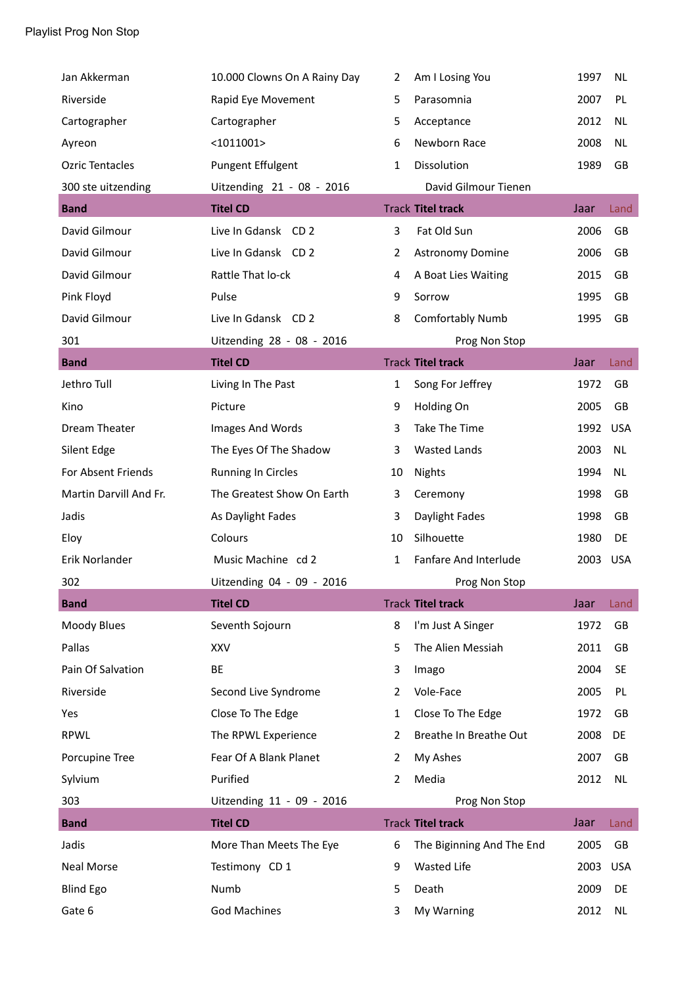| Jan Akkerman           | 10.000 Clowns On A Rainy Day | 2              | Am I Losing You           | 1997     | <b>NL</b>  |
|------------------------|------------------------------|----------------|---------------------------|----------|------------|
| Riverside              | Rapid Eye Movement           | 5              | Parasomnia                | 2007     | PL         |
| Cartographer           | Cartographer                 | 5              | Acceptance                | 2012     | <b>NL</b>  |
| Ayreon                 | $<$ 1011001>                 | 6              | Newborn Race              | 2008     | <b>NL</b>  |
| <b>Ozric Tentacles</b> | Pungent Effulgent            | 1              | Dissolution               | 1989     | GB         |
| 300 ste uitzending     | Uitzending 21 - 08 - 2016    |                | David Gilmour Tienen      |          |            |
| <b>Band</b>            | <b>Titel CD</b>              |                | <b>Track Titel track</b>  | Jaar     | Land       |
| David Gilmour          | Live In Gdansk CD 2          | 3              | Fat Old Sun               | 2006     | GB         |
| David Gilmour          | Live In Gdansk CD 2          | $\overline{2}$ | Astronomy Domine          | 2006     | GB         |
| David Gilmour          | Rattle That lo-ck            | 4              | A Boat Lies Waiting       | 2015     | GB         |
| Pink Floyd             | Pulse                        | 9              | Sorrow                    | 1995     | GB         |
| David Gilmour          | Live In Gdansk CD 2          | 8              | <b>Comfortably Numb</b>   | 1995     | GB         |
| 301                    | Uitzending 28 - 08 - 2016    |                | Prog Non Stop             |          |            |
| <b>Band</b>            | <b>Titel CD</b>              |                | <b>Track Titel track</b>  | Jaar     | Land       |
| Jethro Tull            | Living In The Past           | $\mathbf{1}$   | Song For Jeffrey          | 1972     | GB         |
| Kino                   | Picture                      | 9              | Holding On                | 2005     | GB         |
| Dream Theater          | Images And Words             | 3              | Take The Time             | 1992 USA |            |
| Silent Edge            | The Eyes Of The Shadow       | 3              | <b>Wasted Lands</b>       | 2003     | <b>NL</b>  |
| For Absent Friends     | <b>Running In Circles</b>    | 10             | <b>Nights</b>             | 1994     | <b>NL</b>  |
| Martin Darvill And Fr. | The Greatest Show On Earth   | 3              | Ceremony                  | 1998     | GB         |
| Jadis                  | As Daylight Fades            | 3              | Daylight Fades            | 1998     | GB         |
| Eloy                   | Colours                      | 10             | Silhouette                | 1980     | DE         |
| Erik Norlander         | Music Machine cd 2           | 1              | Fanfare And Interlude     | 2003 USA |            |
| 302                    | Uitzending 04 - 09 - 2016    |                | Prog Non Stop             |          |            |
| <b>Band</b>            | <b>Titel CD</b>              |                | <b>Track Titel track</b>  | Jaar     | Land       |
| Moody Blues            | Seventh Sojourn              | 8              | I'm Just A Singer         | 1972     | GB         |
| Pallas                 | <b>XXV</b>                   | 5              | The Alien Messiah         | 2011     | GB         |
| Pain Of Salvation      | BE                           | 3              | Imago                     | 2004     | <b>SE</b>  |
| Riverside              | Second Live Syndrome         | 2              | Vole-Face                 | 2005     | PL         |
| Yes                    | Close To The Edge            | 1              | Close To The Edge         | 1972     | GB         |
| <b>RPWL</b>            | The RPWL Experience          | 2              | Breathe In Breathe Out    | 2008     | DE         |
| Porcupine Tree         | Fear Of A Blank Planet       | 2              | My Ashes                  | 2007     | GB         |
| Sylvium                | Purified                     | 2              | Media                     | 2012     | <b>NL</b>  |
| 303                    | Uitzending 11 - 09 - 2016    |                | Prog Non Stop             |          |            |
| <b>Band</b>            | <b>Titel CD</b>              |                | <b>Track Titel track</b>  | Jaar     | Land       |
| Jadis                  | More Than Meets The Eye      | 6              | The Biginning And The End | 2005     | GB         |
| <b>Neal Morse</b>      | Testimony CD 1               | 9              | Wasted Life               | 2003     | <b>USA</b> |
| <b>Blind Ego</b>       | Numb                         | 5              | Death                     | 2009     | DE         |
| Gate 6                 | <b>God Machines</b>          | 3              | My Warning                | 2012     | <b>NL</b>  |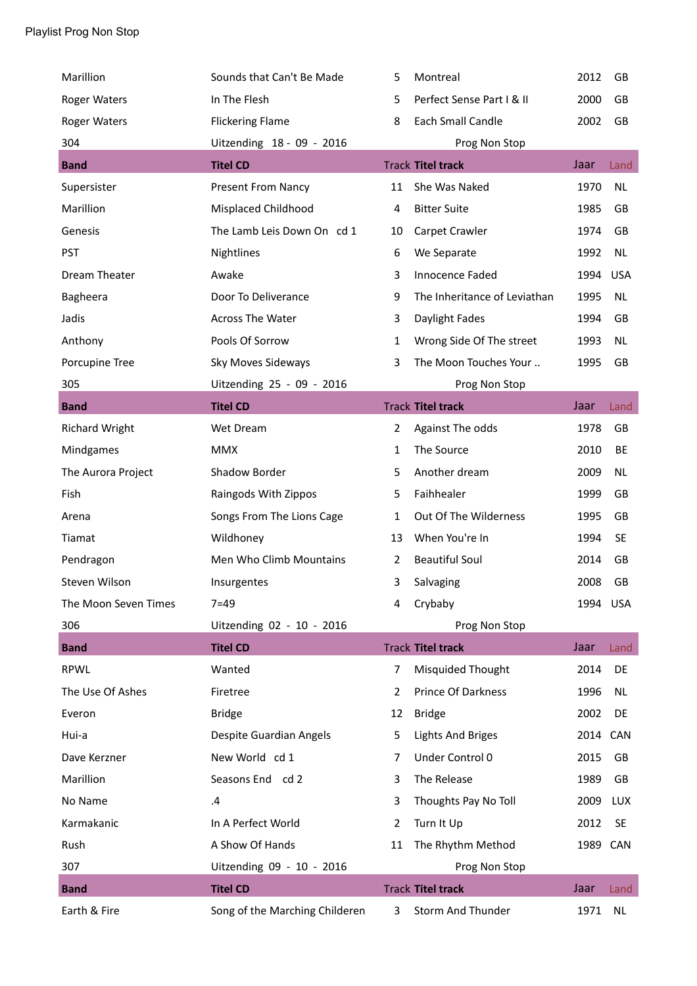| Marillion             | Sounds that Can't Be Made      | 5              | Montreal                     | 2012     | <b>GB</b>  |
|-----------------------|--------------------------------|----------------|------------------------------|----------|------------|
| <b>Roger Waters</b>   | In The Flesh                   | 5              | Perfect Sense Part I & II    | 2000     | GB         |
| <b>Roger Waters</b>   | <b>Flickering Flame</b>        | 8              | Each Small Candle            | 2002     | GB         |
| 304                   | Uitzending 18 - 09 - 2016      |                | Prog Non Stop                |          |            |
| <b>Band</b>           | <b>Titel CD</b>                |                | <b>Track Titel track</b>     | Jaar     | Land       |
| Supersister           | <b>Present From Nancy</b>      | 11             | She Was Naked                | 1970     | NL         |
| Marillion             | Misplaced Childhood            | 4              | <b>Bitter Suite</b>          | 1985     | GB         |
| Genesis               | The Lamb Leis Down On cd 1     | 10             | Carpet Crawler               | 1974     | <b>GB</b>  |
| <b>PST</b>            | Nightlines                     | 6              | We Separate                  | 1992     | NL         |
| Dream Theater         | Awake                          | 3              | Innocence Faded              | 1994     | <b>USA</b> |
| Bagheera              | Door To Deliverance            | 9              | The Inheritance of Leviathan | 1995     | NL         |
| Jadis                 | <b>Across The Water</b>        | 3              | Daylight Fades               | 1994     | GB         |
| Anthony               | Pools Of Sorrow                | $\mathbf{1}$   | Wrong Side Of The street     | 1993     | NL         |
| Porcupine Tree        | Sky Moves Sideways             | 3              | The Moon Touches Your        | 1995     | GB         |
| 305                   | Uitzending 25 - 09 - 2016      |                | Prog Non Stop                |          |            |
| <b>Band</b>           | <b>Titel CD</b>                |                | <b>Track Titel track</b>     | Jaar     | Land       |
| <b>Richard Wright</b> | Wet Dream                      | $\overline{2}$ | Against The odds             | 1978     | GB         |
| Mindgames             | <b>MMX</b>                     | $\mathbf{1}$   | The Source                   | 2010     | BE         |
| The Aurora Project    | Shadow Border                  | 5              | Another dream                | 2009     | <b>NL</b>  |
| Fish                  | Raingods With Zippos           | 5              | Faihhealer                   | 1999     | GB         |
| Arena                 | Songs From The Lions Cage      | 1              | Out Of The Wilderness        | 1995     | GB         |
| Tiamat                | Wildhoney                      | 13             | When You're In               | 1994     | <b>SE</b>  |
| Pendragon             | Men Who Climb Mountains        | $\overline{2}$ | <b>Beautiful Soul</b>        | 2014     | GB         |
| Steven Wilson         | Insurgentes                    | 3              | Salvaging                    | 2008     | GB         |
| The Moon Seven Times  | $7 = 49$                       | 4              | Crybaby                      | 1994 USA |            |
| 306                   | Uitzending 02 - 10 - 2016      |                | Prog Non Stop                |          |            |
| <b>Band</b>           | <b>Titel CD</b>                |                | <b>Track Titel track</b>     | Jaar     | Land       |
| <b>RPWL</b>           | Wanted                         | 7              | Misquided Thought            | 2014     | DE         |
| The Use Of Ashes      | Firetree                       | 2              | Prince Of Darkness           | 1996     | <b>NL</b>  |
| Everon                | <b>Bridge</b>                  | 12             | <b>Bridge</b>                | 2002     | DE         |
| Hui-a                 | Despite Guardian Angels        | 5              | <b>Lights And Briges</b>     | 2014     | CAN        |
| Dave Kerzner          | New World cd 1                 | 7              | Under Control 0              | 2015     | GB         |
| Marillion             | Seasons End cd 2               | 3              | The Release                  | 1989     | GB         |
| No Name               | .4                             | 3              | Thoughts Pay No Toll         | 2009     | <b>LUX</b> |
| Karmakanic            | In A Perfect World             | 2              | Turn It Up                   | 2012     | <b>SE</b>  |
| Rush                  | A Show Of Hands                | 11             | The Rhythm Method            | 1989 CAN |            |
| 307                   | Uitzending 09 - 10 - 2016      |                | Prog Non Stop                |          |            |
| <b>Band</b>           | <b>Titel CD</b>                |                | <b>Track Titel track</b>     | Jaar     | Land       |
| Earth & Fire          | Song of the Marching Childeren | 3              | Storm And Thunder            | 1971     | <b>NL</b>  |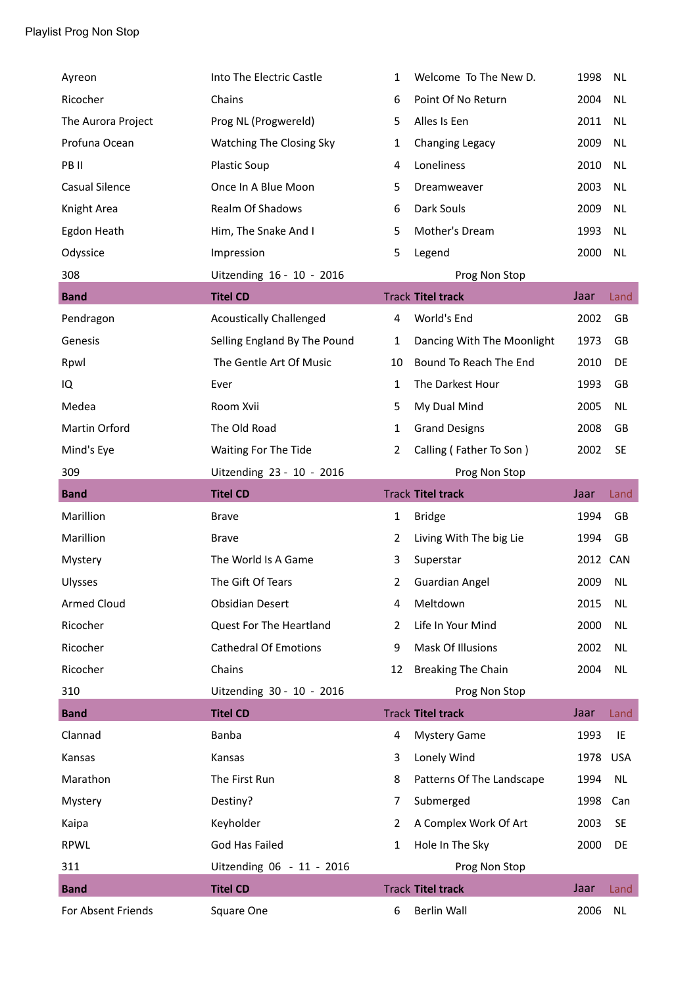| Ayreon             | Into The Electric Castle       | 1              | Welcome To The New D.      | 1998     | <b>NL</b> |
|--------------------|--------------------------------|----------------|----------------------------|----------|-----------|
| Ricocher           | Chains                         | 6              | Point Of No Return         | 2004     | <b>NL</b> |
| The Aurora Project | Prog NL (Progwereld)           | 5              | Alles Is Een               | 2011     | <b>NL</b> |
| Profuna Ocean      | Watching The Closing Sky       | 1              | Changing Legacy            | 2009     | <b>NL</b> |
| PB II              | Plastic Soup                   | 4              | Loneliness                 | 2010     | <b>NL</b> |
| Casual Silence     | Once In A Blue Moon            | 5              | Dreamweaver                | 2003     | <b>NL</b> |
| Knight Area        | <b>Realm Of Shadows</b>        | 6              | Dark Souls                 | 2009     | <b>NL</b> |
| Egdon Heath        | Him, The Snake And I           | 5              | Mother's Dream             | 1993     | <b>NL</b> |
| Odyssice           | Impression                     | 5              | Legend                     | 2000     | <b>NL</b> |
| 308                | Uitzending 16 - 10 - 2016      |                | Prog Non Stop              |          |           |
| <b>Band</b>        | <b>Titel CD</b>                |                | <b>Track Titel track</b>   | Jaar     | Land      |
| Pendragon          | <b>Acoustically Challenged</b> | 4              | World's End                | 2002     | GB        |
| Genesis            | Selling England By The Pound   | $\mathbf{1}$   | Dancing With The Moonlight | 1973     | GB        |
| Rpwl               | The Gentle Art Of Music        | 10             | Bound To Reach The End     | 2010     | DE        |
| IQ                 | Ever                           | 1              | The Darkest Hour           | 1993     | GB        |
| Medea              | Room Xvii                      | 5              | My Dual Mind               | 2005     | <b>NL</b> |
| Martin Orford      | The Old Road                   | $\mathbf{1}$   | <b>Grand Designs</b>       | 2008     | GB        |
| Mind's Eye         | Waiting For The Tide           | $\overline{2}$ | Calling (Father To Son)    | 2002     | <b>SE</b> |
| 309                | Uitzending 23 - 10 - 2016      |                | Prog Non Stop              |          |           |
| <b>Band</b>        | <b>Titel CD</b>                |                | <b>Track Titel track</b>   | Jaar     | Land      |
| Marillion          | <b>Brave</b>                   | $\mathbf{1}$   | <b>Bridge</b>              | 1994     | GB        |
| Marillion          | <b>Brave</b>                   | 2              | Living With The big Lie    | 1994     | GB        |
| Mystery            | The World Is A Game            | 3              | Superstar                  | 2012 CAN |           |
| Ulysses            | The Gift Of Tears              | 2              | <b>Guardian Angel</b>      | 2009     | <b>NL</b> |
| <b>Armed Cloud</b> | <b>Obsidian Desert</b>         | 4              | Meltdown                   | 2015     | <b>NL</b> |
| Ricocher           | Quest For The Heartland        | 2              | Life In Your Mind          | 2000     | <b>NL</b> |
| Ricocher           | <b>Cathedral Of Emotions</b>   | 9              | Mask Of Illusions          | 2002     | <b>NL</b> |
| Ricocher           | Chains                         | 12             | <b>Breaking The Chain</b>  | 2004     | <b>NL</b> |
| 310                | Uitzending 30 - 10 - 2016      |                | Prog Non Stop              |          |           |
| <b>Band</b>        | <b>Titel CD</b>                |                | <b>Track Titel track</b>   | Jaar     | Land      |
| Clannad            | Banba                          | 4              | <b>Mystery Game</b>        | 1993     | IE        |
| Kansas             | Kansas                         | 3              | Lonely Wind                | 1978     | USA       |
| Marathon           | The First Run                  | 8              | Patterns Of The Landscape  | 1994     | NL        |
| Mystery            | Destiny?                       | 7              | Submerged                  | 1998     | Can       |
| Kaipa              | Keyholder                      | 2              | A Complex Work Of Art      | 2003     | SE        |
| RPWL               | God Has Failed                 | 1              | Hole In The Sky            | 2000     | DE        |
| 311                | Uitzending 06 - 11 - 2016      |                | Prog Non Stop              |          |           |
| <b>Band</b>        | <b>Titel CD</b>                |                | <b>Track Titel track</b>   | Jaar     | Land      |
|                    |                                | 6              | Berlin Wall                | 2006     | <b>NL</b> |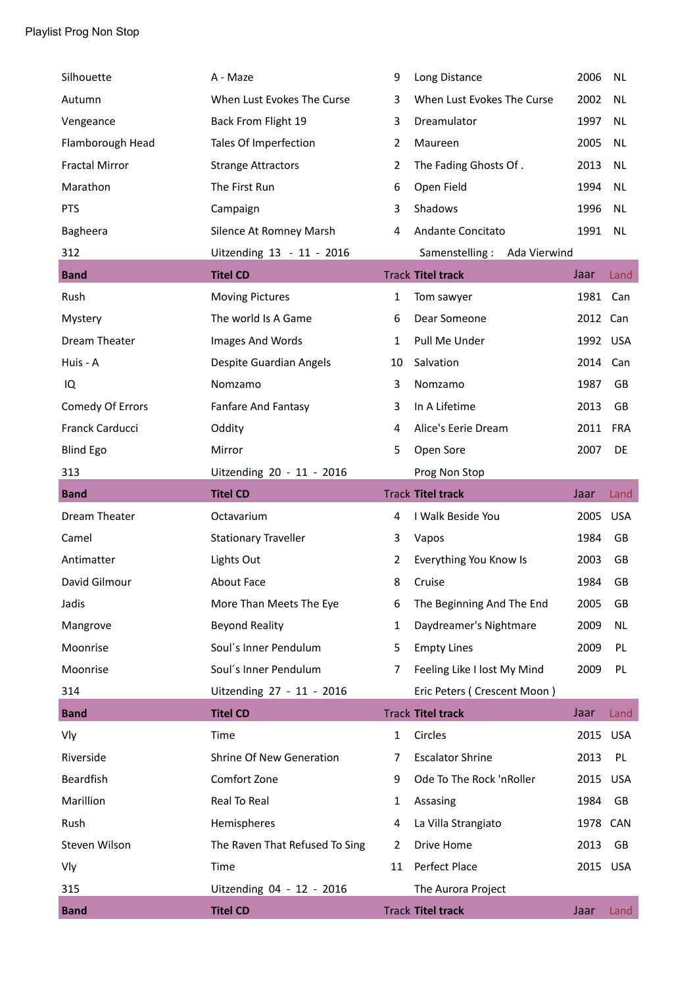| Silhouette            | A - Maze                        | 9            | Long Distance                  | 2006     | <b>NL</b>  |
|-----------------------|---------------------------------|--------------|--------------------------------|----------|------------|
| Autumn                | When Lust Evokes The Curse      | 3            | When Lust Evokes The Curse     | 2002     | <b>NL</b>  |
| Vengeance             | Back From Flight 19             | 3            | Dreamulator                    | 1997     | <b>NL</b>  |
| Flamborough Head      | Tales Of Imperfection           | 2            | Maureen                        | 2005     | <b>NL</b>  |
| <b>Fractal Mirror</b> | <b>Strange Attractors</b>       | 2            | The Fading Ghosts Of.          | 2013     | <b>NL</b>  |
| Marathon              | The First Run                   | 6            | Open Field                     | 1994     | <b>NL</b>  |
| PTS                   | Campaign                        | 3            | Shadows                        | 1996     | <b>NL</b>  |
| Bagheera              | Silence At Romney Marsh         | 4            | Andante Concitato              | 1991     | <b>NL</b>  |
| 312                   | Uitzending 13 - 11 - 2016       |              | Samenstelling:<br>Ada Vierwind |          |            |
| <b>Band</b>           | <b>Titel CD</b>                 |              | <b>Track Titel track</b>       | Jaar     | Land       |
| Rush                  | <b>Moving Pictures</b>          | $\mathbf{1}$ | Tom sawyer                     | 1981     | Can        |
| Mystery               | The world Is A Game             | 6            | Dear Someone                   | 2012 Can |            |
| Dream Theater         | Images And Words                | $\mathbf{1}$ | Pull Me Under                  | 1992 USA |            |
| Huis - A              | Despite Guardian Angels         | 10           | Salvation                      | 2014     | Can        |
| IQ                    | Nomzamo                         | 3            | Nomzamo                        | 1987     | GB         |
| Comedy Of Errors      | Fanfare And Fantasy             | 3            | In A Lifetime                  | 2013     | GB         |
| Franck Carducci       | Oddity                          | 4            | Alice's Eerie Dream            | 2011     | <b>FRA</b> |
| <b>Blind Ego</b>      | Mirror                          | 5            | Open Sore                      | 2007     | DE         |
| 313                   | Uitzending 20 - 11 - 2016       |              | Prog Non Stop                  |          |            |
| <b>Band</b>           | <b>Titel CD</b>                 |              | <b>Track Titel track</b>       | Jaar     | Land       |
| Dream Theater         | Octavarium                      | 4            | I Walk Beside You              | 2005     | <b>USA</b> |
| Camel                 | <b>Stationary Traveller</b>     | 3            | Vapos                          | 1984     | GB         |
| Antimatter            | Lights Out                      | 2            | Everything You Know Is         | 2003     | GB         |
| David Gilmour         | About Face                      | 8            | Cruise                         | 1984     | GB         |
| Jadis                 | More Than Meets The Eye         | 6            | The Beginning And The End      | 2005     | GB         |
| Mangrove              | <b>Beyond Reality</b>           | 1            | Daydreamer's Nightmare         | 2009     | <b>NL</b>  |
| Moonrise              | Soul's Inner Pendulum           | 5            | <b>Empty Lines</b>             | 2009     | PL         |
| Moonrise              | Soul's Inner Pendulum           | 7            | Feeling Like I lost My Mind    | 2009     | PL         |
| 314                   | Uitzending 27 - 11 - 2016       |              | Eric Peters (Crescent Moon)    |          |            |
| <b>Band</b>           | <b>Titel CD</b>                 |              | <b>Track Titel track</b>       | Jaar     | Land       |
| Vly                   | Time                            | 1            | Circles                        | 2015 USA |            |
| Riverside             | <b>Shrine Of New Generation</b> | 7            | <b>Escalator Shrine</b>        | 2013     | PL         |
| <b>Beardfish</b>      | Comfort Zone                    | 9            | Ode To The Rock 'nRoller       | 2015 USA |            |
| Marillion             | Real To Real                    | 1            | Assasing                       | 1984     | GB         |
| Rush                  | Hemispheres                     | 4            | La Villa Strangiato            | 1978     | <b>CAN</b> |
| Steven Wilson         | The Raven That Refused To Sing  | 2            | Drive Home                     | 2013     | GB         |
| Vly                   | Time                            | 11           | Perfect Place                  | 2015 USA |            |
| 315                   | Uitzending 04 - 12 - 2016       |              | The Aurora Project             |          |            |
| <b>Band</b>           | <b>Titel CD</b>                 |              | <b>Track Titel track</b>       | Jaar     | Land       |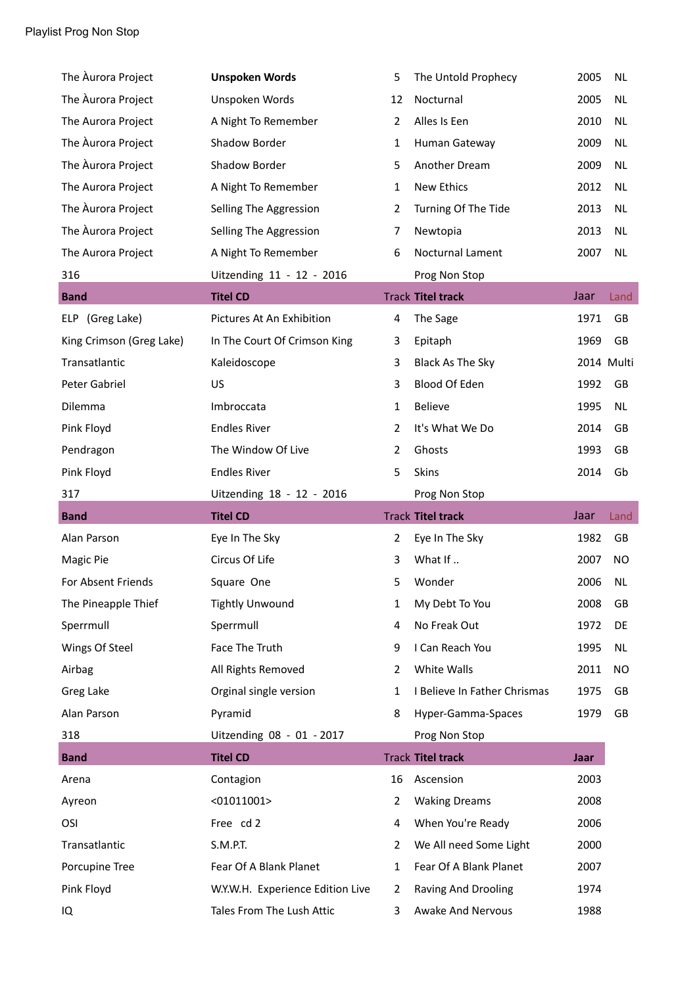| The Aurora Project       | <b>Unspoken Words</b>            | 5              | The Untold Prophecy          | 2005 | <b>NL</b>  |
|--------------------------|----------------------------------|----------------|------------------------------|------|------------|
| The Aurora Project       | Unspoken Words                   | 12             | Nocturnal                    | 2005 | <b>NL</b>  |
| The Aurora Project       | A Night To Remember              | $\overline{2}$ | Alles Is Een                 | 2010 | <b>NL</b>  |
| The Aurora Project       | Shadow Border                    | 1              | Human Gateway                | 2009 | <b>NL</b>  |
| The Aurora Project       | Shadow Border                    | 5              | Another Dream                | 2009 | NL         |
| The Aurora Project       | A Night To Remember              | 1              | New Ethics                   | 2012 | <b>NL</b>  |
| The Aurora Project       | Selling The Aggression           | 2              | Turning Of The Tide          | 2013 | <b>NL</b>  |
| The Aurora Project       | Selling The Aggression           | 7              | Newtopia                     | 2013 | <b>NL</b>  |
| The Aurora Project       | A Night To Remember              | 6              | Nocturnal Lament             | 2007 | <b>NL</b>  |
| 316                      | Uitzending 11 - 12 - 2016        |                | Prog Non Stop                |      |            |
| <b>Band</b>              | <b>Titel CD</b>                  |                | <b>Track Titel track</b>     | Jaar | Land       |
| ELP (Greg Lake)          | Pictures At An Exhibition        | 4              | The Sage                     | 1971 | GB         |
| King Crimson (Greg Lake) | In The Court Of Crimson King     | 3              | Epitaph                      | 1969 | GB         |
| Transatlantic            | Kaleidoscope                     | 3              | Black As The Sky             |      | 2014 Multi |
| Peter Gabriel            | US                               | 3              | Blood Of Eden                | 1992 | GB         |
| Dilemma                  | Imbroccata                       | 1              | Believe                      | 1995 | <b>NL</b>  |
| Pink Floyd               | <b>Endles River</b>              | 2              | It's What We Do              | 2014 | GB         |
| Pendragon                | The Window Of Live               | 2              | Ghosts                       | 1993 | GB         |
| Pink Floyd               | <b>Endles River</b>              | 5              | <b>Skins</b>                 | 2014 | Gb         |
|                          |                                  |                |                              |      |            |
| 317                      | Uitzending 18 - 12 - 2016        |                | Prog Non Stop                |      |            |
| <b>Band</b>              | <b>Titel CD</b>                  |                | <b>Track Titel track</b>     | Jaar | Land       |
| Alan Parson              | Eye In The Sky                   | $\overline{2}$ | Eye In The Sky               | 1982 | GB         |
| Magic Pie                | Circus Of Life                   | 3              | What If                      | 2007 | NO.        |
| For Absent Friends       | Square One                       | 5              | Wonder                       | 2006 | <b>NL</b>  |
| The Pineapple Thief      | <b>Tightly Unwound</b>           | 1              | My Debt To You               | 2008 | GB         |
| Sperrmull                | Sperrmull                        | 4              | No Freak Out                 | 1972 | DE         |
| Wings Of Steel           | Face The Truth                   | 9              | I Can Reach You              | 1995 | <b>NL</b>  |
| Airbag                   | All Rights Removed               | 2              | White Walls                  | 2011 | NO.        |
| Greg Lake                | Orginal single version           | 1              | I Believe In Father Chrismas | 1975 | GB         |
| Alan Parson              | Pyramid                          | 8              | Hyper-Gamma-Spaces           | 1979 | GB         |
| 318                      | Uitzending 08 - 01 - 2017        |                | Prog Non Stop                |      |            |
| <b>Band</b>              | <b>Titel CD</b>                  |                | <b>Track Titel track</b>     | Jaar |            |
| Arena                    | Contagion                        | 16             | Ascension                    | 2003 |            |
| Ayreon                   | $<$ 01011001>                    | 2              | <b>Waking Dreams</b>         | 2008 |            |
| OSI                      | Free cd 2                        | 4              | When You're Ready            | 2006 |            |
| Transatlantic            | S.M.P.T.                         | 2              | We All need Some Light       | 2000 |            |
| Porcupine Tree           | Fear Of A Blank Planet           | 1              | Fear Of A Blank Planet       | 2007 |            |
| Pink Floyd               | W.Y.W.H. Experience Edition Live | 2              | Raving And Drooling          | 1974 |            |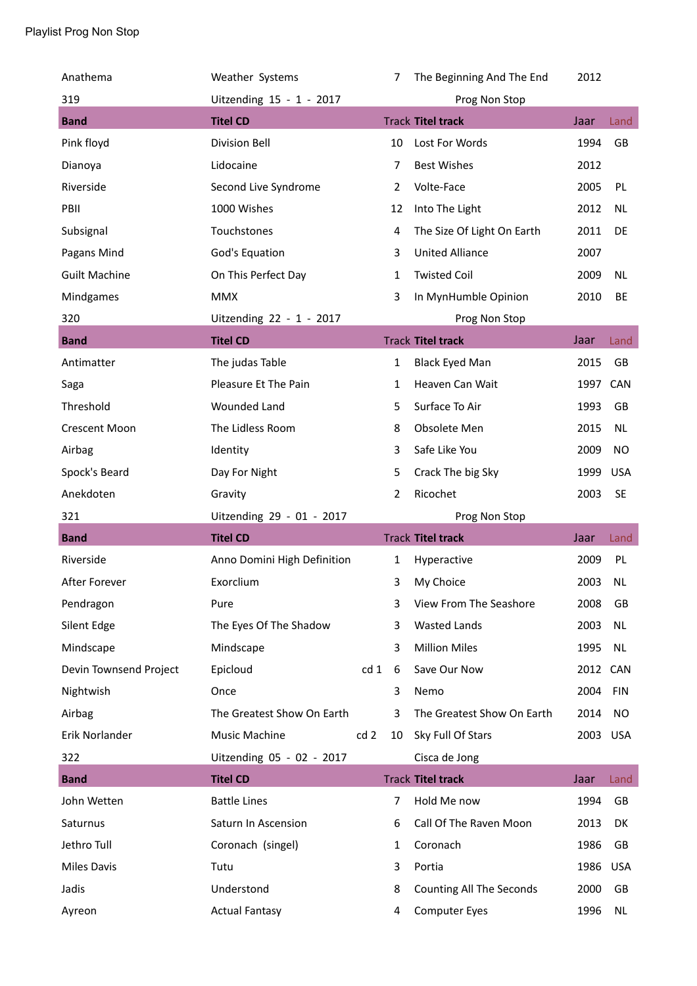| Anathema               | Weather Systems             |                 | 7              | The Beginning And The End  | 2012     |            |
|------------------------|-----------------------------|-----------------|----------------|----------------------------|----------|------------|
| 319                    | Uitzending 15 - 1 - 2017    |                 |                | Prog Non Stop              |          |            |
| <b>Band</b>            | <b>Titel CD</b>             |                 |                | <b>Track Titel track</b>   | Jaar     | Land       |
| Pink floyd             | <b>Division Bell</b>        |                 | 10             | Lost For Words             | 1994     | GB         |
| Dianoya                | Lidocaine                   |                 | 7              | <b>Best Wishes</b>         | 2012     |            |
| Riverside              | Second Live Syndrome        |                 | $\overline{2}$ | Volte-Face                 | 2005     | PL         |
| PBII                   | 1000 Wishes                 |                 | 12             | Into The Light             | 2012     | <b>NL</b>  |
| Subsignal              | Touchstones                 |                 | 4              | The Size Of Light On Earth | 2011     | DE         |
| Pagans Mind            | God's Equation              |                 | 3              | <b>United Alliance</b>     | 2007     |            |
| <b>Guilt Machine</b>   | On This Perfect Day         |                 | 1              | <b>Twisted Coil</b>        | 2009     | NL         |
| Mindgames              | <b>MMX</b>                  |                 | 3              | In MynHumble Opinion       | 2010     | BE         |
| 320                    | Uitzending 22 - 1 - 2017    |                 |                | Prog Non Stop              |          |            |
| <b>Band</b>            | <b>Titel CD</b>             |                 |                | <b>Track Titel track</b>   | Jaar     | Land       |
| Antimatter             | The judas Table             |                 | $\mathbf{1}$   | <b>Black Eyed Man</b>      | 2015     | GB         |
| Saga                   | Pleasure Et The Pain        |                 | 1              | Heaven Can Wait            | 1997 CAN |            |
| Threshold              | <b>Wounded Land</b>         |                 | 5              | Surface To Air             | 1993     | GB         |
| <b>Crescent Moon</b>   | The Lidless Room            |                 | 8              | Obsolete Men               | 2015     | NL         |
| Airbag                 | Identity                    |                 | 3              | Safe Like You              | 2009     | <b>NO</b>  |
| Spock's Beard          | Day For Night               |                 | 5              | Crack The big Sky          | 1999     | <b>USA</b> |
| Anekdoten              | Gravity                     |                 |                |                            | 2003     |            |
|                        |                             |                 | $\overline{2}$ | Ricochet                   |          | <b>SE</b>  |
| 321                    | Uitzending 29 - 01 - 2017   |                 |                | Prog Non Stop              |          |            |
| <b>Band</b>            | <b>Titel CD</b>             |                 |                | <b>Track Titel track</b>   | Jaar     | Land       |
| Riverside              | Anno Domini High Definition |                 | $\mathbf{1}$   | Hyperactive                | 2009     | PL         |
| After Forever          | Exorclium                   |                 | 3              | My Choice                  | 2003     | <b>NL</b>  |
| Pendragon              | Pure                        |                 | 3              | View From The Seashore     | 2008     | GB         |
| Silent Edge            | The Eyes Of The Shadow      |                 | 3              | <b>Wasted Lands</b>        | 2003     | <b>NL</b>  |
| Mindscape              | Mindscape                   |                 | 3              | <b>Million Miles</b>       | 1995     | <b>NL</b>  |
| Devin Townsend Project | Epicloud                    | cd <sub>1</sub> | 6              | Save Our Now               | 2012     | CAN        |
| Nightwish              | Once                        |                 | 3              | Nemo                       | 2004     | <b>FIN</b> |
| Airbag                 | The Greatest Show On Earth  |                 | 3              | The Greatest Show On Earth | 2014     | NO         |
| Erik Norlander         | Music Machine               | cd <sub>2</sub> | 10             | Sky Full Of Stars          | 2003 USA |            |
| 322                    | Uitzending 05 - 02 - 2017   |                 |                | Cisca de Jong              |          |            |
| <b>Band</b>            | <b>Titel CD</b>             |                 |                | <b>Track Titel track</b>   | Jaar     | Land       |
| John Wetten            | <b>Battle Lines</b>         |                 | $\overline{7}$ | Hold Me now                | 1994     | GB         |
| Saturnus               | Saturn In Ascension         |                 | 6              | Call Of The Raven Moon     | 2013     | DK         |
| Jethro Tull            | Coronach (singel)           |                 | 1              | Coronach                   | 1986     | GB         |
| Miles Davis            | Tutu                        |                 | 3              | Portia                     | 1986     | <b>USA</b> |
| Jadis                  | Understond                  |                 | 8              | Counting All The Seconds   | 2000     | GB         |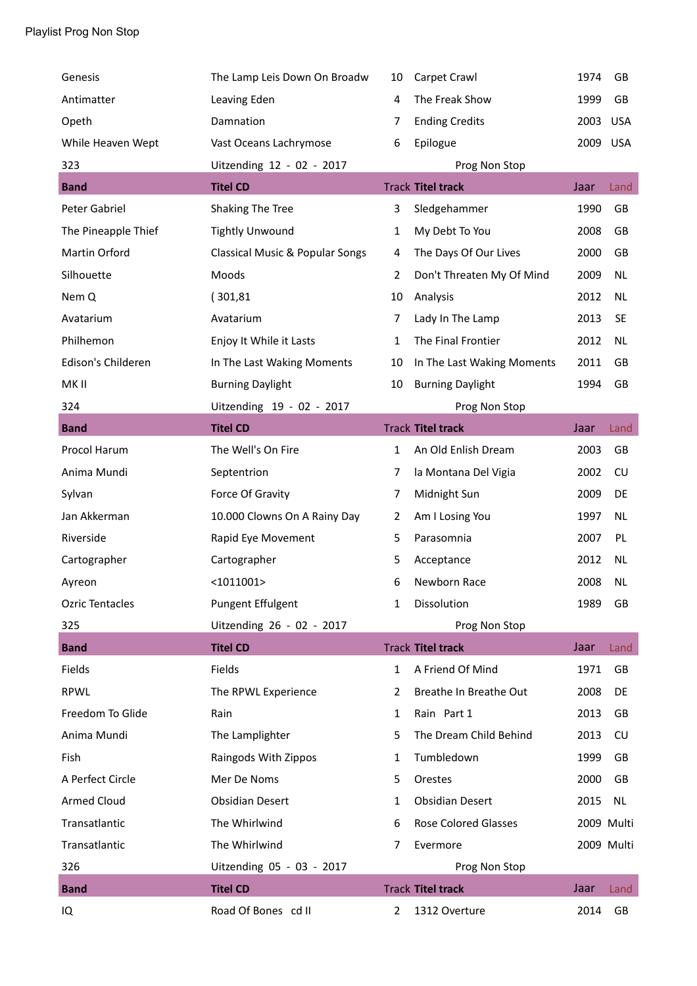| Genesis                | The Lamp Leis Down On Broadw               | 10             | Carpet Crawl               | 1974     | GB         |
|------------------------|--------------------------------------------|----------------|----------------------------|----------|------------|
| Antimatter             | Leaving Eden                               | 4              | The Freak Show             | 1999     | GB         |
| Opeth                  | Damnation                                  | 7              | <b>Ending Credits</b>      | 2003 USA |            |
| While Heaven Wept      | Vast Oceans Lachrymose                     | 6              | Epilogue                   | 2009 USA |            |
| 323                    | Uitzending 12 - 02 - 2017                  |                | Prog Non Stop              |          |            |
| <b>Band</b>            | <b>Titel CD</b>                            |                | <b>Track Titel track</b>   | Jaar     | Land       |
| Peter Gabriel          | Shaking The Tree                           | 3              | Sledgehammer               | 1990     | GB         |
| The Pineapple Thief    | <b>Tightly Unwound</b>                     | 1              | My Debt To You             | 2008     | GB         |
| Martin Orford          | <b>Classical Music &amp; Popular Songs</b> | 4              | The Days Of Our Lives      | 2000     | GB         |
| Silhouette             | Moods                                      | $\overline{2}$ | Don't Threaten My Of Mind  | 2009     | NL         |
| Nem Q                  | (301, 81)                                  | 10             | Analysis                   | 2012     | <b>NL</b>  |
| Avatarium              | Avatarium                                  | 7              | Lady In The Lamp           | 2013     | <b>SE</b>  |
| Philhemon              | Enjoy It While it Lasts                    | 1              | The Final Frontier         | 2012     | <b>NL</b>  |
| Edison's Childeren     | In The Last Waking Moments                 | 10             | In The Last Waking Moments | 2011     | <b>GB</b>  |
| MK II                  | <b>Burning Daylight</b>                    | 10             | <b>Burning Daylight</b>    | 1994     | GB         |
| 324                    | Uitzending 19 - 02 - 2017                  |                | Prog Non Stop              |          |            |
| <b>Band</b>            | <b>Titel CD</b>                            |                | <b>Track Titel track</b>   | Jaar     | Land       |
| Procol Harum           | The Well's On Fire                         | 1              | An Old Enlish Dream        | 2003     | GB         |
| Anima Mundi            | Septentrion                                | 7              | la Montana Del Vigia       | 2002     | CU         |
| Sylvan                 | Force Of Gravity                           | $\overline{7}$ | Midnight Sun               | 2009     | DE         |
| Jan Akkerman           | 10.000 Clowns On A Rainy Day               | $\overline{2}$ | Am I Losing You            | 1997     | NL         |
| Riverside              | Rapid Eye Movement                         | 5              | Parasomnia                 | 2007     | PL         |
| Cartographer           | Cartographer                               | 5              | Acceptance                 | 2012     | NL         |
| Ayreon                 | $<$ 1011001>                               | 6              | Newborn Race               | 2008     | NL         |
| <b>Ozric Tentacles</b> | <b>Pungent Effulgent</b>                   | 1              | Dissolution                | 1989     | GB         |
| 325                    | Uitzending 26 - 02 - 2017                  |                | Prog Non Stop              |          |            |
| <b>Band</b>            | <b>Titel CD</b>                            |                | <b>Track Titel track</b>   | Jaar     | Land       |
| Fields                 | Fields                                     | $\mathbf{1}$   | A Friend Of Mind           | 1971     | GB         |
| <b>RPWL</b>            | The RPWL Experience                        | 2              | Breathe In Breathe Out     | 2008     | DE         |
| Freedom To Glide       | Rain                                       | 1              | Rain Part 1                | 2013     | GB         |
| Anima Mundi            | The Lamplighter                            | 5              | The Dream Child Behind     | 2013     | CU         |
| Fish                   | Raingods With Zippos                       | 1              | Tumbledown                 | 1999     | GB         |
| A Perfect Circle       | Mer De Noms                                | 5              | Orestes                    | 2000     | GB         |
| <b>Armed Cloud</b>     | <b>Obsidian Desert</b>                     | 1              | <b>Obsidian Desert</b>     | 2015     | <b>NL</b>  |
| Transatlantic          | The Whirlwind                              | 6              | Rose Colored Glasses       |          | 2009 Multi |
| Transatlantic          | The Whirlwind                              | 7              | Evermore                   |          | 2009 Multi |
| 326                    | Uitzending 05 - 03 - 2017                  |                | Prog Non Stop              |          |            |
| <b>Band</b>            | <b>Titel CD</b>                            |                | <b>Track Titel track</b>   | Jaar     | Land       |
| IQ                     | Road Of Bones cd II                        | $\overline{2}$ | 1312 Overture              | 2014     | GB         |
|                        |                                            |                |                            |          |            |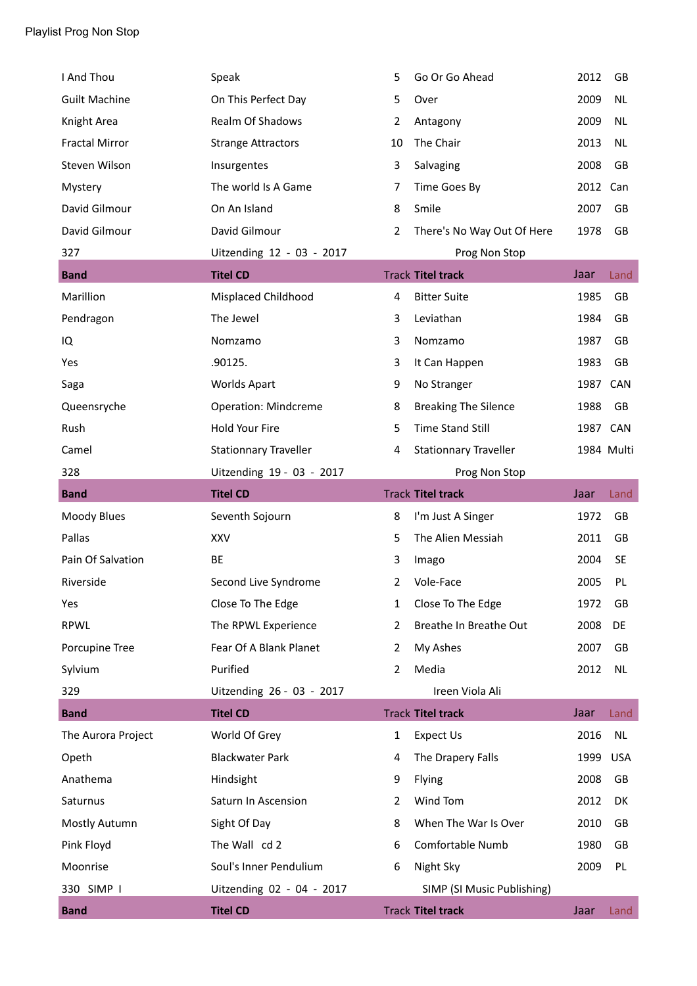| I And Thou            | Speak                        | 5  | Go Or Go Ahead               | 2012     | GB         |
|-----------------------|------------------------------|----|------------------------------|----------|------------|
| <b>Guilt Machine</b>  | On This Perfect Day          | 5  | Over                         | 2009     | <b>NL</b>  |
| Knight Area           | Realm Of Shadows             | 2  | Antagony                     | 2009     | <b>NL</b>  |
| <b>Fractal Mirror</b> | <b>Strange Attractors</b>    | 10 | The Chair                    | 2013     | <b>NL</b>  |
| Steven Wilson         | Insurgentes                  | 3  | Salvaging                    | 2008     | GB         |
| Mystery               | The world Is A Game          | 7  | Time Goes By                 | 2012 Can |            |
| David Gilmour         | On An Island                 | 8  | Smile                        | 2007     | GB         |
| David Gilmour         | David Gilmour                | 2  | There's No Way Out Of Here   | 1978     | GB         |
| 327                   | Uitzending 12 - 03 - 2017    |    | Prog Non Stop                |          |            |
| <b>Band</b>           | <b>Titel CD</b>              |    | <b>Track Titel track</b>     | Jaar     | Land       |
| Marillion             | Misplaced Childhood          | 4  | <b>Bitter Suite</b>          | 1985     | GB         |
| Pendragon             | The Jewel                    | 3  | Leviathan                    | 1984     | <b>GB</b>  |
| IQ                    | Nomzamo                      | 3  | Nomzamo                      | 1987     | GB         |
| Yes                   | .90125.                      | 3  | It Can Happen                | 1983     | GB         |
| Saga                  | <b>Worlds Apart</b>          | 9  | No Stranger                  | 1987     | <b>CAN</b> |
| Queensryche           | <b>Operation: Mindcreme</b>  | 8  | <b>Breaking The Silence</b>  | 1988     | GB         |
| Rush                  | Hold Your Fire               | 5  | Time Stand Still             | 1987 CAN |            |
| Camel                 | <b>Stationnary Traveller</b> | 4  | <b>Stationnary Traveller</b> |          | 1984 Multi |
| 328                   | Uitzending 19 - 03 - 2017    |    | Prog Non Stop                |          |            |
| <b>Band</b>           | <b>Titel CD</b>              |    | <b>Track Titel track</b>     | Jaar     | Land       |
| Moody Blues           | Seventh Sojourn              | 8  | I'm Just A Singer            | 1972     | GB         |
| Pallas                | <b>XXV</b>                   | 5  | The Alien Messiah            | 2011     | GB         |
| Pain Of Salvation     | BE                           | 3  | Imago                        | 2004     | <b>SE</b>  |
| Riverside             | Second Live Syndrome         | 2  | Vole-Face                    | 2005     | PL         |
| Yes                   | Close To The Edge            | 1  | Close To The Edge            | 1972     | GB         |
| <b>RPWL</b>           | The RPWL Experience          | 2  | Breathe In Breathe Out       | 2008     | DE         |
| Porcupine Tree        | Fear Of A Blank Planet       | 2  | My Ashes                     | 2007     | GB         |
| Sylvium               | Purified                     | 2  | Media                        | 2012     | <b>NL</b>  |
| 329                   | Uitzending 26 - 03 - 2017    |    | Ireen Viola Ali              |          |            |
| <b>Band</b>           | <b>Titel CD</b>              |    | <b>Track Titel track</b>     | Jaar     | Land       |
| The Aurora Project    | World Of Grey                | 1  | Expect Us                    | 2016     | <b>NL</b>  |
| Opeth                 | <b>Blackwater Park</b>       | 4  | The Drapery Falls            | 1999     | <b>USA</b> |
| Anathema              | Hindsight                    | 9  | Flying                       | 2008     | GB         |
| Saturnus              | Saturn In Ascension          | 2  | Wind Tom                     | 2012     | DK         |
| Mostly Autumn         | Sight Of Day                 | 8  | When The War Is Over         | 2010     | GB         |
| Pink Floyd            | The Wall cd 2                | 6  | Comfortable Numb             | 1980     | GB         |
| Moonrise              | Soul's Inner Pendulium       | 6  | Night Sky                    | 2009     | PL         |
| 330 SIMP I            | Uitzending 02 - 04 - 2017    |    | SIMP (SI Music Publishing)   |          |            |
| <b>Band</b>           | <b>Titel CD</b>              |    | <b>Track Titel track</b>     | Jaar     | Land       |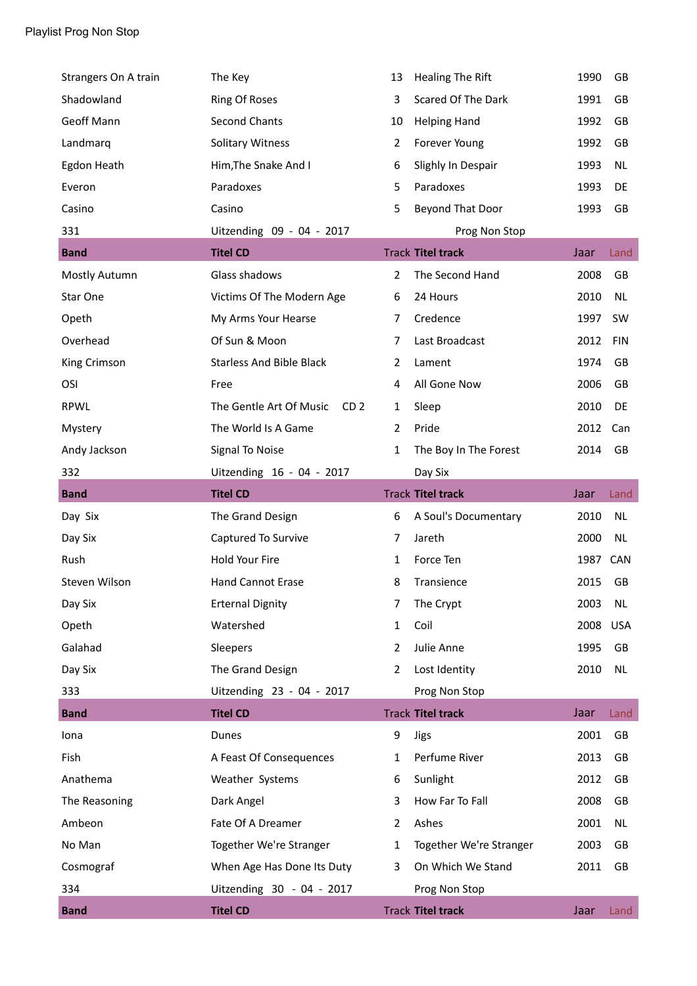| Strangers On A train | The Key                                    | 13             | <b>Healing The Rift</b>  | 1990 | GB         |
|----------------------|--------------------------------------------|----------------|--------------------------|------|------------|
| Shadowland           | <b>Ring Of Roses</b>                       | 3              | Scared Of The Dark       | 1991 | GB         |
| <b>Geoff Mann</b>    | <b>Second Chants</b>                       | 10             | <b>Helping Hand</b>      | 1992 | <b>GB</b>  |
| Landmarq             | <b>Solitary Witness</b>                    | $\overline{2}$ | Forever Young            | 1992 | GB         |
| Egdon Heath          | Him, The Snake And I                       | 6              | Slighly In Despair       | 1993 | NL         |
| Everon               | Paradoxes                                  | 5              | Paradoxes                | 1993 | DE         |
| Casino               | Casino                                     | 5              | Beyond That Door         | 1993 | GB         |
| 331                  | Uitzending 09 - 04 - 2017                  |                | Prog Non Stop            |      |            |
| <b>Band</b>          | <b>Titel CD</b>                            |                | <b>Track Titel track</b> | Jaar | Land       |
| Mostly Autumn        | Glass shadows                              | $\overline{2}$ | The Second Hand          | 2008 | GB         |
| Star One             | Victims Of The Modern Age                  | 6              | 24 Hours                 | 2010 | <b>NL</b>  |
| Opeth                | My Arms Your Hearse                        | 7              | Credence                 | 1997 | <b>SW</b>  |
| Overhead             | Of Sun & Moon                              | $\overline{7}$ | Last Broadcast           | 2012 | <b>FIN</b> |
| King Crimson         | <b>Starless And Bible Black</b>            | $\overline{2}$ | Lament                   | 1974 | GB         |
| OSI                  | Free                                       | 4              | All Gone Now             | 2006 | GB         |
| <b>RPWL</b>          | The Gentle Art Of Music<br>CD <sub>2</sub> | 1              | Sleep                    | 2010 | DE         |
| Mystery              | The World Is A Game                        | $\overline{2}$ | Pride                    | 2012 | Can        |
| Andy Jackson         | <b>Signal To Noise</b>                     | $\mathbf{1}$   | The Boy In The Forest    | 2014 | GB         |
| 332                  | Uitzending 16 - 04 - 2017                  |                | Day Six                  |      |            |
| <b>Band</b>          | <b>Titel CD</b>                            |                | <b>Track Titel track</b> | Jaar | Land       |
| Day Six              | The Grand Design                           | 6              | A Soul's Documentary     | 2010 | <b>NL</b>  |
| Day Six              | Captured To Survive                        | 7              | Jareth                   | 2000 | NL         |
| Rush                 | Hold Your Fire                             | 1              | Force Ten                | 1987 | CAN        |
| Steven Wilson        | <b>Hand Cannot Erase</b>                   | 8              | Transience               | 2015 | GB         |
| Day Six              | <b>Erternal Dignity</b>                    | $\overline{7}$ | The Crypt                | 2003 | <b>NL</b>  |
| Opeth                | Watershed                                  | $\mathbf{1}$   | Coil                     | 2008 | <b>USA</b> |
| Galahad              | Sleepers                                   | 2              | Julie Anne               | 1995 | GB         |
| Day Six              | The Grand Design                           | 2              | Lost Identity            | 2010 | <b>NL</b>  |
| 333                  | Uitzending 23 - 04 - 2017                  |                | Prog Non Stop            |      |            |
| <b>Band</b>          | <b>Titel CD</b>                            |                | <b>Track Titel track</b> | Jaar | Land       |
| Iona                 | Dunes                                      | 9              | <b>Jigs</b>              | 2001 | GB         |
| Fish                 | A Feast Of Consequences                    | $\mathbf{1}$   | Perfume River            | 2013 | GB         |
| Anathema             | Weather Systems                            | 6              | Sunlight                 | 2012 | GB         |
| The Reasoning        | Dark Angel                                 | 3              | How Far To Fall          | 2008 | GB         |
| Ambeon               | Fate Of A Dreamer                          | $\overline{2}$ | Ashes                    | 2001 | <b>NL</b>  |
| No Man               | Together We're Stranger                    | 1              | Together We're Stranger  | 2003 | GB         |
| Cosmograf            | When Age Has Done Its Duty                 | 3              | On Which We Stand        | 2011 | GB         |
| 334                  | Uitzending 30 - 04 - 2017                  |                | Prog Non Stop            |      |            |
| <b>Band</b>          | <b>Titel CD</b>                            |                | <b>Track Titel track</b> | Jaar | Land       |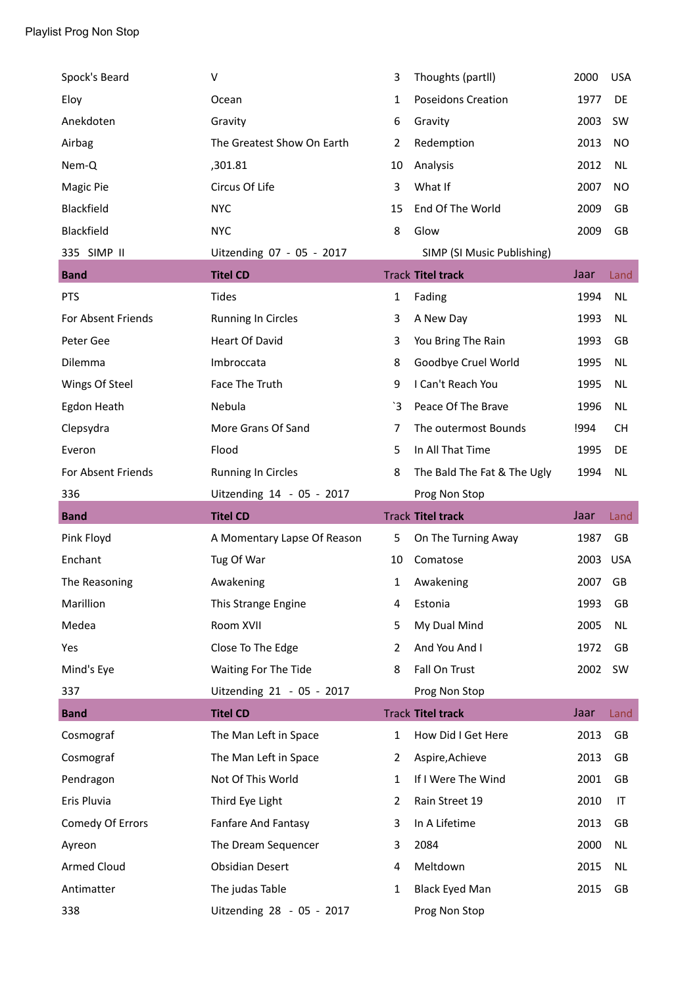| Spock's Beard      | V                           | 3              | Thoughts (partll)           | 2000 | <b>USA</b> |
|--------------------|-----------------------------|----------------|-----------------------------|------|------------|
| Eloy               | Ocean                       | $\mathbf{1}$   | <b>Poseidons Creation</b>   | 1977 | DE         |
| Anekdoten          | Gravity                     | 6              | Gravity                     | 2003 | <b>SW</b>  |
| Airbag             | The Greatest Show On Earth  | 2              | Redemption                  | 2013 | NO         |
| Nem-Q              | ,301.81                     | 10             | Analysis                    | 2012 | <b>NL</b>  |
| Magic Pie          | Circus Of Life              | 3              | What If                     | 2007 | NO         |
| Blackfield         | <b>NYC</b>                  | 15             | End Of The World            | 2009 | GB         |
| Blackfield         | <b>NYC</b>                  | 8              | Glow                        | 2009 | GB         |
| 335 SIMP II        | Uitzending 07 - 05 - 2017   |                | SIMP (SI Music Publishing)  |      |            |
| <b>Band</b>        | <b>Titel CD</b>             |                | <b>Track Titel track</b>    | Jaar | Land       |
| <b>PTS</b>         | <b>Tides</b>                | $\mathbf{1}$   | Fading                      | 1994 | <b>NL</b>  |
| For Absent Friends | <b>Running In Circles</b>   | 3              | A New Day                   | 1993 | <b>NL</b>  |
| Peter Gee          | <b>Heart Of David</b>       | 3              | You Bring The Rain          | 1993 | GB         |
| Dilemma            | Imbroccata                  | 8              | Goodbye Cruel World         | 1995 | <b>NL</b>  |
| Wings Of Steel     | Face The Truth              | 9              | I Can't Reach You           | 1995 | <b>NL</b>  |
| Egdon Heath        | Nebula                      | `3             | Peace Of The Brave          | 1996 | <b>NL</b>  |
| Clepsydra          | More Grans Of Sand          | $\overline{7}$ | The outermost Bounds        | !994 | <b>CH</b>  |
| Everon             | Flood                       | 5              | In All That Time            | 1995 | DE         |
| For Absent Friends | <b>Running In Circles</b>   | 8              | The Bald The Fat & The Ugly | 1994 | <b>NL</b>  |
|                    |                             |                |                             |      |            |
| 336                | Uitzending 14 - 05 - 2017   |                | Prog Non Stop               |      |            |
| <b>Band</b>        | <b>Titel CD</b>             |                | <b>Track Titel track</b>    | Jaar | Land       |
| Pink Floyd         | A Momentary Lapse Of Reason | 5              | On The Turning Away         | 1987 | GB         |
| Enchant            | Tug Of War                  | 10             | Comatose                    | 2003 | <b>USA</b> |
| The Reasoning      | Awakening                   | 1              | Awakening                   | 2007 | GB         |
| Marillion          | This Strange Engine         | 4              | Estonia                     | 1993 | GB         |
| Medea              | Room XVII                   | 5              | My Dual Mind                | 2005 | NL         |
| Yes                | Close To The Edge           | 2              | And You And I               | 1972 | GB         |
| Mind's Eye         | Waiting For The Tide        | 8              | Fall On Trust               | 2002 | SW         |
| 337                | Uitzending 21 - 05 - 2017   |                | Prog Non Stop               |      |            |
| <b>Band</b>        | <b>Titel CD</b>             |                | <b>Track Titel track</b>    | Jaar | Land       |
| Cosmograf          | The Man Left in Space       | $\mathbf{1}$   | How Did I Get Here          | 2013 | GB         |
| Cosmograf          | The Man Left in Space       | 2              | Aspire, Achieve             | 2013 | GB         |
| Pendragon          | Not Of This World           | 1              | If I Were The Wind          | 2001 | GB         |
| Eris Pluvia        | Third Eye Light             | 2              | Rain Street 19              | 2010 | IT         |
| Comedy Of Errors   | Fanfare And Fantasy         | 3              | In A Lifetime               | 2013 | GB         |
| Ayreon             | The Dream Sequencer         | 3              | 2084                        | 2000 | NL         |
| <b>Armed Cloud</b> | <b>Obsidian Desert</b>      | 4              | Meltdown                    | 2015 | NL         |
| Antimatter         | The judas Table             | 1              | <b>Black Eyed Man</b>       | 2015 | GB         |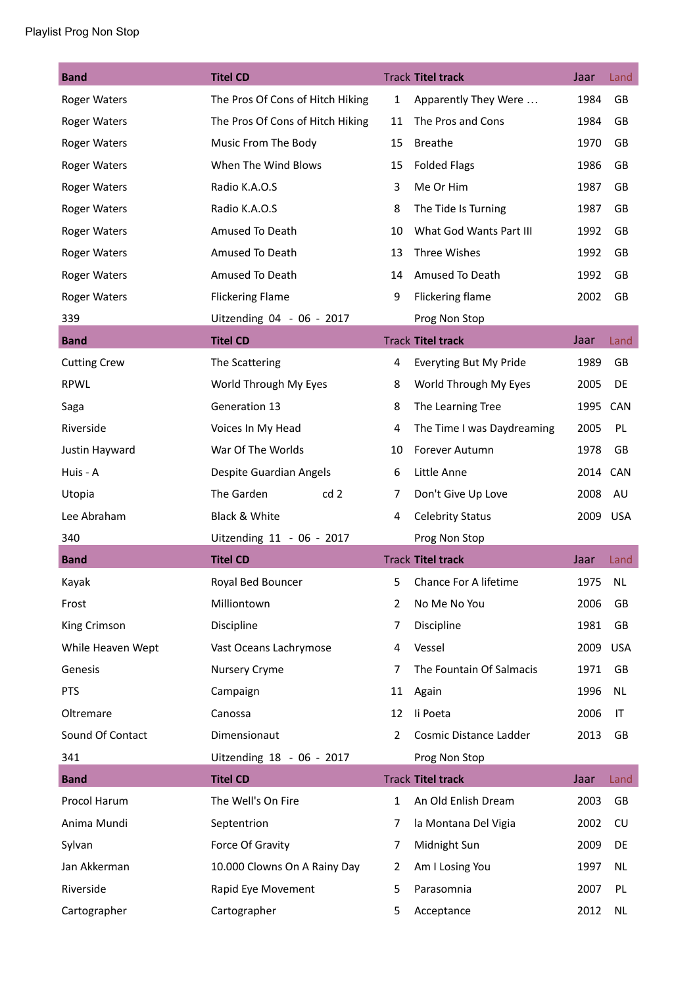## Playlist Prog Non Stop

| <b>Band</b>         | <b>Titel CD</b>                  |              | <b>Track Titel track</b>   | Jaar     | Land       |
|---------------------|----------------------------------|--------------|----------------------------|----------|------------|
| <b>Roger Waters</b> | The Pros Of Cons of Hitch Hiking | $\mathbf{1}$ | Apparently They Were       | 1984     | <b>GB</b>  |
| <b>Roger Waters</b> | The Pros Of Cons of Hitch Hiking | 11           | The Pros and Cons          | 1984     | GB         |
| <b>Roger Waters</b> | Music From The Body              | 15           | <b>Breathe</b>             | 1970     | GB         |
| Roger Waters        | When The Wind Blows              | 15           | <b>Folded Flags</b>        | 1986     | GB         |
| <b>Roger Waters</b> | Radio K.A.O.S                    | 3            | Me Or Him                  | 1987     | GB         |
| <b>Roger Waters</b> | Radio K.A.O.S                    | 8            | The Tide Is Turning        | 1987     | GB         |
| <b>Roger Waters</b> | Amused To Death                  | 10           | What God Wants Part III    | 1992     | GB         |
| Roger Waters        | Amused To Death                  | 13           | Three Wishes               | 1992     | GB         |
| <b>Roger Waters</b> | Amused To Death                  | 14           | Amused To Death            | 1992     | GB         |
| <b>Roger Waters</b> | <b>Flickering Flame</b>          | 9            | Flickering flame           | 2002     | GB         |
| 339                 | Uitzending 04 - 06 - 2017        |              | Prog Non Stop              |          |            |
| <b>Band</b>         | <b>Titel CD</b>                  |              | <b>Track Titel track</b>   | Jaar     | Land       |
| <b>Cutting Crew</b> | The Scattering                   | 4            | Everyting But My Pride     | 1989     | GB         |
| <b>RPWL</b>         | World Through My Eyes            | 8            | World Through My Eyes      | 2005     | DE         |
| Saga                | Generation 13                    | 8            | The Learning Tree          | 1995     | <b>CAN</b> |
| Riverside           | Voices In My Head                | 4            | The Time I was Daydreaming | 2005     | <b>PL</b>  |
| Justin Hayward      | War Of The Worlds                | 10           | Forever Autumn             | 1978     | GB         |
| Huis - A            | Despite Guardian Angels          | 6            | Little Anne                | 2014     | CAN        |
| Utopia              | The Garden<br>cd <sub>2</sub>    | 7            | Don't Give Up Love         | 2008     | AU         |
| Lee Abraham         | Black & White                    | 4            | <b>Celebrity Status</b>    | 2009 USA |            |
| 340                 | Uitzending 11 - 06 - 2017        |              | Prog Non Stop              |          |            |
| <b>Band</b>         | <b>Titel CD</b>                  |              | <b>Track Titel track</b>   | Jaar     | Land       |
| Kayak               | Royal Bed Bouncer                | 5            | Chance For A lifetime      | 1975     | <b>NL</b>  |
| Frost               | Milliontown                      | 2            | No Me No You               | 2006     | GB         |
| King Crimson        | Discipline                       | 7            | Discipline                 | 1981     | GB         |
| While Heaven Wept   | Vast Oceans Lachrymose           | 4            | Vessel                     | 2009     | <b>USA</b> |
| Genesis             | Nursery Cryme                    | 7            | The Fountain Of Salmacis   | 1971     | GB         |
| <b>PTS</b>          | Campaign                         | 11           | Again                      | 1996     | <b>NL</b>  |
| Oltremare           | Canossa                          | 12           | li Poeta                   | 2006     | IT         |
| Sound Of Contact    | Dimensionaut                     | 2            | Cosmic Distance Ladder     | 2013     | GB         |
| 341                 | Uitzending 18 - 06 - 2017        |              | Prog Non Stop              |          |            |
| <b>Band</b>         | <b>Titel CD</b>                  |              | <b>Track Titel track</b>   | Jaar     | Land       |
| Procol Harum        | The Well's On Fire               | $\mathbf{1}$ | An Old Enlish Dream        | 2003     | GB         |
| Anima Mundi         | Septentrion                      | 7            | la Montana Del Vigia       | 2002     | CU         |
| Sylvan              | Force Of Gravity                 | 7            | Midnight Sun               | 2009     | DE         |
| Jan Akkerman        | 10.000 Clowns On A Rainy Day     | 2            | Am I Losing You            | 1997     | <b>NL</b>  |
| Riverside           | Rapid Eye Movement               | 5            | Parasomnia                 | 2007     | PL         |
| Cartographer        | Cartographer                     | 5            | Acceptance                 | 2012     | NL         |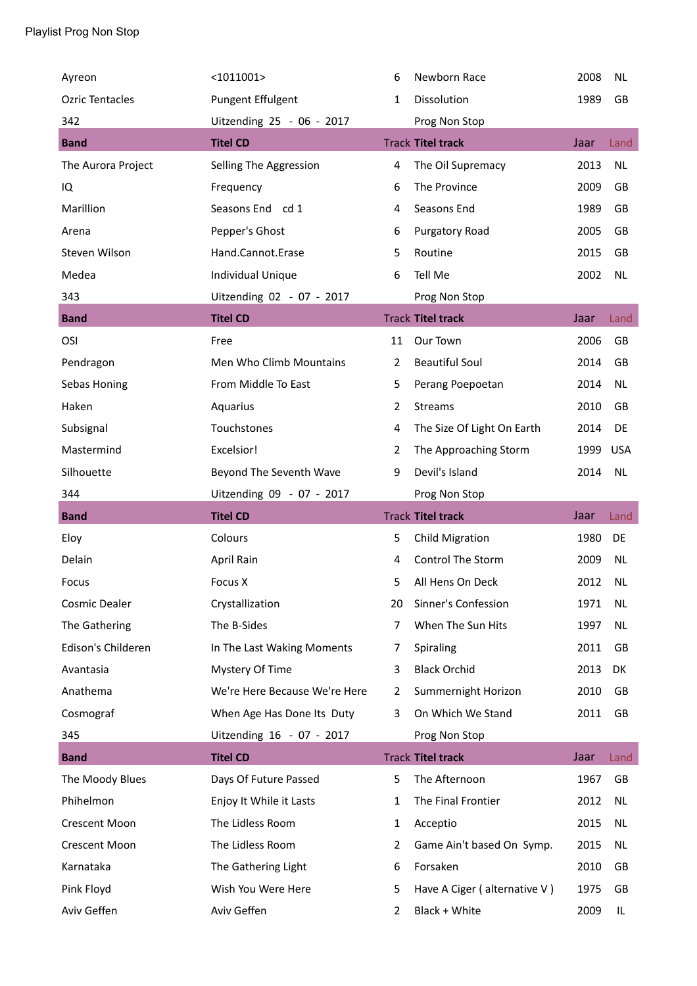| Ayreon                 | $<$ 1011001>                  | 6              | Newborn Race                 | 2008 | <b>NL</b>  |
|------------------------|-------------------------------|----------------|------------------------------|------|------------|
| <b>Ozric Tentacles</b> | <b>Pungent Effulgent</b>      | 1              | Dissolution                  | 1989 | GB         |
| 342                    | Uitzending 25 - 06 - 2017     |                | Prog Non Stop                |      |            |
| <b>Band</b>            | <b>Titel CD</b>               |                | <b>Track Titel track</b>     | Jaar | Land       |
| The Aurora Project     | Selling The Aggression        | 4              | The Oil Supremacy            | 2013 | <b>NL</b>  |
| IQ                     | Frequency                     | 6              | The Province                 | 2009 | GB         |
| Marillion              | Seasons End cd 1              | 4              | Seasons End                  | 1989 | GB         |
| Arena                  | Pepper's Ghost                | 6              | Purgatory Road               | 2005 | GB         |
| Steven Wilson          | Hand.Cannot.Erase             | 5              | Routine                      | 2015 | GB         |
| Medea                  | Individual Unique             | 6              | Tell Me                      | 2002 | <b>NL</b>  |
| 343                    | Uitzending 02 - 07 - 2017     |                | Prog Non Stop                |      |            |
| <b>Band</b>            | <b>Titel CD</b>               |                | <b>Track Titel track</b>     | Jaar | Land       |
| OSI                    | Free                          | 11             | Our Town                     | 2006 | GB         |
| Pendragon              | Men Who Climb Mountains       | $\overline{2}$ | <b>Beautiful Soul</b>        | 2014 | GB         |
| Sebas Honing           | From Middle To East           | 5              | Perang Poepoetan             | 2014 | <b>NL</b>  |
| Haken                  | Aquarius                      | 2              | <b>Streams</b>               | 2010 | GB         |
| Subsignal              | Touchstones                   | 4              | The Size Of Light On Earth   | 2014 | DE         |
| Mastermind             | Excelsior!                    | 2              | The Approaching Storm        | 1999 | <b>USA</b> |
| Silhouette             | Beyond The Seventh Wave       | 9              | Devil's Island               | 2014 | NL         |
|                        |                               |                |                              |      |            |
| 344                    | Uitzending 09 - 07 - 2017     |                | Prog Non Stop                |      |            |
| <b>Band</b>            | <b>Titel CD</b>               |                | <b>Track Titel track</b>     | Jaar | Land       |
| Eloy                   | Colours                       | 5              | <b>Child Migration</b>       | 1980 | DE         |
| Delain                 | April Rain                    | 4              | Control The Storm            | 2009 | <b>NL</b>  |
| Focus                  | Focus X                       | 5              | All Hens On Deck             | 2012 | <b>NL</b>  |
| Cosmic Dealer          | Crystallization               | 20             | Sinner's Confession          | 1971 | <b>NL</b>  |
| The Gathering          | The B-Sides                   | 7              | When The Sun Hits            | 1997 | <b>NL</b>  |
| Edison's Childeren     | In The Last Waking Moments    | 7              | Spiraling                    | 2011 | GB         |
| Avantasia              | Mystery Of Time               | 3              | <b>Black Orchid</b>          | 2013 | DK         |
| Anathema               | We're Here Because We're Here | 2              | Summernight Horizon          | 2010 | GB         |
| Cosmograf              | When Age Has Done Its Duty    | 3              | On Which We Stand            | 2011 | GB         |
| 345                    | Uitzending 16 - 07 - 2017     |                | Prog Non Stop                |      |            |
| <b>Band</b>            | <b>Titel CD</b>               |                | <b>Track Titel track</b>     | Jaar | Land       |
| The Moody Blues        | Days Of Future Passed         | 5              | The Afternoon                | 1967 | GB         |
| Phihelmon              | Enjoy It While it Lasts       | 1              | The Final Frontier           | 2012 | NL         |
| <b>Crescent Moon</b>   | The Lidless Room              | 1              | Acceptio                     | 2015 | <b>NL</b>  |
| <b>Crescent Moon</b>   | The Lidless Room              | 2              | Game Ain't based On Symp.    | 2015 | NL         |
| Karnataka              | The Gathering Light           | 6              | Forsaken                     | 2010 | GB         |
| Pink Floyd             | Wish You Were Here            | 5              | Have A Ciger (alternative V) | 1975 | GB         |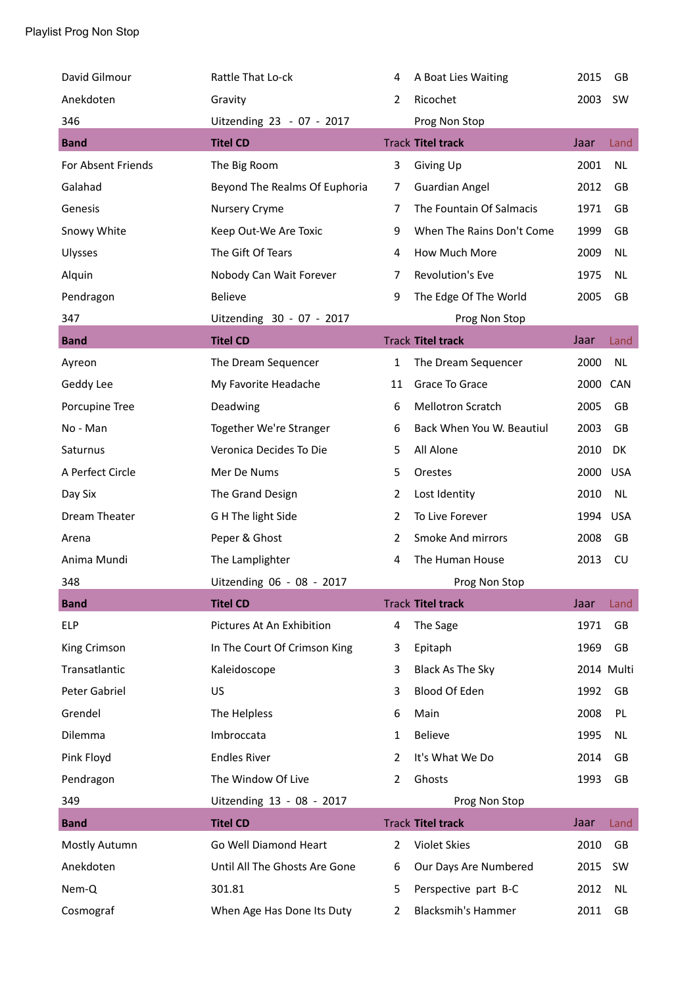| David Gilmour      | Rattle That Lo-ck             | 4              | A Boat Lies Waiting       | 2015       | GB         |
|--------------------|-------------------------------|----------------|---------------------------|------------|------------|
| Anekdoten          | Gravity                       | $\overline{2}$ | Ricochet                  | 2003       | <b>SW</b>  |
| 346                | Uitzending 23 - 07 - 2017     |                | Prog Non Stop             |            |            |
| <b>Band</b>        | <b>Titel CD</b>               |                | <b>Track Titel track</b>  | Jaar       | Land       |
| For Absent Friends | The Big Room                  | 3              | Giving Up                 | 2001       | <b>NL</b>  |
| Galahad            | Beyond The Realms Of Euphoria | 7              | <b>Guardian Angel</b>     | 2012       | GB         |
| Genesis            | Nursery Cryme                 | 7              | The Fountain Of Salmacis  | 1971       | GB         |
| Snowy White        | Keep Out-We Are Toxic         | 9              | When The Rains Don't Come | 1999       | GB         |
| Ulysses            | The Gift Of Tears             | 4              | How Much More             | 2009       | <b>NL</b>  |
| Alquin             | Nobody Can Wait Forever       | 7              | Revolution's Eve          | 1975       | <b>NL</b>  |
| Pendragon          | <b>Believe</b>                | 9              | The Edge Of The World     | 2005       | GB         |
| 347                | Uitzending 30 - 07 - 2017     |                | Prog Non Stop             |            |            |
| <b>Band</b>        | <b>Titel CD</b>               |                | <b>Track Titel track</b>  | Jaar       | Land       |
| Ayreon             | The Dream Sequencer           | 1              | The Dream Sequencer       | 2000       | <b>NL</b>  |
| Geddy Lee          | My Favorite Headache          | 11             | Grace To Grace            | 2000 CAN   |            |
| Porcupine Tree     | Deadwing                      | 6              | <b>Mellotron Scratch</b>  | 2005       | GB         |
| No - Man           | Together We're Stranger       | 6              | Back When You W. Beautiul | 2003       | GB         |
| Saturnus           | Veronica Decides To Die       | 5              | All Alone                 | 2010       | DK         |
| A Perfect Circle   | Mer De Nums                   | 5              | Orestes                   | 2000       | <b>USA</b> |
| Day Six            | The Grand Design              | 2              | Lost Identity             | 2010       | <b>NL</b>  |
| Dream Theater      | G H The light Side            | 2              | To Live Forever           | 1994       | <b>USA</b> |
| Arena              | Peper & Ghost                 | 2              | Smoke And mirrors         | 2008       | GB         |
| Anima Mundi        | The Lamplighter               | 4              | The Human House           | 2013       | <b>CU</b>  |
| 348                | Uitzending 06 - 08 - 2017     |                | Prog Non Stop             |            |            |
| <b>Band</b>        | <b>Titel CD</b>               |                | <b>Track Titel track</b>  | Jaar       | Land       |
| <b>ELP</b>         | Pictures At An Exhibition     | 4              | The Sage                  | 1971       | GB         |
| King Crimson       | In The Court Of Crimson King  | 3              | Epitaph                   | 1969       | GB         |
| Transatlantic      | Kaleidoscope                  | 3              | Black As The Sky          | 2014 Multi |            |
| Peter Gabriel      | US                            | 3              | Blood Of Eden             | 1992       | GB         |
| Grendel            | The Helpless                  | 6              | Main                      | 2008       | PL         |
| Dilemma            | Imbroccata                    | 1              | <b>Believe</b>            | 1995       | <b>NL</b>  |
| Pink Floyd         | <b>Endles River</b>           | 2              | It's What We Do           | 2014       | GB         |
| Pendragon          | The Window Of Live            | 2              | Ghosts                    | 1993       | GB         |
| 349                | Uitzending 13 - 08 - 2017     |                | Prog Non Stop             |            |            |
| <b>Band</b>        | <b>Titel CD</b>               |                | <b>Track Titel track</b>  | Jaar       | Land       |
| Mostly Autumn      | Go Well Diamond Heart         | $\overline{2}$ | Violet Skies              | 2010       | GB         |
| Anekdoten          | Until All The Ghosts Are Gone | 6              | Our Days Are Numbered     | 2015       | <b>SW</b>  |
| Nem-Q              | 301.81                        | 5              | Perspective part B-C      | 2012       | <b>NL</b>  |
| Cosmograf          | When Age Has Done Its Duty    | 2              | <b>Blacksmih's Hammer</b> | 2011       | GB         |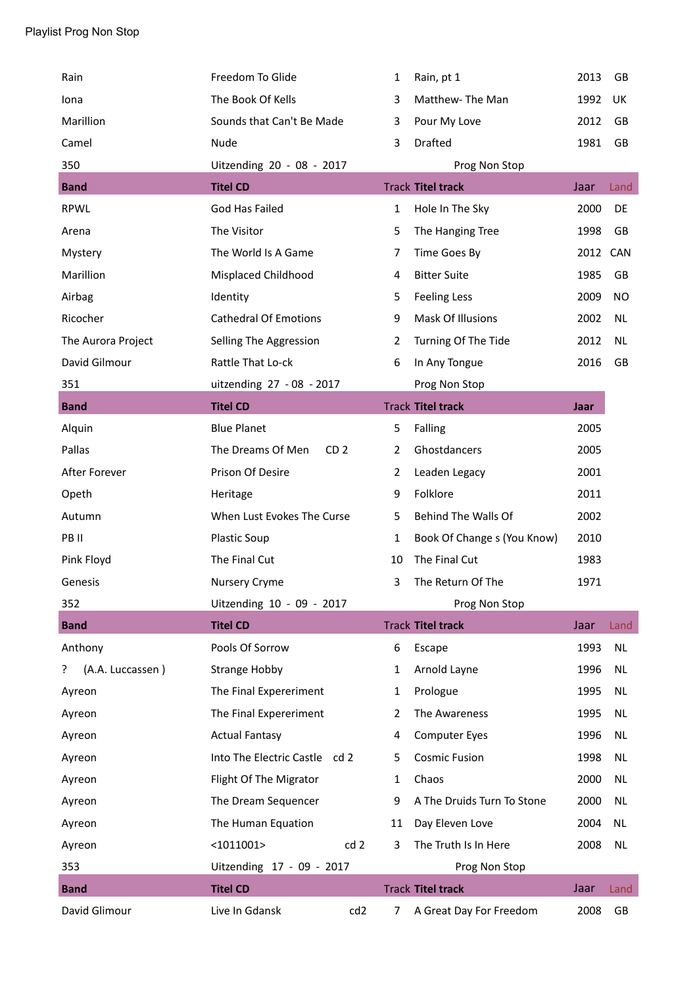| Rain                  | Freedom To Glide                     | $\mathbf{1}$   | Rain, pt 1                  | 2013 | GB        |
|-----------------------|--------------------------------------|----------------|-----------------------------|------|-----------|
| Iona                  | The Book Of Kells                    | 3              | Matthew-The Man             | 1992 | UK        |
| Marillion             | Sounds that Can't Be Made            | 3              | Pour My Love                | 2012 | GB        |
| Camel                 | Nude                                 | 3              | Drafted                     | 1981 | GB        |
| 350                   | Uitzending 20 - 08 - 2017            |                | Prog Non Stop               |      |           |
| <b>Band</b>           | <b>Titel CD</b>                      |                | <b>Track Titel track</b>    | Jaar | Land      |
| <b>RPWL</b>           | God Has Failed                       | $\mathbf{1}$   | Hole In The Sky             | 2000 | DE        |
| Arena                 | The Visitor                          | 5              | The Hanging Tree            | 1998 | GB        |
| Mystery               | The World Is A Game                  | 7              | Time Goes By                | 2012 | CAN       |
| Marillion             | Misplaced Childhood                  | 4              | <b>Bitter Suite</b>         | 1985 | GB        |
| Airbag                | Identity                             | 5              | <b>Feeling Less</b>         | 2009 | NO        |
| Ricocher              | <b>Cathedral Of Emotions</b>         | 9              | Mask Of Illusions           | 2002 | <b>NL</b> |
| The Aurora Project    | Selling The Aggression               | 2              | Turning Of The Tide         | 2012 | <b>NL</b> |
| David Gilmour         | Rattle That Lo-ck                    | 6              | In Any Tongue               | 2016 | GB        |
| 351                   | uitzending 27 - 08 - 2017            |                | Prog Non Stop               |      |           |
| <b>Band</b>           | <b>Titel CD</b>                      |                | <b>Track Titel track</b>    | Jaar |           |
| Alquin                | <b>Blue Planet</b>                   | 5              | Falling                     | 2005 |           |
| Pallas                | The Dreams Of Men<br>CD <sub>2</sub> | $\overline{2}$ | Ghostdancers                | 2005 |           |
| After Forever         | Prison Of Desire                     | $\overline{2}$ | Leaden Legacy               | 2001 |           |
| Opeth                 | Heritage                             | 9              | Folklore                    | 2011 |           |
| Autumn                | When Lust Evokes The Curse           | 5              | Behind The Walls Of         | 2002 |           |
| PB II                 | Plastic Soup                         | 1              | Book Of Change s (You Know) | 2010 |           |
| Pink Floyd            | The Final Cut                        | 10             | The Final Cut               | 1983 |           |
| Genesis               | Nursery Cryme                        | 3              | The Return Of The           | 1971 |           |
| 352                   | Uitzending 10 - 09 - 2017            |                | Prog Non Stop               |      |           |
| <b>Band</b>           | <b>Titel CD</b>                      |                | <b>Track Titel track</b>    | Jaar | Land      |
| Anthony               | Pools Of Sorrow                      | 6              | Escape                      | 1993 | <b>NL</b> |
| (A.A. Luccassen)<br>? | <b>Strange Hobby</b>                 | 1              | Arnold Layne                | 1996 | NL        |
| Ayreon                | The Final Expereriment               | 1              | Prologue                    | 1995 | NL        |
| Ayreon                | The Final Expereriment               | 2              | The Awareness               | 1995 | <b>NL</b> |
| Ayreon                | <b>Actual Fantasy</b>                | 4              | <b>Computer Eyes</b>        | 1996 | <b>NL</b> |
| Ayreon                | Into The Electric Castle cd 2        | 5              | <b>Cosmic Fusion</b>        | 1998 | <b>NL</b> |
| Ayreon                | Flight Of The Migrator               | $\mathbf{1}$   | Chaos                       | 2000 | <b>NL</b> |
| Ayreon                | The Dream Sequencer                  | 9              | A The Druids Turn To Stone  | 2000 | <b>NL</b> |
| Ayreon                | The Human Equation                   | 11             | Day Eleven Love             | 2004 | <b>NL</b> |
| Ayreon                | cd 2<br>$<$ 1011001>                 | 3              | The Truth Is In Here        | 2008 | NL        |
| 353                   | Uitzending 17 - 09 - 2017            |                | Prog Non Stop               |      |           |
| <b>Band</b>           | <b>Titel CD</b>                      |                | <b>Track Titel track</b>    | Jaar | Land      |
| David Glimour         | Live In Gdansk<br>cd <sub>2</sub>    | 7              | A Great Day For Freedom     | 2008 | GB        |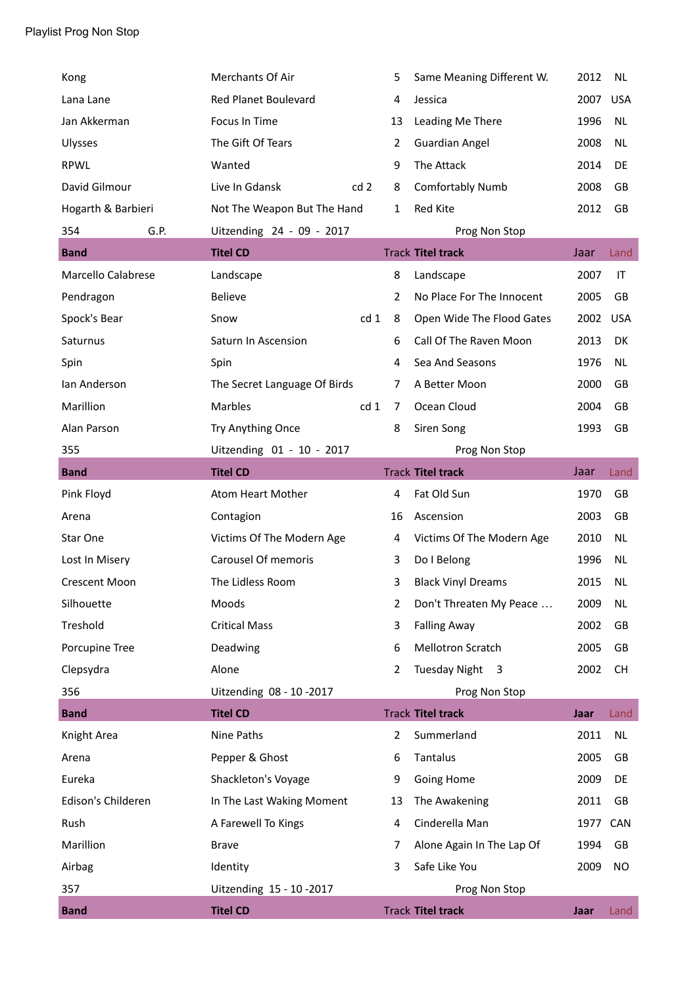| Kong                 | Merchants Of Air             |                 | 5              | Same Meaning Different W. | 2012 | <b>NL</b>  |
|----------------------|------------------------------|-----------------|----------------|---------------------------|------|------------|
| Lana Lane            | <b>Red Planet Boulevard</b>  |                 | 4              | Jessica                   | 2007 | <b>USA</b> |
| Jan Akkerman         | Focus In Time                |                 | 13             | Leading Me There          | 1996 | NL         |
| Ulysses              | The Gift Of Tears            |                 | $\overline{2}$ | <b>Guardian Angel</b>     | 2008 | <b>NL</b>  |
| <b>RPWL</b>          | Wanted                       |                 | 9              | The Attack                | 2014 | DE         |
| David Gilmour        | Live In Gdansk               | cd <sub>2</sub> | 8              | <b>Comfortably Numb</b>   | 2008 | GB         |
| Hogarth & Barbieri   | Not The Weapon But The Hand  |                 | 1              | Red Kite                  | 2012 | <b>GB</b>  |
| G.P.<br>354          | Uitzending 24 - 09 - 2017    |                 |                | Prog Non Stop             |      |            |
| <b>Band</b>          | <b>Titel CD</b>              |                 |                | <b>Track Titel track</b>  | Jaar | Land       |
| Marcello Calabrese   | Landscape                    |                 | 8              | Landscape                 | 2007 | IT         |
| Pendragon            | <b>Believe</b>               |                 | $\overline{2}$ | No Place For The Innocent | 2005 | GB         |
| Spock's Bear         | Snow                         | cd 1            | 8              | Open Wide The Flood Gates | 2002 | <b>USA</b> |
| Saturnus             | Saturn In Ascension          |                 | 6              | Call Of The Raven Moon    | 2013 | DK         |
| Spin                 | Spin                         |                 | 4              | Sea And Seasons           | 1976 | NL         |
| Ian Anderson         | The Secret Language Of Birds |                 | 7              | A Better Moon             | 2000 | GB         |
| Marillion            | Marbles                      | cd 1            | 7              | Ocean Cloud               | 2004 | GB         |
| Alan Parson          | Try Anything Once            |                 | 8              | Siren Song                | 1993 | GB         |
| 355                  | Uitzending 01 - 10 - 2017    |                 |                | Prog Non Stop             |      |            |
| <b>Band</b>          | <b>Titel CD</b>              |                 |                | <b>Track Titel track</b>  | Jaar | Land       |
|                      |                              |                 |                |                           |      |            |
| Pink Floyd           | Atom Heart Mother            |                 | 4              | Fat Old Sun               | 1970 | GB         |
| Arena                | Contagion                    |                 | 16             | Ascension                 | 2003 | GB         |
| Star One             | Victims Of The Modern Age    |                 | 4              | Victims Of The Modern Age | 2010 | <b>NL</b>  |
| Lost In Misery       | <b>Carousel Of memoris</b>   |                 | 3              | Do I Belong               | 1996 | <b>NL</b>  |
| <b>Crescent Moon</b> | The Lidless Room             |                 | 3              | <b>Black Vinyl Dreams</b> | 2015 | <b>NL</b>  |
| Silhouette           | Moods                        |                 | 2              | Don't Threaten My Peace   | 2009 | <b>NL</b>  |
| Treshold             | <b>Critical Mass</b>         |                 | 3              | <b>Falling Away</b>       | 2002 | GB         |
| Porcupine Tree       | Deadwing                     |                 | 6              | <b>Mellotron Scratch</b>  | 2005 | GB         |
| Clepsydra            | Alone                        |                 | $\overline{2}$ | Tuesday Night 3           | 2002 | <b>CH</b>  |
| 356                  | Uitzending 08 - 10 - 2017    |                 |                | Prog Non Stop             |      |            |
| <b>Band</b>          | <b>Titel CD</b>              |                 |                | <b>Track Titel track</b>  | Jaar | Land       |
| Knight Area          | Nine Paths                   |                 | $\overline{2}$ | Summerland                | 2011 | <b>NL</b>  |
| Arena                | Pepper & Ghost               |                 | 6              | Tantalus                  | 2005 | GB         |
| Eureka               | Shackleton's Voyage          |                 | 9              | Going Home                | 2009 | DE         |
| Edison's Childeren   | In The Last Waking Moment    |                 | 13             | The Awakening             | 2011 | GB         |
| Rush                 | A Farewell To Kings          |                 | 4              | Cinderella Man            | 1977 | CAN        |
| Marillion            | <b>Brave</b>                 |                 | 7              | Alone Again In The Lap Of | 1994 | GB         |
| Airbag               | Identity                     |                 | 3              | Safe Like You             | 2009 | <b>NO</b>  |
| 357                  | Uitzending 15 - 10 - 2017    |                 |                | Prog Non Stop             |      |            |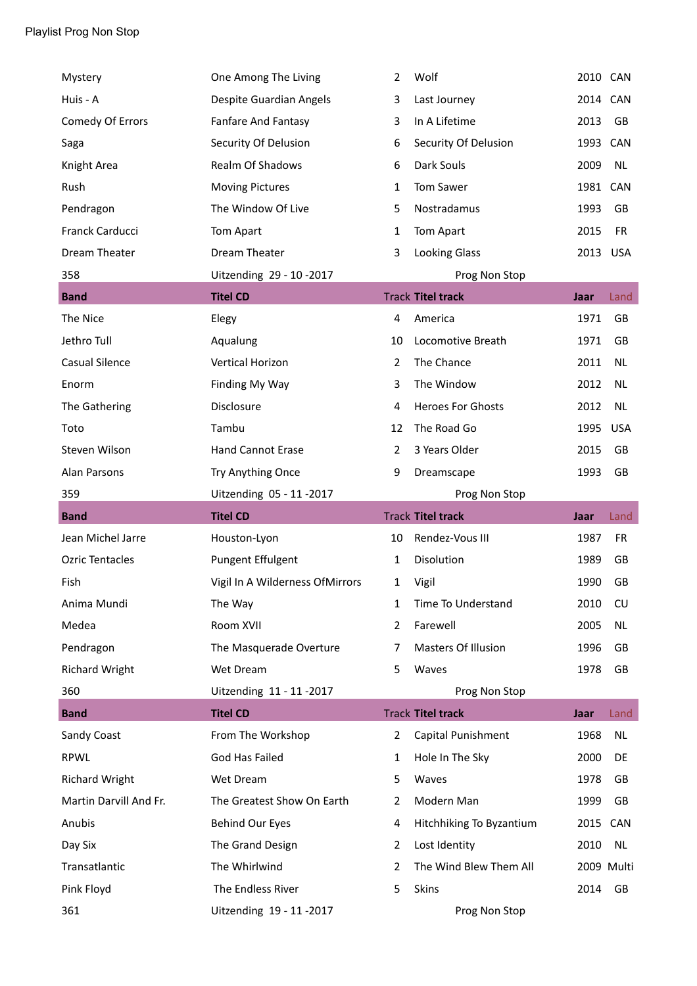| Mystery                | One Among The Living            | 2              | Wolf                     | 2010 CAN |            |
|------------------------|---------------------------------|----------------|--------------------------|----------|------------|
| Huis - A               | Despite Guardian Angels         | 3              | Last Journey             | 2014 CAN |            |
| Comedy Of Errors       | Fanfare And Fantasy             | 3              | In A Lifetime            | 2013     | GB         |
| Saga                   | Security Of Delusion            | 6              | Security Of Delusion     | 1993     | CAN        |
| Knight Area            | Realm Of Shadows                | 6              | Dark Souls               | 2009     | <b>NL</b>  |
| Rush                   | <b>Moving Pictures</b>          | 1              | Tom Sawer                | 1981 CAN |            |
| Pendragon              | The Window Of Live              | 5              | Nostradamus              | 1993     | GB         |
| Franck Carducci        | Tom Apart                       | 1              | Tom Apart                | 2015     | <b>FR</b>  |
| Dream Theater          | Dream Theater                   | 3              | <b>Looking Glass</b>     | 2013 USA |            |
| 358                    | Uitzending 29 - 10 - 2017       |                | Prog Non Stop            |          |            |
| <b>Band</b>            | <b>Titel CD</b>                 |                | <b>Track Titel track</b> | Jaar     | Land       |
| The Nice               | Elegy                           | 4              | America                  | 1971     | GB         |
| Jethro Tull            | Aqualung                        | 10             | Locomotive Breath        | 1971     | GB         |
| <b>Casual Silence</b>  | <b>Vertical Horizon</b>         | 2              | The Chance               | 2011     | <b>NL</b>  |
| Enorm                  | Finding My Way                  | 3              | The Window               | 2012     | <b>NL</b>  |
| The Gathering          | Disclosure                      | 4              | <b>Heroes For Ghosts</b> | 2012     | <b>NL</b>  |
| Toto                   | Tambu                           | 12             | The Road Go              | 1995     | <b>USA</b> |
| Steven Wilson          | <b>Hand Cannot Erase</b>        | 2              | 3 Years Older            | 2015     | GB         |
| Alan Parsons           | Try Anything Once               | 9              | Dreamscape               | 1993     | GB         |
|                        |                                 |                |                          |          |            |
| 359                    | Uitzending 05 - 11 - 2017       |                | Prog Non Stop            |          |            |
| <b>Band</b>            | <b>Titel CD</b>                 |                | <b>Track Titel track</b> | Jaar     | Land       |
| Jean Michel Jarre      | Houston-Lyon                    | 10             | Rendez-Vous III          | 1987     | <b>FR</b>  |
| <b>Ozric Tentacles</b> | Pungent Effulgent               | 1              | Disolution               | 1989     | GB         |
| Fish                   | Vigil In A Wilderness OfMirrors | 1              | Vigil                    | 1990     | GB         |
| Anima Mundi            | The Way                         | 1              | Time To Understand       | 2010     | CU         |
| Medea                  | Room XVII                       | 2              | Farewell                 | 2005     | <b>NL</b>  |
| Pendragon              | The Masquerade Overture         | 7              | Masters Of Illusion      | 1996     | GB         |
| <b>Richard Wright</b>  | Wet Dream                       | 5              | Waves                    | 1978     | GB         |
| 360                    | Uitzending 11 - 11 - 2017       |                | Prog Non Stop            |          |            |
| <b>Band</b>            | <b>Titel CD</b>                 |                | <b>Track Titel track</b> | Jaar     | Land       |
| Sandy Coast            | From The Workshop               | $\overline{2}$ | Capital Punishment       | 1968     | <b>NL</b>  |
| <b>RPWL</b>            | God Has Failed                  | 1              | Hole In The Sky          | 2000     | DE         |
| <b>Richard Wright</b>  | Wet Dream                       | 5              | Waves                    | 1978     | GB         |
| Martin Darvill And Fr. | The Greatest Show On Earth      | 2              | Modern Man               | 1999     | GB         |
| Anubis                 | <b>Behind Our Eyes</b>          | 4              | Hitchhiking To Byzantium | 2015     | CAN        |
| Day Six                | The Grand Design                | 2              | Lost Identity            | 2010     | <b>NL</b>  |
| Transatlantic          | The Whirlwind                   | 2              | The Wind Blew Them All   |          | 2009 Multi |
| Pink Floyd             | The Endless River               | 5              | <b>Skins</b>             | 2014     | GB         |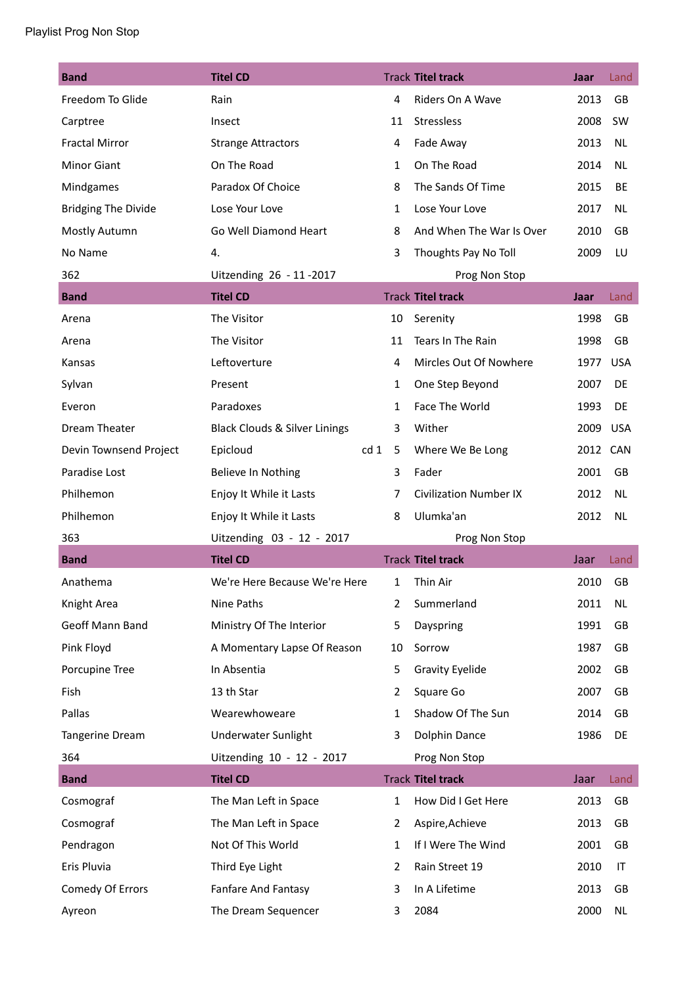| <b>Band</b>                | <b>Titel CD</b>                          |                | <b>Track Titel track</b>      | Jaar     | Land       |
|----------------------------|------------------------------------------|----------------|-------------------------------|----------|------------|
| Freedom To Glide           | Rain                                     | 4              | Riders On A Wave              | 2013     | <b>GB</b>  |
| Carptree                   | Insect                                   | 11             | Stressless                    | 2008     | SW         |
| <b>Fractal Mirror</b>      | <b>Strange Attractors</b>                | 4              | Fade Away                     | 2013     | <b>NL</b>  |
| <b>Minor Giant</b>         | On The Road                              | 1              | On The Road                   | 2014     | <b>NL</b>  |
| Mindgames                  | Paradox Of Choice                        | 8              | The Sands Of Time             | 2015     | BE         |
| <b>Bridging The Divide</b> | Lose Your Love                           | 1              | Lose Your Love                | 2017     | <b>NL</b>  |
| Mostly Autumn              | Go Well Diamond Heart                    | 8              | And When The War Is Over      | 2010     | GB         |
| No Name                    | 4.                                       | 3              | Thoughts Pay No Toll          | 2009     | LU         |
| 362                        | Uitzending 26 - 11 - 2017                |                | Prog Non Stop                 |          |            |
| <b>Band</b>                | <b>Titel CD</b>                          |                | <b>Track Titel track</b>      | Jaar     | Land       |
| Arena                      | The Visitor                              | 10             | Serenity                      | 1998     | GB         |
| Arena                      | The Visitor                              | 11             | Tears In The Rain             | 1998     | GB         |
| Kansas                     | Leftoverture                             | 4              | Mircles Out Of Nowhere        | 1977     | <b>USA</b> |
| Sylvan                     | Present                                  | 1              | One Step Beyond               | 2007     | DE         |
| Everon                     | Paradoxes                                | 1              | Face The World                | 1993     | DE         |
| Dream Theater              | <b>Black Clouds &amp; Silver Linings</b> | 3              | Wither                        | 2009     | <b>USA</b> |
| Devin Townsend Project     | Epicloud<br>cd <sub>1</sub>              | 5              | Where We Be Long              | 2012 CAN |            |
| Paradise Lost              | Believe In Nothing                       | 3              | Fader                         | 2001     | GB         |
| Philhemon                  | Enjoy It While it Lasts                  | 7              | <b>Civilization Number IX</b> | 2012     | NL.        |
| Philhemon                  | Enjoy It While it Lasts                  | 8              | Ulumka'an                     | 2012     | <b>NL</b>  |
| 363                        | Uitzending 03 - 12 - 2017                |                | Prog Non Stop                 |          |            |
| <b>Band</b>                | <b>Titel CD</b>                          |                | <b>Track Titel track</b>      | Jaar     | Land       |
| Anathema                   | We're Here Because We're Here            | $\mathbf{1}$   | Thin Air                      | 2010     | GB         |
| Knight Area                | Nine Paths                               | 2              | Summerland                    | 2011     | <b>NL</b>  |
| Geoff Mann Band            | Ministry Of The Interior                 | 5              | Dayspring                     | 1991     | GB         |
| Pink Floyd                 | A Momentary Lapse Of Reason              | 10             | Sorrow                        | 1987     | GB         |
| Porcupine Tree             | In Absentia                              | 5              | <b>Gravity Eyelide</b>        | 2002     | GB         |
| Fish                       | 13 th Star                               | $\overline{2}$ | Square Go                     | 2007     | GB         |
| Pallas                     | Wearewhoweare                            | 1              | Shadow Of The Sun             | 2014     | GB         |
| Tangerine Dream            | <b>Underwater Sunlight</b>               | 3              | Dolphin Dance                 | 1986     | DE         |
| 364                        | Uitzending 10 - 12 - 2017                |                | Prog Non Stop                 |          |            |
| <b>Band</b>                | <b>Titel CD</b>                          |                | <b>Track Titel track</b>      | Jaar     | Land       |
| Cosmograf                  | The Man Left in Space                    | $\mathbf{1}$   | How Did I Get Here            | 2013     | GB         |
| Cosmograf                  | The Man Left in Space                    | 2              | Aspire, Achieve               | 2013     | GB         |
| Pendragon                  | Not Of This World                        | 1              | If I Were The Wind            | 2001     | GB         |
| Eris Pluvia                | Third Eye Light                          | 2              | Rain Street 19                | 2010     | IT         |
| Comedy Of Errors           | Fanfare And Fantasy                      | 3              | In A Lifetime                 | 2013     | GB         |
| Ayreon                     | The Dream Sequencer                      | 3              | 2084                          | 2000     | <b>NL</b>  |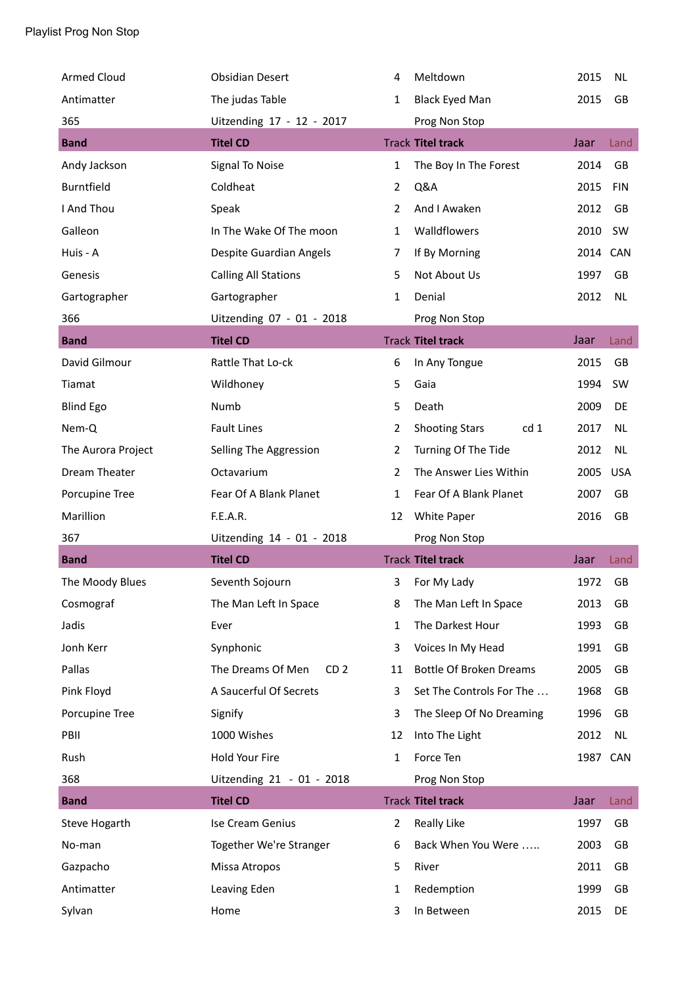| <b>Armed Cloud</b> | <b>Obsidian Desert</b>               | 4              | Meltdown                                 | 2015     | <b>NL</b>  |
|--------------------|--------------------------------------|----------------|------------------------------------------|----------|------------|
| Antimatter         | The judas Table                      | 1              | <b>Black Eyed Man</b>                    | 2015     | GB         |
| 365                | Uitzending 17 - 12 - 2017            |                | Prog Non Stop                            |          |            |
| <b>Band</b>        | <b>Titel CD</b>                      |                | <b>Track Titel track</b>                 | Jaar     | Land       |
| Andy Jackson       | Signal To Noise                      | 1              | The Boy In The Forest                    | 2014     | <b>GB</b>  |
| Burntfield         | Coldheat                             | 2              | Q&A                                      | 2015     | <b>FIN</b> |
| I And Thou         | Speak                                | 2              | And I Awaken                             | 2012     | GB         |
| Galleon            | In The Wake Of The moon              | 1              | Walldflowers                             | 2010     | SW         |
| Huis - A           | Despite Guardian Angels              | 7              | If By Morning                            | 2014 CAN |            |
| Genesis            | <b>Calling All Stations</b>          | 5              | Not About Us                             | 1997     | GB         |
| Gartographer       | Gartographer                         | 1              | Denial                                   | 2012     | <b>NL</b>  |
| 366                | Uitzending 07 - 01 - 2018            |                | Prog Non Stop                            |          |            |
| <b>Band</b>        | <b>Titel CD</b>                      |                | <b>Track Titel track</b>                 | Jaar     | Land       |
| David Gilmour      | Rattle That Lo-ck                    | 6              | In Any Tongue                            | 2015     | GB         |
| Tiamat             | Wildhoney                            | 5              | Gaia                                     | 1994     | <b>SW</b>  |
| <b>Blind Ego</b>   | Numb                                 | 5              | Death                                    | 2009     | DE         |
| Nem-Q              | <b>Fault Lines</b>                   | 2              | <b>Shooting Stars</b><br>cd <sub>1</sub> | 2017     | <b>NL</b>  |
| The Aurora Project | Selling The Aggression               | 2              | Turning Of The Tide                      | 2012     | <b>NL</b>  |
| Dream Theater      | Octavarium                           | $\overline{2}$ | The Answer Lies Within                   | 2005     | <b>USA</b> |
| Porcupine Tree     | Fear Of A Blank Planet               | 1              | Fear Of A Blank Planet                   | 2007     | GB         |
| Marillion          | F.E.A.R.                             | 12             | White Paper                              | 2016     | GB         |
|                    |                                      |                |                                          |          |            |
| 367                | Uitzending 14 - 01 - 2018            |                | Prog Non Stop                            |          |            |
| <b>Band</b>        | <b>Titel CD</b>                      |                | <b>Track Titel track</b>                 | Jaar     | Land       |
| The Moody Blues    | Seventh Sojourn                      | 3              | For My Lady                              | 1972     | GB         |
| Cosmograf          | The Man Left In Space                | 8              | The Man Left In Space                    | 2013     | GB         |
| Jadis              | Ever                                 | 1              | The Darkest Hour                         | 1993     | GB         |
| Jonh Kerr          | Synphonic                            | 3              | Voices In My Head                        | 1991     | GB         |
| Pallas             | The Dreams Of Men<br>CD <sub>2</sub> | 11             | <b>Bottle Of Broken Dreams</b>           | 2005     | GB         |
| Pink Floyd         | A Saucerful Of Secrets               | 3              | Set The Controls For The                 | 1968     | GB         |
| Porcupine Tree     | Signify                              | 3              | The Sleep Of No Dreaming                 | 1996     | GB         |
| PBII               | 1000 Wishes                          | 12             | Into The Light                           | 2012     | <b>NL</b>  |
| Rush               | Hold Your Fire                       | $\mathbf{1}$   | Force Ten                                | 1987 CAN |            |
| 368                | Uitzending 21 - 01 - 2018            |                | Prog Non Stop                            |          |            |
| <b>Band</b>        | <b>Titel CD</b>                      |                | <b>Track Titel track</b>                 | Jaar     | Land       |
| Steve Hogarth      | Ise Cream Genius                     | 2              | Really Like                              | 1997     | GB         |
| No-man             | Together We're Stranger              | 6              | Back When You Were                       | 2003     | GB         |
| Gazpacho           | Missa Atropos                        | 5              | River                                    | 2011     | GB         |
| Antimatter         | Leaving Eden                         | 1              | Redemption                               | 1999     | GB         |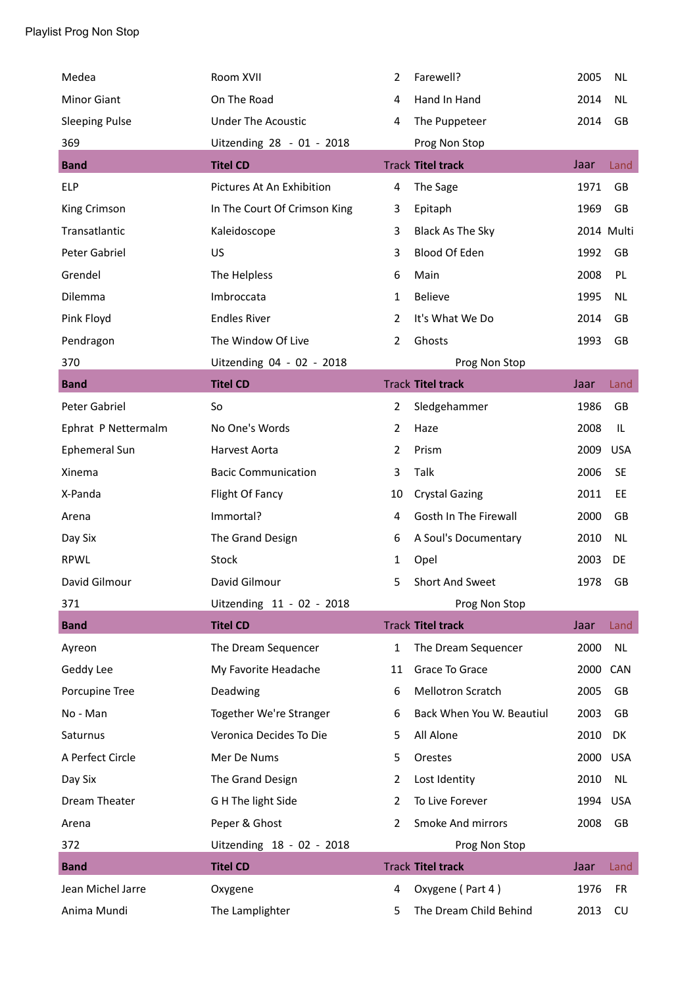| Medea                 | Room XVII                    | 2  | Farewell?                 | 2005     | <b>NL</b>  |
|-----------------------|------------------------------|----|---------------------------|----------|------------|
| <b>Minor Giant</b>    | On The Road                  | 4  | Hand In Hand              | 2014     | <b>NL</b>  |
| <b>Sleeping Pulse</b> | <b>Under The Acoustic</b>    | 4  | The Puppeteer             | 2014     | GB         |
| 369                   | Uitzending 28 - 01 - 2018    |    | Prog Non Stop             |          |            |
| <b>Band</b>           | <b>Titel CD</b>              |    | <b>Track Titel track</b>  | Jaar     | Land       |
| <b>ELP</b>            | Pictures At An Exhibition    | 4  | The Sage                  | 1971     | GB         |
| King Crimson          | In The Court Of Crimson King | 3  | Epitaph                   | 1969     | GB         |
| Transatlantic         | Kaleidoscope                 | 3  | Black As The Sky          |          | 2014 Multi |
| Peter Gabriel         | US                           | 3  | Blood Of Eden             | 1992     | GB         |
| Grendel               | The Helpless                 | 6  | Main                      | 2008     | PL         |
| Dilemma               | Imbroccata                   | 1  | Believe                   | 1995     | <b>NL</b>  |
| Pink Floyd            | <b>Endles River</b>          | 2  | It's What We Do           | 2014     | GB         |
| Pendragon             | The Window Of Live           | 2  | Ghosts                    | 1993     | GB         |
| 370                   | Uitzending 04 - 02 - 2018    |    | Prog Non Stop             |          |            |
| <b>Band</b>           | <b>Titel CD</b>              |    | <b>Track Titel track</b>  | Jaar     | Land       |
| Peter Gabriel         | So                           | 2  | Sledgehammer              | 1986     | GB         |
| Ephrat P Nettermalm   | No One's Words               | 2  | Haze                      | 2008     | IL         |
| Ephemeral Sun         | Harvest Aorta                | 2  | Prism                     | 2009     | <b>USA</b> |
| Xinema                | <b>Bacic Communication</b>   | 3  | Talk                      | 2006     | <b>SE</b>  |
| X-Panda               | Flight Of Fancy              | 10 | <b>Crystal Gazing</b>     | 2011     | EE         |
| Arena                 | Immortal?                    | 4  | Gosth In The Firewall     | 2000     | GB         |
| Day Six               | The Grand Design             | 6  | A Soul's Documentary      | 2010     | <b>NL</b>  |
| <b>RPWL</b>           | <b>Stock</b>                 | 1  | Opel                      | 2003     | DE         |
| David Gilmour         | David Gilmour                | 5  | <b>Short And Sweet</b>    | 1978     | GB         |
| 371                   | Uitzending 11 - 02 - 2018    |    | Prog Non Stop             |          |            |
| <b>Band</b>           | <b>Titel CD</b>              |    | <b>Track Titel track</b>  | Jaar     | Land       |
| Ayreon                | The Dream Sequencer          | 1  | The Dream Sequencer       | 2000     | <b>NL</b>  |
| Geddy Lee             | My Favorite Headache         | 11 | Grace To Grace            | 2000 CAN |            |
| Porcupine Tree        | Deadwing                     | 6  | <b>Mellotron Scratch</b>  | 2005     | GB         |
| No - Man              | Together We're Stranger      | 6  | Back When You W. Beautiul | 2003     | GB         |
| Saturnus              | Veronica Decides To Die      | 5. | All Alone                 | 2010     | DK         |
| A Perfect Circle      | Mer De Nums                  | 5  | Orestes                   | 2000 USA |            |
| Day Six               | The Grand Design             | 2  | Lost Identity             | 2010     | <b>NL</b>  |
| Dream Theater         | G H The light Side           | 2  | To Live Forever           | 1994     | <b>USA</b> |
| Arena                 | Peper & Ghost                | 2  | Smoke And mirrors         | 2008     | GB         |
| 372                   | Uitzending 18 - 02 - 2018    |    | Prog Non Stop             |          |            |
| <b>Band</b>           | <b>Titel CD</b>              |    | <b>Track Titel track</b>  | Jaar     | Land       |
| Jean Michel Jarre     | Oxygene                      | 4  | Oxygene (Part 4)          | 1976     | <b>FR</b>  |
| Anima Mundi           | The Lamplighter              | 5  | The Dream Child Behind    | 2013     | CU         |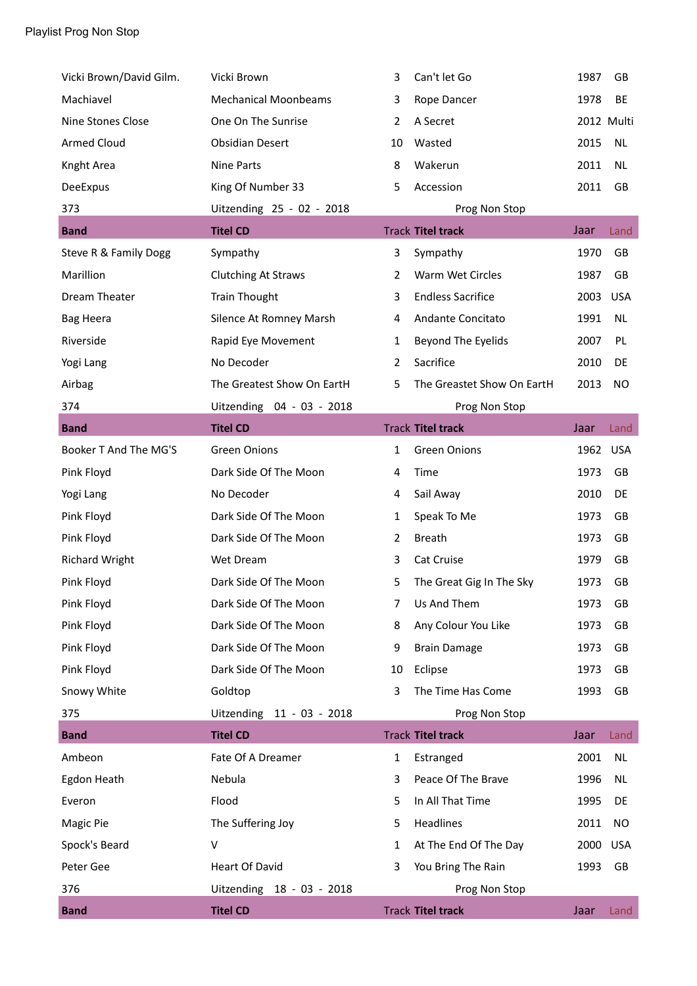| Vicki Brown/David Gilm. | Vicki Brown                 | 3              | Can't let Go               | 1987 | GB         |
|-------------------------|-----------------------------|----------------|----------------------------|------|------------|
| Machiavel               | <b>Mechanical Moonbeams</b> | 3              | Rope Dancer                | 1978 | BE         |
| Nine Stones Close       | One On The Sunrise          | 2              | A Secret                   |      | 2012 Multi |
| <b>Armed Cloud</b>      | <b>Obsidian Desert</b>      | 10             | Wasted                     | 2015 | <b>NL</b>  |
| Knght Area              | Nine Parts                  | 8              | Wakerun                    | 2011 | <b>NL</b>  |
| DeeExpus                | King Of Number 33           | 5              | Accession                  | 2011 | GB         |
| 373                     | Uitzending 25 - 02 - 2018   |                | Prog Non Stop              |      |            |
| <b>Band</b>             | <b>Titel CD</b>             |                | <b>Track Titel track</b>   | Jaar | Land       |
| Steve R & Family Dogg   | Sympathy                    | 3              | Sympathy                   | 1970 | GB         |
| Marillion               | <b>Clutching At Straws</b>  | $\overline{2}$ | Warm Wet Circles           | 1987 | GB         |
| Dream Theater           | <b>Train Thought</b>        | 3              | <b>Endless Sacrifice</b>   | 2003 | <b>USA</b> |
| <b>Bag Heera</b>        | Silence At Romney Marsh     | 4              | Andante Concitato          | 1991 | <b>NL</b>  |
| Riverside               | Rapid Eye Movement          | 1              | Beyond The Eyelids         | 2007 | PL         |
| Yogi Lang               | No Decoder                  | 2              | Sacrifice                  | 2010 | DE         |
| Airbag                  | The Greatest Show On EartH  | 5              | The Greastet Show On EartH | 2013 | <b>NO</b>  |
| 374                     | Uitzending 04 - 03 - 2018   |                | Prog Non Stop              |      |            |
| <b>Band</b>             | <b>Titel CD</b>             |                | <b>Track Titel track</b>   | Jaar | Land       |
| Booker T And The MG'S   | <b>Green Onions</b>         | 1              | <b>Green Onions</b>        | 1962 | <b>USA</b> |
| Pink Floyd              | Dark Side Of The Moon       | 4              | Time                       | 1973 | GB         |
| Yogi Lang               | No Decoder                  | 4              | Sail Away                  | 2010 | DE         |
| Pink Floyd              | Dark Side Of The Moon       | 1              | Speak To Me                | 1973 | GB         |
| Pink Floyd              | Dark Side Of The Moon       | 2              | <b>Breath</b>              | 1973 | GB         |
| <b>Richard Wright</b>   | Wet Dream                   | 3              | Cat Cruise                 | 1979 | GB         |
| Pink Floyd              | Dark Side Of The Moon       | 5              | The Great Gig In The Sky   | 1973 | GB         |
| Pink Floyd              | Dark Side Of The Moon       | 7              | Us And Them                | 1973 | GB         |
| Pink Floyd              | Dark Side Of The Moon       | 8              | Any Colour You Like        | 1973 | GB         |
| Pink Floyd              | Dark Side Of The Moon       | 9              | <b>Brain Damage</b>        | 1973 | GB         |
| Pink Floyd              | Dark Side Of The Moon       | 10             | Eclipse                    | 1973 | GB         |
| Snowy White             | Goldtop                     | 3              | The Time Has Come          | 1993 | GB         |
| 375                     | Uitzending 11 - 03 - 2018   |                | Prog Non Stop              |      |            |
| <b>Band</b>             | <b>Titel CD</b>             |                | <b>Track Titel track</b>   | Jaar | Land       |
| Ambeon                  | Fate Of A Dreamer           | 1              | Estranged                  | 2001 | <b>NL</b>  |
| Egdon Heath             | Nebula                      | 3              | Peace Of The Brave         | 1996 | <b>NL</b>  |
| Everon                  | Flood                       | 5              | In All That Time           | 1995 | DE         |
| Magic Pie               | The Suffering Joy           | 5.             | Headlines                  | 2011 | <b>NO</b>  |
| Spock's Beard           | V                           | 1              | At The End Of The Day      | 2000 | <b>USA</b> |
| Peter Gee               | <b>Heart Of David</b>       | 3              | You Bring The Rain         | 1993 | GB         |
| 376                     | Uitzending 18 - 03 - 2018   |                | Prog Non Stop              |      |            |
| <b>Band</b>             | <b>Titel CD</b>             |                | <b>Track Titel track</b>   | Jaar | Land       |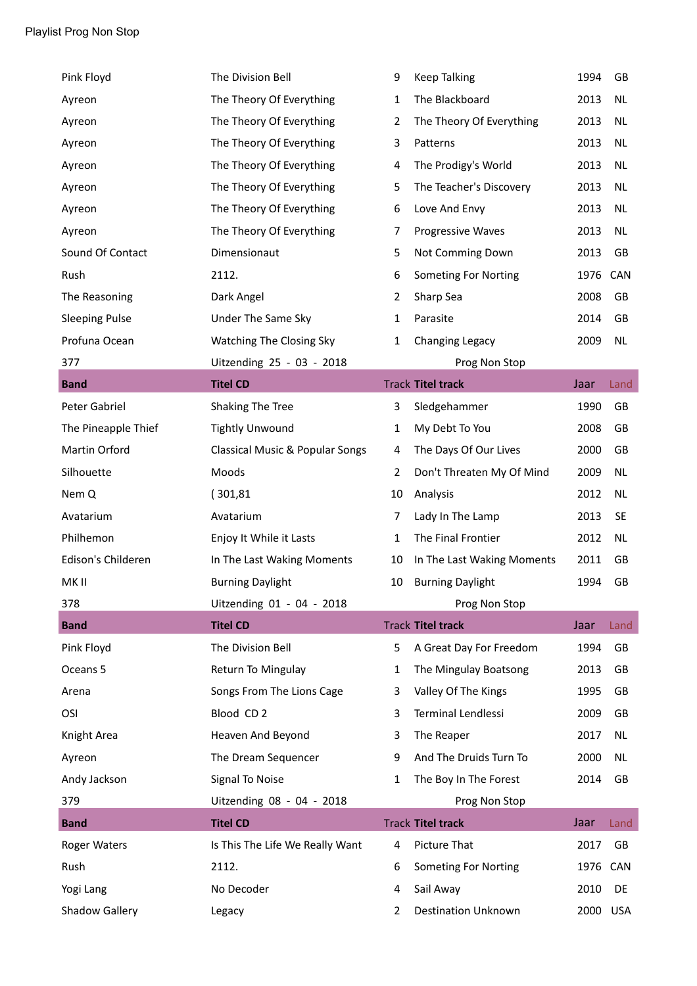| Pink Floyd            | The Division Bell                          | 9              | <b>Keep Talking</b>         | 1994 | GB        |
|-----------------------|--------------------------------------------|----------------|-----------------------------|------|-----------|
| Ayreon                | The Theory Of Everything                   | $\mathbf{1}$   | The Blackboard              | 2013 | <b>NL</b> |
| Ayreon                | The Theory Of Everything                   | 2              | The Theory Of Everything    | 2013 | <b>NL</b> |
| Ayreon                | The Theory Of Everything                   | 3              | Patterns                    | 2013 | <b>NL</b> |
| Ayreon                | The Theory Of Everything                   | 4              | The Prodigy's World         | 2013 | <b>NL</b> |
| Ayreon                | The Theory Of Everything                   | 5              | The Teacher's Discovery     | 2013 | <b>NL</b> |
| Ayreon                | The Theory Of Everything                   | 6              | Love And Envy               | 2013 | <b>NL</b> |
| Ayreon                | The Theory Of Everything                   | 7              | Progressive Waves           | 2013 | <b>NL</b> |
| Sound Of Contact      | Dimensionaut                               | 5              | Not Comming Down            | 2013 | GB        |
| Rush                  | 2112.                                      | 6              | <b>Someting For Norting</b> | 1976 | CAN       |
| The Reasoning         | Dark Angel                                 | $\overline{2}$ | Sharp Sea                   | 2008 | GB        |
| <b>Sleeping Pulse</b> | Under The Same Sky                         | $\mathbf{1}$   | Parasite                    | 2014 | GB        |
| Profuna Ocean         | Watching The Closing Sky                   | 1              | Changing Legacy             | 2009 | NL        |
| 377                   | Uitzending 25 - 03 - 2018                  |                | Prog Non Stop               |      |           |
| <b>Band</b>           | <b>Titel CD</b>                            |                | <b>Track Titel track</b>    | Jaar | Land      |
| Peter Gabriel         | Shaking The Tree                           | 3              | Sledgehammer                | 1990 | GB        |
| The Pineapple Thief   | <b>Tightly Unwound</b>                     | $\mathbf{1}$   | My Debt To You              | 2008 | GB        |
| Martin Orford         | <b>Classical Music &amp; Popular Songs</b> | 4              | The Days Of Our Lives       | 2000 | GB        |
| Silhouette            | Moods                                      | $\overline{2}$ | Don't Threaten My Of Mind   | 2009 | <b>NL</b> |
| Nem Q                 | (301, 81)                                  | 10             | Analysis                    | 2012 | <b>NL</b> |
| Avatarium             | Avatarium                                  | 7              | Lady In The Lamp            | 2013 | <b>SE</b> |
| Philhemon             | Enjoy It While it Lasts                    | 1              | The Final Frontier          | 2012 | <b>NL</b> |
| Edison's Childeren    | In The Last Waking Moments                 | 10             | In The Last Waking Moments  | 2011 | GB        |
| MK II                 | <b>Burning Daylight</b>                    | 10             | <b>Burning Daylight</b>     | 1994 | GB        |
| 378                   | Uitzending 01 - 04 - 2018                  |                | Prog Non Stop               |      |           |
| <b>Band</b>           | <b>Titel CD</b>                            |                | <b>Track Titel track</b>    | Jaar | Land      |
| Pink Floyd            | The Division Bell                          | 5              | A Great Day For Freedom     | 1994 | GB        |
| Oceans 5              | Return To Mingulay                         | 1              | The Mingulay Boatsong       | 2013 | GB        |
| Arena                 | Songs From The Lions Cage                  | 3              | Valley Of The Kings         | 1995 | GB        |
| OSI                   | Blood CD <sub>2</sub>                      | 3              | Terminal Lendlessi          | 2009 | GB        |
| Knight Area           | Heaven And Beyond                          | 3              | The Reaper                  | 2017 | <b>NL</b> |
| Ayreon                | The Dream Sequencer                        | 9              | And The Druids Turn To      | 2000 | <b>NL</b> |
| Andy Jackson          | Signal To Noise                            | $\mathbf{1}$   | The Boy In The Forest       | 2014 | GB        |
| 379                   | Uitzending 08 - 04 - 2018                  |                | Prog Non Stop               |      |           |
| <b>Band</b>           | <b>Titel CD</b>                            |                | <b>Track Titel track</b>    | Jaar | Land      |
| <b>Roger Waters</b>   | Is This The Life We Really Want            | 4              | Picture That                | 2017 | GB        |
| Rush                  | 2112.                                      | 6              | <b>Someting For Norting</b> | 1976 | CAN       |
| Yogi Lang             | No Decoder                                 | 4              | Sail Away                   | 2010 | DE        |
| <b>Shadow Gallery</b> | Legacy                                     | 2              | <b>Destination Unknown</b>  | 2000 | USA       |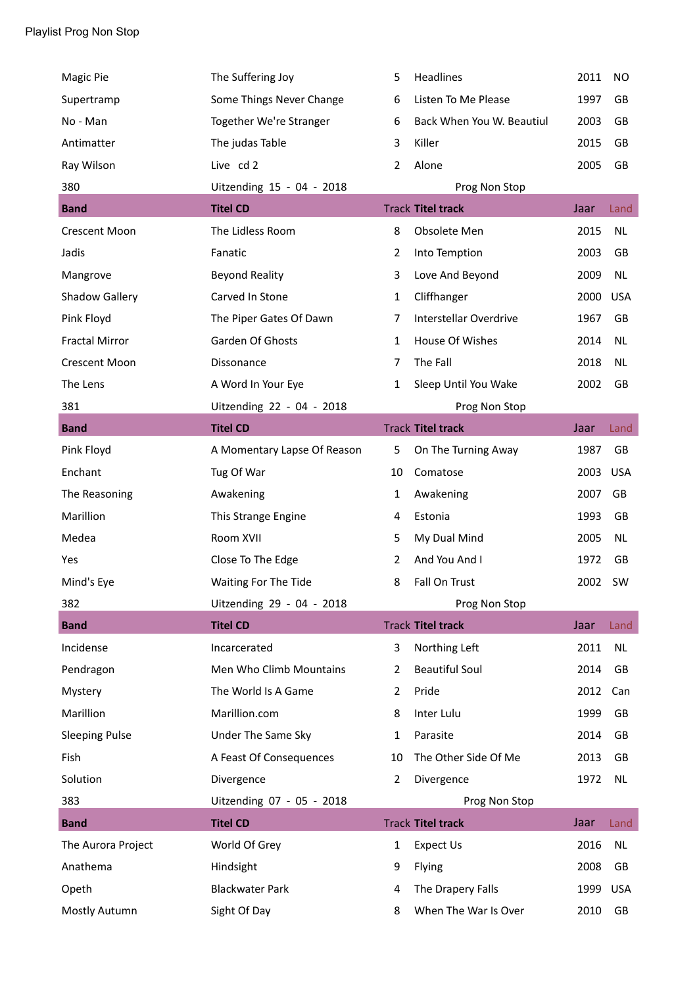| Magic Pie             | The Suffering Joy           | 5              | Headlines                 | 2011 | NO         |
|-----------------------|-----------------------------|----------------|---------------------------|------|------------|
| Supertramp            | Some Things Never Change    | 6              | Listen To Me Please       | 1997 | GB         |
| No - Man              | Together We're Stranger     | 6              | Back When You W. Beautiul | 2003 | GB         |
| Antimatter            | The judas Table             | 3              | Killer                    | 2015 | GB         |
| Ray Wilson            | Live cd 2                   | 2              | Alone                     | 2005 | GB         |
| 380                   | Uitzending 15 - 04 - 2018   |                | Prog Non Stop             |      |            |
| <b>Band</b>           | <b>Titel CD</b>             |                | <b>Track Titel track</b>  | Jaar | Land       |
| <b>Crescent Moon</b>  | The Lidless Room            | 8              | Obsolete Men              | 2015 | <b>NL</b>  |
| Jadis                 | Fanatic                     | $\overline{2}$ | Into Temption             | 2003 | GB         |
| Mangrove              | <b>Beyond Reality</b>       | 3              | Love And Beyond           | 2009 | <b>NL</b>  |
| Shadow Gallery        | Carved In Stone             | $\mathbf{1}$   | Cliffhanger               | 2000 | <b>USA</b> |
| Pink Floyd            | The Piper Gates Of Dawn     | 7              | Interstellar Overdrive    | 1967 | GB         |
| <b>Fractal Mirror</b> | Garden Of Ghosts            | 1              | House Of Wishes           | 2014 | <b>NL</b>  |
| <b>Crescent Moon</b>  | Dissonance                  | 7              | The Fall                  | 2018 | <b>NL</b>  |
| The Lens              | A Word In Your Eye          | 1              | Sleep Until You Wake      | 2002 | GB         |
| 381                   | Uitzending 22 - 04 - 2018   |                | Prog Non Stop             |      |            |
| <b>Band</b>           | <b>Titel CD</b>             |                | <b>Track Titel track</b>  | Jaar | Land       |
| Pink Floyd            | A Momentary Lapse Of Reason | 5              | On The Turning Away       | 1987 | GB         |
| Enchant               | Tug Of War                  | 10             | Comatose                  | 2003 | <b>USA</b> |
| The Reasoning         | Awakening                   | 1              | Awakening                 | 2007 | GB         |
| Marillion             | This Strange Engine         | 4              | Estonia                   | 1993 | GB         |
| Medea                 | Room XVII                   | 5              | My Dual Mind              | 2005 | <b>NL</b>  |
| Yes                   | Close To The Edge           | 2              | And You And I             | 1972 | GB         |
| Mind's Eye            | Waiting For The Tide        | 8              | Fall On Trust             | 2002 | SW         |
| 382                   | Uitzending 29 - 04 - 2018   |                | Prog Non Stop             |      |            |
| <b>Band</b>           | <b>Titel CD</b>             |                | <b>Track Titel track</b>  | Jaar | Land       |
| Incidense             | Incarcerated                | 3              | Northing Left             | 2011 | <b>NL</b>  |
| Pendragon             | Men Who Climb Mountains     | 2              | <b>Beautiful Soul</b>     | 2014 | GB         |
| Mystery               | The World Is A Game         | 2              | Pride                     | 2012 | Can        |
| Marillion             | Marillion.com               | 8              | Inter Lulu                | 1999 | GB         |
| <b>Sleeping Pulse</b> | <b>Under The Same Sky</b>   | 1              | Parasite                  | 2014 | GB         |
| Fish                  | A Feast Of Consequences     | 10             | The Other Side Of Me      | 2013 | GB         |
| Solution              | Divergence                  | 2              | Divergence                | 1972 | <b>NL</b>  |
| 383                   | Uitzending 07 - 05 - 2018   |                | Prog Non Stop             |      |            |
| <b>Band</b>           | <b>Titel CD</b>             |                | <b>Track Titel track</b>  | Jaar | Land       |
| The Aurora Project    | World Of Grey               | $\mathbf{1}$   | Expect Us                 | 2016 | <b>NL</b>  |
| Anathema              | Hindsight                   | 9              | Flying                    | 2008 | GB         |
| Opeth                 | <b>Blackwater Park</b>      | 4              | The Drapery Falls         | 1999 | <b>USA</b> |
| Mostly Autumn         | Sight Of Day                | 8              | When The War Is Over      | 2010 | GB         |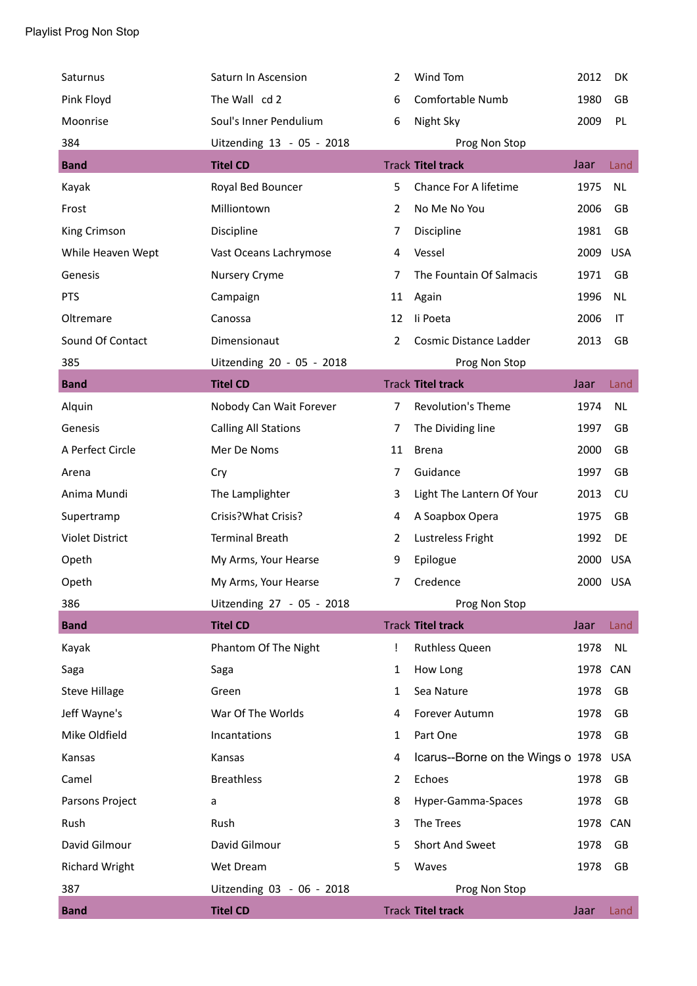| Saturnus               | Saturn In Ascension         | 2              | Wind Tom                          | 2012     | <b>DK</b>  |
|------------------------|-----------------------------|----------------|-----------------------------------|----------|------------|
| Pink Floyd             | The Wall cd 2               | 6              | Comfortable Numb                  | 1980     | GB         |
| Moonrise               | Soul's Inner Pendulium      | 6              | Night Sky                         | 2009     | PL         |
| 384                    | Uitzending 13 - 05 - 2018   |                | Prog Non Stop                     |          |            |
| <b>Band</b>            | <b>Titel CD</b>             |                | <b>Track Titel track</b>          | Jaar     | Land       |
| Kayak                  | Royal Bed Bouncer           | 5              | Chance For A lifetime             | 1975     | <b>NL</b>  |
| Frost                  | Milliontown                 | 2              | No Me No You                      | 2006     | GB         |
| King Crimson           | Discipline                  | $\overline{7}$ | Discipline                        | 1981     | GB         |
| While Heaven Wept      | Vast Oceans Lachrymose      | 4              | Vessel                            | 2009     | <b>USA</b> |
| Genesis                | Nursery Cryme               | 7              | The Fountain Of Salmacis          | 1971     | <b>GB</b>  |
| <b>PTS</b>             | Campaign                    | 11             | Again                             | 1996     | <b>NL</b>  |
| Oltremare              | Canossa                     | 12             | li Poeta                          | 2006     | IT         |
| Sound Of Contact       | Dimensionaut                | $\overline{2}$ | Cosmic Distance Ladder            | 2013     | GB         |
| 385                    | Uitzending 20 - 05 - 2018   |                | Prog Non Stop                     |          |            |
| <b>Band</b>            | <b>Titel CD</b>             |                | <b>Track Titel track</b>          | Jaar     | Land       |
| Alquin                 | Nobody Can Wait Forever     | $\overline{7}$ | <b>Revolution's Theme</b>         | 1974     | <b>NL</b>  |
| Genesis                | <b>Calling All Stations</b> | 7              | The Dividing line                 | 1997     | GB         |
| A Perfect Circle       | Mer De Noms                 | 11             | <b>Brena</b>                      | 2000     | GB         |
| Arena                  | Cry                         | 7              | Guidance                          | 1997     | GB         |
| Anima Mundi            | The Lamplighter             | 3              | Light The Lantern Of Your         | 2013     | CU         |
| Supertramp             | Crisis?What Crisis?         | 4              | A Soapbox Opera                   | 1975     | GB         |
| <b>Violet District</b> | <b>Terminal Breath</b>      | 2              | Lustreless Fright                 | 1992     | DE         |
| Opeth                  | My Arms, Your Hearse        | 9              | Epilogue                          | 2000     | <b>USA</b> |
| Opeth                  | My Arms, Your Hearse        | 7              | Credence                          | 2000 USA |            |
| 386                    | Uitzending 27 - 05 - 2018   |                | Prog Non Stop                     |          |            |
| <b>Band</b>            | <b>Titel CD</b>             |                | <b>Track Titel track</b>          | Jaar     | Land       |
| Kayak                  | Phantom Of The Night        | Ţ              | <b>Ruthless Queen</b>             | 1978     | <b>NL</b>  |
| Saga                   | Saga                        | 1              | How Long                          | 1978     | CAN        |
| <b>Steve Hillage</b>   | Green                       | 1              | Sea Nature                        | 1978     | GB         |
| Jeff Wayne's           | War Of The Worlds           | 4              | Forever Autumn                    | 1978     | GB         |
| Mike Oldfield          | Incantations                | 1              | Part One                          | 1978     | GB         |
| Kansas                 | Kansas                      | 4              | Icarus--Borne on the Wings o 1978 |          | <b>USA</b> |
| Camel                  | <b>Breathless</b>           | 2              | Echoes                            | 1978     | GB         |
| Parsons Project        | a                           | 8              | Hyper-Gamma-Spaces                | 1978     | GB         |
| Rush                   | Rush                        | 3              | The Trees                         | 1978     | CAN        |
| David Gilmour          | David Gilmour               | 5              | Short And Sweet                   | 1978     | GB         |
| <b>Richard Wright</b>  | Wet Dream                   | 5              | Waves                             | 1978     | GB         |
| 387                    | Uitzending 03 - 06 - 2018   |                | Prog Non Stop                     |          |            |
| <b>Band</b>            | <b>Titel CD</b>             |                | <b>Track Titel track</b>          | Jaar     | Land       |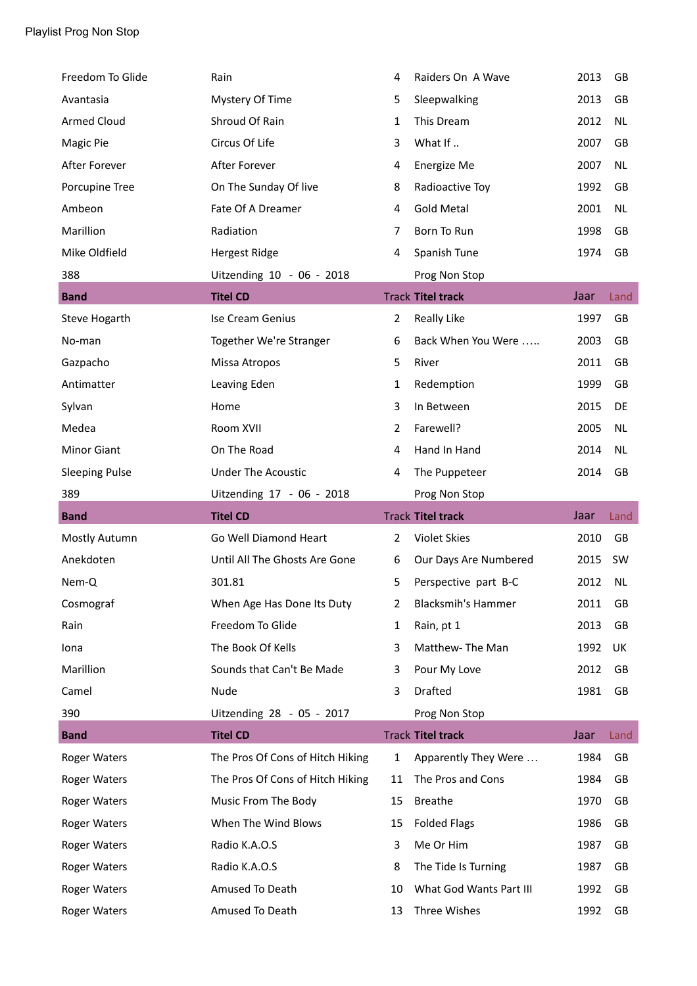| Freedom To Glide      | Rain                             | 4              | Raiders On A Wave         | 2013 | GB        |
|-----------------------|----------------------------------|----------------|---------------------------|------|-----------|
| Avantasia             | Mystery Of Time                  | 5              | Sleepwalking              | 2013 | GB        |
| <b>Armed Cloud</b>    | Shroud Of Rain                   | 1              | This Dream                | 2012 | <b>NL</b> |
| Magic Pie             | Circus Of Life                   | 3              | What If                   | 2007 | GB        |
| After Forever         | After Forever                    | 4              | Energize Me               | 2007 | <b>NL</b> |
| Porcupine Tree        | On The Sunday Of live            | 8              | Radioactive Toy           | 1992 | GB        |
| Ambeon                | Fate Of A Dreamer                | 4              | <b>Gold Metal</b>         | 2001 | <b>NL</b> |
| Marillion             | Radiation                        | 7              | Born To Run               | 1998 | GB        |
| Mike Oldfield         | <b>Hergest Ridge</b>             | 4              | Spanish Tune              | 1974 | GB        |
| 388                   | Uitzending 10 - 06 - 2018        |                | Prog Non Stop             |      |           |
| <b>Band</b>           | <b>Titel CD</b>                  |                | <b>Track Titel track</b>  | Jaar | Land      |
| Steve Hogarth         | Ise Cream Genius                 | $\overline{2}$ | <b>Really Like</b>        | 1997 | GB        |
| No-man                | Together We're Stranger          | 6              | Back When You Were        | 2003 | GB        |
| Gazpacho              | Missa Atropos                    | 5              | River                     | 2011 | GB        |
| Antimatter            | Leaving Eden                     | $\mathbf{1}$   | Redemption                | 1999 | GB        |
| Sylvan                | Home                             | 3              | In Between                | 2015 | DE        |
| Medea                 | Room XVII                        | $\overline{2}$ | Farewell?                 | 2005 | <b>NL</b> |
| <b>Minor Giant</b>    | On The Road                      | 4              | Hand In Hand              | 2014 | <b>NL</b> |
| <b>Sleeping Pulse</b> | <b>Under The Acoustic</b>        | 4              | The Puppeteer             | 2014 | GB        |
|                       |                                  |                |                           |      |           |
| 389                   | Uitzending 17 - 06 - 2018        |                | Prog Non Stop             |      |           |
| <b>Band</b>           | <b>Titel CD</b>                  |                | <b>Track Titel track</b>  | Jaar | Land      |
| Mostly Autumn         | Go Well Diamond Heart            | $\overline{2}$ | <b>Violet Skies</b>       | 2010 | GB        |
| Anekdoten             | Until All The Ghosts Are Gone    | 6              | Our Days Are Numbered     | 2015 | SW        |
| Nem-Q                 | 301.81                           | 5              | Perspective part B-C      | 2012 | <b>NL</b> |
| Cosmograf             | When Age Has Done Its Duty       | 2              | <b>Blacksmih's Hammer</b> | 2011 | GB        |
| Rain                  | Freedom To Glide                 | 1              | Rain, pt 1                | 2013 | GB        |
| Iona                  | The Book Of Kells                | 3              | Matthew-The Man           | 1992 | UK        |
| Marillion             | Sounds that Can't Be Made        | 3              | Pour My Love              | 2012 | GB        |
| Camel                 | Nude                             | 3              | Drafted                   | 1981 | GB        |
| 390                   | Uitzending 28 - 05 - 2017        |                | Prog Non Stop             |      |           |
| <b>Band</b>           | <b>Titel CD</b>                  |                | <b>Track Titel track</b>  | Jaar | Land      |
| <b>Roger Waters</b>   | The Pros Of Cons of Hitch Hiking | $\mathbf{1}$   | Apparently They Were      | 1984 | GB        |
| <b>Roger Waters</b>   | The Pros Of Cons of Hitch Hiking | 11             | The Pros and Cons         | 1984 | GB        |
| <b>Roger Waters</b>   | Music From The Body              | 15             | <b>Breathe</b>            | 1970 | GB        |
| <b>Roger Waters</b>   | When The Wind Blows              | 15             | <b>Folded Flags</b>       | 1986 | GB        |
| <b>Roger Waters</b>   | Radio K.A.O.S                    | 3              | Me Or Him                 | 1987 | GB        |
| <b>Roger Waters</b>   | Radio K.A.O.S                    | 8              | The Tide Is Turning       | 1987 | GB        |
| <b>Roger Waters</b>   | Amused To Death                  | 10             | What God Wants Part III   | 1992 | GB        |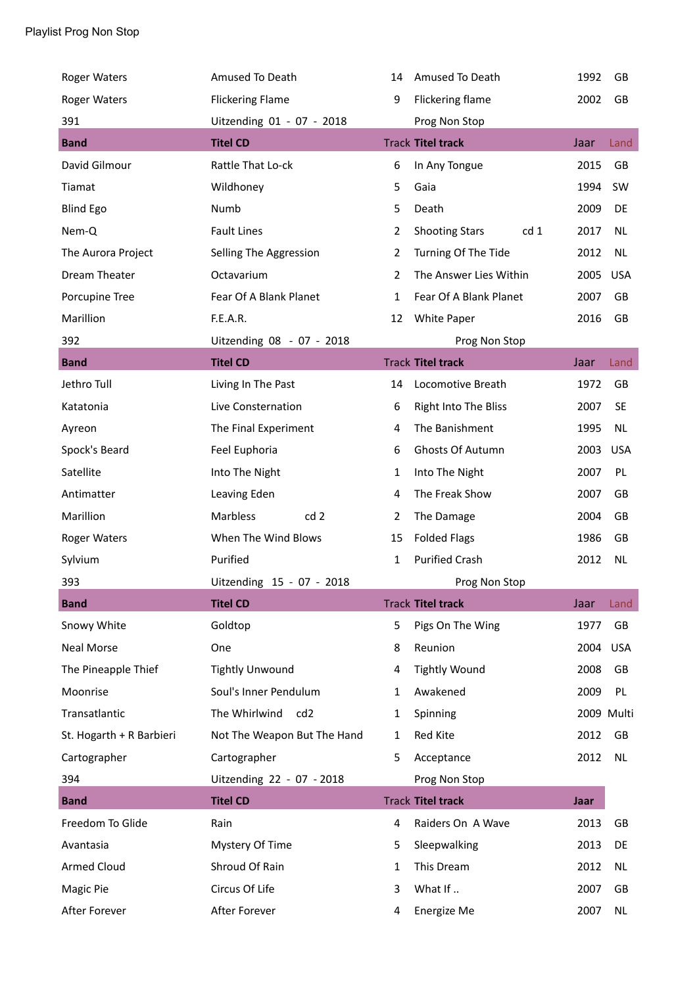| <b>Roger Waters</b>      | Amused To Death                  | 14           | Amused To Death                          | 1992 | GB         |
|--------------------------|----------------------------------|--------------|------------------------------------------|------|------------|
| <b>Roger Waters</b>      | <b>Flickering Flame</b>          | 9            | Flickering flame                         | 2002 | GB         |
| 391                      | Uitzending 01 - 07 - 2018        |              | Prog Non Stop                            |      |            |
| <b>Band</b>              | <b>Titel CD</b>                  |              | <b>Track Titel track</b>                 | Jaar | Land       |
| David Gilmour            | Rattle That Lo-ck                | 6            | In Any Tongue                            | 2015 | GB         |
| Tiamat                   | Wildhoney                        | 5            | Gaia                                     | 1994 | SW         |
| <b>Blind Ego</b>         | Numb                             | 5            | Death                                    | 2009 | DE         |
| Nem-Q                    | <b>Fault Lines</b>               | 2            | <b>Shooting Stars</b><br>cd <sub>1</sub> | 2017 | <b>NL</b>  |
| The Aurora Project       | Selling The Aggression           | 2            | Turning Of The Tide                      | 2012 | <b>NL</b>  |
| Dream Theater            | Octavarium                       | 2            | The Answer Lies Within                   | 2005 | <b>USA</b> |
| Porcupine Tree           | Fear Of A Blank Planet           | $\mathbf{1}$ | Fear Of A Blank Planet                   | 2007 | GB         |
| Marillion                | F.E.A.R.                         | 12           | White Paper                              | 2016 | GB         |
| 392                      | Uitzending 08 - 07 - 2018        |              | Prog Non Stop                            |      |            |
| <b>Band</b>              | <b>Titel CD</b>                  |              | <b>Track Titel track</b>                 | Jaar | Land       |
| Jethro Tull              | Living In The Past               | 14           | Locomotive Breath                        | 1972 | GB         |
| Katatonia                | Live Consternation               | 6            | Right Into The Bliss                     | 2007 | <b>SE</b>  |
| Ayreon                   | The Final Experiment             | 4            | The Banishment                           | 1995 | NL         |
| Spock's Beard            | Feel Euphoria                    | 6            | Ghosts Of Autumn                         | 2003 | <b>USA</b> |
| Satellite                | Into The Night                   | $\mathbf{1}$ | Into The Night                           | 2007 | PL         |
| Antimatter               | Leaving Eden                     | 4            | The Freak Show                           | 2007 | GB         |
| Marillion                | Marbless<br>cd <sub>2</sub>      | 2            | The Damage                               | 2004 | GB         |
| <b>Roger Waters</b>      | When The Wind Blows              | 15           | <b>Folded Flags</b>                      | 1986 | GB         |
| Sylvium                  | Purified                         | 1            | <b>Purified Crash</b>                    | 2012 | <b>NL</b>  |
| 393                      | Uitzending 15 - 07 - 2018        |              | Prog Non Stop                            |      |            |
| <b>Band</b>              | <b>Titel CD</b>                  |              | <b>Track Titel track</b>                 | Jaar | Land       |
| Snowy White              | Goldtop                          | 5            | Pigs On The Wing                         | 1977 | GB         |
| <b>Neal Morse</b>        | One                              | 8            | Reunion                                  | 2004 | <b>USA</b> |
| The Pineapple Thief      | <b>Tightly Unwound</b>           | 4            | <b>Tightly Wound</b>                     | 2008 | GB         |
| Moonrise                 | Soul's Inner Pendulum            | 1            | Awakened                                 | 2009 | PL         |
| Transatlantic            | The Whirlwind<br>cd <sub>2</sub> | 1            | Spinning                                 |      | 2009 Multi |
| St. Hogarth + R Barbieri | Not The Weapon But The Hand      | $\mathbf{1}$ | Red Kite                                 | 2012 | GB         |
| Cartographer             | Cartographer                     | 5            | Acceptance                               | 2012 | NL         |
| 394                      | Uitzending 22 - 07 - 2018        |              | Prog Non Stop                            |      |            |
| <b>Band</b>              | <b>Titel CD</b>                  |              | <b>Track Titel track</b>                 | Jaar |            |
| Freedom To Glide         | Rain                             | 4            | Raiders On A Wave                        | 2013 | GB         |
| Avantasia                | Mystery Of Time                  | 5            | Sleepwalking                             | 2013 | DE         |
| <b>Armed Cloud</b>       | Shroud Of Rain                   | 1            | This Dream                               | 2012 | NL         |
| Magic Pie                | Circus Of Life                   | 3            | What If                                  | 2007 | GB         |
| After Forever            | After Forever                    | 4            | Energize Me                              | 2007 | <b>NL</b>  |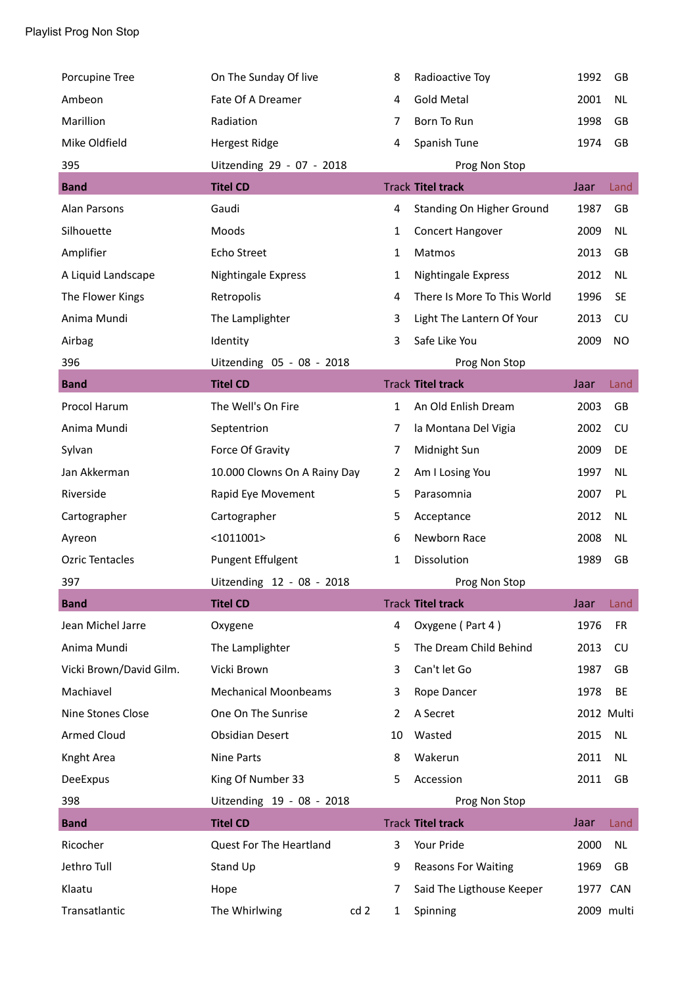| Porcupine Tree          | On The Sunday Of live        | 8                               | Radioactive Toy             | 1992     | GB         |
|-------------------------|------------------------------|---------------------------------|-----------------------------|----------|------------|
| Ambeon                  | Fate Of A Dreamer            | 4                               | <b>Gold Metal</b>           | 2001     | <b>NL</b>  |
| Marillion               | Radiation                    | 7                               | Born To Run                 | 1998     | GB         |
| Mike Oldfield           | <b>Hergest Ridge</b>         | 4                               | Spanish Tune                | 1974     | GB         |
| 395                     | Uitzending 29 - 07 - 2018    |                                 | Prog Non Stop               |          |            |
| <b>Band</b>             | <b>Titel CD</b>              |                                 | <b>Track Titel track</b>    | Jaar     | Land       |
| Alan Parsons            | Gaudi                        | 4                               | Standing On Higher Ground   | 1987     | GB         |
| Silhouette              | Moods                        | $\mathbf{1}$                    | Concert Hangover            | 2009     | NL         |
| Amplifier               | Echo Street                  | $\mathbf{1}$                    | Matmos                      | 2013     | GB         |
| A Liquid Landscape      | Nightingale Express          | $\mathbf{1}$                    | Nightingale Express         | 2012     | <b>NL</b>  |
| The Flower Kings        | Retropolis                   | 4                               | There Is More To This World | 1996     | <b>SE</b>  |
| Anima Mundi             | The Lamplighter              | 3                               | Light The Lantern Of Your   | 2013     | CU         |
| Airbag                  | Identity                     | 3                               | Safe Like You               | 2009     | NO.        |
| 396                     | Uitzending 05 - 08 - 2018    |                                 | Prog Non Stop               |          |            |
| <b>Band</b>             | <b>Titel CD</b>              |                                 | <b>Track Titel track</b>    | Jaar     | Land       |
| Procol Harum            | The Well's On Fire           | $\mathbf{1}$                    | An Old Enlish Dream         | 2003     | GB         |
| Anima Mundi             | Septentrion                  | $\overline{7}$                  | la Montana Del Vigia        | 2002     | CU         |
| Sylvan                  | Force Of Gravity             | 7                               | Midnight Sun                | 2009     | DE         |
| Jan Akkerman            | 10.000 Clowns On A Rainy Day | $\overline{2}$                  | Am I Losing You             | 1997     | NL         |
| Riverside               | Rapid Eye Movement           | 5                               | Parasomnia                  | 2007     | PL         |
| Cartographer            | Cartographer                 | 5                               | Acceptance                  | 2012     | <b>NL</b>  |
| Ayreon                  | $<$ 1011001>                 | 6                               | Newborn Race                | 2008     | NL         |
| <b>Ozric Tentacles</b>  | <b>Pungent Effulgent</b>     | 1                               | Dissolution                 | 1989     | GB         |
| 397                     | Uitzending 12 - 08 - 2018    |                                 | Prog Non Stop               |          |            |
| <b>Band</b>             | <b>Titel CD</b>              |                                 | <b>Track Titel track</b>    | Jaar     | Land       |
| Jean Michel Jarre       | Oxygene                      | 4                               | Oxygene (Part 4)            | 1976     | <b>FR</b>  |
| Anima Mundi             | The Lamplighter              | 5                               | The Dream Child Behind      | 2013     | CU         |
| Vicki Brown/David Gilm. | Vicki Brown                  | 3                               | Can't let Go                | 1987     | GB         |
| Machiavel               | <b>Mechanical Moonbeams</b>  | 3                               | Rope Dancer                 | 1978     | BE         |
| Nine Stones Close       | One On The Sunrise           | 2                               | A Secret                    |          | 2012 Multi |
| <b>Armed Cloud</b>      | <b>Obsidian Desert</b>       | 10                              | Wasted                      | 2015     | <b>NL</b>  |
| Knght Area              | Nine Parts                   | 8                               | Wakerun                     | 2011     | NL         |
| DeeExpus                | King Of Number 33            | 5                               | Accession                   | 2011     | GB         |
| 398                     | Uitzending 19 - 08 - 2018    |                                 | Prog Non Stop               |          |            |
| <b>Band</b>             | <b>Titel CD</b>              |                                 | <b>Track Titel track</b>    | Jaar     | Land       |
| Ricocher                | Quest For The Heartland      | 3                               | Your Pride                  | 2000     | <b>NL</b>  |
| Jethro Tull             | Stand Up                     | 9                               | <b>Reasons For Waiting</b>  | 1969     | GB         |
| Klaatu                  | Hope                         | 7                               | Said The Ligthouse Keeper   | 1977 CAN |            |
| Transatlantic           | The Whirlwing                | cd <sub>2</sub><br>$\mathbf{1}$ | Spinning                    |          | 2009 multi |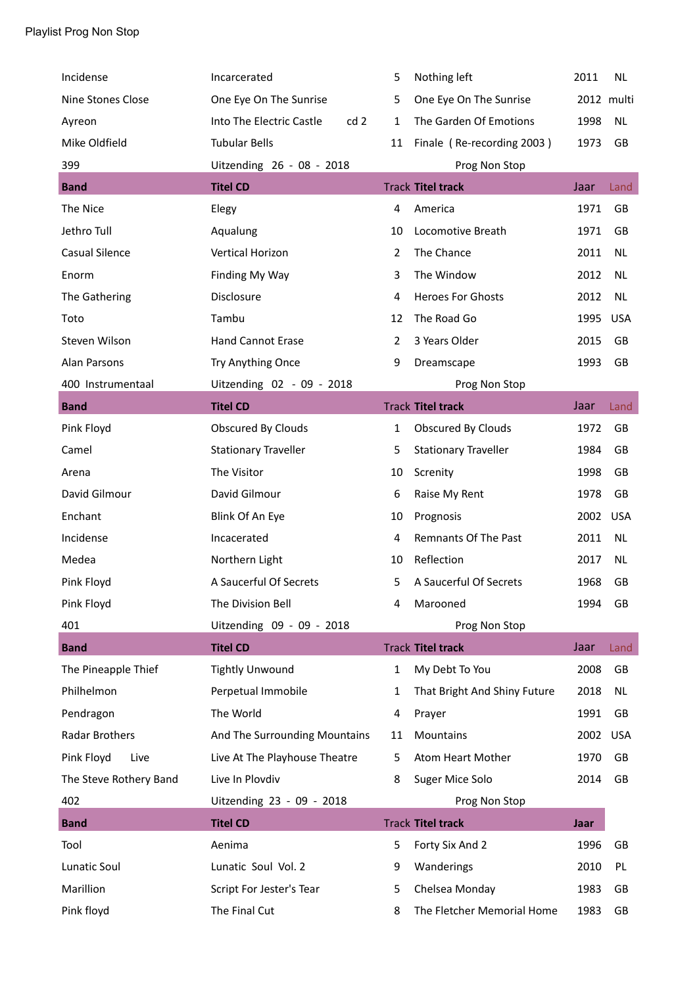| Incidense              | Incarcerated                     | 5              | Nothing left                 | 2011       | <b>NL</b>  |
|------------------------|----------------------------------|----------------|------------------------------|------------|------------|
| Nine Stones Close      | One Eye On The Sunrise           | 5              | One Eye On The Sunrise       | 2012 multi |            |
| Ayreon                 | Into The Electric Castle<br>cd 2 | 1              | The Garden Of Emotions       | 1998       | NL         |
| Mike Oldfield          | <b>Tubular Bells</b>             | 11             | Finale (Re-recording 2003)   | 1973       | GB         |
| 399                    | Uitzending 26 - 08 - 2018        |                | Prog Non Stop                |            |            |
| <b>Band</b>            | <b>Titel CD</b>                  |                | <b>Track Titel track</b>     | Jaar       | Land       |
| The Nice               | Elegy                            | 4              | America                      | 1971       | GB         |
| Jethro Tull            | Aqualung                         | 10             | Locomotive Breath            | 1971       | GB         |
| <b>Casual Silence</b>  | Vertical Horizon                 | $\overline{2}$ | The Chance                   | 2011       | <b>NL</b>  |
| Enorm                  | Finding My Way                   | 3              | The Window                   | 2012       | <b>NL</b>  |
| The Gathering          | Disclosure                       | 4              | <b>Heroes For Ghosts</b>     | 2012       | <b>NL</b>  |
| Toto                   | Tambu                            | 12             | The Road Go                  | 1995       | <b>USA</b> |
| Steven Wilson          | <b>Hand Cannot Erase</b>         | $\overline{2}$ | 3 Years Older                | 2015       | GB         |
| Alan Parsons           | Try Anything Once                | 9              | Dreamscape                   | 1993       | GB         |
| 400 Instrumentaal      | Uitzending 02 - 09 - 2018        |                | Prog Non Stop                |            |            |
| <b>Band</b>            | <b>Titel CD</b>                  |                | <b>Track Titel track</b>     | Jaar       | Land       |
| Pink Floyd             | Obscured By Clouds               | $\mathbf{1}$   | Obscured By Clouds           | 1972       | GB         |
| Camel                  | <b>Stationary Traveller</b>      | 5              | <b>Stationary Traveller</b>  | 1984       | GB         |
| Arena                  | The Visitor                      | 10             | Screnity                     | 1998       | GB         |
| David Gilmour          | David Gilmour                    | 6              | Raise My Rent                | 1978       | GB         |
| Enchant                | Blink Of An Eye                  | 10             | Prognosis                    | 2002       | <b>USA</b> |
| Incidense              | Incacerated                      | 4              | Remnants Of The Past         | 2011       | <b>NL</b>  |
| Medea                  | Northern Light                   | 10             | Reflection                   | 2017       | <b>NL</b>  |
| Pink Floyd             | A Saucerful Of Secrets           | 5              | A Saucerful Of Secrets       | 1968       | GB         |
| Pink Floyd             | The Division Bell                | 4              | Marooned                     | 1994       | GB         |
| 401                    | Uitzending 09 - 09 - 2018        |                | Prog Non Stop                |            |            |
| <b>Band</b>            | <b>Titel CD</b>                  |                | <b>Track Titel track</b>     | Jaar       | Land       |
| The Pineapple Thief    | <b>Tightly Unwound</b>           | $\mathbf{1}$   | My Debt To You               | 2008       | GB         |
| Philhelmon             | Perpetual Immobile               | 1              | That Bright And Shiny Future | 2018       | NL         |
| Pendragon              | The World                        | 4              | Prayer                       | 1991       | GB         |
| Radar Brothers         | And The Surrounding Mountains    | 11             | Mountains                    | 2002 USA   |            |
| Pink Floyd<br>Live     | Live At The Playhouse Theatre    | 5              | Atom Heart Mother            | 1970       | GB         |
| The Steve Rothery Band | Live In Plovdiv                  | 8              | Suger Mice Solo              | 2014       | GB         |
| 402                    | Uitzending 23 - 09 - 2018        |                | Prog Non Stop                |            |            |
| <b>Band</b>            | <b>Titel CD</b>                  |                | <b>Track Titel track</b>     | Jaar       |            |
| Tool                   | Aenima                           | 5              | Forty Six And 2              | 1996       | GB         |
| Lunatic Soul           | Lunatic Soul Vol. 2              | 9              | Wanderings                   | 2010       | PL         |
| Marillion              | Script For Jester's Tear         | 5              | Chelsea Monday               | 1983       | GB         |
| Pink floyd             | The Final Cut                    | 8              | The Fletcher Memorial Home   | 1983       | GB         |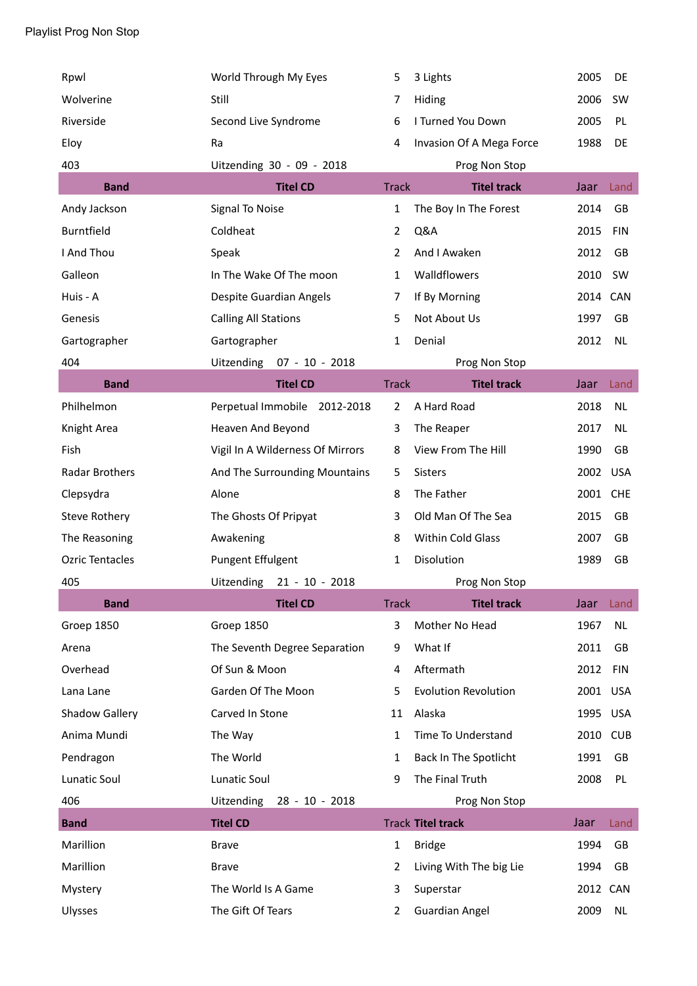| Rpwl                   | World Through My Eyes               | 5              | 3 Lights                    | 2005     | DE         |
|------------------------|-------------------------------------|----------------|-----------------------------|----------|------------|
| Wolverine              | Still                               | 7              | Hiding                      | 2006     | SW         |
| Riverside              | Second Live Syndrome                | 6              | I Turned You Down           | 2005     | PL         |
| Eloy                   | Ra                                  | 4              | Invasion Of A Mega Force    | 1988     | DE         |
| 403                    | Uitzending 30 - 09 - 2018           |                | Prog Non Stop               |          |            |
| <b>Band</b>            | <b>Titel CD</b>                     | <b>Track</b>   | <b>Titel track</b>          | Jaar     | Land       |
| Andy Jackson           | Signal To Noise                     | $\mathbf{1}$   | The Boy In The Forest       | 2014     | GB         |
| <b>Burntfield</b>      | Coldheat                            | $\overline{2}$ | Q&A                         | 2015     | <b>FIN</b> |
| I And Thou             | Speak                               | $\overline{2}$ | And I Awaken                | 2012     | GB         |
| Galleon                | In The Wake Of The moon             | $\mathbf{1}$   | Walldflowers                | 2010     | SW         |
| Huis - A               | Despite Guardian Angels             | 7              | If By Morning               | 2014     | CAN        |
| Genesis                | <b>Calling All Stations</b>         | 5              | Not About Us                | 1997     | GB         |
| Gartographer           | Gartographer                        | $\mathbf{1}$   | Denial                      | 2012     | <b>NL</b>  |
| 404                    | $07 - 10 - 2018$<br>Uitzending      |                | Prog Non Stop               |          |            |
| <b>Band</b>            | <b>Titel CD</b>                     | <b>Track</b>   | <b>Titel track</b>          | Jaar     | Land       |
| Philhelmon             | Perpetual Immobile 2012-2018        | $\overline{2}$ | A Hard Road                 | 2018     | <b>NL</b>  |
| Knight Area            | Heaven And Beyond                   | 3              | The Reaper                  | 2017     | NL         |
| Fish                   | Vigil In A Wilderness Of Mirrors    | 8              | View From The Hill          | 1990     | GB         |
| Radar Brothers         | And The Surrounding Mountains       | 5              | Sisters                     | 2002     | <b>USA</b> |
| Clepsydra              | Alone                               | 8              | The Father                  | 2001     | <b>CHE</b> |
| Steve Rothery          | The Ghosts Of Pripyat               | 3              | Old Man Of The Sea          | 2015     | GB         |
| The Reasoning          | Awakening                           | 8              | Within Cold Glass           | 2007     | GB         |
| <b>Ozric Tentacles</b> | Pungent Effulgent                   | 1              | Disolution                  | 1989     | GB         |
| 405                    | Uitzending 21 - 10 - 2018           |                | Prog Non Stop               |          |            |
| <b>Band</b>            | <b>Titel CD</b>                     | <b>Track</b>   | <b>Titel track</b>          | Jaar     | Land       |
| Groep 1850             | Groep 1850                          | 3              | Mother No Head              | 1967     | <b>NL</b>  |
| Arena                  | The Seventh Degree Separation       | 9              | What If                     | 2011     | GB         |
| Overhead               | Of Sun & Moon                       | 4              | Aftermath                   | 2012     | <b>FIN</b> |
| Lana Lane              | Garden Of The Moon                  | 5              | <b>Evolution Revolution</b> | 2001     | <b>USA</b> |
| Shadow Gallery         | Carved In Stone                     | 11             | Alaska                      | 1995     | <b>USA</b> |
| Anima Mundi            | The Way                             | $\mathbf{1}$   | Time To Understand          | 2010     | <b>CUB</b> |
| Pendragon              | The World                           | 1              | Back In The Spotlicht       | 1991     | GB         |
| <b>Lunatic Soul</b>    | <b>Lunatic Soul</b>                 | 9              | The Final Truth             | 2008     | PL         |
| 406                    | <b>Uitzending</b><br>28 - 10 - 2018 |                | Prog Non Stop               |          |            |
| <b>Band</b>            | <b>Titel CD</b>                     |                | <b>Track Titel track</b>    | Jaar     | Land       |
| Marillion              | <b>Brave</b>                        | $\mathbf{1}$   | <b>Bridge</b>               | 1994     | GB         |
| Marillion              | <b>Brave</b>                        | 2              | Living With The big Lie     | 1994     | GB         |
| Mystery                | The World Is A Game                 | 3              | Superstar                   | 2012 CAN |            |
| Ulysses                | The Gift Of Tears                   | 2              | <b>Guardian Angel</b>       | 2009     | NL         |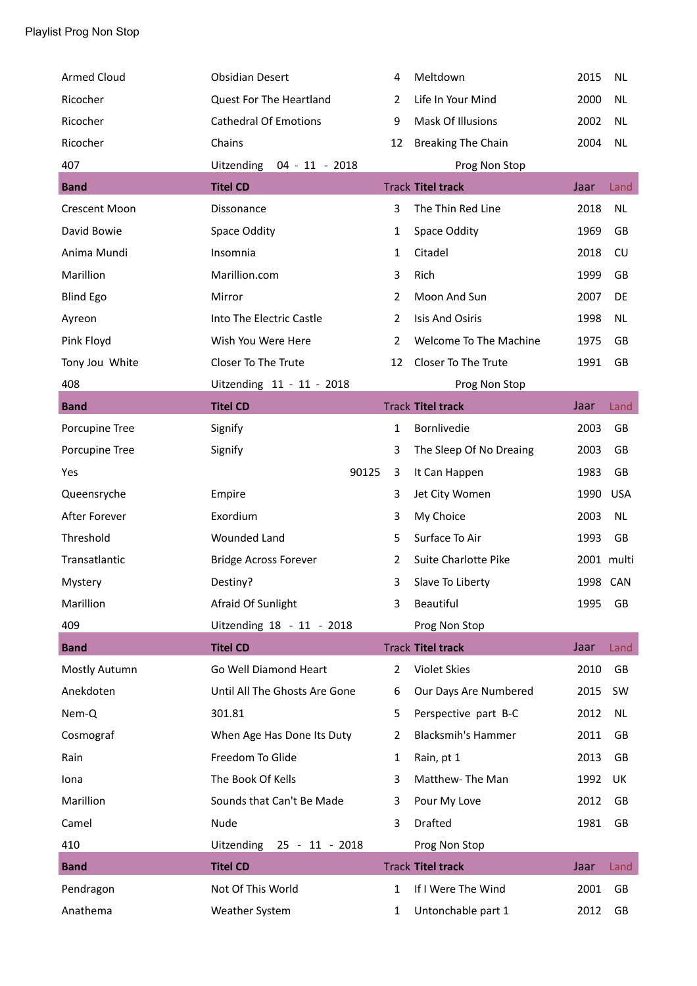| <b>Armed Cloud</b>   | <b>Obsidian Desert</b>         | 4              | Meltdown                  | 2015       | <b>NL</b>  |
|----------------------|--------------------------------|----------------|---------------------------|------------|------------|
| Ricocher             | Quest For The Heartland        | 2              | Life In Your Mind         | 2000       | <b>NL</b>  |
| Ricocher             | <b>Cathedral Of Emotions</b>   | 9              | Mask Of Illusions         | 2002       | <b>NL</b>  |
| Ricocher             | Chains                         | 12             | <b>Breaking The Chain</b> | 2004       | <b>NL</b>  |
| 407                  | Uitzending<br>$04 - 11 - 2018$ |                | Prog Non Stop             |            |            |
| <b>Band</b>          | <b>Titel CD</b>                |                | <b>Track Titel track</b>  | Jaar       | Land       |
| <b>Crescent Moon</b> | Dissonance                     | 3              | The Thin Red Line         | 2018       | <b>NL</b>  |
| David Bowie          | Space Oddity                   | 1              | Space Oddity              | 1969       | GB         |
| Anima Mundi          | Insomnia                       | 1              | Citadel                   | 2018       | CU         |
| Marillion            | Marillion.com                  | 3              | Rich                      | 1999       | GB         |
| <b>Blind Ego</b>     | Mirror                         | $\overline{2}$ | Moon And Sun              | 2007       | DE         |
| Ayreon               | Into The Electric Castle       | $\overline{2}$ | <b>Isis And Osiris</b>    | 1998       | <b>NL</b>  |
| Pink Floyd           | Wish You Were Here             | 2              | Welcome To The Machine    | 1975       | GB         |
| Tony Jou White       | Closer To The Trute            | 12             | Closer To The Trute       | 1991       | GB         |
| 408                  | Uitzending 11 - 11 - 2018      |                | Prog Non Stop             |            |            |
| <b>Band</b>          | <b>Titel CD</b>                |                | <b>Track Titel track</b>  | Jaar       | Land       |
| Porcupine Tree       | Signify                        | $\mathbf{1}$   | Bornlivedie               | 2003       | GB         |
| Porcupine Tree       | Signify                        | 3              | The Sleep Of No Dreaing   | 2003       | GB         |
| Yes                  | 90125                          | 3              | It Can Happen             | 1983       | GB         |
| Queensryche          | Empire                         | 3              | Jet City Women            | 1990       | <b>USA</b> |
| After Forever        | Exordium                       | 3              | My Choice                 | 2003       | <b>NL</b>  |
| Threshold            | <b>Wounded Land</b>            | 5              | Surface To Air            | 1993       | GB         |
| Transatlantic        | <b>Bridge Across Forever</b>   | 2              | Suite Charlotte Pike      | 2001 multi |            |
| Mystery              | Destiny?                       | 3              | Slave To Liberty          | 1998 CAN   |            |
| Marillion            | Afraid Of Sunlight             | 3              | Beautiful                 | 1995       | <b>GB</b>  |
| 409                  | Uitzending 18 - 11 - 2018      |                | Prog Non Stop             |            |            |
| <b>Band</b>          | <b>Titel CD</b>                |                | <b>Track Titel track</b>  | Jaar       | Land       |
| Mostly Autumn        | Go Well Diamond Heart          | $\overline{2}$ | Violet Skies              | 2010       | GB         |
| Anekdoten            | Until All The Ghosts Are Gone  | 6              | Our Days Are Numbered     | 2015       | SW         |
| Nem-Q                | 301.81                         | 5              | Perspective part B-C      | 2012       | NL         |
| Cosmograf            | When Age Has Done Its Duty     | 2              | <b>Blacksmih's Hammer</b> | 2011       | GB         |
| Rain                 | Freedom To Glide               | $\mathbf{1}$   | Rain, pt 1                | 2013       | GB         |
| Iona                 | The Book Of Kells              | 3              | Matthew-The Man           | 1992       | UK         |
| Marillion            | Sounds that Can't Be Made      | 3              | Pour My Love              | 2012       | GB         |
| Camel                | Nude                           | 3              | Drafted                   | 1981       | GB         |
| 410                  | Uitzending 25 - 11 - 2018      |                | Prog Non Stop             |            |            |
| <b>Band</b>          | <b>Titel CD</b>                |                | <b>Track Titel track</b>  | Jaar       | Land       |
| Pendragon            | Not Of This World              | 1              | If I Were The Wind        | 2001       | GB         |
| Anathema             | Weather System                 | $\mathbf{1}$   | Untonchable part 1        | 2012       | GB         |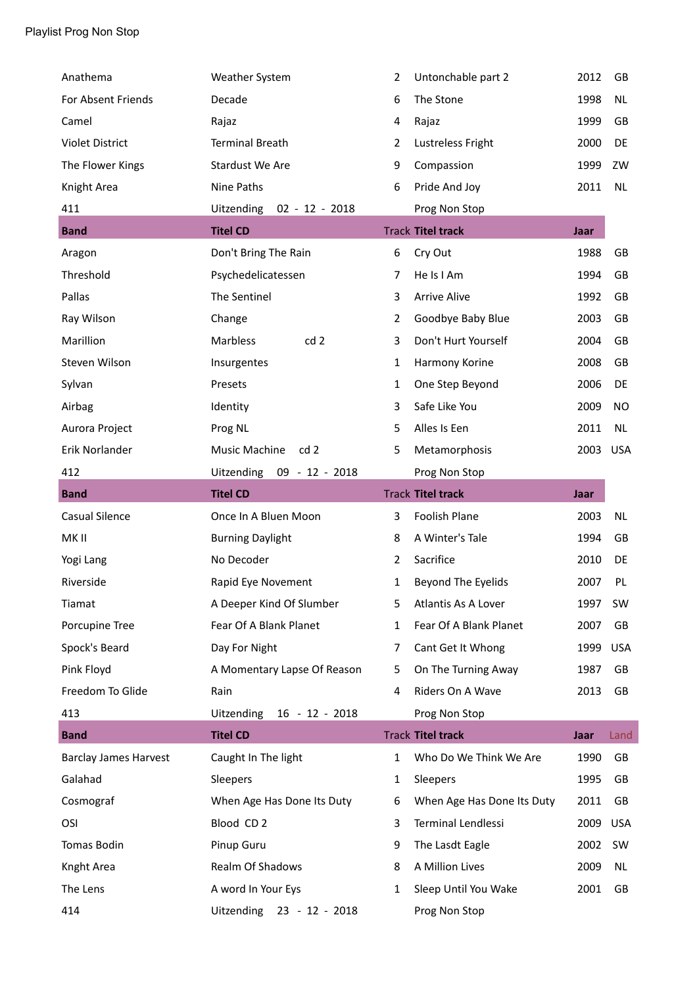| Anathema                     | Weather System                   | 2              | Untonchable part 2         | 2012 | GB         |
|------------------------------|----------------------------------|----------------|----------------------------|------|------------|
| For Absent Friends           | Decade                           | 6              | The Stone                  | 1998 | <b>NL</b>  |
| Camel                        | Rajaz                            | 4              | Rajaz                      | 1999 | GB         |
| <b>Violet District</b>       | <b>Terminal Breath</b>           | 2              | Lustreless Fright          | 2000 | DE         |
| The Flower Kings             | Stardust We Are                  | 9              | Compassion                 | 1999 | ZW         |
| Knight Area                  | Nine Paths                       | 6              | Pride And Joy              | 2011 | <b>NL</b>  |
| 411                          | Uitzending<br>$02 - 12 - 2018$   |                | Prog Non Stop              |      |            |
| <b>Band</b>                  | <b>Titel CD</b>                  |                | <b>Track Titel track</b>   | Jaar |            |
| Aragon                       | Don't Bring The Rain             | 6              | Cry Out                    | 1988 | GB         |
| Threshold                    | Psychedelicatessen               | 7              | He Is I Am                 | 1994 | GB         |
| Pallas                       | The Sentinel                     | 3              | <b>Arrive Alive</b>        | 1992 | GB         |
| Ray Wilson                   | Change                           | $\overline{2}$ | Goodbye Baby Blue          | 2003 | GB         |
| Marillion                    | Marbless<br>cd <sub>2</sub>      | 3              | Don't Hurt Yourself        | 2004 | GB         |
| Steven Wilson                | Insurgentes                      | 1              | Harmony Korine             | 2008 | GB         |
| Sylvan                       | Presets                          | 1              | One Step Beyond            | 2006 | DE         |
| Airbag                       | Identity                         | 3              | Safe Like You              | 2009 | NO         |
| Aurora Project               | Prog NL                          | 5              | Alles Is Een               | 2011 | NL.        |
| Erik Norlander               | Music Machine<br>cd <sub>2</sub> | 5              | Metamorphosis              | 2003 | <b>USA</b> |
| 412                          | Uitzending<br>09 - 12 - 2018     |                | Prog Non Stop              |      |            |
| <b>Band</b>                  | <b>Titel CD</b>                  |                | <b>Track Titel track</b>   | Jaar |            |
| <b>Casual Silence</b>        | Once In A Bluen Moon             | 3              | Foolish Plane              | 2003 | <b>NL</b>  |
| MK II                        | <b>Burning Daylight</b>          | 8              | A Winter's Tale            | 1994 | GB         |
| Yogi Lang                    | No Decoder                       | 2              | Sacrifice                  | 2010 | DE         |
| Riverside                    | Rapid Eye Novement               | 1              | Beyond The Eyelids         | 2007 | PL         |
| Tiamat                       | A Deeper Kind Of Slumber         | 5.             | Atlantis As A Lover        | 1997 | SW         |
| Porcupine Tree               | Fear Of A Blank Planet           | 1              | Fear Of A Blank Planet     | 2007 | GB         |
| Spock's Beard                | Day For Night                    | 7              | Cant Get It Whong          | 1999 | <b>USA</b> |
| Pink Floyd                   | A Momentary Lapse Of Reason      | 5              | On The Turning Away        | 1987 | GB         |
| Freedom To Glide             | Rain                             | 4              | Riders On A Wave           | 2013 | GB         |
| 413                          | Uitzending 16 - 12 - 2018        |                | Prog Non Stop              |      |            |
| <b>Band</b>                  | <b>Titel CD</b>                  |                | <b>Track Titel track</b>   | Jaar | Land       |
| <b>Barclay James Harvest</b> | Caught In The light              | 1              | Who Do We Think We Are     | 1990 | GB         |
| Galahad                      | Sleepers                         | 1              | Sleepers                   | 1995 | GB         |
| Cosmograf                    | When Age Has Done Its Duty       | 6              | When Age Has Done Its Duty | 2011 | GB         |
| OSI                          | Blood CD <sub>2</sub>            | 3              | Terminal Lendlessi         | 2009 | <b>USA</b> |
| Tomas Bodin                  | Pinup Guru                       | 9              | The Lasdt Eagle            | 2002 | SW         |
| Knght Area                   | Realm Of Shadows                 | 8              | A Million Lives            | 2009 | NL         |
| The Lens                     | A word In Your Eys               | 1              | Sleep Until You Wake       | 2001 | GB         |
| 414                          | Uitzending<br>23 - 12 - 2018     |                | Prog Non Stop              |      |            |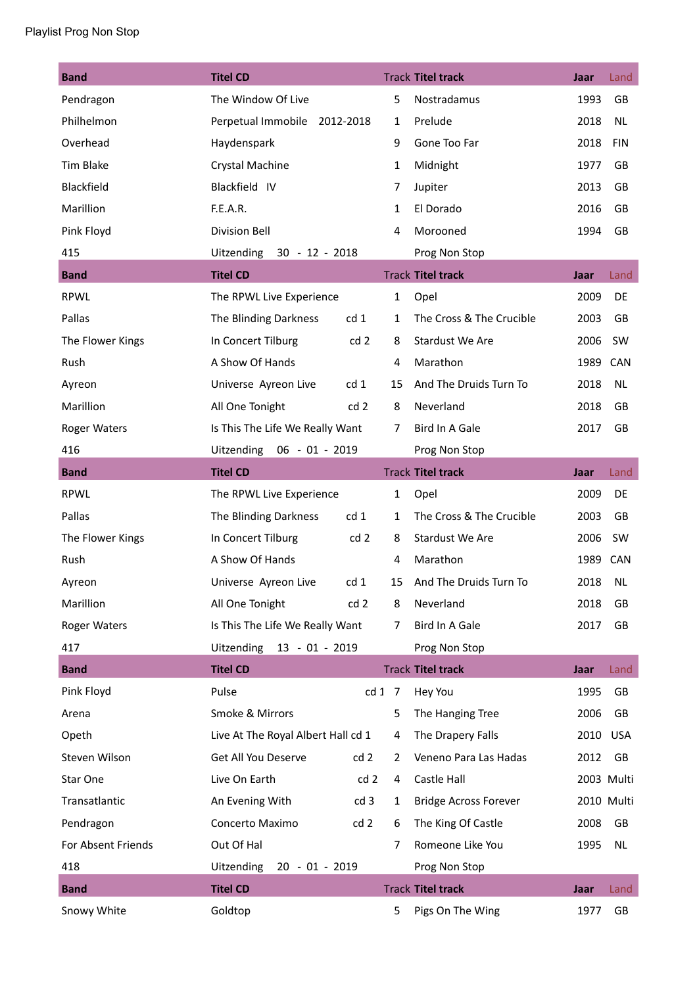## Playlist Prog Non Stop

| <b>Band</b>         | <b>Titel CD</b>                          |              | <b>Track Titel track</b>     | Jaar     | Land       |
|---------------------|------------------------------------------|--------------|------------------------------|----------|------------|
| Pendragon           | The Window Of Live                       | 5            | Nostradamus                  | 1993     | GB         |
| Philhelmon          | Perpetual Immobile 2012-2018             | 1            | Prelude                      | 2018     | NL         |
| Overhead            | Haydenspark                              | 9            | Gone Too Far                 | 2018     | <b>FIN</b> |
| Tim Blake           | Crystal Machine                          | $\mathbf{1}$ | Midnight                     | 1977     | GB         |
| Blackfield          | Blackfield IV                            | 7            | Jupiter                      | 2013     | GB         |
| Marillion           | F.E.A.R.                                 | 1            | El Dorado                    | 2016     | GB         |
| Pink Floyd          | <b>Division Bell</b>                     | 4            | Morooned                     | 1994     | GB         |
| 415                 | Uitzending 30 - 12 - 2018                |              | Prog Non Stop                |          |            |
| <b>Band</b>         | <b>Titel CD</b>                          |              | <b>Track Titel track</b>     | Jaar     | Land       |
| <b>RPWL</b>         | The RPWL Live Experience                 | $\mathbf{1}$ | Opel                         | 2009     | DE         |
| Pallas              | cd <sub>1</sub><br>The Blinding Darkness | 1            | The Cross & The Crucible     | 2003     | GB         |
| The Flower Kings    | In Concert Tilburg<br>cd <sub>2</sub>    | 8            | Stardust We Are              | 2006     | SW         |
| Rush                | A Show Of Hands                          | 4            | Marathon                     | 1989     | CAN        |
| Ayreon              | Universe Ayreon Live<br>cd <sub>1</sub>  | 15           | And The Druids Turn To       | 2018     | NL         |
| Marillion           | All One Tonight<br>cd <sub>2</sub>       | 8            | Neverland                    | 2018     | GB         |
| <b>Roger Waters</b> | Is This The Life We Really Want          | 7            | Bird In A Gale               | 2017     | <b>GB</b>  |
| 416                 | Uitzending<br>$06 - 01 - 2019$           |              | Prog Non Stop                |          |            |
| <b>Band</b>         | <b>Titel CD</b>                          |              | <b>Track Titel track</b>     | Jaar     | Land       |
| <b>RPWL</b>         | The RPWL Live Experience                 | $\mathbf{1}$ | Opel                         | 2009     | DE         |
| Pallas              | cd 1<br>The Blinding Darkness            | $\mathbf{1}$ | The Cross & The Crucible     | 2003     | GB         |
| The Flower Kings    | In Concert Tilburg<br>cd <sub>2</sub>    | 8            | Stardust We Are              | 2006     | SW         |
| Rush                | A Show Of Hands                          | 4            | Marathon                     | 1989     | <b>CAN</b> |
| Ayreon              | cd <sub>1</sub><br>Universe Ayreon Live  | 15           | And The Druids Turn To       | 2018     | <b>NL</b>  |
| Marillion           | All One Tonight<br>cd <sub>2</sub>       | 8            | Neverland                    | 2018     | GB         |
| <b>Roger Waters</b> | Is This The Life We Really Want          | 7            | Bird In A Gale               | 2017     | <b>GB</b>  |
| 417                 | Uitzending 13 - 01 - 2019                |              | Prog Non Stop                |          |            |
| <b>Band</b>         | <b>Titel CD</b>                          |              | <b>Track Titel track</b>     | Jaar     | Land       |
| Pink Floyd          | Pulse                                    | cd 1 7       | Hey You                      | 1995     | GB         |
| Arena               | Smoke & Mirrors                          | 5            | The Hanging Tree             | 2006     | GB         |
| Opeth               | Live At The Royal Albert Hall cd 1       | 4            | The Drapery Falls            | 2010 USA |            |
| Steven Wilson       | Get All You Deserve<br>cd <sub>2</sub>   | 2            | Veneno Para Las Hadas        | 2012     | GB         |
| Star One            | Live On Earth<br>cd <sub>2</sub>         | 4            | Castle Hall                  |          | 2003 Multi |
| Transatlantic       | cd 3<br>An Evening With                  | 1            | <b>Bridge Across Forever</b> |          | 2010 Multi |
| Pendragon           | cd2<br>Concerto Maximo                   | 6            | The King Of Castle           | 2008     | GB         |
| For Absent Friends  | Out Of Hal                               | 7            | Romeone Like You             | 1995     | NL         |
| 418                 | Uitzending<br>20 - 01 - 2019             |              | Prog Non Stop                |          |            |
| <b>Band</b>         | <b>Titel CD</b>                          |              | <b>Track Titel track</b>     | Jaar     | Land       |
| Snowy White         | Goldtop                                  | 5            | Pigs On The Wing             | 1977     | GB         |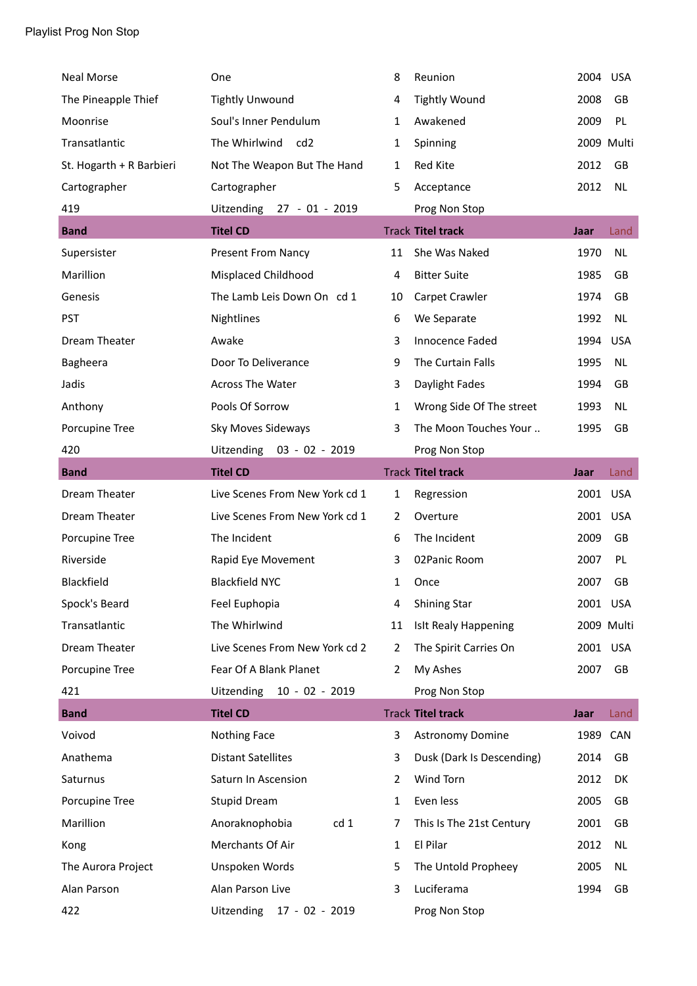| Neal Morse               | One                            | 8              | Reunion                     | 2004 USA |            |
|--------------------------|--------------------------------|----------------|-----------------------------|----------|------------|
| The Pineapple Thief      | <b>Tightly Unwound</b>         | 4              | <b>Tightly Wound</b>        | 2008     | GB         |
| Moonrise                 | Soul's Inner Pendulum          | 1              | Awakened                    | 2009     | PL         |
| Transatlantic            | The Whirlwind<br>cd2           | 1              | Spinning                    |          | 2009 Multi |
| St. Hogarth + R Barbieri | Not The Weapon But The Hand    | 1              | Red Kite                    | 2012     | GB         |
| Cartographer             | Cartographer                   | 5              | Acceptance                  | 2012     | <b>NL</b>  |
| 419                      | Uitzending 27 - 01 - 2019      |                | Prog Non Stop               |          |            |
| <b>Band</b>              | <b>Titel CD</b>                |                | <b>Track Titel track</b>    | Jaar     | Land       |
| Supersister              | <b>Present From Nancy</b>      | 11             | She Was Naked               | 1970     | <b>NL</b>  |
| Marillion                | Misplaced Childhood            | 4              | <b>Bitter Suite</b>         | 1985     | GB         |
| Genesis                  | The Lamb Leis Down On cd 1     | 10             | Carpet Crawler              | 1974     | GB         |
| <b>PST</b>               | Nightlines                     | 6              | We Separate                 | 1992     | <b>NL</b>  |
| Dream Theater            | Awake                          | 3              | Innocence Faded             | 1994     | <b>USA</b> |
| Bagheera                 | Door To Deliverance            | 9              | The Curtain Falls           | 1995     | <b>NL</b>  |
| Jadis                    | <b>Across The Water</b>        | 3              | Daylight Fades              | 1994     | <b>GB</b>  |
| Anthony                  | Pools Of Sorrow                | 1              | Wrong Side Of The street    | 1993     | <b>NL</b>  |
| Porcupine Tree           | Sky Moves Sideways             | 3              | The Moon Touches Your       | 1995     | GB         |
| 420                      | Uitzending 03 - 02 - 2019      |                | Prog Non Stop               |          |            |
| <b>Band</b>              | <b>Titel CD</b>                |                | <b>Track Titel track</b>    | Jaar     | Land       |
|                          |                                |                |                             |          |            |
| Dream Theater            | Live Scenes From New York cd 1 | 1              | Regression                  | 2001 USA |            |
| Dream Theater            | Live Scenes From New York cd 1 | 2              | Overture                    | 2001     | <b>USA</b> |
| Porcupine Tree           | The Incident                   | 6              | The Incident                | 2009     | GB         |
| Riverside                | Rapid Eye Movement             | 3              | 02 Panic Room               | 2007     | PL         |
| Blackfield               | <b>Blackfield NYC</b>          | 1              | Once                        | 2007     | GB         |
| Spock's Beard            | Feel Euphopia                  | 4              | <b>Shining Star</b>         | 2001 USA |            |
| Transatlantic            | The Whirlwind                  | 11             | <b>IsIt Realy Happening</b> |          | 2009 Multi |
| Dream Theater            | Live Scenes From New York cd 2 | 2              | The Spirit Carries On       | 2001 USA |            |
| Porcupine Tree           | Fear Of A Blank Planet         | 2              | My Ashes                    | 2007     | GB         |
| 421                      | Uitzending 10 - 02 - 2019      |                | Prog Non Stop               |          |            |
| <b>Band</b>              | <b>Titel CD</b>                |                | <b>Track Titel track</b>    | Jaar     | Land       |
| Voivod                   | Nothing Face                   | 3              | Astronomy Domine            | 1989     | CAN        |
| Anathema                 | <b>Distant Satellites</b>      | 3              | Dusk (Dark Is Descending)   | 2014     | GB         |
| Saturnus                 | Saturn In Ascension            | $\overline{2}$ | Wind Torn                   | 2012     | DK         |
| Porcupine Tree           | <b>Stupid Dream</b>            | 1              | Even less                   | 2005     | GB         |
| Marillion                | Anoraknophobia<br>cd 1         | 7              | This Is The 21st Century    | 2001     | GB         |
| Kong                     | Merchants Of Air               | 1              | El Pilar                    | 2012     | <b>NL</b>  |
| The Aurora Project       | Unspoken Words                 | 5              | The Untold Propheey         | 2005     | NL         |
| Alan Parson              | Alan Parson Live               | 3              | Luciferama                  | 1994     | GB         |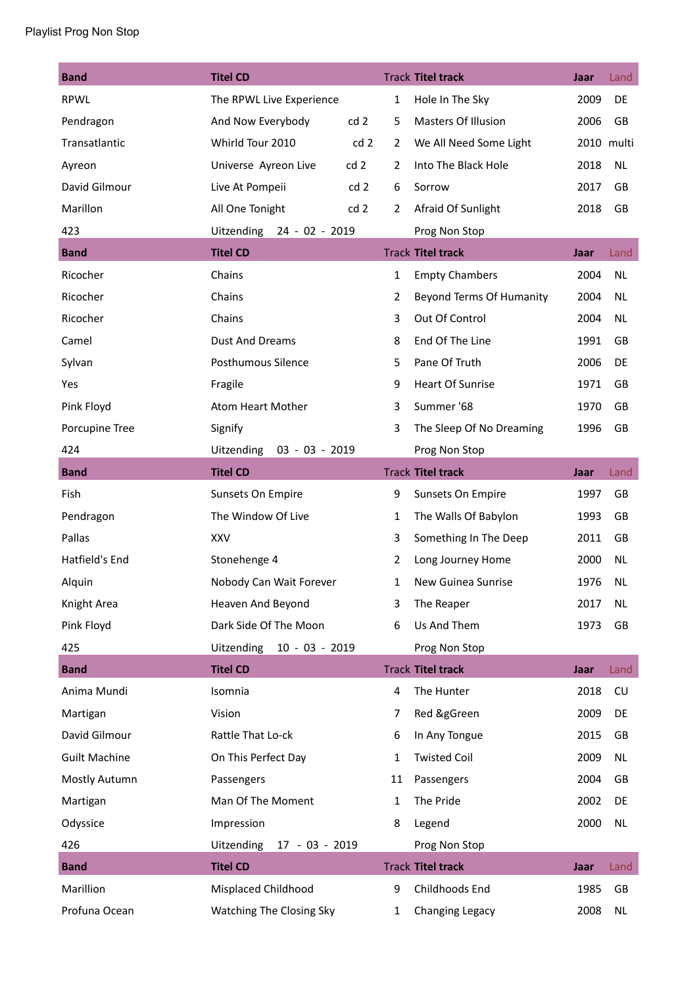| <b>Band</b>          | <b>Titel CD</b>                     |                | <b>Track Titel track</b>   | Jaar | Land       |
|----------------------|-------------------------------------|----------------|----------------------------|------|------------|
| <b>RPWL</b>          | The RPWL Live Experience            | $\mathbf{1}$   | Hole In The Sky            | 2009 | DE         |
| Pendragon            | cd2<br>And Now Everybody            | 5              | <b>Masters Of Illusion</b> | 2006 | GB         |
| Transatlantic        | Whirld Tour 2010<br>cd <sub>2</sub> | $\mathbf{2}$   | We All Need Some Light     |      | 2010 multi |
| Ayreon               | cd 2<br>Universe Ayreon Live        | $\overline{2}$ | Into The Black Hole        | 2018 | <b>NL</b>  |
| David Gilmour        | Live At Pompeii<br>cd <sub>2</sub>  | 6              | Sorrow                     | 2017 | GB         |
| Marillon             | All One Tonight<br>cd <sub>2</sub>  | $\overline{2}$ | Afraid Of Sunlight         | 2018 | GB         |
| 423                  | Uitzending 24 - 02 - 2019           |                | Prog Non Stop              |      |            |
| <b>Band</b>          | <b>Titel CD</b>                     |                | <b>Track Titel track</b>   | Jaar | Land       |
| Ricocher             | Chains                              | $\mathbf{1}$   | <b>Empty Chambers</b>      | 2004 | <b>NL</b>  |
| Ricocher             | Chains                              | $\overline{2}$ | Beyond Terms Of Humanity   | 2004 | NL         |
| Ricocher             | Chains                              | 3              | Out Of Control             | 2004 | <b>NL</b>  |
| Camel                | <b>Dust And Dreams</b>              | 8              | End Of The Line            | 1991 | GB         |
| Sylvan               | Posthumous Silence                  | 5              | Pane Of Truth              | 2006 | DE         |
| Yes                  | Fragile                             | 9              | <b>Heart Of Sunrise</b>    | 1971 | GB         |
| Pink Floyd           | Atom Heart Mother                   | 3              | Summer '68                 | 1970 | GB         |
| Porcupine Tree       | Signify                             | 3              | The Sleep Of No Dreaming   | 1996 | <b>GB</b>  |
| 424                  | Uitzending<br>03 - 03 - 2019        |                | Prog Non Stop              |      |            |
| <b>Band</b>          | <b>Titel CD</b>                     |                | <b>Track Titel track</b>   | Jaar | Land       |
| Fish                 | Sunsets On Empire                   | 9              | Sunsets On Empire          | 1997 | GB         |
| Pendragon            | The Window Of Live                  | $\mathbf{1}$   | The Walls Of Babylon       | 1993 | GB         |
| Pallas               | <b>XXV</b>                          | 3              | Something In The Deep      | 2011 | GB         |
| Hatfield's End       | Stonehenge 4                        | $\overline{2}$ | Long Journey Home          | 2000 | <b>NL</b>  |
| Alquin               | Nobody Can Wait Forever             | 1              | New Guinea Sunrise         | 1976 | <b>NL</b>  |
| Knight Area          | Heaven And Beyond                   | 3              | The Reaper                 | 2017 | <b>NL</b>  |
| Pink Floyd           | Dark Side Of The Moon               | 6              | Us And Them                | 1973 | GB         |
| 425                  | Uitzending<br>$10 - 03 - 2019$      |                | Prog Non Stop              |      |            |
| <b>Band</b>          | <b>Titel CD</b>                     |                | <b>Track Titel track</b>   | Jaar | Land       |
| Anima Mundi          | Isomnia                             | 4              | The Hunter                 | 2018 | CU         |
| Martigan             | Vision                              | 7              | Red &gGreen                | 2009 | DE         |
| David Gilmour        | Rattle That Lo-ck                   | 6              | In Any Tongue              | 2015 | GB         |
| <b>Guilt Machine</b> | On This Perfect Day                 | 1              | <b>Twisted Coil</b>        | 2009 | <b>NL</b>  |
| Mostly Autumn        | Passengers                          | 11             | Passengers                 | 2004 | GB         |
| Martigan             | Man Of The Moment                   | 1              | The Pride                  | 2002 | DE         |
| Odyssice             | Impression                          | 8              | Legend                     | 2000 | <b>NL</b>  |
| 426                  | Uitzending<br>17 - 03 - 2019        |                | Prog Non Stop              |      |            |
| <b>Band</b>          | <b>Titel CD</b>                     |                | <b>Track Titel track</b>   | Jaar | Land       |
| Marillion            | Misplaced Childhood                 | 9              | Childhoods End             | 1985 | GB         |
| Profuna Ocean        | Watching The Closing Sky            | $\mathbf{1}$   | Changing Legacy            | 2008 | <b>NL</b>  |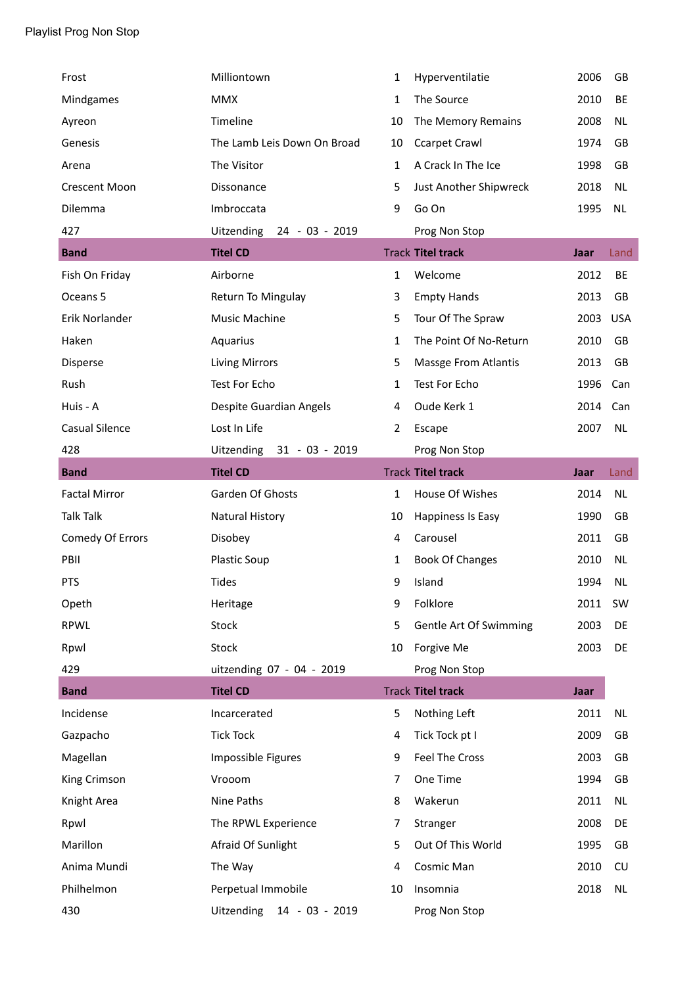| Frost                 | Milliontown                         | 1            | Hyperventilatie             | 2006        | GB         |
|-----------------------|-------------------------------------|--------------|-----------------------------|-------------|------------|
| Mindgames             | <b>MMX</b>                          | 1            | The Source                  | 2010        | BE         |
| Ayreon                | Timeline                            | 10           | The Memory Remains          | 2008        | NL.        |
| Genesis               | The Lamb Leis Down On Broad         | 10           | <b>Ccarpet Crawl</b>        | 1974        | GB         |
| Arena                 | The Visitor                         | 1            | A Crack In The Ice          | 1998        | GB         |
| <b>Crescent Moon</b>  | Dissonance                          | 5            | Just Another Shipwreck      | 2018        | <b>NL</b>  |
| Dilemma               | Imbroccata                          | 9            | Go On                       | 1995        | <b>NL</b>  |
| 427                   | <b>Uitzending</b><br>24 - 03 - 2019 |              | Prog Non Stop               |             |            |
| <b>Band</b>           | <b>Titel CD</b>                     |              | <b>Track Titel track</b>    | Jaar        | Land       |
| Fish On Friday        | Airborne                            | $\mathbf{1}$ | Welcome                     | 2012        | BE         |
| Oceans 5              | Return To Mingulay                  | 3            | <b>Empty Hands</b>          | 2013        | GB         |
| Erik Norlander        | Music Machine                       | 5            | Tour Of The Spraw           | 2003        | <b>USA</b> |
| Haken                 | Aquarius                            | 1            | The Point Of No-Return      | 2010        | GB         |
| Disperse              | <b>Living Mirrors</b>               | 5            | <b>Massge From Atlantis</b> | 2013        | GB         |
| Rush                  | Test For Echo                       | 1            | Test For Echo               | 1996        | Can        |
| Huis - A              | Despite Guardian Angels             | 4            | Oude Kerk 1                 | 2014        | Can        |
| <b>Casual Silence</b> | Lost In Life                        | 2            | Escape                      | 2007        | NL.        |
| 428                   | Uitzending<br>$31 - 03 - 2019$      |              | Prog Non Stop               |             |            |
| <b>Band</b>           | <b>Titel CD</b>                     |              | <b>Track Titel track</b>    | Jaar        | Land       |
|                       |                                     |              |                             |             |            |
| <b>Factal Mirror</b>  | Garden Of Ghosts                    | $\mathbf{1}$ | House Of Wishes             | 2014        | <b>NL</b>  |
| <b>Talk Talk</b>      | <b>Natural History</b>              | 10           | Happiness Is Easy           | 1990        | GB         |
| Comedy Of Errors      | Disobey                             | 4            | Carousel                    | 2011        | GB         |
| PBII                  | Plastic Soup                        | 1            | <b>Book Of Changes</b>      | 2010        | <b>NL</b>  |
| <b>PTS</b>            | <b>Tides</b>                        | 9            | Island                      | 1994        | <b>NL</b>  |
| Opeth                 | Heritage                            | 9            | Folklore                    | 2011        | SW         |
| <b>RPWL</b>           | Stock                               | 5            | Gentle Art Of Swimming      | 2003        | DE         |
| Rpwl                  | Stock                               | 10           | Forgive Me                  | 2003        | DE         |
| 429                   | uitzending 07 - 04 - 2019           |              | Prog Non Stop               |             |            |
| <b>Band</b>           | <b>Titel CD</b>                     |              | <b>Track Titel track</b>    | <b>Jaar</b> |            |
| Incidense             | Incarcerated                        | 5            | Nothing Left                | 2011        | <b>NL</b>  |
| Gazpacho              | <b>Tick Tock</b>                    | 4            | Tick Tock pt I              | 2009        | GB         |
| Magellan              | Impossible Figures                  | 9            | Feel The Cross              | 2003        | GB         |
| King Crimson          | Vrooom                              | 7            | One Time                    | 1994        | GB         |
| Knight Area           | Nine Paths                          | 8            | Wakerun                     | 2011        | <b>NL</b>  |
| Rpwl                  | The RPWL Experience                 | 7            | Stranger                    | 2008        | DE         |
| Marillon              | Afraid Of Sunlight                  | 5            | Out Of This World           | 1995        | GB         |
| Anima Mundi           | The Way                             | 4            | Cosmic Man                  | 2010        | CU         |
| Philhelmon            | Perpetual Immobile                  | 10           | Insomnia                    | 2018        | <b>NL</b>  |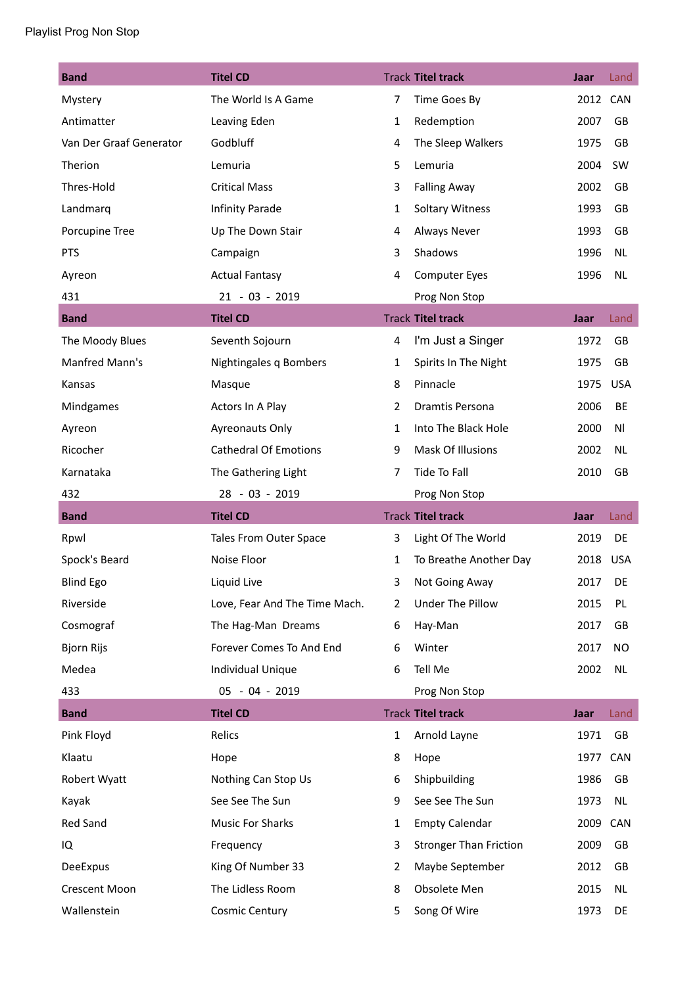| <b>Band</b>             | <b>Titel CD</b>               |                | <b>Track Titel track</b>      | Jaar     | Land       |
|-------------------------|-------------------------------|----------------|-------------------------------|----------|------------|
| Mystery                 | The World Is A Game           | $\overline{7}$ | Time Goes By                  | 2012 CAN |            |
| Antimatter              | Leaving Eden                  | $\mathbf{1}$   | Redemption                    | 2007     | GB         |
| Van Der Graaf Generator | Godbluff                      | 4              | The Sleep Walkers             | 1975     | GB         |
| Therion                 | Lemuria                       | 5              | Lemuria                       | 2004     | SW         |
| Thres-Hold              | <b>Critical Mass</b>          | 3              | <b>Falling Away</b>           | 2002     | GB         |
| Landmarq                | Infinity Parade               | $\mathbf{1}$   | <b>Soltary Witness</b>        | 1993     | GB         |
| Porcupine Tree          | Up The Down Stair             | 4              | Always Never                  | 1993     | GB         |
| <b>PTS</b>              | Campaign                      | 3              | Shadows                       | 1996     | <b>NL</b>  |
| Ayreon                  | <b>Actual Fantasy</b>         | 4              | <b>Computer Eyes</b>          | 1996     | <b>NL</b>  |
| 431                     | 21 - 03 - 2019                |                | Prog Non Stop                 |          |            |
| <b>Band</b>             | <b>Titel CD</b>               |                | <b>Track Titel track</b>      | Jaar     | Land       |
| The Moody Blues         | Seventh Sojourn               | 4              | I'm Just a Singer             | 1972     | GB         |
| Manfred Mann's          | Nightingales q Bombers        | $\mathbf{1}$   | Spirits In The Night          | 1975     | GB         |
| Kansas                  | Masque                        | 8              | Pinnacle                      | 1975     | <b>USA</b> |
| Mindgames               | Actors In A Play              | $\overline{2}$ | Dramtis Persona               | 2006     | BE         |
| Ayreon                  | Ayreonauts Only               | 1              | Into The Black Hole           | 2000     | Νl         |
| Ricocher                | <b>Cathedral Of Emotions</b>  | 9              | Mask Of Illusions             | 2002     | <b>NL</b>  |
| Karnataka               | The Gathering Light           | 7              | Tide To Fall                  | 2010     | GB         |
| 432                     | 28 - 03 - 2019                |                | Prog Non Stop                 |          |            |
| <b>Band</b>             | <b>Titel CD</b>               |                | <b>Track Titel track</b>      | Jaar     | Land       |
| Rpwl                    | Tales From Outer Space        | 3              | Light Of The World            | 2019     | DE         |
| Spock's Beard           | Noise Floor                   | $\mathbf{1}$   | To Breathe Another Day        | 2018     | <b>USA</b> |
| <b>Blind Ego</b>        | Liquid Live                   | 3              | Not Going Away                | 2017     | DE         |
| Riverside               | Love, Fear And The Time Mach. | 2              | Under The Pillow              | 2015     | PL         |
| Cosmograf               | The Hag-Man Dreams            | 6              | Hay-Man                       | 2017     | GB         |
| <b>Bjorn Rijs</b>       | Forever Comes To And End      | 6              | Winter                        | 2017     | <b>NO</b>  |
| Medea                   | Individual Unique             | 6              | Tell Me                       | 2002     | NL         |
| 433                     | 05 - 04 - 2019                |                | Prog Non Stop                 |          |            |
| <b>Band</b>             | <b>Titel CD</b>               |                | <b>Track Titel track</b>      | Jaar     | Land       |
| Pink Floyd              | Relics                        | $\mathbf{1}$   | Arnold Layne                  | 1971     | GB         |
| Klaatu                  | Hope                          | 8              | Hope                          | 1977 CAN |            |
| Robert Wyatt            | Nothing Can Stop Us           | 6              | Shipbuilding                  | 1986     | GB         |
| Kayak                   | See See The Sun               | 9              | See See The Sun               | 1973     | NL         |
| Red Sand                | Music For Sharks              | $\mathbf{1}$   | <b>Empty Calendar</b>         | 2009     | CAN        |
| IQ                      | Frequency                     | 3              | <b>Stronger Than Friction</b> | 2009     | GB         |
| DeeExpus                | King Of Number 33             | 2              | Maybe September               | 2012     | GB         |
| Crescent Moon           | The Lidless Room              | 8              | Obsolete Men                  | 2015     | NL         |
| Wallenstein             | <b>Cosmic Century</b>         | 5              | Song Of Wire                  | 1973     | DE         |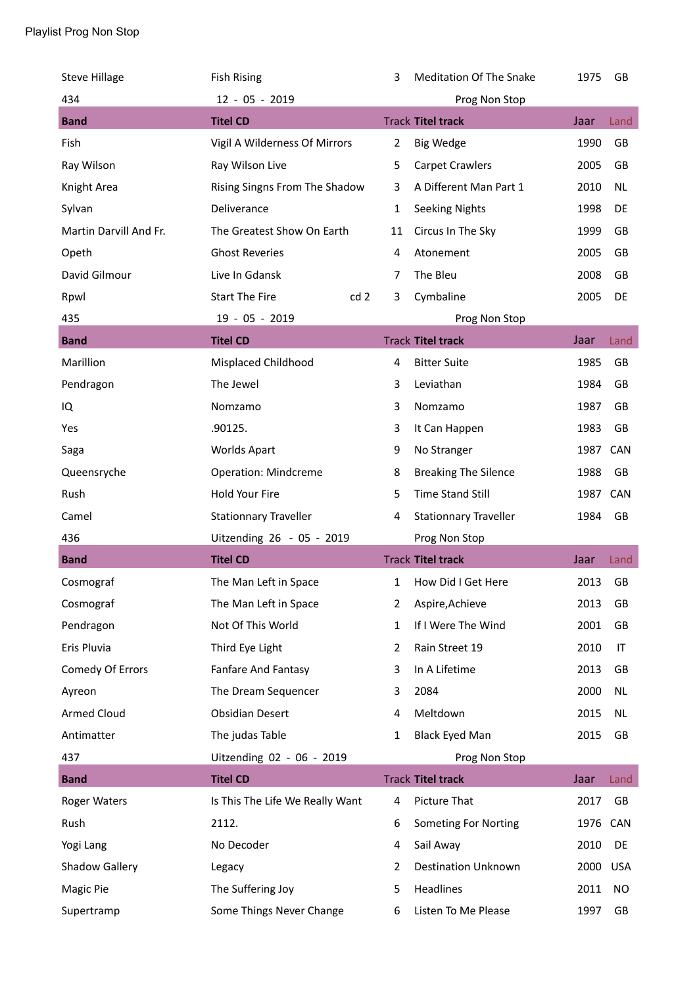| <b>Steve Hillage</b>   | <b>Fish Rising</b>                       | 3              | Meditation Of The Snake      | 1975 | GB         |
|------------------------|------------------------------------------|----------------|------------------------------|------|------------|
| 434                    | 12 - 05 - 2019                           |                | Prog Non Stop                |      |            |
| <b>Band</b>            | <b>Titel CD</b>                          |                | <b>Track Titel track</b>     | Jaar | Land       |
| Fish                   | Vigil A Wilderness Of Mirrors            | $\overline{2}$ | <b>Big Wedge</b>             | 1990 | GB         |
| Ray Wilson             | Ray Wilson Live                          | 5              | <b>Carpet Crawlers</b>       | 2005 | GB         |
| Knight Area            | Rising Singns From The Shadow            | 3              | A Different Man Part 1       | 2010 | <b>NL</b>  |
| Sylvan                 | Deliverance                              | 1              | <b>Seeking Nights</b>        | 1998 | DE         |
| Martin Darvill And Fr. | The Greatest Show On Earth               | 11             | Circus In The Sky            | 1999 | GB         |
| Opeth                  | <b>Ghost Reveries</b>                    | 4              | Atonement                    | 2005 | GB         |
| David Gilmour          | Live In Gdansk                           | 7              | The Bleu                     | 2008 | GB         |
| Rpwl                   | <b>Start The Fire</b><br>cd <sub>2</sub> | 3              | Cymbaline                    | 2005 | DE         |
| 435                    | 19 - 05 - 2019                           |                | Prog Non Stop                |      |            |
| <b>Band</b>            | <b>Titel CD</b>                          |                | <b>Track Titel track</b>     | Jaar | Land       |
| Marillion              | Misplaced Childhood                      | 4              | <b>Bitter Suite</b>          | 1985 | GB         |
| Pendragon              | The Jewel                                | 3              | Leviathan                    | 1984 | GB         |
| IQ                     | Nomzamo                                  | 3              | Nomzamo                      | 1987 | GB         |
| Yes                    | .90125.                                  | 3              | It Can Happen                | 1983 | GB         |
| Saga                   | <b>Worlds Apart</b>                      | 9              | No Stranger                  | 1987 | CAN        |
| Queensryche            | <b>Operation: Mindcreme</b>              | 8              | <b>Breaking The Silence</b>  | 1988 | GB         |
| Rush                   | Hold Your Fire                           | 5              | <b>Time Stand Still</b>      | 1987 | CAN        |
| Camel                  | <b>Stationnary Traveller</b>             | 4              | <b>Stationnary Traveller</b> | 1984 | GB         |
| 436                    | Uitzending 26 - 05 - 2019                |                | Prog Non Stop                |      |            |
| <b>Band</b>            | <b>Titel CD</b>                          |                | <b>Track Titel track</b>     | Jaar | Land       |
| Cosmograf              | The Man Left in Space                    | 1              | How Did I Get Here           | 2013 | GB         |
| Cosmograf              | The Man Left in Space                    | 2              | Aspire, Achieve              | 2013 | GB         |
| Pendragon              | Not Of This World                        | $\mathbf{1}$   | If I Were The Wind           | 2001 | GB         |
| Eris Pluvia            | Third Eye Light                          | 2              | Rain Street 19               | 2010 | IT         |
| Comedy Of Errors       | Fanfare And Fantasy                      | 3              | In A Lifetime                | 2013 | GB         |
| Ayreon                 | The Dream Sequencer                      | 3              | 2084                         | 2000 | <b>NL</b>  |
| <b>Armed Cloud</b>     | <b>Obsidian Desert</b>                   | 4              | Meltdown                     | 2015 | NL         |
| Antimatter             | The judas Table                          | 1              | <b>Black Eyed Man</b>        | 2015 | GB         |
| 437                    |                                          |                | Prog Non Stop                |      |            |
| <b>Band</b>            | Uitzending 02 - 06 - 2019                |                |                              |      |            |
|                        | <b>Titel CD</b>                          |                | <b>Track Titel track</b>     | Jaar | Land       |
| Roger Waters           | Is This The Life We Really Want          | 4              | Picture That                 | 2017 | GB         |
| Rush                   | 2112.                                    | 6              | <b>Someting For Norting</b>  | 1976 | CAN        |
| Yogi Lang              | No Decoder                               | 4              | Sail Away                    | 2010 | DE         |
| <b>Shadow Gallery</b>  | Legacy                                   | 2              | <b>Destination Unknown</b>   | 2000 | <b>USA</b> |
| Magic Pie              | The Suffering Joy                        | 5              | Headlines                    | 2011 | NO         |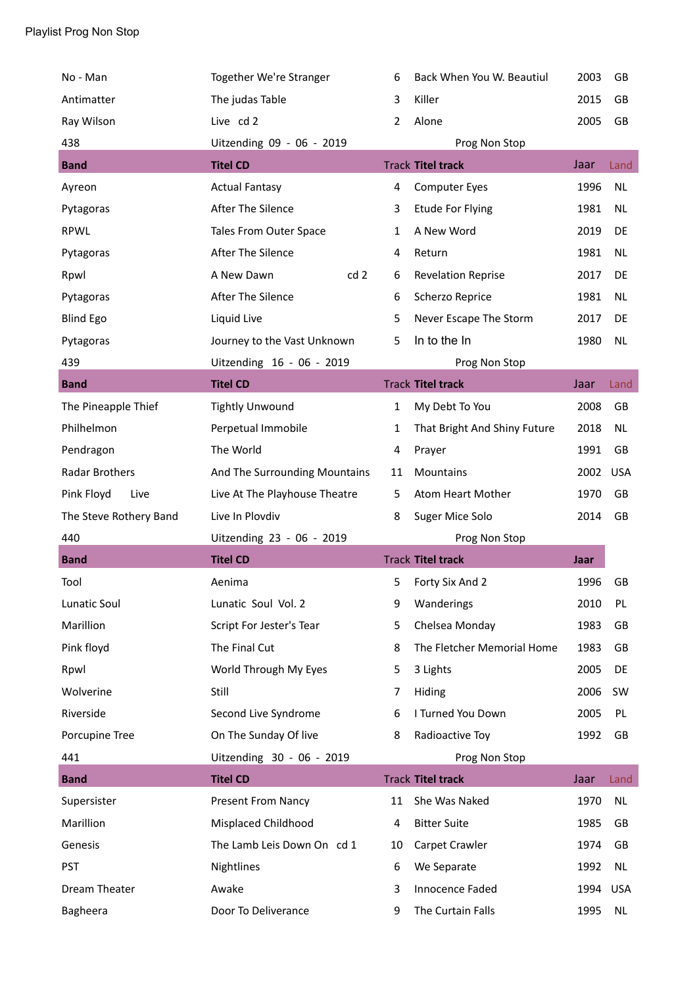| No - Man               | Together We're Stranger       | 6              | Back When You W. Beautiul    | 2003 | GB         |
|------------------------|-------------------------------|----------------|------------------------------|------|------------|
| Antimatter             | The judas Table               | 3              | Killer                       | 2015 | GB         |
| Ray Wilson             | Live cd 2                     | $\overline{2}$ | Alone                        | 2005 | GB         |
| 438                    | Uitzending 09 - 06 - 2019     |                | Prog Non Stop                |      |            |
| <b>Band</b>            | <b>Titel CD</b>               |                | <b>Track Titel track</b>     | Jaar | Land       |
| Ayreon                 | <b>Actual Fantasy</b>         | 4              | <b>Computer Eyes</b>         | 1996 | <b>NL</b>  |
| Pytagoras              | After The Silence             | 3              | <b>Etude For Flying</b>      | 1981 | <b>NL</b>  |
| <b>RPWL</b>            | Tales From Outer Space        | 1              | A New Word                   | 2019 | DE         |
| Pytagoras              | After The Silence             | 4              | Return                       | 1981 | <b>NL</b>  |
| Rpwl                   | A New Dawn<br>cd <sub>2</sub> | 6              | <b>Revelation Reprise</b>    | 2017 | DE         |
| Pytagoras              | After The Silence             | 6              | Scherzo Reprice              | 1981 | <b>NL</b>  |
| <b>Blind Ego</b>       | Liquid Live                   | 5              | Never Escape The Storm       | 2017 | DE         |
| Pytagoras              | Journey to the Vast Unknown   | 5              | In to the In                 | 1980 | <b>NL</b>  |
| 439                    | Uitzending 16 - 06 - 2019     |                | Prog Non Stop                |      |            |
| <b>Band</b>            | <b>Titel CD</b>               |                | <b>Track Titel track</b>     | Jaar | Land       |
| The Pineapple Thief    | <b>Tightly Unwound</b>        | $\mathbf{1}$   | My Debt To You               | 2008 | GB         |
| Philhelmon             | Perpetual Immobile            | 1              | That Bright And Shiny Future | 2018 | <b>NL</b>  |
| Pendragon              | The World                     | 4              | Prayer                       | 1991 | GB         |
| Radar Brothers         | And The Surrounding Mountains | 11             | Mountains                    | 2002 | <b>USA</b> |
|                        |                               |                |                              |      |            |
| Pink Floyd<br>Live     | Live At The Playhouse Theatre | 5              | Atom Heart Mother            | 1970 | GB         |
| The Steve Rothery Band | Live In Plovdiv               | 8              | Suger Mice Solo              | 2014 | GB         |
| 440                    | Uitzending 23 - 06 - 2019     |                | Prog Non Stop                |      |            |
| <b>Band</b>            | <b>Titel CD</b>               |                | <b>Track Titel track</b>     | Jaar |            |
| Tool                   | Aenima                        | 5              | Forty Six And 2              | 1996 | GB         |
| Lunatic Soul           | Lunatic Soul Vol. 2           | 9              | Wanderings                   | 2010 | PL         |
| Marillion              | Script For Jester's Tear      | 5              | Chelsea Monday               | 1983 | GB         |
| Pink floyd             | The Final Cut                 | 8              | The Fletcher Memorial Home   | 1983 | GB         |
| Rpwl                   | World Through My Eyes         | 5              | 3 Lights                     | 2005 | DE         |
| Wolverine              | Still                         | 7              | Hiding                       | 2006 | SW         |
| Riverside              | Second Live Syndrome          | 6              | I Turned You Down            | 2005 | PL         |
| Porcupine Tree         | On The Sunday Of live         | 8              | Radioactive Toy              | 1992 | GB         |
| 441                    | Uitzending 30 - 06 - 2019     |                | Prog Non Stop                |      |            |
| <b>Band</b>            | <b>Titel CD</b>               |                | <b>Track Titel track</b>     | Jaar | Land       |
| Supersister            | <b>Present From Nancy</b>     | 11             | She Was Naked                | 1970 | <b>NL</b>  |
| Marillion              | Misplaced Childhood           | 4              | <b>Bitter Suite</b>          | 1985 | GB         |
| Genesis                | The Lamb Leis Down On cd 1    | 10             | Carpet Crawler               | 1974 | GB         |
| <b>PST</b>             | Nightlines                    | 6              | We Separate                  | 1992 | <b>NL</b>  |
| Dream Theater          | Awake                         | 3              | Innocence Faded              | 1994 | <b>USA</b> |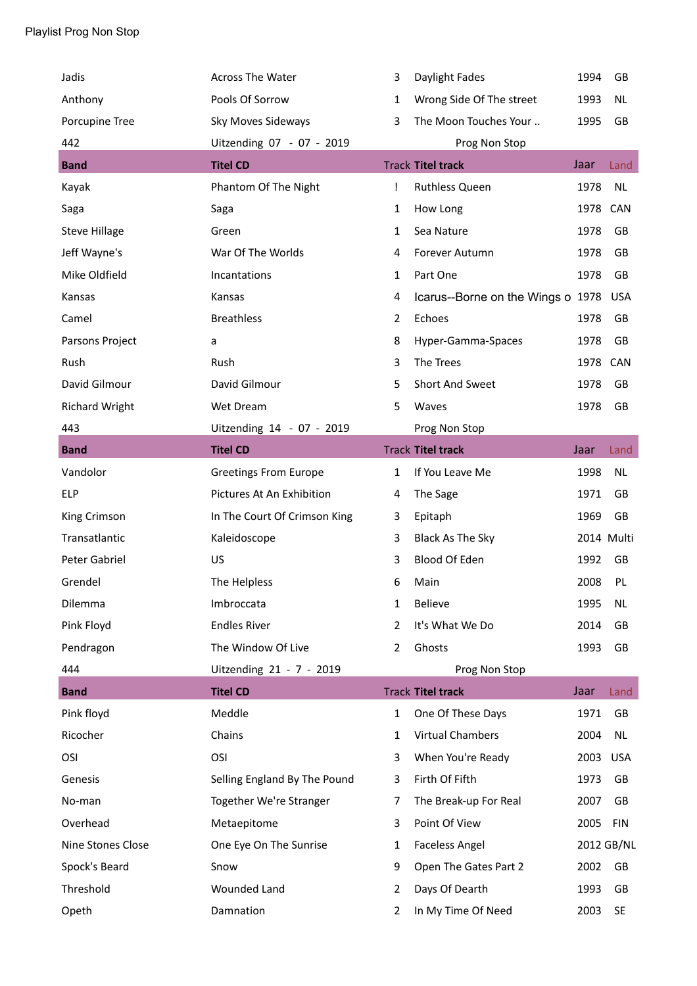| Jadis                 | Across The Water             | 3              | Daylight Fades                    | 1994     | GB         |
|-----------------------|------------------------------|----------------|-----------------------------------|----------|------------|
| Anthony               | Pools Of Sorrow              | 1              | Wrong Side Of The street          | 1993     | <b>NL</b>  |
| Porcupine Tree        | Sky Moves Sideways           | 3              | The Moon Touches Your             | 1995     | GB         |
| 442                   | Uitzending 07 - 07 - 2019    |                | Prog Non Stop                     |          |            |
| <b>Band</b>           | <b>Titel CD</b>              |                | <b>Track Titel track</b>          | Jaar     | Land       |
| Kayak                 | Phantom Of The Night         | Ţ              | <b>Ruthless Queen</b>             | 1978     | <b>NL</b>  |
| Saga                  | Saga                         | 1              | How Long                          | 1978     | CAN        |
| <b>Steve Hillage</b>  | Green                        | 1              | Sea Nature                        | 1978     | GB         |
| Jeff Wayne's          | War Of The Worlds            | 4              | Forever Autumn                    | 1978     | GB         |
| Mike Oldfield         | Incantations                 | 1              | Part One                          | 1978     | GB         |
| Kansas                | Kansas                       | 4              | Icarus--Borne on the Wings o 1978 |          | <b>USA</b> |
| Camel                 | <b>Breathless</b>            | 2              | Echoes                            | 1978     | GB         |
| Parsons Project       | a                            | 8              | Hyper-Gamma-Spaces                | 1978     | GB         |
| Rush                  | Rush                         | 3              | The Trees                         | 1978     | CAN        |
| David Gilmour         | David Gilmour                | 5              | Short And Sweet                   | 1978     | GB         |
| <b>Richard Wright</b> | Wet Dream                    | 5              | Waves                             | 1978     | GB         |
| 443                   | Uitzending 14 - 07 - 2019    |                | Prog Non Stop                     |          |            |
| <b>Band</b>           | <b>Titel CD</b>              |                | <b>Track Titel track</b>          | Jaar     | Land       |
| Vandolor              | <b>Greetings From Europe</b> | 1              | If You Leave Me                   | 1998     | NL         |
| <b>ELP</b>            | Pictures At An Exhibition    | 4              | The Sage                          | 1971     | GB         |
| King Crimson          | In The Court Of Crimson King | 3              | Epitaph                           | 1969     | GB         |
| Transatlantic         | Kaleidoscope                 | 3              | Black As The Sky                  |          | 2014 Multi |
| Peter Gabriel         | US                           | 3              | Blood Of Eden                     | 1992     | GB         |
| Grendel               | The Helpless                 | 6              | Main                              | 2008     | PL         |
| Dilemma               | Imbroccata                   | 1              | Believe                           | 1995     | <b>NL</b>  |
| Pink Floyd            | <b>Endles River</b>          | $\overline{2}$ | It's What We Do                   | 2014     | GB         |
| Pendragon             | The Window Of Live           | 2              | Ghosts                            | 1993     | GB         |
| 444                   | Uitzending 21 - 7 - 2019     |                | Prog Non Stop                     |          |            |
| <b>Band</b>           | <b>Titel CD</b>              |                | <b>Track Titel track</b>          | Jaar     | Land       |
| Pink floyd            | Meddle                       | $\mathbf{1}$   | One Of These Days                 | 1971     | GB         |
| Ricocher              | Chains                       | 1              | <b>Virtual Chambers</b>           | 2004     | <b>NL</b>  |
| OSI                   | OSI                          | 3              | When You're Ready                 | 2003 USA |            |
| Genesis               | Selling England By The Pound | 3              | Firth Of Fifth                    | 1973     | GB         |
| No-man                | Together We're Stranger      | 7              | The Break-up For Real             | 2007     | GB         |
| Overhead              | Metaepitome                  | 3              | Point Of View                     | 2005     | <b>FIN</b> |
| Nine Stones Close     | One Eye On The Sunrise       | 1              | <b>Faceless Angel</b>             |          | 2012 GB/NL |
| Spock's Beard         | Snow                         | 9              | Open The Gates Part 2             | 2002     | GB         |
| Threshold             | <b>Wounded Land</b>          | 2              | Days Of Dearth                    | 1993     | GB         |
|                       |                              |                |                                   |          |            |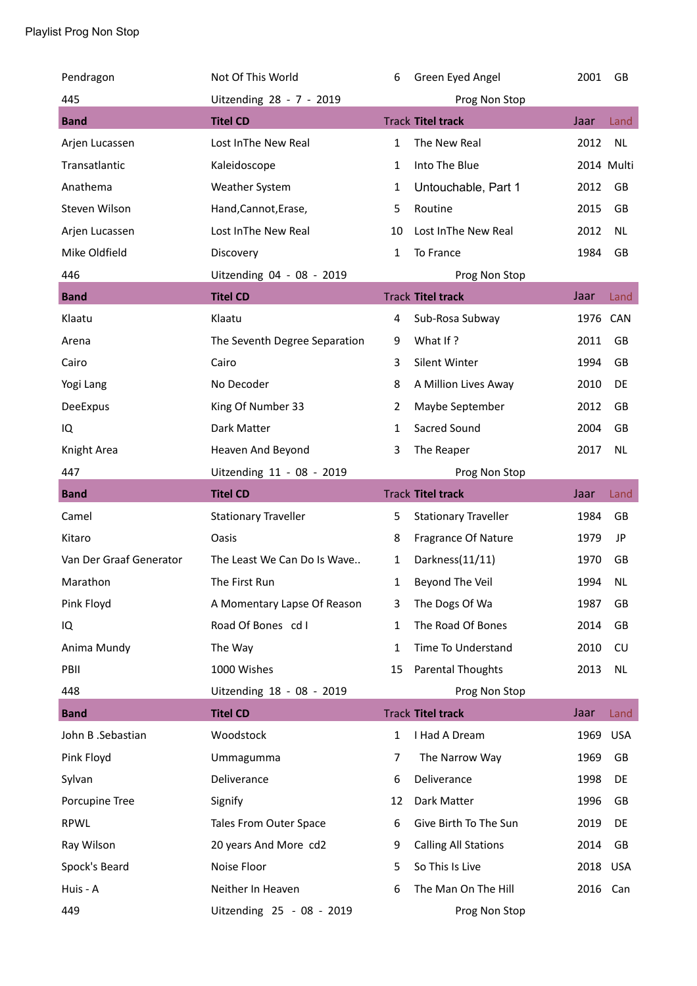| Pendragon               | Not Of This World             | 6              | Green Eyed Angel            | 2001     | GB         |
|-------------------------|-------------------------------|----------------|-----------------------------|----------|------------|
| 445                     | Uitzending 28 - 7 - 2019      |                | Prog Non Stop               |          |            |
| <b>Band</b>             | <b>Titel CD</b>               |                | <b>Track Titel track</b>    | Jaar     | Land       |
| Arjen Lucassen          | Lost InThe New Real           | $\mathbf{1}$   | The New Real                | 2012     | <b>NL</b>  |
| Transatlantic           | Kaleidoscope                  | 1              | Into The Blue               |          | 2014 Multi |
| Anathema                | Weather System                | 1              | Untouchable, Part 1         | 2012     | GB         |
| Steven Wilson           | Hand, Cannot, Erase,          | 5              | Routine                     | 2015     | GB         |
| Arjen Lucassen          | Lost InThe New Real           | 10             | Lost InThe New Real         | 2012     | <b>NL</b>  |
| Mike Oldfield           | Discovery                     | $\mathbf{1}$   | To France                   | 1984     | GB         |
| 446                     | Uitzending 04 - 08 - 2019     |                | Prog Non Stop               |          |            |
| <b>Band</b>             | <b>Titel CD</b>               |                | <b>Track Titel track</b>    | Jaar     | Land       |
| Klaatu                  | Klaatu                        | 4              | Sub-Rosa Subway             | 1976     | CAN        |
| Arena                   | The Seventh Degree Separation | 9              | What If?                    | 2011     | GB         |
| Cairo                   | Cairo                         | 3              | Silent Winter               | 1994     | GB         |
| Yogi Lang               | No Decoder                    | 8              | A Million Lives Away        | 2010     | DE         |
| DeeExpus                | King Of Number 33             | $\overline{2}$ | Maybe September             | 2012     | GB         |
| IQ                      | Dark Matter                   | 1              | Sacred Sound                | 2004     | GB         |
| Knight Area             | Heaven And Beyond             | 3              | The Reaper                  | 2017     | <b>NL</b>  |
| 447                     | Uitzending 11 - 08 - 2019     |                | Prog Non Stop               |          |            |
| <b>Band</b>             | <b>Titel CD</b>               |                | <b>Track Titel track</b>    | Jaar     | Land       |
| Camel                   | <b>Stationary Traveller</b>   | 5              | <b>Stationary Traveller</b> | 1984     | GB         |
| Kitaro                  | Oasis                         | 8              | Fragrance Of Nature         | 1979     | JP         |
| Van Der Graaf Generator | The Least We Can Do Is Wave   | 1              | Darkness(11/11)             | 1970     | GB         |
| Marathon                | The First Run                 | 1              | Beyond The Veil             | 1994     | <b>NL</b>  |
| Pink Floyd              | A Momentary Lapse Of Reason   | 3              | The Dogs Of Wa              | 1987     | GB         |
| IQ                      | Road Of Bones cd I            | 1              | The Road Of Bones           | 2014     | GB         |
| Anima Mundy             | The Way                       | $\mathbf{1}$   | Time To Understand          | 2010     | <b>CU</b>  |
| PBII                    | 1000 Wishes                   | 15             | <b>Parental Thoughts</b>    | 2013     | NL         |
| 448                     | Uitzending 18 - 08 - 2019     |                | Prog Non Stop               |          |            |
| <b>Band</b>             | <b>Titel CD</b>               |                | <b>Track Titel track</b>    | Jaar     | Land       |
| John B .Sebastian       | Woodstock                     | $\mathbf{1}$   | I Had A Dream               | 1969     | <b>USA</b> |
| Pink Floyd              | Ummagumma                     | 7              | The Narrow Way              | 1969     | GB         |
| Sylvan                  | Deliverance                   | 6              | Deliverance                 | 1998     | DE         |
| Porcupine Tree          | Signify                       | 12             | Dark Matter                 | 1996     | GB         |
| <b>RPWL</b>             | Tales From Outer Space        | 6              | Give Birth To The Sun       | 2019     | DE         |
| Ray Wilson              | 20 years And More cd2         | 9              | <b>Calling All Stations</b> | 2014     | GB         |
| Spock's Beard           | Noise Floor                   | 5              | So This Is Live             | 2018 USA |            |
| Huis - A                | Neither In Heaven             | 6              | The Man On The Hill         | 2016 Can |            |
| 449                     | Uitzending 25 - 08 - 2019     |                | Prog Non Stop               |          |            |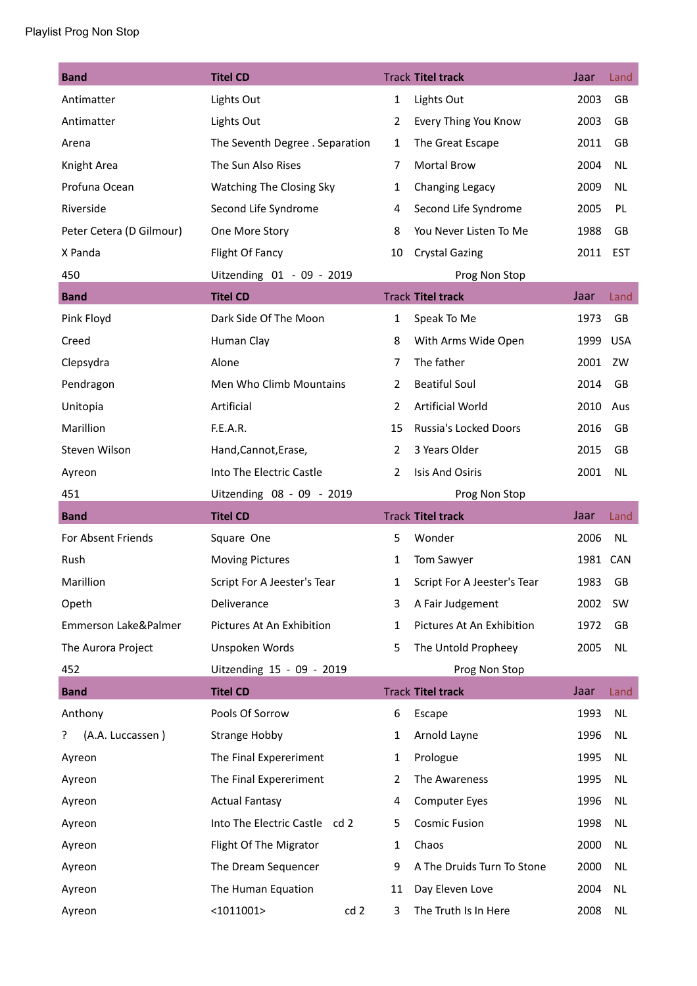| <b>Band</b>              | <b>Titel CD</b>                  |                | <b>Track Titel track</b>    | Jaar     | Land       |
|--------------------------|----------------------------------|----------------|-----------------------------|----------|------------|
| Antimatter               | Lights Out                       | $\mathbf{1}$   | Lights Out                  | 2003     | GB         |
| Antimatter               | Lights Out                       | 2              | Every Thing You Know        | 2003     | GB         |
| Arena                    | The Seventh Degree . Separation  | 1              | The Great Escape            | 2011     | GB         |
| Knight Area              | The Sun Also Rises               | 7              | Mortal Brow                 | 2004     | <b>NL</b>  |
| Profuna Ocean            | Watching The Closing Sky         | $\mathbf{1}$   | Changing Legacy             | 2009     | <b>NL</b>  |
| Riverside                | Second Life Syndrome             | 4              | Second Life Syndrome        | 2005     | PL         |
| Peter Cetera (D Gilmour) | One More Story                   | 8              | You Never Listen To Me      | 1988     | GB         |
| X Panda                  | Flight Of Fancy                  | 10             | <b>Crystal Gazing</b>       | 2011     | <b>EST</b> |
| 450                      | Uitzending 01 - 09 - 2019        |                | Prog Non Stop               |          |            |
| <b>Band</b>              | <b>Titel CD</b>                  |                | <b>Track Titel track</b>    | Jaar     | Land       |
| Pink Floyd               | Dark Side Of The Moon            | 1              | Speak To Me                 | 1973     | GB         |
| Creed                    | Human Clay                       | 8              | With Arms Wide Open         | 1999     | USA        |
| Clepsydra                | Alone                            | 7              | The father                  | 2001     | ZW         |
| Pendragon                | Men Who Climb Mountains          | $\overline{2}$ | <b>Beatiful Soul</b>        | 2014     | GB         |
| Unitopia                 | Artificial                       | $\overline{2}$ | <b>Artificial World</b>     | 2010     | Aus        |
| Marillion                | F.E.A.R.                         | 15             | Russia's Locked Doors       | 2016     | <b>GB</b>  |
| Steven Wilson            | Hand, Cannot, Erase,             | $\overline{2}$ | 3 Years Older               | 2015     | GB         |
| Ayreon                   | Into The Electric Castle         | 2              | <b>Isis And Osiris</b>      | 2001     | <b>NL</b>  |
| 451                      | Uitzending 08 - 09 - 2019        |                | Prog Non Stop               |          |            |
| <b>Band</b>              | <b>Titel CD</b>                  |                | <b>Track Titel track</b>    | Jaar     | Land       |
| For Absent Friends       | Square One                       | 5              | Wonder                      | 2006     | NL         |
| Rush                     | <b>Moving Pictures</b>           | 1              | Tom Sawyer                  | 1981 CAN |            |
| Marillion                | Script For A Jeester's Tear      | 1              | Script For A Jeester's Tear | 1983     | GB         |
| Opeth                    | Deliverance                      | 3              | A Fair Judgement            | 2002     | SW         |
| Emmerson Lake&Palmer     | Pictures At An Exhibition        | 1              | Pictures At An Exhibition   | 1972     | GB         |
| The Aurora Project       | Unspoken Words                   | 5              | The Untold Propheey         | 2005     | <b>NL</b>  |
| 452                      | Uitzending 15 - 09 - 2019        |                | Prog Non Stop               |          |            |
| <b>Band</b>              | <b>Titel CD</b>                  |                | <b>Track Titel track</b>    | Jaar     | Land       |
| Anthony                  | Pools Of Sorrow                  | 6              | Escape                      | 1993     | NL         |
| (A.A. Luccassen)<br>ŗ    | <b>Strange Hobby</b>             | 1              | Arnold Layne                | 1996     | NL         |
| Ayreon                   | The Final Expereriment           | 1              | Prologue                    | 1995     | NL         |
| Ayreon                   | The Final Expereriment           | 2              | The Awareness               | 1995     | <b>NL</b>  |
| Ayreon                   | <b>Actual Fantasy</b>            | 4              | <b>Computer Eyes</b>        | 1996     | NL         |
| Ayreon                   | Into The Electric Castle<br>cd 2 | 5              | <b>Cosmic Fusion</b>        | 1998     | NL         |
| Ayreon                   | Flight Of The Migrator           | 1              | Chaos                       | 2000     | NL         |
| Ayreon                   | The Dream Sequencer              | 9              | A The Druids Turn To Stone  | 2000     | NL         |
| Ayreon                   | The Human Equation               | 11             | Day Eleven Love             | 2004     | NL         |
| Ayreon                   | $<$ 1011001><br>cd 2             | 3              | The Truth Is In Here        | 2008     | <b>NL</b>  |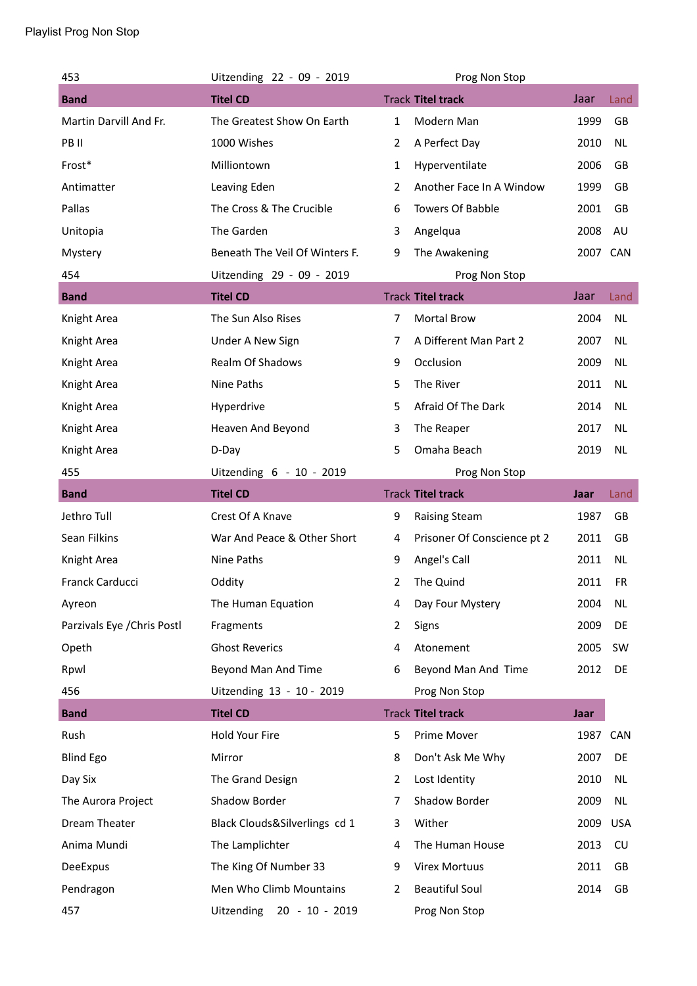| 453                         | Uitzending 22 - 09 - 2019           |                | Prog Non Stop               |          |            |
|-----------------------------|-------------------------------------|----------------|-----------------------------|----------|------------|
| <b>Band</b>                 | <b>Titel CD</b>                     |                | <b>Track Titel track</b>    | Jaar     | Land       |
| Martin Darvill And Fr.      | The Greatest Show On Earth          | $\mathbf{1}$   | Modern Man                  | 1999     | GB         |
| PB II                       | 1000 Wishes                         | $\overline{2}$ | A Perfect Day               | 2010     | <b>NL</b>  |
| Frost*                      | Milliontown                         | $\mathbf{1}$   | Hyperventilate              | 2006     | GB         |
| Antimatter                  | Leaving Eden                        | 2              | Another Face In A Window    | 1999     | GB         |
| Pallas                      | The Cross & The Crucible            | 6              | <b>Towers Of Babble</b>     | 2001     | GB         |
| Unitopia                    | The Garden                          | 3              | Angelqua                    | 2008     | AU         |
| Mystery                     | Beneath The Veil Of Winters F.      | 9              | The Awakening               | 2007 CAN |            |
| 454                         | Uitzending 29 - 09 - 2019           |                | Prog Non Stop               |          |            |
| <b>Band</b>                 | <b>Titel CD</b>                     |                | <b>Track Titel track</b>    | Jaar     | Land       |
| Knight Area                 | The Sun Also Rises                  | 7              | <b>Mortal Brow</b>          | 2004     | <b>NL</b>  |
| Knight Area                 | Under A New Sign                    | 7              | A Different Man Part 2      | 2007     | <b>NL</b>  |
| Knight Area                 | Realm Of Shadows                    | 9              | Occlusion                   | 2009     | NL.        |
| Knight Area                 | Nine Paths                          | 5              | The River                   | 2011     | <b>NL</b>  |
| Knight Area                 | Hyperdrive                          | 5              | Afraid Of The Dark          | 2014     | <b>NL</b>  |
| Knight Area                 | Heaven And Beyond                   | 3              | The Reaper                  | 2017     | <b>NL</b>  |
| Knight Area                 | D-Day                               | 5              | Omaha Beach                 | 2019     | <b>NL</b>  |
| 455                         | Uitzending 6 - 10 - 2019            |                | Prog Non Stop               |          |            |
| <b>Band</b>                 | <b>Titel CD</b>                     |                | <b>Track Titel track</b>    | Jaar     | Land       |
| Jethro Tull                 | Crest Of A Knave                    | 9              | <b>Raising Steam</b>        | 1987     | GB         |
| Sean Filkins                | War And Peace & Other Short         | 4              | Prisoner Of Conscience pt 2 | 2011     | GB         |
| Knight Area                 | Nine Paths                          | 9              | Angel's Call                | 2011     | <b>NL</b>  |
| Franck Carducci             | Oddity                              | 2              | The Quind                   | 2011     | <b>FR</b>  |
| Ayreon                      | The Human Equation                  | 4              | Day Four Mystery            | 2004     | <b>NL</b>  |
| Parzivals Eye / Chris Postl | Fragments                           | 2              | Signs                       | 2009     | DE         |
| Opeth                       | <b>Ghost Reverics</b>               | 4              | Atonement                   | 2005     | SW         |
| Rpwl                        | Beyond Man And Time                 | 6              | Beyond Man And Time         | 2012     | DE         |
| 456                         | Uitzending 13 - 10 - 2019           |                | Prog Non Stop               |          |            |
| <b>Band</b>                 | <b>Titel CD</b>                     |                | <b>Track Titel track</b>    | Jaar     |            |
| Rush                        | Hold Your Fire                      | 5              | Prime Mover                 | 1987 CAN |            |
| <b>Blind Ego</b>            | Mirror                              | 8              | Don't Ask Me Why            | 2007     | DE         |
| Day Six                     | The Grand Design                    | 2              | Lost Identity               | 2010     | NL         |
| The Aurora Project          | Shadow Border                       | 7              | Shadow Border               | 2009     | NL         |
| Dream Theater               | Black Clouds&Silverlings cd 1       | 3              | Wither                      | 2009     | <b>USA</b> |
| Anima Mundi                 | The Lamplichter                     | 4              | The Human House             | 2013     | CU         |
| DeeExpus                    | The King Of Number 33               | 9              | <b>Virex Mortuus</b>        | 2011     | GB         |
| Pendragon                   | Men Who Climb Mountains             | 2              | <b>Beautiful Soul</b>       | 2014     | GB         |
| 457                         | <b>Uitzending</b><br>20 - 10 - 2019 |                | Prog Non Stop               |          |            |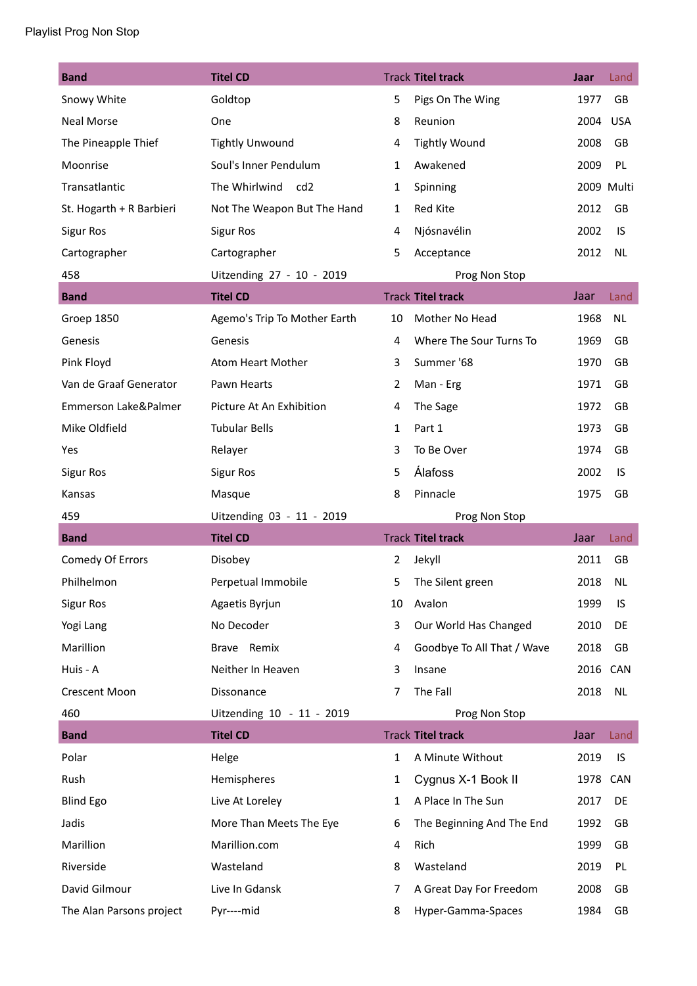| <b>Band</b>              | <b>Titel CD</b>                  |              | <b>Track Titel track</b>   | Jaar     | Land       |
|--------------------------|----------------------------------|--------------|----------------------------|----------|------------|
| Snowy White              | Goldtop                          | 5            | Pigs On The Wing           | 1977     | <b>GB</b>  |
| <b>Neal Morse</b>        | One                              | 8            | Reunion                    | 2004     | <b>USA</b> |
| The Pineapple Thief      | <b>Tightly Unwound</b>           | 4            | <b>Tightly Wound</b>       | 2008     | GB         |
| Moonrise                 | Soul's Inner Pendulum            | 1            | Awakened                   | 2009     | PL         |
| Transatlantic            | The Whirlwind<br>cd <sub>2</sub> | 1            | Spinning                   |          | 2009 Multi |
| St. Hogarth + R Barbieri | Not The Weapon But The Hand      | $\mathbf{1}$ | Red Kite                   | 2012     | GB         |
| <b>Sigur Ros</b>         | <b>Sigur Ros</b>                 | 4            | Njósnavélin                | 2002     | IS         |
| Cartographer             | Cartographer                     | 5            | Acceptance                 | 2012     | <b>NL</b>  |
| 458                      | Uitzending 27 - 10 - 2019        |              | Prog Non Stop              |          |            |
| <b>Band</b>              | <b>Titel CD</b>                  |              | <b>Track Titel track</b>   | Jaar     | Land       |
| Groep 1850               | Agemo's Trip To Mother Earth     | 10           | Mother No Head             | 1968     | <b>NL</b>  |
| Genesis                  | Genesis                          | 4            | Where The Sour Turns To    | 1969     | GB         |
| Pink Floyd               | Atom Heart Mother                | 3            | Summer '68                 | 1970     | GB         |
| Van de Graaf Generator   | Pawn Hearts                      | 2            | Man - Erg                  | 1971     | <b>GB</b>  |
| Emmerson Lake&Palmer     | Picture At An Exhibition         | 4            | The Sage                   | 1972     | GB         |
| Mike Oldfield            | <b>Tubular Bells</b>             | 1            | Part 1                     | 1973     | <b>GB</b>  |
| Yes                      | Relayer                          | 3            | To Be Over                 | 1974     | GB         |
| <b>Sigur Ros</b>         | <b>Sigur Ros</b>                 | 5            | <b>Álafoss</b>             | 2002     | IS         |
| Kansas                   | Masque                           | 8            | Pinnacle                   | 1975     | GB         |
| 459                      | Uitzending 03 - 11 - 2019        |              | Prog Non Stop              |          |            |
| <b>Band</b>              | <b>Titel CD</b>                  |              | <b>Track Titel track</b>   | Jaar     | Land       |
| Comedy Of Errors         | Disobey                          | 2            | Jekyll                     | 2011     | GB         |
| Philhelmon               | Perpetual Immobile               | 5            | The Silent green           | 2018     | <b>NL</b>  |
| <b>Sigur Ros</b>         | Agaetis Byrjun                   | 10           | Avalon                     | 1999     | IS         |
| Yogi Lang                | No Decoder                       | 3            | Our World Has Changed      | 2010     | DE         |
| Marillion                | Brave Remix                      | 4            | Goodbye To All That / Wave | 2018     | GB         |
| Huis - A                 | Neither In Heaven                | 3            | Insane                     | 2016 CAN |            |
| <b>Crescent Moon</b>     | Dissonance                       | 7            | The Fall                   | 2018     | <b>NL</b>  |
| 460                      | Uitzending 10 - 11 - 2019        |              | Prog Non Stop              |          |            |
| <b>Band</b>              | <b>Titel CD</b>                  |              | <b>Track Titel track</b>   | Jaar     | Land       |
| Polar                    | Helge                            | 1            | A Minute Without           | 2019     | IS         |
| Rush                     | Hemispheres                      | 1            | Cygnus X-1 Book II         | 1978     | CAN        |
| <b>Blind Ego</b>         | Live At Loreley                  | 1            | A Place In The Sun         | 2017     | DE         |
| Jadis                    | More Than Meets The Eye          | 6            | The Beginning And The End  | 1992     | GB         |
| Marillion                | Marillion.com                    | 4            | Rich                       | 1999     | GB         |
| Riverside                | Wasteland                        | 8            | Wasteland                  | 2019     | PL         |
| David Gilmour            | Live In Gdansk                   | 7            | A Great Day For Freedom    | 2008     | GB         |
| The Alan Parsons project | Pyr----mid                       | 8            | Hyper-Gamma-Spaces         | 1984     | GB         |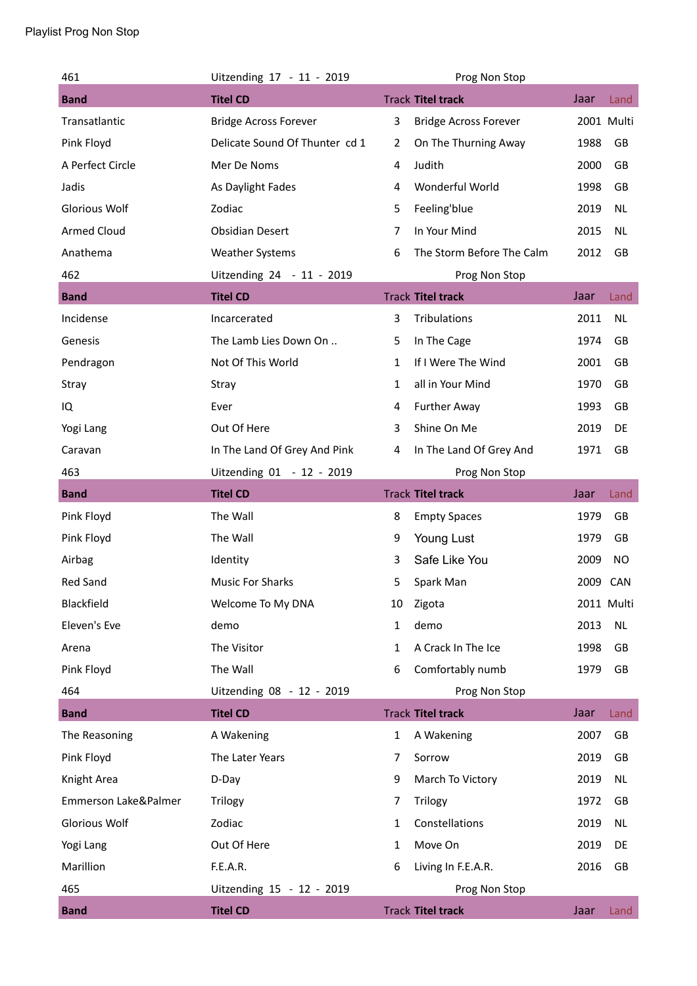## Playlist Prog Non Stop

| 461                  | Uitzending 17 - 11 - 2019      |                | Prog Non Stop                |      |            |
|----------------------|--------------------------------|----------------|------------------------------|------|------------|
| <b>Band</b>          | <b>Titel CD</b>                |                | <b>Track Titel track</b>     | Jaar | Land       |
| Transatlantic        | <b>Bridge Across Forever</b>   | 3              | <b>Bridge Across Forever</b> |      | 2001 Multi |
| Pink Floyd           | Delicate Sound Of Thunter cd 1 | $\overline{2}$ | On The Thurning Away         | 1988 | GB         |
| A Perfect Circle     | Mer De Noms                    | 4              | Judith                       | 2000 | GB         |
| Jadis                | As Daylight Fades              | 4              | Wonderful World              | 1998 | GB         |
| <b>Glorious Wolf</b> | Zodiac                         | 5              | Feeling'blue                 | 2019 | NL         |
| <b>Armed Cloud</b>   | <b>Obsidian Desert</b>         | 7              | In Your Mind                 | 2015 | <b>NL</b>  |
| Anathema             | <b>Weather Systems</b>         | 6              | The Storm Before The Calm    | 2012 | GB         |
| 462                  | Uitzending 24 - 11 - 2019      |                | Prog Non Stop                |      |            |
| <b>Band</b>          | <b>Titel CD</b>                |                | <b>Track Titel track</b>     | Jaar | Land       |
| Incidense            | Incarcerated                   | 3              | Tribulations                 | 2011 | <b>NL</b>  |
| Genesis              | The Lamb Lies Down On          | 5              | In The Cage                  | 1974 | GB         |
| Pendragon            | Not Of This World              | 1              | If I Were The Wind           | 2001 | GB         |
| Stray                | Stray                          | 1              | all in Your Mind             | 1970 | GB         |
| IQ                   | Ever                           | 4              | <b>Further Away</b>          | 1993 | GB         |
| Yogi Lang            | Out Of Here                    | 3              | Shine On Me                  | 2019 | DE         |
| Caravan              | In The Land Of Grey And Pink   | 4              | In The Land Of Grey And      | 1971 | GB         |
| 463                  | Uitzending 01 - 12 - 2019      |                | Prog Non Stop                |      |            |
| <b>Band</b>          | <b>Titel CD</b>                |                | <b>Track Titel track</b>     | Jaar | Land       |
| Pink Floyd           | The Wall                       | 8              | <b>Empty Spaces</b>          | 1979 | GB         |
| Pink Floyd           | The Wall                       | 9              | Young Lust                   | 1979 | GB         |
| Airbag               | Identity                       | 3              | Safe Like You                | 2009 | NO         |
| <b>Red Sand</b>      | <b>Music For Sharks</b>        | 5              | Spark Man                    | 2009 | <b>CAN</b> |
| Blackfield           | Welcome To My DNA              | 10             | Zigota                       |      | 2011 Multi |
| Eleven's Eve         | demo                           | 1              | demo                         | 2013 | NL         |
| Arena                | The Visitor                    | 1              | A Crack In The Ice           | 1998 | GB         |
| Pink Floyd           | The Wall                       | 6              | Comfortably numb             | 1979 | GB         |
| 464                  | Uitzending 08 - 12 - 2019      |                | Prog Non Stop                |      |            |
| <b>Band</b>          | <b>Titel CD</b>                |                | <b>Track Titel track</b>     | Jaar | Land       |
| The Reasoning        | A Wakening                     | 1              | A Wakening                   | 2007 | GB         |
| Pink Floyd           | The Later Years                | 7              | Sorrow                       | 2019 | GB         |
| Knight Area          | D-Day                          | 9              | March To Victory             | 2019 | <b>NL</b>  |
| Emmerson Lake&Palmer | Trilogy                        | 7              | Trilogy                      | 1972 | GB         |
| <b>Glorious Wolf</b> | Zodiac                         | 1              | Constellations               | 2019 | NL         |
| Yogi Lang            | Out Of Here                    | 1              | Move On                      | 2019 | DE         |
| Marillion            | F.E.A.R.                       | 6              | Living In F.E.A.R.           | 2016 | GB         |
| 465                  | Uitzending 15 - 12 - 2019      |                | Prog Non Stop                |      |            |
| <b>Band</b>          | <b>Titel CD</b>                |                | <b>Track Titel track</b>     | Jaar | Land       |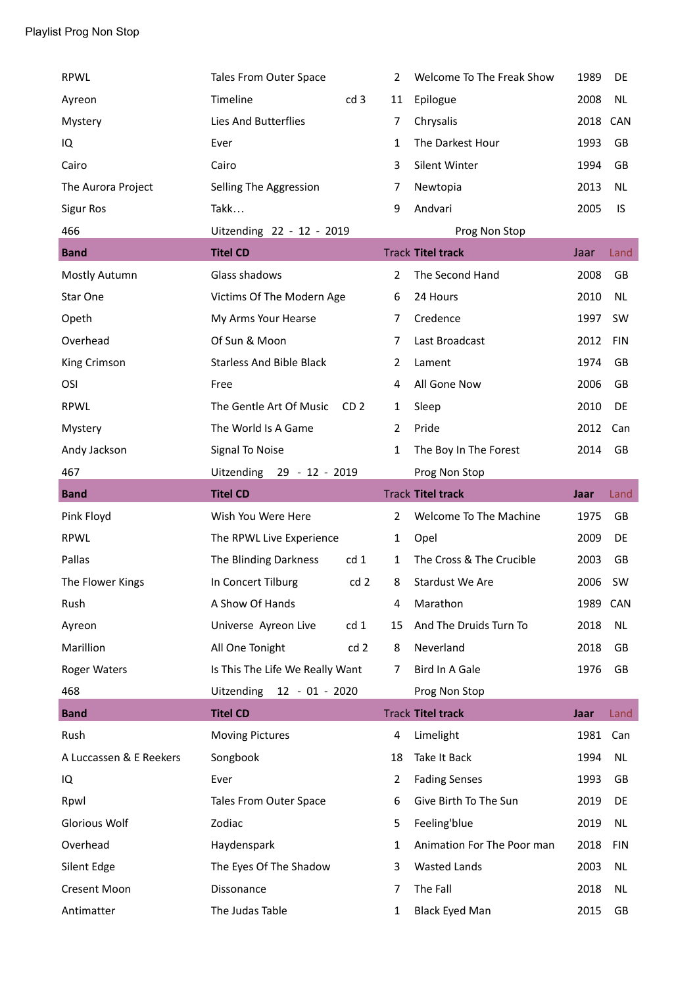| <b>RPWL</b>             | Tales From Outer Space                     | 2              | Welcome To The Freak Show  | 1989     | DE         |
|-------------------------|--------------------------------------------|----------------|----------------------------|----------|------------|
| Ayreon                  | Timeline<br>cd <sub>3</sub>                | 11             | Epilogue                   | 2008     | <b>NL</b>  |
| Mystery                 | Lies And Butterflies                       | 7              | Chrysalis                  | 2018 CAN |            |
| IQ                      | Ever                                       | 1              | The Darkest Hour           | 1993     | GB         |
| Cairo                   | Cairo                                      | 3              | Silent Winter              | 1994     | GB         |
| The Aurora Project      | Selling The Aggression                     | 7              | Newtopia                   | 2013     | <b>NL</b>  |
| <b>Sigur Ros</b>        | Takk                                       | 9              | Andvari                    | 2005     | IS         |
| 466                     | Uitzending 22 - 12 - 2019                  |                | Prog Non Stop              |          |            |
| <b>Band</b>             | <b>Titel CD</b>                            |                | <b>Track Titel track</b>   | Jaar     | Land       |
| Mostly Autumn           | Glass shadows                              | 2              | The Second Hand            | 2008     | GB         |
| Star One                | Victims Of The Modern Age                  | 6              | 24 Hours                   | 2010     | <b>NL</b>  |
| Opeth                   | My Arms Your Hearse                        | 7              | Credence                   | 1997     | <b>SW</b>  |
| Overhead                | Of Sun & Moon                              | 7              | Last Broadcast             | 2012     | <b>FIN</b> |
| King Crimson            | <b>Starless And Bible Black</b>            | 2              | Lament                     | 1974     | GB         |
| OSI                     | Free                                       | 4              | All Gone Now               | 2006     | GB         |
| <b>RPWL</b>             | The Gentle Art Of Music<br>CD <sub>2</sub> | 1              | Sleep                      | 2010     | DE         |
| Mystery                 | The World Is A Game                        | $\overline{2}$ | Pride                      | 2012     | Can        |
| Andy Jackson            | Signal To Noise                            | $\mathbf{1}$   | The Boy In The Forest      | 2014     | GB         |
| 467                     | Uitzending 29 - 12 - 2019                  |                | Prog Non Stop              |          |            |
| <b>Band</b>             | <b>Titel CD</b>                            |                | <b>Track Titel track</b>   | Jaar     | Land       |
| Pink Floyd              | Wish You Were Here                         | $\overline{2}$ | Welcome To The Machine     | 1975     | GB         |
| <b>RPWL</b>             | The RPWL Live Experience                   | 1              | Opel                       | 2009     | DE         |
| Pallas                  | The Blinding Darkness<br>cd <sub>1</sub>   | 1              | The Cross & The Crucible   | 2003     | GB         |
| The Flower Kings        | In Concert Tilburg<br>cd <sub>2</sub>      | 8              | Stardust We Are            | 2006     | <b>SW</b>  |
| Rush                    | A Show Of Hands                            | 4              | Marathon                   | 1989 CAN |            |
| Ayreon                  | Universe Ayreon Live<br>cd <sub>1</sub>    | 15             | And The Druids Turn To     | 2018     | <b>NL</b>  |
| Marillion               | All One Tonight<br>cd <sub>2</sub>         | 8              | Neverland                  | 2018     | GB         |
| <b>Roger Waters</b>     | Is This The Life We Really Want            | 7              | Bird In A Gale             | 1976     | GB         |
| 468                     | Uitzending 12 - 01 - 2020                  |                | Prog Non Stop              |          |            |
| <b>Band</b>             | <b>Titel CD</b>                            |                | <b>Track Titel track</b>   | Jaar     | Land       |
| Rush                    | <b>Moving Pictures</b>                     | 4              | Limelight                  | 1981     | Can        |
| A Luccassen & E Reekers | Songbook                                   | 18             | Take It Back               | 1994     | NL         |
| IQ                      | Ever                                       | 2              | <b>Fading Senses</b>       | 1993     | GB         |
| Rpwl                    | Tales From Outer Space                     | 6              | Give Birth To The Sun      | 2019     | DE         |
| <b>Glorious Wolf</b>    | Zodiac                                     | 5              | Feeling'blue               | 2019     | <b>NL</b>  |
| Overhead                | Haydenspark                                | 1              | Animation For The Poor man | 2018     | <b>FIN</b> |
| Silent Edge             | The Eyes Of The Shadow                     | 3              | <b>Wasted Lands</b>        | 2003     | <b>NL</b>  |
| <b>Cresent Moon</b>     | Dissonance                                 | 7              | The Fall                   | 2018     | <b>NL</b>  |
| Antimatter              | The Judas Table                            | 1              | <b>Black Eyed Man</b>      | 2015     | GB         |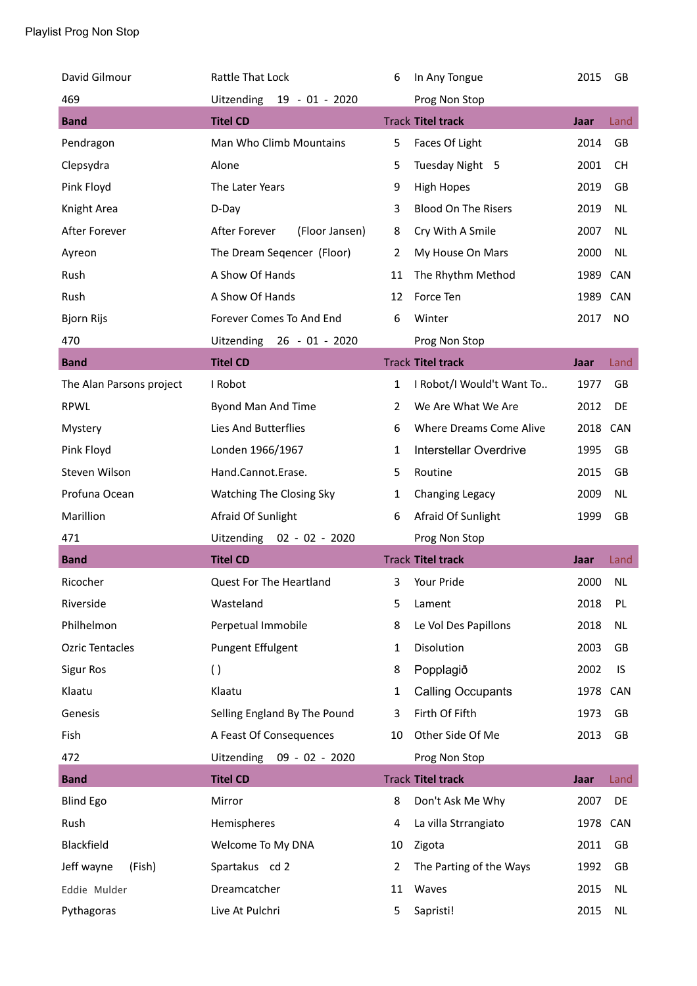| David Gilmour            | Rattle That Lock                    | 6              | In Any Tongue              | 2015     | GB         |
|--------------------------|-------------------------------------|----------------|----------------------------|----------|------------|
| 469                      | <b>Uitzending</b><br>19 - 01 - 2020 |                | Prog Non Stop              |          |            |
| <b>Band</b>              | <b>Titel CD</b>                     |                | <b>Track Titel track</b>   | Jaar     | Land       |
| Pendragon                | Man Who Climb Mountains             | 5              | Faces Of Light             | 2014     | GB         |
| Clepsydra                | Alone                               | 5              | Tuesday Night 5            | 2001     | <b>CH</b>  |
| Pink Floyd               | The Later Years                     | 9              | <b>High Hopes</b>          | 2019     | GB         |
| Knight Area              | D-Day                               | 3              | <b>Blood On The Risers</b> | 2019     | <b>NL</b>  |
| After Forever            | After Forever<br>(Floor Jansen)     | 8              | Cry With A Smile           | 2007     | <b>NL</b>  |
| Ayreon                   | The Dream Seqencer (Floor)          | $\overline{2}$ | My House On Mars           | 2000     | <b>NL</b>  |
| Rush                     | A Show Of Hands                     | 11             | The Rhythm Method          | 1989     | CAN        |
| Rush                     | A Show Of Hands                     | 12             | Force Ten                  | 1989     | <b>CAN</b> |
| <b>Bjorn Rijs</b>        | Forever Comes To And End            | 6              | Winter                     | 2017     | <b>NO</b>  |
| 470                      | Uitzending 26 - 01 - 2020           |                | Prog Non Stop              |          |            |
| <b>Band</b>              | <b>Titel CD</b>                     |                | <b>Track Titel track</b>   | Jaar     | Land       |
| The Alan Parsons project | I Robot                             | 1              | I Robot/I Would't Want To  | 1977     | GB         |
| <b>RPWL</b>              | Byond Man And Time                  | 2              | We Are What We Are         | 2012     | DE         |
| Mystery                  | Lies And Butterflies                | 6              | Where Dreams Come Alive    | 2018 CAN |            |
| Pink Floyd               | Londen 1966/1967                    | $\mathbf{1}$   | Interstellar Overdrive     | 1995     | GB         |
| Steven Wilson            | Hand.Cannot.Erase.                  | 5              | Routine                    | 2015     | GB         |
| Profuna Ocean            | Watching The Closing Sky            | 1              | Changing Legacy            | 2009     | <b>NL</b>  |
| Marillion                | Afraid Of Sunlight                  | 6              | Afraid Of Sunlight         | 1999     | GB         |
| 471                      | Uitzending 02 - 02 - 2020           |                | Prog Non Stop              |          |            |
| <b>Band</b>              | <b>Titel CD</b>                     |                | <b>Track Titel track</b>   | Jaar     | Land       |
| Ricocher                 | Quest For The Heartland             | 3              | Your Pride                 | 2000     | NL         |
| Riverside                | Wasteland                           | 5              | Lament                     | 2018     | PL         |
| Philhelmon               | Perpetual Immobile                  | 8              | Le Vol Des Papillons       | 2018     | <b>NL</b>  |
| Ozric Tentacles          | <b>Pungent Effulgent</b>            | 1              | Disolution                 | 2003     | GB         |
| <b>Sigur Ros</b>         | $\left( \ \right)$                  | 8              | Popplagið                  | 2002     | IS         |
| Klaatu                   | Klaatu                              | 1              | <b>Calling Occupants</b>   | 1978     | <b>CAN</b> |
| Genesis                  | Selling England By The Pound        | 3              | Firth Of Fifth             | 1973     | GB         |
| Fish                     | A Feast Of Consequences             | 10             | Other Side Of Me           | 2013     | GB         |
| 472                      | Uitzending 09 - 02 - 2020           |                | Prog Non Stop              |          |            |
| <b>Band</b>              | <b>Titel CD</b>                     |                | <b>Track Titel track</b>   | Jaar     | Land       |
| <b>Blind Ego</b>         | Mirror                              | 8              | Don't Ask Me Why           | 2007     | DE         |
| Rush                     | Hemispheres                         | 4              | La villa Strrangiato       | 1978     | CAN        |
| Blackfield               | Welcome To My DNA                   | 10             | Zigota                     | 2011     | GB         |
| Jeff wayne<br>(Fish)     | Spartakus cd 2                      | 2              | The Parting of the Ways    | 1992     | GB         |
| Eddie Mulder             | Dreamcatcher                        | 11             | Waves                      | 2015     | NL         |
| Pythagoras               | Live At Pulchri                     | 5              | Sapristi!                  | 2015     | <b>NL</b>  |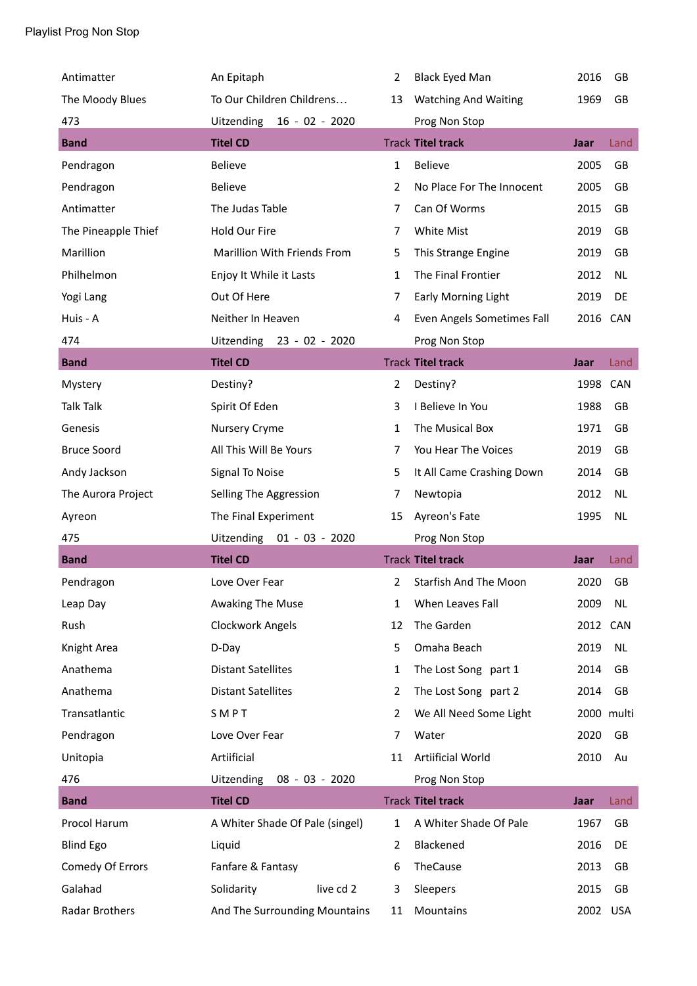| Antimatter          | An Epitaph                         | $\overline{2}$ | <b>Black Eyed Man</b>        | 2016     | GB         |
|---------------------|------------------------------------|----------------|------------------------------|----------|------------|
| The Moody Blues     | To Our Children Childrens          | 13             | <b>Watching And Waiting</b>  | 1969     | <b>GB</b>  |
| 473                 | Uitzending<br>$16 - 02 - 2020$     |                | Prog Non Stop                |          |            |
| <b>Band</b>         | <b>Titel CD</b>                    |                | <b>Track Titel track</b>     | Jaar     | Land       |
| Pendragon           | <b>Believe</b>                     | $\mathbf{1}$   | <b>Believe</b>               | 2005     | GB         |
| Pendragon           | <b>Believe</b>                     | $\overline{2}$ | No Place For The Innocent    | 2005     | GB         |
| Antimatter          | The Judas Table                    | 7              | Can Of Worms                 | 2015     | GB         |
| The Pineapple Thief | Hold Our Fire                      | $\overline{7}$ | White Mist                   | 2019     | GB         |
| Marillion           | <b>Marillion With Friends From</b> | 5              | This Strange Engine          | 2019     | GB         |
| Philhelmon          | Enjoy It While it Lasts            | $\mathbf{1}$   | The Final Frontier           | 2012     | NL         |
| Yogi Lang           | Out Of Here                        | 7              | <b>Early Morning Light</b>   | 2019     | DE         |
| Huis - A            | Neither In Heaven                  | 4              | Even Angels Sometimes Fall   | 2016 CAN |            |
| 474                 | Uitzending 23 - 02 - 2020          |                | Prog Non Stop                |          |            |
| <b>Band</b>         | <b>Titel CD</b>                    |                | <b>Track Titel track</b>     | Jaar     | Land       |
| Mystery             | Destiny?                           | $\overline{2}$ | Destiny?                     | 1998 CAN |            |
| <b>Talk Talk</b>    | Spirit Of Eden                     | 3              | I Believe In You             | 1988     | GB         |
| Genesis             | Nursery Cryme                      | 1              | The Musical Box              | 1971     | GB         |
| <b>Bruce Soord</b>  | All This Will Be Yours             | 7              | You Hear The Voices          | 2019     | GB         |
| Andy Jackson        | Signal To Noise                    | 5              | It All Came Crashing Down    | 2014     | GB         |
| The Aurora Project  | Selling The Aggression             | 7              | Newtopia                     | 2012     | <b>NL</b>  |
| Ayreon              | The Final Experiment               | 15             | Ayreon's Fate                | 1995     | NL         |
| 475                 | Uitzending 01 - 03 - 2020          |                | Prog Non Stop                |          |            |
| <b>Band</b>         | <b>Titel CD</b>                    |                | <b>Track Titel track</b>     | Jaar     | Land       |
| Pendragon           | Love Over Fear                     | $\overline{2}$ | <b>Starfish And The Moon</b> | 2020     | GB         |
| Leap Day            | Awaking The Muse                   | 1              | When Leaves Fall             | 2009     | <b>NL</b>  |
| Rush                | Clockwork Angels                   | 12             | The Garden                   | 2012 CAN |            |
| Knight Area         | D-Day                              | 5              | Omaha Beach                  | 2019     | NL         |
| Anathema            | <b>Distant Satellites</b>          | 1              | The Lost Song part 1         | 2014     | GB         |
| Anathema            |                                    |                |                              |          |            |
|                     | <b>Distant Satellites</b>          | $\overline{2}$ | The Lost Song part 2         | 2014     | GB         |
| Transatlantic       | SMPT                               | 2              | We All Need Some Light       |          | 2000 multi |
| Pendragon           | Love Over Fear                     | 7              | Water                        | 2020     | GB         |
| Unitopia            | Artiificial                        | 11             | Artiificial World            | 2010     | Au         |
| 476                 | Uitzending<br>$08 - 03 - 2020$     |                | Prog Non Stop                |          |            |
| <b>Band</b>         | <b>Titel CD</b>                    |                | <b>Track Titel track</b>     | Jaar     | Land       |
| Procol Harum        | A Whiter Shade Of Pale (singel)    | 1              | A Whiter Shade Of Pale       | 1967     | GB         |
| <b>Blind Ego</b>    | Liquid                             | 2              | Blackened                    | 2016     | DE         |
| Comedy Of Errors    | Fanfare & Fantasy                  | 6              | TheCause                     | 2013     | GB         |
| Galahad             | live cd 2<br>Solidarity            | 3              | Sleepers                     | 2015     | GB         |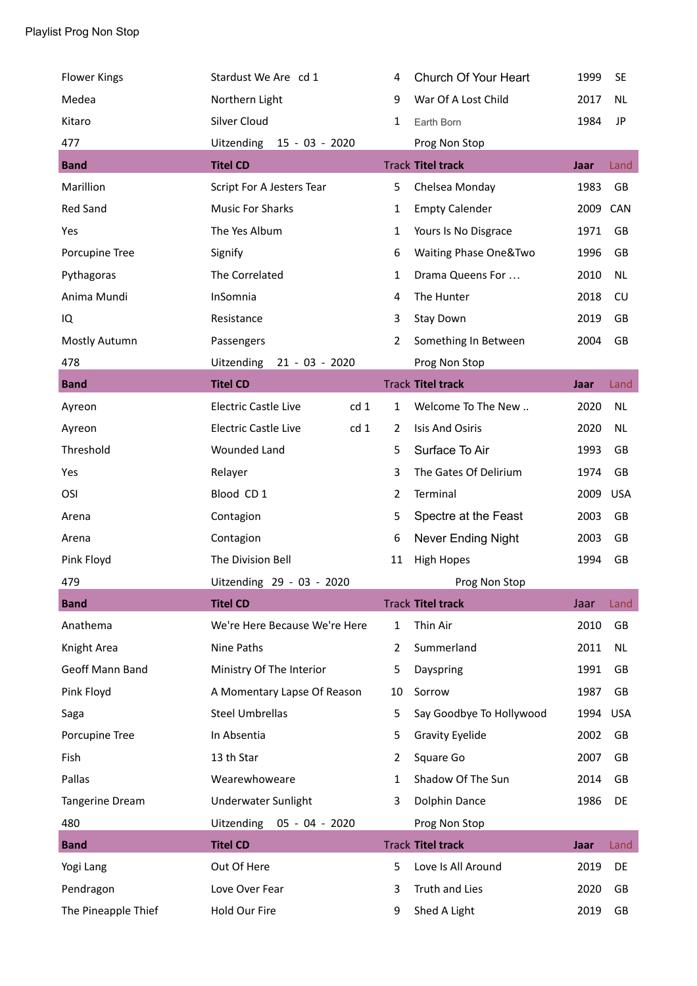| <b>Flower Kings</b> | Stardust We Are cd 1                           | 4              | Church Of Your Heart             | 1999 | <b>SE</b>  |
|---------------------|------------------------------------------------|----------------|----------------------------------|------|------------|
| Medea               | Northern Light                                 | 9              | War Of A Lost Child              | 2017 | <b>NL</b>  |
| Kitaro              | Silver Cloud                                   | $\mathbf{1}$   | Earth Born                       | 1984 | JP         |
| 477                 | Uitzending<br>15 - 03 - 2020                   |                | Prog Non Stop                    |      |            |
| <b>Band</b>         | <b>Titel CD</b>                                |                | <b>Track Titel track</b>         | Jaar | Land       |
| Marillion           | Script For A Jesters Tear                      | 5              | Chelsea Monday                   | 1983 | GB         |
| <b>Red Sand</b>     | <b>Music For Sharks</b>                        | $\mathbf{1}$   | <b>Empty Calender</b>            | 2009 | CAN        |
| Yes                 | The Yes Album                                  | $\mathbf{1}$   | Yours Is No Disgrace             | 1971 | GB         |
| Porcupine Tree      | Signify                                        | 6              | <b>Waiting Phase One&amp;Two</b> | 1996 | GB         |
| Pythagoras          | The Correlated                                 | $\mathbf{1}$   | Drama Queens For                 | 2010 | <b>NL</b>  |
| Anima Mundi         | InSomnia                                       | 4              | The Hunter                       | 2018 | CU         |
| IQ                  | Resistance                                     | 3              | <b>Stay Down</b>                 | 2019 | GB         |
| Mostly Autumn       | Passengers                                     | $\overline{2}$ | Something In Between             | 2004 | GB         |
| 478                 | Uitzending<br>$21 - 03 - 2020$                 |                | Prog Non Stop                    |      |            |
| <b>Band</b>         | <b>Titel CD</b>                                |                | <b>Track Titel track</b>         | Jaar | Land       |
| Ayreon              | <b>Electric Castle Live</b><br>cd 1            | $\mathbf{1}$   | Welcome To The New               | 2020 | <b>NL</b>  |
| Ayreon              | <b>Electric Castle Live</b><br>cd <sub>1</sub> | $\overline{2}$ | <b>Isis And Osiris</b>           | 2020 | <b>NL</b>  |
| Threshold           | <b>Wounded Land</b>                            | 5              | Surface To Air                   | 1993 | GB         |
| Yes                 | Relayer                                        | 3              | The Gates Of Delirium            | 1974 | GB         |
| OSI                 | Blood CD 1                                     | 2              | Terminal                         | 2009 | <b>USA</b> |
| Arena               | Contagion                                      | 5              | Spectre at the Feast             | 2003 | GB         |
| Arena               | Contagion                                      | 6              | <b>Never Ending Night</b>        | 2003 | GB         |
| Pink Floyd          | The Division Bell                              | 11             | <b>High Hopes</b>                | 1994 | GB         |
| 479                 | Uitzending 29 - 03 - 2020                      |                | Prog Non Stop                    |      |            |
| <b>Band</b>         | <b>Titel CD</b>                                |                | <b>Track Titel track</b>         | Jaar | Land       |
| Anathema            | We're Here Because We're Here                  | $\mathbf{1}$   | Thin Air                         | 2010 | GB         |
| Knight Area         | Nine Paths                                     | $\overline{2}$ | Summerland                       | 2011 | <b>NL</b>  |
| Geoff Mann Band     | Ministry Of The Interior                       | 5              | Dayspring                        | 1991 | GB         |
| Pink Floyd          | A Momentary Lapse Of Reason                    | 10             | Sorrow                           | 1987 | GB         |
| Saga                | <b>Steel Umbrellas</b>                         | 5              | Say Goodbye To Hollywood         | 1994 | <b>USA</b> |
| Porcupine Tree      | In Absentia                                    | 5              | <b>Gravity Eyelide</b>           | 2002 | GB         |
| Fish                | 13 th Star                                     | $\overline{2}$ | Square Go                        | 2007 | GB         |
| Pallas              | Wearewhoweare                                  | 1              | Shadow Of The Sun                | 2014 | GB         |
| Tangerine Dream     | <b>Underwater Sunlight</b>                     | 3              | Dolphin Dance                    | 1986 | DE         |
| 480                 | Uitzending<br>05 - 04 - 2020                   |                | Prog Non Stop                    |      |            |
| <b>Band</b>         | <b>Titel CD</b>                                |                | <b>Track Titel track</b>         | Jaar | Land       |
| Yogi Lang           | Out Of Here                                    | 5              | Love Is All Around               | 2019 | DE         |
| Pendragon           | Love Over Fear                                 | 3              | Truth and Lies                   | 2020 | GB         |
| The Pineapple Thief | Hold Our Fire                                  | 9              | Shed A Light                     | 2019 | GB         |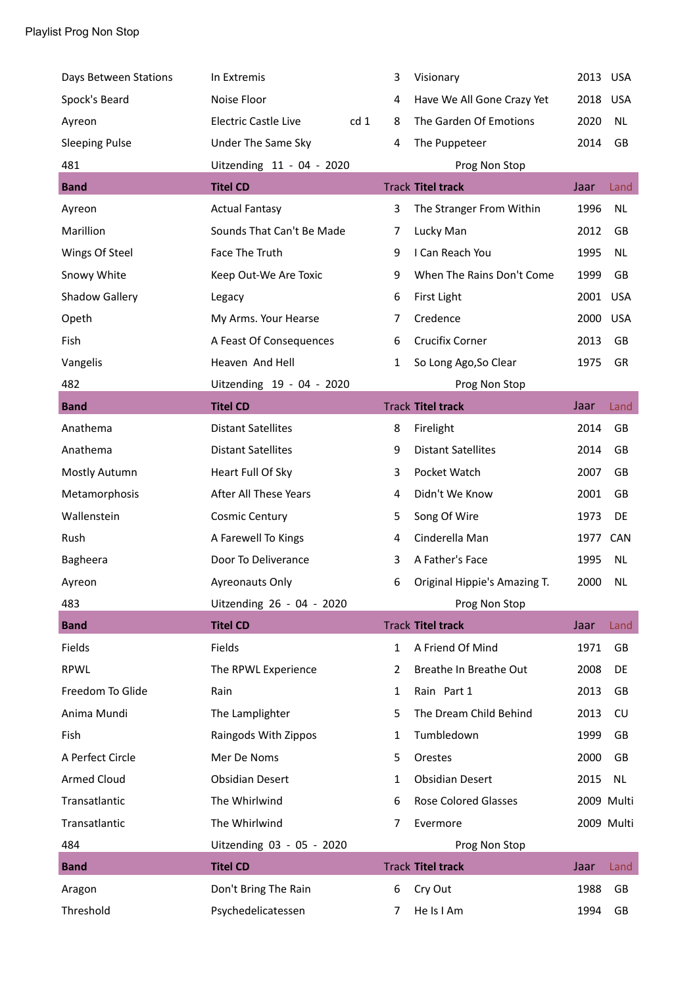| Days Between Stations | In Extremis                                    | 3            | Visionary                    | 2013 USA |            |
|-----------------------|------------------------------------------------|--------------|------------------------------|----------|------------|
| Spock's Beard         | Noise Floor                                    | 4            | Have We All Gone Crazy Yet   | 2018     | <b>USA</b> |
| Ayreon                | cd <sub>1</sub><br><b>Electric Castle Live</b> | 8            | The Garden Of Emotions       | 2020     | NL         |
| <b>Sleeping Pulse</b> | Under The Same Sky                             | 4            | The Puppeteer                | 2014     | GB         |
| 481                   | Uitzending 11 - 04 - 2020                      |              | Prog Non Stop                |          |            |
| <b>Band</b>           | <b>Titel CD</b>                                |              | <b>Track Titel track</b>     | Jaar     | Land       |
| Ayreon                | <b>Actual Fantasy</b>                          | 3            | The Stranger From Within     | 1996     | <b>NL</b>  |
| Marillion             | Sounds That Can't Be Made                      | 7            | Lucky Man                    | 2012     | GB         |
| Wings Of Steel        | Face The Truth                                 | 9            | I Can Reach You              | 1995     | <b>NL</b>  |
| Snowy White           | Keep Out-We Are Toxic                          | 9            | When The Rains Don't Come    | 1999     | GB         |
| Shadow Gallery        | Legacy                                         | 6            | First Light                  | 2001     | <b>USA</b> |
| Opeth                 | My Arms. Your Hearse                           | 7            | Credence                     | 2000     | <b>USA</b> |
| Fish                  | A Feast Of Consequences                        | 6            | Crucifix Corner              | 2013     | GB         |
| Vangelis              | Heaven And Hell                                | 1            | So Long Ago, So Clear        | 1975     | GR         |
| 482                   | Uitzending 19 - 04 - 2020                      |              | Prog Non Stop                |          |            |
| <b>Band</b>           | <b>Titel CD</b>                                |              | <b>Track Titel track</b>     | Jaar     | Land       |
| Anathema              | <b>Distant Satellites</b>                      | 8            | Firelight                    | 2014     | GB         |
| Anathema              | <b>Distant Satellites</b>                      | 9            | <b>Distant Satellites</b>    | 2014     | GB         |
| Mostly Autumn         | Heart Full Of Sky                              | 3            | Pocket Watch                 | 2007     | <b>GB</b>  |
| Metamorphosis         | After All These Years                          | 4            | Didn't We Know               | 2001     | GB         |
| Wallenstein           | <b>Cosmic Century</b>                          | 5            | Song Of Wire                 | 1973     | DE         |
| Rush                  | A Farewell To Kings                            | 4            | Cinderella Man               | 1977     | CAN        |
| Bagheera              | Door To Deliverance                            | 3            | A Father's Face              | 1995     | <b>NL</b>  |
| Ayreon                | <b>Ayreonauts Only</b>                         | 6            | Original Hippie's Amazing T. | 2000     | <b>NL</b>  |
| 483                   | Uitzending 26 - 04 - 2020                      |              | Prog Non Stop                |          |            |
| <b>Band</b>           | <b>Titel CD</b>                                |              | <b>Track Titel track</b>     | Jaar     | Land       |
| Fields                | Fields                                         | $\mathbf{1}$ | A Friend Of Mind             | 1971     | GB         |
| <b>RPWL</b>           | The RPWL Experience                            | 2            | Breathe In Breathe Out       | 2008     | DE         |
| Freedom To Glide      | Rain                                           | 1            | Rain Part 1                  | 2013     | GB         |
| Anima Mundi           | The Lamplighter                                | 5            | The Dream Child Behind       | 2013     | CU         |
| Fish                  | Raingods With Zippos                           | 1            | Tumbledown                   | 1999     | GB         |
| A Perfect Circle      | Mer De Noms                                    | 5            | Orestes                      | 2000     | GB         |
| <b>Armed Cloud</b>    | <b>Obsidian Desert</b>                         | $\mathbf{1}$ | <b>Obsidian Desert</b>       | 2015     | <b>NL</b>  |
| Transatlantic         | The Whirlwind                                  | 6            | Rose Colored Glasses         |          | 2009 Multi |
| Transatlantic         | The Whirlwind                                  | 7            | Evermore                     |          | 2009 Multi |
| 484                   | Uitzending 03 - 05 - 2020                      |              | Prog Non Stop                |          |            |
| <b>Band</b>           | <b>Titel CD</b>                                |              | <b>Track Titel track</b>     | Jaar     | Land       |
| Aragon                | Don't Bring The Rain                           | 6            | Cry Out                      | 1988     | GB         |
| Threshold             | Psychedelicatessen                             | 7            | He Is I Am                   | 1994     | GB         |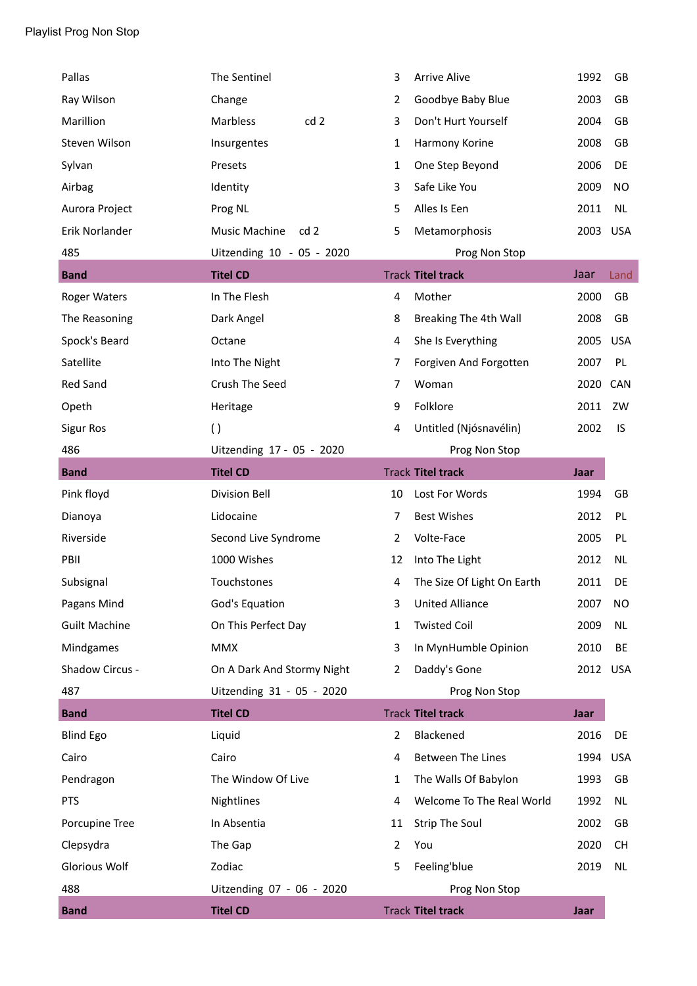| Pallas               | The Sentinel                     | 3            | <b>Arrive Alive</b>        | 1992     | GB         |
|----------------------|----------------------------------|--------------|----------------------------|----------|------------|
| Ray Wilson           | Change                           | 2            | Goodbye Baby Blue          | 2003     | GB         |
| Marillion            | cd <sub>2</sub><br>Marbless      | 3            | Don't Hurt Yourself        | 2004     | <b>GB</b>  |
| Steven Wilson        | Insurgentes                      | 1            | Harmony Korine             | 2008     | GB         |
| Sylvan               | Presets                          | 1            | One Step Beyond            | 2006     | DE         |
| Airbag               | Identity                         | 3            | Safe Like You              | 2009     | <b>NO</b>  |
| Aurora Project       | Prog NL                          | 5            | Alles Is Een               | 2011     | NL         |
| Erik Norlander       | Music Machine<br>cd <sub>2</sub> | 5            | Metamorphosis              | 2003     | <b>USA</b> |
| 485                  | Uitzending 10 - 05 - 2020        |              | Prog Non Stop              |          |            |
| <b>Band</b>          | <b>Titel CD</b>                  |              | <b>Track Titel track</b>   | Jaar     | Land       |
| <b>Roger Waters</b>  | In The Flesh                     | 4            | Mother                     | 2000     | GB         |
| The Reasoning        | Dark Angel                       | 8            | Breaking The 4th Wall      | 2008     | GB         |
| Spock's Beard        | Octane                           | 4            | She Is Everything          | 2005     | <b>USA</b> |
| Satellite            | Into The Night                   | 7            | Forgiven And Forgotten     | 2007     | PL         |
| <b>Red Sand</b>      | Crush The Seed                   | 7            | Woman                      | 2020 CAN |            |
| Opeth                | Heritage                         | 9            | Folklore                   | 2011     | ZW         |
| <b>Sigur Ros</b>     | $\left( \ \right)$               | 4            | Untitled (Njósnavélin)     | 2002     | IS         |
| 486                  | Uitzending 17 - 05 - 2020        |              | Prog Non Stop              |          |            |
| <b>Band</b>          | <b>Titel CD</b>                  |              | <b>Track Titel track</b>   | Jaar     |            |
| Pink floyd           | <b>Division Bell</b>             | 10           | Lost For Words             | 1994     | GB         |
|                      |                                  |              |                            |          |            |
| Dianoya              | Lidocaine                        | 7            | <b>Best Wishes</b>         | 2012     | PL         |
| Riverside            | Second Live Syndrome             | 2            | Volte-Face                 | 2005     | PL         |
| PBII                 | 1000 Wishes                      | 12           | Into The Light             | 2012     | NL         |
| Subsignal            | Touchstones                      | 4            | The Size Of Light On Earth | 2011     | DE         |
| Pagans Mind          | God's Equation                   | 3            | <b>United Alliance</b>     | 2007     | <b>NO</b>  |
| <b>Guilt Machine</b> | On This Perfect Day              | $\mathbf{1}$ | <b>Twisted Coil</b>        | 2009     | NL         |
| Mindgames            | <b>MMX</b>                       | 3            | In MynHumble Opinion       | 2010     | BE         |
| Shadow Circus -      | On A Dark And Stormy Night       | 2            | Daddy's Gone               | 2012     | <b>USA</b> |
| 487                  | Uitzending 31 - 05 - 2020        |              | Prog Non Stop              |          |            |
| <b>Band</b>          | <b>Titel CD</b>                  |              | <b>Track Titel track</b>   | Jaar     |            |
| <b>Blind Ego</b>     | Liquid                           | 2            | Blackened                  | 2016     | DE         |
| Cairo                | Cairo                            | 4            | Between The Lines          | 1994     | <b>USA</b> |
| Pendragon            | The Window Of Live               | $\mathbf{1}$ | The Walls Of Babylon       | 1993     | GB         |
| <b>PTS</b>           | Nightlines                       | 4            | Welcome To The Real World  | 1992     | NL         |
| Porcupine Tree       | In Absentia                      | 11           | <b>Strip The Soul</b>      | 2002     | GB         |
| Clepsydra            | The Gap                          | 2            | You                        | 2020     | <b>CH</b>  |
| <b>Glorious Wolf</b> | Zodiac                           | 5            | Feeling'blue               | 2019     | NL         |
| 488                  | Uitzending 07 - 06 - 2020        |              | Prog Non Stop              |          |            |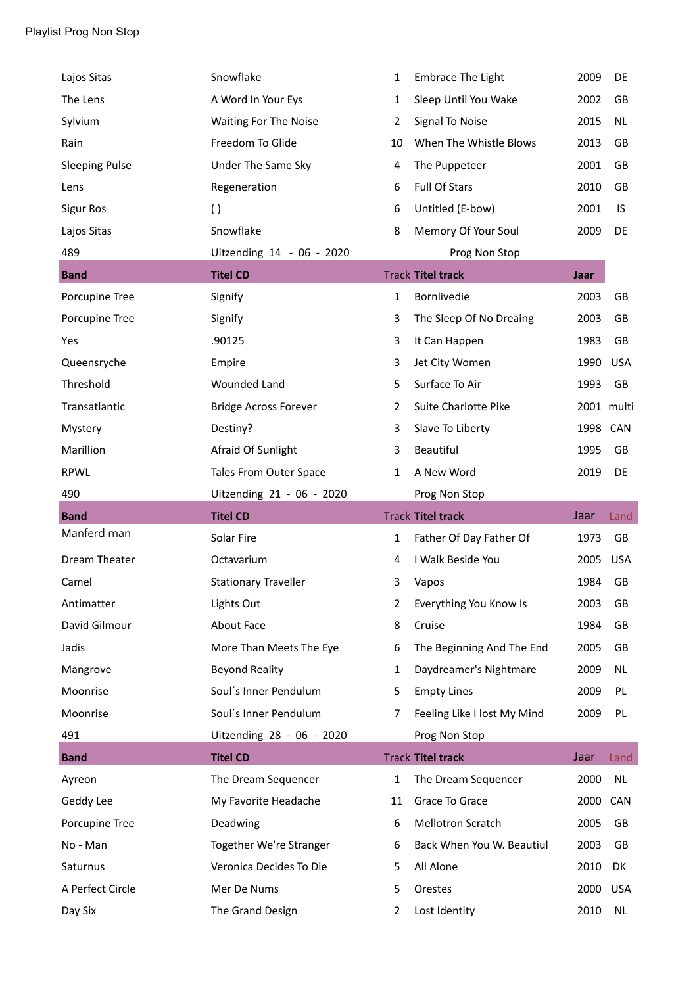| Lajos Sitas           | Snowflake                    | $\mathbf{1}$   | <b>Embrace The Light</b>    | 2009     | DE         |
|-----------------------|------------------------------|----------------|-----------------------------|----------|------------|
| The Lens              | A Word In Your Eys           | $\mathbf{1}$   | Sleep Until You Wake        | 2002     | GB         |
| Sylvium               | Waiting For The Noise        | $\overline{2}$ | Signal To Noise             | 2015     | <b>NL</b>  |
| Rain                  | Freedom To Glide             | 10             | When The Whistle Blows      | 2013     | GB         |
| <b>Sleeping Pulse</b> | Under The Same Sky           | 4              | The Puppeteer               | 2001     | GB         |
| Lens                  | Regeneration                 | 6              | <b>Full Of Stars</b>        | 2010     | GB         |
| <b>Sigur Ros</b>      | $\left( \ \right)$           | 6              | Untitled (E-bow)            | 2001     | IS         |
| Lajos Sitas           | Snowflake                    | 8              | Memory Of Your Soul         | 2009     | DE         |
| 489                   | Uitzending 14 - 06 - 2020    |                | Prog Non Stop               |          |            |
| <b>Band</b>           | <b>Titel CD</b>              |                | <b>Track Titel track</b>    | Jaar     |            |
| Porcupine Tree        | Signify                      | $\mathbf{1}$   | Bornlivedie                 | 2003     | GB         |
| Porcupine Tree        | Signify                      | 3              | The Sleep Of No Dreaing     | 2003     | GB         |
| Yes                   | .90125                       | 3              | It Can Happen               | 1983     | GB         |
| Queensryche           | Empire                       | 3              | Jet City Women              | 1990     | <b>USA</b> |
| Threshold             | <b>Wounded Land</b>          | 5              | Surface To Air              | 1993     | GB         |
| Transatlantic         | <b>Bridge Across Forever</b> | $\overline{2}$ | Suite Charlotte Pike        |          | 2001 multi |
| Mystery               | Destiny?                     | 3              | Slave To Liberty            | 1998 CAN |            |
| Marillion             | Afraid Of Sunlight           | 3              | Beautiful                   | 1995     | GB         |
| <b>RPWL</b>           | Tales From Outer Space       | 1              | A New Word                  | 2019     | DE         |
|                       |                              |                |                             |          |            |
| 490                   | Uitzending 21 - 06 - 2020    |                | Prog Non Stop               |          |            |
| <b>Band</b>           | <b>Titel CD</b>              |                | <b>Track Titel track</b>    | Jaar     | Land       |
| Manferd man           | Solar Fire                   | $\mathbf{1}$   | Father Of Day Father Of     | 1973     | GB         |
| Dream Theater         | Octavarium                   | 4              | I Walk Beside You           | 2005     | <b>USA</b> |
| Camel                 | <b>Stationary Traveller</b>  | 3              | Vapos                       | 1984     | GB         |
| Antimatter            | Lights Out                   | 2              | Everything You Know Is      | 2003     | GB         |
| David Gilmour         | About Face                   | 8              | Cruise                      | 1984     | GB         |
| Jadis                 | More Than Meets The Eye      | 6              | The Beginning And The End   | 2005     | GB         |
| Mangrove              | <b>Beyond Reality</b>        | 1              | Daydreamer's Nightmare      | 2009     | <b>NL</b>  |
| Moonrise              | Soul's Inner Pendulum        | 5              | <b>Empty Lines</b>          | 2009     | PL         |
| Moonrise              | Soul's Inner Pendulum        | 7              | Feeling Like I lost My Mind | 2009     | PL         |
| 491                   | Uitzending 28 - 06 - 2020    |                | Prog Non Stop               |          |            |
| <b>Band</b>           | <b>Titel CD</b>              |                | <b>Track Titel track</b>    | Jaar     | Land       |
| Ayreon                | The Dream Sequencer          | $\mathbf{1}$   | The Dream Sequencer         | 2000     | <b>NL</b>  |
| Geddy Lee             | My Favorite Headache         | 11             | Grace To Grace              | 2000 CAN |            |
| Porcupine Tree        | Deadwing                     | 6              | Mellotron Scratch           | 2005     | GB         |
| No - Man              | Together We're Stranger      | 6              | Back When You W. Beautiul   | 2003     | GB         |
| Saturnus              | Veronica Decides To Die      | 5              | All Alone                   | 2010     | DK         |
| A Perfect Circle      | Mer De Nums                  | 5              | Orestes                     | 2000     | <b>USA</b> |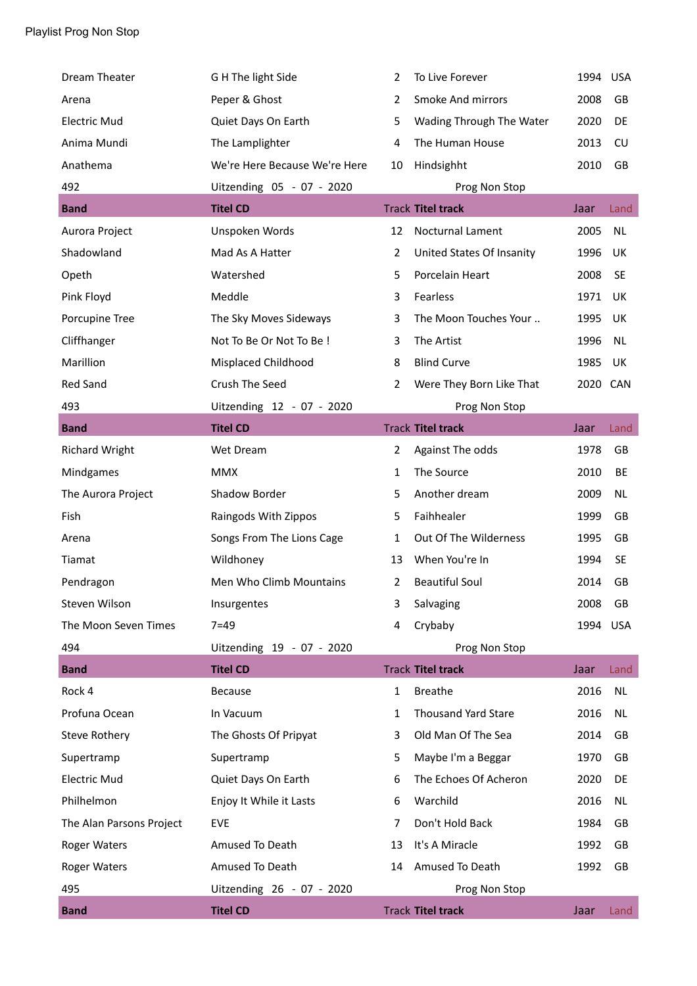| Dream Theater            | G H The light Side            | 2              | To Live Forever            | 1994 USA |            |
|--------------------------|-------------------------------|----------------|----------------------------|----------|------------|
| Arena                    | Peper & Ghost                 | $\overline{2}$ | Smoke And mirrors          | 2008     | GB         |
| <b>Electric Mud</b>      | Quiet Days On Earth           | 5              | Wading Through The Water   | 2020     | DE         |
| Anima Mundi              | The Lamplighter               | 4              | The Human House            | 2013     | CU         |
| Anathema                 | We're Here Because We're Here | 10             | Hindsighht                 | 2010     | GB         |
| 492                      | Uitzending 05 - 07 - 2020     |                | Prog Non Stop              |          |            |
| <b>Band</b>              | <b>Titel CD</b>               |                | <b>Track Titel track</b>   | Jaar     | Land       |
| Aurora Project           | Unspoken Words                | 12             | <b>Nocturnal Lament</b>    | 2005     | <b>NL</b>  |
| Shadowland               | Mad As A Hatter               | $\overline{2}$ | United States Of Insanity  | 1996     | UK         |
| Opeth                    | Watershed                     | 5              | Porcelain Heart            | 2008     | <b>SE</b>  |
| Pink Floyd               | Meddle                        | 3              | Fearless                   | 1971     | UK         |
| Porcupine Tree           | The Sky Moves Sideways        | 3              | The Moon Touches Your      | 1995     | <b>UK</b>  |
| Cliffhanger              | Not To Be Or Not To Be !      | 3              | The Artist                 | 1996     | NL         |
| Marillion                | Misplaced Childhood           | 8              | <b>Blind Curve</b>         | 1985     | UK         |
| <b>Red Sand</b>          | Crush The Seed                | $\overline{2}$ | Were They Born Like That   | 2020 CAN |            |
| 493                      | Uitzending 12 - 07 - 2020     |                | Prog Non Stop              |          |            |
| <b>Band</b>              | <b>Titel CD</b>               |                | <b>Track Titel track</b>   | Jaar     | Land       |
| <b>Richard Wright</b>    | Wet Dream                     | $\overline{2}$ | Against The odds           | 1978     | GB         |
| Mindgames                | <b>MMX</b>                    | $\mathbf{1}$   | The Source                 | 2010     | BE         |
| The Aurora Project       | Shadow Border                 | 5              | Another dream              | 2009     | <b>NL</b>  |
| Fish                     | Raingods With Zippos          | 5              | Faihhealer                 | 1999     | GB         |
| Arena                    | Songs From The Lions Cage     | $\mathbf{1}$   | Out Of The Wilderness      | 1995     | GB         |
| Tiamat                   | Wildhoney                     | 13             | When You're In             | 1994     | <b>SE</b>  |
| Pendragon                | Men Who Climb Mountains       | 2              | <b>Beautiful Soul</b>      | 2014     | GB         |
| Steven Wilson            | Insurgentes                   | 3              | Salvaging                  | 2008     | GB         |
| The Moon Seven Times     | $7 = 49$                      | 4              | Crybaby                    | 1994     | <b>USA</b> |
| 494                      | Uitzending 19 - 07 - 2020     |                | Prog Non Stop              |          |            |
| <b>Band</b>              | <b>Titel CD</b>               |                | <b>Track Titel track</b>   | Jaar     | Land       |
| Rock 4                   | Because                       | $\mathbf{1}$   | <b>Breathe</b>             | 2016     | <b>NL</b>  |
| Profuna Ocean            | In Vacuum                     | 1              | <b>Thousand Yard Stare</b> | 2016     | NL         |
| <b>Steve Rothery</b>     | The Ghosts Of Pripyat         | 3              | Old Man Of The Sea         | 2014     | GB         |
| Supertramp               | Supertramp                    | 5              | Maybe I'm a Beggar         | 1970     | GB         |
| <b>Electric Mud</b>      | Quiet Days On Earth           | 6              | The Echoes Of Acheron      | 2020     | DE         |
| Philhelmon               | Enjoy It While it Lasts       | 6              | Warchild                   | 2016     | <b>NL</b>  |
| The Alan Parsons Project | <b>EVE</b>                    | 7              | Don't Hold Back            | 1984     | GB         |
| Roger Waters             | Amused To Death               | 13             | It's A Miracle             | 1992     | GB         |
| <b>Roger Waters</b>      | Amused To Death               | 14             | Amused To Death            | 1992     | GB         |
| 495                      | Uitzending 26 - 07 - 2020     |                | Prog Non Stop              |          |            |
| <b>Band</b>              | <b>Titel CD</b>               |                | <b>Track Titel track</b>   | Jaar     | Land       |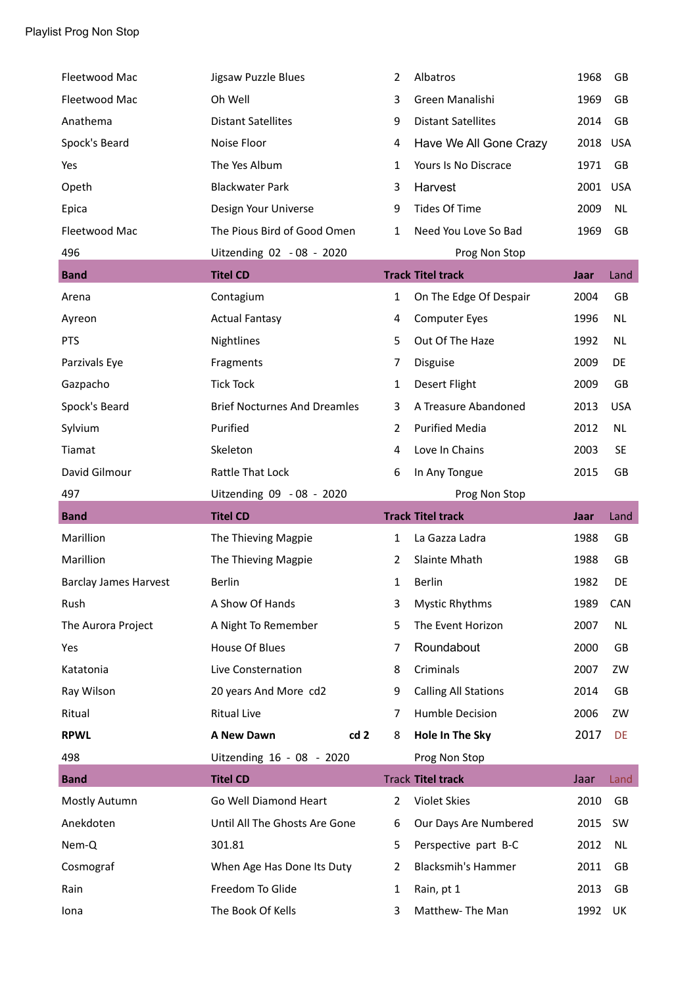| Fleetwood Mac                | Jigsaw Puzzle Blues                 | 2              | Albatros                    | 1968 | GB         |
|------------------------------|-------------------------------------|----------------|-----------------------------|------|------------|
| Fleetwood Mac                | Oh Well                             | 3              | Green Manalishi             | 1969 | <b>GB</b>  |
| Anathema                     | <b>Distant Satellites</b>           | 9              | <b>Distant Satellites</b>   | 2014 | GB         |
| Spock's Beard                | Noise Floor                         | 4              | Have We All Gone Crazy      | 2018 | <b>USA</b> |
| Yes                          | The Yes Album                       | 1              | Yours Is No Discrace        | 1971 | GB         |
| Opeth                        | <b>Blackwater Park</b>              | 3              | Harvest                     | 2001 | <b>USA</b> |
| Epica                        | Design Your Universe                | 9              | <b>Tides Of Time</b>        | 2009 | <b>NL</b>  |
| Fleetwood Mac                | The Pious Bird of Good Omen         | $\mathbf{1}$   | Need You Love So Bad        | 1969 | <b>GB</b>  |
| 496                          | Uitzending 02 - 08 - 2020           |                | Prog Non Stop               |      |            |
| <b>Band</b>                  | <b>Titel CD</b>                     |                | <b>Track Titel track</b>    | Jaar | Land       |
| Arena                        | Contagium                           | $\mathbf{1}$   | On The Edge Of Despair      | 2004 | GB         |
| Ayreon                       | <b>Actual Fantasy</b>               | 4              | <b>Computer Eyes</b>        | 1996 | NL         |
| <b>PTS</b>                   | Nightlines                          | 5              | Out Of The Haze             | 1992 | <b>NL</b>  |
| Parzivals Eye                | Fragments                           | 7              | Disguise                    | 2009 | DE         |
| Gazpacho                     | <b>Tick Tock</b>                    | $\mathbf{1}$   | Desert Flight               | 2009 | GB         |
| Spock's Beard                | <b>Brief Nocturnes And Dreamles</b> | 3              | A Treasure Abandoned        | 2013 | <b>USA</b> |
| Sylvium                      | Purified                            | $\overline{2}$ | <b>Purified Media</b>       | 2012 | NL.        |
| Tiamat                       | Skeleton                            | 4              | Love In Chains              | 2003 | <b>SE</b>  |
| David Gilmour                | Rattle That Lock                    | 6              | In Any Tongue               | 2015 | GB         |
| 497                          |                                     |                |                             |      |            |
|                              | Uitzending 09 - 08 - 2020           |                | Prog Non Stop               |      |            |
| <b>Band</b>                  | <b>Titel CD</b>                     |                | <b>Track Titel track</b>    | Jaar | Land       |
| Marillion                    | The Thieving Magpie                 | $\mathbf{1}$   | La Gazza Ladra              | 1988 | GB         |
| Marillion                    | The Thieving Magpie                 | 2              | Slainte Mhath               | 1988 | GB         |
| <b>Barclay James Harvest</b> | <b>Berlin</b>                       | 1              | <b>Berlin</b>               | 1982 | DE         |
| Rush                         | A Show Of Hands                     | 3              | <b>Mystic Rhythms</b>       | 1989 | CAN        |
| The Aurora Project           | A Night To Remember                 | 5              | The Event Horizon           | 2007 | <b>NL</b>  |
| Yes                          | House Of Blues                      | 7              | Roundabout                  | 2000 | GB         |
| Katatonia                    | Live Consternation                  | 8              | Criminals                   | 2007 | ZW         |
| Ray Wilson                   | 20 years And More cd2               | 9              | <b>Calling All Stations</b> | 2014 | GB         |
| Ritual                       | <b>Ritual Live</b>                  | 7              | Humble Decision             | 2006 | ZW         |
| <b>RPWL</b>                  | cd <sub>2</sub><br>A New Dawn       | 8              | Hole In The Sky             | 2017 | DE         |
| 498                          | Uitzending 16 - 08 - 2020           |                | Prog Non Stop               |      |            |
| <b>Band</b>                  | <b>Titel CD</b>                     |                | <b>Track Titel track</b>    | Jaar | Land       |
| Mostly Autumn                | Go Well Diamond Heart               | $\overline{2}$ | Violet Skies                | 2010 | GB         |
| Anekdoten                    | Until All The Ghosts Are Gone       | 6              | Our Days Are Numbered       | 2015 | SW         |
| Nem-Q                        | 301.81                              | 5              | Perspective part B-C        | 2012 | <b>NL</b>  |
| Cosmograf                    | When Age Has Done Its Duty          | 2              | <b>Blacksmih's Hammer</b>   | 2011 | GB         |
| Rain                         | Freedom To Glide                    | $\mathbf{1}$   | Rain, pt 1                  | 2013 | GB         |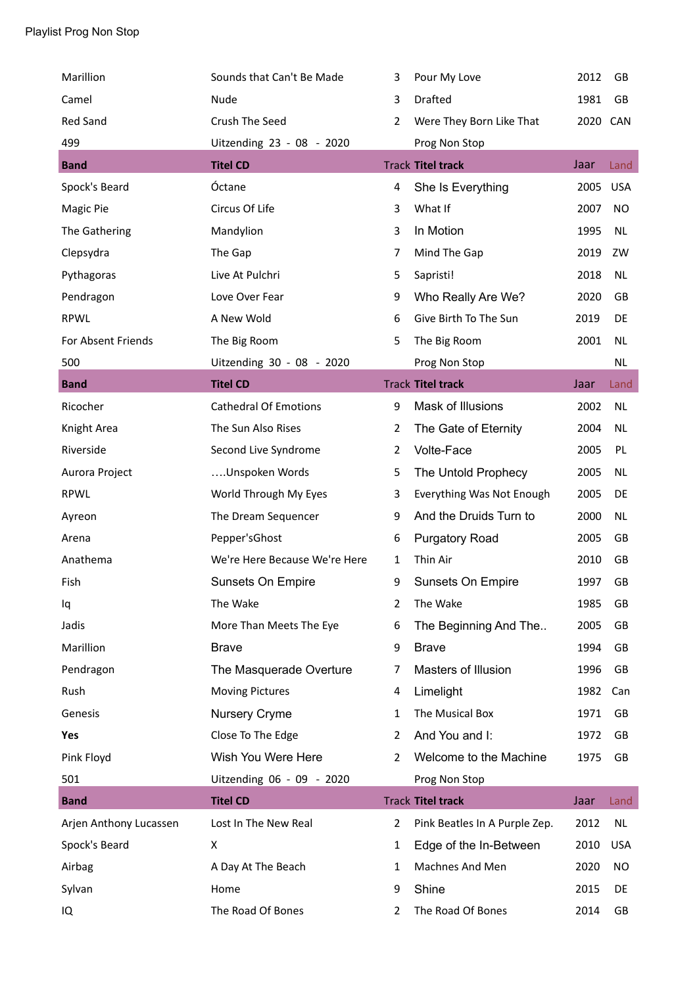| Marillion              | Sounds that Can't Be Made     | 3              | Pour My Love                  | 2012     | GB         |
|------------------------|-------------------------------|----------------|-------------------------------|----------|------------|
| Camel                  | Nude                          | 3              | Drafted                       | 1981     | GB         |
| Red Sand               | Crush The Seed                | $\overline{2}$ | Were They Born Like That      | 2020 CAN |            |
| 499                    | Uitzending 23 - 08 - 2020     |                | Prog Non Stop                 |          |            |
| <b>Band</b>            | <b>Titel CD</b>               |                | <b>Track Titel track</b>      | Jaar     | Land       |
| Spock's Beard          | Óctane                        | 4              | She Is Everything             | 2005     | <b>USA</b> |
| Magic Pie              | Circus Of Life                | 3              | What If                       | 2007     | <b>NO</b>  |
| The Gathering          | Mandylion                     | 3              | In Motion                     | 1995     | <b>NL</b>  |
| Clepsydra              | The Gap                       | 7              | Mind The Gap                  | 2019     | ZW         |
| Pythagoras             | Live At Pulchri               | 5              | Sapristi!                     | 2018     | <b>NL</b>  |
| Pendragon              | Love Over Fear                | 9              | Who Really Are We?            | 2020     | GB         |
| <b>RPWL</b>            | A New Wold                    | 6              | Give Birth To The Sun         | 2019     | DE         |
| For Absent Friends     | The Big Room                  | 5              | The Big Room                  | 2001     | NL         |
| 500                    | Uitzending 30 - 08 - 2020     |                | Prog Non Stop                 |          | <b>NL</b>  |
| <b>Band</b>            | <b>Titel CD</b>               |                | <b>Track Titel track</b>      | Jaar     | Land       |
| Ricocher               | <b>Cathedral Of Emotions</b>  | 9              | Mask of Illusions             | 2002     | <b>NL</b>  |
| Knight Area            | The Sun Also Rises            | 2              | The Gate of Eternity          | 2004     | <b>NL</b>  |
| Riverside              | Second Live Syndrome          | $\overline{2}$ | Volte-Face                    | 2005     | PL         |
| Aurora Project         | Unspoken Words                | 5              | The Untold Prophecy           | 2005     | <b>NL</b>  |
| <b>RPWL</b>            | World Through My Eyes         | 3              | Everything Was Not Enough     | 2005     | DE         |
| Ayreon                 | The Dream Sequencer           | 9              | And the Druids Turn to        | 2000     | NL         |
| Arena                  | Pepper'sGhost                 | 6              | <b>Purgatory Road</b>         | 2005     | GB         |
| Anathema               | We're Here Because We're Here | 1              | Thin Air                      | 2010     | GB         |
| Fish                   | Sunsets On Empire             | 9              | Sunsets On Empire             | 1997     | GB         |
| Iq                     | The Wake                      | 2              | The Wake                      | 1985     | GB         |
| Jadis                  | More Than Meets The Eye       | 6              | The Beginning And The         | 2005     | GB         |
| Marillion              | <b>Brave</b>                  | 9              | <b>Brave</b>                  | 1994     | GB         |
| Pendragon              | The Masquerade Overture       | 7              | Masters of Illusion           | 1996     | GB         |
| Rush                   | <b>Moving Pictures</b>        | 4              | Limelight                     | 1982     | Can        |
| Genesis                | <b>Nursery Cryme</b>          | 1              | The Musical Box               | 1971     | GB         |
| Yes                    | Close To The Edge             | 2              | And You and I:                | 1972     | GB         |
| Pink Floyd             | Wish You Were Here            | 2              | Welcome to the Machine        | 1975     | GB         |
| 501                    | Uitzending 06 - 09 - 2020     |                | Prog Non Stop                 |          |            |
| <b>Band</b>            | <b>Titel CD</b>               |                | <b>Track Titel track</b>      | Jaar     | Land       |
| Arjen Anthony Lucassen | Lost In The New Real          | $\overline{2}$ | Pink Beatles In A Purple Zep. | 2012     | <b>NL</b>  |
| Spock's Beard          | X                             | 1              | Edge of the In-Between        | 2010     | <b>USA</b> |
| Airbag                 | A Day At The Beach            | 1              | Machnes And Men               | 2020     | NO         |
| Sylvan                 | Home                          | 9              | Shine                         | 2015     | DE         |
| IQ                     | The Road Of Bones             | 2              | The Road Of Bones             | 2014     | GB         |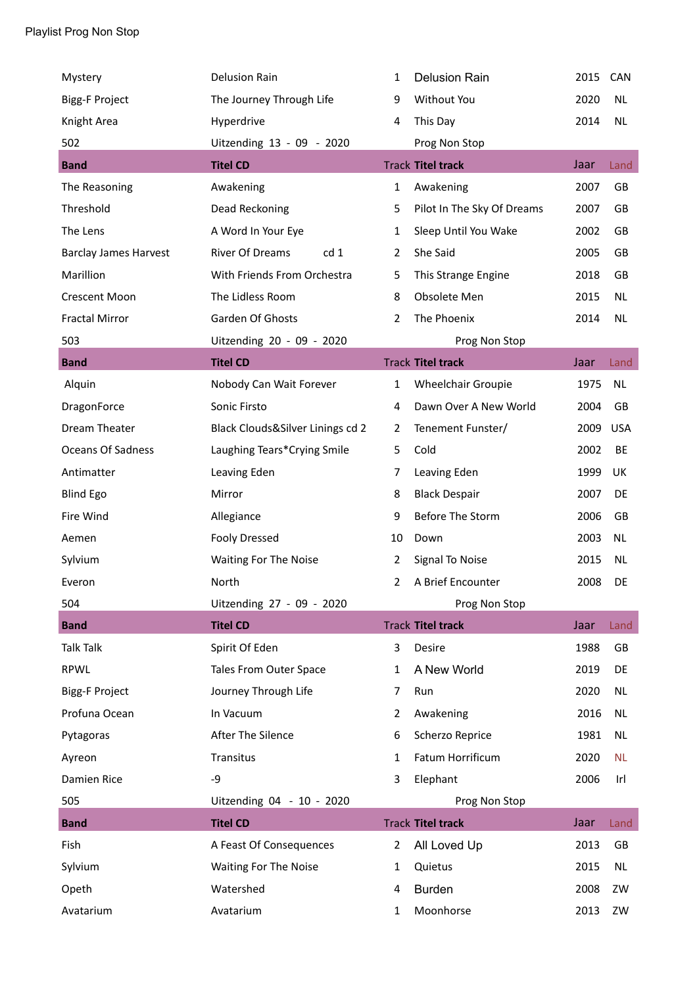| Mystery                      | <b>Delusion Rain</b>             | 1              | <b>Delusion Rain</b>       | 2015 | CAN        |
|------------------------------|----------------------------------|----------------|----------------------------|------|------------|
| <b>Bigg-F Project</b>        | The Journey Through Life         | 9              | Without You                | 2020 | <b>NL</b>  |
| Knight Area                  | Hyperdrive                       | 4              | This Day                   | 2014 | <b>NL</b>  |
| 502                          | Uitzending 13 - 09 - 2020        |                | Prog Non Stop              |      |            |
| <b>Band</b>                  | <b>Titel CD</b>                  |                | <b>Track Titel track</b>   | Jaar | Land       |
| The Reasoning                | Awakening                        | 1              | Awakening                  | 2007 | GB         |
| Threshold                    | Dead Reckoning                   | 5              | Pilot In The Sky Of Dreams | 2007 | GB         |
| The Lens                     | A Word In Your Eye               | 1              | Sleep Until You Wake       | 2002 | GB         |
| <b>Barclay James Harvest</b> | <b>River Of Dreams</b><br>cd 1   | $\overline{2}$ | She Said                   | 2005 | GB         |
| Marillion                    | With Friends From Orchestra      | 5              | This Strange Engine        | 2018 | GB         |
| <b>Crescent Moon</b>         | The Lidless Room                 | 8              | Obsolete Men               | 2015 | <b>NL</b>  |
| <b>Fractal Mirror</b>        | Garden Of Ghosts                 | 2              | The Phoenix                | 2014 | <b>NL</b>  |
| 503                          | Uitzending 20 - 09 - 2020        |                | Prog Non Stop              |      |            |
| <b>Band</b>                  | <b>Titel CD</b>                  |                | <b>Track Titel track</b>   | Jaar | Land       |
| Alquin                       | Nobody Can Wait Forever          | $\mathbf{1}$   | Wheelchair Groupie         | 1975 | <b>NL</b>  |
| DragonForce                  | Sonic Firsto                     | 4              | Dawn Over A New World      | 2004 | GB         |
| Dream Theater                | Black Clouds&Silver Linings cd 2 | 2              | Tenement Funster/          | 2009 | <b>USA</b> |
| Oceans Of Sadness            | Laughing Tears*Crying Smile      | 5              | Cold                       | 2002 | BE         |
| Antimatter                   | Leaving Eden                     | 7              | Leaving Eden               | 1999 | UK         |
| <b>Blind Ego</b>             | Mirror                           | 8              | <b>Black Despair</b>       | 2007 | DE         |
| Fire Wind                    | Allegiance                       | 9              | Before The Storm           | 2006 | GB         |
| Aemen                        | <b>Fooly Dressed</b>             | 10             | Down                       | 2003 | <b>NL</b>  |
| Sylvium                      | <b>Waiting For The Noise</b>     | 2              | Signal To Noise            | 2015 | <b>NL</b>  |
| Everon                       | North                            | 2              | A Brief Encounter          | 2008 | DE         |
| 504                          | Uitzending 27 - 09 - 2020        |                | Prog Non Stop              |      |            |
| <b>Band</b>                  | <b>Titel CD</b>                  |                | <b>Track Titel track</b>   | Jaar | Land       |
| <b>Talk Talk</b>             | Spirit Of Eden                   | 3              | Desire                     | 1988 | GB         |
| <b>RPWL</b>                  | Tales From Outer Space           | 1              | A New World                | 2019 | DE         |
| <b>Bigg-F Project</b>        | Journey Through Life             | 7              | Run                        | 2020 | <b>NL</b>  |
| Profuna Ocean                | In Vacuum                        | 2              | Awakening                  | 2016 | NL         |
| Pytagoras                    | After The Silence                | 6              | Scherzo Reprice            | 1981 | <b>NL</b>  |
| Ayreon                       | Transitus                        | 1              | Fatum Horrificum           | 2020 | <b>NL</b>  |
| Damien Rice                  | -9                               | 3              | Elephant                   | 2006 | Irl        |
| 505                          | Uitzending 04 - 10 - 2020        |                | Prog Non Stop              |      |            |
| <b>Band</b>                  | <b>Titel CD</b>                  |                | <b>Track Titel track</b>   | Jaar | Land       |
| Fish                         | A Feast Of Consequences          | $\overline{2}$ | All Loved Up               | 2013 | GB         |
| Sylvium                      | Waiting For The Noise            | 1              | Quietus                    | 2015 | <b>NL</b>  |
| Opeth                        | Watershed                        | 4              | <b>Burden</b>              | 2008 | ZW         |
| Avatarium                    | Avatarium                        | 1              | Moonhorse                  | 2013 | ZW         |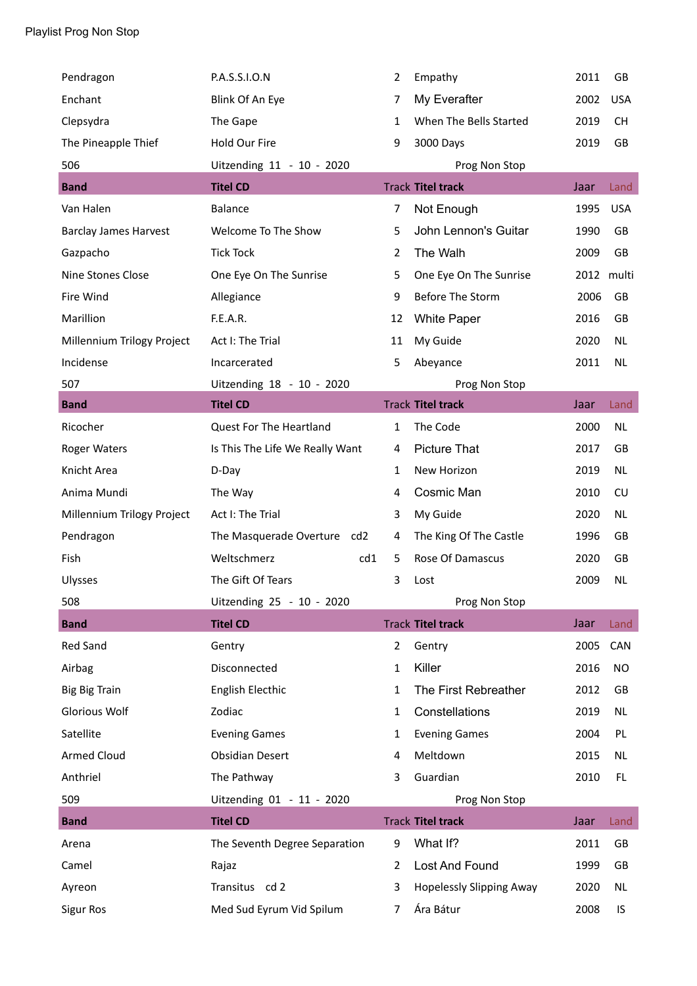| Pendragon                    | P.A.S.S.I.O.N                   | 2              | Empathy                         | 2011 | GB         |
|------------------------------|---------------------------------|----------------|---------------------------------|------|------------|
| Enchant                      | Blink Of An Eye                 | 7              | My Everafter                    | 2002 | <b>USA</b> |
| Clepsydra                    | The Gape                        | 1              | When The Bells Started          | 2019 | <b>CH</b>  |
| The Pineapple Thief          | Hold Our Fire                   | 9              | 3000 Days                       | 2019 | <b>GB</b>  |
| 506                          | Uitzending 11 - 10 - 2020       |                | Prog Non Stop                   |      |            |
| <b>Band</b>                  | <b>Titel CD</b>                 |                | <b>Track Titel track</b>        | Jaar | Land       |
| Van Halen                    | Balance                         | 7              | Not Enough                      | 1995 | <b>USA</b> |
| <b>Barclay James Harvest</b> | Welcome To The Show             | 5              | John Lennon's Guitar            | 1990 | GB         |
| Gazpacho                     | <b>Tick Tock</b>                | $\overline{2}$ | The Walh                        | 2009 | GB         |
| Nine Stones Close            | One Eye On The Sunrise          | 5              | One Eye On The Sunrise          |      | 2012 multi |
| Fire Wind                    | Allegiance                      | 9              | Before The Storm                | 2006 | GB         |
| Marillion                    | F.E.A.R.                        | 12             | <b>White Paper</b>              | 2016 | GB         |
| Millennium Trilogy Project   | Act I: The Trial                | 11             | My Guide                        | 2020 | NL         |
| Incidense                    | Incarcerated                    | 5              | Abeyance                        | 2011 | <b>NL</b>  |
| 507                          | Uitzending 18 - 10 - 2020       |                | Prog Non Stop                   |      |            |
| <b>Band</b>                  | <b>Titel CD</b>                 |                | <b>Track Titel track</b>        | Jaar | Land       |
| Ricocher                     | Quest For The Heartland         | 1              | The Code                        | 2000 | NL         |
| <b>Roger Waters</b>          | Is This The Life We Really Want | 4              | <b>Picture That</b>             | 2017 | GB         |
| Knicht Area                  | D-Day                           | 1              | New Horizon                     | 2019 | NL         |
| Anima Mundi                  | The Way                         | 4              | Cosmic Man                      | 2010 | CU         |
| Millennium Trilogy Project   | Act I: The Trial                | 3              | My Guide                        | 2020 | <b>NL</b>  |
| Pendragon                    | The Masquerade Overture<br>cd2  | 4              | The King Of The Castle          | 1996 | GB         |
| Fish                         | Weltschmerz<br>cd1              | 5              | Rose Of Damascus                | 2020 | GB         |
| Ulysses                      | The Gift Of Tears               | 3              | Lost                            | 2009 | <b>NL</b>  |
| 508                          | Uitzending 25 - 10 - 2020       |                | Prog Non Stop                   |      |            |
| <b>Band</b>                  | <b>Titel CD</b>                 |                | <b>Track Titel track</b>        | Jaar | Land       |
| <b>Red Sand</b>              | Gentry                          | 2              | Gentry                          | 2005 | <b>CAN</b> |
| Airbag                       | Disconnected                    | 1              | Killer                          | 2016 | <b>NO</b>  |
| <b>Big Big Train</b>         | <b>English Electhic</b>         | 1              | The First Rebreather            | 2012 | GB         |
| <b>Glorious Wolf</b>         | Zodiac                          | 1              | Constellations                  | 2019 | NL         |
| Satellite                    | <b>Evening Games</b>            | 1              | <b>Evening Games</b>            | 2004 | PL         |
| <b>Armed Cloud</b>           | <b>Obsidian Desert</b>          | 4              | Meltdown                        | 2015 | NL         |
| Anthriel                     | The Pathway                     | 3              | Guardian                        | 2010 | FL.        |
| 509                          | Uitzending 01 - 11 - 2020       |                | Prog Non Stop                   |      |            |
| <b>Band</b>                  | <b>Titel CD</b>                 |                | <b>Track Titel track</b>        | Jaar | Land       |
| Arena                        | The Seventh Degree Separation   | 9              | What If?                        | 2011 | GB         |
| Camel                        | Rajaz                           | $\overline{2}$ | Lost And Found                  | 1999 | GB         |
| Ayreon                       | Transitus cd 2                  | 3              | <b>Hopelessly Slipping Away</b> | 2020 | NL         |
| <b>Sigur Ros</b>             | Med Sud Eyrum Vid Spilum        | 7              | Ára Bátur                       | 2008 | IS         |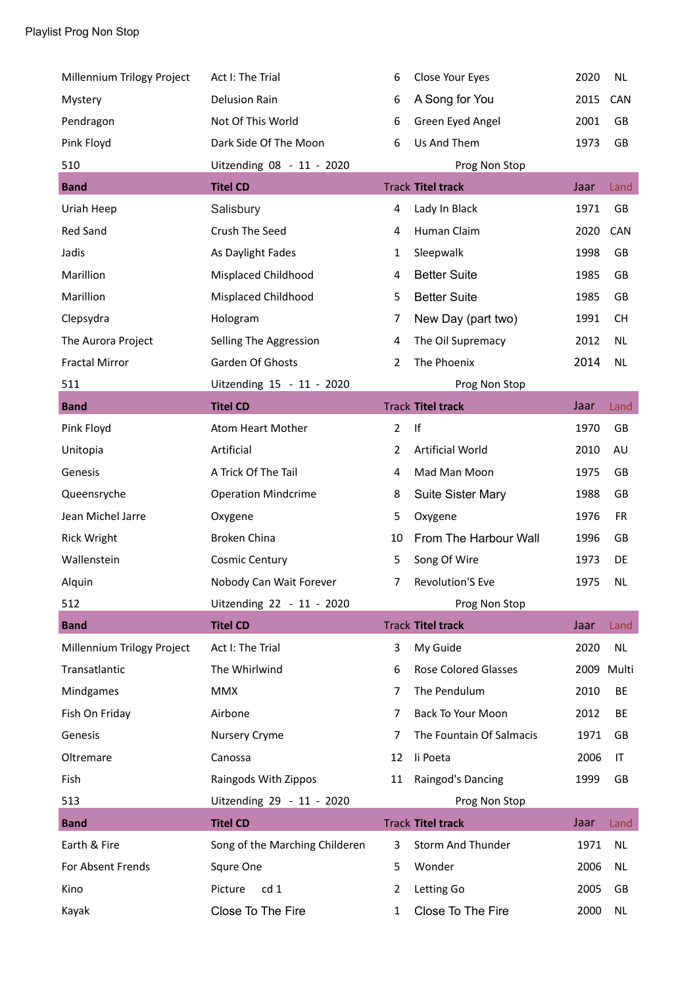| Millennium Trilogy Project | Act I: The Trial               | 6              | Close Your Eyes          | 2020       | <b>NL</b>  |
|----------------------------|--------------------------------|----------------|--------------------------|------------|------------|
| Mystery                    | <b>Delusion Rain</b>           | 6              | A Song for You           | 2015       | <b>CAN</b> |
| Pendragon                  | Not Of This World              | 6              | Green Eyed Angel         | 2001       | GB         |
| Pink Floyd                 | Dark Side Of The Moon          | 6              | Us And Them              | 1973       | GB         |
| 510                        | Uitzending 08 - 11 - 2020      |                | Prog Non Stop            |            |            |
| <b>Band</b>                | <b>Titel CD</b>                |                | <b>Track Titel track</b> | Jaar       | Land       |
| Uriah Heep                 | Salisbury                      | 4              | Lady In Black            | 1971       | GB         |
| <b>Red Sand</b>            | Crush The Seed                 | 4              | Human Claim              | 2020       | CAN        |
| Jadis                      | As Daylight Fades              | $\mathbf{1}$   | Sleepwalk                | 1998       | GB         |
| Marillion                  | Misplaced Childhood            | 4              | <b>Better Suite</b>      | 1985       | GB         |
| Marillion                  | Misplaced Childhood            | 5              | <b>Better Suite</b>      | 1985       | GB         |
| Clepsydra                  | Hologram                       | 7              | New Day (part two)       | 1991       | <b>CH</b>  |
| The Aurora Project         | Selling The Aggression         | 4              | The Oil Supremacy        | 2012       | <b>NL</b>  |
| <b>Fractal Mirror</b>      | Garden Of Ghosts               | $\overline{2}$ | The Phoenix              | 2014       | <b>NL</b>  |
| 511                        | Uitzending 15 - 11 - 2020      |                | Prog Non Stop            |            |            |
| <b>Band</b>                | <b>Titel CD</b>                |                | <b>Track Titel track</b> | Jaar       | Land       |
| Pink Floyd                 | Atom Heart Mother              | $\overline{2}$ | If                       | 1970       | GB         |
| Unitopia                   | Artificial                     | $\overline{2}$ | <b>Artificial World</b>  | 2010       | AU         |
| Genesis                    | A Trick Of The Tail            | 4              | Mad Man Moon             | 1975       | GB         |
| Queensryche                | <b>Operation Mindcrime</b>     | 8              | <b>Suite Sister Mary</b> | 1988       | GB         |
| Jean Michel Jarre          | Oxygene                        | 5              | Oxygene                  | 1976       | <b>FR</b>  |
| <b>Rick Wright</b>         | Broken China                   | 10             | From The Harbour Wall    | 1996       | GB         |
| Wallenstein                | <b>Cosmic Century</b>          | 5              | Song Of Wire             | 1973       | DE         |
| Alquin                     | Nobody Can Wait Forever        | 7              | <b>Revolution'S Eve</b>  | 1975       | <b>NL</b>  |
| 512                        | Uitzending 22 - 11 - 2020      |                | Prog Non Stop            |            |            |
| <b>Band</b>                | <b>Titel CD</b>                |                | <b>Track Titel track</b> | Jaar       | Land       |
| Millennium Trilogy Project | Act I: The Trial               | 3              | My Guide                 | 2020       | NL.        |
| Transatlantic              | The Whirlwind                  | 6              | Rose Colored Glasses     | 2009 Multi |            |
| Mindgames                  | <b>MMX</b>                     | 7              | The Pendulum             | 2010       | BE         |
| Fish On Friday             | Airbone                        | 7              | Back To Your Moon        | 2012       | BE         |
| Genesis                    | <b>Nursery Cryme</b>           | 7              | The Fountain Of Salmacis | 1971       | GB         |
| Oltremare                  | Canossa                        | 12             | li Poeta                 | 2006       | IT         |
| Fish                       | Raingods With Zippos           | 11             | Raingod's Dancing        | 1999       | GB         |
| 513                        | Uitzending 29 - 11 - 2020      |                | Prog Non Stop            |            |            |
| <b>Band</b>                | <b>Titel CD</b>                |                | <b>Track Titel track</b> | Jaar       | Land       |
| Earth & Fire               | Song of the Marching Childeren | 3              | <b>Storm And Thunder</b> | 1971       | <b>NL</b>  |
| For Absent Frends          | Squre One                      | 5              | Wonder                   | 2006       | NL         |
| Kino                       | cd 1<br>Picture                | 2              | Letting Go               | 2005       | GB         |
| Kayak                      | Close To The Fire              | 1              | Close To The Fire        | 2000       | NL         |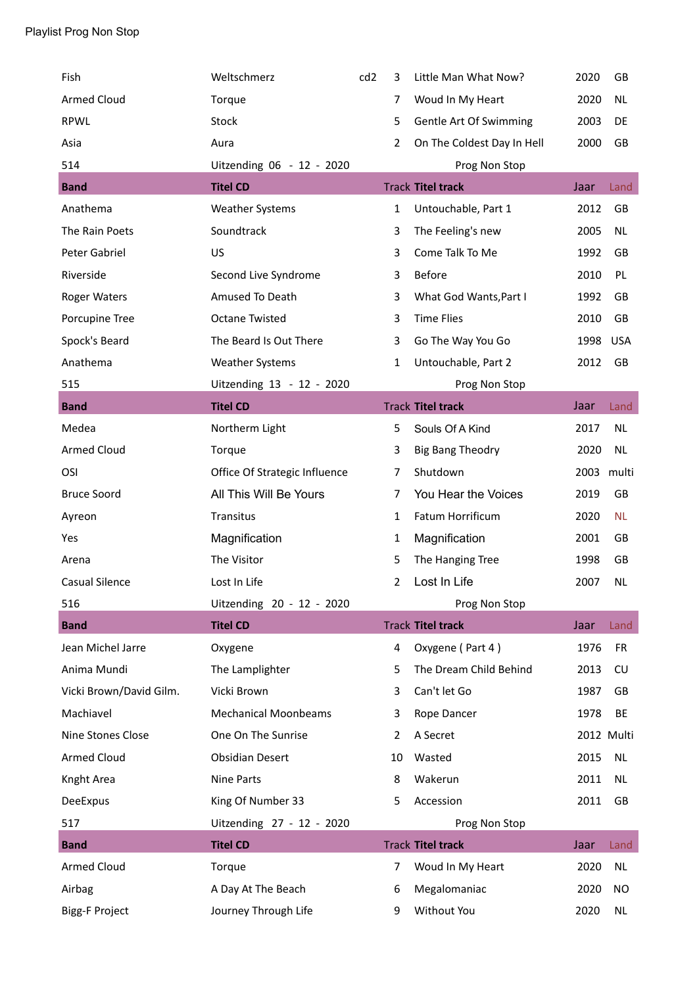| Fish                    | Weltschmerz                   | cd <sub>2</sub> | 3              | Little Man What Now?       | 2020 | GB         |
|-------------------------|-------------------------------|-----------------|----------------|----------------------------|------|------------|
| <b>Armed Cloud</b>      | Torque                        |                 | 7              | Woud In My Heart           | 2020 | <b>NL</b>  |
| <b>RPWL</b>             | Stock                         |                 | 5              | Gentle Art Of Swimming     | 2003 | DE         |
| Asia                    | Aura                          |                 | $\overline{2}$ | On The Coldest Day In Hell | 2000 | GB         |
| 514                     | Uitzending 06 - 12 - 2020     |                 |                | Prog Non Stop              |      |            |
| <b>Band</b>             | <b>Titel CD</b>               |                 |                | <b>Track Titel track</b>   | Jaar | Land       |
| Anathema                | <b>Weather Systems</b>        |                 | $\mathbf{1}$   | Untouchable, Part 1        | 2012 | GB         |
| The Rain Poets          | Soundtrack                    |                 | 3              | The Feeling's new          | 2005 | <b>NL</b>  |
| Peter Gabriel           | US                            |                 | 3              | Come Talk To Me            | 1992 | GB         |
| Riverside               | Second Live Syndrome          |                 | 3              | Before                     | 2010 | PL         |
| Roger Waters            | Amused To Death               |                 | 3              | What God Wants, Part I     | 1992 | GB         |
| Porcupine Tree          | <b>Octane Twisted</b>         |                 | 3              | <b>Time Flies</b>          | 2010 | GB         |
| Spock's Beard           | The Beard Is Out There        |                 | 3              | Go The Way You Go          | 1998 | <b>USA</b> |
| Anathema                | <b>Weather Systems</b>        |                 | 1              | Untouchable, Part 2        | 2012 | GB         |
| 515                     | Uitzending 13 - 12 - 2020     |                 |                | Prog Non Stop              |      |            |
| <b>Band</b>             | <b>Titel CD</b>               |                 |                | <b>Track Titel track</b>   | Jaar | Land       |
| Medea                   | Northerm Light                |                 | 5              | Souls Of A Kind            | 2017 | <b>NL</b>  |
| <b>Armed Cloud</b>      | Torque                        |                 | 3              | <b>Big Bang Theodry</b>    | 2020 | <b>NL</b>  |
| OSI                     | Office Of Strategic Influence |                 | 7              | Shutdown                   | 2003 | multi      |
| <b>Bruce Soord</b>      | All This Will Be Yours        |                 | 7              | You Hear the Voices        | 2019 | GB         |
| Ayreon                  | Transitus                     |                 | $\mathbf{1}$   | Fatum Horrificum           | 2020 | <b>NL</b>  |
| Yes                     | Magnification                 |                 | 1              | Magnification              | 2001 | GB         |
| Arena                   | The Visitor                   |                 | 5              | The Hanging Tree           | 1998 | GB         |
| <b>Casual Silence</b>   | Lost In Life                  |                 | 2              | Lost In Life               | 2007 | <b>NL</b>  |
| 516                     | Uitzending 20 - 12 - 2020     |                 |                | Prog Non Stop              |      |            |
| <b>Band</b>             | <b>Titel CD</b>               |                 |                | <b>Track Titel track</b>   | Jaar | Land       |
| Jean Michel Jarre       | Oxygene                       |                 | 4              | Oxygene (Part 4)           | 1976 | <b>FR</b>  |
| Anima Mundi             | The Lamplighter               |                 | 5              | The Dream Child Behind     | 2013 | CU         |
| Vicki Brown/David Gilm. | Vicki Brown                   |                 | 3              | Can't let Go               | 1987 | GB         |
| Machiavel               | <b>Mechanical Moonbeams</b>   |                 | 3              | Rope Dancer                | 1978 | BE         |
| Nine Stones Close       | One On The Sunrise            |                 | 2              | A Secret                   |      | 2012 Multi |
| <b>Armed Cloud</b>      | <b>Obsidian Desert</b>        |                 | 10             | Wasted                     | 2015 | NL         |
| Knght Area              | <b>Nine Parts</b>             |                 | 8              | Wakerun                    | 2011 | NL         |
| DeeExpus                | King Of Number 33             |                 | 5              | Accession                  | 2011 | GB         |
| 517                     | Uitzending 27 - 12 - 2020     |                 |                | Prog Non Stop              |      |            |
| <b>Band</b>             | <b>Titel CD</b>               |                 |                | <b>Track Titel track</b>   | Jaar | Land       |
| <b>Armed Cloud</b>      | Torque                        |                 | $\overline{7}$ | Woud In My Heart           | 2020 | <b>NL</b>  |
| Airbag                  | A Day At The Beach            |                 | 6              | Megalomaniac               | 2020 | NO         |
| <b>Bigg-F Project</b>   | Journey Through Life          |                 | 9              | Without You                | 2020 | NL         |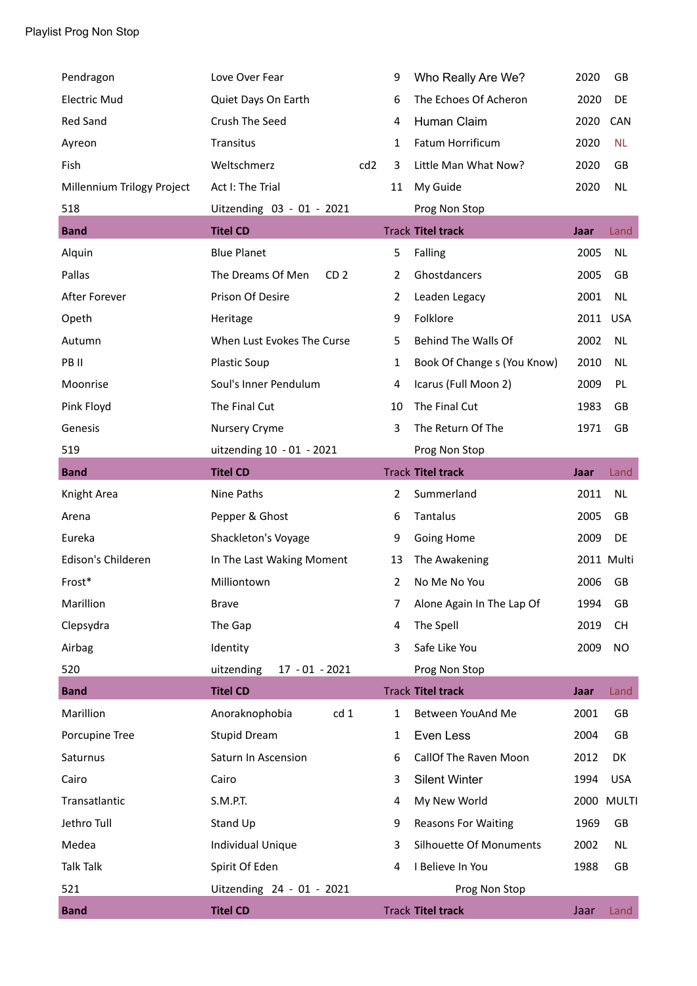| Pendragon                  | Love Over Fear                       |                 | 9              | Who Really Are We?          | 2020 | GB           |
|----------------------------|--------------------------------------|-----------------|----------------|-----------------------------|------|--------------|
| <b>Electric Mud</b>        | Quiet Days On Earth                  |                 | 6              | The Echoes Of Acheron       | 2020 | DE           |
| <b>Red Sand</b>            | Crush The Seed                       |                 | 4              | Human Claim                 | 2020 | CAN          |
| Ayreon                     | Transitus                            |                 | 1              | Fatum Horrificum            | 2020 | <b>NL</b>    |
| Fish                       | Weltschmerz                          | cd <sub>2</sub> | 3              | Little Man What Now?        | 2020 | GB           |
| Millennium Trilogy Project | Act I: The Trial                     |                 | 11             | My Guide                    | 2020 | <b>NL</b>    |
| 518                        | Uitzending 03 - 01 - 2021            |                 |                | Prog Non Stop               |      |              |
| <b>Band</b>                | <b>Titel CD</b>                      |                 |                | <b>Track Titel track</b>    | Jaar | Land         |
| Alquin                     | <b>Blue Planet</b>                   |                 | 5              | Falling                     | 2005 | <b>NL</b>    |
| Pallas                     | The Dreams Of Men<br>CD <sub>2</sub> |                 | 2              | Ghostdancers                | 2005 | GB           |
| After Forever              | Prison Of Desire                     |                 | $\overline{2}$ | Leaden Legacy               | 2001 | <b>NL</b>    |
| Opeth                      | Heritage                             |                 | 9              | Folklore                    | 2011 | <b>USA</b>   |
| Autumn                     | When Lust Evokes The Curse           |                 | 5              | Behind The Walls Of         | 2002 | <b>NL</b>    |
| PB II                      | <b>Plastic Soup</b>                  |                 | 1              | Book Of Change s (You Know) | 2010 | <b>NL</b>    |
| Moonrise                   | Soul's Inner Pendulum                |                 | 4              | Icarus (Full Moon 2)        | 2009 | PL           |
| Pink Floyd                 | The Final Cut                        |                 | 10             | The Final Cut               | 1983 | GB           |
| Genesis                    | Nursery Cryme                        |                 | 3              | The Return Of The           | 1971 | <b>GB</b>    |
| 519                        | uitzending 10 - 01 - 2021            |                 |                | Prog Non Stop               |      |              |
| <b>Band</b>                | <b>Titel CD</b>                      |                 |                | <b>Track Titel track</b>    | Jaar | Land         |
| Knight Area                | Nine Paths                           |                 | $\overline{2}$ | Summerland                  | 2011 | <b>NL</b>    |
| Arena                      | Pepper & Ghost                       |                 | 6              | Tantalus                    | 2005 | GB           |
| Eureka                     | Shackleton's Voyage                  |                 | 9              | Going Home                  | 2009 | DE           |
| Edison's Childeren         | In The Last Waking Moment            |                 | 13             | The Awakening               |      | 2011 Multi   |
| Frost*                     | Milliontown                          |                 | $\overline{2}$ | No Me No You                | 2006 | GB           |
| Marillion                  | <b>Brave</b>                         |                 | 7              | Alone Again In The Lap Of   | 1994 | GB           |
| Clepsydra                  | The Gap                              |                 | 4              | The Spell                   | 2019 | <b>CH</b>    |
| Airbag                     | Identity                             |                 | 3              | Safe Like You               | 2009 | <b>NO</b>    |
| 520                        | uitzending<br>$17 - 01 - 2021$       |                 |                | Prog Non Stop               |      |              |
| <b>Band</b>                | <b>Titel CD</b>                      |                 |                | <b>Track Titel track</b>    | Jaar | Land         |
| Marillion                  | cd 1<br>Anoraknophobia               |                 | $\mathbf{1}$   | Between YouAnd Me           | 2001 | GB           |
| Porcupine Tree             | <b>Stupid Dream</b>                  |                 | $\mathbf{1}$   | Even Less                   | 2004 | GB           |
| Saturnus                   | Saturn In Ascension                  |                 | 6              | CallOf The Raven Moon       | 2012 | DK           |
| Cairo                      | Cairo                                |                 | 3              | <b>Silent Winter</b>        | 1994 | <b>USA</b>   |
| Transatlantic              | S.M.P.T.                             |                 | 4              | My New World                | 2000 | <b>MULTI</b> |
| Jethro Tull                | Stand Up                             |                 | 9              | <b>Reasons For Waiting</b>  | 1969 | GB           |
| Medea                      |                                      |                 | 3              | Silhouette Of Monuments     | 2002 | NL           |
|                            | Individual Unique                    |                 |                |                             |      |              |
| <b>Talk Talk</b>           | Spirit Of Eden                       |                 | 4              | I Believe In You            | 1988 | GB           |
| 521                        | Uitzending 24 - 01 - 2021            |                 |                | Prog Non Stop               |      |              |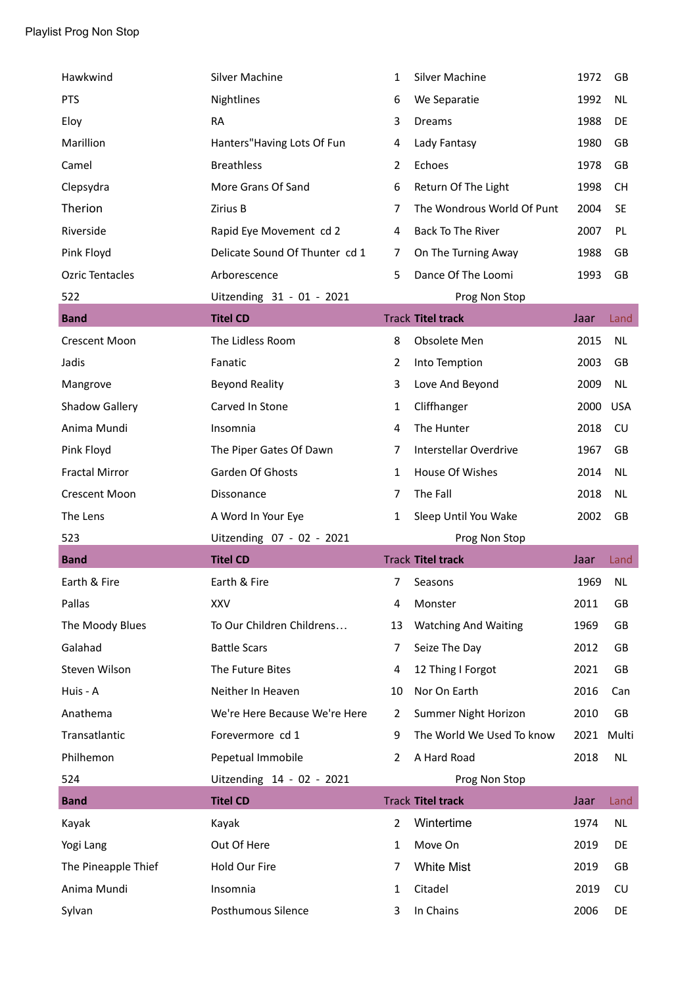| Hawkwind               | <b>Silver Machine</b>          | 1              | <b>Silver Machine</b>       | 1972 | GB         |
|------------------------|--------------------------------|----------------|-----------------------------|------|------------|
| <b>PTS</b>             | Nightlines                     | 6              | We Separatie                | 1992 | <b>NL</b>  |
| Eloy                   | <b>RA</b>                      | 3              | Dreams                      | 1988 | DE         |
| Marillion              | Hanters" Having Lots Of Fun    | 4              | Lady Fantasy                | 1980 | GB         |
| Camel                  | <b>Breathless</b>              | $\overline{2}$ | Echoes                      | 1978 | GB         |
| Clepsydra              | More Grans Of Sand             | 6              | Return Of The Light         | 1998 | <b>CH</b>  |
| Therion                | Zirius B                       | 7              | The Wondrous World Of Punt  | 2004 | <b>SE</b>  |
| Riverside              | Rapid Eye Movement cd 2        | 4              | <b>Back To The River</b>    | 2007 | PL         |
| Pink Floyd             | Delicate Sound Of Thunter cd 1 | 7              | On The Turning Away         | 1988 | GB         |
| <b>Ozric Tentacles</b> | Arborescence                   | 5              | Dance Of The Loomi          | 1993 | GB         |
| 522                    | Uitzending 31 - 01 - 2021      |                | Prog Non Stop               |      |            |
| <b>Band</b>            | <b>Titel CD</b>                |                | <b>Track Titel track</b>    | Jaar | Land       |
| <b>Crescent Moon</b>   | The Lidless Room               | 8              | Obsolete Men                | 2015 | <b>NL</b>  |
| Jadis                  | Fanatic                        | $\overline{2}$ | Into Temption               | 2003 | GB         |
| Mangrove               | <b>Beyond Reality</b>          | 3              | Love And Beyond             | 2009 | <b>NL</b>  |
| <b>Shadow Gallery</b>  | Carved In Stone                | $\mathbf{1}$   | Cliffhanger                 | 2000 | <b>USA</b> |
| Anima Mundi            | Insomnia                       | 4              | The Hunter                  | 2018 | CU         |
| Pink Floyd             | The Piper Gates Of Dawn        | $\overline{7}$ | Interstellar Overdrive      | 1967 | GB         |
| <b>Fractal Mirror</b>  | Garden Of Ghosts               | 1              | House Of Wishes             | 2014 | <b>NL</b>  |
|                        |                                |                |                             |      |            |
| <b>Crescent Moon</b>   | Dissonance                     | 7              | The Fall                    | 2018 | <b>NL</b>  |
| The Lens               | A Word In Your Eye             | 1              | Sleep Until You Wake        | 2002 | GB         |
| 523                    | Uitzending 07 - 02 - 2021      |                | Prog Non Stop               |      |            |
| <b>Band</b>            | <b>Titel CD</b>                |                | <b>Track Titel track</b>    | Jaar | Land       |
| Earth & Fire           | Earth & Fire                   | 7              | Seasons                     | 1969 | <b>NL</b>  |
| Pallas                 | XXV                            | 4              | Monster                     | 2011 | GB         |
| The Moody Blues        | To Our Children Childrens      | 13             | <b>Watching And Waiting</b> | 1969 | GB         |
| Galahad                | <b>Battle Scars</b>            | 7              | Seize The Day               | 2012 | GB         |
| Steven Wilson          | The Future Bites               | 4              | 12 Thing I Forgot           | 2021 | GB         |
| Huis - A               | Neither In Heaven              | 10             | Nor On Earth                | 2016 | Can        |
| Anathema               | We're Here Because We're Here  | 2              | Summer Night Horizon        | 2010 | GB         |
| Transatlantic          | Forevermore cd 1               | 9              | The World We Used To know   | 2021 | Multi      |
| Philhemon              | Pepetual Immobile              | 2              | A Hard Road                 | 2018 | <b>NL</b>  |
| 524                    | Uitzending 14 - 02 - 2021      |                | Prog Non Stop               |      |            |
| <b>Band</b>            | <b>Titel CD</b>                |                | <b>Track Titel track</b>    | Jaar | Land       |
| Kayak                  | Kayak                          | $\overline{2}$ | Wintertime                  | 1974 | <b>NL</b>  |
| Yogi Lang              | Out Of Here                    | 1              | Move On                     | 2019 | DE         |
| The Pineapple Thief    | Hold Our Fire                  | 7              | <b>White Mist</b>           | 2019 | GB         |
| Anima Mundi            | Insomnia                       | 1              | Citadel                     | 2019 | CU         |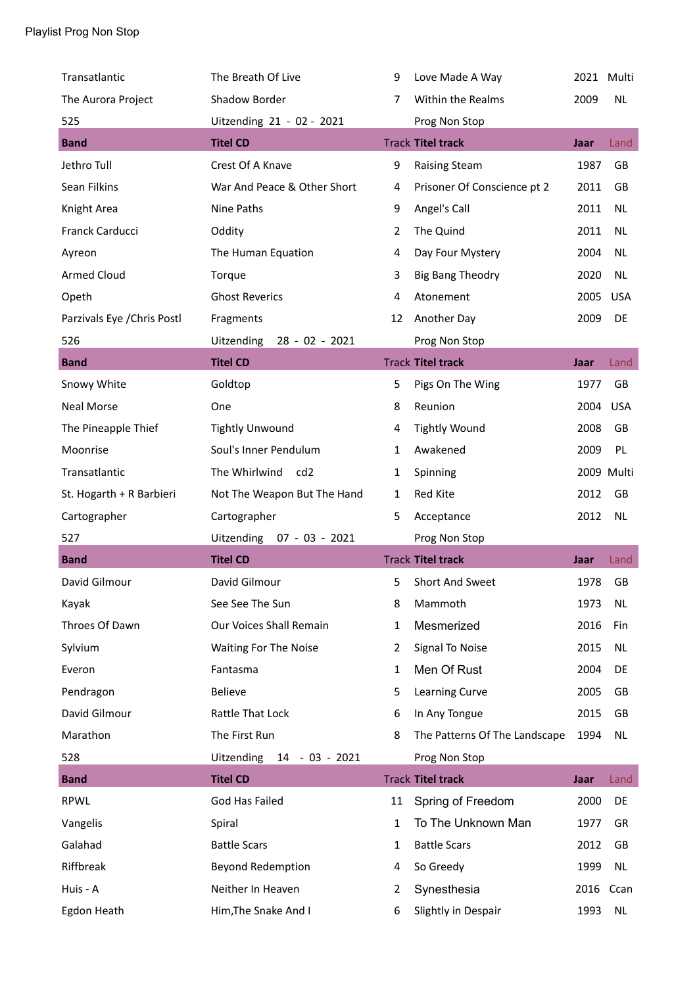| Transatlantic               | The Breath Of Live               | 9  | Love Made A Way               | 2021 Multi |            |
|-----------------------------|----------------------------------|----|-------------------------------|------------|------------|
| The Aurora Project          | Shadow Border                    | 7  | Within the Realms             | 2009       | <b>NL</b>  |
| 525                         | Uitzending 21 - 02 - 2021        |    | Prog Non Stop                 |            |            |
| <b>Band</b>                 | <b>Titel CD</b>                  |    | <b>Track Titel track</b>      | Jaar       | Land       |
| Jethro Tull                 | Crest Of A Knave                 | 9  | <b>Raising Steam</b>          | 1987       | GB         |
| Sean Filkins                | War And Peace & Other Short      | 4  | Prisoner Of Conscience pt 2   | 2011       | GB         |
| Knight Area                 | Nine Paths                       | 9  | Angel's Call                  | 2011       | <b>NL</b>  |
| Franck Carducci             | Oddity                           | 2  | The Quind                     | 2011       | <b>NL</b>  |
| Ayreon                      | The Human Equation               | 4  | Day Four Mystery              | 2004       | <b>NL</b>  |
| <b>Armed Cloud</b>          | Torque                           | 3  | <b>Big Bang Theodry</b>       | 2020       | <b>NL</b>  |
| Opeth                       | <b>Ghost Reverics</b>            | 4  | Atonement                     | 2005       | <b>USA</b> |
| Parzivals Eye / Chris Postl | Fragments                        | 12 | Another Day                   | 2009       | DE         |
| 526                         | Uitzending<br>28 - 02 - 2021     |    | Prog Non Stop                 |            |            |
| <b>Band</b>                 | <b>Titel CD</b>                  |    | <b>Track Titel track</b>      | Jaar       | Land       |
| Snowy White                 | Goldtop                          | 5  | Pigs On The Wing              | 1977       | GB         |
| <b>Neal Morse</b>           | One                              | 8  | Reunion                       | 2004       | <b>USA</b> |
| The Pineapple Thief         | <b>Tightly Unwound</b>           | 4  | <b>Tightly Wound</b>          | 2008       | GB         |
| Moonrise                    | Soul's Inner Pendulum            | 1  | Awakened                      | 2009       | PL         |
| Transatlantic               | The Whirlwind<br>cd <sub>2</sub> | 1  | Spinning                      |            | 2009 Multi |
| St. Hogarth + R Barbieri    | Not The Weapon But The Hand      | 1  | Red Kite                      | 2012       | GB         |
| Cartographer                | Cartographer                     |    |                               |            |            |
|                             |                                  | 5  | Acceptance                    | 2012       | <b>NL</b>  |
| 527                         | Uitzending 07 - 03 - 2021        |    | Prog Non Stop                 |            |            |
| <b>Band</b>                 | <b>Titel CD</b>                  |    | <b>Track Titel track</b>      | Jaar       | Land       |
| David Gilmour               | David Gilmour                    | 5  | Short And Sweet               | 1978       | GB         |
| Kayak                       | See See The Sun                  | 8  | Mammoth                       | 1973       | <b>NL</b>  |
| Throes Of Dawn              | Our Voices Shall Remain          | 1  | Mesmerized                    | 2016       | Fin        |
| Sylvium                     | Waiting For The Noise            | 2  | Signal To Noise               | 2015       | <b>NL</b>  |
| Everon                      | Fantasma                         | 1  | Men Of Rust                   | 2004       | DE         |
| Pendragon                   | Believe                          | 5  | Learning Curve                | 2005       | GB         |
| David Gilmour               | Rattle That Lock                 | 6  | In Any Tongue                 | 2015       | GB         |
| Marathon                    | The First Run                    | 8  | The Patterns Of The Landscape | 1994       | <b>NL</b>  |
| 528                         | Uitzending<br>14 - 03 - 2021     |    | Prog Non Stop                 |            |            |
| <b>Band</b>                 | <b>Titel CD</b>                  |    | <b>Track Titel track</b>      | Jaar       | Land       |
| <b>RPWL</b>                 | God Has Failed                   | 11 | Spring of Freedom             | 2000       | DE         |
| Vangelis                    | Spiral                           | 1  | To The Unknown Man            | 1977       | GR         |
| Galahad                     | <b>Battle Scars</b>              | 1  | <b>Battle Scars</b>           | 2012       | GB         |
| Riffbreak                   | <b>Beyond Redemption</b>         | 4  | So Greedy                     | 1999       | <b>NL</b>  |
| Huis - A                    | Neither In Heaven                | 2  | Synesthesia                   | 2016       | Ccan       |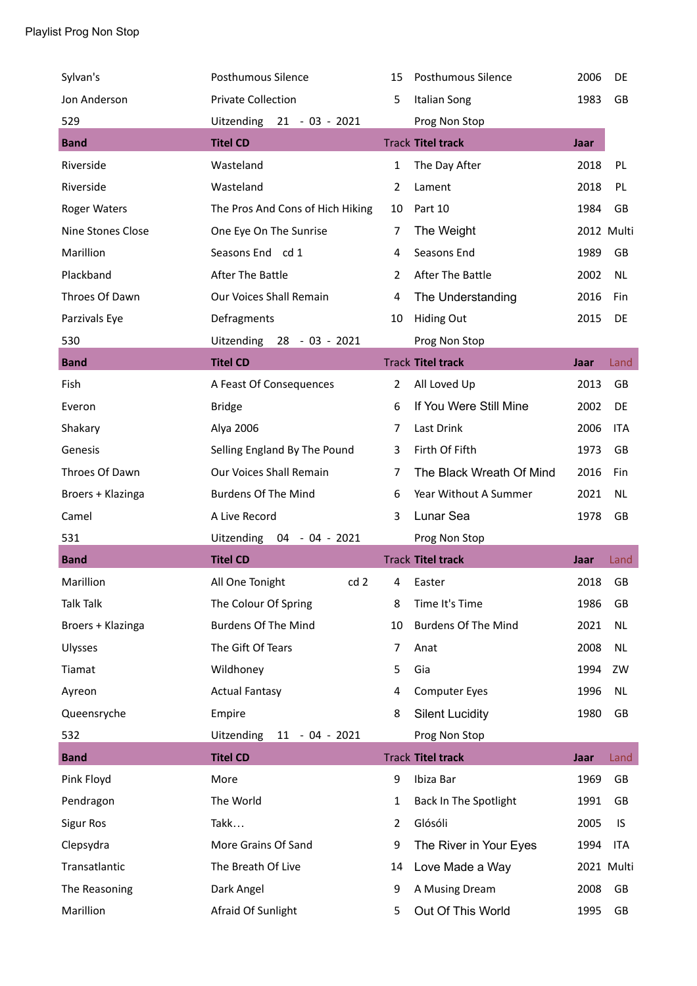| Sylvan's            | Posthumous Silence               | 15           | Posthumous Silence         | 2006 | DE         |
|---------------------|----------------------------------|--------------|----------------------------|------|------------|
| Jon Anderson        | <b>Private Collection</b>        | 5            | <b>Italian Song</b>        | 1983 | GB         |
| 529                 | Uitzending 21 - 03 - 2021        |              | Prog Non Stop              |      |            |
| <b>Band</b>         | <b>Titel CD</b>                  |              | <b>Track Titel track</b>   | Jaar |            |
| Riverside           | Wasteland                        | $\mathbf{1}$ | The Day After              | 2018 | PL         |
| Riverside           | Wasteland                        | 2            | Lament                     | 2018 | PL         |
| <b>Roger Waters</b> | The Pros And Cons of Hich Hiking | 10           | Part 10                    | 1984 | GB         |
| Nine Stones Close   | One Eye On The Sunrise           | 7            | The Weight                 |      | 2012 Multi |
| Marillion           | Seasons End cd 1                 | 4            | Seasons End                | 1989 | GB         |
| Plackband           | After The Battle                 | 2            | After The Battle           | 2002 | NL.        |
| Throes Of Dawn      | Our Voices Shall Remain          | 4            | The Understanding          | 2016 | Fin        |
| Parzivals Eye       | Defragments                      | 10           | <b>Hiding Out</b>          | 2015 | DE         |
| 530                 | Uitzending 28 - 03 - 2021        |              | Prog Non Stop              |      |            |
| <b>Band</b>         | <b>Titel CD</b>                  |              | <b>Track Titel track</b>   | Jaar | Land       |
| Fish                | A Feast Of Consequences          | 2            | All Loved Up               | 2013 | GB         |
| Everon              | <b>Bridge</b>                    | 6            | If You Were Still Mine     | 2002 | DE         |
| Shakary             | Alya 2006                        | 7            | Last Drink                 | 2006 | <b>ITA</b> |
| Genesis             | Selling England By The Pound     | 3            | Firth Of Fifth             | 1973 | GB         |
| Throes Of Dawn      | Our Voices Shall Remain          | 7            | The Black Wreath Of Mind   | 2016 | Fin        |
| Broers + Klazinga   | <b>Burdens Of The Mind</b>       | 6            | Year Without A Summer      | 2021 | <b>NL</b>  |
| Camel               | A Live Record                    | 3            | Lunar Sea                  | 1978 | GB         |
| 531                 | Uitzending 04 - 04 - 2021        |              | Prog Non Stop              |      |            |
| <b>Band</b>         | <b>Titel CD</b>                  |              | <b>Track Titel track</b>   | Jaar | Land       |
| Marillion           | All One Tonight<br>cd 2          | 4            | Easter                     | 2018 | GB         |
| <b>Talk Talk</b>    | The Colour Of Spring             | 8            | Time It's Time             | 1986 | GB         |
| Broers + Klazinga   | <b>Burdens Of The Mind</b>       | 10           | <b>Burdens Of The Mind</b> | 2021 | <b>NL</b>  |
| Ulysses             | The Gift Of Tears                | 7            | Anat                       | 2008 | <b>NL</b>  |
| Tiamat              | Wildhoney                        | 5            | Gia                        | 1994 | ZW         |
| Ayreon              | <b>Actual Fantasy</b>            | 4            | <b>Computer Eyes</b>       | 1996 | NL         |
| Queensryche         | Empire                           | 8            | <b>Silent Lucidity</b>     | 1980 | GB         |
| 532                 | Uitzending<br>$11 - 04 - 2021$   |              | Prog Non Stop              |      |            |
| <b>Band</b>         | <b>Titel CD</b>                  |              | <b>Track Titel track</b>   | Jaar | Land       |
| Pink Floyd          | More                             | 9            | Ibiza Bar                  | 1969 | GB         |
| Pendragon           | The World                        | $\mathbf{1}$ | Back In The Spotlight      | 1991 | GB         |
| <b>Sigur Ros</b>    | Takk                             | 2            | Glósóli                    | 2005 | IS         |
| Clepsydra           | More Grains Of Sand              | 9            | The River in Your Eyes     | 1994 | <b>ITA</b> |
| Transatlantic       | The Breath Of Live               | 14           | Love Made a Way            |      | 2021 Multi |
| The Reasoning       | Dark Angel                       | 9            | A Musing Dream             | 2008 | GB         |
|                     |                                  |              |                            |      |            |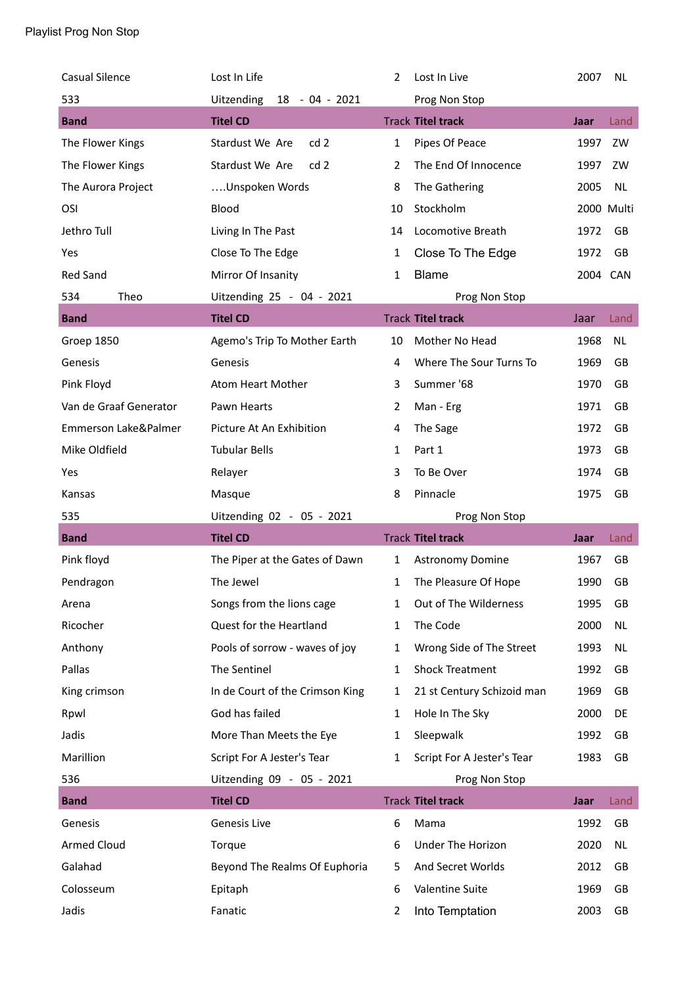| <b>Casual Silence</b>  | Lost In Life                        | 2              | Lost In Live               | 2007       | <b>NL</b> |
|------------------------|-------------------------------------|----------------|----------------------------|------------|-----------|
| 533                    | <b>Uitzending</b><br>18 - 04 - 2021 |                | Prog Non Stop              |            |           |
| <b>Band</b>            | <b>Titel CD</b>                     |                | <b>Track Titel track</b>   | Jaar       | Land      |
| The Flower Kings       | Stardust We Are<br>cd <sub>2</sub>  | 1              | Pipes Of Peace             | 1997       | ZW        |
| The Flower Kings       | Stardust We Are<br>cd2              | $\overline{2}$ | The End Of Innocence       | 1997       | ZW        |
| The Aurora Project     | Unspoken Words                      | 8              | The Gathering              | 2005       | <b>NL</b> |
| OSI                    | Blood                               | 10             | Stockholm                  | 2000 Multi |           |
| Jethro Tull            | Living In The Past                  | 14             | Locomotive Breath          | 1972       | GB        |
| Yes                    | Close To The Edge                   | $\mathbf{1}$   | Close To The Edge          | 1972       | GB        |
| <b>Red Sand</b>        | Mirror Of Insanity                  | 1              | <b>Blame</b>               | 2004 CAN   |           |
| 534<br>Theo            | Uitzending 25 - 04 - 2021           |                | Prog Non Stop              |            |           |
| <b>Band</b>            | <b>Titel CD</b>                     |                | <b>Track Titel track</b>   | Jaar       | Land      |
| Groep 1850             | Agemo's Trip To Mother Earth        | 10             | Mother No Head             | 1968       | <b>NL</b> |
| Genesis                | Genesis                             | 4              | Where The Sour Turns To    | 1969       | GB        |
| Pink Floyd             | Atom Heart Mother                   | 3              | Summer '68                 | 1970       | GB        |
| Van de Graaf Generator | Pawn Hearts                         | 2              | Man - Erg                  | 1971       | GB        |
| Emmerson Lake&Palmer   | Picture At An Exhibition            | 4              | The Sage                   | 1972       | GB        |
| Mike Oldfield          | <b>Tubular Bells</b>                | 1              | Part 1                     | 1973       | GB        |
| Yes                    | Relayer                             | 3              | To Be Over                 | 1974       | <b>GB</b> |
| Kansas                 |                                     |                |                            |            |           |
|                        | Masque                              | 8              | Pinnacle                   | 1975       | GB        |
| 535                    | Uitzending 02 - 05 - 2021           |                | Prog Non Stop              |            |           |
| <b>Band</b>            | <b>Titel CD</b>                     |                | <b>Track Titel track</b>   | Jaar       | Land      |
| Pink floyd             | The Piper at the Gates of Dawn      | $\mathbf{1}$   | <b>Astronomy Domine</b>    | 1967       | GB        |
| Pendragon              | The Jewel                           | 1              | The Pleasure Of Hope       | 1990       | GB        |
| Arena                  | Songs from the lions cage           | 1              | Out of The Wilderness      | 1995       | GB        |
| Ricocher               | Quest for the Heartland             | 1              | The Code                   | 2000       | <b>NL</b> |
| Anthony                | Pools of sorrow - waves of joy      | 1              | Wrong Side of The Street   | 1993       | <b>NL</b> |
| Pallas                 | The Sentinel                        | $\mathbf{1}$   | <b>Shock Treatment</b>     | 1992       | GB        |
| King crimson           | In de Court of the Crimson King     | 1              | 21 st Century Schizoid man | 1969       | GB        |
| Rpwl                   | God has failed                      | 1              | Hole In The Sky            | 2000       | DE        |
| Jadis                  | More Than Meets the Eye             | 1              | Sleepwalk                  | 1992       | GB        |
| Marillion              | Script For A Jester's Tear          | 1              | Script For A Jester's Tear | 1983       | GB        |
| 536                    | Uitzending 09 - 05 - 2021           |                | Prog Non Stop              |            |           |
| <b>Band</b>            | <b>Titel CD</b>                     |                | <b>Track Titel track</b>   | Jaar       | Land      |
| Genesis                | Genesis Live                        | 6              | Mama                       | 1992       | GB        |
| <b>Armed Cloud</b>     | Torque                              | 6              | Under The Horizon          | 2020       | NL        |
| Galahad                | Beyond The Realms Of Euphoria       | 5              | And Secret Worlds          | 2012       | GB        |
| Colosseum              | Epitaph                             | 6              | Valentine Suite            | 1969       | GB        |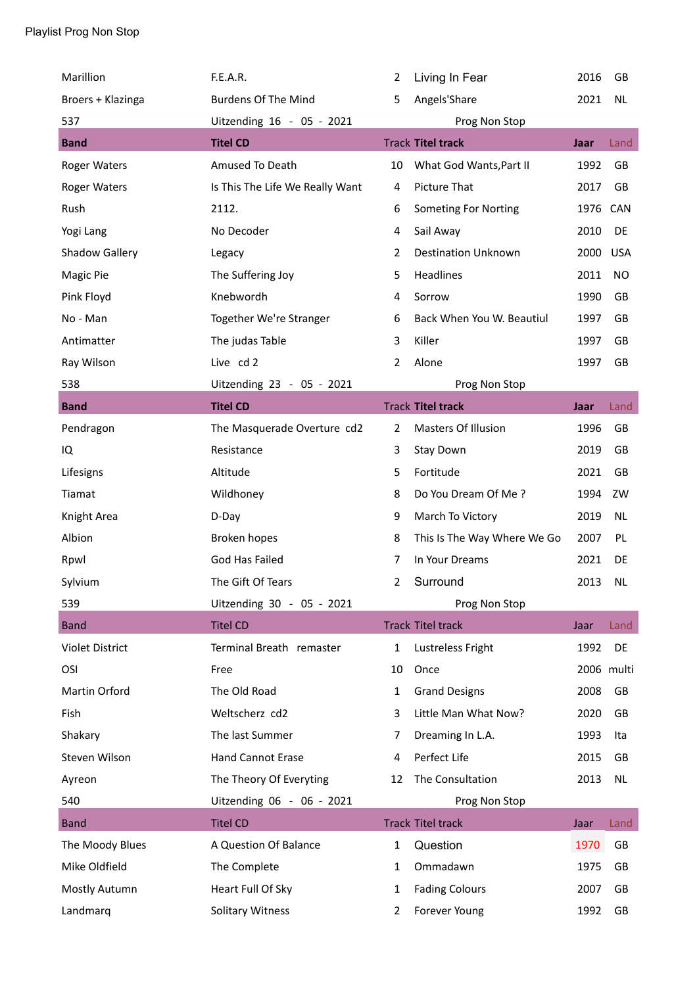| Marillion              | F.E.A.R.                        | 2              | Living In Fear              | 2016 | <b>GB</b>  |
|------------------------|---------------------------------|----------------|-----------------------------|------|------------|
| Broers + Klazinga      | <b>Burdens Of The Mind</b>      | 5              | Angels'Share                | 2021 | <b>NL</b>  |
| 537                    | Uitzending 16 - 05 - 2021       |                | Prog Non Stop               |      |            |
| <b>Band</b>            | <b>Titel CD</b>                 |                | <b>Track Titel track</b>    | Jaar | Land       |
| <b>Roger Waters</b>    | Amused To Death                 | 10             | What God Wants, Part II     | 1992 | <b>GB</b>  |
| <b>Roger Waters</b>    | Is This The Life We Really Want | 4              | Picture That                | 2017 | GB         |
| Rush                   | 2112.                           | 6              | Someting For Norting        | 1976 | CAN        |
| Yogi Lang              | No Decoder                      | 4              | Sail Away                   | 2010 | DE         |
| <b>Shadow Gallery</b>  | Legacy                          | $\overline{2}$ | <b>Destination Unknown</b>  | 2000 | <b>USA</b> |
| Magic Pie              | The Suffering Joy               | 5              | Headlines                   | 2011 | NO         |
| Pink Floyd             | Knebwordh                       | 4              | Sorrow                      | 1990 | GB         |
| No - Man               | Together We're Stranger         | 6              | Back When You W. Beautiul   | 1997 | GB         |
| Antimatter             | The judas Table                 | 3              | Killer                      | 1997 | GB         |
| Ray Wilson             | Live cd 2                       | $\overline{2}$ | Alone                       | 1997 | GB         |
| 538                    | Uitzending 23 - 05 - 2021       |                | Prog Non Stop               |      |            |
| <b>Band</b>            | <b>Titel CD</b>                 |                | <b>Track Titel track</b>    | Jaar | Land       |
| Pendragon              | The Masquerade Overture cd2     | $\overline{2}$ | Masters Of Illusion         | 1996 | GB         |
| IQ                     | Resistance                      | 3              | Stay Down                   | 2019 | GB         |
| Lifesigns              | Altitude                        | 5              | Fortitude                   | 2021 | GB         |
| Tiamat                 | Wildhoney                       | 8              | Do You Dream Of Me?         | 1994 | ZW         |
| Knight Area            | D-Day                           | 9              | March To Victory            | 2019 | <b>NL</b>  |
| Albion                 | Broken hopes                    | 8              | This Is The Way Where We Go | 2007 | PL         |
| Rpwl                   | God Has Failed                  | 7              | In Your Dreams              | 2021 | DE         |
| Sylvium                | The Gift Of Tears               | $\overline{2}$ | Surround                    | 2013 | <b>NL</b>  |
| 539                    | Uitzending 30 - 05 - 2021       |                | Prog Non Stop               |      |            |
| <b>Band</b>            | <b>Titel CD</b>                 |                | <b>Track Titel track</b>    | Jaar | Land       |
| <b>Violet District</b> | Terminal Breath remaster        | $\mathbf{1}$   | Lustreless Fright           | 1992 | DE         |
| OSI                    | Free                            | 10             | Once                        |      | 2006 multi |
| Martin Orford          | The Old Road                    | $\mathbf{1}$   | <b>Grand Designs</b>        | 2008 | GB         |
| Fish                   | Weltscherz cd2                  | 3              | Little Man What Now?        | 2020 | GB         |
| Shakary                | The last Summer                 | 7              | Dreaming In L.A.            | 1993 | Ita        |
| Steven Wilson          | Hand Cannot Erase               | 4              | Perfect Life                | 2015 | GB         |
| Ayreon                 | The Theory Of Everyting         | 12             | The Consultation            | 2013 | <b>NL</b>  |
| 540                    | Uitzending 06 - 06 - 2021       |                | Prog Non Stop               |      |            |
| <b>Band</b>            | <b>Titel CD</b>                 |                | <b>Track Titel track</b>    | Jaar | Land       |
| The Moody Blues        | A Question Of Balance           | $\mathbf{1}$   | Question                    | 1970 | GB         |
| Mike Oldfield          | The Complete                    | 1              | Ommadawn                    | 1975 | GB         |
| Mostly Autumn          | Heart Full Of Sky               | 1              | <b>Fading Colours</b>       | 2007 | GB         |
| Landmarq               | <b>Solitary Witness</b>         | $\overline{2}$ | Forever Young               | 1992 | GB         |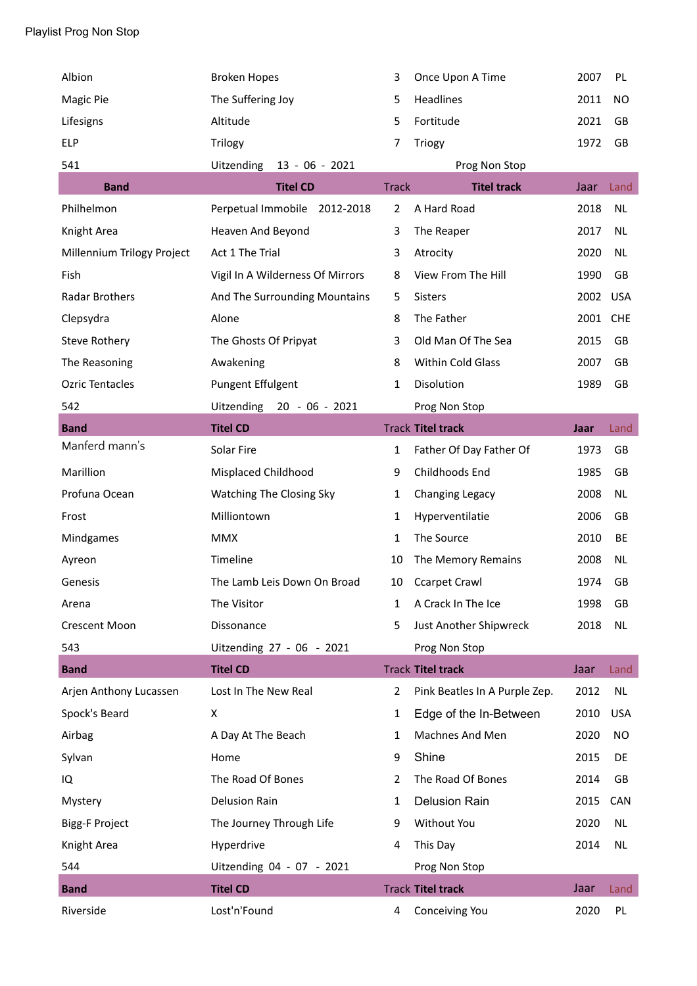| Albion                     | <b>Broken Hopes</b>              | 3              | Once Upon A Time              | 2007 | PL         |
|----------------------------|----------------------------------|----------------|-------------------------------|------|------------|
| Magic Pie                  | The Suffering Joy                | 5              | Headlines                     | 2011 | NO         |
| Lifesigns                  | Altitude                         | 5              | Fortitude                     | 2021 | GB         |
| <b>ELP</b>                 | Trilogy                          | 7              | Triogy                        | 1972 | <b>GB</b>  |
| 541                        | $13 - 06 - 2021$<br>Uitzending   |                | Prog Non Stop                 |      |            |
| <b>Band</b>                | <b>Titel CD</b>                  | <b>Track</b>   | <b>Titel track</b>            | Jaar | Land       |
| Philhelmon                 | Perpetual Immobile<br>2012-2018  | 2              | A Hard Road                   | 2018 | <b>NL</b>  |
| Knight Area                | Heaven And Beyond                | 3              | The Reaper                    | 2017 | NL.        |
| Millennium Trilogy Project | Act 1 The Trial                  | 3              | Atrocity                      | 2020 | <b>NL</b>  |
| Fish                       | Vigil In A Wilderness Of Mirrors | 8              | View From The Hill            | 1990 | <b>GB</b>  |
| Radar Brothers             | And The Surrounding Mountains    | 5              | <b>Sisters</b>                | 2002 | <b>USA</b> |
| Clepsydra                  | Alone                            | 8              | The Father                    | 2001 | <b>CHE</b> |
| <b>Steve Rothery</b>       | The Ghosts Of Pripyat            | 3              | Old Man Of The Sea            | 2015 | GB         |
| The Reasoning              | Awakening                        | 8              | Within Cold Glass             | 2007 | GB         |
| <b>Ozric Tentacles</b>     | <b>Pungent Effulgent</b>         | 1              | Disolution                    | 1989 | GB         |
| 542                        | Uitzending<br>$20 - 06 - 2021$   |                | Prog Non Stop                 |      |            |
| <b>Band</b>                | <b>Titel CD</b>                  |                | <b>Track Titel track</b>      | Jaar | Land       |
| Manferd mann's             | Solar Fire                       | $\mathbf{1}$   | Father Of Day Father Of       | 1973 | GB         |
| Marillion                  | Misplaced Childhood              | 9              | Childhoods End                | 1985 | GB         |
| Profuna Ocean              | Watching The Closing Sky         | $\mathbf{1}$   | Changing Legacy               | 2008 | NL         |
| Frost                      | Milliontown                      | $\mathbf{1}$   | Hyperventilatie               | 2006 | GB         |
| Mindgames                  | <b>MMX</b>                       | $\mathbf{1}$   | The Source                    | 2010 | BE         |
| Ayreon                     | Timeline                         | 10             | The Memory Remains            | 2008 | <b>NL</b>  |
| Genesis                    | The Lamb Leis Down On Broad      | 10             | <b>Ccarpet Crawl</b>          | 1974 | GB         |
| Arena                      | The Visitor                      | 1              | A Crack In The Ice            | 1998 | GB         |
| <b>Crescent Moon</b>       | Dissonance                       | 5              | Just Another Shipwreck        | 2018 | <b>NL</b>  |
| 543                        | Uitzending 27 - 06 - 2021        |                | Prog Non Stop                 |      |            |
| <b>Band</b>                | <b>Titel CD</b>                  |                | <b>Track Titel track</b>      | Jaar | Land       |
| Arjen Anthony Lucassen     | Lost In The New Real             | $\overline{2}$ | Pink Beatles In A Purple Zep. | 2012 | <b>NL</b>  |
| Spock's Beard              | X                                | $\mathbf{1}$   | Edge of the In-Between        | 2010 | <b>USA</b> |
| Airbag                     | A Day At The Beach               | 1              | Machnes And Men               | 2020 | NO         |
| Sylvan                     | Home                             | 9              | Shine                         | 2015 | DE         |
| IQ                         | The Road Of Bones                | $\overline{2}$ | The Road Of Bones             | 2014 | GB         |
| Mystery                    | <b>Delusion Rain</b>             | $\mathbf{1}$   | <b>Delusion Rain</b>          | 2015 | <b>CAN</b> |
| <b>Bigg-F Project</b>      | The Journey Through Life         | 9              | Without You                   | 2020 | NL         |
| Knight Area                | Hyperdrive                       | 4              | This Day                      | 2014 | <b>NL</b>  |
| 544                        | Uitzending 04 - 07 - 2021        |                | Prog Non Stop                 |      |            |
| <b>Band</b>                | <b>Titel CD</b>                  |                | <b>Track Titel track</b>      | Jaar | Land       |
| Riverside                  | Lost'n'Found                     | 4              | Conceiving You                | 2020 | PL         |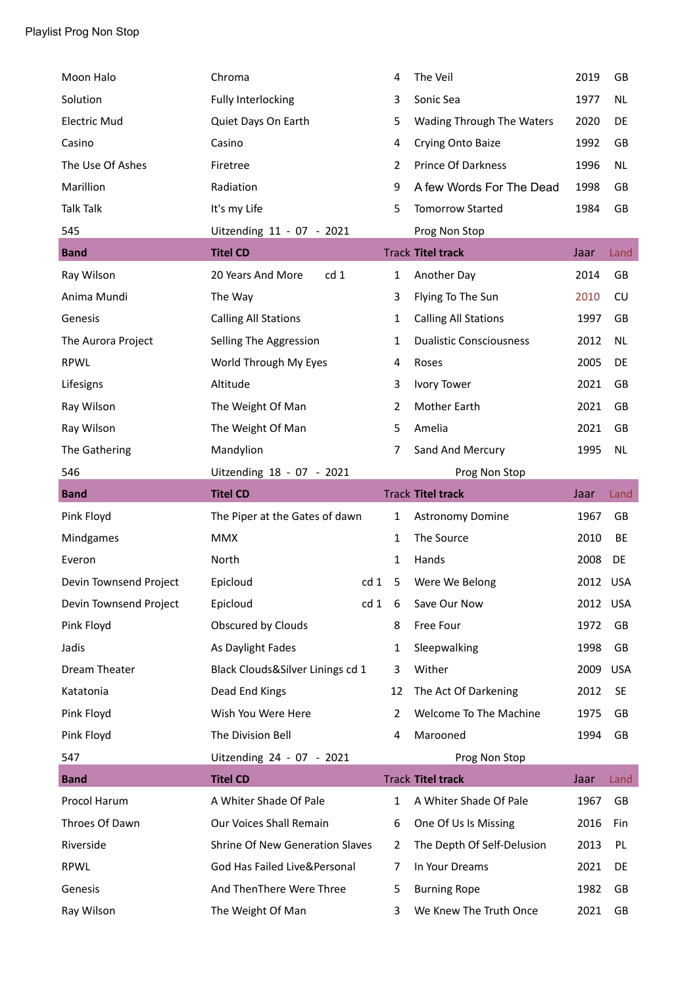| Moon Halo              | Chroma                               |                 | 4              | The Veil                       | 2019     | GB         |
|------------------------|--------------------------------------|-----------------|----------------|--------------------------------|----------|------------|
| Solution               | Fully Interlocking                   |                 | 3              | Sonic Sea                      | 1977     | <b>NL</b>  |
| <b>Electric Mud</b>    | Quiet Days On Earth                  |                 | 5              | Wading Through The Waters      | 2020     | DE         |
| Casino                 | Casino                               |                 | 4              | Crying Onto Baize              | 1992     | GB         |
| The Use Of Ashes       | Firetree                             |                 | $\overline{2}$ | <b>Prince Of Darkness</b>      | 1996     | <b>NL</b>  |
| Marillion              | Radiation                            |                 | 9              | A few Words For The Dead       | 1998     | GB         |
| <b>Talk Talk</b>       | It's my Life                         |                 | 5              | <b>Tomorrow Started</b>        | 1984     | GB         |
| 545                    | Uitzending 11 - 07 - 2021            |                 |                | Prog Non Stop                  |          |            |
| <b>Band</b>            | <b>Titel CD</b>                      |                 |                | <b>Track Titel track</b>       | Jaar     | Land       |
| Ray Wilson             | cd <sub>1</sub><br>20 Years And More |                 | 1              | Another Day                    | 2014     | GB         |
| Anima Mundi            | The Way                              |                 | 3              | Flying To The Sun              | 2010     | CU         |
| Genesis                | <b>Calling All Stations</b>          |                 | 1              | <b>Calling All Stations</b>    | 1997     | GB         |
| The Aurora Project     | Selling The Aggression               |                 | 1              | <b>Dualistic Consciousness</b> | 2012     | <b>NL</b>  |
| <b>RPWL</b>            | World Through My Eyes                |                 | 4              | Roses                          | 2005     | DE         |
| Lifesigns              | Altitude                             |                 | 3              | <b>Ivory Tower</b>             | 2021     | GB         |
| Ray Wilson             | The Weight Of Man                    |                 | 2              | Mother Earth                   | 2021     | GB         |
| Ray Wilson             | The Weight Of Man                    |                 | 5              | Amelia                         | 2021     | GB         |
| The Gathering          | Mandylion                            |                 | 7              | Sand And Mercury               | 1995     | <b>NL</b>  |
| 546                    | Uitzending 18 - 07 - 2021            |                 |                | Prog Non Stop                  |          |            |
| <b>Band</b>            | <b>Titel CD</b>                      |                 |                | <b>Track Titel track</b>       | Jaar     | Land       |
| Pink Floyd             | The Piper at the Gates of dawn       |                 | $\mathbf{1}$   | <b>Astronomy Domine</b>        | 1967     | GB         |
| Mindgames              | <b>MMX</b>                           |                 | 1              | The Source                     | 2010     | BE         |
| Everon                 | North                                |                 | 1              | Hands                          | 2008     | DE         |
| Devin Townsend Project | Epicloud                             | cd <sub>1</sub> | 5              | Were We Belong                 | 2012 USA |            |
| Devin Townsend Project | Epicloud                             | cd 1            | 6              | Save Our Now                   | 2012 USA |            |
| Pink Floyd             | Obscured by Clouds                   |                 | 8              | Free Four                      | 1972     | GB         |
| Jadis                  | As Daylight Fades                    |                 | 1              | Sleepwalking                   | 1998     | GB         |
| Dream Theater          | Black Clouds&Silver Linings cd 1     |                 | 3              | Wither                         | 2009     | <b>USA</b> |
| Katatonia              | Dead End Kings                       |                 | 12             | The Act Of Darkening           | 2012     | <b>SE</b>  |
| Pink Floyd             | Wish You Were Here                   |                 | $\overline{2}$ | Welcome To The Machine         | 1975     | GB         |
| Pink Floyd             | The Division Bell                    |                 | 4              | Marooned                       | 1994     | GB         |
| 547                    | Uitzending 24 - 07 - 2021            |                 |                | Prog Non Stop                  |          |            |
| <b>Band</b>            | <b>Titel CD</b>                      |                 |                | <b>Track Titel track</b>       | Jaar     | Land       |
| Procol Harum           | A Whiter Shade Of Pale               |                 | $\mathbf{1}$   | A Whiter Shade Of Pale         | 1967     | GB         |
| Throes Of Dawn         | Our Voices Shall Remain              |                 | 6              | One Of Us Is Missing           | 2016     | Fin        |
| Riverside              | Shrine Of New Generation Slaves      |                 | 2              | The Depth Of Self-Delusion     | 2013     | PL         |
|                        |                                      |                 |                |                                |          |            |
| <b>RPWL</b>            | God Has Failed Live&Personal         |                 | 7              | In Your Dreams                 | 2021     | DE         |
| Genesis                | And ThenThere Were Three             |                 | 5              | <b>Burning Rope</b>            | 1982     | GB         |